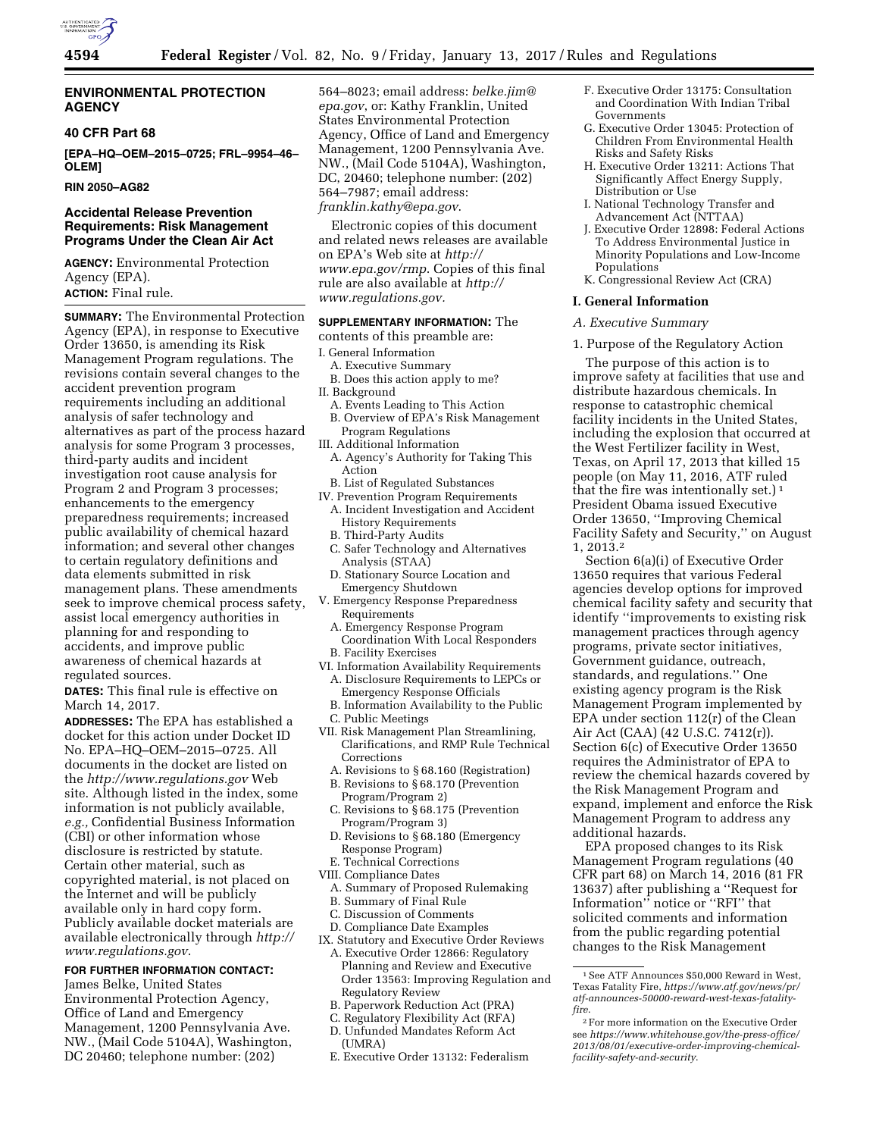

### **ENVIRONMENTAL PROTECTION AGENCY**

#### **40 CFR Part 68**

**[EPA–HQ–OEM–2015–0725; FRL–9954–46– OLEM]** 

**RIN 2050–AG82** 

### **Accidental Release Prevention Requirements: Risk Management Programs Under the Clean Air Act**

**AGENCY:** Environmental Protection Agency (EPA). **ACTION:** Final rule.

**SUMMARY:** The Environmental Protection Agency (EPA), in response to Executive Order 13650, is amending its Risk Management Program regulations. The revisions contain several changes to the accident prevention program requirements including an additional analysis of safer technology and alternatives as part of the process hazard analysis for some Program 3 processes, third-party audits and incident investigation root cause analysis for Program 2 and Program 3 processes; enhancements to the emergency preparedness requirements; increased public availability of chemical hazard information; and several other changes to certain regulatory definitions and data elements submitted in risk management plans. These amendments seek to improve chemical process safety, assist local emergency authorities in planning for and responding to accidents, and improve public awareness of chemical hazards at regulated sources.

**DATES:** This final rule is effective on March 14, 2017.

**ADDRESSES:** The EPA has established a docket for this action under Docket ID No. EPA–HQ–OEM–2015–0725. All documents in the docket are listed on the *<http://www.regulations.gov>*Web site. Although listed in the index, some information is not publicly available, *e.g.,* Confidential Business Information (CBI) or other information whose disclosure is restricted by statute. Certain other material, such as copyrighted material, is not placed on the Internet and will be publicly available only in hard copy form. Publicly available docket materials are available electronically through *[http://](http://www.regulations.gov) [www.regulations.gov](http://www.regulations.gov)*.

## **FOR FURTHER INFORMATION CONTACT:**

James Belke, United States Environmental Protection Agency, Office of Land and Emergency Management, 1200 Pennsylvania Ave. NW., (Mail Code 5104A), Washington, DC 20460; telephone number: (202)

564–8023; email address: *[belke.jim@](mailto:belke.jim@epa.gov) [epa.gov](mailto:belke.jim@epa.gov)*, or: Kathy Franklin, United States Environmental Protection Agency, Office of Land and Emergency Management, 1200 Pennsylvania Ave. NW., (Mail Code 5104A), Washington, DC, 20460; telephone number: (202) 564–7987; email address: *[franklin.kathy@epa.gov](mailto:franklin.kathy@epa.gov)*.

Electronic copies of this document and related news releases are available on EPA's Web site at *[http://](http://www.epa.gov/rmp) [www.epa.gov/rmp](http://www.epa.gov/rmp)*. Copies of this final rule are also available at *[http://](http://www.regulations.gov) [www.regulations.gov.](http://www.regulations.gov)* 

### **SUPPLEMENTARY INFORMATION:** The

contents of this preamble are:

- I. General Information
- A. Executive Summary
- B. Does this action apply to me?
- II. Background
	- A. Events Leading to This Action B. Overview of EPA's Risk Management Program Regulations
- III. Additional Information
- A. Agency's Authority for Taking This Action
- B. List of Regulated Substances
- IV. Prevention Program Requirements A. Incident Investigation and Accident History Requirements
	- B. Third-Party Audits
	- C. Safer Technology and Alternatives Analysis (STAA)
	- D. Stationary Source Location and Emergency Shutdown
- V. Emergency Response Preparedness Requirements
	- A. Emergency Response Program Coordination With Local Responders
	- B. Facility Exercises
- VI. Information Availability Requirements A. Disclosure Requirements to LEPCs or Emergency Response Officials
- B. Information Availability to the Public
- C. Public Meetings
- VII. Risk Management Plan Streamlining, Clarifications, and RMP Rule Technical Corrections
	- A. Revisions to § 68.160 (Registration)
	- B. Revisions to § 68.170 (Prevention
	- Program/Program 2) C. Revisions to § 68.175 (Prevention
	- Program/Program 3)
	- D. Revisions to § 68.180 (Emergency Response Program)
- E. Technical Corrections
- VIII. Compliance Dates
	- A. Summary of Proposed Rulemaking
	- B. Summary of Final Rule
	- C. Discussion of Comments
- D. Compliance Date Examples IX. Statutory and Executive Order Reviews
	- A. Executive Order 12866: Regulatory Planning and Review and Executive Order 13563: Improving Regulation and Regulatory Review
	- B. Paperwork Reduction Act (PRA)
	- C. Regulatory Flexibility Act (RFA)
	- D. Unfunded Mandates Reform Act
	- (UMRA) E. Executive Order 13132: Federalism
- F. Executive Order 13175: Consultation and Coordination With Indian Tribal Governments
- G. Executive Order 13045: Protection of Children From Environmental Health Risks and Safety Risks
- H. Executive Order 13211: Actions That Significantly Affect Energy Supply, Distribution or Use
- I. National Technology Transfer and Advancement Act (NTTAA)
- J. Executive Order 12898: Federal Actions To Address Environmental Justice in Minority Populations and Low-Income Populations
- K. Congressional Review Act (CRA)

#### **I. General Information**

#### *A. Executive Summary*

#### 1. Purpose of the Regulatory Action

The purpose of this action is to improve safety at facilities that use and distribute hazardous chemicals. In response to catastrophic chemical facility incidents in the United States, including the explosion that occurred at the West Fertilizer facility in West, Texas, on April 17, 2013 that killed 15 people (on May 11, 2016, ATF ruled that the fire was intentionally set.)<sup>1</sup> President Obama issued Executive Order 13650, ''Improving Chemical Facility Safety and Security,'' on August 1, 2013.2

Section 6(a)(i) of Executive Order 13650 requires that various Federal agencies develop options for improved chemical facility safety and security that identify ''improvements to existing risk management practices through agency programs, private sector initiatives, Government guidance, outreach, standards, and regulations.'' One existing agency program is the Risk Management Program implemented by EPA under section 112(r) of the Clean Air Act (CAA) (42 U.S.C. 7412(r)). Section 6(c) of Executive Order 13650 requires the Administrator of EPA to review the chemical hazards covered by the Risk Management Program and expand, implement and enforce the Risk Management Program to address any additional hazards.

EPA proposed changes to its Risk Management Program regulations (40 CFR part 68) on March 14, 2016 (81 FR 13637) after publishing a ''Request for Information'' notice or ''RFI'' that solicited comments and information from the public regarding potential changes to the Risk Management

<sup>1</sup>See ATF Announces \$50,000 Reward in West, Texas Fatality Fire, *[https://www.atf.gov/news/pr/](https://www.atf.gov/news/pr/atf-announces-50000-reward-west-texas-fatality-fire) [atf-announces-50000-reward-west-texas-fatality](https://www.atf.gov/news/pr/atf-announces-50000-reward-west-texas-fatality-fire)[fire](https://www.atf.gov/news/pr/atf-announces-50000-reward-west-texas-fatality-fire)*.

<sup>2</sup>For more information on the Executive Order see *[https://www.whitehouse.gov/the-press-office/](https://www.whitehouse.gov/the-press-office/2013/08/01/executive-order-improving-chemical-facility-safety-and-security) [2013/08/01/executive-order-improving-chemical](https://www.whitehouse.gov/the-press-office/2013/08/01/executive-order-improving-chemical-facility-safety-and-security)[facility-safety-and-security](https://www.whitehouse.gov/the-press-office/2013/08/01/executive-order-improving-chemical-facility-safety-and-security)*.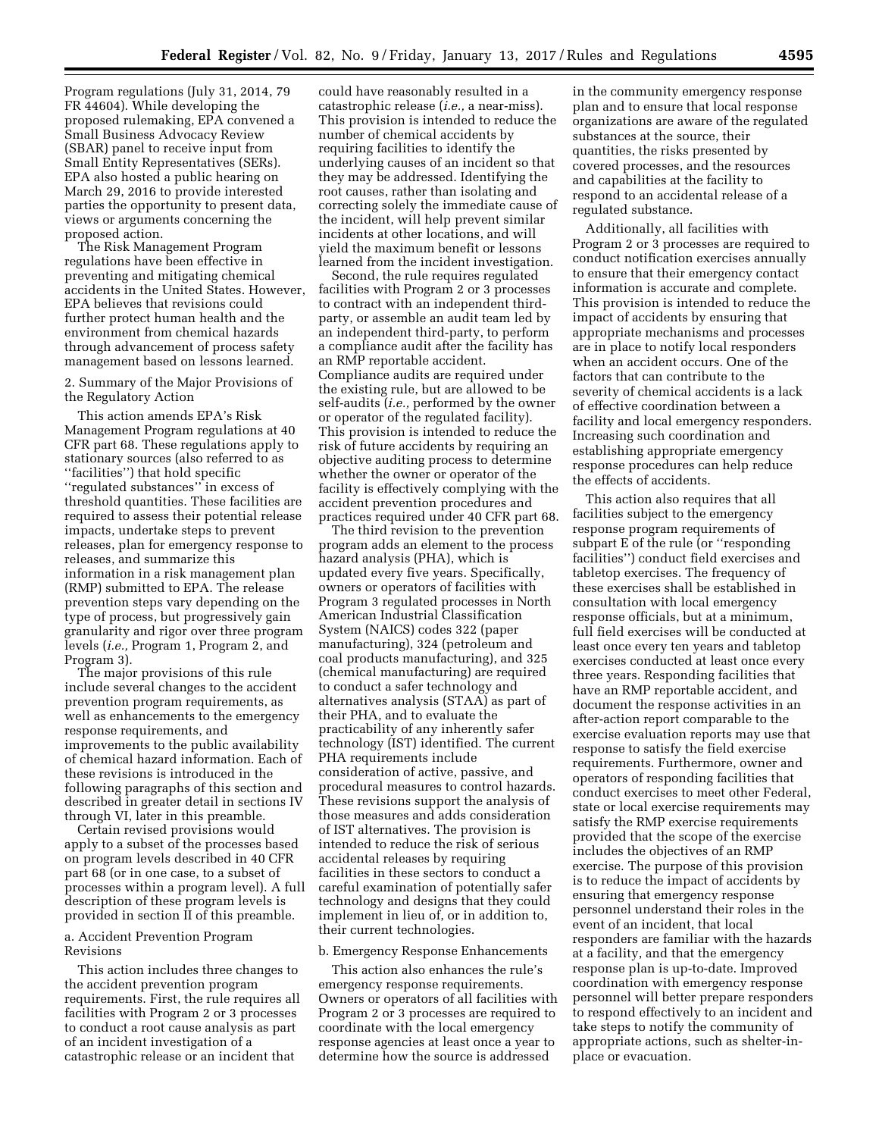Program regulations (July 31, 2014, 79 FR 44604). While developing the proposed rulemaking, EPA convened a Small Business Advocacy Review (SBAR) panel to receive input from Small Entity Representatives (SERs). EPA also hosted a public hearing on March 29, 2016 to provide interested parties the opportunity to present data, views or arguments concerning the proposed action.

The Risk Management Program regulations have been effective in preventing and mitigating chemical accidents in the United States. However, EPA believes that revisions could further protect human health and the environment from chemical hazards through advancement of process safety management based on lessons learned.

2. Summary of the Major Provisions of the Regulatory Action

This action amends EPA's Risk Management Program regulations at 40 CFR part 68. These regulations apply to stationary sources (also referred to as ''facilities'') that hold specific ''regulated substances'' in excess of threshold quantities. These facilities are required to assess their potential release impacts, undertake steps to prevent releases, plan for emergency response to releases, and summarize this information in a risk management plan (RMP) submitted to EPA. The release prevention steps vary depending on the type of process, but progressively gain granularity and rigor over three program levels (*i.e.,* Program 1, Program 2, and Program 3).

The major provisions of this rule include several changes to the accident prevention program requirements, as well as enhancements to the emergency response requirements, and improvements to the public availability of chemical hazard information. Each of these revisions is introduced in the following paragraphs of this section and described in greater detail in sections IV through VI, later in this preamble.

Certain revised provisions would apply to a subset of the processes based on program levels described in 40 CFR part 68 (or in one case, to a subset of processes within a program level). A full description of these program levels is provided in section II of this preamble.

### a. Accident Prevention Program Revisions

This action includes three changes to the accident prevention program requirements. First, the rule requires all facilities with Program 2 or 3 processes to conduct a root cause analysis as part of an incident investigation of a catastrophic release or an incident that

could have reasonably resulted in a catastrophic release (*i.e.,* a near-miss). This provision is intended to reduce the number of chemical accidents by requiring facilities to identify the underlying causes of an incident so that they may be addressed. Identifying the root causes, rather than isolating and correcting solely the immediate cause of the incident, will help prevent similar incidents at other locations, and will yield the maximum benefit or lessons learned from the incident investigation.

Second, the rule requires regulated facilities with Program 2 or 3 processes to contract with an independent thirdparty, or assemble an audit team led by an independent third-party, to perform a compliance audit after the facility has an RMP reportable accident. Compliance audits are required under the existing rule, but are allowed to be self-audits (*i.e.,* performed by the owner or operator of the regulated facility). This provision is intended to reduce the risk of future accidents by requiring an objective auditing process to determine whether the owner or operator of the facility is effectively complying with the accident prevention procedures and practices required under 40 CFR part 68.

The third revision to the prevention program adds an element to the process hazard analysis (PHA), which is updated every five years. Specifically, owners or operators of facilities with Program 3 regulated processes in North American Industrial Classification System (NAICS) codes 322 (paper manufacturing), 324 (petroleum and coal products manufacturing), and 325 (chemical manufacturing) are required to conduct a safer technology and alternatives analysis (STAA) as part of their PHA, and to evaluate the practicability of any inherently safer technology (IST) identified. The current PHA requirements include consideration of active, passive, and procedural measures to control hazards. These revisions support the analysis of those measures and adds consideration of IST alternatives. The provision is intended to reduce the risk of serious accidental releases by requiring facilities in these sectors to conduct a careful examination of potentially safer technology and designs that they could implement in lieu of, or in addition to, their current technologies.

#### b. Emergency Response Enhancements

This action also enhances the rule's emergency response requirements. Owners or operators of all facilities with Program 2 or 3 processes are required to coordinate with the local emergency response agencies at least once a year to determine how the source is addressed

in the community emergency response plan and to ensure that local response organizations are aware of the regulated substances at the source, their quantities, the risks presented by covered processes, and the resources and capabilities at the facility to respond to an accidental release of a regulated substance.

Additionally, all facilities with Program 2 or 3 processes are required to conduct notification exercises annually to ensure that their emergency contact information is accurate and complete. This provision is intended to reduce the impact of accidents by ensuring that appropriate mechanisms and processes are in place to notify local responders when an accident occurs. One of the factors that can contribute to the severity of chemical accidents is a lack of effective coordination between a facility and local emergency responders. Increasing such coordination and establishing appropriate emergency response procedures can help reduce the effects of accidents.

This action also requires that all facilities subject to the emergency response program requirements of subpart E of the rule (or ''responding facilities'') conduct field exercises and tabletop exercises. The frequency of these exercises shall be established in consultation with local emergency response officials, but at a minimum, full field exercises will be conducted at least once every ten years and tabletop exercises conducted at least once every three years. Responding facilities that have an RMP reportable accident, and document the response activities in an after-action report comparable to the exercise evaluation reports may use that response to satisfy the field exercise requirements. Furthermore, owner and operators of responding facilities that conduct exercises to meet other Federal, state or local exercise requirements may satisfy the RMP exercise requirements provided that the scope of the exercise includes the objectives of an RMP exercise. The purpose of this provision is to reduce the impact of accidents by ensuring that emergency response personnel understand their roles in the event of an incident, that local responders are familiar with the hazards at a facility, and that the emergency response plan is up-to-date. Improved coordination with emergency response personnel will better prepare responders to respond effectively to an incident and take steps to notify the community of appropriate actions, such as shelter-inplace or evacuation.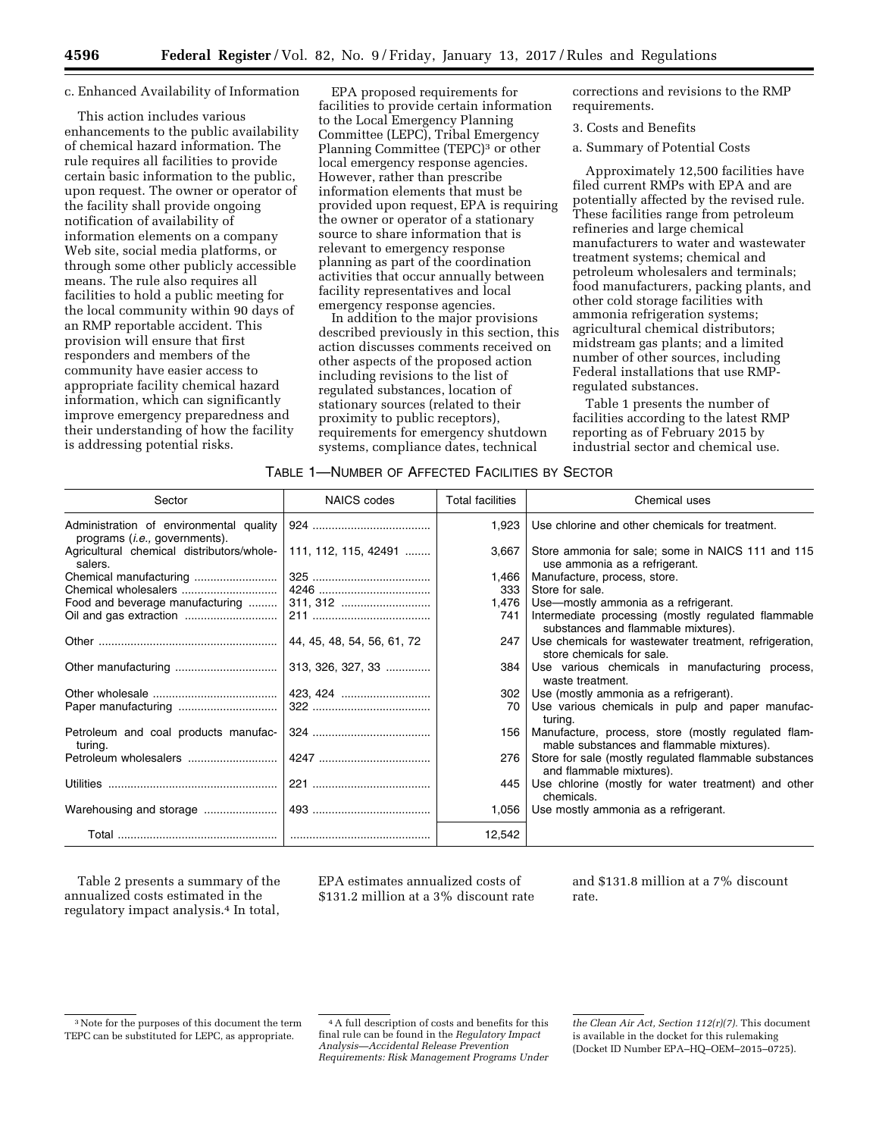#### c. Enhanced Availability of Information

This action includes various enhancements to the public availability of chemical hazard information. The rule requires all facilities to provide certain basic information to the public, upon request. The owner or operator of the facility shall provide ongoing notification of availability of information elements on a company Web site, social media platforms, or through some other publicly accessible means. The rule also requires all facilities to hold a public meeting for the local community within 90 days of an RMP reportable accident. This provision will ensure that first responders and members of the community have easier access to appropriate facility chemical hazard information, which can significantly improve emergency preparedness and their understanding of how the facility is addressing potential risks.

EPA proposed requirements for facilities to provide certain information to the Local Emergency Planning Committee (LEPC), Tribal Emergency Planning Committee (TEPC)<sup>3</sup> or other local emergency response agencies. However, rather than prescribe information elements that must be provided upon request, EPA is requiring the owner or operator of a stationary source to share information that is relevant to emergency response planning as part of the coordination activities that occur annually between facility representatives and local emergency response agencies.

In addition to the major provisions described previously in this section, this action discusses comments received on other aspects of the proposed action including revisions to the list of regulated substances, location of stationary sources (related to their proximity to public receptors), requirements for emergency shutdown systems, compliance dates, technical

corrections and revisions to the RMP requirements.

3. Costs and Benefits

a. Summary of Potential Costs

Approximately 12,500 facilities have filed current RMPs with EPA and are potentially affected by the revised rule. These facilities range from petroleum refineries and large chemical manufacturers to water and wastewater treatment systems; chemical and petroleum wholesalers and terminals; food manufacturers, packing plants, and other cold storage facilities with ammonia refrigeration systems; agricultural chemical distributors; midstream gas plants; and a limited number of other sources, including Federal installations that use RMPregulated substances.

Table 1 presents the number of facilities according to the latest RMP reporting as of February 2015 by industrial sector and chemical use.

| TABLE 1—NUMBER OF AFFECTED FACILITIES BY SECTOR |
|-------------------------------------------------|
|-------------------------------------------------|

| Sector                                                                            | <b>NAICS</b> codes         | <b>Total facilities</b> | Chemical uses                                                                                    |
|-----------------------------------------------------------------------------------|----------------------------|-------------------------|--------------------------------------------------------------------------------------------------|
| Administration of environmental quality<br>programs ( <i>i.e.</i> , governments). |                            | 1,923                   | Use chlorine and other chemicals for treatment.                                                  |
| Agricultural chemical distributors/whole-<br>salers.                              | 111, 112, 115, 42491       | 3,667                   | Store ammonia for sale; some in NAICS 111 and 115<br>use ammonia as a refrigerant.               |
|                                                                                   |                            | 1.466                   | Manufacture, process, store.                                                                     |
| Chemical wholesalers                                                              |                            | 333                     | Store for sale.                                                                                  |
| Food and beverage manufacturing                                                   |                            | 1,476                   | Use-mostly ammonia as a refrigerant.                                                             |
| Oil and gas extraction                                                            |                            | 741                     | Intermediate processing (mostly regulated flammable<br>substances and flammable mixtures).       |
|                                                                                   | 44, 45, 48, 54, 56, 61, 72 | 247                     | Use chemicals for wastewater treatment, refrigeration,<br>store chemicals for sale.              |
|                                                                                   | 313, 326, 327, 33          | 384                     | Use various chemicals in manufacturing process,<br>waste treatment.                              |
|                                                                                   |                            |                         | 302   Use (mostly ammonia as a refrigerant).                                                     |
|                                                                                   |                            | 70                      | Use various chemicals in pulp and paper manufac-<br>turing.                                      |
| Petroleum and coal products manufac-<br>turing.                                   |                            | 156                     | Manufacture, process, store (mostly regulated flam-<br>mable substances and flammable mixtures). |
|                                                                                   |                            | 276                     | Store for sale (mostly regulated flammable substances<br>and flammable mixtures).                |
|                                                                                   |                            | 445                     | Use chlorine (mostly for water treatment) and other<br>chemicals.                                |
|                                                                                   |                            | 1,056                   | Use mostly ammonia as a refrigerant.                                                             |
|                                                                                   |                            | 12,542                  |                                                                                                  |

Table 2 presents a summary of the annualized costs estimated in the regulatory impact analysis.4 In total,

EPA estimates annualized costs of \$131.2 million at a 3% discount rate and \$131.8 million at a 7% discount rate.

<sup>3</sup>Note for the purposes of this document the term TEPC can be substituted for LEPC, as appropriate.

<sup>4</sup>A full description of costs and benefits for this final rule can be found in the *Regulatory Impact Analysis—Accidental Release Prevention Requirements: Risk Management Programs Under* 

*the Clean Air Act, Section 112(r)(7).* This document is available in the docket for this rulemaking (Docket ID Number EPA–HQ–OEM–2015–0725).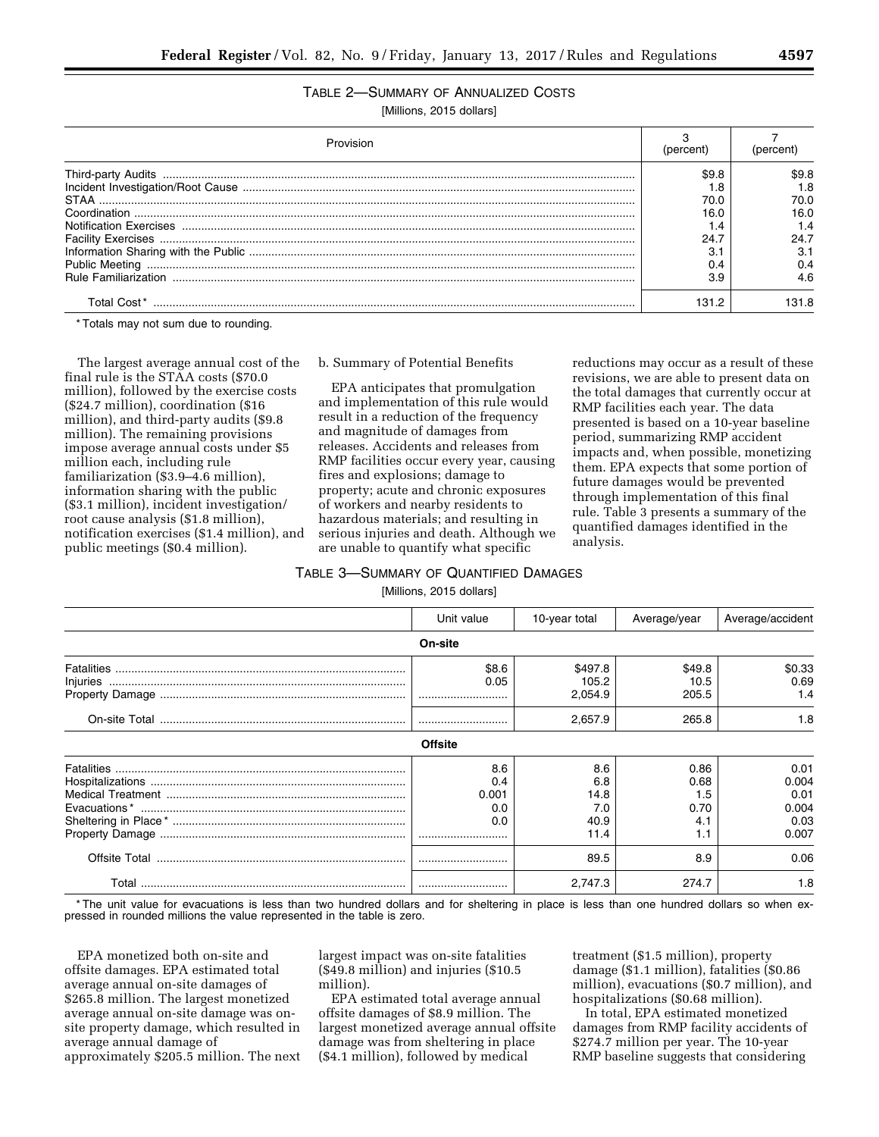# TABLE 2—SUMMARY OF ANNUALIZED COSTS

[Millions, 2015 dollars]

|             | 'percent |      |
|-------------|----------|------|
|             | \$9.F    | S9.8 |
|             |          |      |
|             |          | 70.O |
|             | 16 (     | 16.0 |
|             |          |      |
|             | 24.7     | 24.7 |
|             |          |      |
|             |          | 0.4  |
|             | 3.9      | 4 R  |
| Total Cost* | 131.2    | 31 R |

\* Totals may not sum due to rounding.

The largest average annual cost of the final rule is the STAA costs (\$70.0 million), followed by the exercise costs (\$24.7 million), coordination (\$16 million), and third-party audits (\$9.8 million). The remaining provisions impose average annual costs under \$5 million each, including rule familiarization (\$3.9–4.6 million), information sharing with the public (\$3.1 million), incident investigation/ root cause analysis (\$1.8 million), notification exercises (\$1.4 million), and public meetings (\$0.4 million).

#### b. Summary of Potential Benefits

EPA anticipates that promulgation and implementation of this rule would result in a reduction of the frequency and magnitude of damages from releases. Accidents and releases from RMP facilities occur every year, causing fires and explosions; damage to property; acute and chronic exposures of workers and nearby residents to hazardous materials; and resulting in serious injuries and death. Although we are unable to quantify what specific

reductions may occur as a result of these revisions, we are able to present data on the total damages that currently occur at RMP facilities each year. The data presented is based on a 10-year baseline period, summarizing RMP accident impacts and, when possible, monetizing them. EPA expects that some portion of future damages would be prevented through implementation of this final rule. Table 3 presents a summary of the quantified damages identified in the analysis.

# TABLE 3—SUMMARY OF QUANTIFIED DAMAGES

[Millions, 2015 dollars]

|          | Unit value                        | 10-year total                             | Average/year                              | Average/accident                                |
|----------|-----------------------------------|-------------------------------------------|-------------------------------------------|-------------------------------------------------|
|          | On-site                           |                                           |                                           |                                                 |
| Injuries | \$8.6<br>0.05                     | \$497.8<br>105.2<br>2,054.9               | \$49.8<br>10.5<br>205.5                   | \$0.33<br>0.69<br>1.4                           |
|          |                                   | 2,657.9                                   | 265.8                                     | 1.8                                             |
|          | <b>Offsite</b>                    |                                           |                                           |                                                 |
|          | 8.6<br>0.4<br>0.001<br>0.0<br>0.0 | 8.6<br>6.8<br>14.8<br>7.0<br>40.9<br>11.4 | 0.86<br>0.68<br>1.5<br>0.70<br>4.1<br>1.1 | 0.01<br>0.004<br>0.01<br>0.004<br>0.03<br>0.007 |
|          |                                   | 89.5                                      | 8.9                                       | 0.06                                            |
|          |                                   | 2,747.3                                   | 274.7                                     | 1.8                                             |

\* The unit value for evacuations is less than two hundred dollars and for sheltering in place is less than one hundred dollars so when expressed in rounded millions the value represented in the table is zero.

EPA monetized both on-site and offsite damages. EPA estimated total average annual on-site damages of \$265.8 million. The largest monetized average annual on-site damage was onsite property damage, which resulted in average annual damage of approximately \$205.5 million. The next largest impact was on-site fatalities (\$49.8 million) and injuries (\$10.5 million).

EPA estimated total average annual offsite damages of \$8.9 million. The largest monetized average annual offsite damage was from sheltering in place (\$4.1 million), followed by medical

treatment (\$1.5 million), property damage (\$1.1 million), fatalities (\$0.86 million), evacuations (\$0.7 million), and hospitalizations (\$0.68 million).

In total, EPA estimated monetized damages from RMP facility accidents of \$274.7 million per year. The 10-year RMP baseline suggests that considering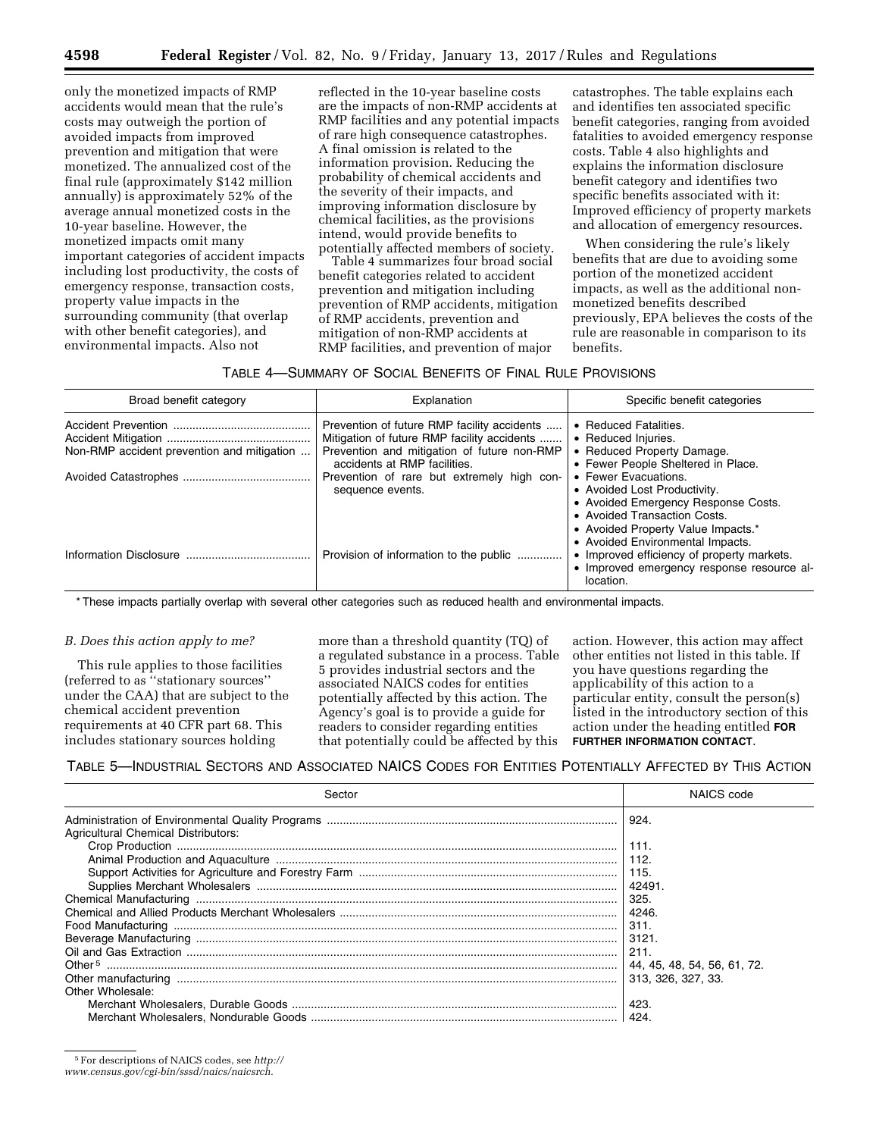only the monetized impacts of RMP accidents would mean that the rule's costs may outweigh the portion of avoided impacts from improved prevention and mitigation that were monetized. The annualized cost of the final rule (approximately \$142 million annually) is approximately 52% of the average annual monetized costs in the 10-year baseline. However, the monetized impacts omit many important categories of accident impacts including lost productivity, the costs of emergency response, transaction costs, property value impacts in the surrounding community (that overlap with other benefit categories), and environmental impacts. Also not

reflected in the 10-year baseline costs are the impacts of non-RMP accidents at RMP facilities and any potential impacts of rare high consequence catastrophes. A final omission is related to the information provision. Reducing the probability of chemical accidents and the severity of their impacts, and improving information disclosure by chemical facilities, as the provisions intend, would provide benefits to potentially affected members of society.

Table 4 summarizes four broad social benefit categories related to accident prevention and mitigation including prevention of RMP accidents, mitigation of RMP accidents, prevention and mitigation of non-RMP accidents at RMP facilities, and prevention of major

catastrophes. The table explains each and identifies ten associated specific benefit categories, ranging from avoided fatalities to avoided emergency response costs. Table 4 also highlights and explains the information disclosure benefit category and identifies two specific benefits associated with it: Improved efficiency of property markets and allocation of emergency resources.

When considering the rule's likely benefits that are due to avoiding some portion of the monetized accident impacts, as well as the additional nonmonetized benefits described previously, EPA believes the costs of the rule are reasonable in comparison to its benefits.

### TABLE 4—SUMMARY OF SOCIAL BENEFITS OF FINAL RULE PROVISIONS

| Broad benefit category                     | Explanation                                                                                                                                                               | Specific benefit categories                                                                                                                                                   |
|--------------------------------------------|---------------------------------------------------------------------------------------------------------------------------------------------------------------------------|-------------------------------------------------------------------------------------------------------------------------------------------------------------------------------|
| Non-RMP accident prevention and mitigation | Prevention of future RMP facility accidents<br>Mitigation of future RMP facility accidents<br>Prevention and mitigation of future non-RMP<br>accidents at RMP facilities. | • Reduced Fatalities.<br>• Reduced Injuries.<br>• Reduced Property Damage.<br>• Fewer People Sheltered in Place.<br>• Fewer Evacuations.                                      |
|                                            | Prevention of rare but extremely high con-<br>sequence events.                                                                                                            | • Avoided Lost Productivity.<br>• Avoided Emergency Response Costs.<br>• Avoided Transaction Costs.<br>• Avoided Property Value Impacts.*<br>• Avoided Environmental Impacts. |
|                                            | Provision of information to the public                                                                                                                                    | • Improved efficiency of property markets.<br>• Improved emergency response resource al-<br>location.                                                                         |

\* These impacts partially overlap with several other categories such as reduced health and environmental impacts.

#### *B. Does this action apply to me?*

This rule applies to those facilities (referred to as ''stationary sources'' under the CAA) that are subject to the chemical accident prevention requirements at 40 CFR part 68. This includes stationary sources holding

more than a threshold quantity (TQ) of a regulated substance in a process. Table 5 provides industrial sectors and the associated NAICS codes for entities potentially affected by this action. The Agency's goal is to provide a guide for readers to consider regarding entities that potentially could be affected by this

action. However, this action may affect other entities not listed in this table. If you have questions regarding the applicability of this action to a particular entity, consult the person(s) listed in the introductory section of this action under the heading entitled **FOR FURTHER INFORMATION CONTACT**.

TABLE 5—INDUSTRIAL SECTORS AND ASSOCIATED NAICS CODES FOR ENTITIES POTENTIALLY AFFECTED BY THIS ACTION

| Sector                                     | NAICS code                  |
|--------------------------------------------|-----------------------------|
|                                            | ∣ 924.                      |
| <b>Agricultural Chemical Distributors:</b> |                             |
|                                            |                             |
|                                            |                             |
|                                            |                             |
|                                            | 42491.                      |
|                                            | 325.                        |
|                                            | 4246.                       |
|                                            | 311.                        |
|                                            | 3121.                       |
|                                            | 211.                        |
|                                            | 44, 45, 48, 54, 56, 61, 72. |
|                                            | 313, 326, 327, 33,          |
| Other Wholesale:                           |                             |
|                                            | 423.                        |
|                                            |                             |

5For descriptions of NAICS codes, see *[http://](http://www.census.gov/cgi-bin/sssd/naics/naicsrch)*

*[www.census.gov/cgi-bin/sssd/naics/naicsrch.](http://www.census.gov/cgi-bin/sssd/naics/naicsrch)*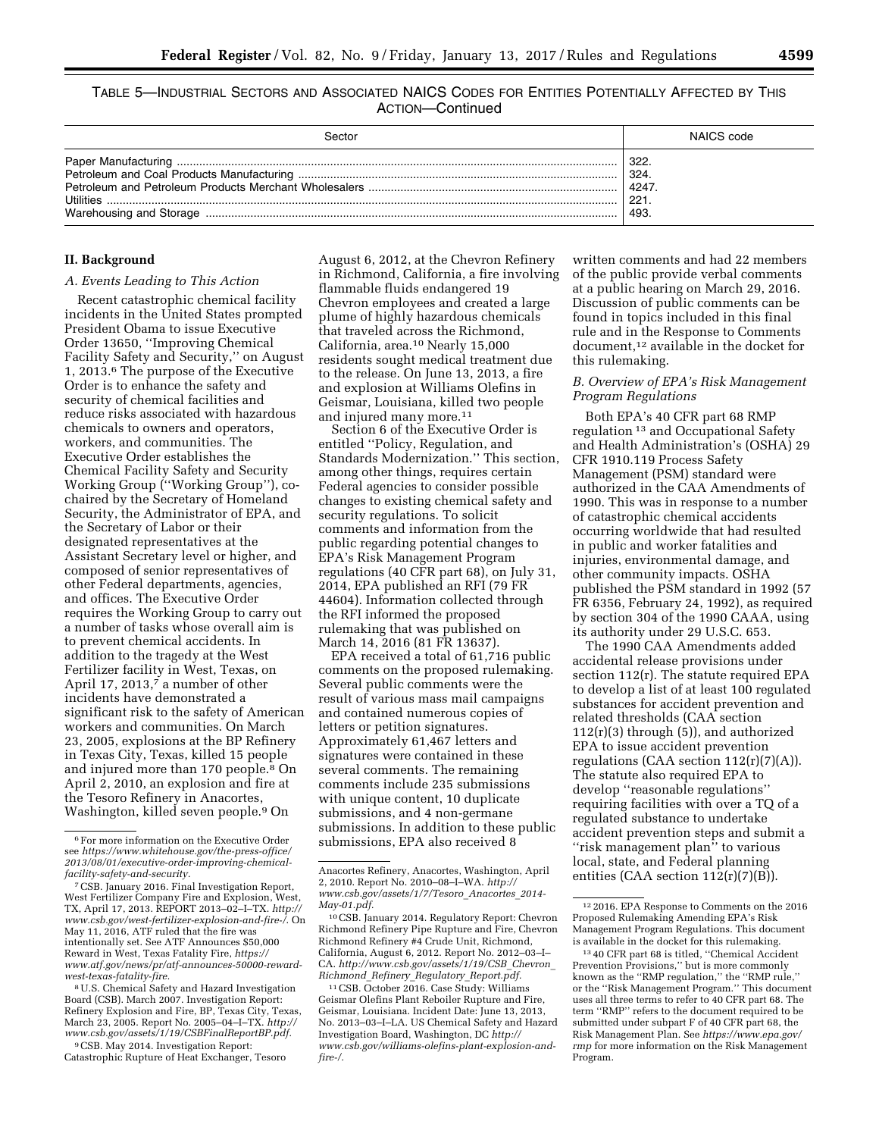TABLE 5—INDUSTRIAL SECTORS AND ASSOCIATED NAICS CODES FOR ENTITIES POTENTIALLY AFFECTED BY THIS ACTION—Continued

| 3ector    | NAICS code                           |
|-----------|--------------------------------------|
| Utilities | 322.<br>324.<br>4247<br>221.<br>493. |

### **II. Background**

### *A. Events Leading to This Action*

Recent catastrophic chemical facility incidents in the United States prompted President Obama to issue Executive Order 13650, ''Improving Chemical Facility Safety and Security,'' on August 1, 2013.6 The purpose of the Executive Order is to enhance the safety and security of chemical facilities and reduce risks associated with hazardous chemicals to owners and operators, workers, and communities. The Executive Order establishes the Chemical Facility Safety and Security Working Group (''Working Group''), cochaired by the Secretary of Homeland Security, the Administrator of EPA, and the Secretary of Labor or their designated representatives at the Assistant Secretary level or higher, and composed of senior representatives of other Federal departments, agencies, and offices. The Executive Order requires the Working Group to carry out a number of tasks whose overall aim is to prevent chemical accidents. In addition to the tragedy at the West Fertilizer facility in West, Texas, on April 17, 2013, $<sup>7</sup>$  a number of other</sup> incidents have demonstrated a significant risk to the safety of American workers and communities. On March 23, 2005, explosions at the BP Refinery in Texas City, Texas, killed 15 people and injured more than 170 people.8 On April 2, 2010, an explosion and fire at the Tesoro Refinery in Anacortes, Washington, killed seven people.9 On

8U.S. Chemical Safety and Hazard Investigation Board (CSB). March 2007. Investigation Report: Refinery Explosion and Fire, BP, Texas City, Texas, March 23, 2005. Report No. 2005–04–I–TX. *[http://](http://www.csb.gov/assets/1/19/CSBFinalReportBP.pdf)  [www.csb.gov/assets/1/19/CSBFinalReportBP.pdf.](http://www.csb.gov/assets/1/19/CSBFinalReportBP.pdf)* 

9CSB. May 2014. Investigation Report: Catastrophic Rupture of Heat Exchanger, Tesoro August 6, 2012, at the Chevron Refinery in Richmond, California, a fire involving flammable fluids endangered 19 Chevron employees and created a large plume of highly hazardous chemicals that traveled across the Richmond, California, area.10 Nearly 15,000 residents sought medical treatment due to the release. On June 13, 2013, a fire and explosion at Williams Olefins in Geismar, Louisiana, killed two people and injured many more.<sup>11</sup>

Section 6 of the Executive Order is entitled ''Policy, Regulation, and Standards Modernization.'' This section, among other things, requires certain Federal agencies to consider possible changes to existing chemical safety and security regulations. To solicit comments and information from the public regarding potential changes to EPA's Risk Management Program regulations (40 CFR part 68), on July 31, 2014, EPA published an RFI (79 FR 44604). Information collected through the RFI informed the proposed rulemaking that was published on March 14, 2016 (81 FR 13637).

EPA received a total of 61,716 public comments on the proposed rulemaking. Several public comments were the result of various mass mail campaigns and contained numerous copies of letters or petition signatures. Approximately 61,467 letters and signatures were contained in these several comments. The remaining comments include 235 submissions with unique content, 10 duplicate submissions, and 4 non-germane submissions. In addition to these public submissions, EPA also received 8

written comments and had 22 members of the public provide verbal comments at a public hearing on March 29, 2016. Discussion of public comments can be found in topics included in this final rule and in the Response to Comments document,12 available in the docket for this rulemaking.

### *B. Overview of EPA's Risk Management Program Regulations*

Both EPA's 40 CFR part 68 RMP regulation 13 and Occupational Safety and Health Administration's (OSHA) 29 CFR 1910.119 Process Safety Management (PSM) standard were authorized in the CAA Amendments of 1990. This was in response to a number of catastrophic chemical accidents occurring worldwide that had resulted in public and worker fatalities and injuries, environmental damage, and other community impacts. OSHA published the PSM standard in 1992 (57 FR 6356, February 24, 1992), as required by section 304 of the 1990 CAAA, using its authority under 29 U.S.C. 653.

The 1990 CAA Amendments added accidental release provisions under section 112(r). The statute required EPA to develop a list of at least 100 regulated substances for accident prevention and related thresholds (CAA section  $112(r)(3)$  through  $(5)$ ), and authorized EPA to issue accident prevention regulations (CAA section  $112(r)(7)(A)$ ). The statute also required EPA to develop ''reasonable regulations'' requiring facilities with over a TQ of a regulated substance to undertake accident prevention steps and submit a "risk management plan" to various local, state, and Federal planning entities (CAA section  $112(r)(7)(B)$ ).

<sup>6</sup>For more information on the Executive Order see *[https://www.whitehouse.gov/the-press-office/](https://www.whitehouse.gov/the-press-office/2013/08/01/executive-order-improving-chemical-facility-safety-and-security) [2013/08/01/executive-order-improving-chemical](https://www.whitehouse.gov/the-press-office/2013/08/01/executive-order-improving-chemical-facility-safety-and-security)[facility-safety-and-security.](https://www.whitehouse.gov/the-press-office/2013/08/01/executive-order-improving-chemical-facility-safety-and-security)* 

<sup>7</sup>CSB. January 2016. Final Investigation Report, West Fertilizer Company Fire and Explosion, West, TX, April 17, 2013. REPORT 2013–02–I–TX. *[http://](http://www.csb.gov/west-fertilizer-explosion-and-fire-/) [www.csb.gov/west-fertilizer-explosion-and-fire-/](http://www.csb.gov/west-fertilizer-explosion-and-fire-/)*. On May 11, 2016, ATF ruled that the fire was intentionally set. See ATF Announces \$50,000 Reward in West, Texas Fatality Fire, *[https://](https://www.atf.gov/news/pr/atf-announces-50000-reward-west-texas-fatality-fire) [www.atf.gov/news/pr/atf-announces-50000-reward](https://www.atf.gov/news/pr/atf-announces-50000-reward-west-texas-fatality-fire)[west-texas-fatality-fire.](https://www.atf.gov/news/pr/atf-announces-50000-reward-west-texas-fatality-fire)* 

Anacortes Refinery, Anacortes, Washington, April 2, 2010. Report No. 2010–08–I–WA. *[http://](http://www.csb.gov/assets/1/7/Tesoro_Anacortes_2014-May-01.pdf) [www.csb.gov/assets/1/7/Tesoro](http://www.csb.gov/assets/1/7/Tesoro_Anacortes_2014-May-01.pdf)*\_*Anacortes*\_*2014- [May-01.pdf.](http://www.csb.gov/assets/1/7/Tesoro_Anacortes_2014-May-01.pdf)* 

<sup>10</sup>CSB. January 2014. Regulatory Report: Chevron Richmond Refinery Pipe Rupture and Fire, Chevron Richmond Refinery #4 Crude Unit, Richmond, California, August 6, 2012. Report No. 2012–03–I– CA. *[http://www.csb.gov/assets/1/19/CSB](http://www.csb.gov/assets/1/19/CSB_Chevron_Richmond_Refinery_Regulatory_Report.pdf)*\_*Chevron*\_ *Richmond*\_*Refinery*\_*Regulatory*\_*[Report.pdf.](http://www.csb.gov/assets/1/19/CSB_Chevron_Richmond_Refinery_Regulatory_Report.pdf)* 

<sup>11</sup>CSB. October 2016. Case Study: Williams Geismar Olefins Plant Reboiler Rupture and Fire, Geismar, Louisiana. Incident Date: June 13, 2013, No. 2013–03–I–LA. US Chemical Safety and Hazard Investigation Board, Washington, DC *[http://](http://www.csb.gov/williams-olefins-plant-explosion-and-fire-/) [www.csb.gov/williams-olefins-plant-explosion-and](http://www.csb.gov/williams-olefins-plant-explosion-and-fire-/)[fire-/.](http://www.csb.gov/williams-olefins-plant-explosion-and-fire-/)* 

<sup>12</sup> 2016. EPA Response to Comments on the 2016 Proposed Rulemaking Amending EPA's Risk Management Program Regulations. This document is available in the docket for this rulemaking.

<sup>13</sup> 40 CFR part 68 is titled, ''Chemical Accident Prevention Provisions,'' but is more commonly known as the ''RMP regulation,'' the ''RMP rule,'' or the ''Risk Management Program.'' This document uses all three terms to refer to 40 CFR part 68. The term ''RMP'' refers to the document required to be submitted under subpart F of 40 CFR part 68, the Risk Management Plan. See *[https://www.epa.gov/](https://www.epa.gov/rmp) [rmp](https://www.epa.gov/rmp)* for more information on the Risk Management Program.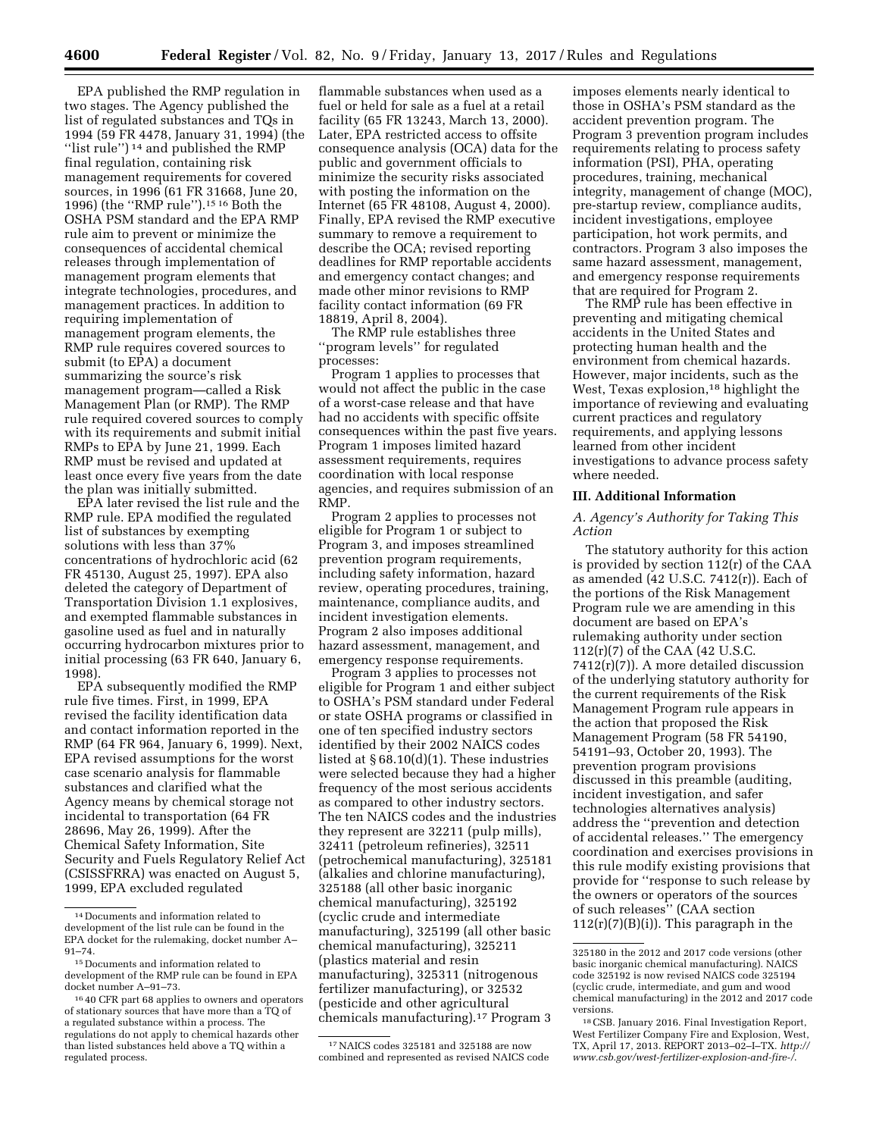EPA published the RMP regulation in two stages. The Agency published the list of regulated substances and TQs in 1994 (59 FR 4478, January 31, 1994) (the ''list rule'') 14 and published the RMP final regulation, containing risk management requirements for covered sources, in 1996 (61 FR 31668, June 20, 1996) (the ''RMP rule'').15 16 Both the OSHA PSM standard and the EPA RMP rule aim to prevent or minimize the consequences of accidental chemical releases through implementation of management program elements that integrate technologies, procedures, and management practices. In addition to requiring implementation of management program elements, the RMP rule requires covered sources to submit (to EPA) a document summarizing the source's risk management program—called a Risk Management Plan (or RMP). The RMP rule required covered sources to comply with its requirements and submit initial RMPs to EPA by June 21, 1999. Each RMP must be revised and updated at least once every five years from the date the plan was initially submitted.

EPA later revised the list rule and the RMP rule. EPA modified the regulated list of substances by exempting solutions with less than 37% concentrations of hydrochloric acid (62 FR 45130, August 25, 1997). EPA also deleted the category of Department of Transportation Division 1.1 explosives, and exempted flammable substances in gasoline used as fuel and in naturally occurring hydrocarbon mixtures prior to initial processing (63 FR 640, January 6, 1998).

EPA subsequently modified the RMP rule five times. First, in 1999, EPA revised the facility identification data and contact information reported in the RMP (64 FR 964, January 6, 1999). Next, EPA revised assumptions for the worst case scenario analysis for flammable substances and clarified what the Agency means by chemical storage not incidental to transportation (64 FR 28696, May 26, 1999). After the Chemical Safety Information, Site Security and Fuels Regulatory Relief Act (CSISSFRRA) was enacted on August 5, 1999, EPA excluded regulated

flammable substances when used as a fuel or held for sale as a fuel at a retail facility (65 FR 13243, March 13, 2000). Later, EPA restricted access to offsite consequence analysis (OCA) data for the public and government officials to minimize the security risks associated with posting the information on the Internet (65 FR 48108, August 4, 2000). Finally, EPA revised the RMP executive summary to remove a requirement to describe the OCA; revised reporting deadlines for RMP reportable accidents and emergency contact changes; and made other minor revisions to RMP facility contact information (69 FR 18819, April 8, 2004).

The RMP rule establishes three ''program levels'' for regulated processes:

Program 1 applies to processes that would not affect the public in the case of a worst-case release and that have had no accidents with specific offsite consequences within the past five years. Program 1 imposes limited hazard assessment requirements, requires coordination with local response agencies, and requires submission of an RMP.

Program 2 applies to processes not eligible for Program 1 or subject to Program 3, and imposes streamlined prevention program requirements, including safety information, hazard review, operating procedures, training, maintenance, compliance audits, and incident investigation elements. Program 2 also imposes additional hazard assessment, management, and emergency response requirements.

Program 3 applies to processes not eligible for Program 1 and either subject to OSHA's PSM standard under Federal or state OSHA programs or classified in one of ten specified industry sectors identified by their 2002 NAICS codes listed at § 68.10(d)(1). These industries were selected because they had a higher frequency of the most serious accidents as compared to other industry sectors. The ten NAICS codes and the industries they represent are 32211 (pulp mills), 32411 (petroleum refineries), 32511 (petrochemical manufacturing), 325181 (alkalies and chlorine manufacturing), 325188 (all other basic inorganic chemical manufacturing), 325192 (cyclic crude and intermediate manufacturing), 325199 (all other basic chemical manufacturing), 325211 (plastics material and resin manufacturing), 325311 (nitrogenous fertilizer manufacturing), or 32532 (pesticide and other agricultural chemicals manufacturing).17 Program 3

imposes elements nearly identical to those in OSHA's PSM standard as the accident prevention program. The Program 3 prevention program includes requirements relating to process safety information (PSI), PHA, operating procedures, training, mechanical integrity, management of change (MOC), pre-startup review, compliance audits, incident investigations, employee participation, hot work permits, and contractors. Program 3 also imposes the same hazard assessment, management, and emergency response requirements that are required for Program 2.

The RMP rule has been effective in preventing and mitigating chemical accidents in the United States and protecting human health and the environment from chemical hazards. However, major incidents, such as the West, Texas explosion,<sup>18</sup> highlight the importance of reviewing and evaluating current practices and regulatory requirements, and applying lessons learned from other incident investigations to advance process safety where needed.

### **III. Additional Information**

*A. Agency's Authority for Taking This Action* 

The statutory authority for this action is provided by section 112(r) of the CAA as amended (42 U.S.C. 7412(r)). Each of the portions of the Risk Management Program rule we are amending in this document are based on EPA's rulemaking authority under section 112(r)(7) of the CAA (42 U.S.C. 7412(r)(7)). A more detailed discussion of the underlying statutory authority for the current requirements of the Risk Management Program rule appears in the action that proposed the Risk Management Program (58 FR 54190, 54191–93, October 20, 1993). The prevention program provisions discussed in this preamble (auditing, incident investigation, and safer technologies alternatives analysis) address the ''prevention and detection of accidental releases.'' The emergency coordination and exercises provisions in this rule modify existing provisions that provide for ''response to such release by the owners or operators of the sources of such releases'' (CAA section  $112(r)(7)(B)(i)$ ). This paragraph in the

<sup>14</sup> Documents and information related to development of the list rule can be found in the EPA docket for the rulemaking, docket number A– 91–74.

<sup>15</sup> Documents and information related to development of the RMP rule can be found in EPA docket number A–91–73.

<sup>16</sup> 40 CFR part 68 applies to owners and operators of stationary sources that have more than a TQ of a regulated substance within a process. The regulations do not apply to chemical hazards other than listed substances held above a TQ within a regulated process.

<sup>17</sup>NAICS codes 325181 and 325188 are now combined and represented as revised NAICS code

<sup>325180</sup> in the 2012 and 2017 code versions (other basic inorganic chemical manufacturing). NAICS code 325192 is now revised NAICS code 325194 (cyclic crude, intermediate, and gum and wood chemical manufacturing) in the 2012 and 2017 code versions.

<sup>18</sup>CSB. January 2016. Final Investigation Report, West Fertilizer Company Fire and Explosion, West, TX, April 17, 2013. REPORT 2013–02–I–TX. *[http://](http://www.csb.gov/west-fertilizer-explosion-and-fire-/) [www.csb.gov/west-fertilizer-explosion-and-fire-/](http://www.csb.gov/west-fertilizer-explosion-and-fire-/)*.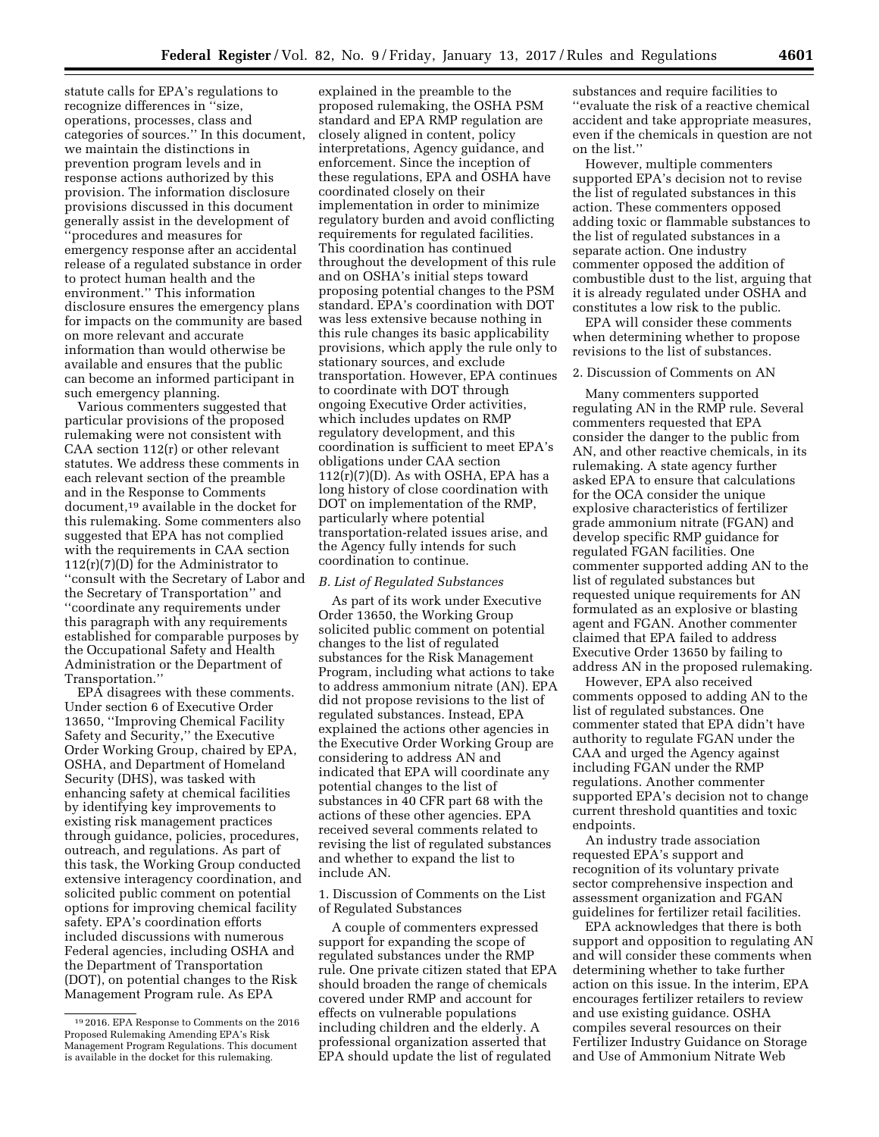statute calls for EPA's regulations to recognize differences in ''size, operations, processes, class and categories of sources.'' In this document, we maintain the distinctions in prevention program levels and in response actions authorized by this provision. The information disclosure provisions discussed in this document generally assist in the development of ''procedures and measures for emergency response after an accidental release of a regulated substance in order to protect human health and the environment.'' This information disclosure ensures the emergency plans for impacts on the community are based on more relevant and accurate information than would otherwise be available and ensures that the public can become an informed participant in such emergency planning.

Various commenters suggested that particular provisions of the proposed rulemaking were not consistent with CAA section 112(r) or other relevant statutes. We address these comments in each relevant section of the preamble and in the Response to Comments document,19 available in the docket for this rulemaking. Some commenters also suggested that EPA has not complied with the requirements in CAA section 112(r)(7)(D) for the Administrator to ''consult with the Secretary of Labor and the Secretary of Transportation'' and ''coordinate any requirements under this paragraph with any requirements established for comparable purposes by the Occupational Safety and Health Administration or the Department of Transportation.''

EPA disagrees with these comments. Under section 6 of Executive Order 13650, ''Improving Chemical Facility Safety and Security,'' the Executive Order Working Group, chaired by EPA, OSHA, and Department of Homeland Security (DHS), was tasked with enhancing safety at chemical facilities by identifying key improvements to existing risk management practices through guidance, policies, procedures, outreach, and regulations. As part of this task, the Working Group conducted extensive interagency coordination, and solicited public comment on potential options for improving chemical facility safety. EPA's coordination efforts included discussions with numerous Federal agencies, including OSHA and the Department of Transportation (DOT), on potential changes to the Risk Management Program rule. As EPA

explained in the preamble to the proposed rulemaking, the OSHA PSM standard and EPA RMP regulation are closely aligned in content, policy interpretations, Agency guidance, and enforcement. Since the inception of these regulations, EPA and OSHA have coordinated closely on their implementation in order to minimize regulatory burden and avoid conflicting requirements for regulated facilities. This coordination has continued throughout the development of this rule and on OSHA's initial steps toward proposing potential changes to the PSM standard. EPA's coordination with DOT was less extensive because nothing in this rule changes its basic applicability provisions, which apply the rule only to stationary sources, and exclude transportation. However, EPA continues to coordinate with DOT through ongoing Executive Order activities, which includes updates on RMP regulatory development, and this coordination is sufficient to meet EPA's obligations under CAA section  $112(r)(7)(D)$ . As with OSHA, EPA has a long history of close coordination with DOT on implementation of the RMP, particularly where potential transportation-related issues arise, and the Agency fully intends for such coordination to continue.

#### *B. List of Regulated Substances*

As part of its work under Executive Order 13650, the Working Group solicited public comment on potential changes to the list of regulated substances for the Risk Management Program, including what actions to take to address ammonium nitrate (AN). EPA did not propose revisions to the list of regulated substances. Instead, EPA explained the actions other agencies in the Executive Order Working Group are considering to address AN and indicated that EPA will coordinate any potential changes to the list of substances in 40 CFR part 68 with the actions of these other agencies. EPA received several comments related to revising the list of regulated substances and whether to expand the list to include AN.

1. Discussion of Comments on the List of Regulated Substances

A couple of commenters expressed support for expanding the scope of regulated substances under the RMP rule. One private citizen stated that EPA should broaden the range of chemicals covered under RMP and account for effects on vulnerable populations including children and the elderly. A professional organization asserted that EPA should update the list of regulated

substances and require facilities to ''evaluate the risk of a reactive chemical accident and take appropriate measures, even if the chemicals in question are not on the list.''

However, multiple commenters supported EPA's decision not to revise the list of regulated substances in this action. These commenters opposed adding toxic or flammable substances to the list of regulated substances in a separate action. One industry commenter opposed the addition of combustible dust to the list, arguing that it is already regulated under OSHA and constitutes a low risk to the public.

EPA will consider these comments when determining whether to propose revisions to the list of substances.

#### 2. Discussion of Comments on AN

Many commenters supported regulating AN in the RMP rule. Several commenters requested that EPA consider the danger to the public from AN, and other reactive chemicals, in its rulemaking. A state agency further asked EPA to ensure that calculations for the OCA consider the unique explosive characteristics of fertilizer grade ammonium nitrate (FGAN) and develop specific RMP guidance for regulated FGAN facilities. One commenter supported adding AN to the list of regulated substances but requested unique requirements for AN formulated as an explosive or blasting agent and FGAN. Another commenter claimed that EPA failed to address Executive Order 13650 by failing to address AN in the proposed rulemaking.

However, EPA also received comments opposed to adding AN to the list of regulated substances. One commenter stated that EPA didn't have authority to regulate FGAN under the CAA and urged the Agency against including FGAN under the RMP regulations. Another commenter supported EPA's decision not to change current threshold quantities and toxic endpoints.

An industry trade association requested EPA's support and recognition of its voluntary private sector comprehensive inspection and assessment organization and FGAN guidelines for fertilizer retail facilities.

EPA acknowledges that there is both support and opposition to regulating AN and will consider these comments when determining whether to take further action on this issue. In the interim, EPA encourages fertilizer retailers to review and use existing guidance. OSHA compiles several resources on their Fertilizer Industry Guidance on Storage and Use of Ammonium Nitrate Web

<sup>19</sup> 2016. EPA Response to Comments on the 2016 Proposed Rulemaking Amending EPA's Risk Management Program Regulations. This document is available in the docket for this rulemaking.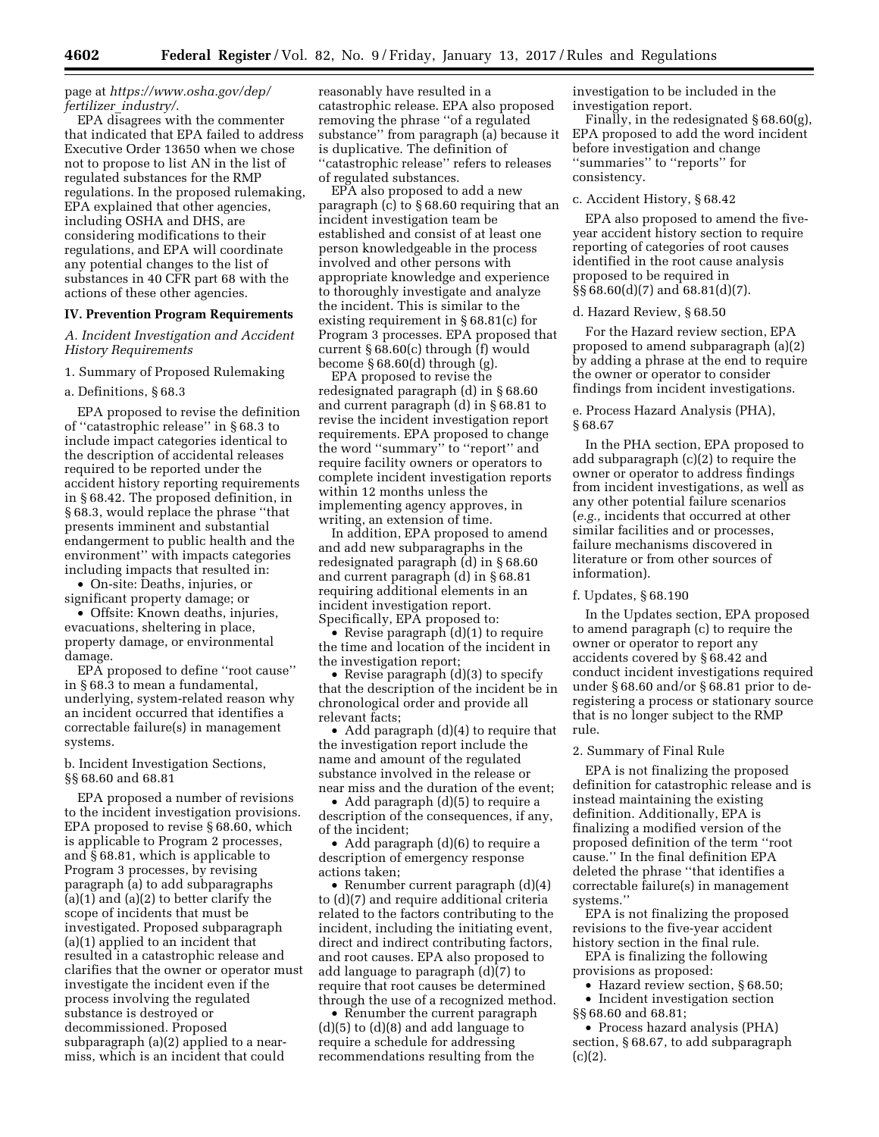### page at *[https://www.osha.gov/dep/](https://www.osha.gov/dep/fertilizer_industry/) fertilizer*\_*[industry/](https://www.osha.gov/dep/fertilizer_industry/)*.

EPA disagrees with the commenter that indicated that EPA failed to address Executive Order 13650 when we chose not to propose to list AN in the list of regulated substances for the RMP regulations. In the proposed rulemaking, EPA explained that other agencies, including OSHA and DHS, are considering modifications to their regulations, and EPA will coordinate any potential changes to the list of substances in 40 CFR part 68 with the actions of these other agencies.

### **IV. Prevention Program Requirements**

### *A. Incident Investigation and Accident History Requirements*

#### 1. Summary of Proposed Rulemaking

### a. Definitions, § 68.3

EPA proposed to revise the definition of ''catastrophic release'' in § 68.3 to include impact categories identical to the description of accidental releases required to be reported under the accident history reporting requirements in § 68.42. The proposed definition, in § 68.3, would replace the phrase ''that presents imminent and substantial endangerment to public health and the environment'' with impacts categories including impacts that resulted in:

• On-site: Deaths, injuries, or significant property damage; or

• Offsite: Known deaths, injuries, evacuations, sheltering in place, property damage, or environmental damage.

EPA proposed to define ''root cause'' in § 68.3 to mean a fundamental, underlying, system-related reason why an incident occurred that identifies a correctable failure(s) in management systems.

b. Incident Investigation Sections, §§ 68.60 and 68.81

EPA proposed a number of revisions to the incident investigation provisions. EPA proposed to revise § 68.60, which is applicable to Program 2 processes, and § 68.81, which is applicable to Program 3 processes, by revising paragraph (a) to add subparagraphs (a)(1) and (a)(2) to better clarify the scope of incidents that must be investigated. Proposed subparagraph (a)(1) applied to an incident that resulted in a catastrophic release and clarifies that the owner or operator must investigate the incident even if the process involving the regulated substance is destroyed or decommissioned. Proposed subparagraph (a)(2) applied to a nearmiss, which is an incident that could

reasonably have resulted in a catastrophic release. EPA also proposed removing the phrase ''of a regulated substance'' from paragraph (a) because it is duplicative. The definition of ''catastrophic release'' refers to releases of regulated substances.

EPA also proposed to add a new paragraph (c) to § 68.60 requiring that an incident investigation team be established and consist of at least one person knowledgeable in the process involved and other persons with appropriate knowledge and experience to thoroughly investigate and analyze the incident. This is similar to the existing requirement in § 68.81(c) for Program 3 processes. EPA proposed that current § 68.60(c) through (f) would become § 68.60(d) through (g).

EPA proposed to revise the redesignated paragraph (d) in § 68.60 and current paragraph (d) in § 68.81 to revise the incident investigation report requirements. EPA proposed to change the word ''summary'' to ''report'' and require facility owners or operators to complete incident investigation reports within 12 months unless the implementing agency approves, in writing, an extension of time.

In addition, EPA proposed to amend and add new subparagraphs in the redesignated paragraph (d) in § 68.60 and current paragraph (d) in § 68.81 requiring additional elements in an incident investigation report. Specifically, EPA proposed to:

• Revise paragraph (d)(1) to require the time and location of the incident in the investigation report;

• Revise paragraph (d)(3) to specify that the description of the incident be in chronological order and provide all relevant facts;

• Add paragraph (d)(4) to require that the investigation report include the name and amount of the regulated substance involved in the release or near miss and the duration of the event;

• Add paragraph (d)(5) to require a description of the consequences, if any, of the incident;

• Add paragraph (d)(6) to require a description of emergency response actions taken;

• Renumber current paragraph (d)(4) to (d)(7) and require additional criteria related to the factors contributing to the incident, including the initiating event, direct and indirect contributing factors, and root causes. EPA also proposed to add language to paragraph (d)(7) to require that root causes be determined through the use of a recognized method.

• Renumber the current paragraph (d)(5) to (d)(8) and add language to require a schedule for addressing recommendations resulting from the

investigation to be included in the investigation report.

Finally, in the redesignated § 68.60(g), EPA proposed to add the word incident before investigation and change ''summaries'' to ''reports'' for consistency.

#### c. Accident History, § 68.42

EPA also proposed to amend the fiveyear accident history section to require reporting of categories of root causes identified in the root cause analysis proposed to be required in §§ 68.60(d)(7) and 68.81(d)(7).

#### d. Hazard Review, § 68.50

For the Hazard review section, EPA proposed to amend subparagraph (a)(2) by adding a phrase at the end to require the owner or operator to consider findings from incident investigations.

### e. Process Hazard Analysis (PHA), § 68.67

In the PHA section, EPA proposed to add subparagraph (c)(2) to require the owner or operator to address findings from incident investigations, as well as any other potential failure scenarios (*e.g.,* incidents that occurred at other similar facilities and or processes, failure mechanisms discovered in literature or from other sources of information).

f. Updates, § 68.190

In the Updates section, EPA proposed to amend paragraph (c) to require the owner or operator to report any accidents covered by § 68.42 and conduct incident investigations required under § 68.60 and/or § 68.81 prior to deregistering a process or stationary source that is no longer subject to the RMP rule.

#### 2. Summary of Final Rule

EPA is not finalizing the proposed definition for catastrophic release and is instead maintaining the existing definition. Additionally, EPA is finalizing a modified version of the proposed definition of the term ''root cause.'' In the final definition EPA deleted the phrase ''that identifies a correctable failure(s) in management systems.''

EPA is not finalizing the proposed revisions to the five-year accident history section in the final rule.

EPA is finalizing the following provisions as proposed:

• Hazard review section, § 68.50; • Incident investigation section §§ 68.60 and 68.81;

• Process hazard analysis (PHA) section, § 68.67, to add subparagraph  $(c)(2)$ .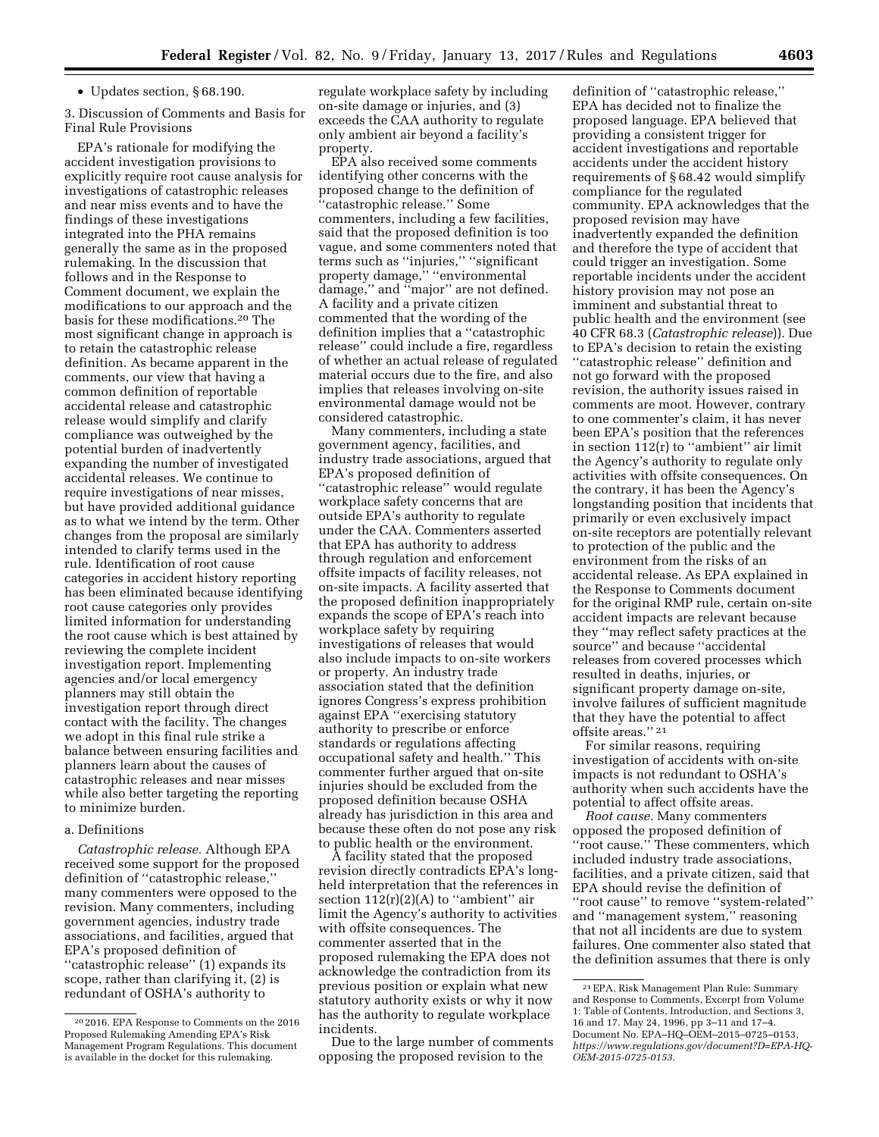• Updates section, § 68.190.

3. Discussion of Comments and Basis for Final Rule Provisions

EPA's rationale for modifying the accident investigation provisions to explicitly require root cause analysis for investigations of catastrophic releases and near miss events and to have the findings of these investigations integrated into the PHA remains generally the same as in the proposed rulemaking. In the discussion that follows and in the Response to Comment document, we explain the modifications to our approach and the basis for these modifications.20 The most significant change in approach is to retain the catastrophic release definition. As became apparent in the comments, our view that having a common definition of reportable accidental release and catastrophic release would simplify and clarify compliance was outweighed by the potential burden of inadvertently expanding the number of investigated accidental releases. We continue to require investigations of near misses, but have provided additional guidance as to what we intend by the term. Other changes from the proposal are similarly intended to clarify terms used in the rule. Identification of root cause categories in accident history reporting has been eliminated because identifying root cause categories only provides limited information for understanding the root cause which is best attained by reviewing the complete incident investigation report. Implementing agencies and/or local emergency planners may still obtain the investigation report through direct contact with the facility. The changes we adopt in this final rule strike a balance between ensuring facilities and planners learn about the causes of catastrophic releases and near misses while also better targeting the reporting to minimize burden.

### a. Definitions

*Catastrophic release.* Although EPA received some support for the proposed definition of ''catastrophic release,'' many commenters were opposed to the revision. Many commenters, including government agencies, industry trade associations, and facilities, argued that EPA's proposed definition of ''catastrophic release'' (1) expands its scope, rather than clarifying it, (2) is redundant of OSHA's authority to

regulate workplace safety by including on-site damage or injuries, and (3) exceeds the CAA authority to regulate only ambient air beyond a facility's property.

EPA also received some comments identifying other concerns with the proposed change to the definition of ''catastrophic release.'' Some commenters, including a few facilities, said that the proposed definition is too vague, and some commenters noted that terms such as ''injuries,'' ''significant property damage,'' ''environmental damage,'' and ''major'' are not defined. A facility and a private citizen commented that the wording of the definition implies that a ''catastrophic release'' could include a fire, regardless of whether an actual release of regulated material occurs due to the fire, and also implies that releases involving on-site environmental damage would not be considered catastrophic.

Many commenters, including a state government agency, facilities, and industry trade associations, argued that EPA's proposed definition of ''catastrophic release'' would regulate workplace safety concerns that are outside EPA's authority to regulate under the CAA. Commenters asserted that EPA has authority to address through regulation and enforcement offsite impacts of facility releases, not on-site impacts. A facility asserted that the proposed definition inappropriately expands the scope of EPA's reach into workplace safety by requiring investigations of releases that would also include impacts to on-site workers or property. An industry trade association stated that the definition ignores Congress's express prohibition against EPA ''exercising statutory authority to prescribe or enforce standards or regulations affecting occupational safety and health.'' This commenter further argued that on-site injuries should be excluded from the proposed definition because OSHA already has jurisdiction in this area and because these often do not pose any risk to public health or the environment.

A facility stated that the proposed revision directly contradicts EPA's longheld interpretation that the references in section  $112(r)(2)(A)$  to "ambient" air limit the Agency's authority to activities with offsite consequences. The commenter asserted that in the proposed rulemaking the EPA does not acknowledge the contradiction from its previous position or explain what new statutory authority exists or why it now has the authority to regulate workplace incidents.

Due to the large number of comments opposing the proposed revision to the

definition of ''catastrophic release,'' EPA has decided not to finalize the proposed language. EPA believed that providing a consistent trigger for accident investigations and reportable accidents under the accident history requirements of § 68.42 would simplify compliance for the regulated community. EPA acknowledges that the proposed revision may have inadvertently expanded the definition and therefore the type of accident that could trigger an investigation. Some reportable incidents under the accident history provision may not pose an imminent and substantial threat to public health and the environment (see 40 CFR 68.3 (*Catastrophic release*)). Due to EPA's decision to retain the existing ''catastrophic release'' definition and not go forward with the proposed revision, the authority issues raised in comments are moot. However, contrary to one commenter's claim, it has never been EPA's position that the references in section 112(r) to ''ambient'' air limit the Agency's authority to regulate only activities with offsite consequences. On the contrary, it has been the Agency's longstanding position that incidents that primarily or even exclusively impact on-site receptors are potentially relevant to protection of the public and the environment from the risks of an accidental release. As EPA explained in the Response to Comments document for the original RMP rule, certain on-site accident impacts are relevant because they ''may reflect safety practices at the source'' and because ''accidental releases from covered processes which resulted in deaths, injuries, or significant property damage on-site, involve failures of sufficient magnitude that they have the potential to affect offsite areas.'' 21

For similar reasons, requiring investigation of accidents with on-site impacts is not redundant to OSHA's authority when such accidents have the potential to affect offsite areas.

*Root cause.* Many commenters opposed the proposed definition of ''root cause.'' These commenters, which included industry trade associations, facilities, and a private citizen, said that EPA should revise the definition of ''root cause'' to remove ''system-related'' and ''management system,'' reasoning that not all incidents are due to system failures. One commenter also stated that the definition assumes that there is only

<sup>20</sup> 2016. EPA Response to Comments on the 2016 Proposed Rulemaking Amending EPA's Risk Management Program Regulations. This document is available in the docket for this rulemaking.

<sup>21</sup>EPA, Risk Management Plan Rule: Summary and Response to Comments, Excerpt from Volume 1: Table of Contents, Introduction, and Sections 3, 16 and 17. May 24, 1996, pp 3–11 and 17–4. Document No. EPA–HQ–OEM–2015–0725–0153, *[https://www.regulations.gov/document?D=EPA-HQ-](https://www.regulations.gov/document?D=EPA-HQ-OEM-2015-0725-0153)[OEM-2015-0725-0153](https://www.regulations.gov/document?D=EPA-HQ-OEM-2015-0725-0153)*.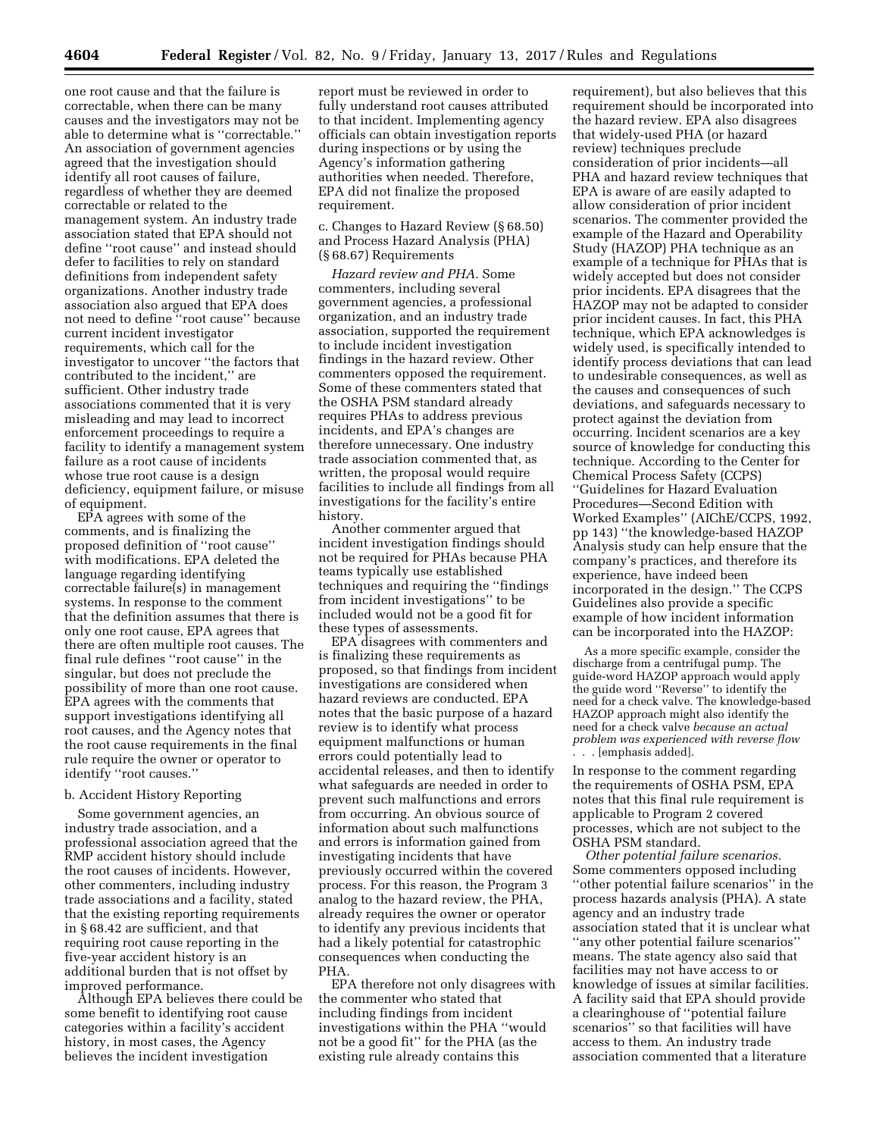one root cause and that the failure is correctable, when there can be many causes and the investigators may not be able to determine what is ''correctable.'' An association of government agencies agreed that the investigation should identify all root causes of failure, regardless of whether they are deemed correctable or related to the management system. An industry trade association stated that EPA should not define ''root cause'' and instead should defer to facilities to rely on standard definitions from independent safety organizations. Another industry trade association also argued that EPA does not need to define ''root cause'' because current incident investigator requirements, which call for the investigator to uncover ''the factors that contributed to the incident,'' are sufficient. Other industry trade associations commented that it is very misleading and may lead to incorrect enforcement proceedings to require a facility to identify a management system failure as a root cause of incidents whose true root cause is a design deficiency, equipment failure, or misuse of equipment.

EPA agrees with some of the comments, and is finalizing the proposed definition of ''root cause'' with modifications. EPA deleted the language regarding identifying correctable failure(s) in management systems. In response to the comment that the definition assumes that there is only one root cause, EPA agrees that there are often multiple root causes. The final rule defines ''root cause'' in the singular, but does not preclude the possibility of more than one root cause. EPA agrees with the comments that support investigations identifying all root causes, and the Agency notes that the root cause requirements in the final rule require the owner or operator to identify "root causes."

### b. Accident History Reporting

Some government agencies, an industry trade association, and a professional association agreed that the RMP accident history should include the root causes of incidents. However, other commenters, including industry trade associations and a facility, stated that the existing reporting requirements in § 68.42 are sufficient, and that requiring root cause reporting in the five-year accident history is an additional burden that is not offset by improved performance.

Although EPA believes there could be some benefit to identifying root cause categories within a facility's accident history, in most cases, the Agency believes the incident investigation

report must be reviewed in order to fully understand root causes attributed to that incident. Implementing agency officials can obtain investigation reports during inspections or by using the Agency's information gathering authorities when needed. Therefore, EPA did not finalize the proposed requirement.

c. Changes to Hazard Review (§ 68.50) and Process Hazard Analysis (PHA) (§ 68.67) Requirements

*Hazard review and PHA.* Some commenters, including several government agencies, a professional organization, and an industry trade association, supported the requirement to include incident investigation findings in the hazard review. Other commenters opposed the requirement. Some of these commenters stated that the OSHA PSM standard already requires PHAs to address previous incidents, and EPA's changes are therefore unnecessary. One industry trade association commented that, as written, the proposal would require facilities to include all findings from all investigations for the facility's entire history.

Another commenter argued that incident investigation findings should not be required for PHAs because PHA teams typically use established techniques and requiring the ''findings from incident investigations'' to be included would not be a good fit for these types of assessments.

EPA disagrees with commenters and is finalizing these requirements as proposed, so that findings from incident investigations are considered when hazard reviews are conducted. EPA notes that the basic purpose of a hazard review is to identify what process equipment malfunctions or human errors could potentially lead to accidental releases, and then to identify what safeguards are needed in order to prevent such malfunctions and errors from occurring. An obvious source of information about such malfunctions and errors is information gained from investigating incidents that have previously occurred within the covered process. For this reason, the Program 3 analog to the hazard review, the PHA, already requires the owner or operator to identify any previous incidents that had a likely potential for catastrophic consequences when conducting the PHA.

EPA therefore not only disagrees with the commenter who stated that including findings from incident investigations within the PHA ''would not be a good fit'' for the PHA (as the existing rule already contains this

requirement), but also believes that this requirement should be incorporated into the hazard review. EPA also disagrees that widely-used PHA (or hazard review) techniques preclude consideration of prior incidents—all PHA and hazard review techniques that EPA is aware of are easily adapted to allow consideration of prior incident scenarios. The commenter provided the example of the Hazard and Operability Study (HAZOP) PHA technique as an example of a technique for PHAs that is widely accepted but does not consider prior incidents. EPA disagrees that the HAZOP may not be adapted to consider prior incident causes. In fact, this PHA technique, which EPA acknowledges is widely used, is specifically intended to identify process deviations that can lead to undesirable consequences, as well as the causes and consequences of such deviations, and safeguards necessary to protect against the deviation from occurring. Incident scenarios are a key source of knowledge for conducting this technique. According to the Center for Chemical Process Safety (CCPS) ''Guidelines for Hazard Evaluation Procedures—Second Edition with Worked Examples'' (AIChE/CCPS, 1992, pp 143) ''the knowledge-based HAZOP Analysis study can help ensure that the company's practices, and therefore its experience, have indeed been incorporated in the design.'' The CCPS Guidelines also provide a specific example of how incident information can be incorporated into the HAZOP:

As a more specific example, consider the discharge from a centrifugal pump. The guide-word HAZOP approach would apply the guide word ''Reverse'' to identify the need for a check valve. The knowledge-based HAZOP approach might also identify the need for a check valve *because an actual problem was experienced with reverse flow*  . . . [emphasis added].

In response to the comment regarding the requirements of OSHA PSM, EPA notes that this final rule requirement is applicable to Program 2 covered processes, which are not subject to the OSHA PSM standard.

*Other potential failure scenarios.*  Some commenters opposed including ''other potential failure scenarios'' in the process hazards analysis (PHA). A state agency and an industry trade association stated that it is unclear what ''any other potential failure scenarios'' means. The state agency also said that facilities may not have access to or knowledge of issues at similar facilities. A facility said that EPA should provide a clearinghouse of ''potential failure scenarios'' so that facilities will have access to them. An industry trade association commented that a literature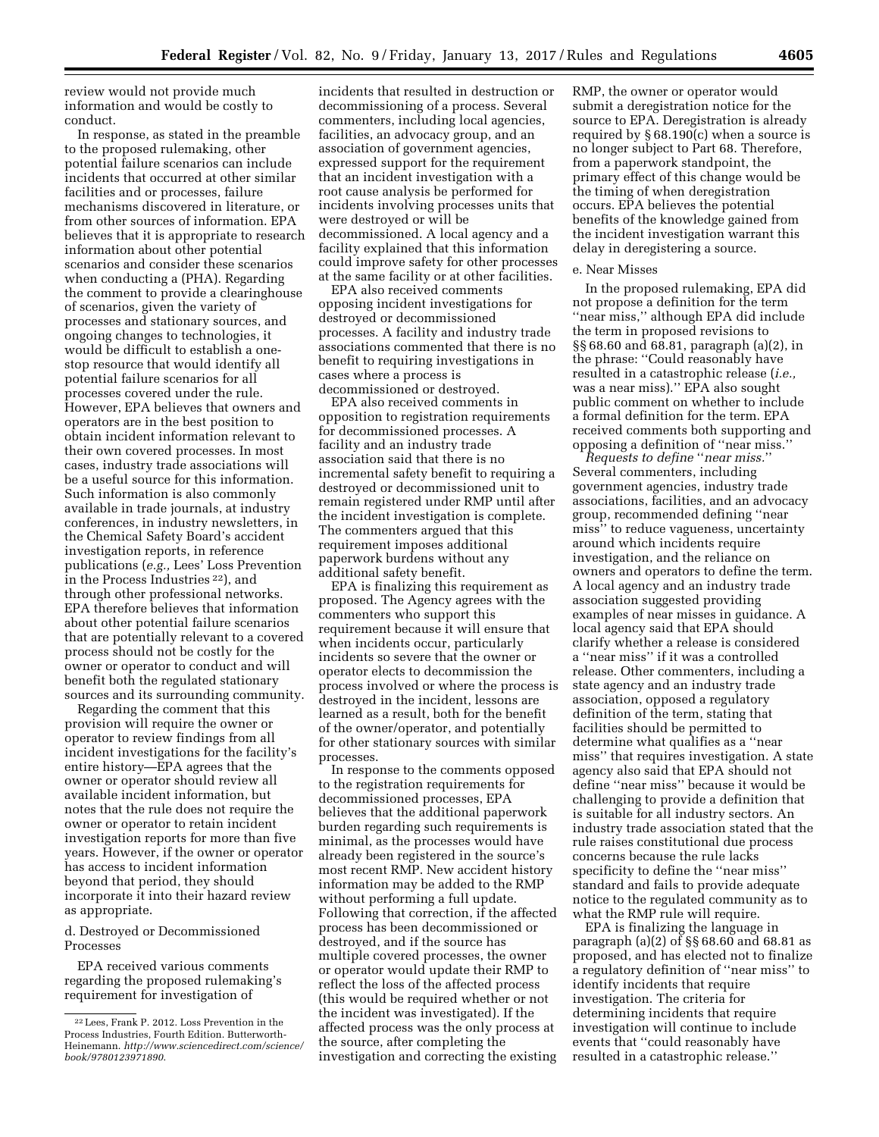review would not provide much information and would be costly to conduct.

In response, as stated in the preamble to the proposed rulemaking, other potential failure scenarios can include incidents that occurred at other similar facilities and or processes, failure mechanisms discovered in literature, or from other sources of information. EPA believes that it is appropriate to research information about other potential scenarios and consider these scenarios when conducting a (PHA). Regarding the comment to provide a clearinghouse of scenarios, given the variety of processes and stationary sources, and ongoing changes to technologies, it would be difficult to establish a onestop resource that would identify all potential failure scenarios for all processes covered under the rule. However, EPA believes that owners and operators are in the best position to obtain incident information relevant to their own covered processes. In most cases, industry trade associations will be a useful source for this information. Such information is also commonly available in trade journals, at industry conferences, in industry newsletters, in the Chemical Safety Board's accident investigation reports, in reference publications (*e.g.,* Lees' Loss Prevention in the Process Industries 22), and through other professional networks. EPA therefore believes that information about other potential failure scenarios that are potentially relevant to a covered process should not be costly for the owner or operator to conduct and will benefit both the regulated stationary sources and its surrounding community.

Regarding the comment that this provision will require the owner or operator to review findings from all incident investigations for the facility's entire history—EPA agrees that the owner or operator should review all available incident information, but notes that the rule does not require the owner or operator to retain incident investigation reports for more than five years. However, if the owner or operator has access to incident information beyond that period, they should incorporate it into their hazard review as appropriate.

d. Destroyed or Decommissioned Processes

EPA received various comments regarding the proposed rulemaking's requirement for investigation of

incidents that resulted in destruction or decommissioning of a process. Several commenters, including local agencies, facilities, an advocacy group, and an association of government agencies, expressed support for the requirement that an incident investigation with a root cause analysis be performed for incidents involving processes units that were destroyed or will be decommissioned. A local agency and a facility explained that this information could improve safety for other processes at the same facility or at other facilities.

EPA also received comments opposing incident investigations for destroyed or decommissioned processes. A facility and industry trade associations commented that there is no benefit to requiring investigations in cases where a process is decommissioned or destroyed.

EPA also received comments in opposition to registration requirements for decommissioned processes. A facility and an industry trade association said that there is no incremental safety benefit to requiring a destroyed or decommissioned unit to remain registered under RMP until after the incident investigation is complete. The commenters argued that this requirement imposes additional paperwork burdens without any additional safety benefit.

EPA is finalizing this requirement as proposed. The Agency agrees with the commenters who support this requirement because it will ensure that when incidents occur, particularly incidents so severe that the owner or operator elects to decommission the process involved or where the process is destroyed in the incident, lessons are learned as a result, both for the benefit of the owner/operator, and potentially for other stationary sources with similar processes.

In response to the comments opposed to the registration requirements for decommissioned processes, EPA believes that the additional paperwork burden regarding such requirements is minimal, as the processes would have already been registered in the source's most recent RMP. New accident history information may be added to the RMP without performing a full update. Following that correction, if the affected process has been decommissioned or destroyed, and if the source has multiple covered processes, the owner or operator would update their RMP to reflect the loss of the affected process (this would be required whether or not the incident was investigated). If the affected process was the only process at the source, after completing the investigation and correcting the existing

RMP, the owner or operator would submit a deregistration notice for the source to EPA. Deregistration is already required by § 68.190(c) when a source is no longer subject to Part 68. Therefore, from a paperwork standpoint, the primary effect of this change would be the timing of when deregistration occurs. EPA believes the potential benefits of the knowledge gained from the incident investigation warrant this delay in deregistering a source.

#### e. Near Misses

In the proposed rulemaking, EPA did not propose a definition for the term ''near miss,'' although EPA did include the term in proposed revisions to §§ 68.60 and 68.81, paragraph (a)(2), in the phrase: ''Could reasonably have resulted in a catastrophic release (*i.e.,*  was a near miss).'' EPA also sought public comment on whether to include a formal definition for the term. EPA received comments both supporting and opposing a definition of ''near miss.''

*Requests to define* ''*near miss.*'' Several commenters, including government agencies, industry trade associations, facilities, and an advocacy group, recommended defining ''near miss'' to reduce vagueness, uncertainty around which incidents require investigation, and the reliance on owners and operators to define the term. A local agency and an industry trade association suggested providing examples of near misses in guidance. A local agency said that EPA should clarify whether a release is considered a ''near miss'' if it was a controlled release. Other commenters, including a state agency and an industry trade association, opposed a regulatory definition of the term, stating that facilities should be permitted to determine what qualifies as a ''near miss'' that requires investigation. A state agency also said that EPA should not define ''near miss'' because it would be challenging to provide a definition that is suitable for all industry sectors. An industry trade association stated that the rule raises constitutional due process concerns because the rule lacks specificity to define the ''near miss'' standard and fails to provide adequate notice to the regulated community as to what the RMP rule will require.

EPA is finalizing the language in paragraph (a)(2) of §§ 68.60 and 68.81 as proposed, and has elected not to finalize a regulatory definition of ''near miss'' to identify incidents that require investigation. The criteria for determining incidents that require investigation will continue to include events that ''could reasonably have resulted in a catastrophic release.''

<sup>22</sup>Lees, Frank P. 2012. Loss Prevention in the Process Industries, Fourth Edition. Butterworth-Heinemann. *[http://www.sciencedirect.com/science/](http://www.sciencedirect.com/science/book/9780123971890) [book/9780123971890](http://www.sciencedirect.com/science/book/9780123971890)*.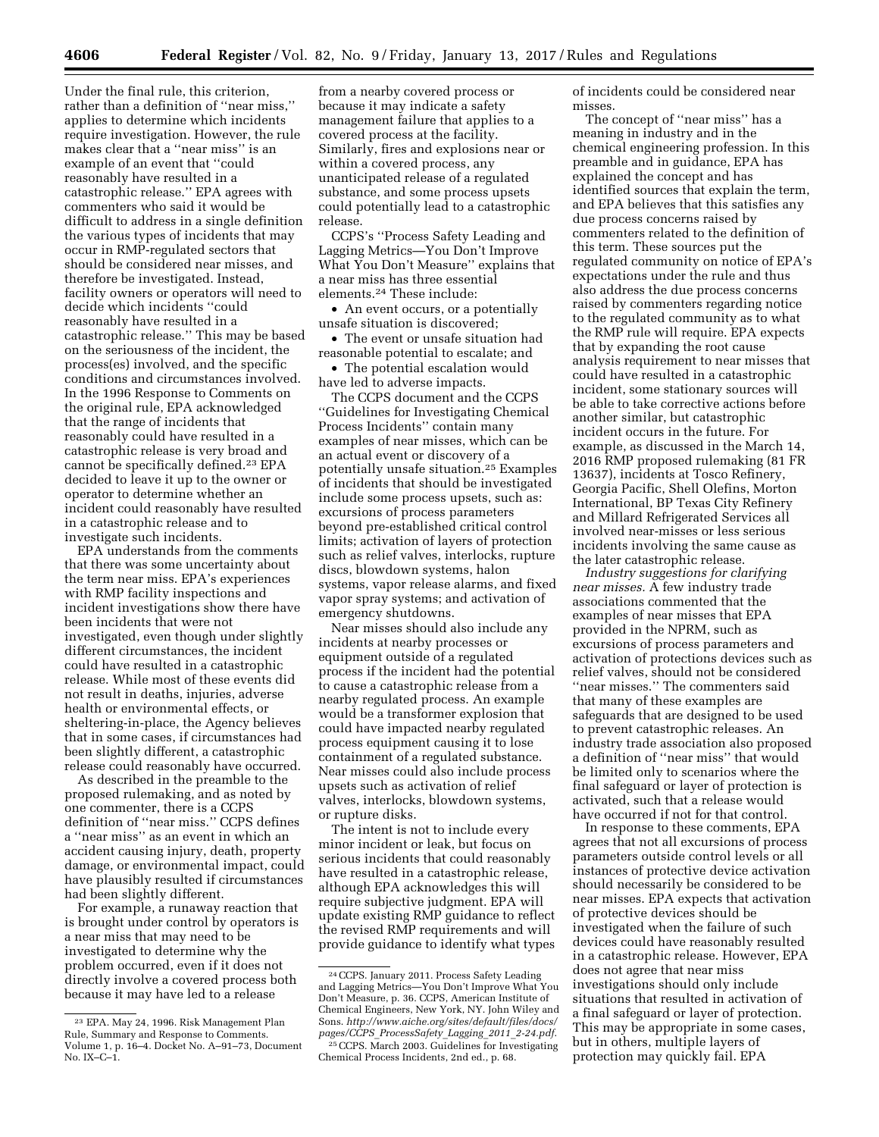Under the final rule, this criterion, rather than a definition of ''near miss,'' applies to determine which incidents require investigation. However, the rule makes clear that a ''near miss'' is an example of an event that ''could reasonably have resulted in a catastrophic release.'' EPA agrees with commenters who said it would be difficult to address in a single definition the various types of incidents that may occur in RMP-regulated sectors that should be considered near misses, and therefore be investigated. Instead, facility owners or operators will need to decide which incidents ''could reasonably have resulted in a catastrophic release.'' This may be based on the seriousness of the incident, the process(es) involved, and the specific conditions and circumstances involved. In the 1996 Response to Comments on the original rule, EPA acknowledged that the range of incidents that reasonably could have resulted in a catastrophic release is very broad and cannot be specifically defined.23 EPA decided to leave it up to the owner or operator to determine whether an incident could reasonably have resulted in a catastrophic release and to investigate such incidents.

EPA understands from the comments that there was some uncertainty about the term near miss. EPA's experiences with RMP facility inspections and incident investigations show there have been incidents that were not investigated, even though under slightly different circumstances, the incident could have resulted in a catastrophic release. While most of these events did not result in deaths, injuries, adverse health or environmental effects, or sheltering-in-place, the Agency believes that in some cases, if circumstances had been slightly different, a catastrophic release could reasonably have occurred.

As described in the preamble to the proposed rulemaking, and as noted by one commenter, there is a CCPS definition of ''near miss.'' CCPS defines a ''near miss'' as an event in which an accident causing injury, death, property damage, or environmental impact, could have plausibly resulted if circumstances had been slightly different.

For example, a runaway reaction that is brought under control by operators is a near miss that may need to be investigated to determine why the problem occurred, even if it does not directly involve a covered process both because it may have led to a release

from a nearby covered process or because it may indicate a safety management failure that applies to a covered process at the facility. Similarly, fires and explosions near or within a covered process, any unanticipated release of a regulated substance, and some process upsets could potentially lead to a catastrophic release.

CCPS's ''Process Safety Leading and Lagging Metrics—You Don't Improve What You Don't Measure'' explains that a near miss has three essential elements.24 These include:

• An event occurs, or a potentially unsafe situation is discovered;

• The event or unsafe situation had reasonable potential to escalate; and

• The potential escalation would have led to adverse impacts.

The CCPS document and the CCPS ''Guidelines for Investigating Chemical Process Incidents'' contain many examples of near misses, which can be an actual event or discovery of a potentially unsafe situation.25 Examples of incidents that should be investigated include some process upsets, such as: excursions of process parameters beyond pre-established critical control limits; activation of layers of protection such as relief valves, interlocks, rupture discs, blowdown systems, halon systems, vapor release alarms, and fixed vapor spray systems; and activation of emergency shutdowns.

Near misses should also include any incidents at nearby processes or equipment outside of a regulated process if the incident had the potential to cause a catastrophic release from a nearby regulated process. An example would be a transformer explosion that could have impacted nearby regulated process equipment causing it to lose containment of a regulated substance. Near misses could also include process upsets such as activation of relief valves, interlocks, blowdown systems, or rupture disks.

The intent is not to include every minor incident or leak, but focus on serious incidents that could reasonably have resulted in a catastrophic release, although EPA acknowledges this will require subjective judgment. EPA will update existing RMP guidance to reflect the revised RMP requirements and will provide guidance to identify what types of incidents could be considered near misses.

The concept of ''near miss'' has a meaning in industry and in the chemical engineering profession. In this preamble and in guidance, EPA has explained the concept and has identified sources that explain the term, and EPA believes that this satisfies any due process concerns raised by commenters related to the definition of this term. These sources put the regulated community on notice of EPA's expectations under the rule and thus also address the due process concerns raised by commenters regarding notice to the regulated community as to what the RMP rule will require. EPA expects that by expanding the root cause analysis requirement to near misses that could have resulted in a catastrophic incident, some stationary sources will be able to take corrective actions before another similar, but catastrophic incident occurs in the future. For example, as discussed in the March 14, 2016 RMP proposed rulemaking (81 FR 13637), incidents at Tosco Refinery, Georgia Pacific, Shell Olefins, Morton International, BP Texas City Refinery and Millard Refrigerated Services all involved near-misses or less serious incidents involving the same cause as the later catastrophic release.

*Industry suggestions for clarifying near misses.* A few industry trade associations commented that the examples of near misses that EPA provided in the NPRM, such as excursions of process parameters and activation of protections devices such as relief valves, should not be considered ''near misses.'' The commenters said that many of these examples are safeguards that are designed to be used to prevent catastrophic releases. An industry trade association also proposed a definition of ''near miss'' that would be limited only to scenarios where the final safeguard or layer of protection is activated, such that a release would have occurred if not for that control.

In response to these comments, EPA agrees that not all excursions of process parameters outside control levels or all instances of protective device activation should necessarily be considered to be near misses. EPA expects that activation of protective devices should be investigated when the failure of such devices could have reasonably resulted in a catastrophic release. However, EPA does not agree that near miss investigations should only include situations that resulted in activation of a final safeguard or layer of protection. This may be appropriate in some cases, but in others, multiple layers of protection may quickly fail. EPA

<sup>23</sup> EPA. May 24, 1996. Risk Management Plan Rule, Summary and Response to Comments. Volume 1, p. 16–4. Docket No. A–91–73, Document No. IX–C–1.

<sup>24</sup>CCPS. January 2011. Process Safety Leading and Lagging Metrics—You Don't Improve What You Don't Measure, p. 36. CCPS, American Institute of Chemical Engineers, New York, NY. John Wiley and Sons. *[http://www.aiche.org/sites/default/files/docs/](http://www.aiche.org/sites/default/files/docs/pages/CCPS_ProcessSafety_Lagging_2011_2-24.pdf) pages/CCPS*\_*[ProcessSafety](http://www.aiche.org/sites/default/files/docs/pages/CCPS_ProcessSafety_Lagging_2011_2-24.pdf)*\_*Lagging*\_*2011*\_*2-24.pdf*.

<sup>25</sup>CCPS. March 2003. Guidelines for Investigating Chemical Process Incidents, 2nd ed., p. 68.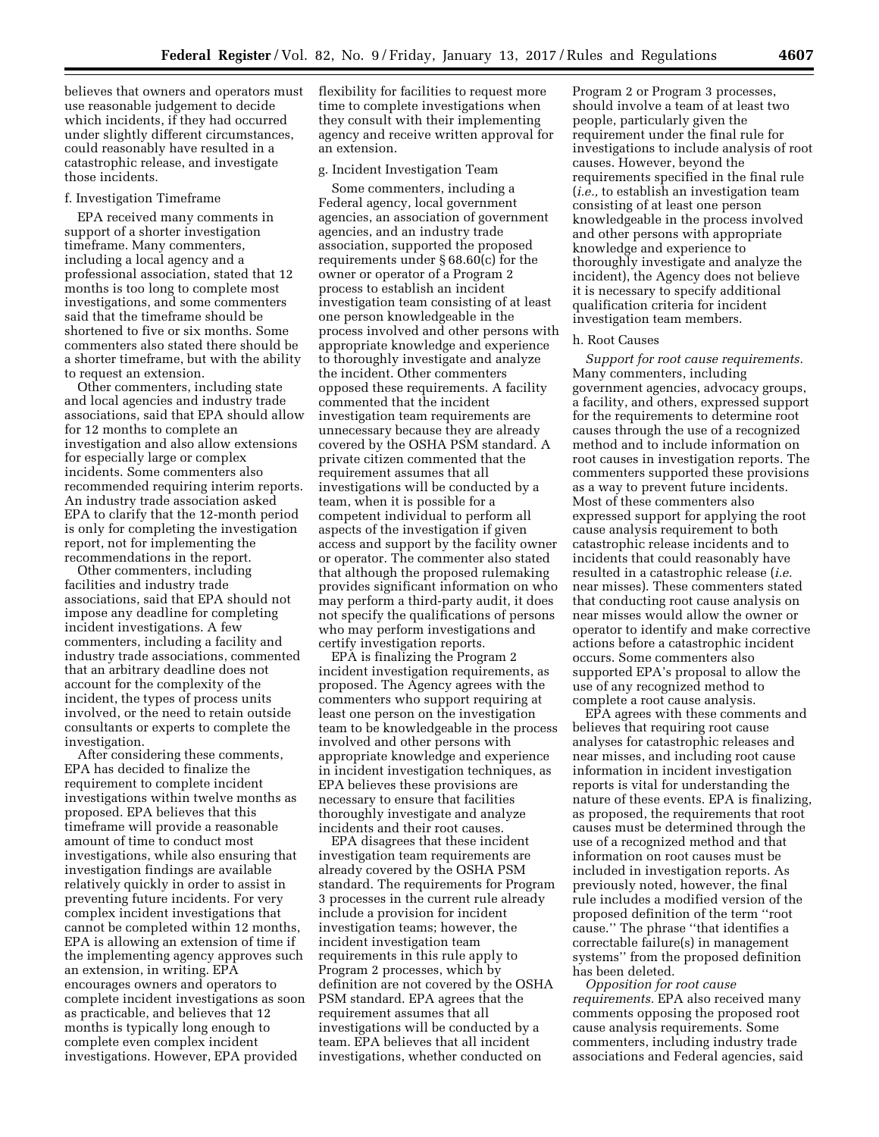believes that owners and operators must use reasonable judgement to decide which incidents, if they had occurred under slightly different circumstances, could reasonably have resulted in a catastrophic release, and investigate those incidents.

#### f. Investigation Timeframe

EPA received many comments in support of a shorter investigation timeframe. Many commenters, including a local agency and a professional association, stated that 12 months is too long to complete most investigations, and some commenters said that the timeframe should be shortened to five or six months. Some commenters also stated there should be a shorter timeframe, but with the ability to request an extension.

Other commenters, including state and local agencies and industry trade associations, said that EPA should allow for 12 months to complete an investigation and also allow extensions for especially large or complex incidents. Some commenters also recommended requiring interim reports. An industry trade association asked EPA to clarify that the 12-month period is only for completing the investigation report, not for implementing the recommendations in the report.

Other commenters, including facilities and industry trade associations, said that EPA should not impose any deadline for completing incident investigations. A few commenters, including a facility and industry trade associations, commented that an arbitrary deadline does not account for the complexity of the incident, the types of process units involved, or the need to retain outside consultants or experts to complete the investigation.

After considering these comments, EPA has decided to finalize the requirement to complete incident investigations within twelve months as proposed. EPA believes that this timeframe will provide a reasonable amount of time to conduct most investigations, while also ensuring that investigation findings are available relatively quickly in order to assist in preventing future incidents. For very complex incident investigations that cannot be completed within 12 months, EPA is allowing an extension of time if the implementing agency approves such an extension, in writing. EPA encourages owners and operators to complete incident investigations as soon as practicable, and believes that 12 months is typically long enough to complete even complex incident investigations. However, EPA provided

flexibility for facilities to request more time to complete investigations when they consult with their implementing agency and receive written approval for an extension.

#### g. Incident Investigation Team

Some commenters, including a Federal agency, local government agencies, an association of government agencies, and an industry trade association, supported the proposed requirements under § 68.60(c) for the owner or operator of a Program 2 process to establish an incident investigation team consisting of at least one person knowledgeable in the process involved and other persons with appropriate knowledge and experience to thoroughly investigate and analyze the incident. Other commenters opposed these requirements. A facility commented that the incident investigation team requirements are unnecessary because they are already covered by the OSHA PSM standard. A private citizen commented that the requirement assumes that all investigations will be conducted by a team, when it is possible for a competent individual to perform all aspects of the investigation if given access and support by the facility owner or operator. The commenter also stated that although the proposed rulemaking provides significant information on who may perform a third-party audit, it does not specify the qualifications of persons who may perform investigations and certify investigation reports.

EPA is finalizing the Program 2 incident investigation requirements, as proposed. The Agency agrees with the commenters who support requiring at least one person on the investigation team to be knowledgeable in the process involved and other persons with appropriate knowledge and experience in incident investigation techniques, as EPA believes these provisions are necessary to ensure that facilities thoroughly investigate and analyze incidents and their root causes.

EPA disagrees that these incident investigation team requirements are already covered by the OSHA PSM standard. The requirements for Program 3 processes in the current rule already include a provision for incident investigation teams; however, the incident investigation team requirements in this rule apply to Program 2 processes, which by definition are not covered by the OSHA PSM standard. EPA agrees that the requirement assumes that all investigations will be conducted by a team. EPA believes that all incident investigations, whether conducted on

Program 2 or Program 3 processes, should involve a team of at least two people, particularly given the requirement under the final rule for investigations to include analysis of root causes. However, beyond the requirements specified in the final rule (*i.e.,* to establish an investigation team consisting of at least one person knowledgeable in the process involved and other persons with appropriate knowledge and experience to thoroughly investigate and analyze the incident), the Agency does not believe it is necessary to specify additional qualification criteria for incident investigation team members.

#### h. Root Causes

*Support for root cause requirements.*  Many commenters, including government agencies, advocacy groups, a facility, and others, expressed support for the requirements to determine root causes through the use of a recognized method and to include information on root causes in investigation reports. The commenters supported these provisions as a way to prevent future incidents. Most of these commenters also expressed support for applying the root cause analysis requirement to both catastrophic release incidents and to incidents that could reasonably have resulted in a catastrophic release (*i.e.*  near misses). These commenters stated that conducting root cause analysis on near misses would allow the owner or operator to identify and make corrective actions before a catastrophic incident occurs. Some commenters also supported EPA's proposal to allow the use of any recognized method to complete a root cause analysis.

EPA agrees with these comments and believes that requiring root cause analyses for catastrophic releases and near misses, and including root cause information in incident investigation reports is vital for understanding the nature of these events. EPA is finalizing, as proposed, the requirements that root causes must be determined through the use of a recognized method and that information on root causes must be included in investigation reports. As previously noted, however, the final rule includes a modified version of the proposed definition of the term ''root cause.'' The phrase ''that identifies a correctable failure(s) in management systems'' from the proposed definition has been deleted.

*Opposition for root cause requirements.* EPA also received many comments opposing the proposed root cause analysis requirements. Some commenters, including industry trade associations and Federal agencies, said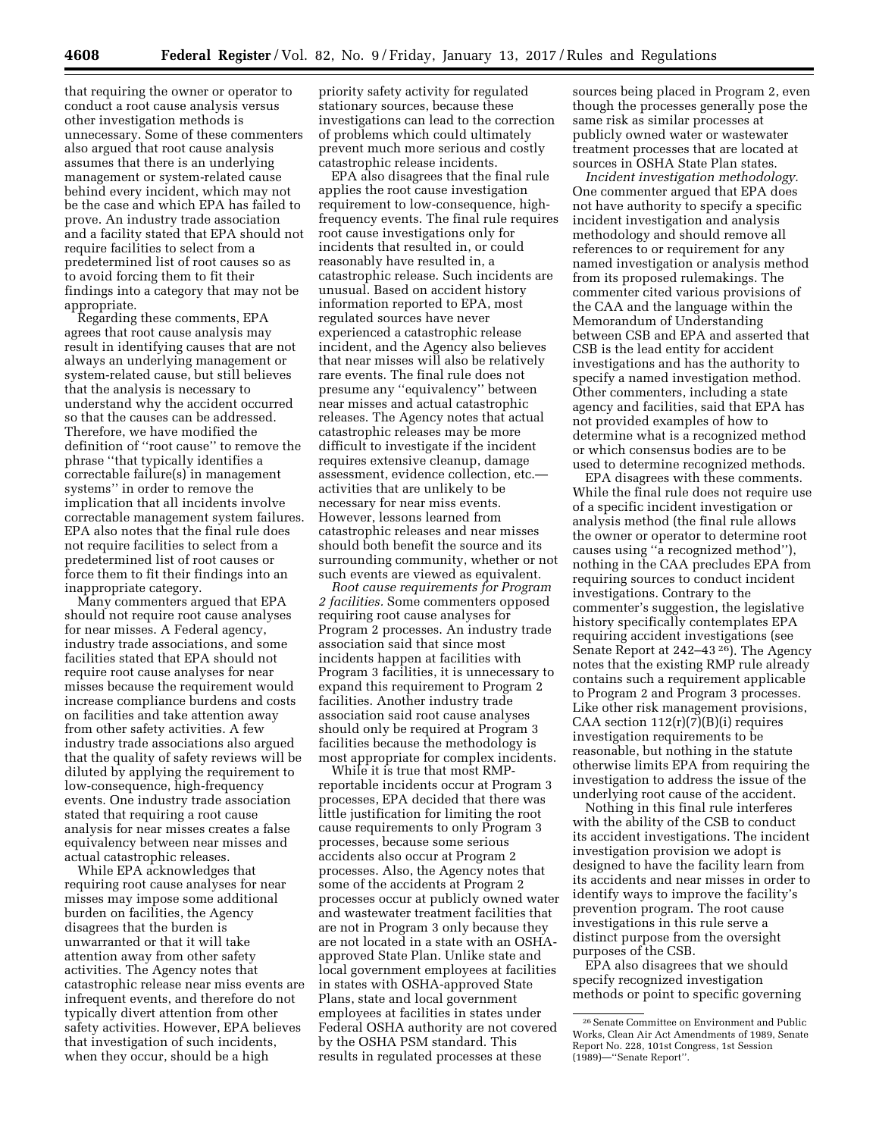that requiring the owner or operator to conduct a root cause analysis versus other investigation methods is unnecessary. Some of these commenters also argued that root cause analysis assumes that there is an underlying management or system-related cause behind every incident, which may not be the case and which EPA has failed to prove. An industry trade association and a facility stated that EPA should not require facilities to select from a predetermined list of root causes so as to avoid forcing them to fit their findings into a category that may not be appropriate.

Regarding these comments, EPA agrees that root cause analysis may result in identifying causes that are not always an underlying management or system-related cause, but still believes that the analysis is necessary to understand why the accident occurred so that the causes can be addressed. Therefore, we have modified the definition of ''root cause'' to remove the phrase ''that typically identifies a correctable failure(s) in management systems'' in order to remove the implication that all incidents involve correctable management system failures. EPA also notes that the final rule does not require facilities to select from a predetermined list of root causes or force them to fit their findings into an inappropriate category.

Many commenters argued that EPA should not require root cause analyses for near misses. A Federal agency, industry trade associations, and some facilities stated that EPA should not require root cause analyses for near misses because the requirement would increase compliance burdens and costs on facilities and take attention away from other safety activities. A few industry trade associations also argued that the quality of safety reviews will be diluted by applying the requirement to low-consequence, high-frequency events. One industry trade association stated that requiring a root cause analysis for near misses creates a false equivalency between near misses and actual catastrophic releases.

While EPA acknowledges that requiring root cause analyses for near misses may impose some additional burden on facilities, the Agency disagrees that the burden is unwarranted or that it will take attention away from other safety activities. The Agency notes that catastrophic release near miss events are infrequent events, and therefore do not typically divert attention from other safety activities. However, EPA believes that investigation of such incidents, when they occur, should be a high

priority safety activity for regulated stationary sources, because these investigations can lead to the correction of problems which could ultimately prevent much more serious and costly catastrophic release incidents.

EPA also disagrees that the final rule applies the root cause investigation requirement to low-consequence, highfrequency events. The final rule requires root cause investigations only for incidents that resulted in, or could reasonably have resulted in, a catastrophic release. Such incidents are unusual. Based on accident history information reported to EPA, most regulated sources have never experienced a catastrophic release incident, and the Agency also believes that near misses will also be relatively rare events. The final rule does not presume any ''equivalency'' between near misses and actual catastrophic releases. The Agency notes that actual catastrophic releases may be more difficult to investigate if the incident requires extensive cleanup, damage assessment, evidence collection, etc. activities that are unlikely to be necessary for near miss events. However, lessons learned from catastrophic releases and near misses should both benefit the source and its surrounding community, whether or not such events are viewed as equivalent.

*Root cause requirements for Program 2 facilities.* Some commenters opposed requiring root cause analyses for Program 2 processes. An industry trade association said that since most incidents happen at facilities with Program 3 facilities, it is unnecessary to expand this requirement to Program 2 facilities. Another industry trade association said root cause analyses should only be required at Program 3 facilities because the methodology is most appropriate for complex incidents.

While it is true that most RMPreportable incidents occur at Program 3 processes, EPA decided that there was little justification for limiting the root cause requirements to only Program 3 processes, because some serious accidents also occur at Program 2 processes. Also, the Agency notes that some of the accidents at Program 2 processes occur at publicly owned water and wastewater treatment facilities that are not in Program 3 only because they are not located in a state with an OSHAapproved State Plan. Unlike state and local government employees at facilities in states with OSHA-approved State Plans, state and local government employees at facilities in states under Federal OSHA authority are not covered by the OSHA PSM standard. This results in regulated processes at these

sources being placed in Program 2, even though the processes generally pose the same risk as similar processes at publicly owned water or wastewater treatment processes that are located at sources in OSHA State Plan states.

*Incident investigation methodology.*  One commenter argued that EPA does not have authority to specify a specific incident investigation and analysis methodology and should remove all references to or requirement for any named investigation or analysis method from its proposed rulemakings. The commenter cited various provisions of the CAA and the language within the Memorandum of Understanding between CSB and EPA and asserted that CSB is the lead entity for accident investigations and has the authority to specify a named investigation method. Other commenters, including a state agency and facilities, said that EPA has not provided examples of how to determine what is a recognized method or which consensus bodies are to be used to determine recognized methods.

EPA disagrees with these comments. While the final rule does not require use of a specific incident investigation or analysis method (the final rule allows the owner or operator to determine root causes using ''a recognized method''), nothing in the CAA precludes EPA from requiring sources to conduct incident investigations. Contrary to the commenter's suggestion, the legislative history specifically contemplates EPA requiring accident investigations (see Senate Report at 242–43 26). The Agency notes that the existing RMP rule already contains such a requirement applicable to Program 2 and Program 3 processes. Like other risk management provisions, CAA section  $112(r)(7)(B)(i)$  requires investigation requirements to be reasonable, but nothing in the statute otherwise limits EPA from requiring the investigation to address the issue of the underlying root cause of the accident.

Nothing in this final rule interferes with the ability of the CSB to conduct its accident investigations. The incident investigation provision we adopt is designed to have the facility learn from its accidents and near misses in order to identify ways to improve the facility's prevention program. The root cause investigations in this rule serve a distinct purpose from the oversight purposes of the CSB.

EPA also disagrees that we should specify recognized investigation methods or point to specific governing

<sup>26</sup>Senate Committee on Environment and Public Works, Clean Air Act Amendments of 1989, Senate Report No. 228, 101st Congress, 1st Session (1989)—''Senate Report''.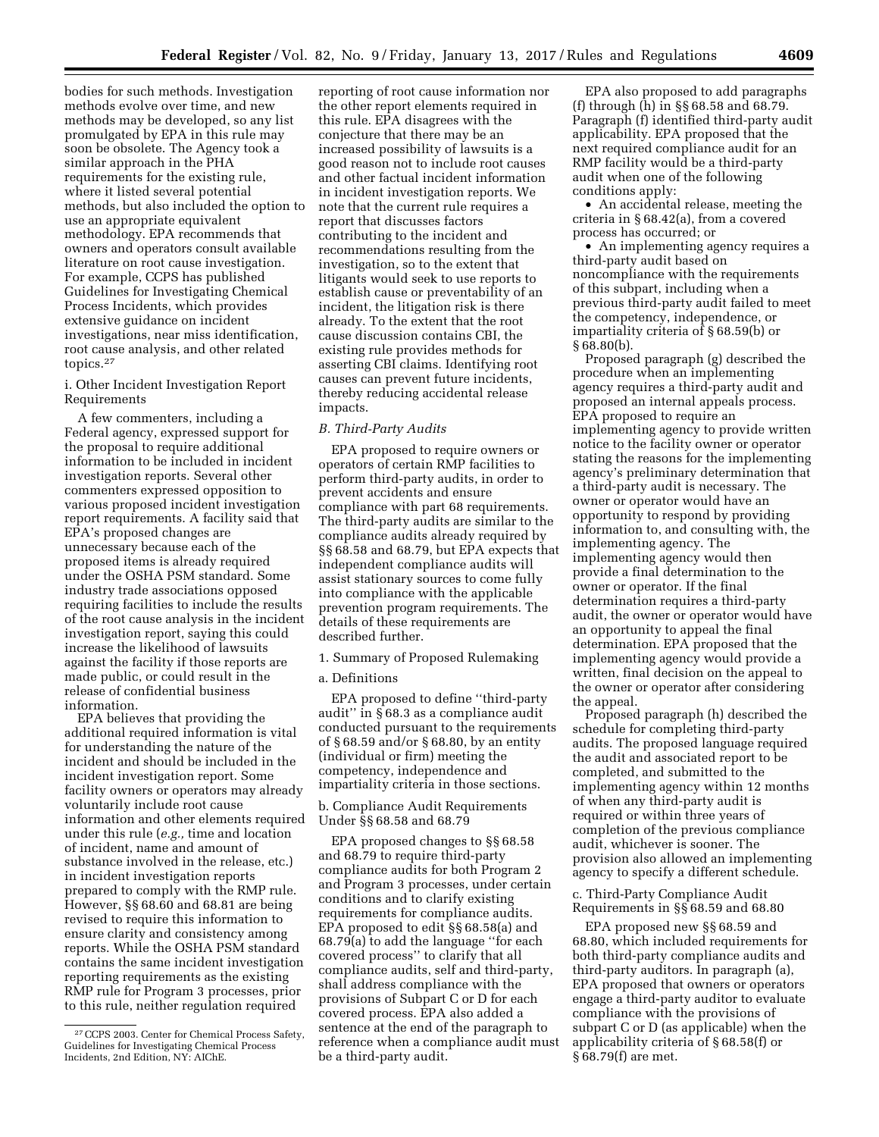bodies for such methods. Investigation methods evolve over time, and new methods may be developed, so any list promulgated by EPA in this rule may soon be obsolete. The Agency took a similar approach in the PHA requirements for the existing rule, where it listed several potential methods, but also included the option to use an appropriate equivalent methodology. EPA recommends that owners and operators consult available literature on root cause investigation. For example, CCPS has published Guidelines for Investigating Chemical Process Incidents, which provides extensive guidance on incident investigations, near miss identification, root cause analysis, and other related topics.27

i. Other Incident Investigation Report Requirements

A few commenters, including a Federal agency, expressed support for the proposal to require additional information to be included in incident investigation reports. Several other commenters expressed opposition to various proposed incident investigation report requirements. A facility said that EPA's proposed changes are unnecessary because each of the proposed items is already required under the OSHA PSM standard. Some industry trade associations opposed requiring facilities to include the results of the root cause analysis in the incident investigation report, saying this could increase the likelihood of lawsuits against the facility if those reports are made public, or could result in the release of confidential business information.

EPA believes that providing the additional required information is vital for understanding the nature of the incident and should be included in the incident investigation report. Some facility owners or operators may already voluntarily include root cause information and other elements required under this rule (*e.g.,* time and location of incident, name and amount of substance involved in the release, etc.) in incident investigation reports prepared to comply with the RMP rule. However, §§ 68.60 and 68.81 are being revised to require this information to ensure clarity and consistency among reports. While the OSHA PSM standard contains the same incident investigation reporting requirements as the existing RMP rule for Program 3 processes, prior to this rule, neither regulation required

reporting of root cause information nor the other report elements required in this rule. EPA disagrees with the conjecture that there may be an increased possibility of lawsuits is a good reason not to include root causes and other factual incident information in incident investigation reports. We note that the current rule requires a report that discusses factors contributing to the incident and recommendations resulting from the investigation, so to the extent that litigants would seek to use reports to establish cause or preventability of an incident, the litigation risk is there already. To the extent that the root cause discussion contains CBI, the existing rule provides methods for asserting CBI claims. Identifying root causes can prevent future incidents, thereby reducing accidental release impacts.

#### *B. Third-Party Audits*

EPA proposed to require owners or operators of certain RMP facilities to perform third-party audits, in order to prevent accidents and ensure compliance with part 68 requirements. The third-party audits are similar to the compliance audits already required by §§ 68.58 and 68.79, but EPA expects that independent compliance audits will assist stationary sources to come fully into compliance with the applicable prevention program requirements. The details of these requirements are described further.

1. Summary of Proposed Rulemaking

#### a. Definitions

EPA proposed to define ''third-party audit'' in § 68.3 as a compliance audit conducted pursuant to the requirements of § 68.59 and/or § 68.80, by an entity (individual or firm) meeting the competency, independence and impartiality criteria in those sections.

b. Compliance Audit Requirements Under §§ 68.58 and 68.79

EPA proposed changes to §§ 68.58 and 68.79 to require third-party compliance audits for both Program 2 and Program 3 processes, under certain conditions and to clarify existing requirements for compliance audits. EPA proposed to edit §§ 68.58(a) and 68.79(a) to add the language ''for each covered process'' to clarify that all compliance audits, self and third-party, shall address compliance with the provisions of Subpart C or D for each covered process. EPA also added a sentence at the end of the paragraph to reference when a compliance audit must be a third-party audit.

EPA also proposed to add paragraphs (f) through (h) in §§ 68.58 and 68.79. Paragraph (f) identified third-party audit applicability. EPA proposed that the next required compliance audit for an RMP facility would be a third-party audit when one of the following conditions apply:

• An accidental release, meeting the criteria in § 68.42(a), from a covered process has occurred; or

• An implementing agency requires a third-party audit based on noncompliance with the requirements of this subpart, including when a previous third-party audit failed to meet the competency, independence, or impartiality criteria of § 68.59(b) or § 68.80(b).

Proposed paragraph (g) described the procedure when an implementing agency requires a third-party audit and proposed an internal appeals process. EPA proposed to require an implementing agency to provide written notice to the facility owner or operator stating the reasons for the implementing agency's preliminary determination that a third-party audit is necessary. The owner or operator would have an opportunity to respond by providing information to, and consulting with, the implementing agency. The implementing agency would then provide a final determination to the owner or operator. If the final determination requires a third-party audit, the owner or operator would have an opportunity to appeal the final determination. EPA proposed that the implementing agency would provide a written, final decision on the appeal to the owner or operator after considering the appeal.

Proposed paragraph (h) described the schedule for completing third-party audits. The proposed language required the audit and associated report to be completed, and submitted to the implementing agency within 12 months of when any third-party audit is required or within three years of completion of the previous compliance audit, whichever is sooner. The provision also allowed an implementing agency to specify a different schedule.

c. Third-Party Compliance Audit Requirements in §§ 68.59 and 68.80

EPA proposed new §§ 68.59 and 68.80, which included requirements for both third-party compliance audits and third-party auditors. In paragraph (a), EPA proposed that owners or operators engage a third-party auditor to evaluate compliance with the provisions of subpart C or D (as applicable) when the applicability criteria of § 68.58(f) or § 68.79(f) are met.

<sup>27</sup>CCPS 2003. Center for Chemical Process Safety, Guidelines for Investigating Chemical Process Incidents, 2nd Edition, NY: AIChE.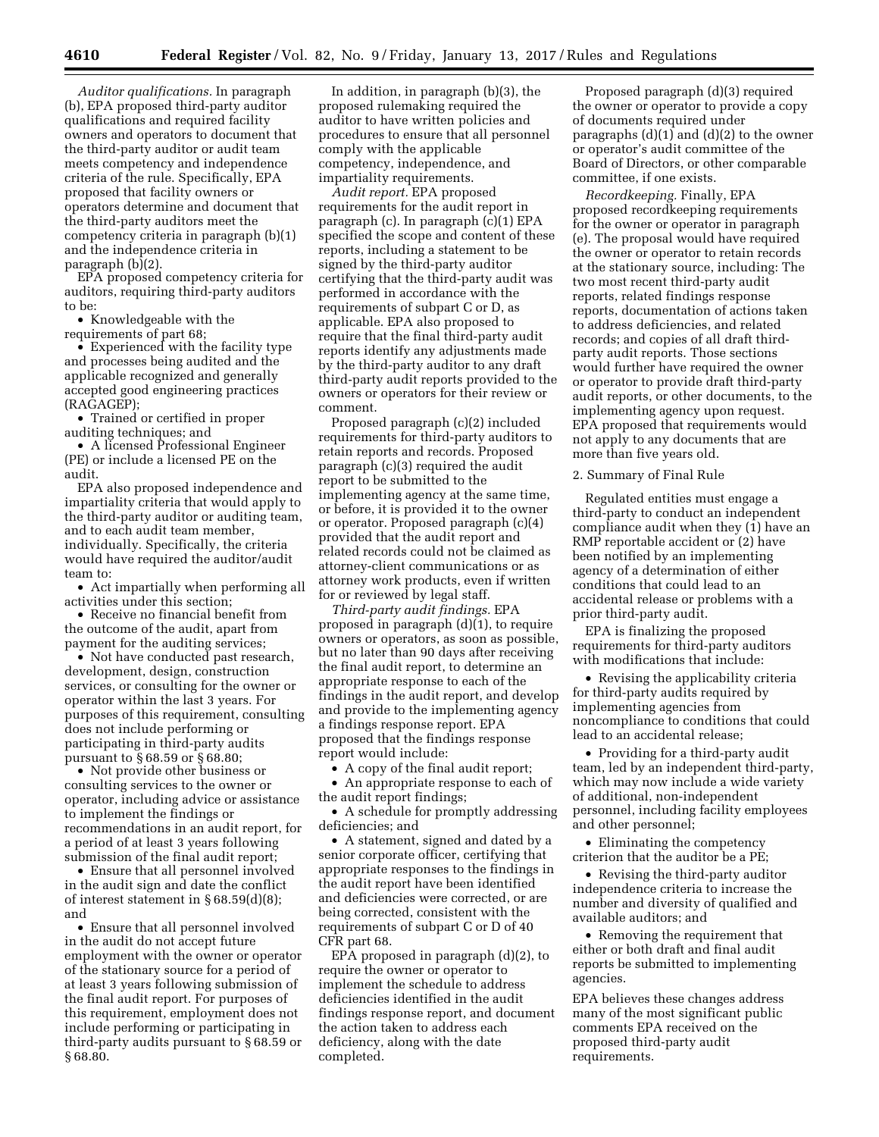*Auditor qualifications.* In paragraph (b), EPA proposed third-party auditor qualifications and required facility owners and operators to document that the third-party auditor or audit team meets competency and independence criteria of the rule. Specifically, EPA proposed that facility owners or operators determine and document that the third-party auditors meet the competency criteria in paragraph (b)(1) and the independence criteria in paragraph (b)(2).

EPA proposed competency criteria for auditors, requiring third-party auditors to be:

• Knowledgeable with the requirements of part 68;

• Experienced with the facility type and processes being audited and the applicable recognized and generally accepted good engineering practices (RAGAGEP);

• Trained or certified in proper auditing techniques; and

• A licensed Professional Engineer (PE) or include a licensed PE on the audit.

EPA also proposed independence and impartiality criteria that would apply to the third-party auditor or auditing team, and to each audit team member, individually. Specifically, the criteria would have required the auditor/audit team to:

• Act impartially when performing all activities under this section;

• Receive no financial benefit from the outcome of the audit, apart from payment for the auditing services;

• Not have conducted past research, development, design, construction services, or consulting for the owner or operator within the last 3 years. For purposes of this requirement, consulting does not include performing or participating in third-party audits pursuant to § 68.59 or § 68.80;

• Not provide other business or consulting services to the owner or operator, including advice or assistance to implement the findings or recommendations in an audit report, for a period of at least 3 years following submission of the final audit report;

• Ensure that all personnel involved in the audit sign and date the conflict of interest statement in § 68.59(d)(8); and

• Ensure that all personnel involved in the audit do not accept future employment with the owner or operator of the stationary source for a period of at least 3 years following submission of the final audit report. For purposes of this requirement, employment does not include performing or participating in third-party audits pursuant to § 68.59 or § 68.80.

In addition, in paragraph (b)(3), the proposed rulemaking required the auditor to have written policies and procedures to ensure that all personnel comply with the applicable competency, independence, and impartiality requirements.

*Audit report.* EPA proposed requirements for the audit report in paragraph (c). In paragraph (c)(1) EPA specified the scope and content of these reports, including a statement to be signed by the third-party auditor certifying that the third-party audit was performed in accordance with the requirements of subpart C or D, as applicable. EPA also proposed to require that the final third-party audit reports identify any adjustments made by the third-party auditor to any draft third-party audit reports provided to the owners or operators for their review or comment.

Proposed paragraph (c)(2) included requirements for third-party auditors to retain reports and records. Proposed paragraph (c)(3) required the audit report to be submitted to the implementing agency at the same time, or before, it is provided it to the owner or operator. Proposed paragraph (c)(4) provided that the audit report and related records could not be claimed as attorney-client communications or as attorney work products, even if written for or reviewed by legal staff.

*Third-party audit findings.* EPA proposed in paragraph (d)(1), to require owners or operators, as soon as possible, but no later than 90 days after receiving the final audit report, to determine an appropriate response to each of the findings in the audit report, and develop and provide to the implementing agency a findings response report. EPA proposed that the findings response report would include:

• A copy of the final audit report;

• An appropriate response to each of the audit report findings;

• A schedule for promptly addressing deficiencies; and

• A statement, signed and dated by a senior corporate officer, certifying that appropriate responses to the findings in the audit report have been identified and deficiencies were corrected, or are being corrected, consistent with the requirements of subpart C or D of 40 CFR part 68.

EPA proposed in paragraph (d)(2), to require the owner or operator to implement the schedule to address deficiencies identified in the audit findings response report, and document the action taken to address each deficiency, along with the date completed.

Proposed paragraph (d)(3) required the owner or operator to provide a copy of documents required under paragraphs (d)(1) and (d)(2) to the owner or operator's audit committee of the Board of Directors, or other comparable committee, if one exists.

*Recordkeeping.* Finally, EPA proposed recordkeeping requirements for the owner or operator in paragraph (e). The proposal would have required the owner or operator to retain records at the stationary source, including: The two most recent third-party audit reports, related findings response reports, documentation of actions taken to address deficiencies, and related records; and copies of all draft thirdparty audit reports. Those sections would further have required the owner or operator to provide draft third-party audit reports, or other documents, to the implementing agency upon request. EPA proposed that requirements would not apply to any documents that are more than five years old.

2. Summary of Final Rule

Regulated entities must engage a third-party to conduct an independent compliance audit when they  $(i)$  have an RMP reportable accident or (2) have been notified by an implementing agency of a determination of either conditions that could lead to an accidental release or problems with a prior third-party audit.

EPA is finalizing the proposed requirements for third-party auditors with modifications that include:

• Revising the applicability criteria for third-party audits required by implementing agencies from noncompliance to conditions that could lead to an accidental release;

• Providing for a third-party audit team, led by an independent third-party, which may now include a wide variety of additional, non-independent personnel, including facility employees and other personnel;

• Eliminating the competency criterion that the auditor be a PE;

• Revising the third-party auditor independence criteria to increase the number and diversity of qualified and available auditors; and

• Removing the requirement that either or both draft and final audit reports be submitted to implementing agencies.

EPA believes these changes address many of the most significant public comments EPA received on the proposed third-party audit requirements.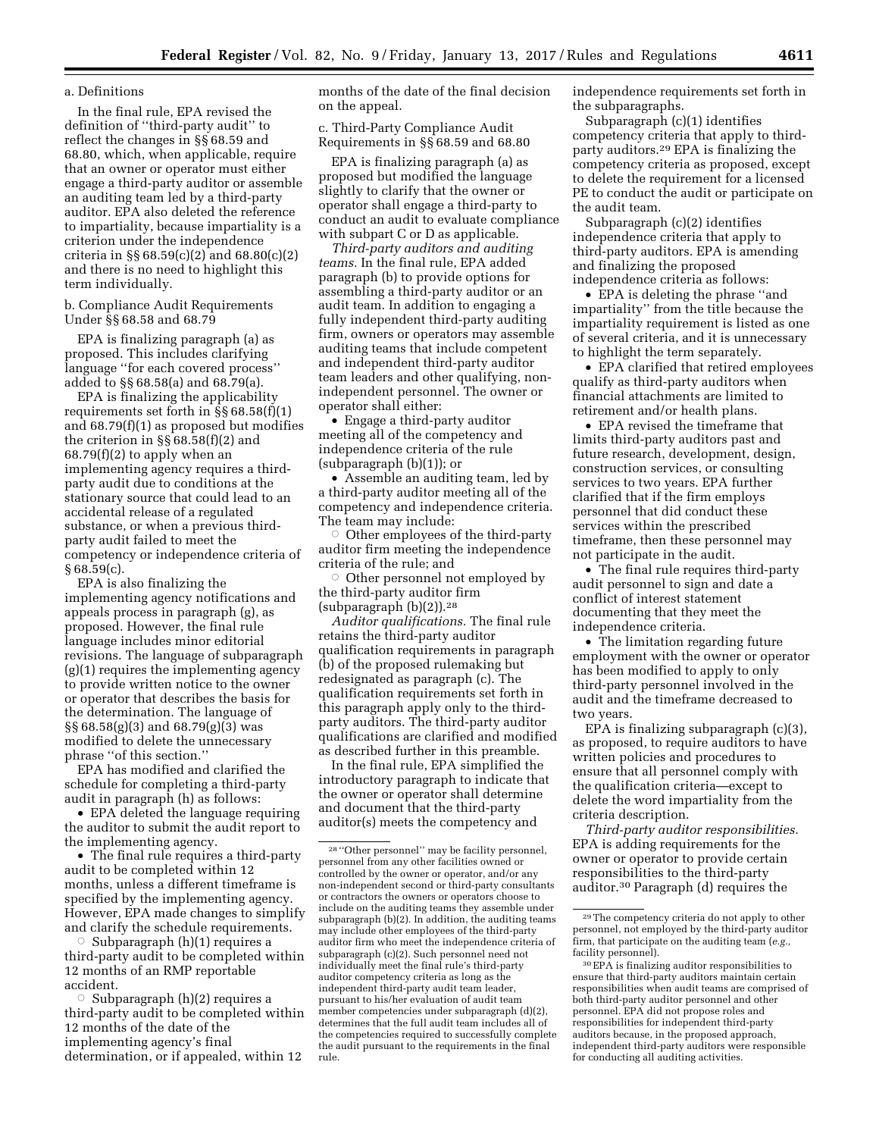### a. Definitions

In the final rule, EPA revised the definition of ''third-party audit'' to reflect the changes in §§ 68.59 and 68.80, which, when applicable, require that an owner or operator must either engage a third-party auditor or assemble an auditing team led by a third-party auditor. EPA also deleted the reference to impartiality, because impartiality is a criterion under the independence criteria in §§ 68.59(c)(2) and 68.80(c)(2) and there is no need to highlight this term individually.

b. Compliance Audit Requirements Under §§ 68.58 and 68.79

EPA is finalizing paragraph (a) as proposed. This includes clarifying language ''for each covered process'' added to §§ 68.58(a) and 68.79(a).

EPA is finalizing the applicability requirements set forth in §§ 68.58(f)(1) and 68.79(f)(1) as proposed but modifies the criterion in §§ 68.58(f)(2) and 68.79(f)(2) to apply when an implementing agency requires a thirdparty audit due to conditions at the stationary source that could lead to an accidental release of a regulated substance, or when a previous thirdparty audit failed to meet the competency or independence criteria of  $§68.59(c).$ 

EPA is also finalizing the implementing agency notifications and appeals process in paragraph (g), as proposed. However, the final rule language includes minor editorial revisions. The language of subparagraph (g)(1) requires the implementing agency to provide written notice to the owner or operator that describes the basis for the determination. The language of §§ 68.58(g)(3) and 68.79(g)(3) was modified to delete the unnecessary phrase ''of this section.''

EPA has modified and clarified the schedule for completing a third-party audit in paragraph (h) as follows:

• EPA deleted the language requiring the auditor to submit the audit report to the implementing agency.

• The final rule requires a third-party audit to be completed within 12 months, unless a different timeframe is specified by the implementing agency. However, EPA made changes to simplify and clarify the schedule requirements.

 $\circ$  Subparagraph (h)(1) requires a third-party audit to be completed within 12 months of an RMP reportable accident.

 $\circ$  Subparagraph (h)(2) requires a third-party audit to be completed within 12 months of the date of the implementing agency's final determination, or if appealed, within 12

months of the date of the final decision on the appeal.

c. Third-Party Compliance Audit Requirements in §§ 68.59 and 68.80

EPA is finalizing paragraph (a) as proposed but modified the language slightly to clarify that the owner or operator shall engage a third-party to conduct an audit to evaluate compliance with subpart C or D as applicable.

*Third-party auditors and auditing teams.* In the final rule, EPA added paragraph (b) to provide options for assembling a third-party auditor or an audit team. In addition to engaging a fully independent third-party auditing firm, owners or operators may assemble auditing teams that include competent and independent third-party auditor team leaders and other qualifying, nonindependent personnel. The owner or operator shall either:

• Engage a third-party auditor meeting all of the competency and independence criteria of the rule (subparagraph (b)(1)); or

• Assemble an auditing team, led by a third-party auditor meeting all of the competency and independence criteria. The team may include:

 $\circ$  Other employees of the third-party auditor firm meeting the independence criteria of the rule; and

Other personnel not employed by the third-party auditor firm (subparagraph  $(b)(2)$ ).<sup>28</sup>

*Auditor qualifications.* The final rule retains the third-party auditor qualification requirements in paragraph (b) of the proposed rulemaking but redesignated as paragraph (c). The qualification requirements set forth in this paragraph apply only to the thirdparty auditors. The third-party auditor qualifications are clarified and modified as described further in this preamble.

In the final rule, EPA simplified the introductory paragraph to indicate that the owner or operator shall determine and document that the third-party auditor(s) meets the competency and

independence requirements set forth in the subparagraphs.

Subparagraph (c)(1) identifies competency criteria that apply to thirdparty auditors.29 EPA is finalizing the competency criteria as proposed, except to delete the requirement for a licensed PE to conduct the audit or participate on the audit team.

Subparagraph (c)(2) identifies independence criteria that apply to third-party auditors. EPA is amending and finalizing the proposed independence criteria as follows:

• EPA is deleting the phrase ''and impartiality'' from the title because the impartiality requirement is listed as one of several criteria, and it is unnecessary to highlight the term separately.

• EPA clarified that retired employees qualify as third-party auditors when financial attachments are limited to retirement and/or health plans.

• EPA revised the timeframe that limits third-party auditors past and future research, development, design, construction services, or consulting services to two years. EPA further clarified that if the firm employs personnel that did conduct these services within the prescribed timeframe, then these personnel may not participate in the audit.

• The final rule requires third-party audit personnel to sign and date a conflict of interest statement documenting that they meet the independence criteria.

• The limitation regarding future employment with the owner or operator has been modified to apply to only third-party personnel involved in the audit and the timeframe decreased to two years.

EPA is finalizing subparagraph (c)(3), as proposed, to require auditors to have written policies and procedures to ensure that all personnel comply with the qualification criteria—except to delete the word impartiality from the criteria description.

*Third-party auditor responsibilities.*  EPA is adding requirements for the owner or operator to provide certain responsibilities to the third-party auditor.30 Paragraph (d) requires the

<sup>28</sup> ''Other personnel'' may be facility personnel, personnel from any other facilities owned or controlled by the owner or operator, and/or any non-independent second or third-party consultants or contractors the owners or operators choose to include on the auditing teams they assemble under subparagraph (b)(2). In addition, the auditing teams may include other employees of the third-party auditor firm who meet the independence criteria of subparagraph (c)(2). Such personnel need not individually meet the final rule's third-party auditor competency criteria as long as the independent third-party audit team leader, pursuant to his/her evaluation of audit team member competencies under subparagraph (d)(2), determines that the full audit team includes all of the competencies required to successfully complete the audit pursuant to the requirements in the final rule.

<sup>29</sup>The competency criteria do not apply to other personnel, not employed by the third-party auditor firm, that participate on the auditing team (*e.g.,*  facility personnel).

<sup>30</sup>EPA is finalizing auditor responsibilities to ensure that third-party auditors maintain certain responsibilities when audit teams are comprised of both third-party auditor personnel and other personnel. EPA did not propose roles and responsibilities for independent third-party auditors because, in the proposed approach, independent third-party auditors were responsible for conducting all auditing activities.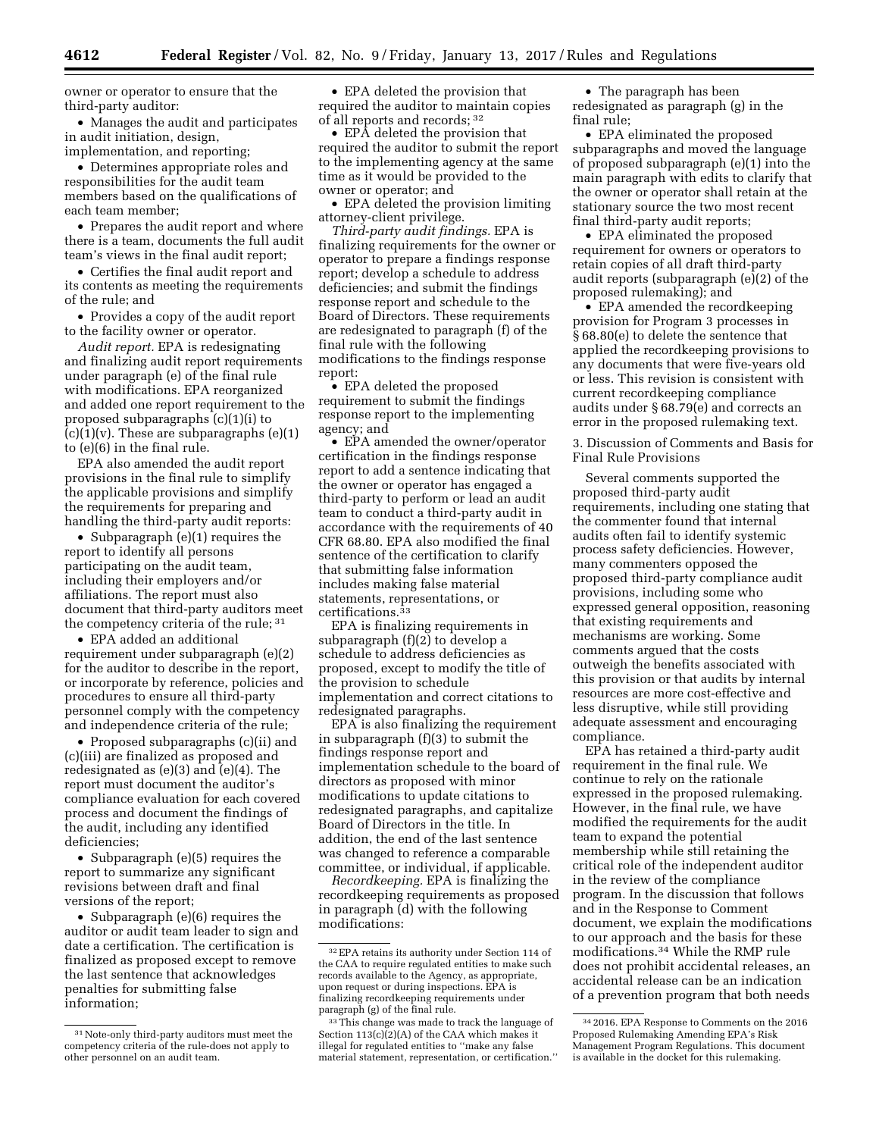owner or operator to ensure that the third-party auditor:

• Manages the audit and participates in audit initiation, design, implementation, and reporting;

• Determines appropriate roles and responsibilities for the audit team members based on the qualifications of each team member;

• Prepares the audit report and where there is a team, documents the full audit team's views in the final audit report;

• Certifies the final audit report and its contents as meeting the requirements of the rule; and

• Provides a copy of the audit report to the facility owner or operator.

*Audit report.* EPA is redesignating and finalizing audit report requirements under paragraph (e) of the final rule with modifications. EPA reorganized and added one report requirement to the proposed subparagraphs (c)(1)(i) to  $(c)(1)(v)$ . These are subparagraphs  $(e)(1)$ to (e)(6) in the final rule.

EPA also amended the audit report provisions in the final rule to simplify the applicable provisions and simplify the requirements for preparing and handling the third-party audit reports:

• Subparagraph (e)(1) requires the report to identify all persons participating on the audit team, including their employers and/or affiliations. The report must also document that third-party auditors meet the competency criteria of the rule; 31

• EPA added an additional requirement under subparagraph (e)(2) for the auditor to describe in the report, or incorporate by reference, policies and procedures to ensure all third-party personnel comply with the competency and independence criteria of the rule;

• Proposed subparagraphs (c)(ii) and (c)(iii) are finalized as proposed and redesignated as (e)(3) and (e)(4). The report must document the auditor's compliance evaluation for each covered process and document the findings of the audit, including any identified deficiencies;

• Subparagraph (e)(5) requires the report to summarize any significant revisions between draft and final versions of the report;

• Subparagraph (e)(6) requires the auditor or audit team leader to sign and date a certification. The certification is finalized as proposed except to remove the last sentence that acknowledges penalties for submitting false information;

• EPA deleted the provision that required the auditor to maintain copies of all reports and records; 32

• EPA deleted the provision that required the auditor to submit the report to the implementing agency at the same time as it would be provided to the owner or operator; and

• EPA deleted the provision limiting attorney-client privilege.

*Third-party audit findings.* EPA is finalizing requirements for the owner or operator to prepare a findings response report; develop a schedule to address deficiencies; and submit the findings response report and schedule to the Board of Directors. These requirements are redesignated to paragraph (f) of the final rule with the following modifications to the findings response report:

• EPA deleted the proposed requirement to submit the findings response report to the implementing agency; and

• EPA amended the owner/operator certification in the findings response report to add a sentence indicating that the owner or operator has engaged a third-party to perform or lead an audit team to conduct a third-party audit in accordance with the requirements of 40 CFR 68.80. EPA also modified the final sentence of the certification to clarify that submitting false information includes making false material statements, representations, or certifications.33

EPA is finalizing requirements in subparagraph (f)(2) to develop a schedule to address deficiencies as proposed, except to modify the title of the provision to schedule implementation and correct citations to redesignated paragraphs.

EPA is also finalizing the requirement in subparagraph (f)(3) to submit the findings response report and implementation schedule to the board of directors as proposed with minor modifications to update citations to redesignated paragraphs, and capitalize Board of Directors in the title. In addition, the end of the last sentence was changed to reference a comparable committee, or individual, if applicable.

*Recordkeeping.* EPA is finalizing the recordkeeping requirements as proposed in paragraph (d) with the following modifications:

• The paragraph has been redesignated as paragraph (g) in the final rule;

• EPA eliminated the proposed subparagraphs and moved the language of proposed subparagraph (e)(1) into the main paragraph with edits to clarify that the owner or operator shall retain at the stationary source the two most recent final third-party audit reports;

• EPA eliminated the proposed requirement for owners or operators to retain copies of all draft third-party audit reports (subparagraph (e)(2) of the proposed rulemaking); and

• EPA amended the recordkeeping provision for Program 3 processes in § 68.80(e) to delete the sentence that applied the recordkeeping provisions to any documents that were five-years old or less. This revision is consistent with current recordkeeping compliance audits under § 68.79(e) and corrects an error in the proposed rulemaking text.

3. Discussion of Comments and Basis for Final Rule Provisions

Several comments supported the proposed third-party audit requirements, including one stating that the commenter found that internal audits often fail to identify systemic process safety deficiencies. However, many commenters opposed the proposed third-party compliance audit provisions, including some who expressed general opposition, reasoning that existing requirements and mechanisms are working. Some comments argued that the costs outweigh the benefits associated with this provision or that audits by internal resources are more cost-effective and less disruptive, while still providing adequate assessment and encouraging compliance.

EPA has retained a third-party audit requirement in the final rule. We continue to rely on the rationale expressed in the proposed rulemaking. However, in the final rule, we have modified the requirements for the audit team to expand the potential membership while still retaining the critical role of the independent auditor in the review of the compliance program. In the discussion that follows and in the Response to Comment document, we explain the modifications to our approach and the basis for these modifications.34 While the RMP rule does not prohibit accidental releases, an accidental release can be an indication of a prevention program that both needs

<sup>31</sup>Note-only third-party auditors must meet the competency criteria of the rule-does not apply to other personnel on an audit team.

<sup>32</sup>EPA retains its authority under Section 114 of the CAA to require regulated entities to make such records available to the Agency, as appropriate, upon request or during inspections. EPA is finalizing recordkeeping requirements under paragraph (g) of the final rule.

<sup>33</sup>This change was made to track the language of Section 113(c)(2)(A) of the CAA which makes it illegal for regulated entities to ''make any false material statement, representation, or certification.''

<sup>34</sup> 2016. EPA Response to Comments on the 2016 Proposed Rulemaking Amending EPA's Risk Management Program Regulations. This document is available in the docket for this rulemaking.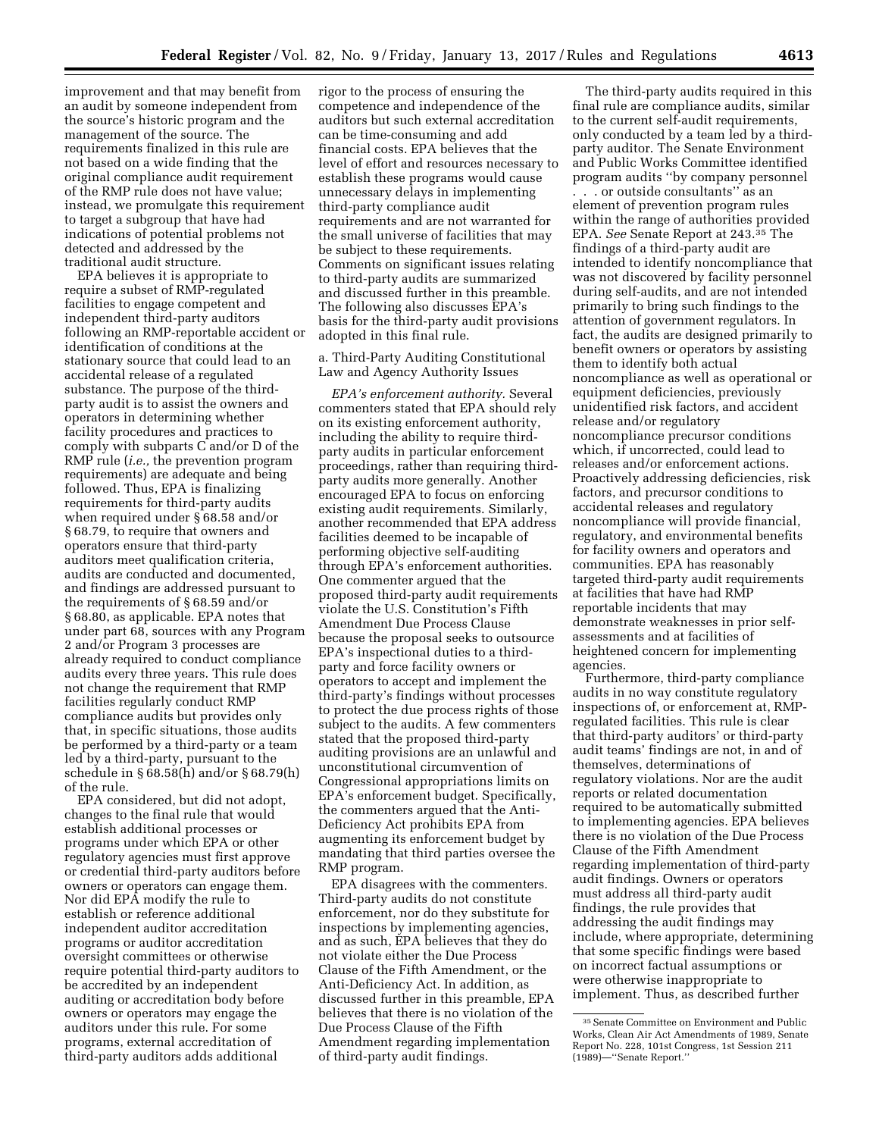improvement and that may benefit from an audit by someone independent from the source's historic program and the management of the source. The requirements finalized in this rule are not based on a wide finding that the original compliance audit requirement of the RMP rule does not have value; instead, we promulgate this requirement to target a subgroup that have had indications of potential problems not

detected and addressed by the

traditional audit structure. EPA believes it is appropriate to require a subset of RMP-regulated facilities to engage competent and independent third-party auditors following an RMP-reportable accident or identification of conditions at the stationary source that could lead to an accidental release of a regulated substance. The purpose of the thirdparty audit is to assist the owners and operators in determining whether facility procedures and practices to comply with subparts C and/or D of the RMP rule (*i.e.,* the prevention program requirements) are adequate and being followed. Thus, EPA is finalizing requirements for third-party audits when required under § 68.58 and/or § 68.79, to require that owners and operators ensure that third-party auditors meet qualification criteria, audits are conducted and documented, and findings are addressed pursuant to the requirements of § 68.59 and/or § 68.80, as applicable. EPA notes that under part 68, sources with any Program 2 and/or Program 3 processes are already required to conduct compliance audits every three years. This rule does not change the requirement that RMP facilities regularly conduct RMP compliance audits but provides only that, in specific situations, those audits be performed by a third-party or a team led by a third-party, pursuant to the schedule in § 68.58(h) and/or § 68.79(h) of the rule.

EPA considered, but did not adopt, changes to the final rule that would establish additional processes or programs under which EPA or other regulatory agencies must first approve or credential third-party auditors before owners or operators can engage them. Nor did EPA modify the rule to establish or reference additional independent auditor accreditation programs or auditor accreditation oversight committees or otherwise require potential third-party auditors to be accredited by an independent auditing or accreditation body before owners or operators may engage the auditors under this rule. For some programs, external accreditation of third-party auditors adds additional

rigor to the process of ensuring the competence and independence of the auditors but such external accreditation can be time-consuming and add financial costs. EPA believes that the level of effort and resources necessary to establish these programs would cause unnecessary delays in implementing third-party compliance audit requirements and are not warranted for the small universe of facilities that may be subject to these requirements. Comments on significant issues relating to third-party audits are summarized and discussed further in this preamble. The following also discusses EPA's basis for the third-party audit provisions adopted in this final rule.

a. Third-Party Auditing Constitutional Law and Agency Authority Issues

*EPA's enforcement authority.* Several commenters stated that EPA should rely on its existing enforcement authority, including the ability to require thirdparty audits in particular enforcement proceedings, rather than requiring thirdparty audits more generally. Another encouraged EPA to focus on enforcing existing audit requirements. Similarly, another recommended that EPA address facilities deemed to be incapable of performing objective self-auditing through EPA's enforcement authorities. One commenter argued that the proposed third-party audit requirements violate the U.S. Constitution's Fifth Amendment Due Process Clause because the proposal seeks to outsource EPA's inspectional duties to a thirdparty and force facility owners or operators to accept and implement the third-party's findings without processes to protect the due process rights of those subject to the audits. A few commenters stated that the proposed third-party auditing provisions are an unlawful and unconstitutional circumvention of Congressional appropriations limits on EPA's enforcement budget. Specifically, the commenters argued that the Anti-Deficiency Act prohibits EPA from augmenting its enforcement budget by mandating that third parties oversee the RMP program.

EPA disagrees with the commenters. Third-party audits do not constitute enforcement, nor do they substitute for inspections by implementing agencies, and as such, EPA believes that they do not violate either the Due Process Clause of the Fifth Amendment, or the Anti-Deficiency Act. In addition, as discussed further in this preamble, EPA believes that there is no violation of the Due Process Clause of the Fifth Amendment regarding implementation of third-party audit findings.

The third-party audits required in this final rule are compliance audits, similar to the current self-audit requirements, only conducted by a team led by a thirdparty auditor. The Senate Environment and Public Works Committee identified program audits ''by company personnel

. . . or outside consultants'' as an element of prevention program rules within the range of authorities provided EPA. *See* Senate Report at 243.35 The findings of a third-party audit are intended to identify noncompliance that was not discovered by facility personnel during self-audits, and are not intended primarily to bring such findings to the attention of government regulators. In fact, the audits are designed primarily to benefit owners or operators by assisting them to identify both actual noncompliance as well as operational or equipment deficiencies, previously unidentified risk factors, and accident release and/or regulatory noncompliance precursor conditions which, if uncorrected, could lead to releases and/or enforcement actions. Proactively addressing deficiencies, risk factors, and precursor conditions to accidental releases and regulatory noncompliance will provide financial, regulatory, and environmental benefits for facility owners and operators and communities. EPA has reasonably targeted third-party audit requirements at facilities that have had RMP reportable incidents that may demonstrate weaknesses in prior selfassessments and at facilities of heightened concern for implementing agencies.

Furthermore, third-party compliance audits in no way constitute regulatory inspections of, or enforcement at, RMPregulated facilities. This rule is clear that third-party auditors' or third-party audit teams' findings are not, in and of themselves, determinations of regulatory violations. Nor are the audit reports or related documentation required to be automatically submitted to implementing agencies. EPA believes there is no violation of the Due Process Clause of the Fifth Amendment regarding implementation of third-party audit findings. Owners or operators must address all third-party audit findings, the rule provides that addressing the audit findings may include, where appropriate, determining that some specific findings were based on incorrect factual assumptions or were otherwise inappropriate to implement. Thus, as described further

<sup>35</sup>Senate Committee on Environment and Public Works, Clean Air Act Amendments of 1989, Senate Report No. 228, 101st Congress, 1st Session 211 (1989)—''Senate Report.''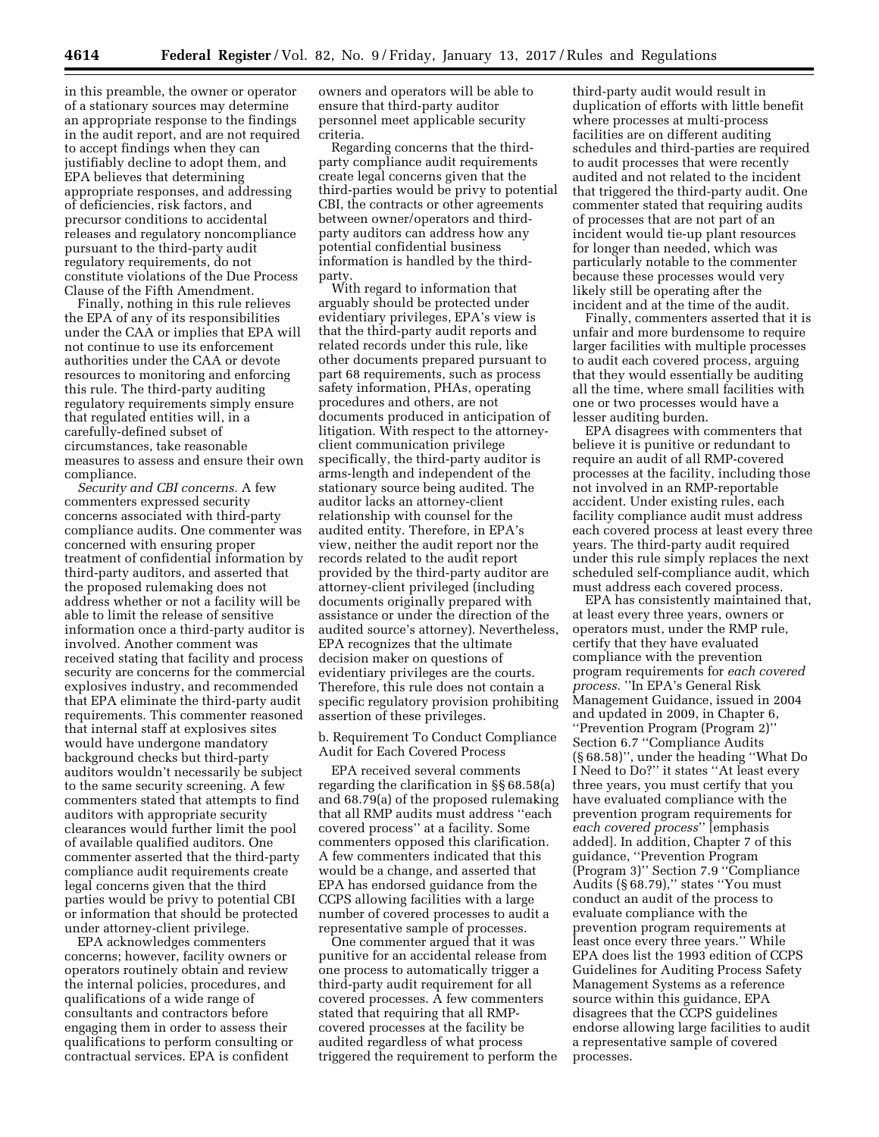in this preamble, the owner or operator of a stationary sources may determine an appropriate response to the findings in the audit report, and are not required to accept findings when they can justifiably decline to adopt them, and EPA believes that determining appropriate responses, and addressing of deficiencies, risk factors, and precursor conditions to accidental releases and regulatory noncompliance pursuant to the third-party audit regulatory requirements, do not constitute violations of the Due Process Clause of the Fifth Amendment.

Finally, nothing in this rule relieves the EPA of any of its responsibilities under the CAA or implies that EPA will not continue to use its enforcement authorities under the CAA or devote resources to monitoring and enforcing this rule. The third-party auditing regulatory requirements simply ensure that regulated entities will, in a carefully-defined subset of circumstances, take reasonable measures to assess and ensure their own compliance.

*Security and CBI concerns.* A few commenters expressed security concerns associated with third-party compliance audits. One commenter was concerned with ensuring proper treatment of confidential information by third-party auditors, and asserted that the proposed rulemaking does not address whether or not a facility will be able to limit the release of sensitive information once a third-party auditor is involved. Another comment was received stating that facility and process security are concerns for the commercial explosives industry, and recommended that EPA eliminate the third-party audit requirements. This commenter reasoned that internal staff at explosives sites would have undergone mandatory background checks but third-party auditors wouldn't necessarily be subject to the same security screening. A few commenters stated that attempts to find auditors with appropriate security clearances would further limit the pool of available qualified auditors. One commenter asserted that the third-party compliance audit requirements create legal concerns given that the third parties would be privy to potential CBI or information that should be protected under attorney-client privilege.

EPA acknowledges commenters concerns; however, facility owners or operators routinely obtain and review the internal policies, procedures, and qualifications of a wide range of consultants and contractors before engaging them in order to assess their qualifications to perform consulting or contractual services. EPA is confident

owners and operators will be able to ensure that third-party auditor personnel meet applicable security criteria.

Regarding concerns that the thirdparty compliance audit requirements create legal concerns given that the third-parties would be privy to potential CBI, the contracts or other agreements between owner/operators and thirdparty auditors can address how any potential confidential business information is handled by the thirdparty.

With regard to information that arguably should be protected under evidentiary privileges, EPA's view is that the third-party audit reports and related records under this rule, like other documents prepared pursuant to part 68 requirements, such as process safety information, PHAs, operating procedures and others, are not documents produced in anticipation of litigation. With respect to the attorneyclient communication privilege specifically, the third-party auditor is arms-length and independent of the stationary source being audited. The auditor lacks an attorney-client relationship with counsel for the audited entity. Therefore, in EPA's view, neither the audit report nor the records related to the audit report provided by the third-party auditor are attorney-client privileged (including documents originally prepared with assistance or under the direction of the audited source's attorney). Nevertheless, EPA recognizes that the ultimate decision maker on questions of evidentiary privileges are the courts. Therefore, this rule does not contain a specific regulatory provision prohibiting assertion of these privileges.

b. Requirement To Conduct Compliance Audit for Each Covered Process

EPA received several comments regarding the clarification in §§ 68.58(a) and 68.79(a) of the proposed rulemaking that all RMP audits must address ''each covered process'' at a facility. Some commenters opposed this clarification. A few commenters indicated that this would be a change, and asserted that EPA has endorsed guidance from the CCPS allowing facilities with a large number of covered processes to audit a representative sample of processes.

One commenter argued that it was punitive for an accidental release from one process to automatically trigger a third-party audit requirement for all covered processes. A few commenters stated that requiring that all RMPcovered processes at the facility be audited regardless of what process triggered the requirement to perform the

third-party audit would result in duplication of efforts with little benefit where processes at multi-process facilities are on different auditing schedules and third-parties are required to audit processes that were recently audited and not related to the incident that triggered the third-party audit. One commenter stated that requiring audits of processes that are not part of an incident would tie-up plant resources for longer than needed, which was particularly notable to the commenter because these processes would very likely still be operating after the incident and at the time of the audit.

Finally, commenters asserted that it is unfair and more burdensome to require larger facilities with multiple processes to audit each covered process, arguing that they would essentially be auditing all the time, where small facilities with one or two processes would have a lesser auditing burden.

EPA disagrees with commenters that believe it is punitive or redundant to require an audit of all RMP-covered processes at the facility, including those not involved in an RMP-reportable accident. Under existing rules, each facility compliance audit must address each covered process at least every three years. The third-party audit required under this rule simply replaces the next scheduled self-compliance audit, which must address each covered process.

EPA has consistently maintained that, at least every three years, owners or operators must, under the RMP rule, certify that they have evaluated compliance with the prevention program requirements for *each covered process.* ''In EPA's General Risk Management Guidance, issued in 2004 and updated in 2009, in Chapter 6, ''Prevention Program (Program 2)'' Section 6.7 ''Compliance Audits (§ 68.58)'', under the heading ''What Do I Need to Do?'' it states ''At least every three years, you must certify that you have evaluated compliance with the prevention program requirements for *each covered process*'' [emphasis added]. In addition, Chapter 7 of this guidance, ''Prevention Program (Program 3)'' Section 7.9 ''Compliance Audits (§ 68.79),'' states ''You must conduct an audit of the process to evaluate compliance with the prevention program requirements at least once every three years.'' While EPA does list the 1993 edition of CCPS Guidelines for Auditing Process Safety Management Systems as a reference source within this guidance, EPA disagrees that the CCPS guidelines endorse allowing large facilities to audit a representative sample of covered processes.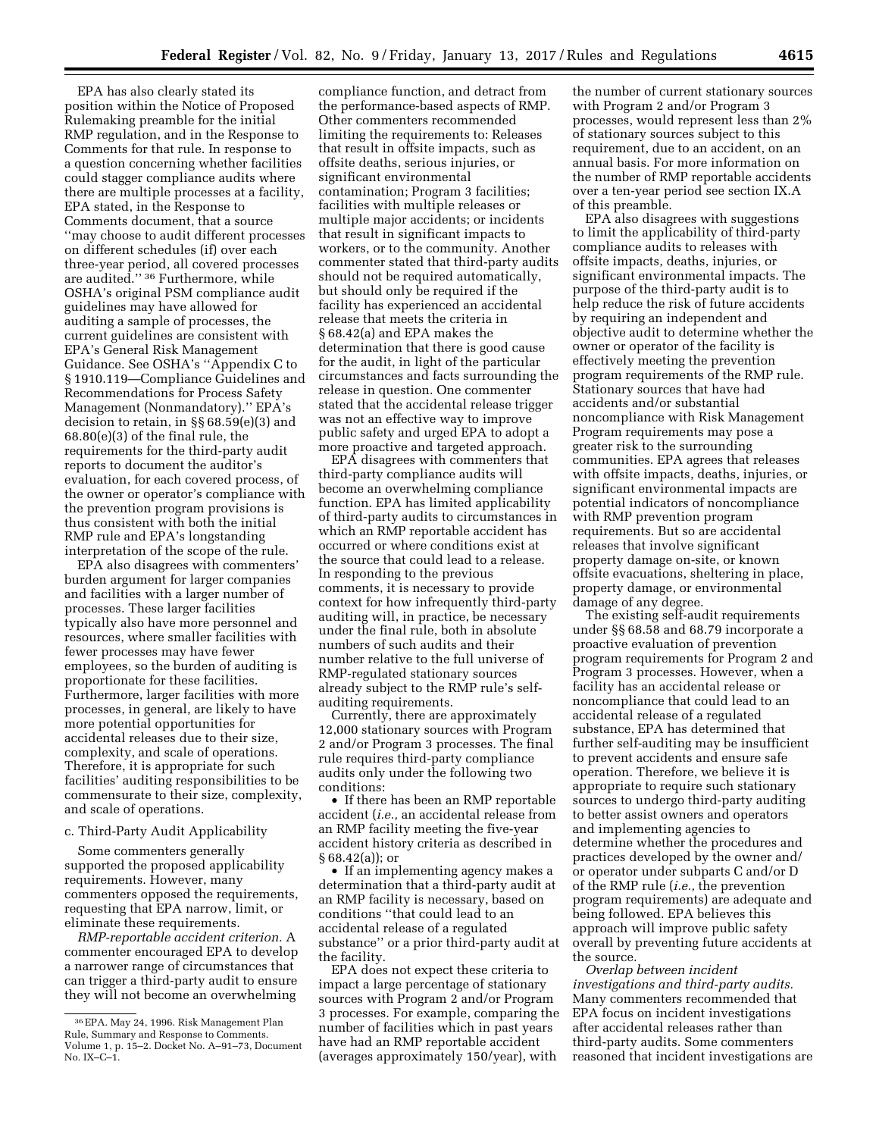EPA has also clearly stated its position within the Notice of Proposed Rulemaking preamble for the initial RMP regulation, and in the Response to Comments for that rule. In response to a question concerning whether facilities could stagger compliance audits where there are multiple processes at a facility, EPA stated, in the Response to Comments document, that a source ''may choose to audit different processes on different schedules (if) over each three-year period, all covered processes are audited.'' 36 Furthermore, while OSHA's original PSM compliance audit guidelines may have allowed for auditing a sample of processes, the current guidelines are consistent with EPA's General Risk Management Guidance. See OSHA's ''Appendix C to § 1910.119—Compliance Guidelines and Recommendations for Process Safety Management (Nonmandatory).'' EPA's decision to retain, in §§ 68.59(e)(3) and 68.80(e)(3) of the final rule, the requirements for the third-party audit reports to document the auditor's evaluation, for each covered process, of the owner or operator's compliance with the prevention program provisions is thus consistent with both the initial RMP rule and EPA's longstanding interpretation of the scope of the rule.

EPA also disagrees with commenters' burden argument for larger companies and facilities with a larger number of processes. These larger facilities typically also have more personnel and resources, where smaller facilities with fewer processes may have fewer employees, so the burden of auditing is proportionate for these facilities. Furthermore, larger facilities with more processes, in general, are likely to have more potential opportunities for accidental releases due to their size, complexity, and scale of operations. Therefore, it is appropriate for such facilities' auditing responsibilities to be commensurate to their size, complexity, and scale of operations.

#### c. Third-Party Audit Applicability

Some commenters generally supported the proposed applicability requirements. However, many commenters opposed the requirements, requesting that EPA narrow, limit, or eliminate these requirements.

*RMP-reportable accident criterion.* A commenter encouraged EPA to develop a narrower range of circumstances that can trigger a third-party audit to ensure they will not become an overwhelming

compliance function, and detract from the performance-based aspects of RMP. Other commenters recommended limiting the requirements to: Releases that result in offsite impacts, such as offsite deaths, serious injuries, or significant environmental contamination; Program 3 facilities; facilities with multiple releases or multiple major accidents; or incidents that result in significant impacts to workers, or to the community. Another commenter stated that third-party audits should not be required automatically, but should only be required if the facility has experienced an accidental release that meets the criteria in § 68.42(a) and EPA makes the determination that there is good cause for the audit, in light of the particular circumstances and facts surrounding the release in question. One commenter stated that the accidental release trigger was not an effective way to improve public safety and urged EPA to adopt a more proactive and targeted approach.

EPA disagrees with commenters that third-party compliance audits will become an overwhelming compliance function. EPA has limited applicability of third-party audits to circumstances in which an RMP reportable accident has occurred or where conditions exist at the source that could lead to a release. In responding to the previous comments, it is necessary to provide context for how infrequently third-party auditing will, in practice, be necessary under the final rule, both in absolute numbers of such audits and their number relative to the full universe of RMP-regulated stationary sources already subject to the RMP rule's selfauditing requirements.

Currently, there are approximately 12,000 stationary sources with Program 2 and/or Program 3 processes. The final rule requires third-party compliance audits only under the following two conditions:

• If there has been an RMP reportable accident (*i.e.,* an accidental release from an RMP facility meeting the five-year accident history criteria as described in § 68.42(a)); or

• If an implementing agency makes a determination that a third-party audit at an RMP facility is necessary, based on conditions ''that could lead to an accidental release of a regulated substance'' or a prior third-party audit at the facility.

EPA does not expect these criteria to impact a large percentage of stationary sources with Program 2 and/or Program 3 processes. For example, comparing the number of facilities which in past years have had an RMP reportable accident (averages approximately 150/year), with

the number of current stationary sources with Program 2 and/or Program 3 processes, would represent less than 2% of stationary sources subject to this requirement, due to an accident, on an annual basis. For more information on the number of RMP reportable accidents over a ten-year period see section IX.A of this preamble.

EPA also disagrees with suggestions to limit the applicability of third-party compliance audits to releases with offsite impacts, deaths, injuries, or significant environmental impacts. The purpose of the third-party audit is to help reduce the risk of future accidents by requiring an independent and objective audit to determine whether the owner or operator of the facility is effectively meeting the prevention program requirements of the RMP rule. Stationary sources that have had accidents and/or substantial noncompliance with Risk Management Program requirements may pose a greater risk to the surrounding communities. EPA agrees that releases with offsite impacts, deaths, injuries, or significant environmental impacts are potential indicators of noncompliance with RMP prevention program requirements. But so are accidental releases that involve significant property damage on-site, or known offsite evacuations, sheltering in place, property damage, or environmental damage of any degree.

The existing self-audit requirements under §§ 68.58 and 68.79 incorporate a proactive evaluation of prevention program requirements for Program 2 and Program 3 processes. However, when a facility has an accidental release or noncompliance that could lead to an accidental release of a regulated substance, EPA has determined that further self-auditing may be insufficient to prevent accidents and ensure safe operation. Therefore, we believe it is appropriate to require such stationary sources to undergo third-party auditing to better assist owners and operators and implementing agencies to determine whether the procedures and practices developed by the owner and/ or operator under subparts C and/or D of the RMP rule (*i.e.,* the prevention program requirements) are adequate and being followed. EPA believes this approach will improve public safety overall by preventing future accidents at the source.

*Overlap between incident investigations and third-party audits.*  Many commenters recommended that EPA focus on incident investigations after accidental releases rather than third-party audits. Some commenters reasoned that incident investigations are

<sup>36</sup>EPA. May 24, 1996. Risk Management Plan Rule, Summary and Response to Comments. Volume 1, p. 15–2. Docket No. A–91–73, Document No. IX–C–1.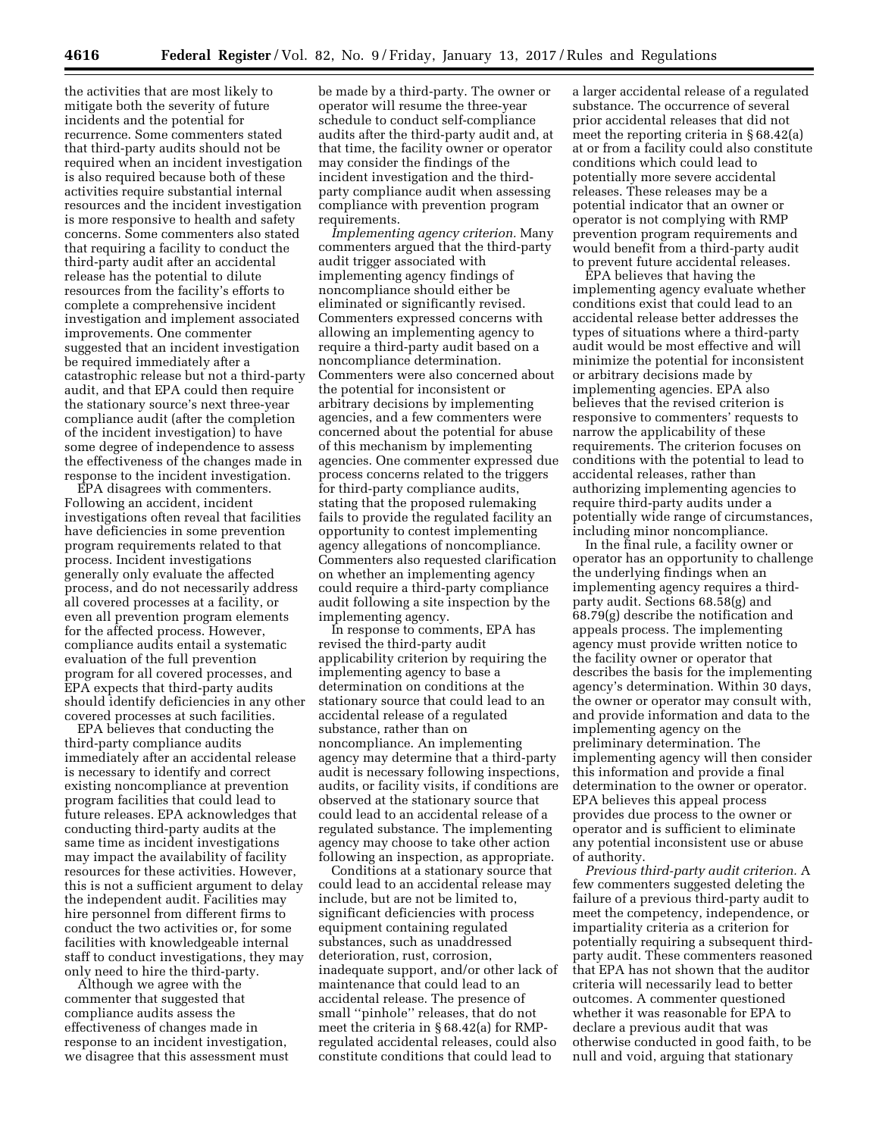the activities that are most likely to mitigate both the severity of future incidents and the potential for recurrence. Some commenters stated that third-party audits should not be required when an incident investigation is also required because both of these activities require substantial internal resources and the incident investigation is more responsive to health and safety concerns. Some commenters also stated that requiring a facility to conduct the third-party audit after an accidental release has the potential to dilute resources from the facility's efforts to complete a comprehensive incident investigation and implement associated improvements. One commenter suggested that an incident investigation be required immediately after a catastrophic release but not a third-party audit, and that EPA could then require the stationary source's next three-year compliance audit (after the completion of the incident investigation) to have some degree of independence to assess the effectiveness of the changes made in response to the incident investigation.

EPA disagrees with commenters. Following an accident, incident investigations often reveal that facilities have deficiencies in some prevention program requirements related to that process. Incident investigations generally only evaluate the affected process, and do not necessarily address all covered processes at a facility, or even all prevention program elements for the affected process. However, compliance audits entail a systematic evaluation of the full prevention program for all covered processes, and EPA expects that third-party audits should identify deficiencies in any other covered processes at such facilities.

EPA believes that conducting the third-party compliance audits immediately after an accidental release is necessary to identify and correct existing noncompliance at prevention program facilities that could lead to future releases. EPA acknowledges that conducting third-party audits at the same time as incident investigations may impact the availability of facility resources for these activities. However, this is not a sufficient argument to delay the independent audit. Facilities may hire personnel from different firms to conduct the two activities or, for some facilities with knowledgeable internal staff to conduct investigations, they may only need to hire the third-party.

Although we agree with the commenter that suggested that compliance audits assess the effectiveness of changes made in response to an incident investigation, we disagree that this assessment must

be made by a third-party. The owner or operator will resume the three-year schedule to conduct self-compliance audits after the third-party audit and, at that time, the facility owner or operator may consider the findings of the incident investigation and the thirdparty compliance audit when assessing compliance with prevention program requirements.

*Implementing agency criterion.* Many commenters argued that the third-party audit trigger associated with implementing agency findings of noncompliance should either be eliminated or significantly revised. Commenters expressed concerns with allowing an implementing agency to require a third-party audit based on a noncompliance determination. Commenters were also concerned about the potential for inconsistent or arbitrary decisions by implementing agencies, and a few commenters were concerned about the potential for abuse of this mechanism by implementing agencies. One commenter expressed due process concerns related to the triggers for third-party compliance audits, stating that the proposed rulemaking fails to provide the regulated facility an opportunity to contest implementing agency allegations of noncompliance. Commenters also requested clarification on whether an implementing agency could require a third-party compliance audit following a site inspection by the implementing agency.

In response to comments, EPA has revised the third-party audit applicability criterion by requiring the implementing agency to base a determination on conditions at the stationary source that could lead to an accidental release of a regulated substance, rather than on noncompliance. An implementing agency may determine that a third-party audit is necessary following inspections, audits, or facility visits, if conditions are observed at the stationary source that could lead to an accidental release of a regulated substance. The implementing agency may choose to take other action following an inspection, as appropriate.

Conditions at a stationary source that could lead to an accidental release may include, but are not be limited to, significant deficiencies with process equipment containing regulated substances, such as unaddressed deterioration, rust, corrosion, inadequate support, and/or other lack of maintenance that could lead to an accidental release. The presence of small ''pinhole'' releases, that do not meet the criteria in § 68.42(a) for RMPregulated accidental releases, could also constitute conditions that could lead to

a larger accidental release of a regulated substance. The occurrence of several prior accidental releases that did not meet the reporting criteria in § 68.42(a) at or from a facility could also constitute conditions which could lead to potentially more severe accidental releases. These releases may be a potential indicator that an owner or operator is not complying with RMP prevention program requirements and would benefit from a third-party audit to prevent future accidental releases.

EPA believes that having the implementing agency evaluate whether conditions exist that could lead to an accidental release better addresses the types of situations where a third-party audit would be most effective and will minimize the potential for inconsistent or arbitrary decisions made by implementing agencies. EPA also believes that the revised criterion is responsive to commenters' requests to narrow the applicability of these requirements. The criterion focuses on conditions with the potential to lead to accidental releases, rather than authorizing implementing agencies to require third-party audits under a potentially wide range of circumstances, including minor noncompliance.

In the final rule, a facility owner or operator has an opportunity to challenge the underlying findings when an implementing agency requires a thirdparty audit. Sections 68.58(g) and 68.79(g) describe the notification and appeals process. The implementing agency must provide written notice to the facility owner or operator that describes the basis for the implementing agency's determination. Within 30 days, the owner or operator may consult with, and provide information and data to the implementing agency on the preliminary determination. The implementing agency will then consider this information and provide a final determination to the owner or operator. EPA believes this appeal process provides due process to the owner or operator and is sufficient to eliminate any potential inconsistent use or abuse of authority.

*Previous third-party audit criterion.* A few commenters suggested deleting the failure of a previous third-party audit to meet the competency, independence, or impartiality criteria as a criterion for potentially requiring a subsequent thirdparty audit. These commenters reasoned that EPA has not shown that the auditor criteria will necessarily lead to better outcomes. A commenter questioned whether it was reasonable for EPA to declare a previous audit that was otherwise conducted in good faith, to be null and void, arguing that stationary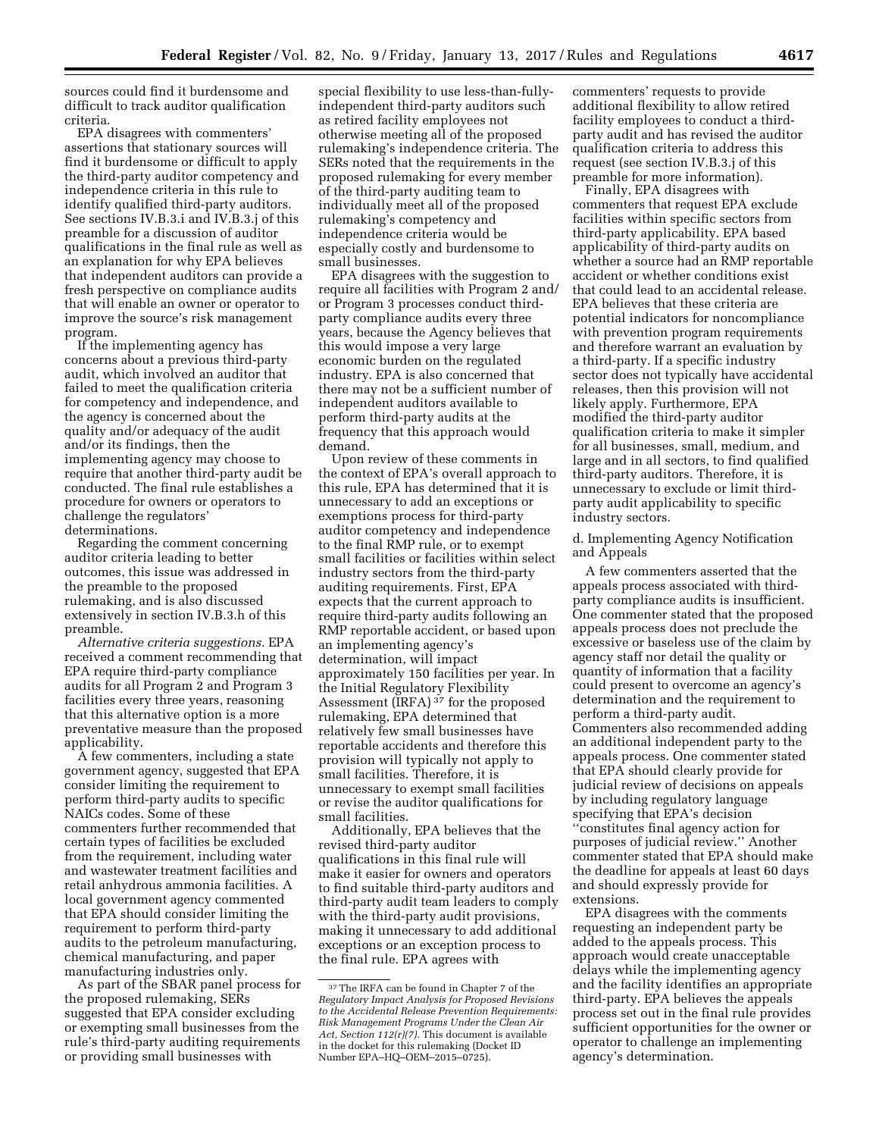sources could find it burdensome and difficult to track auditor qualification criteria.

EPA disagrees with commenters' assertions that stationary sources will find it burdensome or difficult to apply the third-party auditor competency and independence criteria in this rule to identify qualified third-party auditors. See sections IV.B.3.i and IV.B.3.j of this preamble for a discussion of auditor qualifications in the final rule as well as an explanation for why EPA believes that independent auditors can provide a fresh perspective on compliance audits that will enable an owner or operator to improve the source's risk management program.

If the implementing agency has concerns about a previous third-party audit, which involved an auditor that failed to meet the qualification criteria for competency and independence, and the agency is concerned about the quality and/or adequacy of the audit and/or its findings, then the implementing agency may choose to require that another third-party audit be conducted. The final rule establishes a procedure for owners or operators to challenge the regulators' determinations.

Regarding the comment concerning auditor criteria leading to better outcomes, this issue was addressed in the preamble to the proposed rulemaking, and is also discussed extensively in section IV.B.3.h of this preamble.

*Alternative criteria suggestions.* EPA received a comment recommending that EPA require third-party compliance audits for all Program 2 and Program 3 facilities every three years, reasoning that this alternative option is a more preventative measure than the proposed applicability.

A few commenters, including a state government agency, suggested that EPA consider limiting the requirement to perform third-party audits to specific NAICs codes. Some of these commenters further recommended that certain types of facilities be excluded from the requirement, including water and wastewater treatment facilities and retail anhydrous ammonia facilities. A local government agency commented that EPA should consider limiting the requirement to perform third-party audits to the petroleum manufacturing, chemical manufacturing, and paper manufacturing industries only.

As part of the SBAR panel process for the proposed rulemaking, SERs suggested that EPA consider excluding or exempting small businesses from the rule's third-party auditing requirements or providing small businesses with

special flexibility to use less-than-fullyindependent third-party auditors such as retired facility employees not otherwise meeting all of the proposed rulemaking's independence criteria. The SERs noted that the requirements in the proposed rulemaking for every member of the third-party auditing team to individually meet all of the proposed rulemaking's competency and independence criteria would be especially costly and burdensome to small businesses.

EPA disagrees with the suggestion to require all facilities with Program 2 and/ or Program 3 processes conduct thirdparty compliance audits every three years, because the Agency believes that this would impose a very large economic burden on the regulated industry. EPA is also concerned that there may not be a sufficient number of independent auditors available to perform third-party audits at the frequency that this approach would demand.

Upon review of these comments in the context of EPA's overall approach to this rule, EPA has determined that it is unnecessary to add an exceptions or exemptions process for third-party auditor competency and independence to the final RMP rule, or to exempt small facilities or facilities within select industry sectors from the third-party auditing requirements. First, EPA expects that the current approach to require third-party audits following an RMP reportable accident, or based upon an implementing agency's determination, will impact approximately 150 facilities per year. In the Initial Regulatory Flexibility Assessment (IRFA)<sup>37</sup> for the proposed rulemaking, EPA determined that relatively few small businesses have reportable accidents and therefore this provision will typically not apply to small facilities. Therefore, it is unnecessary to exempt small facilities or revise the auditor qualifications for small facilities.

Additionally, EPA believes that the revised third-party auditor qualifications in this final rule will make it easier for owners and operators to find suitable third-party auditors and third-party audit team leaders to comply with the third-party audit provisions, making it unnecessary to add additional exceptions or an exception process to the final rule. EPA agrees with

commenters' requests to provide additional flexibility to allow retired facility employees to conduct a thirdparty audit and has revised the auditor qualification criteria to address this request (see section IV.B.3.j of this preamble for more information).

Finally, EPA disagrees with commenters that request EPA exclude facilities within specific sectors from third-party applicability. EPA based applicability of third-party audits on whether a source had an RMP reportable accident or whether conditions exist that could lead to an accidental release. EPA believes that these criteria are potential indicators for noncompliance with prevention program requirements and therefore warrant an evaluation by a third-party. If a specific industry sector does not typically have accidental releases, then this provision will not likely apply. Furthermore, EPA modified the third-party auditor qualification criteria to make it simpler for all businesses, small, medium, and large and in all sectors, to find qualified third-party auditors. Therefore, it is unnecessary to exclude or limit thirdparty audit applicability to specific industry sectors.

d. Implementing Agency Notification and Appeals

A few commenters asserted that the appeals process associated with thirdparty compliance audits is insufficient. One commenter stated that the proposed appeals process does not preclude the excessive or baseless use of the claim by agency staff nor detail the quality or quantity of information that a facility could present to overcome an agency's determination and the requirement to perform a third-party audit. Commenters also recommended adding an additional independent party to the appeals process. One commenter stated that EPA should clearly provide for judicial review of decisions on appeals by including regulatory language specifying that EPA's decision ''constitutes final agency action for purposes of judicial review.'' Another commenter stated that EPA should make the deadline for appeals at least 60 days and should expressly provide for extensions.

EPA disagrees with the comments requesting an independent party be added to the appeals process. This approach would create unacceptable delays while the implementing agency and the facility identifies an appropriate third-party. EPA believes the appeals process set out in the final rule provides sufficient opportunities for the owner or operator to challenge an implementing agency's determination.

<sup>37</sup>The IRFA can be found in Chapter 7 of the *Regulatory Impact Analysis for Proposed Revisions to the Accidental Release Prevention Requirements: Risk Management Programs Under the Clean Air Act, Section 112(r)(7).* This document is available in the docket for this rulemaking (Docket ID Number EPA–HQ–OEM–2015–0725).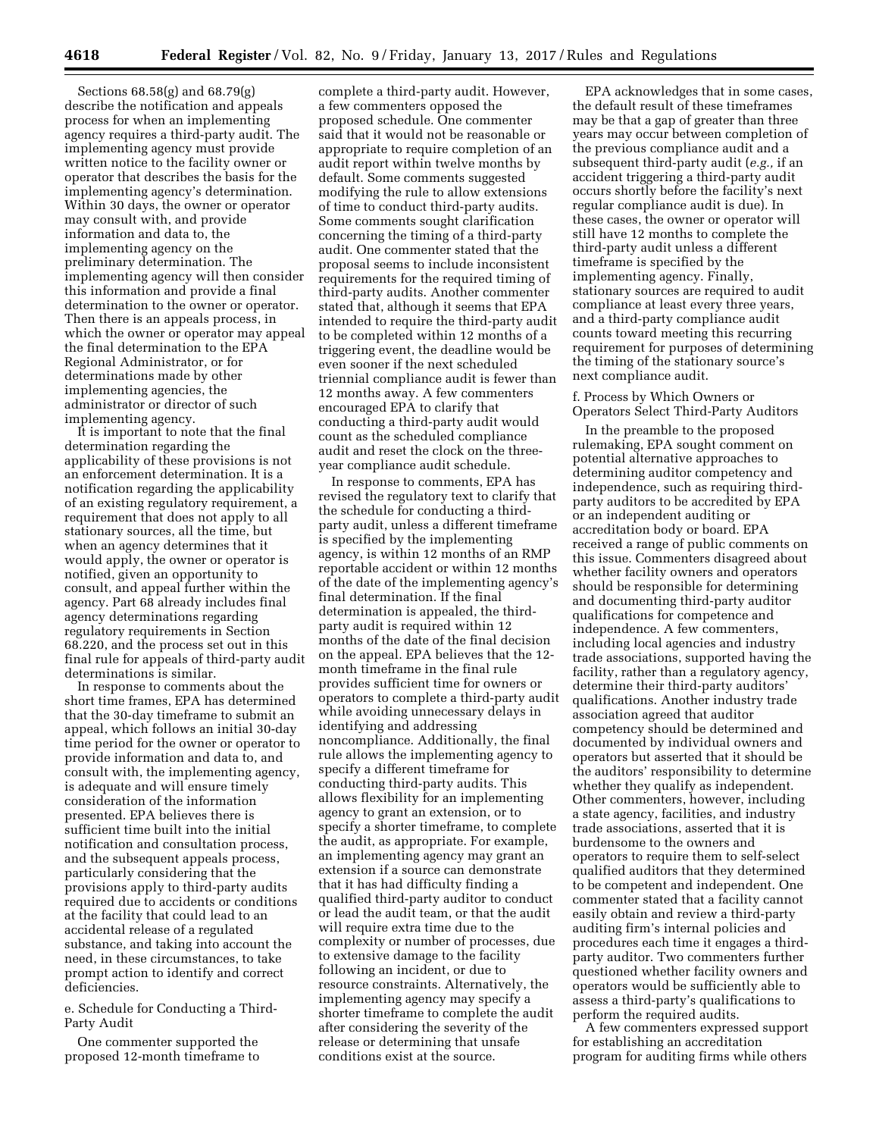Sections 68.58(g) and 68.79(g) describe the notification and appeals process for when an implementing agency requires a third-party audit. The implementing agency must provide written notice to the facility owner or operator that describes the basis for the implementing agency's determination. Within 30 days, the owner or operator may consult with, and provide information and data to, the implementing agency on the preliminary determination. The implementing agency will then consider this information and provide a final determination to the owner or operator. Then there is an appeals process, in which the owner or operator may appeal the final determination to the EPA Regional Administrator, or for determinations made by other implementing agencies, the administrator or director of such implementing agency.

It is important to note that the final determination regarding the applicability of these provisions is not an enforcement determination. It is a notification regarding the applicability of an existing regulatory requirement, a requirement that does not apply to all stationary sources, all the time, but when an agency determines that it would apply, the owner or operator is notified, given an opportunity to consult, and appeal further within the agency. Part 68 already includes final agency determinations regarding regulatory requirements in Section 68.220, and the process set out in this final rule for appeals of third-party audit determinations is similar.

In response to comments about the short time frames, EPA has determined that the 30-day timeframe to submit an appeal, which follows an initial 30-day time period for the owner or operator to provide information and data to, and consult with, the implementing agency, is adequate and will ensure timely consideration of the information presented. EPA believes there is sufficient time built into the initial notification and consultation process, and the subsequent appeals process, particularly considering that the provisions apply to third-party audits required due to accidents or conditions at the facility that could lead to an accidental release of a regulated substance, and taking into account the need, in these circumstances, to take prompt action to identify and correct deficiencies.

e. Schedule for Conducting a Third-Party Audit

One commenter supported the proposed 12-month timeframe to

complete a third-party audit. However, a few commenters opposed the proposed schedule. One commenter said that it would not be reasonable or appropriate to require completion of an audit report within twelve months by default. Some comments suggested modifying the rule to allow extensions of time to conduct third-party audits. Some comments sought clarification concerning the timing of a third-party audit. One commenter stated that the proposal seems to include inconsistent requirements for the required timing of third-party audits. Another commenter stated that, although it seems that EPA intended to require the third-party audit to be completed within 12 months of a triggering event, the deadline would be even sooner if the next scheduled triennial compliance audit is fewer than 12 months away. A few commenters encouraged EPA to clarify that conducting a third-party audit would count as the scheduled compliance audit and reset the clock on the threeyear compliance audit schedule.

In response to comments, EPA has revised the regulatory text to clarify that the schedule for conducting a thirdparty audit, unless a different timeframe is specified by the implementing agency, is within 12 months of an RMP reportable accident or within 12 months of the date of the implementing agency's final determination. If the final determination is appealed, the thirdparty audit is required within 12 months of the date of the final decision on the appeal. EPA believes that the 12 month timeframe in the final rule provides sufficient time for owners or operators to complete a third-party audit while avoiding unnecessary delays in identifying and addressing noncompliance. Additionally, the final rule allows the implementing agency to specify a different timeframe for conducting third-party audits. This allows flexibility for an implementing agency to grant an extension, or to specify a shorter timeframe, to complete the audit, as appropriate. For example, an implementing agency may grant an extension if a source can demonstrate that it has had difficulty finding a qualified third-party auditor to conduct or lead the audit team, or that the audit will require extra time due to the complexity or number of processes, due to extensive damage to the facility following an incident, or due to resource constraints. Alternatively, the implementing agency may specify a shorter timeframe to complete the audit after considering the severity of the release or determining that unsafe conditions exist at the source.

EPA acknowledges that in some cases, the default result of these timeframes may be that a gap of greater than three years may occur between completion of the previous compliance audit and a subsequent third-party audit (*e.g.,* if an accident triggering a third-party audit occurs shortly before the facility's next regular compliance audit is due). In these cases, the owner or operator will still have 12 months to complete the third-party audit unless a different timeframe is specified by the implementing agency. Finally, stationary sources are required to audit compliance at least every three years, and a third-party compliance audit counts toward meeting this recurring requirement for purposes of determining the timing of the stationary source's next compliance audit.

### f. Process by Which Owners or Operators Select Third-Party Auditors

In the preamble to the proposed rulemaking, EPA sought comment on potential alternative approaches to determining auditor competency and independence, such as requiring thirdparty auditors to be accredited by EPA or an independent auditing or accreditation body or board. EPA received a range of public comments on this issue. Commenters disagreed about whether facility owners and operators should be responsible for determining and documenting third-party auditor qualifications for competence and independence. A few commenters, including local agencies and industry trade associations, supported having the facility, rather than a regulatory agency, determine their third-party auditors' qualifications. Another industry trade association agreed that auditor competency should be determined and documented by individual owners and operators but asserted that it should be the auditors' responsibility to determine whether they qualify as independent. Other commenters, however, including a state agency, facilities, and industry trade associations, asserted that it is burdensome to the owners and operators to require them to self-select qualified auditors that they determined to be competent and independent. One commenter stated that a facility cannot easily obtain and review a third-party auditing firm's internal policies and procedures each time it engages a thirdparty auditor. Two commenters further questioned whether facility owners and operators would be sufficiently able to assess a third-party's qualifications to perform the required audits.

A few commenters expressed support for establishing an accreditation program for auditing firms while others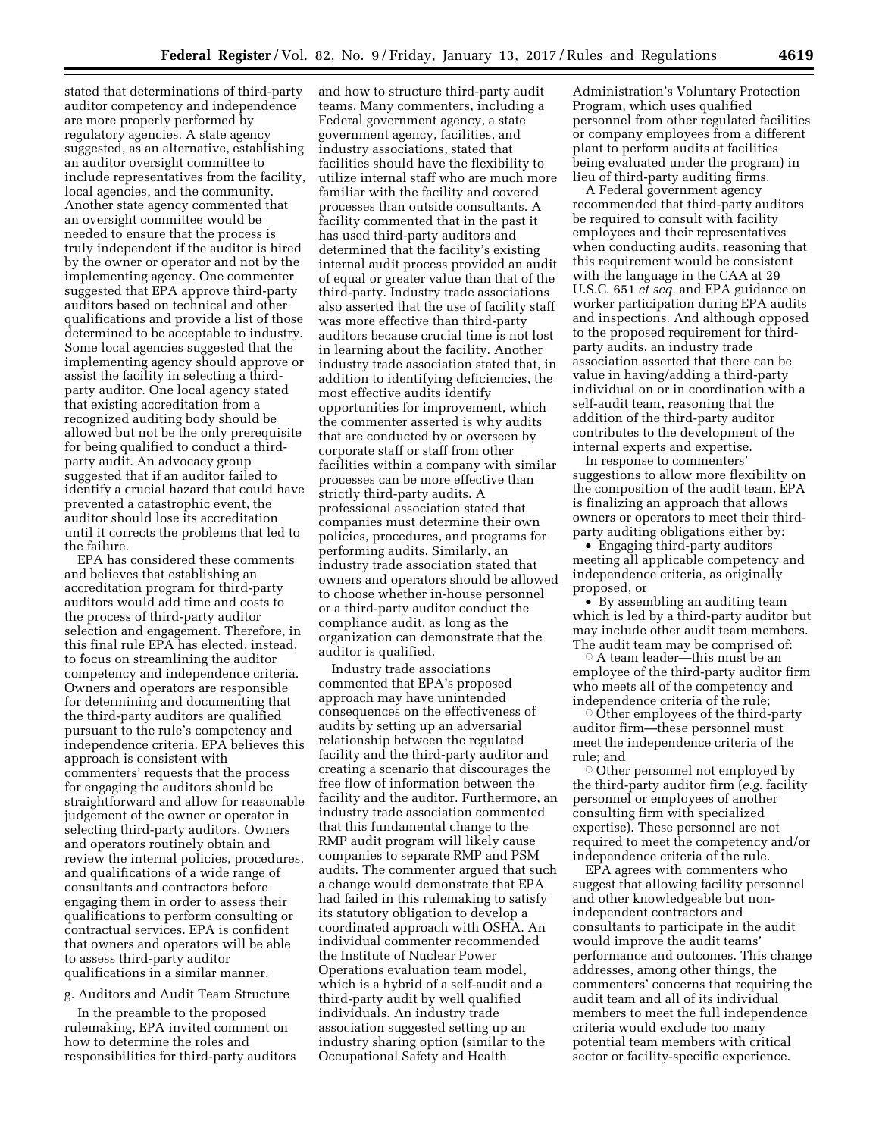stated that determinations of third-party auditor competency and independence are more properly performed by regulatory agencies. A state agency suggested, as an alternative, establishing an auditor oversight committee to include representatives from the facility, local agencies, and the community. Another state agency commented that an oversight committee would be needed to ensure that the process is truly independent if the auditor is hired by the owner or operator and not by the implementing agency. One commenter suggested that EPA approve third-party auditors based on technical and other qualifications and provide a list of those determined to be acceptable to industry. Some local agencies suggested that the implementing agency should approve or assist the facility in selecting a thirdparty auditor. One local agency stated that existing accreditation from a recognized auditing body should be allowed but not be the only prerequisite for being qualified to conduct a thirdparty audit. An advocacy group suggested that if an auditor failed to identify a crucial hazard that could have prevented a catastrophic event, the auditor should lose its accreditation until it corrects the problems that led to the failure.

EPA has considered these comments and believes that establishing an accreditation program for third-party auditors would add time and costs to the process of third-party auditor selection and engagement. Therefore, in this final rule EPA has elected, instead, to focus on streamlining the auditor competency and independence criteria. Owners and operators are responsible for determining and documenting that the third-party auditors are qualified pursuant to the rule's competency and independence criteria. EPA believes this approach is consistent with commenters' requests that the process for engaging the auditors should be straightforward and allow for reasonable judgement of the owner or operator in selecting third-party auditors. Owners and operators routinely obtain and review the internal policies, procedures, and qualifications of a wide range of consultants and contractors before engaging them in order to assess their qualifications to perform consulting or contractual services. EPA is confident that owners and operators will be able to assess third-party auditor qualifications in a similar manner.

### g. Auditors and Audit Team Structure

In the preamble to the proposed rulemaking, EPA invited comment on how to determine the roles and responsibilities for third-party auditors and how to structure third-party audit teams. Many commenters, including a Federal government agency, a state government agency, facilities, and industry associations, stated that facilities should have the flexibility to utilize internal staff who are much more familiar with the facility and covered processes than outside consultants. A facility commented that in the past it has used third-party auditors and determined that the facility's existing internal audit process provided an audit of equal or greater value than that of the third-party. Industry trade associations also asserted that the use of facility staff was more effective than third-party auditors because crucial time is not lost in learning about the facility. Another industry trade association stated that, in addition to identifying deficiencies, the most effective audits identify opportunities for improvement, which the commenter asserted is why audits that are conducted by or overseen by corporate staff or staff from other facilities within a company with similar processes can be more effective than strictly third-party audits. A professional association stated that companies must determine their own policies, procedures, and programs for performing audits. Similarly, an industry trade association stated that owners and operators should be allowed to choose whether in-house personnel or a third-party auditor conduct the compliance audit, as long as the organization can demonstrate that the auditor is qualified.

Industry trade associations commented that EPA's proposed approach may have unintended consequences on the effectiveness of audits by setting up an adversarial relationship between the regulated facility and the third-party auditor and creating a scenario that discourages the free flow of information between the facility and the auditor. Furthermore, an industry trade association commented that this fundamental change to the RMP audit program will likely cause companies to separate RMP and PSM audits. The commenter argued that such a change would demonstrate that EPA had failed in this rulemaking to satisfy its statutory obligation to develop a coordinated approach with OSHA. An individual commenter recommended the Institute of Nuclear Power Operations evaluation team model, which is a hybrid of a self-audit and a third-party audit by well qualified individuals. An industry trade association suggested setting up an industry sharing option (similar to the Occupational Safety and Health

Administration's Voluntary Protection Program, which uses qualified personnel from other regulated facilities or company employees from a different plant to perform audits at facilities being evaluated under the program) in lieu of third-party auditing firms.

A Federal government agency recommended that third-party auditors be required to consult with facility employees and their representatives when conducting audits, reasoning that this requirement would be consistent with the language in the CAA at 29 U.S.C. 651 *et seq.* and EPA guidance on worker participation during EPA audits and inspections. And although opposed to the proposed requirement for thirdparty audits, an industry trade association asserted that there can be value in having/adding a third-party individual on or in coordination with a self-audit team, reasoning that the addition of the third-party auditor contributes to the development of the internal experts and expertise.

In response to commenters' suggestions to allow more flexibility on the composition of the audit team, EPA is finalizing an approach that allows owners or operators to meet their thirdparty auditing obligations either by:

• Engaging third-party auditors meeting all applicable competency and independence criteria, as originally proposed, or

• By assembling an auditing team which is led by a third-party auditor but may include other audit team members. The audit team may be comprised of:

 $^\circ$  A team leader—this must be an employee of the third-party auditor firm who meets all of the competency and independence criteria of the rule;

 $\circ$  Other employees of the third-party auditor firm—these personnel must meet the independence criteria of the rule; and

 $\circ$  Other personnel not employed by the third-party auditor firm (*e.g.* facility personnel or employees of another consulting firm with specialized expertise). These personnel are not required to meet the competency and/or independence criteria of the rule.

EPA agrees with commenters who suggest that allowing facility personnel and other knowledgeable but nonindependent contractors and consultants to participate in the audit would improve the audit teams' performance and outcomes. This change addresses, among other things, the commenters' concerns that requiring the audit team and all of its individual members to meet the full independence criteria would exclude too many potential team members with critical sector or facility-specific experience.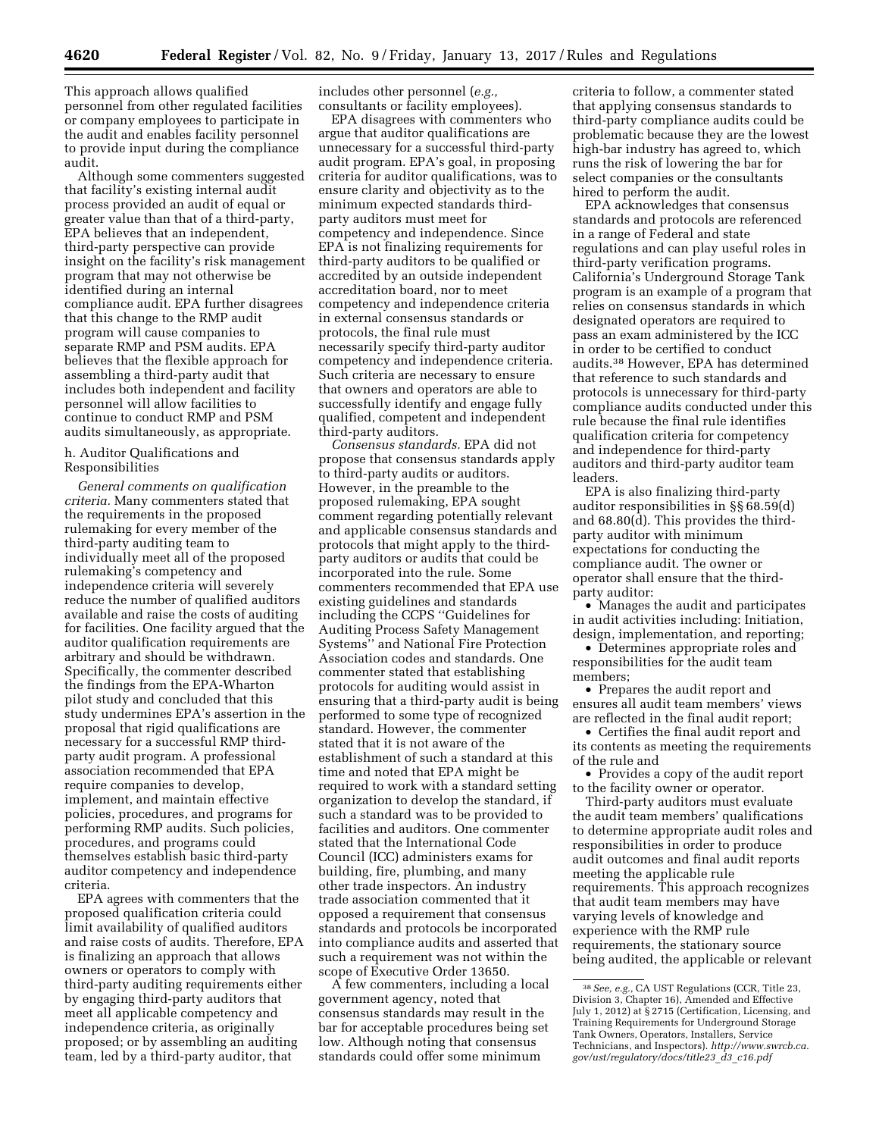This approach allows qualified personnel from other regulated facilities or company employees to participate in the audit and enables facility personnel to provide input during the compliance audit.

Although some commenters suggested that facility's existing internal audit process provided an audit of equal or greater value than that of a third-party, EPA believes that an independent, third-party perspective can provide insight on the facility's risk management program that may not otherwise be identified during an internal compliance audit. EPA further disagrees that this change to the RMP audit program will cause companies to separate RMP and PSM audits. EPA believes that the flexible approach for assembling a third-party audit that includes both independent and facility personnel will allow facilities to continue to conduct RMP and PSM audits simultaneously, as appropriate.

#### h. Auditor Qualifications and Responsibilities

*General comments on qualification criteria.* Many commenters stated that the requirements in the proposed rulemaking for every member of the third-party auditing team to individually meet all of the proposed rulemaking's competency and independence criteria will severely reduce the number of qualified auditors available and raise the costs of auditing for facilities. One facility argued that the auditor qualification requirements are arbitrary and should be withdrawn. Specifically, the commenter described the findings from the EPA-Wharton pilot study and concluded that this study undermines EPA's assertion in the proposal that rigid qualifications are necessary for a successful RMP thirdparty audit program. A professional association recommended that EPA require companies to develop, implement, and maintain effective policies, procedures, and programs for performing RMP audits. Such policies, procedures, and programs could themselves establish basic third-party auditor competency and independence criteria.

EPA agrees with commenters that the proposed qualification criteria could limit availability of qualified auditors and raise costs of audits. Therefore, EPA is finalizing an approach that allows owners or operators to comply with third-party auditing requirements either by engaging third-party auditors that meet all applicable competency and independence criteria, as originally proposed; or by assembling an auditing team, led by a third-party auditor, that

includes other personnel (*e.g.,*  consultants or facility employees).

EPA disagrees with commenters who argue that auditor qualifications are unnecessary for a successful third-party audit program. EPA's goal, in proposing criteria for auditor qualifications, was to ensure clarity and objectivity as to the minimum expected standards thirdparty auditors must meet for competency and independence. Since EPA is not finalizing requirements for third-party auditors to be qualified or accredited by an outside independent accreditation board, nor to meet competency and independence criteria in external consensus standards or protocols, the final rule must necessarily specify third-party auditor competency and independence criteria. Such criteria are necessary to ensure that owners and operators are able to successfully identify and engage fully qualified, competent and independent third-party auditors.

*Consensus standards.* EPA did not propose that consensus standards apply to third-party audits or auditors. However, in the preamble to the proposed rulemaking, EPA sought comment regarding potentially relevant and applicable consensus standards and protocols that might apply to the thirdparty auditors or audits that could be incorporated into the rule. Some commenters recommended that EPA use existing guidelines and standards including the CCPS ''Guidelines for Auditing Process Safety Management Systems'' and National Fire Protection Association codes and standards. One commenter stated that establishing protocols for auditing would assist in ensuring that a third-party audit is being performed to some type of recognized standard. However, the commenter stated that it is not aware of the establishment of such a standard at this time and noted that EPA might be required to work with a standard setting organization to develop the standard, if such a standard was to be provided to facilities and auditors. One commenter stated that the International Code Council (ICC) administers exams for building, fire, plumbing, and many other trade inspectors. An industry trade association commented that it opposed a requirement that consensus standards and protocols be incorporated into compliance audits and asserted that such a requirement was not within the scope of Executive Order 13650.

A few commenters, including a local government agency, noted that consensus standards may result in the bar for acceptable procedures being set low. Although noting that consensus standards could offer some minimum

criteria to follow, a commenter stated that applying consensus standards to third-party compliance audits could be problematic because they are the lowest high-bar industry has agreed to, which runs the risk of lowering the bar for select companies or the consultants hired to perform the audit.

EPA acknowledges that consensus standards and protocols are referenced in a range of Federal and state regulations and can play useful roles in third-party verification programs. California's Underground Storage Tank program is an example of a program that relies on consensus standards in which designated operators are required to pass an exam administered by the ICC in order to be certified to conduct audits.38 However, EPA has determined that reference to such standards and protocols is unnecessary for third-party compliance audits conducted under this rule because the final rule identifies qualification criteria for competency and independence for third-party auditors and third-party auditor team leaders.

EPA is also finalizing third-party auditor responsibilities in §§ 68.59(d) and 68.80(d). This provides the thirdparty auditor with minimum expectations for conducting the compliance audit. The owner or operator shall ensure that the thirdparty auditor:

• Manages the audit and participates in audit activities including: Initiation, design, implementation, and reporting;

• Determines appropriate roles and responsibilities for the audit team members;

• Prepares the audit report and ensures all audit team members' views are reflected in the final audit report;

• Certifies the final audit report and its contents as meeting the requirements of the rule and

• Provides a copy of the audit report to the facility owner or operator.

Third-party auditors must evaluate the audit team members' qualifications to determine appropriate audit roles and responsibilities in order to produce audit outcomes and final audit reports meeting the applicable rule requirements. This approach recognizes that audit team members may have varying levels of knowledge and experience with the RMP rule requirements, the stationary source being audited, the applicable or relevant

<sup>38</sup>*See, e.g.,* CA UST Regulations (CCR, Title 23, Division 3, Chapter 16), Amended and Effective July 1, 2012) at § 2715 (Certification, Licensing, and Training Requirements for Underground Storage Tank Owners, Operators, Installers, Service Technicians, and Inspectors). *[http://www.swrcb.ca.](http://www.swrcb.ca.gov/ust/regulatory/docs/title23_d3_c16.pdf) [gov/ust/regulatory/docs/title23](http://www.swrcb.ca.gov/ust/regulatory/docs/title23_d3_c16.pdf)*\_*d3*\_*c16.pdf*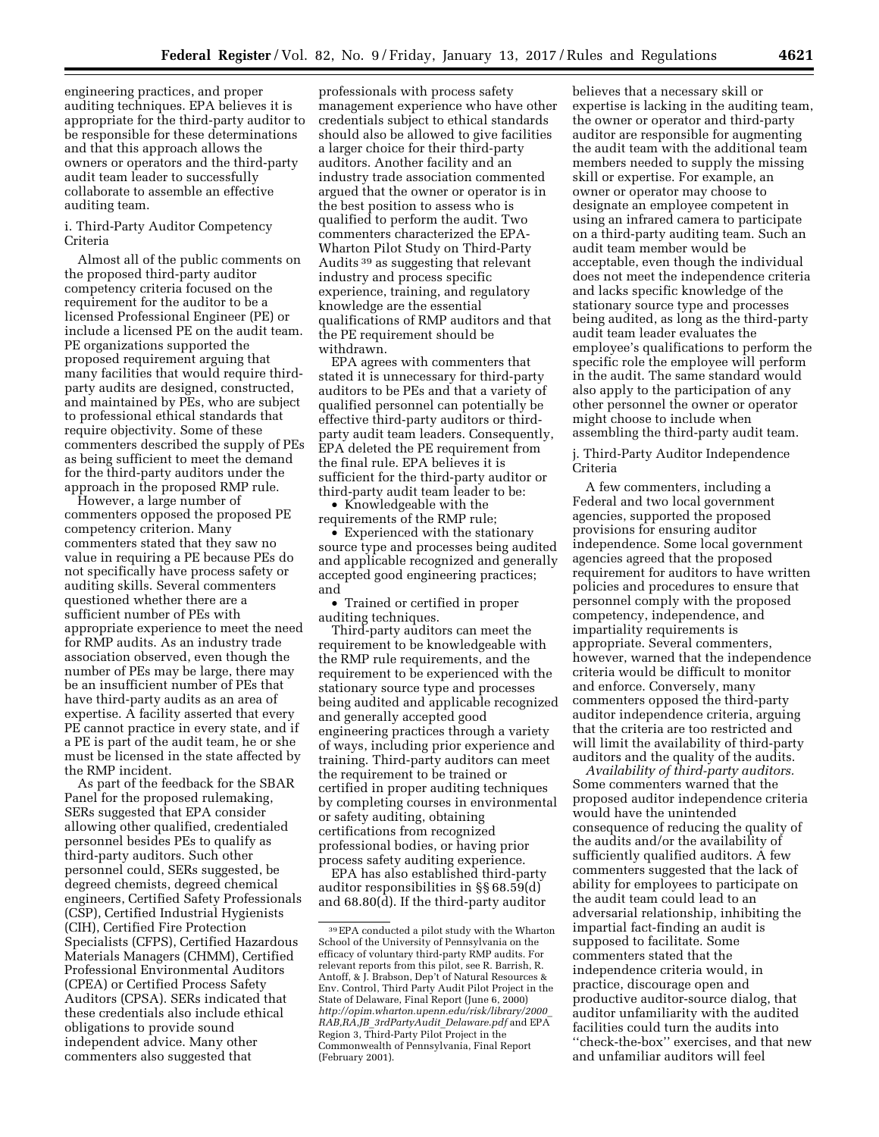engineering practices, and proper auditing techniques. EPA believes it is appropriate for the third-party auditor to be responsible for these determinations and that this approach allows the owners or operators and the third-party audit team leader to successfully collaborate to assemble an effective auditing team.

### i. Third-Party Auditor Competency Criteria

Almost all of the public comments on the proposed third-party auditor competency criteria focused on the requirement for the auditor to be a licensed Professional Engineer (PE) or include a licensed PE on the audit team. PE organizations supported the proposed requirement arguing that many facilities that would require thirdparty audits are designed, constructed, and maintained by PEs, who are subject to professional ethical standards that require objectivity. Some of these commenters described the supply of PEs as being sufficient to meet the demand for the third-party auditors under the approach in the proposed RMP rule.

However, a large number of commenters opposed the proposed PE competency criterion. Many commenters stated that they saw no value in requiring a PE because PEs do not specifically have process safety or auditing skills. Several commenters questioned whether there are a sufficient number of PEs with appropriate experience to meet the need for RMP audits. As an industry trade association observed, even though the number of PEs may be large, there may be an insufficient number of PEs that have third-party audits as an area of expertise. A facility asserted that every PE cannot practice in every state, and if a PE is part of the audit team, he or she must be licensed in the state affected by the RMP incident.

As part of the feedback for the SBAR Panel for the proposed rulemaking, SERs suggested that EPA consider allowing other qualified, credentialed personnel besides PEs to qualify as third-party auditors. Such other personnel could, SERs suggested, be degreed chemists, degreed chemical engineers, Certified Safety Professionals (CSP), Certified Industrial Hygienists (CIH), Certified Fire Protection Specialists (CFPS), Certified Hazardous Materials Managers (CHMM), Certified Professional Environmental Auditors (CPEA) or Certified Process Safety Auditors (CPSA). SERs indicated that these credentials also include ethical obligations to provide sound independent advice. Many other commenters also suggested that

professionals with process safety management experience who have other credentials subject to ethical standards should also be allowed to give facilities a larger choice for their third-party auditors. Another facility and an industry trade association commented argued that the owner or operator is in the best position to assess who is qualified to perform the audit. Two commenters characterized the EPA-Wharton Pilot Study on Third-Party Audits 39 as suggesting that relevant industry and process specific experience, training, and regulatory knowledge are the essential qualifications of RMP auditors and that the PE requirement should be withdrawn.

EPA agrees with commenters that stated it is unnecessary for third-party auditors to be PEs and that a variety of qualified personnel can potentially be effective third-party auditors or thirdparty audit team leaders. Consequently, EPA deleted the PE requirement from the final rule. EPA believes it is sufficient for the third-party auditor or third-party audit team leader to be:

• Knowledgeable with the requirements of the RMP rule;

• Experienced with the stationary source type and processes being audited and applicable recognized and generally accepted good engineering practices; and

• Trained or certified in proper auditing techniques.

Third-party auditors can meet the requirement to be knowledgeable with the RMP rule requirements, and the requirement to be experienced with the stationary source type and processes being audited and applicable recognized and generally accepted good engineering practices through a variety of ways, including prior experience and training. Third-party auditors can meet the requirement to be trained or certified in proper auditing techniques by completing courses in environmental or safety auditing, obtaining certifications from recognized professional bodies, or having prior process safety auditing experience.

EPA has also established third-party auditor responsibilities in §§ 68.59(d) and 68.80(d). If the third-party auditor believes that a necessary skill or expertise is lacking in the auditing team, the owner or operator and third-party auditor are responsible for augmenting the audit team with the additional team members needed to supply the missing skill or expertise. For example, an owner or operator may choose to designate an employee competent in using an infrared camera to participate on a third-party auditing team. Such an audit team member would be acceptable, even though the individual does not meet the independence criteria and lacks specific knowledge of the stationary source type and processes being audited, as long as the third-party audit team leader evaluates the employee's qualifications to perform the specific role the employee will perform in the audit. The same standard would also apply to the participation of any other personnel the owner or operator might choose to include when assembling the third-party audit team.

j. Third-Party Auditor Independence Criteria

A few commenters, including a Federal and two local government agencies, supported the proposed provisions for ensuring auditor independence. Some local government agencies agreed that the proposed requirement for auditors to have written policies and procedures to ensure that personnel comply with the proposed competency, independence, and impartiality requirements is appropriate. Several commenters, however, warned that the independence criteria would be difficult to monitor and enforce. Conversely, many commenters opposed the third-party auditor independence criteria, arguing that the criteria are too restricted and will limit the availability of third-party auditors and the quality of the audits.

*Availability of third-party auditors.*  Some commenters warned that the proposed auditor independence criteria would have the unintended consequence of reducing the quality of the audits and/or the availability of sufficiently qualified auditors. A few commenters suggested that the lack of ability for employees to participate on the audit team could lead to an adversarial relationship, inhibiting the impartial fact-finding an audit is supposed to facilitate. Some commenters stated that the independence criteria would, in practice, discourage open and productive auditor-source dialog, that auditor unfamiliarity with the audited facilities could turn the audits into ''check-the-box'' exercises, and that new and unfamiliar auditors will feel

<sup>39</sup>EPA conducted a pilot study with the Wharton School of the University of Pennsylvania on the efficacy of voluntary third-party RMP audits. For relevant reports from this pilot, see R. Barrish, R. Antoff, & J. Brabson, Dep't of Natural Resources & Env. Control, Third Party Audit Pilot Project in the State of Delaware, Final Report (June 6, 2000) *[http://opim.wharton.upenn.edu/risk/library/2000](http://opim.wharton.upenn.edu/risk/library/2000_RAB,RA,JB_3rdPartyAudit_Delaware.pdf)*\_ *RAB,RA,JB*\_*[3rdPartyAudit](http://opim.wharton.upenn.edu/risk/library/2000_RAB,RA,JB_3rdPartyAudit_Delaware.pdf)*\_*Delaware.pdf* and EPA Region 3, Third-Party Pilot Project in the Commonwealth of Pennsylvania, Final Report (February 2001).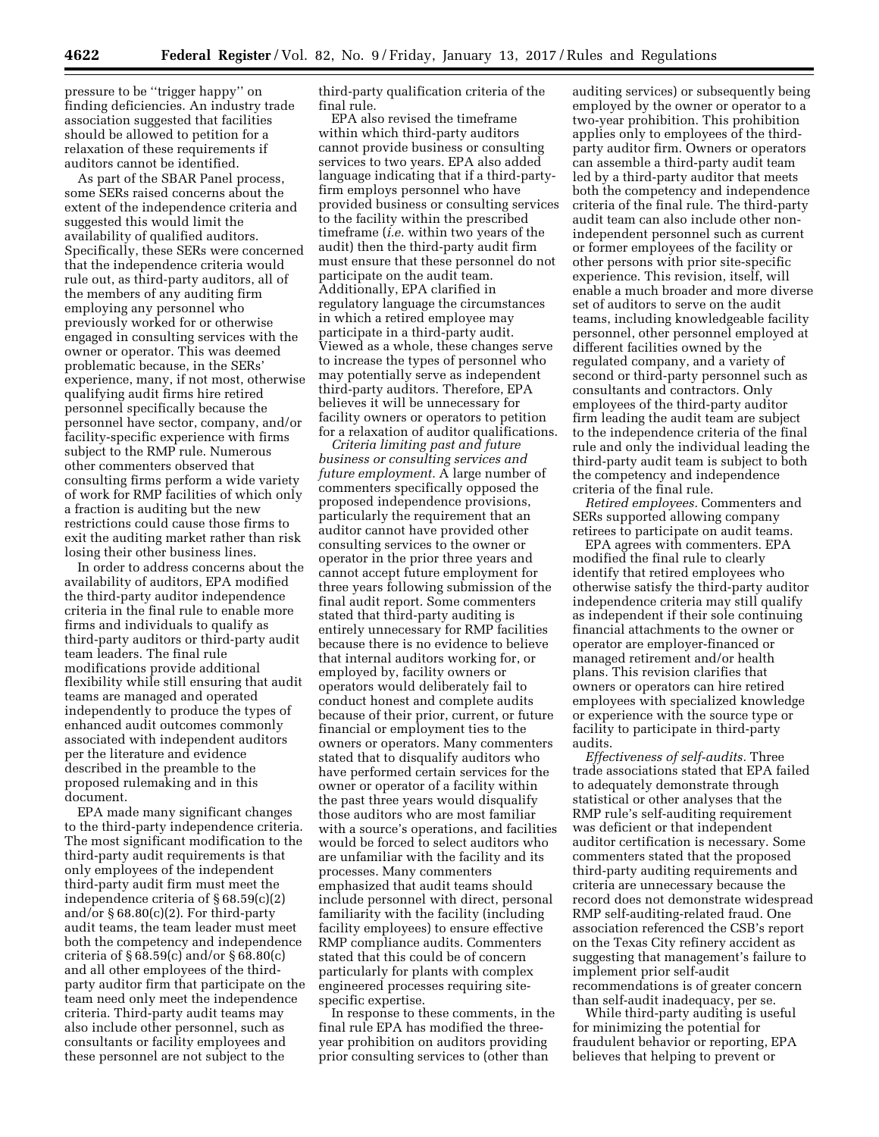pressure to be ''trigger happy'' on finding deficiencies. An industry trade association suggested that facilities should be allowed to petition for a relaxation of these requirements if auditors cannot be identified.

As part of the SBAR Panel process, some SERs raised concerns about the extent of the independence criteria and suggested this would limit the availability of qualified auditors. Specifically, these SERs were concerned that the independence criteria would rule out, as third-party auditors, all of the members of any auditing firm employing any personnel who previously worked for or otherwise engaged in consulting services with the owner or operator. This was deemed problematic because, in the SERs' experience, many, if not most, otherwise qualifying audit firms hire retired personnel specifically because the personnel have sector, company, and/or facility-specific experience with firms subject to the RMP rule. Numerous other commenters observed that consulting firms perform a wide variety of work for RMP facilities of which only a fraction is auditing but the new restrictions could cause those firms to exit the auditing market rather than risk losing their other business lines.

In order to address concerns about the availability of auditors, EPA modified the third-party auditor independence criteria in the final rule to enable more firms and individuals to qualify as third-party auditors or third-party audit team leaders. The final rule modifications provide additional flexibility while still ensuring that audit teams are managed and operated independently to produce the types of enhanced audit outcomes commonly associated with independent auditors per the literature and evidence described in the preamble to the proposed rulemaking and in this document.

EPA made many significant changes to the third-party independence criteria. The most significant modification to the third-party audit requirements is that only employees of the independent third-party audit firm must meet the independence criteria of § 68.59(c)(2) and/or  $\S 68.80(c)(2)$ . For third-party audit teams, the team leader must meet both the competency and independence criteria of § 68.59(c) and/or § 68.80(c) and all other employees of the thirdparty auditor firm that participate on the team need only meet the independence criteria. Third-party audit teams may also include other personnel, such as consultants or facility employees and these personnel are not subject to the

third-party qualification criteria of the final rule.

EPA also revised the timeframe within which third-party auditors cannot provide business or consulting services to two years. EPA also added language indicating that if a third-partyfirm employs personnel who have provided business or consulting services to the facility within the prescribed timeframe (*i.e.* within two years of the audit) then the third-party audit firm must ensure that these personnel do not participate on the audit team. Additionally, EPA clarified in regulatory language the circumstances in which a retired employee may participate in a third-party audit. Viewed as a whole, these changes serve to increase the types of personnel who may potentially serve as independent third-party auditors. Therefore, EPA believes it will be unnecessary for facility owners or operators to petition for a relaxation of auditor qualifications.

*Criteria limiting past and future business or consulting services and future employment.* A large number of commenters specifically opposed the proposed independence provisions, particularly the requirement that an auditor cannot have provided other consulting services to the owner or operator in the prior three years and cannot accept future employment for three years following submission of the final audit report. Some commenters stated that third-party auditing is entirely unnecessary for RMP facilities because there is no evidence to believe that internal auditors working for, or employed by, facility owners or operators would deliberately fail to conduct honest and complete audits because of their prior, current, or future financial or employment ties to the owners or operators. Many commenters stated that to disqualify auditors who have performed certain services for the owner or operator of a facility within the past three years would disqualify those auditors who are most familiar with a source's operations, and facilities would be forced to select auditors who are unfamiliar with the facility and its processes. Many commenters emphasized that audit teams should include personnel with direct, personal familiarity with the facility (including facility employees) to ensure effective RMP compliance audits. Commenters stated that this could be of concern particularly for plants with complex engineered processes requiring sitespecific expertise.

In response to these comments, in the final rule EPA has modified the threeyear prohibition on auditors providing prior consulting services to (other than

auditing services) or subsequently being employed by the owner or operator to a two-year prohibition. This prohibition applies only to employees of the thirdparty auditor firm. Owners or operators can assemble a third-party audit team led by a third-party auditor that meets both the competency and independence criteria of the final rule. The third-party audit team can also include other nonindependent personnel such as current or former employees of the facility or other persons with prior site-specific experience. This revision, itself, will enable a much broader and more diverse set of auditors to serve on the audit teams, including knowledgeable facility personnel, other personnel employed at different facilities owned by the regulated company, and a variety of second or third-party personnel such as consultants and contractors. Only employees of the third-party auditor firm leading the audit team are subject to the independence criteria of the final rule and only the individual leading the third-party audit team is subject to both the competency and independence criteria of the final rule.

*Retired employees.* Commenters and SERs supported allowing company retirees to participate on audit teams.

EPA agrees with commenters. EPA modified the final rule to clearly identify that retired employees who otherwise satisfy the third-party auditor independence criteria may still qualify as independent if their sole continuing financial attachments to the owner or operator are employer-financed or managed retirement and/or health plans. This revision clarifies that owners or operators can hire retired employees with specialized knowledge or experience with the source type or facility to participate in third-party audits.

*Effectiveness of self-audits.* Three trade associations stated that EPA failed to adequately demonstrate through statistical or other analyses that the RMP rule's self-auditing requirement was deficient or that independent auditor certification is necessary. Some commenters stated that the proposed third-party auditing requirements and criteria are unnecessary because the record does not demonstrate widespread RMP self-auditing-related fraud. One association referenced the CSB's report on the Texas City refinery accident as suggesting that management's failure to implement prior self-audit recommendations is of greater concern than self-audit inadequacy, per se.

While third-party auditing is useful for minimizing the potential for fraudulent behavior or reporting, EPA believes that helping to prevent or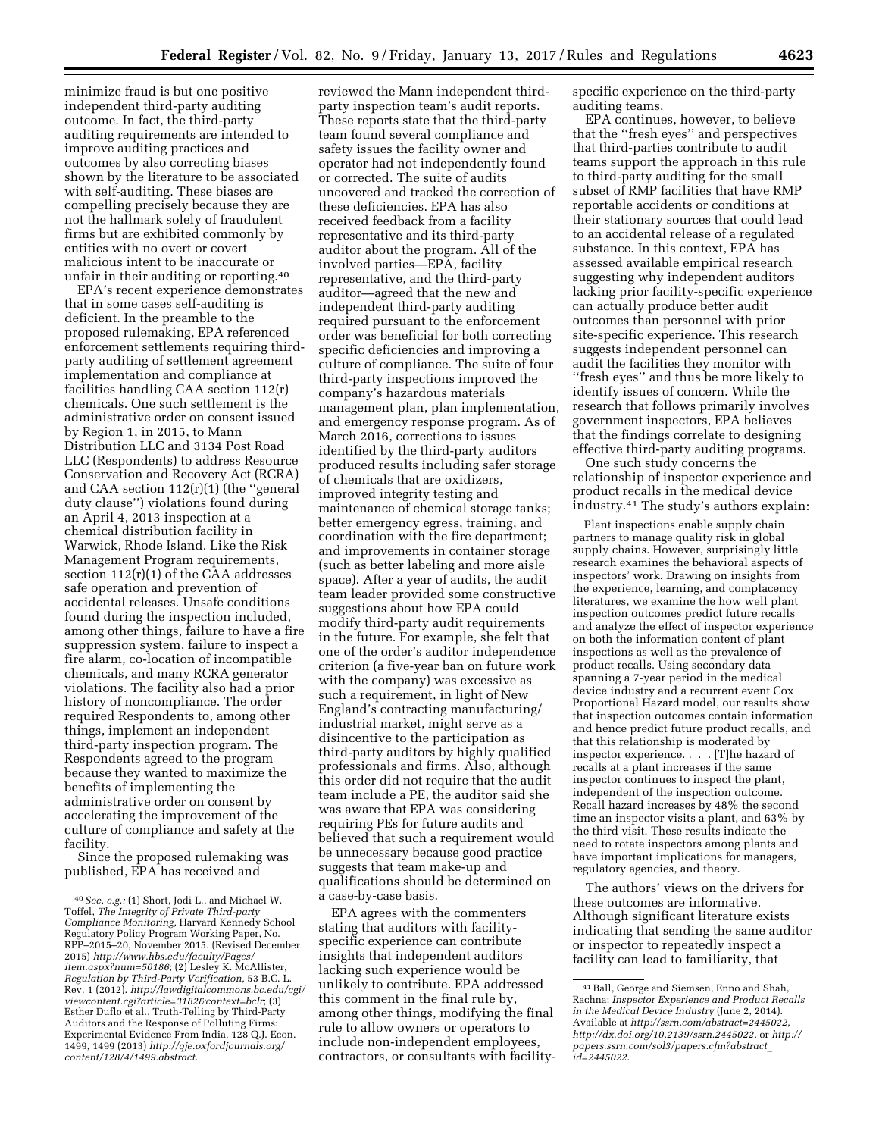minimize fraud is but one positive independent third-party auditing outcome. In fact, the third-party auditing requirements are intended to improve auditing practices and outcomes by also correcting biases shown by the literature to be associated with self-auditing. These biases are compelling precisely because they are not the hallmark solely of fraudulent firms but are exhibited commonly by entities with no overt or covert malicious intent to be inaccurate or unfair in their auditing or reporting.40

EPA's recent experience demonstrates that in some cases self-auditing is deficient. In the preamble to the proposed rulemaking, EPA referenced enforcement settlements requiring thirdparty auditing of settlement agreement implementation and compliance at facilities handling CAA section 112(r) chemicals. One such settlement is the administrative order on consent issued by Region 1, in 2015, to Mann Distribution LLC and 3134 Post Road LLC (Respondents) to address Resource Conservation and Recovery Act (RCRA) and CAA section 112(r)(1) (the ''general duty clause'') violations found during an April 4, 2013 inspection at a chemical distribution facility in Warwick, Rhode Island. Like the Risk Management Program requirements, section  $112(r)(1)$  of the CAA addresses safe operation and prevention of accidental releases. Unsafe conditions found during the inspection included, among other things, failure to have a fire suppression system, failure to inspect a fire alarm, co-location of incompatible chemicals, and many RCRA generator violations. The facility also had a prior history of noncompliance. The order required Respondents to, among other things, implement an independent third-party inspection program. The Respondents agreed to the program because they wanted to maximize the benefits of implementing the administrative order on consent by accelerating the improvement of the culture of compliance and safety at the facility.

Since the proposed rulemaking was published, EPA has received and

reviewed the Mann independent thirdparty inspection team's audit reports. These reports state that the third-party team found several compliance and safety issues the facility owner and operator had not independently found or corrected. The suite of audits uncovered and tracked the correction of these deficiencies. EPA has also received feedback from a facility representative and its third-party auditor about the program. All of the involved parties—EPA, facility representative, and the third-party auditor—agreed that the new and independent third-party auditing required pursuant to the enforcement order was beneficial for both correcting specific deficiencies and improving a culture of compliance. The suite of four third-party inspections improved the company's hazardous materials management plan, plan implementation, and emergency response program. As of March 2016, corrections to issues identified by the third-party auditors produced results including safer storage of chemicals that are oxidizers, improved integrity testing and maintenance of chemical storage tanks; better emergency egress, training, and coordination with the fire department; and improvements in container storage (such as better labeling and more aisle space). After a year of audits, the audit team leader provided some constructive suggestions about how EPA could modify third-party audit requirements in the future. For example, she felt that one of the order's auditor independence criterion (a five-year ban on future work with the company) was excessive as such a requirement, in light of New England's contracting manufacturing/ industrial market, might serve as a disincentive to the participation as third-party auditors by highly qualified professionals and firms. Also, although this order did not require that the audit team include a PE, the auditor said she was aware that EPA was considering requiring PEs for future audits and believed that such a requirement would be unnecessary because good practice suggests that team make-up and qualifications should be determined on a case-by-case basis.

EPA agrees with the commenters stating that auditors with facilityspecific experience can contribute insights that independent auditors lacking such experience would be unlikely to contribute. EPA addressed this comment in the final rule by, among other things, modifying the final rule to allow owners or operators to include non-independent employees, contractors, or consultants with facilityspecific experience on the third-party auditing teams.

EPA continues, however, to believe that the ''fresh eyes'' and perspectives that third-parties contribute to audit teams support the approach in this rule to third-party auditing for the small subset of RMP facilities that have RMP reportable accidents or conditions at their stationary sources that could lead to an accidental release of a regulated substance. In this context, EPA has assessed available empirical research suggesting why independent auditors lacking prior facility-specific experience can actually produce better audit outcomes than personnel with prior site-specific experience. This research suggests independent personnel can audit the facilities they monitor with ''fresh eyes'' and thus be more likely to identify issues of concern. While the research that follows primarily involves government inspectors, EPA believes that the findings correlate to designing effective third-party auditing programs.

One such study concerns the relationship of inspector experience and product recalls in the medical device industry.41 The study's authors explain:

Plant inspections enable supply chain partners to manage quality risk in global supply chains. However, surprisingly little research examines the behavioral aspects of inspectors' work. Drawing on insights from the experience, learning, and complacency literatures, we examine the how well plant inspection outcomes predict future recalls and analyze the effect of inspector experience on both the information content of plant inspections as well as the prevalence of product recalls. Using secondary data spanning a 7-year period in the medical device industry and a recurrent event Cox Proportional Hazard model, our results show that inspection outcomes contain information and hence predict future product recalls, and that this relationship is moderated by inspector experience. . . . [T]he hazard of recalls at a plant increases if the same inspector continues to inspect the plant, independent of the inspection outcome. Recall hazard increases by 48% the second time an inspector visits a plant, and 63% by the third visit. These results indicate the need to rotate inspectors among plants and have important implications for managers, regulatory agencies, and theory.

The authors' views on the drivers for these outcomes are informative. Although significant literature exists indicating that sending the same auditor or inspector to repeatedly inspect a facility can lead to familiarity, that

<sup>40</sup>*See, e.g.:* (1) Short, Jodi L., and Michael W. Toffel, *The Integrity of Private Third-party Compliance Monitoring,* Harvard Kennedy School Regulatory Policy Program Working Paper, No. RPP–2015–20, November 2015. (Revised December 2015) *[http://www.hbs.edu/faculty/Pages/](http://www.hbs.edu/faculty/Pages/item.aspx?num=50186) [item.aspx?num=50186](http://www.hbs.edu/faculty/Pages/item.aspx?num=50186)*; (2) Lesley K. McAllister, *Regulation by Third-Party Verification,* 53 B.C. L. Rev. 1 (2012). *[http://lawdigitalcommons.bc.edu/cgi/](http://lawdigitalcommons.bc.edu/cgi/viewcontent.cgi?article=3182&context=bclr)  [viewcontent.cgi?article=3182&context=bclr](http://lawdigitalcommons.bc.edu/cgi/viewcontent.cgi?article=3182&context=bclr)*; (3) Esther Duflo et al., Truth-Telling by Third-Party Auditors and the Response of Polluting Firms: Experimental Evidence From India, 128 Q.J. Econ. 1499, 1499 (2013) *[http://qje.oxfordjournals.org/](http://qje.oxfordjournals.org/content/128/4/1499.abstract) [content/128/4/1499.abstract](http://qje.oxfordjournals.org/content/128/4/1499.abstract)*.

<sup>41</sup>Ball, George and Siemsen, Enno and Shah, Rachna; *Inspector Experience and Product Recalls in the Medical Device Industry* (June 2, 2014). Available at *<http://ssrn.com/abstract=2445022>*, *<http://dx.doi.org/10.2139/ssrn.2445022>*, or *[http://](http://papers.ssrn.com/sol3/papers.cfm?abstract_id=2445022) [papers.ssrn.com/sol3/papers.cfm?abstract](http://papers.ssrn.com/sol3/papers.cfm?abstract_id=2445022)*\_ *[id=2445022](http://papers.ssrn.com/sol3/papers.cfm?abstract_id=2445022)*.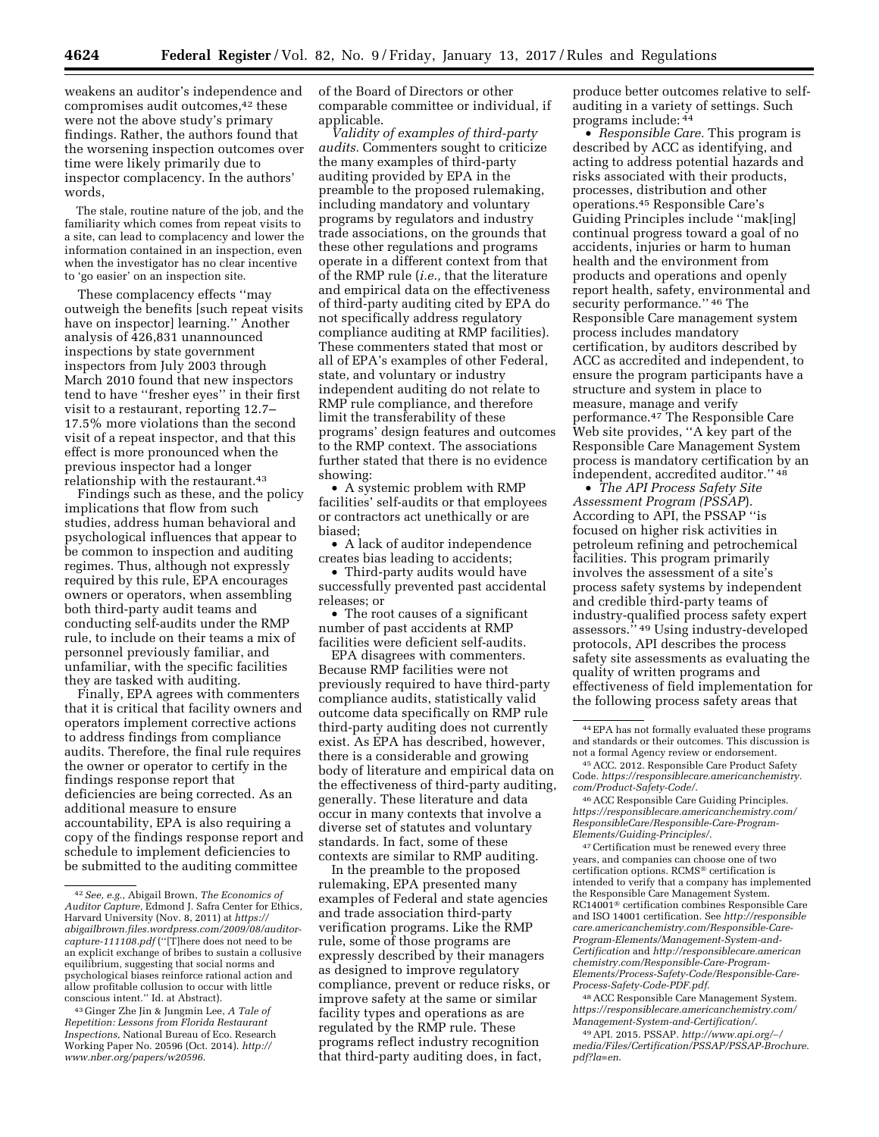weakens an auditor's independence and compromises audit outcomes,42 these were not the above study's primary findings. Rather, the authors found that the worsening inspection outcomes over time were likely primarily due to inspector complacency. In the authors' words,

The stale, routine nature of the job, and the familiarity which comes from repeat visits to a site, can lead to complacency and lower the information contained in an inspection, even when the investigator has no clear incentive to 'go easier' on an inspection site.

These complacency effects ''may outweigh the benefits [such repeat visits have on inspector] learning.'' Another analysis of 426,831 unannounced inspections by state government inspectors from July 2003 through March 2010 found that new inspectors tend to have ''fresher eyes'' in their first visit to a restaurant, reporting 12.7– 17.5% more violations than the second visit of a repeat inspector, and that this effect is more pronounced when the previous inspector had a longer relationship with the restaurant.<sup>43</sup>

Findings such as these, and the policy implications that flow from such studies, address human behavioral and psychological influences that appear to be common to inspection and auditing regimes. Thus, although not expressly required by this rule, EPA encourages owners or operators, when assembling both third-party audit teams and conducting self-audits under the RMP rule, to include on their teams a mix of personnel previously familiar, and unfamiliar, with the specific facilities they are tasked with auditing.

Finally, EPA agrees with commenters that it is critical that facility owners and operators implement corrective actions to address findings from compliance audits. Therefore, the final rule requires the owner or operator to certify in the findings response report that deficiencies are being corrected. As an additional measure to ensure accountability, EPA is also requiring a copy of the findings response report and schedule to implement deficiencies to be submitted to the auditing committee

of the Board of Directors or other comparable committee or individual, if applicable.

*Validity of examples of third-party audits.* Commenters sought to criticize the many examples of third-party auditing provided by EPA in the preamble to the proposed rulemaking, including mandatory and voluntary programs by regulators and industry trade associations, on the grounds that these other regulations and programs operate in a different context from that of the RMP rule (*i.e.,* that the literature and empirical data on the effectiveness of third-party auditing cited by EPA do not specifically address regulatory compliance auditing at RMP facilities). These commenters stated that most or all of EPA's examples of other Federal, state, and voluntary or industry independent auditing do not relate to RMP rule compliance, and therefore limit the transferability of these programs' design features and outcomes to the RMP context. The associations further stated that there is no evidence showing:

• A systemic problem with RMP facilities' self-audits or that employees or contractors act unethically or are biased;

• A lack of auditor independence creates bias leading to accidents;

• Third-party audits would have successfully prevented past accidental releases; or

• The root causes of a significant number of past accidents at RMP facilities were deficient self-audits.

EPA disagrees with commenters. Because RMP facilities were not previously required to have third-party compliance audits, statistically valid outcome data specifically on RMP rule third-party auditing does not currently exist. As EPA has described, however, there is a considerable and growing body of literature and empirical data on the effectiveness of third-party auditing, generally. These literature and data occur in many contexts that involve a diverse set of statutes and voluntary standards. In fact, some of these contexts are similar to RMP auditing.

In the preamble to the proposed rulemaking, EPA presented many examples of Federal and state agencies and trade association third-party verification programs. Like the RMP rule, some of those programs are expressly described by their managers as designed to improve regulatory compliance, prevent or reduce risks, or improve safety at the same or similar facility types and operations as are regulated by the RMP rule. These programs reflect industry recognition that third-party auditing does, in fact,

produce better outcomes relative to selfauditing in a variety of settings. Such programs include: 44

• *Responsible Care.* This program is described by ACC as identifying, and acting to address potential hazards and risks associated with their products, processes, distribution and other operations.45 Responsible Care's Guiding Principles include ''mak[ing] continual progress toward a goal of no accidents, injuries or harm to human health and the environment from products and operations and openly report health, safety, environmental and security performance." 46 The Responsible Care management system process includes mandatory certification, by auditors described by ACC as accredited and independent, to ensure the program participants have a structure and system in place to measure, manage and verify performance.47 The Responsible Care Web site provides, ''A key part of the Responsible Care Management System process is mandatory certification by an independent, accredited auditor.'' 48

• *The API Process Safety Site Assessment Program (PSSAP*). According to API, the PSSAP ''is focused on higher risk activities in petroleum refining and petrochemical facilities. This program primarily involves the assessment of a site's process safety systems by independent and credible third-party teams of industry-qualified process safety expert assessors.'' 49 Using industry-developed protocols, API describes the process safety site assessments as evaluating the quality of written programs and effectiveness of field implementation for the following process safety areas that

47Certification must be renewed every three years, and companies can choose one of two certification options. RCMS® certification is intended to verify that a company has implemented the Responsible Care Management System. RC14001® certification combines Responsible Care and ISO 14001 certification. See *[http://responsible](http://responsiblecare.americanchemistry.com/Responsible-Care-Program-Elements/Management-System-and-Certification) [care.americanchemistry.com/Responsible-Care-](http://responsiblecare.americanchemistry.com/Responsible-Care-Program-Elements/Management-System-and-Certification)[Program-Elements/Management-System-and-](http://responsiblecare.americanchemistry.com/Responsible-Care-Program-Elements/Management-System-and-Certification)[Certification](http://responsiblecare.americanchemistry.com/Responsible-Care-Program-Elements/Management-System-and-Certification)* and *[http://responsiblecare.american](http://responsiblecare.americanchemistry.com/Responsible-Care-Program-Elements/Process-Safety-Code/Responsible-Care-Process-Safety-Code-PDF.pdf) [chemistry.com/Responsible-Care-Program-](http://responsiblecare.americanchemistry.com/Responsible-Care-Program-Elements/Process-Safety-Code/Responsible-Care-Process-Safety-Code-PDF.pdf)[Elements/Process-Safety-Code/Responsible-Care-](http://responsiblecare.americanchemistry.com/Responsible-Care-Program-Elements/Process-Safety-Code/Responsible-Care-Process-Safety-Code-PDF.pdf)[Process-Safety-Code-PDF.pdf](http://responsiblecare.americanchemistry.com/Responsible-Care-Program-Elements/Process-Safety-Code/Responsible-Care-Process-Safety-Code-PDF.pdf)*.

48ACC Responsible Care Management System. *[https://responsiblecare.americanchemistry.com/](https://responsiblecare.americanchemistry.com/Management-System-and-Certification/) [Management-System-and-Certification/](https://responsiblecare.americanchemistry.com/Management-System-and-Certification/)*.

49API. 2015. PSSAP. *[http://www.api.org/](http://www.api.org/~/media/Files/Certification/PSSAP/PSSAP-Brochure.pdf?la=en)*∼*/ [media/Files/Certification/PSSAP/PSSAP-Brochure.](http://www.api.org/~/media/Files/Certification/PSSAP/PSSAP-Brochure.pdf?la=en) [pdf?la=en](http://www.api.org/~/media/Files/Certification/PSSAP/PSSAP-Brochure.pdf?la=en)*.

<sup>42</sup>*See, e.g.,* Abigail Brown, *The Economics of Auditor Capture,* Edmond J. Safra Center for Ethics, Harvard University (Nov. 8, 2011) at *[https://](https://abigailbrown.files.wordpress.com/2009/08/auditor-capture-111108.pdf) [abigailbrown.files.wordpress.com/2009/08/auditor](https://abigailbrown.files.wordpress.com/2009/08/auditor-capture-111108.pdf)[capture-111108.pdf](https://abigailbrown.files.wordpress.com/2009/08/auditor-capture-111108.pdf)* (''[T]here does not need to be an explicit exchange of bribes to sustain a collusive equilibrium, suggesting that social norms and psychological biases reinforce rational action and allow profitable collusion to occur with little conscious intent.'' Id. at Abstract).

<sup>43</sup> Ginger Zhe Jin & Jungmin Lee, *A Tale of Repetition: Lessons from Florida Restaurant Inspections,* National Bureau of Eco. Research Working Paper No. 20596 (Oct. 2014). *[http://](http://www.nber.org/papers/w20596) [www.nber.org/papers/w20596](http://www.nber.org/papers/w20596)*.

<sup>44</sup>EPA has not formally evaluated these programs and standards or their outcomes. This discussion is not a formal Agency review or endorsement.

<sup>45</sup>ACC. 2012. Responsible Care Product Safety Code. *[https://responsiblecare.americanchemistry.](https://responsiblecare.americanchemistry.com/Product-Safety-Code/) [com/Product-Safety-Code/](https://responsiblecare.americanchemistry.com/Product-Safety-Code/)*.

<sup>46</sup>ACC Responsible Care Guiding Principles. *[https://responsiblecare.americanchemistry.com/](https://responsiblecare.americanchemistry.com/ResponsibleCare/Responsible-Care-Program-Elements/Guiding-Principles/) [ResponsibleCare/Responsible-Care-Program-](https://responsiblecare.americanchemistry.com/ResponsibleCare/Responsible-Care-Program-Elements/Guiding-Principles/)[Elements/Guiding-Principles/](https://responsiblecare.americanchemistry.com/ResponsibleCare/Responsible-Care-Program-Elements/Guiding-Principles/)*.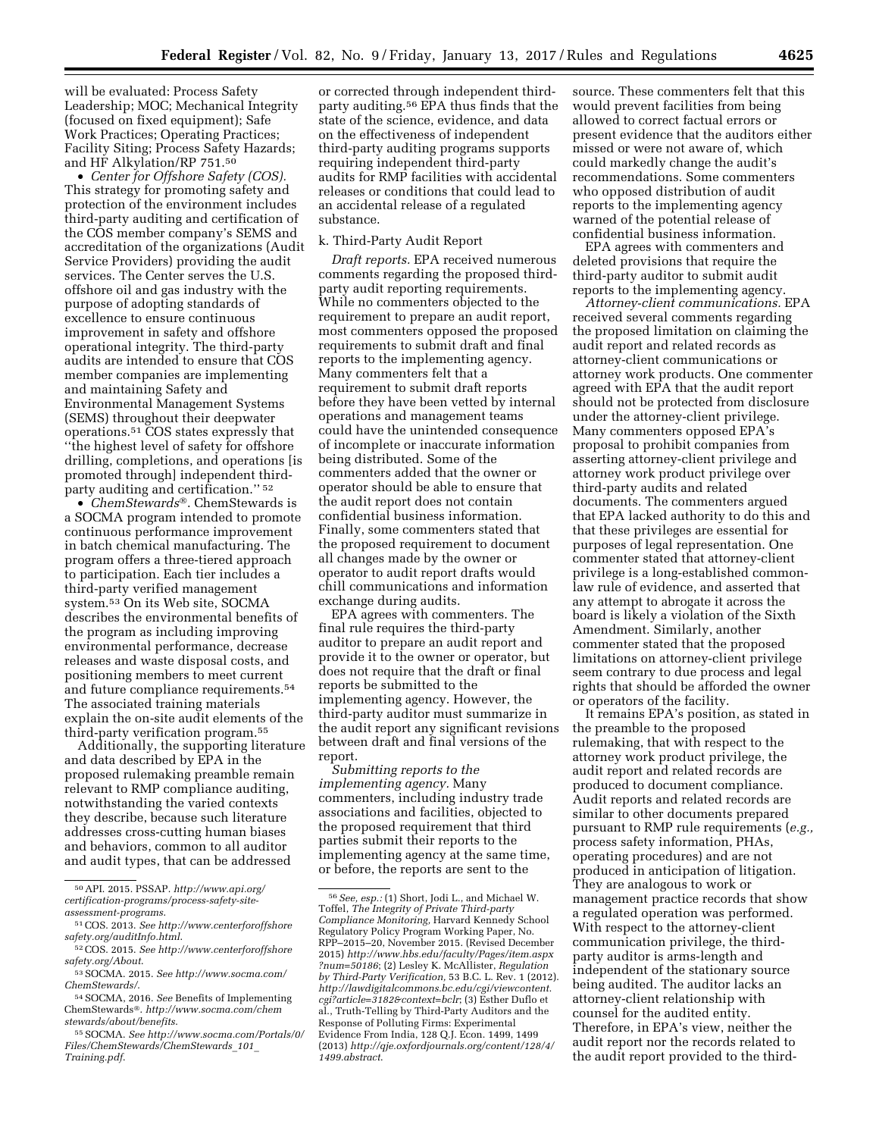will be evaluated: Process Safety Leadership; MOC; Mechanical Integrity (focused on fixed equipment); Safe Work Practices; Operating Practices; Facility Siting; Process Safety Hazards; and HF Alkylation/RP 751.50

• *Center for Offshore Safety (COS).*  This strategy for promoting safety and protection of the environment includes third-party auditing and certification of the COS member company's SEMS and accreditation of the organizations (Audit Service Providers) providing the audit services. The Center serves the U.S. offshore oil and gas industry with the purpose of adopting standards of excellence to ensure continuous improvement in safety and offshore operational integrity. The third-party audits are intended to ensure that COS member companies are implementing and maintaining Safety and Environmental Management Systems (SEMS) throughout their deepwater operations.51 COS states expressly that ''the highest level of safety for offshore drilling, completions, and operations [is promoted through] independent thirdparty auditing and certification.'' 52

• *ChemStewards*®. ChemStewards is a SOCMA program intended to promote continuous performance improvement in batch chemical manufacturing. The program offers a three-tiered approach to participation. Each tier includes a third-party verified management system.53 On its Web site, SOCMA describes the environmental benefits of the program as including improving environmental performance, decrease releases and waste disposal costs, and positioning members to meet current and future compliance requirements.54 The associated training materials explain the on-site audit elements of the third-party verification program.55

Additionally, the supporting literature and data described by EPA in the proposed rulemaking preamble remain relevant to RMP compliance auditing, notwithstanding the varied contexts they describe, because such literature addresses cross-cutting human biases and behaviors, common to all auditor and audit types, that can be addressed

50API. 2015. PSSAP. *[http://www.api.org/](http://www.api.org/certification-programs/process-safety-site-assessment-programs) [certification-programs/process-safety-site-](http://www.api.org/certification-programs/process-safety-site-assessment-programs)*

*[assessment-programs](http://www.api.org/certification-programs/process-safety-site-assessment-programs)*.

or corrected through independent thirdparty auditing.56 EPA thus finds that the state of the science, evidence, and data on the effectiveness of independent third-party auditing programs supports requiring independent third-party audits for RMP facilities with accidental releases or conditions that could lead to an accidental release of a regulated substance.

#### k. Third-Party Audit Report

*Draft reports.* EPA received numerous comments regarding the proposed thirdparty audit reporting requirements. While no commenters objected to the requirement to prepare an audit report, most commenters opposed the proposed requirements to submit draft and final reports to the implementing agency. Many commenters felt that a requirement to submit draft reports before they have been vetted by internal operations and management teams could have the unintended consequence of incomplete or inaccurate information being distributed. Some of the commenters added that the owner or operator should be able to ensure that the audit report does not contain confidential business information. Finally, some commenters stated that the proposed requirement to document all changes made by the owner or operator to audit report drafts would chill communications and information exchange during audits.

EPA agrees with commenters. The final rule requires the third-party auditor to prepare an audit report and provide it to the owner or operator, but does not require that the draft or final reports be submitted to the implementing agency. However, the third-party auditor must summarize in the audit report any significant revisions between draft and final versions of the report.

*Submitting reports to the implementing agency.* Many commenters, including industry trade associations and facilities, objected to the proposed requirement that third parties submit their reports to the implementing agency at the same time, or before, the reports are sent to the

source. These commenters felt that this would prevent facilities from being allowed to correct factual errors or present evidence that the auditors either missed or were not aware of, which could markedly change the audit's recommendations. Some commenters who opposed distribution of audit reports to the implementing agency warned of the potential release of confidential business information.

EPA agrees with commenters and deleted provisions that require the third-party auditor to submit audit reports to the implementing agency.

*Attorney-client communications.* EPA received several comments regarding the proposed limitation on claiming the audit report and related records as attorney-client communications or attorney work products. One commenter agreed with EPA that the audit report should not be protected from disclosure under the attorney-client privilege. Many commenters opposed EPA's proposal to prohibit companies from asserting attorney-client privilege and attorney work product privilege over third-party audits and related documents. The commenters argued that EPA lacked authority to do this and that these privileges are essential for purposes of legal representation. One commenter stated that attorney-client privilege is a long-established commonlaw rule of evidence, and asserted that any attempt to abrogate it across the board is likely a violation of the Sixth Amendment. Similarly, another commenter stated that the proposed limitations on attorney-client privilege seem contrary to due process and legal rights that should be afforded the owner or operators of the facility.

It remains EPA's position, as stated in the preamble to the proposed rulemaking, that with respect to the attorney work product privilege, the audit report and related records are produced to document compliance. Audit reports and related records are similar to other documents prepared pursuant to RMP rule requirements (*e.g.,*  process safety information, PHAs, operating procedures) and are not produced in anticipation of litigation. They are analogous to work or management practice records that show a regulated operation was performed. With respect to the attorney-client communication privilege, the thirdparty auditor is arms-length and independent of the stationary source being audited. The auditor lacks an attorney-client relationship with counsel for the audited entity. Therefore, in EPA's view, neither the audit report nor the records related to the audit report provided to the third-

<sup>51</sup>COS. 2013. *See [http://www.centerforoffshore](http://www.centerforoffshoresafety.org/auditInfo.html) [safety.org/auditInfo.html](http://www.centerforoffshoresafety.org/auditInfo.html)*.

<sup>52</sup>COS. 2015. *See [http://www.centerforoffshore](http://www.centerforoffshoresafety.org/About) [safety.org/About](http://www.centerforoffshoresafety.org/About)*.

<sup>53</sup>SOCMA. 2015. *See [http://www.socma.com/](http://www.socma.com/ChemStewards/) [ChemStewards/](http://www.socma.com/ChemStewards/)*.

<sup>54</sup>SOCMA, 2016. *See* Benefits of Implementing ChemStewards®. *[http://www.socma.com/chem](http://www.socma.com/chemstewards/about/benefits) [stewards/about/benefits](http://www.socma.com/chemstewards/about/benefits)*.

<sup>55</sup>SOCMA. *See [http://www.socma.com/Portals/0/](http://www.socma.com/Portals/0/Files/ChemStewards/ChemStewards_101_Training.pdf)  [Files/ChemStewards/ChemStewards](http://www.socma.com/Portals/0/Files/ChemStewards/ChemStewards_101_Training.pdf)*\_*101*\_ *[Training.pdf](http://www.socma.com/Portals/0/Files/ChemStewards/ChemStewards_101_Training.pdf)*.

<sup>56</sup>*See, esp.:* (1) Short, Jodi L., and Michael W. Toffel, *The Integrity of Private Third-party Compliance Monitoring,* Harvard Kennedy School Regulatory Policy Program Working Paper, No. RPP–2015–20, November 2015. (Revised December 2015) *[http://www.hbs.edu/faculty/Pages/item.aspx](http://www.hbs.edu/faculty/Pages/item.aspx?num=50186) [?num=50186](http://www.hbs.edu/faculty/Pages/item.aspx?num=50186)*; (2) Lesley K. McAllister, *Regulation by Third-Party Verification,* 53 B.C. L. Rev. 1 (2012). *[http://lawdigitalcommons.bc.edu/cgi/viewcontent.](http://lawdigitalcommons.bc.edu/cgi/viewcontent.cgi?article=3182&context=bclr) [cgi?article=3182&context=bclr](http://lawdigitalcommons.bc.edu/cgi/viewcontent.cgi?article=3182&context=bclr)*; (3) Esther Duflo et al., Truth-Telling by Third-Party Auditors and the Response of Polluting Firms: Experimental Evidence From India, 128 Q.J. Econ. 1499, 1499 (2013) *[http://qje.oxfordjournals.org/content/128/4/](http://qje.oxfordjournals.org/content/128/4/1499.abstract) [1499.abstract](http://qje.oxfordjournals.org/content/128/4/1499.abstract)*.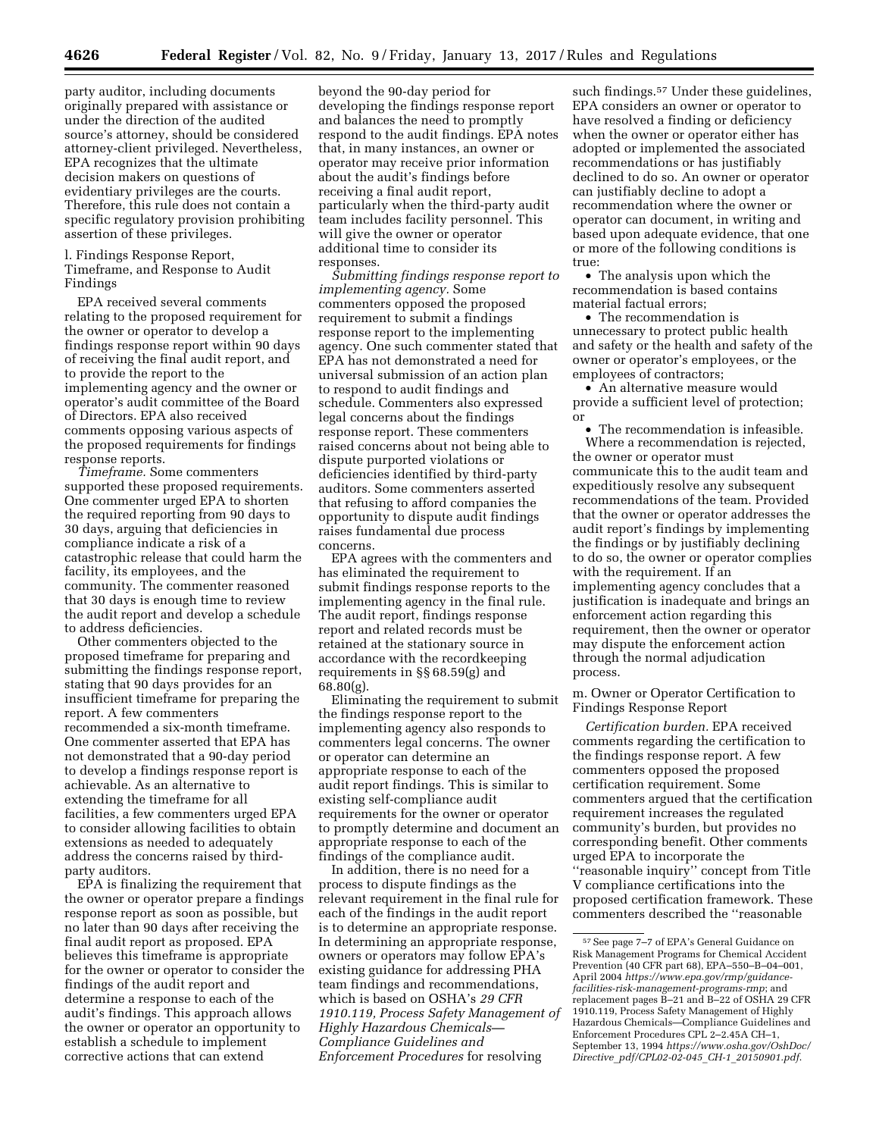party auditor, including documents originally prepared with assistance or under the direction of the audited source's attorney, should be considered attorney-client privileged. Nevertheless, EPA recognizes that the ultimate decision makers on questions of evidentiary privileges are the courts. Therefore, this rule does not contain a specific regulatory provision prohibiting assertion of these privileges.

l. Findings Response Report, Timeframe, and Response to Audit Findings

EPA received several comments relating to the proposed requirement for the owner or operator to develop a findings response report within 90 days of receiving the final audit report, and to provide the report to the implementing agency and the owner or operator's audit committee of the Board of Directors. EPA also received comments opposing various aspects of the proposed requirements for findings response reports.

*Timeframe.* Some commenters supported these proposed requirements. One commenter urged EPA to shorten the required reporting from 90 days to 30 days, arguing that deficiencies in compliance indicate a risk of a catastrophic release that could harm the facility, its employees, and the community. The commenter reasoned that 30 days is enough time to review the audit report and develop a schedule to address deficiencies.

Other commenters objected to the proposed timeframe for preparing and submitting the findings response report, stating that 90 days provides for an insufficient timeframe for preparing the report. A few commenters recommended a six-month timeframe. One commenter asserted that EPA has not demonstrated that a 90-day period to develop a findings response report is achievable. As an alternative to extending the timeframe for all facilities, a few commenters urged EPA to consider allowing facilities to obtain extensions as needed to adequately address the concerns raised by thirdparty auditors.

EPA is finalizing the requirement that the owner or operator prepare a findings response report as soon as possible, but no later than 90 days after receiving the final audit report as proposed. EPA believes this timeframe is appropriate for the owner or operator to consider the findings of the audit report and determine a response to each of the audit's findings. This approach allows the owner or operator an opportunity to establish a schedule to implement corrective actions that can extend

beyond the 90-day period for developing the findings response report and balances the need to promptly respond to the audit findings. EPA notes that, in many instances, an owner or operator may receive prior information about the audit's findings before receiving a final audit report, particularly when the third-party audit team includes facility personnel. This will give the owner or operator additional time to consider its responses.

*Submitting findings response report to implementing agency.* Some commenters opposed the proposed requirement to submit a findings response report to the implementing agency. One such commenter stated that EPA has not demonstrated a need for universal submission of an action plan to respond to audit findings and schedule. Commenters also expressed legal concerns about the findings response report. These commenters raised concerns about not being able to dispute purported violations or deficiencies identified by third-party auditors. Some commenters asserted that refusing to afford companies the opportunity to dispute audit findings raises fundamental due process concerns.

EPA agrees with the commenters and has eliminated the requirement to submit findings response reports to the implementing agency in the final rule. The audit report, findings response report and related records must be retained at the stationary source in accordance with the recordkeeping requirements in §§ 68.59(g) and 68.80(g).

Eliminating the requirement to submit the findings response report to the implementing agency also responds to commenters legal concerns. The owner or operator can determine an appropriate response to each of the audit report findings. This is similar to existing self-compliance audit requirements for the owner or operator to promptly determine and document an appropriate response to each of the findings of the compliance audit.

In addition, there is no need for a process to dispute findings as the relevant requirement in the final rule for each of the findings in the audit report is to determine an appropriate response. In determining an appropriate response, owners or operators may follow EPA's existing guidance for addressing PHA team findings and recommendations, which is based on OSHA's *29 CFR 1910.119, Process Safety Management of Highly Hazardous Chemicals— Compliance Guidelines and Enforcement Procedures* for resolving

such findings.<sup>57</sup> Under these guidelines, EPA considers an owner or operator to have resolved a finding or deficiency when the owner or operator either has adopted or implemented the associated recommendations or has justifiably declined to do so. An owner or operator can justifiably decline to adopt a recommendation where the owner or operator can document, in writing and based upon adequate evidence, that one or more of the following conditions is true:

• The analysis upon which the recommendation is based contains material factual errors;

• The recommendation is unnecessary to protect public health and safety or the health and safety of the owner or operator's employees, or the employees of contractors;

• An alternative measure would provide a sufficient level of protection; or

• The recommendation is infeasible. Where a recommendation is rejected, the owner or operator must communicate this to the audit team and expeditiously resolve any subsequent recommendations of the team. Provided that the owner or operator addresses the audit report's findings by implementing the findings or by justifiably declining to do so, the owner or operator complies with the requirement. If an implementing agency concludes that a justification is inadequate and brings an enforcement action regarding this requirement, then the owner or operator may dispute the enforcement action through the normal adjudication process.

m. Owner or Operator Certification to Findings Response Report

*Certification burden.* EPA received comments regarding the certification to the findings response report. A few commenters opposed the proposed certification requirement. Some commenters argued that the certification requirement increases the regulated community's burden, but provides no corresponding benefit. Other comments urged EPA to incorporate the ''reasonable inquiry'' concept from Title V compliance certifications into the proposed certification framework. These commenters described the ''reasonable

<sup>57</sup>See page 7–7 of EPA's General Guidance on Risk Management Programs for Chemical Accident Prevention (40 CFR part 68), EPA–550–B–04–001, April 2004 *[https://www.epa.gov/rmp/guidance](https://www.epa.gov/rmp/guidance-facilities-risk-management-programs-rmp)[facilities-risk-management-programs-rmp](https://www.epa.gov/rmp/guidance-facilities-risk-management-programs-rmp)*; and replacement pages B–21 and B–22 of OSHA 29 CFR 1910.119, Process Safety Management of Highly Hazardous Chemicals—Compliance Guidelines and Enforcement Procedures CPL 2–2.45A CH–1, September 13, 1994 *[https://www.osha.gov/OshDoc/](https://www.osha.gov/OshDoc/Directive_pdf/CPL02-02-045_CH-1_20150901.pdf)  Directive*\_*[pdf/CPL02-02-045](https://www.osha.gov/OshDoc/Directive_pdf/CPL02-02-045_CH-1_20150901.pdf)*\_*CH-1*\_*20150901.pdf*.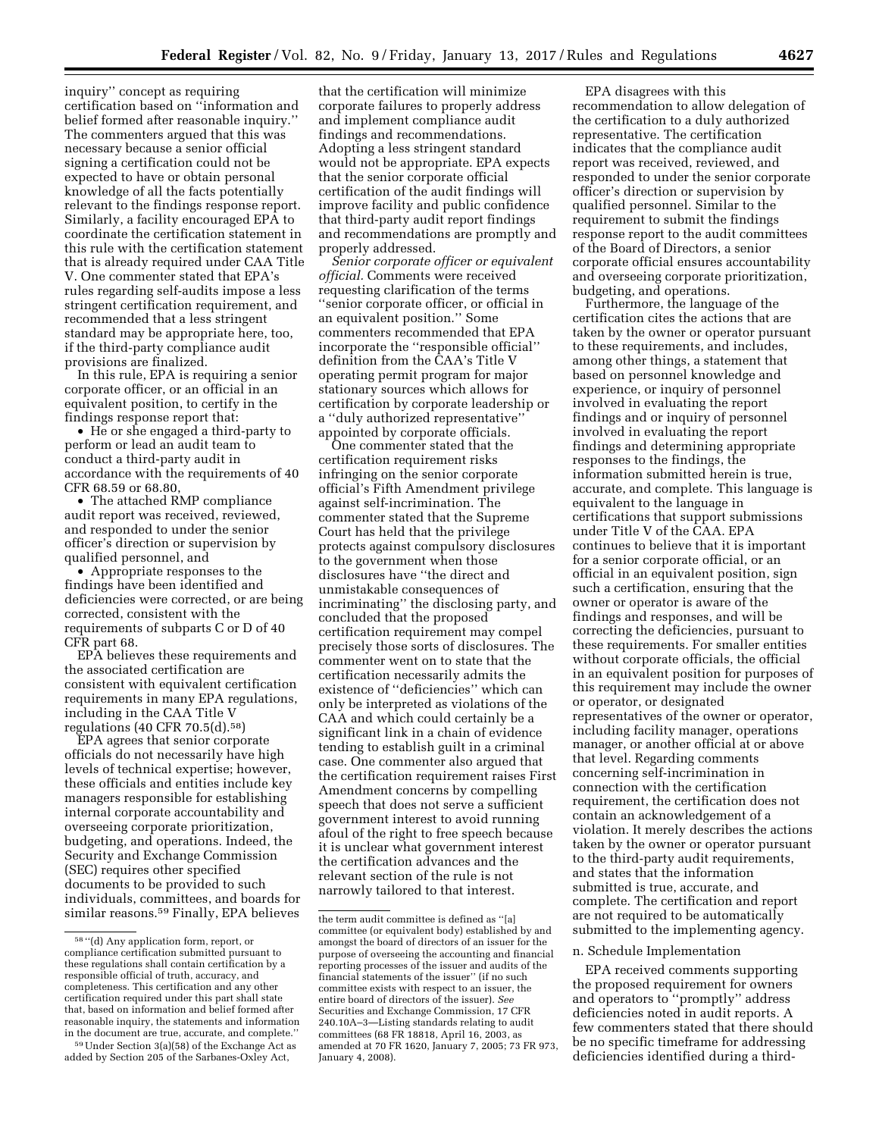inquiry'' concept as requiring certification based on ''information and belief formed after reasonable inquiry.'' The commenters argued that this was necessary because a senior official signing a certification could not be expected to have or obtain personal knowledge of all the facts potentially relevant to the findings response report. Similarly, a facility encouraged EPA to coordinate the certification statement in this rule with the certification statement that is already required under CAA Title V. One commenter stated that EPA's rules regarding self-audits impose a less stringent certification requirement, and recommended that a less stringent standard may be appropriate here, too, if the third-party compliance audit provisions are finalized.

In this rule, EPA is requiring a senior corporate officer, or an official in an equivalent position, to certify in the findings response report that:

• He or she engaged a third-party to perform or lead an audit team to conduct a third-party audit in accordance with the requirements of 40 CFR 68.59 or 68.80,

• The attached RMP compliance audit report was received, reviewed, and responded to under the senior officer's direction or supervision by qualified personnel, and

• Appropriate responses to the findings have been identified and deficiencies were corrected, or are being corrected, consistent with the requirements of subparts C or D of 40 CFR part 68.

EPA believes these requirements and the associated certification are consistent with equivalent certification requirements in many EPA regulations, including in the CAA Title V regulations  $(40 \text{ CFR } 70.5 \text{ (d)}\cdot 58)$ 

EPA agrees that senior corporate officials do not necessarily have high levels of technical expertise; however, these officials and entities include key managers responsible for establishing internal corporate accountability and overseeing corporate prioritization, budgeting, and operations. Indeed, the Security and Exchange Commission (SEC) requires other specified documents to be provided to such individuals, committees, and boards for similar reasons.59 Finally, EPA believes

that the certification will minimize corporate failures to properly address and implement compliance audit findings and recommendations. Adopting a less stringent standard would not be appropriate. EPA expects that the senior corporate official certification of the audit findings will improve facility and public confidence that third-party audit report findings and recommendations are promptly and properly addressed.

*Senior corporate officer or equivalent official.* Comments were received requesting clarification of the terms ''senior corporate officer, or official in an equivalent position.'' Some commenters recommended that EPA incorporate the ''responsible official'' definition from the CAA's Title V operating permit program for major stationary sources which allows for certification by corporate leadership or a ''duly authorized representative'' appointed by corporate officials.

One commenter stated that the certification requirement risks infringing on the senior corporate official's Fifth Amendment privilege against self-incrimination. The commenter stated that the Supreme Court has held that the privilege protects against compulsory disclosures to the government when those disclosures have ''the direct and unmistakable consequences of incriminating'' the disclosing party, and concluded that the proposed certification requirement may compel precisely those sorts of disclosures. The commenter went on to state that the certification necessarily admits the existence of ''deficiencies'' which can only be interpreted as violations of the CAA and which could certainly be a significant link in a chain of evidence tending to establish guilt in a criminal case. One commenter also argued that the certification requirement raises First Amendment concerns by compelling speech that does not serve a sufficient government interest to avoid running afoul of the right to free speech because it is unclear what government interest the certification advances and the relevant section of the rule is not narrowly tailored to that interest.

EPA disagrees with this recommendation to allow delegation of the certification to a duly authorized representative. The certification indicates that the compliance audit report was received, reviewed, and responded to under the senior corporate officer's direction or supervision by qualified personnel. Similar to the requirement to submit the findings response report to the audit committees of the Board of Directors, a senior corporate official ensures accountability and overseeing corporate prioritization, budgeting, and operations.

Furthermore, the language of the certification cites the actions that are taken by the owner or operator pursuant to these requirements, and includes, among other things, a statement that based on personnel knowledge and experience, or inquiry of personnel involved in evaluating the report findings and or inquiry of personnel involved in evaluating the report findings and determining appropriate responses to the findings, the information submitted herein is true, accurate, and complete. This language is equivalent to the language in certifications that support submissions under Title V of the CAA. EPA continues to believe that it is important for a senior corporate official, or an official in an equivalent position, sign such a certification, ensuring that the owner or operator is aware of the findings and responses, and will be correcting the deficiencies, pursuant to these requirements. For smaller entities without corporate officials, the official in an equivalent position for purposes of this requirement may include the owner or operator, or designated representatives of the owner or operator, including facility manager, operations manager, or another official at or above that level. Regarding comments concerning self-incrimination in connection with the certification requirement, the certification does not contain an acknowledgement of a violation. It merely describes the actions taken by the owner or operator pursuant to the third-party audit requirements, and states that the information submitted is true, accurate, and complete. The certification and report are not required to be automatically submitted to the implementing agency.

#### n. Schedule Implementation

EPA received comments supporting the proposed requirement for owners and operators to ''promptly'' address deficiencies noted in audit reports. A few commenters stated that there should be no specific timeframe for addressing deficiencies identified during a third-

<sup>58</sup> ''(d) Any application form, report, or compliance certification submitted pursuant to these regulations shall contain certification by a responsible official of truth, accuracy, and completeness. This certification and any other certification required under this part shall state that, based on information and belief formed after reasonable inquiry, the statements and information in the document are true, accurate, and complete.''

<sup>59</sup>Under Section 3(a)(58) of the Exchange Act as added by Section 205 of the Sarbanes-Oxley Act,

the term audit committee is defined as ''[a] committee (or equivalent body) established by and amongst the board of directors of an issuer for the purpose of overseeing the accounting and financial reporting processes of the issuer and audits of the financial statements of the issuer'' (if no such committee exists with respect to an issuer, the entire board of directors of the issuer). *See*  Securities and Exchange Commission, 17 CFR 240.10A–3—Listing standards relating to audit committees (68 FR 18818, April 16, 2003, as amended at 70 FR 1620, January 7, 2005; 73 FR 973, January 4, 2008).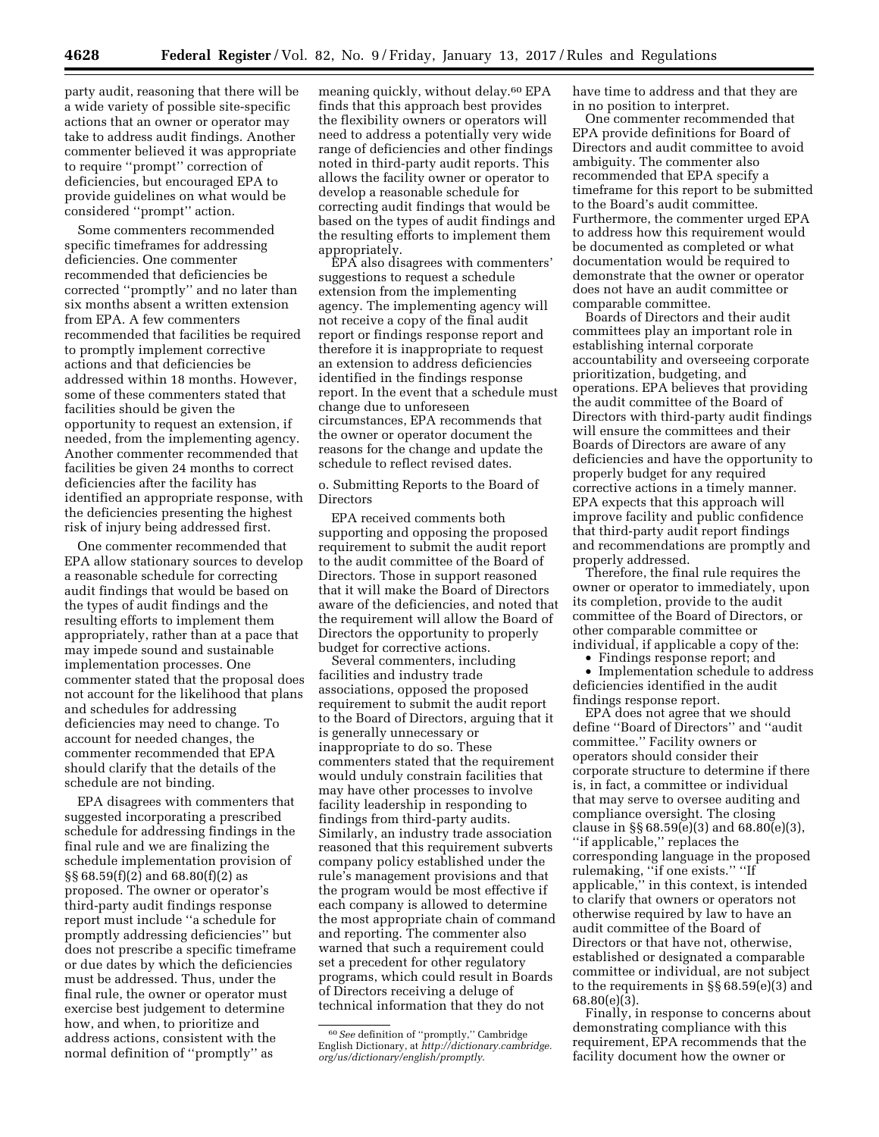party audit, reasoning that there will be a wide variety of possible site-specific actions that an owner or operator may take to address audit findings. Another commenter believed it was appropriate to require ''prompt'' correction of deficiencies, but encouraged EPA to provide guidelines on what would be considered ''prompt'' action.

Some commenters recommended specific timeframes for addressing deficiencies. One commenter recommended that deficiencies be corrected ''promptly'' and no later than six months absent a written extension from EPA. A few commenters recommended that facilities be required to promptly implement corrective actions and that deficiencies be addressed within 18 months. However, some of these commenters stated that facilities should be given the opportunity to request an extension, if needed, from the implementing agency. Another commenter recommended that facilities be given 24 months to correct deficiencies after the facility has identified an appropriate response, with the deficiencies presenting the highest risk of injury being addressed first.

One commenter recommended that EPA allow stationary sources to develop a reasonable schedule for correcting audit findings that would be based on the types of audit findings and the resulting efforts to implement them appropriately, rather than at a pace that may impede sound and sustainable implementation processes. One commenter stated that the proposal does not account for the likelihood that plans and schedules for addressing deficiencies may need to change. To account for needed changes, the commenter recommended that EPA should clarify that the details of the schedule are not binding.

EPA disagrees with commenters that suggested incorporating a prescribed schedule for addressing findings in the final rule and we are finalizing the schedule implementation provision of §§ 68.59(f)(2) and 68.80(f)(2) as proposed. The owner or operator's third-party audit findings response report must include ''a schedule for promptly addressing deficiencies'' but does not prescribe a specific timeframe or due dates by which the deficiencies must be addressed. Thus, under the final rule, the owner or operator must exercise best judgement to determine how, and when, to prioritize and address actions, consistent with the normal definition of ''promptly'' as

meaning quickly, without delay.60 EPA finds that this approach best provides the flexibility owners or operators will need to address a potentially very wide range of deficiencies and other findings noted in third-party audit reports. This allows the facility owner or operator to develop a reasonable schedule for correcting audit findings that would be based on the types of audit findings and the resulting efforts to implement them appropriately.

EPA also disagrees with commenters' suggestions to request a schedule extension from the implementing agency. The implementing agency will not receive a copy of the final audit report or findings response report and therefore it is inappropriate to request an extension to address deficiencies identified in the findings response report. In the event that a schedule must change due to unforeseen circumstances, EPA recommends that the owner or operator document the reasons for the change and update the schedule to reflect revised dates.

o. Submitting Reports to the Board of Directors

EPA received comments both supporting and opposing the proposed requirement to submit the audit report to the audit committee of the Board of Directors. Those in support reasoned that it will make the Board of Directors aware of the deficiencies, and noted that the requirement will allow the Board of Directors the opportunity to properly budget for corrective actions.

Several commenters, including facilities and industry trade associations, opposed the proposed requirement to submit the audit report to the Board of Directors, arguing that it is generally unnecessary or inappropriate to do so. These commenters stated that the requirement would unduly constrain facilities that may have other processes to involve facility leadership in responding to findings from third-party audits. Similarly, an industry trade association reasoned that this requirement subverts company policy established under the rule's management provisions and that the program would be most effective if each company is allowed to determine the most appropriate chain of command and reporting. The commenter also warned that such a requirement could set a precedent for other regulatory programs, which could result in Boards of Directors receiving a deluge of technical information that they do not

have time to address and that they are in no position to interpret.

One commenter recommended that EPA provide definitions for Board of Directors and audit committee to avoid ambiguity. The commenter also recommended that EPA specify a timeframe for this report to be submitted to the Board's audit committee. Furthermore, the commenter urged EPA to address how this requirement would be documented as completed or what documentation would be required to demonstrate that the owner or operator does not have an audit committee or comparable committee.

Boards of Directors and their audit committees play an important role in establishing internal corporate accountability and overseeing corporate prioritization, budgeting, and operations. EPA believes that providing the audit committee of the Board of Directors with third-party audit findings will ensure the committees and their Boards of Directors are aware of any deficiencies and have the opportunity to properly budget for any required corrective actions in a timely manner. EPA expects that this approach will improve facility and public confidence that third-party audit report findings and recommendations are promptly and properly addressed.

Therefore, the final rule requires the owner or operator to immediately, upon its completion, provide to the audit committee of the Board of Directors, or other comparable committee or individual, if applicable a copy of the:

• Findings response report; and

• Implementation schedule to address deficiencies identified in the audit findings response report.

EPA does not agree that we should define ''Board of Directors'' and ''audit committee.'' Facility owners or operators should consider their corporate structure to determine if there is, in fact, a committee or individual that may serve to oversee auditing and compliance oversight. The closing clause in §§ 68.59(e)(3) and 68.80(e)(3), ''if applicable,'' replaces the corresponding language in the proposed rulemaking, ''if one exists.'' ''If applicable,'' in this context, is intended to clarify that owners or operators not otherwise required by law to have an audit committee of the Board of Directors or that have not, otherwise, established or designated a comparable committee or individual, are not subject to the requirements in §§ 68.59(e)(3) and 68.80(e)(3).

Finally, in response to concerns about demonstrating compliance with this requirement, EPA recommends that the facility document how the owner or

<sup>60</sup>*See* definition of ''promptly,'' Cambridge English Dictionary, at *[http://dictionary.cambridge.](http://dictionary.cambridge.org/us/dictionary/english/promptly) [org/us/dictionary/english/promptly](http://dictionary.cambridge.org/us/dictionary/english/promptly)*.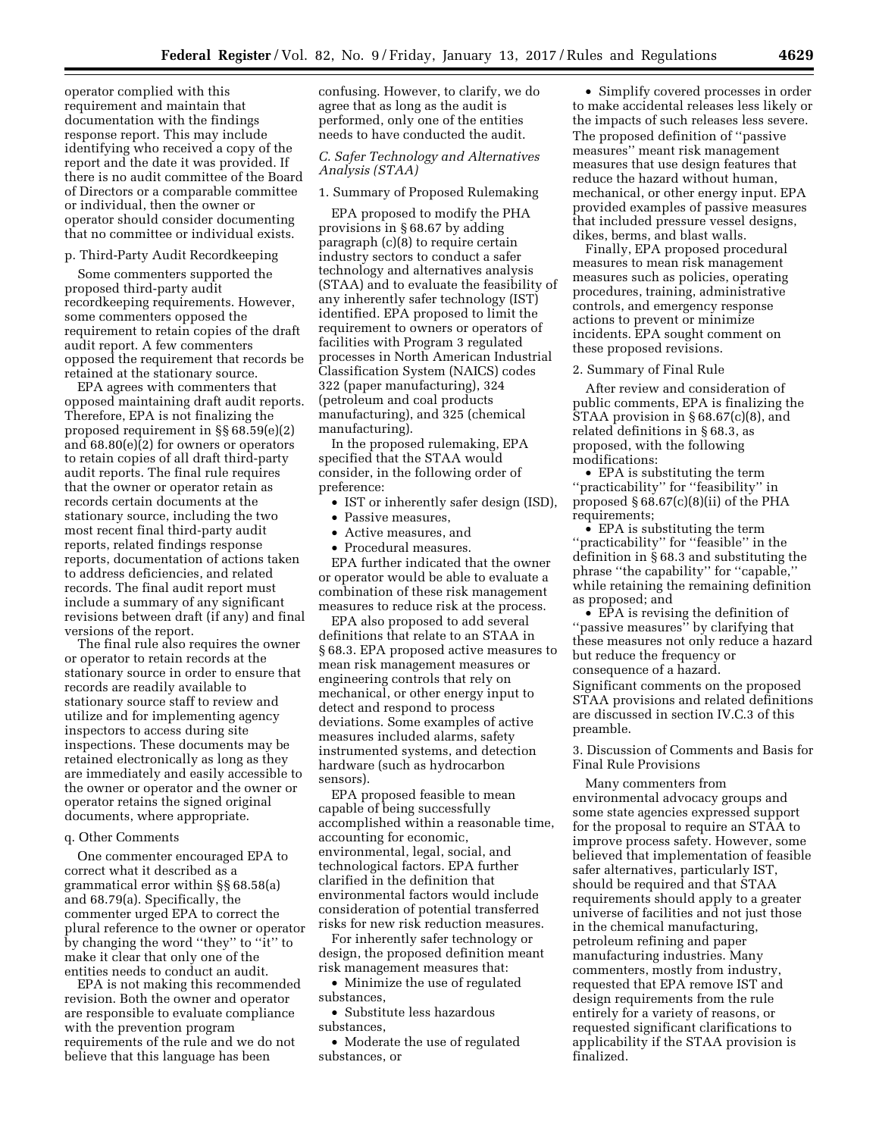operator complied with this requirement and maintain that documentation with the findings response report. This may include identifying who received a copy of the report and the date it was provided. If there is no audit committee of the Board of Directors or a comparable committee or individual, then the owner or operator should consider documenting that no committee or individual exists.

#### p. Third-Party Audit Recordkeeping

Some commenters supported the proposed third-party audit recordkeeping requirements. However, some commenters opposed the requirement to retain copies of the draft audit report. A few commenters opposed the requirement that records be retained at the stationary source.

EPA agrees with commenters that opposed maintaining draft audit reports. Therefore, EPA is not finalizing the proposed requirement in §§ 68.59(e)(2) and 68.80(e)(2) for owners or operators to retain copies of all draft third-party audit reports. The final rule requires that the owner or operator retain as records certain documents at the stationary source, including the two most recent final third-party audit reports, related findings response reports, documentation of actions taken to address deficiencies, and related records. The final audit report must include a summary of any significant revisions between draft (if any) and final versions of the report.

The final rule also requires the owner or operator to retain records at the stationary source in order to ensure that records are readily available to stationary source staff to review and utilize and for implementing agency inspectors to access during site inspections. These documents may be retained electronically as long as they are immediately and easily accessible to the owner or operator and the owner or operator retains the signed original documents, where appropriate.

### q. Other Comments

One commenter encouraged EPA to correct what it described as a grammatical error within §§ 68.58(a) and 68.79(a). Specifically, the commenter urged EPA to correct the plural reference to the owner or operator by changing the word ''they'' to ''it'' to make it clear that only one of the entities needs to conduct an audit.

EPA is not making this recommended revision. Both the owner and operator are responsible to evaluate compliance with the prevention program requirements of the rule and we do not believe that this language has been

confusing. However, to clarify, we do agree that as long as the audit is performed, only one of the entities needs to have conducted the audit.

### *C. Safer Technology and Alternatives Analysis (STAA)*

### 1. Summary of Proposed Rulemaking

EPA proposed to modify the PHA provisions in § 68.67 by adding paragraph (c)(8) to require certain industry sectors to conduct a safer technology and alternatives analysis (STAA) and to evaluate the feasibility of any inherently safer technology (IST) identified. EPA proposed to limit the requirement to owners or operators of facilities with Program 3 regulated processes in North American Industrial Classification System (NAICS) codes 322 (paper manufacturing), 324 (petroleum and coal products manufacturing), and 325 (chemical manufacturing).

In the proposed rulemaking, EPA specified that the STAA would consider, in the following order of preference:

- IST or inherently safer design (ISD),
- Passive measures,
- Active measures, and
- Procedural measures.

EPA further indicated that the owner or operator would be able to evaluate a combination of these risk management measures to reduce risk at the process.

EPA also proposed to add several definitions that relate to an STAA in § 68.3. EPA proposed active measures to mean risk management measures or engineering controls that rely on mechanical, or other energy input to detect and respond to process deviations. Some examples of active measures included alarms, safety instrumented systems, and detection hardware (such as hydrocarbon sensors).

EPA proposed feasible to mean capable of being successfully accomplished within a reasonable time, accounting for economic, environmental, legal, social, and technological factors. EPA further clarified in the definition that environmental factors would include consideration of potential transferred risks for new risk reduction measures.

For inherently safer technology or design, the proposed definition meant risk management measures that:

• Minimize the use of regulated substances,

• Substitute less hazardous substances,

• Moderate the use of regulated substances, or

• Simplify covered processes in order to make accidental releases less likely or the impacts of such releases less severe. The proposed definition of ''passive measures'' meant risk management measures that use design features that reduce the hazard without human, mechanical, or other energy input. EPA provided examples of passive measures that included pressure vessel designs, dikes, berms, and blast walls.

Finally, EPA proposed procedural measures to mean risk management measures such as policies, operating procedures, training, administrative controls, and emergency response actions to prevent or minimize incidents. EPA sought comment on these proposed revisions.

#### 2. Summary of Final Rule

After review and consideration of public comments, EPA is finalizing the STAA provision in § 68.67(c)(8), and related definitions in § 68.3, as proposed, with the following modifications:

• EPA is substituting the term ''practicability'' for ''feasibility'' in proposed  $\S 68.67(c)(8)(ii)$  of the PHA requirements;

• EPA is substituting the term ''practicability'' for ''feasible'' in the definition in § 68.3 and substituting the phrase ''the capability'' for ''capable,'' while retaining the remaining definition as proposed; and

 $\bullet$  EPA is revising the definition of ''passive measures'' by clarifying that these measures not only reduce a hazard but reduce the frequency or consequence of a hazard. Significant comments on the proposed STAA provisions and related definitions are discussed in section IV.C.3 of this

3. Discussion of Comments and Basis for Final Rule Provisions

preamble.

Many commenters from environmental advocacy groups and some state agencies expressed support for the proposal to require an STAA to improve process safety. However, some believed that implementation of feasible safer alternatives, particularly IST, should be required and that STAA requirements should apply to a greater universe of facilities and not just those in the chemical manufacturing, petroleum refining and paper manufacturing industries. Many commenters, mostly from industry, requested that EPA remove IST and design requirements from the rule entirely for a variety of reasons, or requested significant clarifications to applicability if the STAA provision is finalized.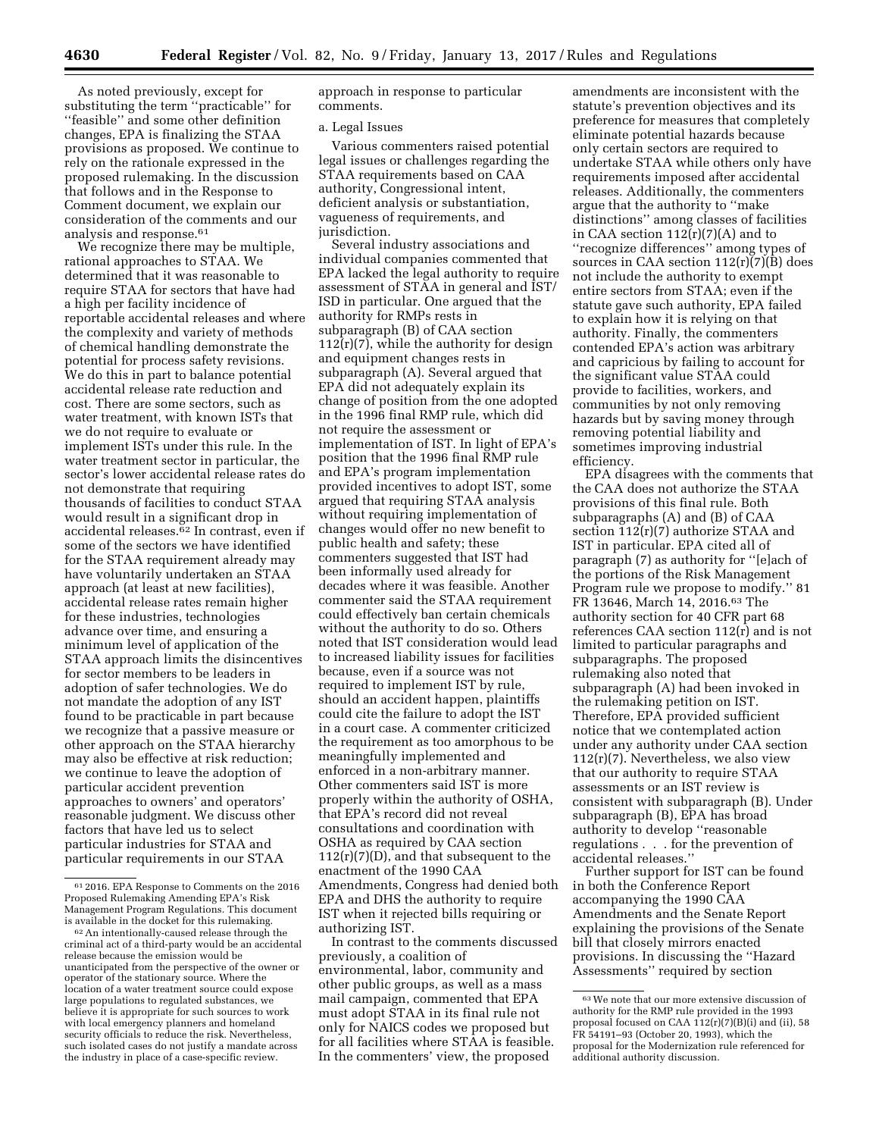As noted previously, except for substituting the term ''practicable'' for ''feasible'' and some other definition changes, EPA is finalizing the STAA provisions as proposed. We continue to rely on the rationale expressed in the proposed rulemaking. In the discussion that follows and in the Response to Comment document, we explain our consideration of the comments and our analysis and response.<sup>61</sup>

We recognize there may be multiple, rational approaches to STAA. We determined that it was reasonable to require STAA for sectors that have had a high per facility incidence of reportable accidental releases and where the complexity and variety of methods of chemical handling demonstrate the potential for process safety revisions. We do this in part to balance potential accidental release rate reduction and cost. There are some sectors, such as water treatment, with known ISTs that we do not require to evaluate or implement ISTs under this rule. In the water treatment sector in particular, the sector's lower accidental release rates do not demonstrate that requiring thousands of facilities to conduct STAA would result in a significant drop in accidental releases.62 In contrast, even if some of the sectors we have identified for the STAA requirement already may have voluntarily undertaken an STAA approach (at least at new facilities), accidental release rates remain higher for these industries, technologies advance over time, and ensuring a minimum level of application of the STAA approach limits the disincentives for sector members to be leaders in adoption of safer technologies. We do not mandate the adoption of any IST found to be practicable in part because we recognize that a passive measure or other approach on the STAA hierarchy may also be effective at risk reduction; we continue to leave the adoption of particular accident prevention approaches to owners' and operators' reasonable judgment. We discuss other factors that have led us to select particular industries for STAA and particular requirements in our STAA

approach in response to particular comments.

#### a. Legal Issues

Various commenters raised potential legal issues or challenges regarding the STAA requirements based on CAA authority, Congressional intent, deficient analysis or substantiation, vagueness of requirements, and jurisdiction.

Several industry associations and individual companies commented that EPA lacked the legal authority to require assessment of STAA in general and IST/ ISD in particular. One argued that the authority for RMPs rests in subparagraph (B) of CAA section  $112(r)(7)$ , while the authority for design and equipment changes rests in subparagraph (A). Several argued that EPA did not adequately explain its change of position from the one adopted in the 1996 final RMP rule, which did not require the assessment or implementation of IST. In light of EPA's position that the 1996 final RMP rule and EPA's program implementation provided incentives to adopt IST, some argued that requiring STAA analysis without requiring implementation of changes would offer no new benefit to public health and safety; these commenters suggested that IST had been informally used already for decades where it was feasible. Another commenter said the STAA requirement could effectively ban certain chemicals without the authority to do so. Others noted that IST consideration would lead to increased liability issues for facilities because, even if a source was not required to implement IST by rule, should an accident happen, plaintiffs could cite the failure to adopt the IST in a court case. A commenter criticized the requirement as too amorphous to be meaningfully implemented and enforced in a non-arbitrary manner. Other commenters said IST is more properly within the authority of OSHA, that EPA's record did not reveal consultations and coordination with OSHA as required by CAA section  $112(r)(7)(D)$ , and that subsequent to the enactment of the 1990 CAA Amendments, Congress had denied both EPA and DHS the authority to require IST when it rejected bills requiring or authorizing IST.

In contrast to the comments discussed previously, a coalition of environmental, labor, community and other public groups, as well as a mass mail campaign, commented that EPA must adopt STAA in its final rule not only for NAICS codes we proposed but for all facilities where STAA is feasible. In the commenters' view, the proposed

amendments are inconsistent with the statute's prevention objectives and its preference for measures that completely eliminate potential hazards because only certain sectors are required to undertake STAA while others only have requirements imposed after accidental releases. Additionally, the commenters argue that the authority to ''make distinctions'' among classes of facilities in CAA section  $112(r)(7)(A)$  and to ''recognize differences'' among types of sources in CAA section  $112(r)\overline{(7)}$ (B) does not include the authority to exempt entire sectors from STAA; even if the statute gave such authority, EPA failed to explain how it is relying on that authority. Finally, the commenters contended EPA's action was arbitrary and capricious by failing to account for the significant value STAA could provide to facilities, workers, and communities by not only removing hazards but by saving money through removing potential liability and sometimes improving industrial efficiency.

EPA disagrees with the comments that the CAA does not authorize the STAA provisions of this final rule. Both subparagraphs (A) and (B) of CAA section 112(r)(7) authorize STAA and IST in particular. EPA cited all of paragraph (7) as authority for ''[e]ach of the portions of the Risk Management Program rule we propose to modify.'' 81 FR 13646, March 14, 2016.63 The authority section for 40 CFR part 68 references CAA section 112(r) and is not limited to particular paragraphs and subparagraphs. The proposed rulemaking also noted that subparagraph (A) had been invoked in the rulemaking petition on IST. Therefore, EPA provided sufficient notice that we contemplated action under any authority under CAA section  $112(r)(7)$ . Nevertheless, we also view that our authority to require STAA assessments or an IST review is consistent with subparagraph (B). Under subparagraph (B), EPA has broad authority to develop ''reasonable regulations . . . for the prevention of accidental releases.''

Further support for IST can be found in both the Conference Report accompanying the 1990 CAA Amendments and the Senate Report explaining the provisions of the Senate bill that closely mirrors enacted provisions. In discussing the ''Hazard Assessments'' required by section

<sup>61</sup> 2016. EPA Response to Comments on the 2016 Proposed Rulemaking Amending EPA's Risk Management Program Regulations. This document

 $62$  An intentionally-caused release through the criminal act of a third-party would be an accidental release because the emission would be unanticipated from the perspective of the owner or operator of the stationary source. Where the location of a water treatment source could expose large populations to regulated substances, we believe it is appropriate for such sources to work with local emergency planners and homeland security officials to reduce the risk. Nevertheless, such isolated cases do not justify a mandate across the industry in place of a case-specific review.

<sup>63</sup>We note that our more extensive discussion of authority for the RMP rule provided in the 1993 proposal focused on CAA 112(r)(7)(B)(i) and (ii), 58 FR 54191–93 (October 20, 1993), which the proposal for the Modernization rule referenced for additional authority discussion.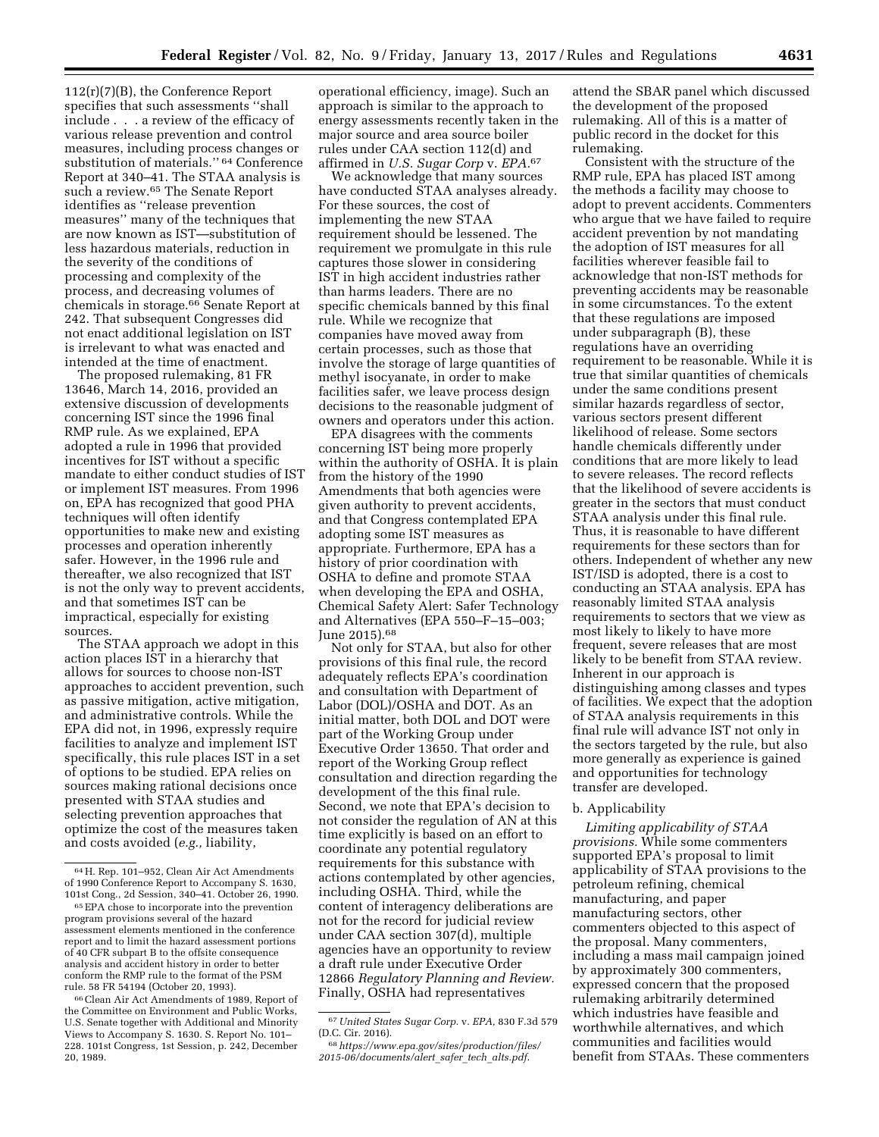112(r)(7)(B), the Conference Report specifies that such assessments ''shall include . . . a review of the efficacy of various release prevention and control measures, including process changes or substitution of materials." <sup>64</sup> Conference Report at 340–41. The STAA analysis is such a review.65 The Senate Report identifies as ''release prevention measures'' many of the techniques that are now known as IST—substitution of less hazardous materials, reduction in the severity of the conditions of processing and complexity of the process, and decreasing volumes of chemicals in storage.66 Senate Report at 242. That subsequent Congresses did not enact additional legislation on IST is irrelevant to what was enacted and intended at the time of enactment.

The proposed rulemaking, 81 FR 13646, March 14, 2016, provided an extensive discussion of developments concerning IST since the 1996 final RMP rule. As we explained, EPA adopted a rule in 1996 that provided incentives for IST without a specific mandate to either conduct studies of IST or implement IST measures. From 1996 on, EPA has recognized that good PHA techniques will often identify opportunities to make new and existing processes and operation inherently safer. However, in the 1996 rule and thereafter, we also recognized that IST is not the only way to prevent accidents, and that sometimes IST can be impractical, especially for existing sources.

The STAA approach we adopt in this action places IST in a hierarchy that allows for sources to choose non-IST approaches to accident prevention, such as passive mitigation, active mitigation, and administrative controls. While the EPA did not, in 1996, expressly require facilities to analyze and implement IST specifically, this rule places IST in a set of options to be studied. EPA relies on sources making rational decisions once presented with STAA studies and selecting prevention approaches that optimize the cost of the measures taken and costs avoided (*e.g.,* liability,

operational efficiency, image). Such an approach is similar to the approach to energy assessments recently taken in the major source and area source boiler rules under CAA section 112(d) and affirmed in *U.S. Sugar Corp* v. *EPA.*67

We acknowledge that many sources have conducted STAA analyses already. For these sources, the cost of implementing the new STAA requirement should be lessened. The requirement we promulgate in this rule captures those slower in considering IST in high accident industries rather than harms leaders. There are no specific chemicals banned by this final rule. While we recognize that companies have moved away from certain processes, such as those that involve the storage of large quantities of methyl isocyanate, in order to make facilities safer, we leave process design decisions to the reasonable judgment of owners and operators under this action.

EPA disagrees with the comments concerning IST being more properly within the authority of OSHA. It is plain from the history of the 1990 Amendments that both agencies were given authority to prevent accidents, and that Congress contemplated EPA adopting some IST measures as appropriate. Furthermore, EPA has a history of prior coordination with OSHA to define and promote STAA when developing the EPA and OSHA, Chemical Safety Alert: Safer Technology and Alternatives (EPA 550–F–15–003; June 2015).<sup>68</sup>

Not only for STAA, but also for other provisions of this final rule, the record adequately reflects EPA's coordination and consultation with Department of Labor (DOL)/OSHA and DOT. As an initial matter, both DOL and DOT were part of the Working Group under Executive Order 13650. That order and report of the Working Group reflect consultation and direction regarding the development of the this final rule. Second, we note that EPA's decision to not consider the regulation of AN at this time explicitly is based on an effort to coordinate any potential regulatory requirements for this substance with actions contemplated by other agencies, including OSHA. Third, while the content of interagency deliberations are not for the record for judicial review under CAA section 307(d), multiple agencies have an opportunity to review a draft rule under Executive Order 12866 *Regulatory Planning and Review.*  Finally, OSHA had representatives

attend the SBAR panel which discussed the development of the proposed rulemaking. All of this is a matter of public record in the docket for this rulemaking.

Consistent with the structure of the RMP rule, EPA has placed IST among the methods a facility may choose to adopt to prevent accidents. Commenters who argue that we have failed to require accident prevention by not mandating the adoption of IST measures for all facilities wherever feasible fail to acknowledge that non-IST methods for preventing accidents may be reasonable in some circumstances. To the extent that these regulations are imposed under subparagraph (B), these regulations have an overriding requirement to be reasonable. While it is true that similar quantities of chemicals under the same conditions present similar hazards regardless of sector, various sectors present different likelihood of release. Some sectors handle chemicals differently under conditions that are more likely to lead to severe releases. The record reflects that the likelihood of severe accidents is greater in the sectors that must conduct STAA analysis under this final rule. Thus, it is reasonable to have different requirements for these sectors than for others. Independent of whether any new IST/ISD is adopted, there is a cost to conducting an STAA analysis. EPA has reasonably limited STAA analysis requirements to sectors that we view as most likely to likely to have more frequent, severe releases that are most likely to be benefit from STAA review. Inherent in our approach is distinguishing among classes and types of facilities. We expect that the adoption of STAA analysis requirements in this final rule will advance IST not only in the sectors targeted by the rule, but also more generally as experience is gained and opportunities for technology transfer are developed.

#### b. Applicability

*Limiting applicability of STAA provisions.* While some commenters supported EPA's proposal to limit applicability of STAA provisions to the petroleum refining, chemical manufacturing, and paper manufacturing sectors, other commenters objected to this aspect of the proposal. Many commenters, including a mass mail campaign joined by approximately 300 commenters, expressed concern that the proposed rulemaking arbitrarily determined which industries have feasible and worthwhile alternatives, and which communities and facilities would benefit from STAAs. These commenters

<sup>64</sup>H. Rep. 101–952, Clean Air Act Amendments of 1990 Conference Report to Accompany S. 1630, 101st Cong., 2d Session, 340–41. October 26, 1990.

 $\rm ^{65}EPA$  chose to incorporate into the prevention program provisions several of the hazard assessment elements mentioned in the conference report and to limit the hazard assessment portions of 40 CFR subpart B to the offsite consequence analysis and accident history in order to better conform the RMP rule to the format of the PSM rule. 58 FR 54194 (October 20, 1993).

<sup>66</sup>Clean Air Act Amendments of 1989, Report of the Committee on Environment and Public Works, U.S. Senate together with Additional and Minority Views to Accompany S. 1630. S. Report No. 101– 228. 101st Congress, 1st Session, p. 242, December 20, 1989.

<sup>67</sup>*United States Sugar Corp.* v. *EPA,* 830 F.3d 579 (D.C. Cir. 2016).

<sup>68</sup>*[https://www.epa.gov/sites/production/files/](https://www.epa.gov/sites/production/files/2015-06/documents/alert_safer_tech_alts.pdf) [2015-06/documents/alert](https://www.epa.gov/sites/production/files/2015-06/documents/alert_safer_tech_alts.pdf)*\_*safer*\_*tech*\_*alts.pdf*.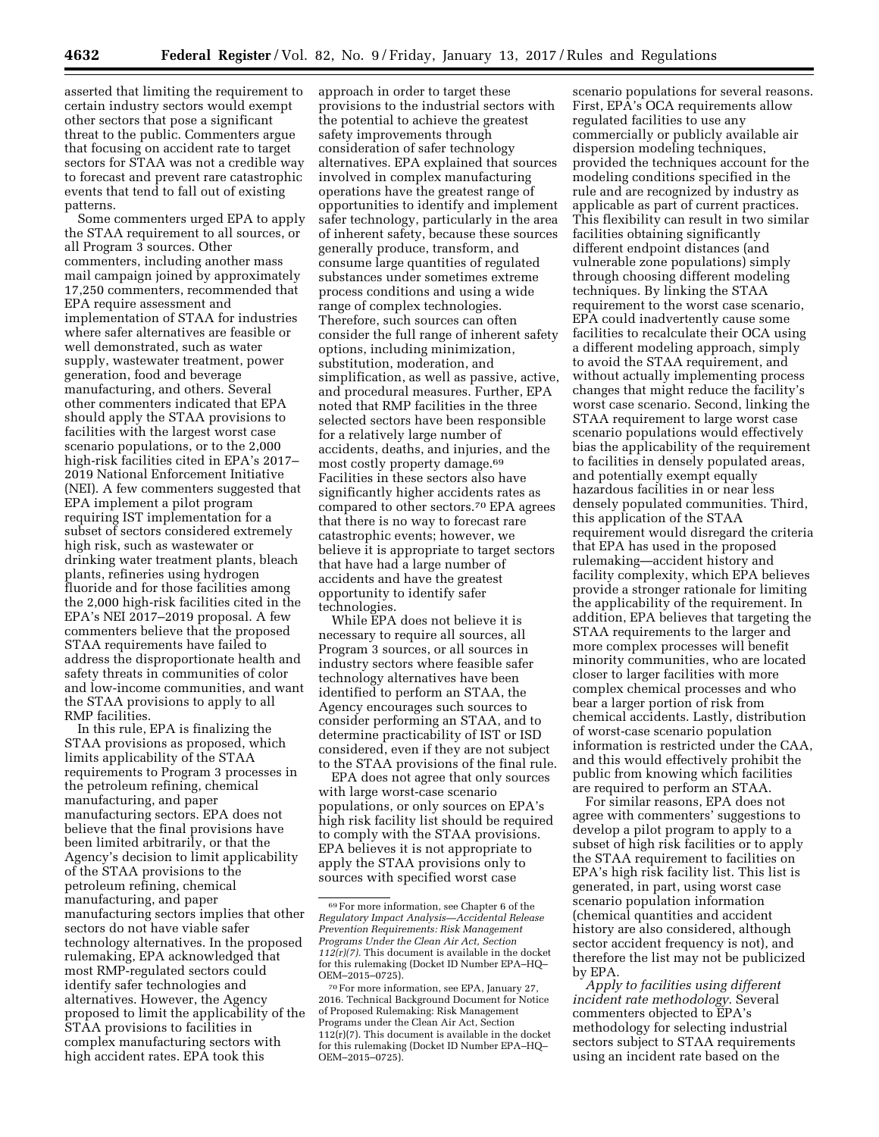asserted that limiting the requirement to certain industry sectors would exempt other sectors that pose a significant threat to the public. Commenters argue that focusing on accident rate to target sectors for STAA was not a credible way to forecast and prevent rare catastrophic events that tend to fall out of existing patterns.

Some commenters urged EPA to apply the STAA requirement to all sources, or all Program 3 sources. Other commenters, including another mass mail campaign joined by approximately 17,250 commenters, recommended that EPA require assessment and implementation of STAA for industries where safer alternatives are feasible or well demonstrated, such as water supply, wastewater treatment, power generation, food and beverage manufacturing, and others. Several other commenters indicated that EPA should apply the STAA provisions to facilities with the largest worst case scenario populations, or to the 2,000 high-risk facilities cited in EPA's 2017– 2019 National Enforcement Initiative (NEI). A few commenters suggested that EPA implement a pilot program requiring IST implementation for a subset of sectors considered extremely high risk, such as wastewater or drinking water treatment plants, bleach plants, refineries using hydrogen fluoride and for those facilities among the 2,000 high-risk facilities cited in the EPA's NEI 2017–2019 proposal. A few commenters believe that the proposed STAA requirements have failed to address the disproportionate health and safety threats in communities of color and low-income communities, and want the STAA provisions to apply to all RMP facilities.

In this rule, EPA is finalizing the STAA provisions as proposed, which limits applicability of the STAA requirements to Program 3 processes in the petroleum refining, chemical manufacturing, and paper manufacturing sectors. EPA does not believe that the final provisions have been limited arbitrarily, or that the Agency's decision to limit applicability of the STAA provisions to the petroleum refining, chemical manufacturing, and paper manufacturing sectors implies that other sectors do not have viable safer technology alternatives. In the proposed rulemaking, EPA acknowledged that most RMP-regulated sectors could identify safer technologies and alternatives. However, the Agency proposed to limit the applicability of the STAA provisions to facilities in complex manufacturing sectors with high accident rates. EPA took this

approach in order to target these provisions to the industrial sectors with the potential to achieve the greatest safety improvements through consideration of safer technology alternatives. EPA explained that sources involved in complex manufacturing operations have the greatest range of opportunities to identify and implement safer technology, particularly in the area of inherent safety, because these sources generally produce, transform, and consume large quantities of regulated substances under sometimes extreme process conditions and using a wide range of complex technologies. Therefore, such sources can often consider the full range of inherent safety options, including minimization, substitution, moderation, and simplification, as well as passive, active, and procedural measures. Further, EPA noted that RMP facilities in the three selected sectors have been responsible for a relatively large number of accidents, deaths, and injuries, and the most costly property damage.<sup>69</sup> Facilities in these sectors also have significantly higher accidents rates as compared to other sectors.70 EPA agrees that there is no way to forecast rare catastrophic events; however, we believe it is appropriate to target sectors that have had a large number of accidents and have the greatest opportunity to identify safer technologies.

While EPA does not believe it is necessary to require all sources, all Program 3 sources, or all sources in industry sectors where feasible safer technology alternatives have been identified to perform an STAA, the Agency encourages such sources to consider performing an STAA, and to determine practicability of IST or ISD considered, even if they are not subject to the STAA provisions of the final rule.

EPA does not agree that only sources with large worst-case scenario populations, or only sources on EPA's high risk facility list should be required to comply with the STAA provisions. EPA believes it is not appropriate to apply the STAA provisions only to sources with specified worst case

scenario populations for several reasons. First, EPA's OCA requirements allow regulated facilities to use any commercially or publicly available air dispersion modeling techniques, provided the techniques account for the modeling conditions specified in the rule and are recognized by industry as applicable as part of current practices. This flexibility can result in two similar facilities obtaining significantly different endpoint distances (and vulnerable zone populations) simply through choosing different modeling techniques. By linking the STAA requirement to the worst case scenario, EPA could inadvertently cause some facilities to recalculate their OCA using a different modeling approach, simply to avoid the STAA requirement, and without actually implementing process changes that might reduce the facility's worst case scenario. Second, linking the STAA requirement to large worst case scenario populations would effectively bias the applicability of the requirement to facilities in densely populated areas, and potentially exempt equally hazardous facilities in or near less densely populated communities. Third, this application of the STAA requirement would disregard the criteria that EPA has used in the proposed rulemaking—accident history and facility complexity, which EPA believes provide a stronger rationale for limiting the applicability of the requirement. In addition, EPA believes that targeting the STAA requirements to the larger and more complex processes will benefit minority communities, who are located closer to larger facilities with more complex chemical processes and who bear a larger portion of risk from chemical accidents. Lastly, distribution of worst-case scenario population information is restricted under the CAA, and this would effectively prohibit the public from knowing which facilities are required to perform an STAA.

For similar reasons, EPA does not agree with commenters' suggestions to develop a pilot program to apply to a subset of high risk facilities or to apply the STAA requirement to facilities on EPA's high risk facility list. This list is generated, in part, using worst case scenario population information (chemical quantities and accident history are also considered, although sector accident frequency is not), and therefore the list may not be publicized by EPA.

*Apply to facilities using different incident rate methodology.* Several commenters objected to EPA's methodology for selecting industrial sectors subject to STAA requirements using an incident rate based on the

<sup>69</sup>For more information, see Chapter 6 of the *Regulatory Impact Analysis—Accidental Release Prevention Requirements: Risk Management Programs Under the Clean Air Act, Section 112(r)(7).* This document is available in the docket for this rulemaking (Docket ID Number EPA–HQ– OEM–2015–0725).

<sup>70</sup>For more information, see EPA, January 27, 2016. Technical Background Document for Notice of Proposed Rulemaking: Risk Management Programs under the Clean Air Act, Section  $112(r)(7)$ . This document is available in the docket for this rulemaking (Docket ID Number EPA–HQ– OEM–2015–0725).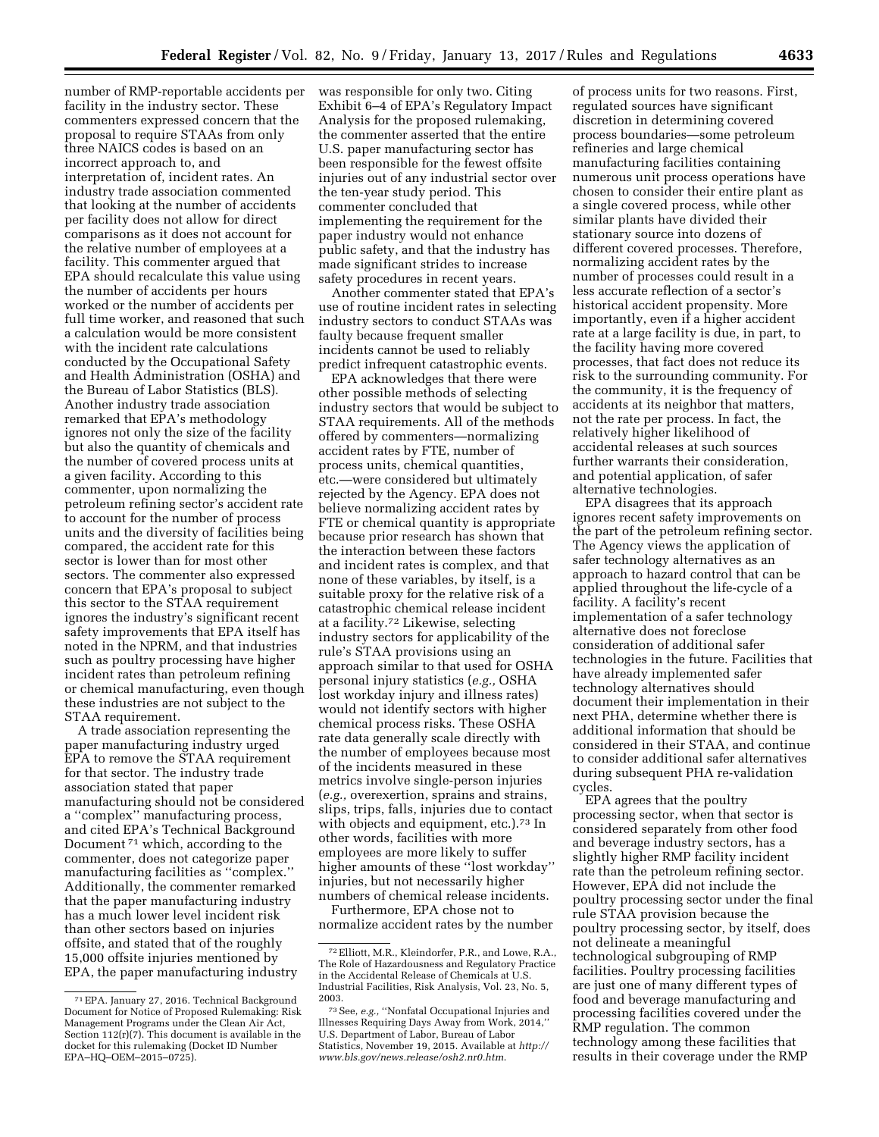number of RMP-reportable accidents per facility in the industry sector. These commenters expressed concern that the proposal to require STAAs from only three NAICS codes is based on an incorrect approach to, and interpretation of, incident rates. An industry trade association commented that looking at the number of accidents per facility does not allow for direct comparisons as it does not account for the relative number of employees at a facility. This commenter argued that EPA should recalculate this value using the number of accidents per hours worked or the number of accidents per full time worker, and reasoned that such a calculation would be more consistent with the incident rate calculations conducted by the Occupational Safety and Health Administration (OSHA) and the Bureau of Labor Statistics (BLS). Another industry trade association remarked that EPA's methodology ignores not only the size of the facility but also the quantity of chemicals and the number of covered process units at a given facility. According to this commenter, upon normalizing the petroleum refining sector's accident rate to account for the number of process units and the diversity of facilities being compared, the accident rate for this sector is lower than for most other sectors. The commenter also expressed concern that EPA's proposal to subject this sector to the STAA requirement ignores the industry's significant recent safety improvements that EPA itself has noted in the NPRM, and that industries such as poultry processing have higher incident rates than petroleum refining or chemical manufacturing, even though these industries are not subject to the STAA requirement.

A trade association representing the paper manufacturing industry urged EPA to remove the STAA requirement for that sector. The industry trade association stated that paper manufacturing should not be considered a ''complex'' manufacturing process, and cited EPA's Technical Background Document 71 which, according to the commenter, does not categorize paper manufacturing facilities as ''complex.'' Additionally, the commenter remarked that the paper manufacturing industry has a much lower level incident risk than other sectors based on injuries offsite, and stated that of the roughly 15,000 offsite injuries mentioned by EPA, the paper manufacturing industry

was responsible for only two. Citing Exhibit 6–4 of EPA's Regulatory Impact Analysis for the proposed rulemaking, the commenter asserted that the entire U.S. paper manufacturing sector has been responsible for the fewest offsite injuries out of any industrial sector over the ten-year study period. This commenter concluded that implementing the requirement for the paper industry would not enhance public safety, and that the industry has made significant strides to increase safety procedures in recent years.

Another commenter stated that EPA's use of routine incident rates in selecting industry sectors to conduct STAAs was faulty because frequent smaller incidents cannot be used to reliably predict infrequent catastrophic events.

EPA acknowledges that there were other possible methods of selecting industry sectors that would be subject to STAA requirements. All of the methods offered by commenters—normalizing accident rates by FTE, number of process units, chemical quantities, etc.—were considered but ultimately rejected by the Agency. EPA does not believe normalizing accident rates by FTE or chemical quantity is appropriate because prior research has shown that the interaction between these factors and incident rates is complex, and that none of these variables, by itself, is a suitable proxy for the relative risk of a catastrophic chemical release incident at a facility.72 Likewise, selecting industry sectors for applicability of the rule's STAA provisions using an approach similar to that used for OSHA personal injury statistics (*e.g.,* OSHA lost workday injury and illness rates) would not identify sectors with higher chemical process risks. These OSHA rate data generally scale directly with the number of employees because most of the incidents measured in these metrics involve single-person injuries (*e.g.,* overexertion, sprains and strains, slips, trips, falls, injuries due to contact with objects and equipment, etc.).<sup>73</sup> In other words, facilities with more employees are more likely to suffer higher amounts of these ''lost workday'' injuries, but not necessarily higher numbers of chemical release incidents.

Furthermore, EPA chose not to normalize accident rates by the number

of process units for two reasons. First, regulated sources have significant discretion in determining covered process boundaries—some petroleum refineries and large chemical manufacturing facilities containing numerous unit process operations have chosen to consider their entire plant as a single covered process, while other similar plants have divided their stationary source into dozens of different covered processes. Therefore, normalizing accident rates by the number of processes could result in a less accurate reflection of a sector's historical accident propensity. More importantly, even if a higher accident rate at a large facility is due, in part, to the facility having more covered processes, that fact does not reduce its risk to the surrounding community. For the community, it is the frequency of accidents at its neighbor that matters, not the rate per process. In fact, the relatively higher likelihood of accidental releases at such sources further warrants their consideration, and potential application, of safer alternative technologies.

EPA disagrees that its approach ignores recent safety improvements on the part of the petroleum refining sector. The Agency views the application of safer technology alternatives as an approach to hazard control that can be applied throughout the life-cycle of a facility. A facility's recent implementation of a safer technology alternative does not foreclose consideration of additional safer technologies in the future. Facilities that have already implemented safer technology alternatives should document their implementation in their next PHA, determine whether there is additional information that should be considered in their STAA, and continue to consider additional safer alternatives during subsequent PHA re-validation cycles.

EPA agrees that the poultry processing sector, when that sector is considered separately from other food and beverage industry sectors, has a slightly higher RMP facility incident rate than the petroleum refining sector. However, EPA did not include the poultry processing sector under the final rule STAA provision because the poultry processing sector, by itself, does not delineate a meaningful technological subgrouping of RMP facilities. Poultry processing facilities are just one of many different types of food and beverage manufacturing and processing facilities covered under the RMP regulation. The common technology among these facilities that results in their coverage under the RMP

<sup>71</sup>EPA. January 27, 2016. Technical Background Document for Notice of Proposed Rulemaking: Risk Management Programs under the Clean Air Act, Section 112(r)(7). This document is available in the docket for this rulemaking (Docket ID Number EPA–HQ–OEM–2015–0725).

<sup>72</sup>Elliott, M.R., Kleindorfer, P.R., and Lowe, R.A., The Role of Hazardousness and Regulatory Practice in the Accidental Release of Chemicals at U.S. Industrial Facilities, Risk Analysis, Vol. 23, No. 5, 2003.

<sup>73</sup>See, *e.g.,* ''Nonfatal Occupational Injuries and Illnesses Requiring Days Away from Work, 2014,'' U.S. Department of Labor, Bureau of Labor Statistics, November 19, 2015. Available at *[http://](http://www.bls.gov/news.release/osh2.nr0.htm) [www.bls.gov/news.release/osh2.nr0.htm](http://www.bls.gov/news.release/osh2.nr0.htm)*.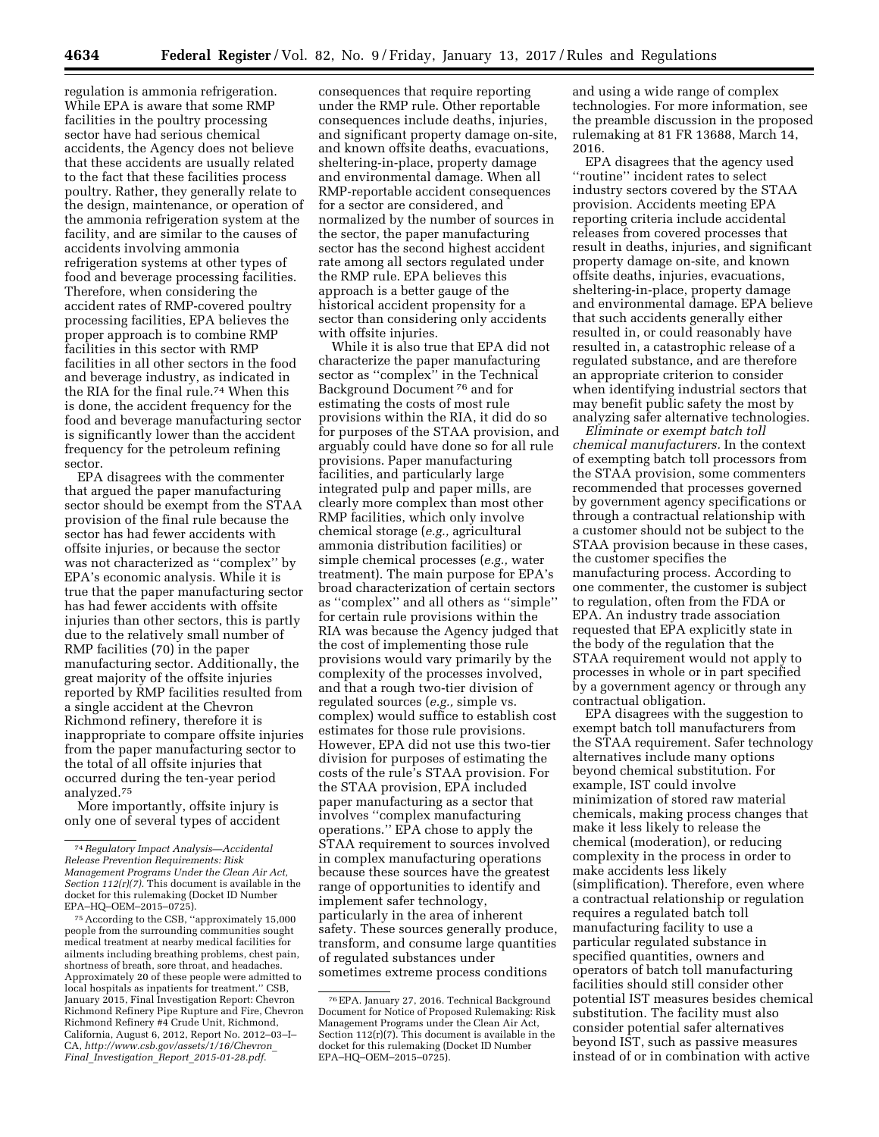regulation is ammonia refrigeration. While EPA is aware that some RMP facilities in the poultry processing sector have had serious chemical accidents, the Agency does not believe that these accidents are usually related to the fact that these facilities process poultry. Rather, they generally relate to the design, maintenance, or operation of the ammonia refrigeration system at the facility, and are similar to the causes of accidents involving ammonia refrigeration systems at other types of food and beverage processing facilities. Therefore, when considering the accident rates of RMP-covered poultry processing facilities, EPA believes the proper approach is to combine RMP facilities in this sector with RMP facilities in all other sectors in the food and beverage industry, as indicated in the RIA for the final rule.74 When this is done, the accident frequency for the food and beverage manufacturing sector is significantly lower than the accident frequency for the petroleum refining sector.

EPA disagrees with the commenter that argued the paper manufacturing sector should be exempt from the STAA provision of the final rule because the sector has had fewer accidents with offsite injuries, or because the sector was not characterized as ''complex'' by EPA's economic analysis. While it is true that the paper manufacturing sector has had fewer accidents with offsite injuries than other sectors, this is partly due to the relatively small number of RMP facilities (70) in the paper manufacturing sector. Additionally, the great majority of the offsite injuries reported by RMP facilities resulted from a single accident at the Chevron Richmond refinery, therefore it is inappropriate to compare offsite injuries from the paper manufacturing sector to the total of all offsite injuries that occurred during the ten-year period analyzed.75

More importantly, offsite injury is only one of several types of accident

75According to the CSB, ''approximately 15,000 people from the surrounding communities sought medical treatment at nearby medical facilities for ailments including breathing problems, chest pain, shortness of breath, sore throat, and headaches. Approximately 20 of these people were admitted to local hospitals as inpatients for treatment.'' CSB, January 2015, Final Investigation Report: Chevron Richmond Refinery Pipe Rupture and Fire, Chevron Richmond Refinery #4 Crude Unit, Richmond, California, August 6, 2012, Report No. 2012–03–I– CA, *[http://www.csb.gov/assets/1/16/Chevron](http://www.csb.gov/assets/1/16/Chevron_Final_Investigation_Report_2015-01-28.pdf)*\_ *Final*\_*Investigation*\_*Report*\_*[2015-01-28.pdf](http://www.csb.gov/assets/1/16/Chevron_Final_Investigation_Report_2015-01-28.pdf)*.

consequences that require reporting under the RMP rule. Other reportable consequences include deaths, injuries, and significant property damage on-site, and known offsite deaths, evacuations, sheltering-in-place, property damage and environmental damage. When all RMP-reportable accident consequences for a sector are considered, and normalized by the number of sources in the sector, the paper manufacturing sector has the second highest accident rate among all sectors regulated under the RMP rule. EPA believes this approach is a better gauge of the historical accident propensity for a sector than considering only accidents with offsite injuries.

While it is also true that EPA did not characterize the paper manufacturing sector as ''complex'' in the Technical Background Document 76 and for estimating the costs of most rule provisions within the RIA, it did do so for purposes of the STAA provision, and arguably could have done so for all rule provisions. Paper manufacturing facilities, and particularly large integrated pulp and paper mills, are clearly more complex than most other RMP facilities, which only involve chemical storage (*e.g.,* agricultural ammonia distribution facilities) or simple chemical processes (*e.g.,* water treatment). The main purpose for EPA's broad characterization of certain sectors as ''complex'' and all others as ''simple'' for certain rule provisions within the RIA was because the Agency judged that the cost of implementing those rule provisions would vary primarily by the complexity of the processes involved, and that a rough two-tier division of regulated sources (*e.g.,* simple vs. complex) would suffice to establish cost estimates for those rule provisions. However, EPA did not use this two-tier division for purposes of estimating the costs of the rule's STAA provision. For the STAA provision, EPA included paper manufacturing as a sector that involves ''complex manufacturing operations.'' EPA chose to apply the STAA requirement to sources involved in complex manufacturing operations because these sources have the greatest range of opportunities to identify and implement safer technology, particularly in the area of inherent safety. These sources generally produce, transform, and consume large quantities of regulated substances under sometimes extreme process conditions

76EPA. January 27, 2016. Technical Background Document for Notice of Proposed Rulemaking: Risk Management Programs under the Clean Air Act, Section 112(r)(7). This document is available in the docket for this rulemaking (Docket ID Number EPA–HQ–OEM–2015–0725).

and using a wide range of complex technologies. For more information, see the preamble discussion in the proposed rulemaking at 81 FR 13688, March 14, 2016.

EPA disagrees that the agency used ''routine'' incident rates to select industry sectors covered by the STAA provision. Accidents meeting EPA reporting criteria include accidental releases from covered processes that result in deaths, injuries, and significant property damage on-site, and known offsite deaths, injuries, evacuations, sheltering-in-place, property damage and environmental damage. EPA believe that such accidents generally either resulted in, or could reasonably have resulted in, a catastrophic release of a regulated substance, and are therefore an appropriate criterion to consider when identifying industrial sectors that may benefit public safety the most by analyzing safer alternative technologies.

*Eliminate or exempt batch toll chemical manufacturers.* In the context of exempting batch toll processors from the STAA provision, some commenters recommended that processes governed by government agency specifications or through a contractual relationship with a customer should not be subject to the STAA provision because in these cases, the customer specifies the manufacturing process. According to one commenter, the customer is subject to regulation, often from the FDA or EPA. An industry trade association requested that EPA explicitly state in the body of the regulation that the STAA requirement would not apply to processes in whole or in part specified by a government agency or through any contractual obligation.

EPA disagrees with the suggestion to exempt batch toll manufacturers from the STAA requirement. Safer technology alternatives include many options beyond chemical substitution. For example, IST could involve minimization of stored raw material chemicals, making process changes that make it less likely to release the chemical (moderation), or reducing complexity in the process in order to make accidents less likely (simplification). Therefore, even where a contractual relationship or regulation requires a regulated batch toll manufacturing facility to use a particular regulated substance in specified quantities, owners and operators of batch toll manufacturing facilities should still consider other potential IST measures besides chemical substitution. The facility must also consider potential safer alternatives beyond IST, such as passive measures instead of or in combination with active

<sup>74</sup>*Regulatory Impact Analysis—Accidental Release Prevention Requirements: Risk Management Programs Under the Clean Air Act, Section 112(r)(7).* This document is available in the docket for this rulemaking (Docket ID Number EPA–HQ–OEM–2015–0725).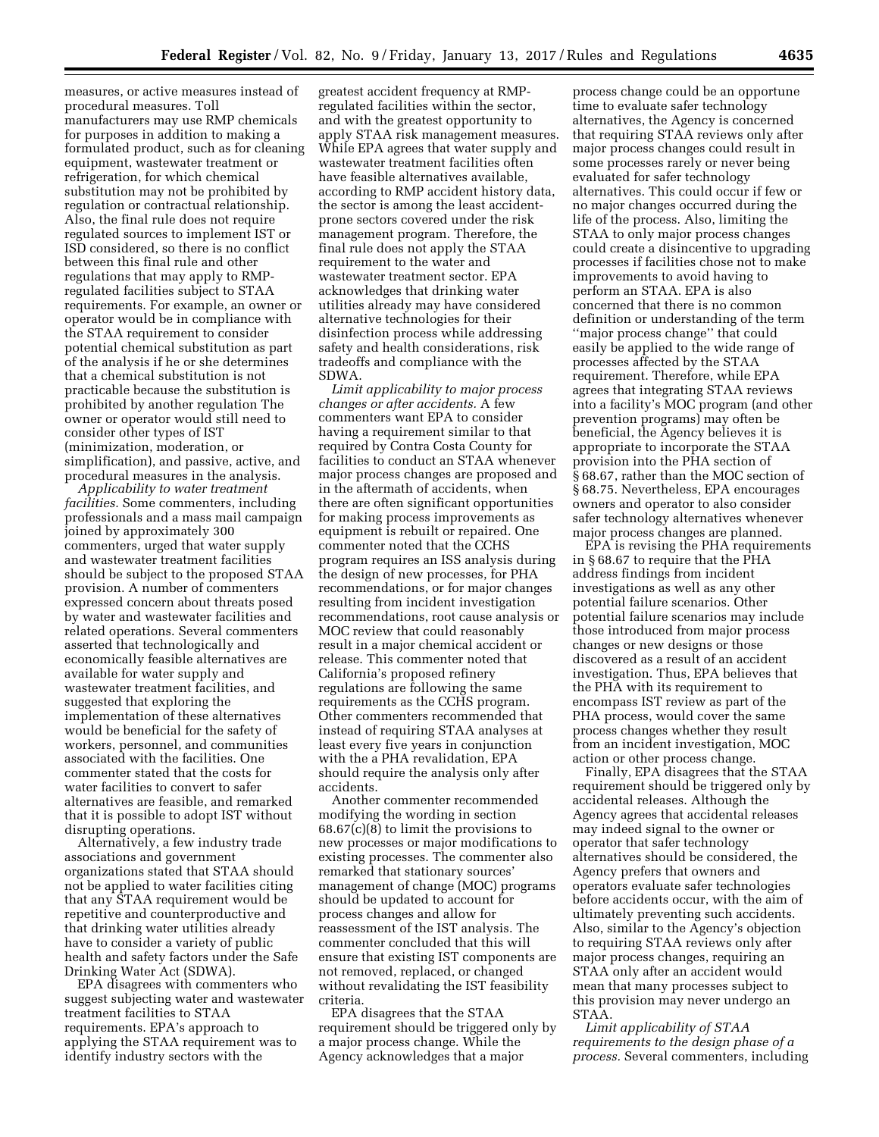measures, or active measures instead of procedural measures. Toll manufacturers may use RMP chemicals for purposes in addition to making a formulated product, such as for cleaning equipment, wastewater treatment or refrigeration, for which chemical substitution may not be prohibited by regulation or contractual relationship. Also, the final rule does not require regulated sources to implement IST or ISD considered, so there is no conflict between this final rule and other regulations that may apply to RMPregulated facilities subject to STAA requirements. For example, an owner or operator would be in compliance with the STAA requirement to consider potential chemical substitution as part of the analysis if he or she determines that a chemical substitution is not practicable because the substitution is prohibited by another regulation The owner or operator would still need to consider other types of IST (minimization, moderation, or simplification), and passive, active, and procedural measures in the analysis.

*Applicability to water treatment facilities.* Some commenters, including professionals and a mass mail campaign joined by approximately 300 commenters, urged that water supply and wastewater treatment facilities should be subject to the proposed STAA provision. A number of commenters expressed concern about threats posed by water and wastewater facilities and related operations. Several commenters asserted that technologically and economically feasible alternatives are available for water supply and wastewater treatment facilities, and suggested that exploring the implementation of these alternatives would be beneficial for the safety of workers, personnel, and communities associated with the facilities. One commenter stated that the costs for water facilities to convert to safer alternatives are feasible, and remarked that it is possible to adopt IST without disrupting operations.

Alternatively, a few industry trade associations and government organizations stated that STAA should not be applied to water facilities citing that any STAA requirement would be repetitive and counterproductive and that drinking water utilities already have to consider a variety of public health and safety factors under the Safe Drinking Water Act (SDWA).

EPA disagrees with commenters who suggest subjecting water and wastewater treatment facilities to STAA requirements. EPA's approach to applying the STAA requirement was to identify industry sectors with the

greatest accident frequency at RMPregulated facilities within the sector, and with the greatest opportunity to apply STAA risk management measures. While EPA agrees that water supply and wastewater treatment facilities often have feasible alternatives available, according to RMP accident history data, the sector is among the least accidentprone sectors covered under the risk management program. Therefore, the final rule does not apply the STAA requirement to the water and wastewater treatment sector. EPA acknowledges that drinking water utilities already may have considered alternative technologies for their disinfection process while addressing safety and health considerations, risk tradeoffs and compliance with the SDWA.

*Limit applicability to major process changes or after accidents.* A few commenters want EPA to consider having a requirement similar to that required by Contra Costa County for facilities to conduct an STAA whenever major process changes are proposed and in the aftermath of accidents, when there are often significant opportunities for making process improvements as equipment is rebuilt or repaired. One commenter noted that the CCHS program requires an ISS analysis during the design of new processes, for PHA recommendations, or for major changes resulting from incident investigation recommendations, root cause analysis or MOC review that could reasonably result in a major chemical accident or release. This commenter noted that California's proposed refinery regulations are following the same requirements as the CCHS program. Other commenters recommended that instead of requiring STAA analyses at least every five years in conjunction with the a PHA revalidation, EPA should require the analysis only after accidents.

Another commenter recommended modifying the wording in section 68.67(c)(8) to limit the provisions to new processes or major modifications to existing processes. The commenter also remarked that stationary sources' management of change (MOC) programs should be updated to account for process changes and allow for reassessment of the IST analysis. The commenter concluded that this will ensure that existing IST components are not removed, replaced, or changed without revalidating the IST feasibility criteria.

EPA disagrees that the STAA requirement should be triggered only by a major process change. While the Agency acknowledges that a major

process change could be an opportune time to evaluate safer technology alternatives, the Agency is concerned that requiring STAA reviews only after major process changes could result in some processes rarely or never being evaluated for safer technology alternatives. This could occur if few or no major changes occurred during the life of the process. Also, limiting the STAA to only major process changes could create a disincentive to upgrading processes if facilities chose not to make improvements to avoid having to perform an STAA. EPA is also concerned that there is no common definition or understanding of the term ''major process change'' that could easily be applied to the wide range of processes affected by the STAA requirement. Therefore, while EPA agrees that integrating STAA reviews into a facility's MOC program (and other prevention programs) may often be beneficial, the Agency believes it is appropriate to incorporate the STAA provision into the PHA section of § 68.67, rather than the MOC section of § 68.75. Nevertheless, EPA encourages owners and operator to also consider safer technology alternatives whenever major process changes are planned.

EPA is revising the PHA requirements in § 68.67 to require that the PHA address findings from incident investigations as well as any other potential failure scenarios. Other potential failure scenarios may include those introduced from major process changes or new designs or those discovered as a result of an accident investigation. Thus, EPA believes that the PHA with its requirement to encompass IST review as part of the PHA process, would cover the same process changes whether they result from an incident investigation, MOC action or other process change.

Finally, EPA disagrees that the STAA requirement should be triggered only by accidental releases. Although the Agency agrees that accidental releases may indeed signal to the owner or operator that safer technology alternatives should be considered, the Agency prefers that owners and operators evaluate safer technologies before accidents occur, with the aim of ultimately preventing such accidents. Also, similar to the Agency's objection to requiring STAA reviews only after major process changes, requiring an STAA only after an accident would mean that many processes subject to this provision may never undergo an STAA.

*Limit applicability of STAA requirements to the design phase of a process.* Several commenters, including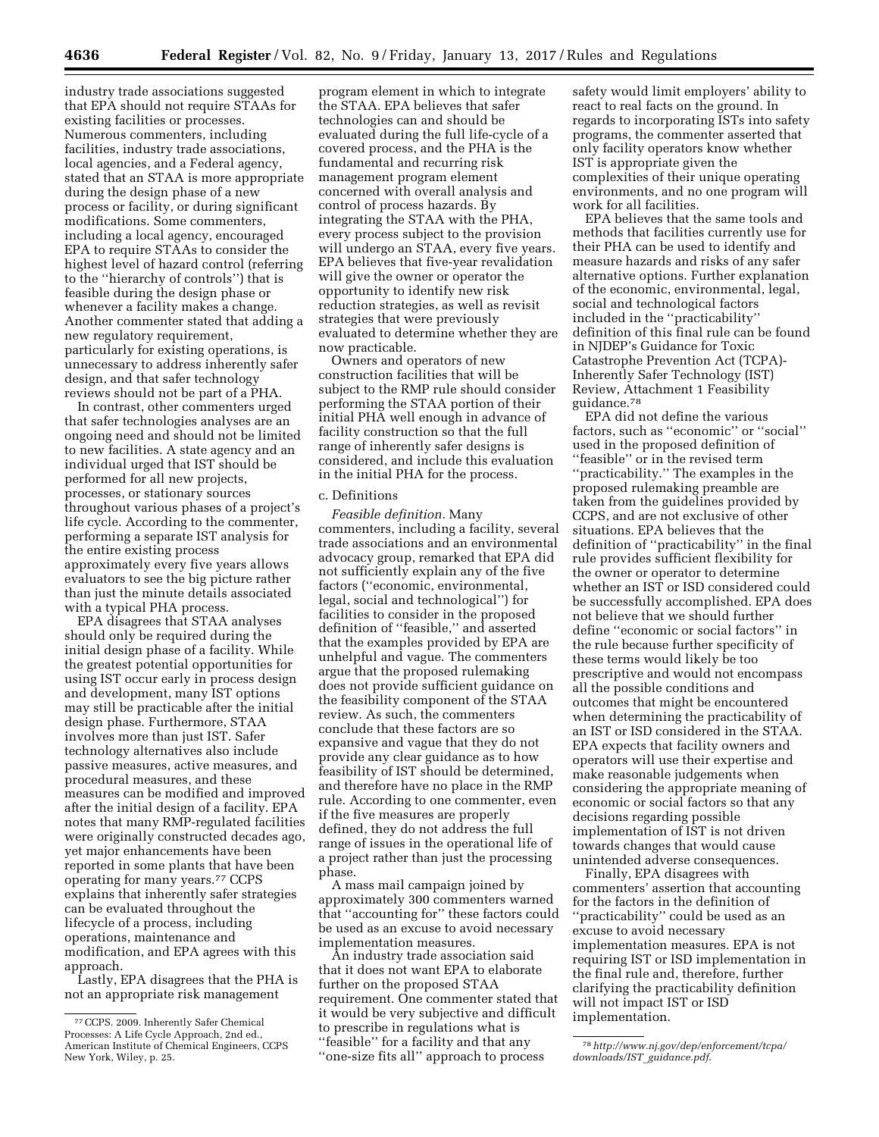industry trade associations suggested that EPA should not require STAAs for existing facilities or processes. Numerous commenters, including facilities, industry trade associations, local agencies, and a Federal agency, stated that an STAA is more appropriate during the design phase of a new process or facility, or during significant modifications. Some commenters, including a local agency, encouraged EPA to require STAAs to consider the highest level of hazard control (referring to the ''hierarchy of controls'') that is feasible during the design phase or whenever a facility makes a change. Another commenter stated that adding a new regulatory requirement, particularly for existing operations, is unnecessary to address inherently safer design, and that safer technology reviews should not be part of a PHA.

In contrast, other commenters urged that safer technologies analyses are an ongoing need and should not be limited to new facilities. A state agency and an individual urged that IST should be performed for all new projects, processes, or stationary sources throughout various phases of a project's life cycle. According to the commenter, performing a separate IST analysis for the entire existing process approximately every five years allows evaluators to see the big picture rather than just the minute details associated with a typical PHA process.

EPA disagrees that STAA analyses should only be required during the initial design phase of a facility. While the greatest potential opportunities for using IST occur early in process design and development, many IST options may still be practicable after the initial design phase. Furthermore, STAA involves more than just IST. Safer technology alternatives also include passive measures, active measures, and procedural measures, and these measures can be modified and improved after the initial design of a facility. EPA notes that many RMP-regulated facilities were originally constructed decades ago, yet major enhancements have been reported in some plants that have been operating for many years.77 CCPS explains that inherently safer strategies can be evaluated throughout the lifecycle of a process, including operations, maintenance and modification, and EPA agrees with this approach.

Lastly, EPA disagrees that the PHA is not an appropriate risk management

program element in which to integrate the STAA. EPA believes that safer technologies can and should be evaluated during the full life-cycle of a covered process, and the PHA is the fundamental and recurring risk management program element concerned with overall analysis and control of process hazards. By integrating the STAA with the PHA, every process subject to the provision will undergo an STAA, every five years. EPA believes that five-year revalidation will give the owner or operator the opportunity to identify new risk reduction strategies, as well as revisit strategies that were previously evaluated to determine whether they are now practicable.

Owners and operators of new construction facilities that will be subject to the RMP rule should consider performing the STAA portion of their initial PHA well enough in advance of facility construction so that the full range of inherently safer designs is considered, and include this evaluation in the initial PHA for the process.

## c. Definitions

*Feasible definition.* Many commenters, including a facility, several trade associations and an environmental advocacy group, remarked that EPA did not sufficiently explain any of the five factors (''economic, environmental, legal, social and technological'') for facilities to consider in the proposed definition of ''feasible,'' and asserted that the examples provided by EPA are unhelpful and vague. The commenters argue that the proposed rulemaking does not provide sufficient guidance on the feasibility component of the STAA review. As such, the commenters conclude that these factors are so expansive and vague that they do not provide any clear guidance as to how feasibility of IST should be determined, and therefore have no place in the RMP rule. According to one commenter, even if the five measures are properly defined, they do not address the full range of issues in the operational life of a project rather than just the processing phase.

A mass mail campaign joined by approximately 300 commenters warned that ''accounting for'' these factors could be used as an excuse to avoid necessary implementation measures.

An industry trade association said that it does not want EPA to elaborate further on the proposed STAA requirement. One commenter stated that it would be very subjective and difficult to prescribe in regulations what is ''feasible'' for a facility and that any ''one-size fits all'' approach to process

safety would limit employers' ability to react to real facts on the ground. In regards to incorporating ISTs into safety programs, the commenter asserted that only facility operators know whether IST is appropriate given the complexities of their unique operating environments, and no one program will work for all facilities.

EPA believes that the same tools and methods that facilities currently use for their PHA can be used to identify and measure hazards and risks of any safer alternative options. Further explanation of the economic, environmental, legal, social and technological factors included in the ''practicability'' definition of this final rule can be found in NJDEP's Guidance for Toxic Catastrophe Prevention Act (TCPA)- Inherently Safer Technology (IST) Review, Attachment 1 Feasibility guidance.78

EPA did not define the various factors, such as ''economic'' or ''social'' used in the proposed definition of ''feasible'' or in the revised term ''practicability.'' The examples in the proposed rulemaking preamble are taken from the guidelines provided by CCPS, and are not exclusive of other situations. EPA believes that the definition of ''practicability'' in the final rule provides sufficient flexibility for the owner or operator to determine whether an IST or ISD considered could be successfully accomplished. EPA does not believe that we should further define ''economic or social factors'' in the rule because further specificity of these terms would likely be too prescriptive and would not encompass all the possible conditions and outcomes that might be encountered when determining the practicability of an IST or ISD considered in the STAA. EPA expects that facility owners and operators will use their expertise and make reasonable judgements when considering the appropriate meaning of economic or social factors so that any decisions regarding possible implementation of IST is not driven towards changes that would cause unintended adverse consequences.

Finally, EPA disagrees with commenters' assertion that accounting for the factors in the definition of ''practicability'' could be used as an excuse to avoid necessary implementation measures. EPA is not requiring IST or ISD implementation in the final rule and, therefore, further clarifying the practicability definition will not impact IST or ISD implementation.

<sup>77</sup>CCPS. 2009. Inherently Safer Chemical Processes: A Life Cycle Approach, 2nd ed., American Institute of Chemical Engineers, CCPS New York, Wiley, p. 25.

<sup>78</sup>*[http://www.nj.gov/dep/enforcement/tcpa/](http://www.nj.gov/dep/enforcement/tcpa/downloads/IST_guidance.pdf) [downloads/IST](http://www.nj.gov/dep/enforcement/tcpa/downloads/IST_guidance.pdf)*\_*guidance.pdf*.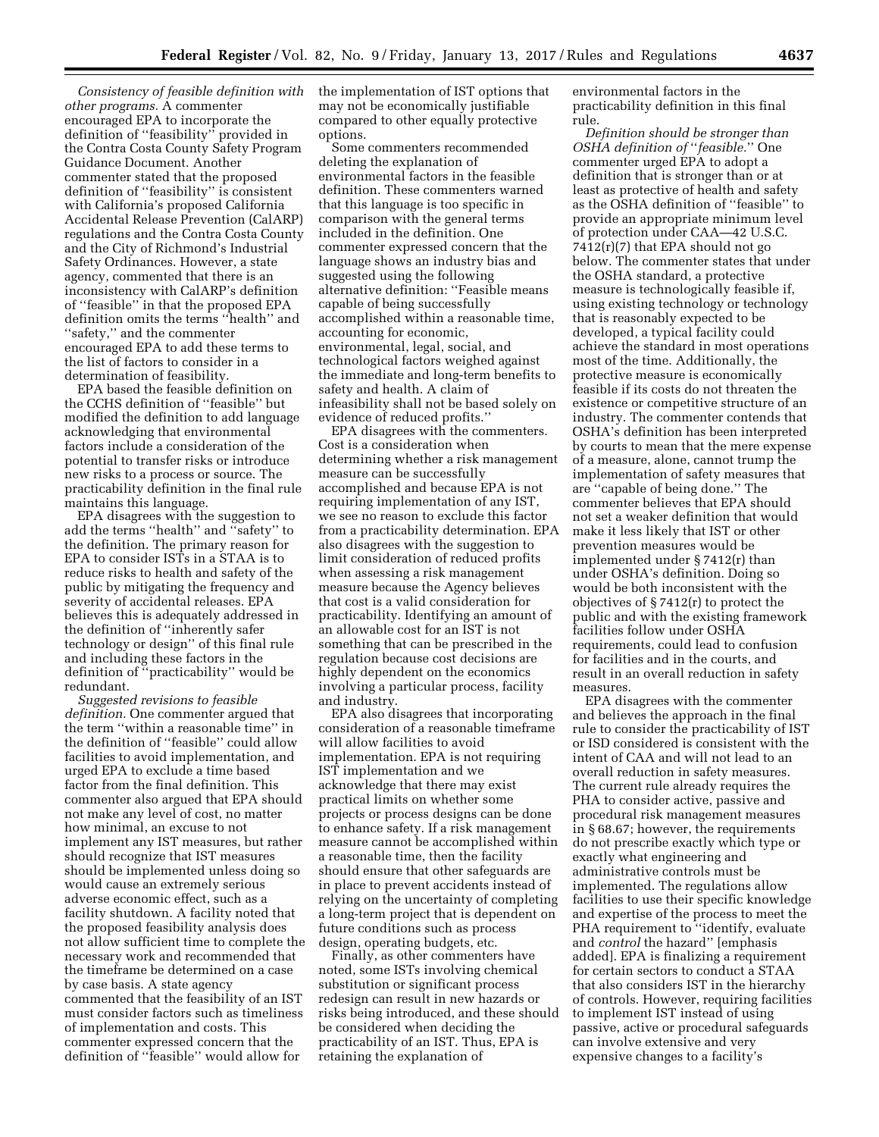*Consistency of feasible definition with other programs.* A commenter encouraged EPA to incorporate the definition of ''feasibility'' provided in the Contra Costa County Safety Program Guidance Document. Another commenter stated that the proposed definition of ''feasibility'' is consistent with California's proposed California Accidental Release Prevention (CalARP) regulations and the Contra Costa County and the City of Richmond's Industrial Safety Ordinances. However, a state agency, commented that there is an inconsistency with CalARP's definition of ''feasible'' in that the proposed EPA definition omits the terms ''health'' and ''safety,'' and the commenter encouraged EPA to add these terms to the list of factors to consider in a determination of feasibility.

EPA based the feasible definition on the CCHS definition of ''feasible'' but modified the definition to add language acknowledging that environmental factors include a consideration of the potential to transfer risks or introduce new risks to a process or source. The practicability definition in the final rule maintains this language.

EPA disagrees with the suggestion to add the terms ''health'' and ''safety'' to the definition. The primary reason for EPA to consider ISTs in a STAA is to reduce risks to health and safety of the public by mitigating the frequency and severity of accidental releases. EPA believes this is adequately addressed in the definition of ''inherently safer technology or design'' of this final rule and including these factors in the definition of ''practicability'' would be redundant.

*Suggested revisions to feasible definition.* One commenter argued that the term ''within a reasonable time'' in the definition of ''feasible'' could allow facilities to avoid implementation, and urged EPA to exclude a time based factor from the final definition. This commenter also argued that EPA should not make any level of cost, no matter how minimal, an excuse to not implement any IST measures, but rather should recognize that IST measures should be implemented unless doing so would cause an extremely serious adverse economic effect, such as a facility shutdown. A facility noted that the proposed feasibility analysis does not allow sufficient time to complete the necessary work and recommended that the timeframe be determined on a case by case basis. A state agency commented that the feasibility of an IST must consider factors such as timeliness of implementation and costs. This commenter expressed concern that the definition of ''feasible'' would allow for

the implementation of IST options that may not be economically justifiable compared to other equally protective options.

Some commenters recommended deleting the explanation of environmental factors in the feasible definition. These commenters warned that this language is too specific in comparison with the general terms included in the definition. One commenter expressed concern that the language shows an industry bias and suggested using the following alternative definition: ''Feasible means capable of being successfully accomplished within a reasonable time, accounting for economic, environmental, legal, social, and technological factors weighed against the immediate and long-term benefits to safety and health. A claim of infeasibility shall not be based solely on evidence of reduced profits.''

EPA disagrees with the commenters. Cost is a consideration when determining whether a risk management measure can be successfully accomplished and because EPA is not requiring implementation of any IST, we see no reason to exclude this factor from a practicability determination. EPA also disagrees with the suggestion to limit consideration of reduced profits when assessing a risk management measure because the Agency believes that cost is a valid consideration for practicability. Identifying an amount of an allowable cost for an IST is not something that can be prescribed in the regulation because cost decisions are highly dependent on the economics involving a particular process, facility and industry.

EPA also disagrees that incorporating consideration of a reasonable timeframe will allow facilities to avoid implementation. EPA is not requiring IST implementation and we acknowledge that there may exist practical limits on whether some projects or process designs can be done to enhance safety. If a risk management measure cannot be accomplished within a reasonable time, then the facility should ensure that other safeguards are in place to prevent accidents instead of relying on the uncertainty of completing a long-term project that is dependent on future conditions such as process design, operating budgets, etc.

Finally, as other commenters have noted, some ISTs involving chemical substitution or significant process redesign can result in new hazards or risks being introduced, and these should be considered when deciding the practicability of an IST. Thus, EPA is retaining the explanation of

environmental factors in the practicability definition in this final rule.

*Definition should be stronger than OSHA definition of* ''*feasible.*'' One commenter urged EPA to adopt a definition that is stronger than or at least as protective of health and safety as the OSHA definition of ''feasible'' to provide an appropriate minimum level of protection under CAA—42 U.S.C. 7412(r)(7) that EPA should not go below. The commenter states that under the OSHA standard, a protective measure is technologically feasible if, using existing technology or technology that is reasonably expected to be developed, a typical facility could achieve the standard in most operations most of the time. Additionally, the protective measure is economically feasible if its costs do not threaten the existence or competitive structure of an industry. The commenter contends that OSHA's definition has been interpreted by courts to mean that the mere expense of a measure, alone, cannot trump the implementation of safety measures that are ''capable of being done.'' The commenter believes that EPA should not set a weaker definition that would make it less likely that IST or other prevention measures would be implemented under § 7412(r) than under OSHA's definition. Doing so would be both inconsistent with the objectives of § 7412(r) to protect the public and with the existing framework facilities follow under OSHA requirements, could lead to confusion for facilities and in the courts, and result in an overall reduction in safety measures.

EPA disagrees with the commenter and believes the approach in the final rule to consider the practicability of IST or ISD considered is consistent with the intent of CAA and will not lead to an overall reduction in safety measures. The current rule already requires the PHA to consider active, passive and procedural risk management measures in § 68.67; however, the requirements do not prescribe exactly which type or exactly what engineering and administrative controls must be implemented. The regulations allow facilities to use their specific knowledge and expertise of the process to meet the PHA requirement to ''identify, evaluate and *control* the hazard'' [emphasis added]. EPA is finalizing a requirement for certain sectors to conduct a STAA that also considers IST in the hierarchy of controls. However, requiring facilities to implement IST instead of using passive, active or procedural safeguards can involve extensive and very expensive changes to a facility's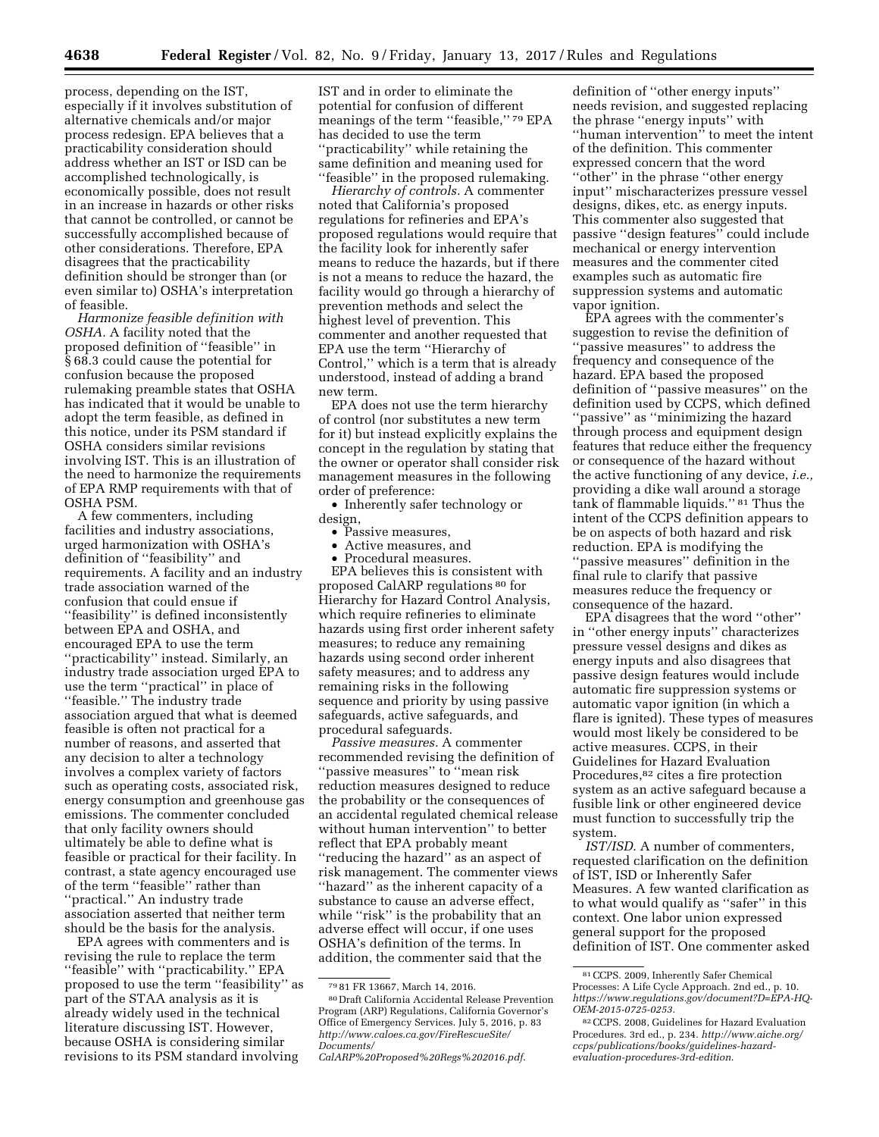process, depending on the IST, especially if it involves substitution of alternative chemicals and/or major process redesign. EPA believes that a practicability consideration should address whether an IST or ISD can be accomplished technologically, is economically possible, does not result in an increase in hazards or other risks that cannot be controlled, or cannot be successfully accomplished because of other considerations. Therefore, EPA disagrees that the practicability definition should be stronger than (or even similar to) OSHA's interpretation of feasible.

*Harmonize feasible definition with OSHA.* A facility noted that the proposed definition of ''feasible'' in § 68.3 could cause the potential for confusion because the proposed rulemaking preamble states that OSHA has indicated that it would be unable to adopt the term feasible, as defined in this notice, under its PSM standard if OSHA considers similar revisions involving IST. This is an illustration of the need to harmonize the requirements of EPA RMP requirements with that of OSHA PSM.

A few commenters, including facilities and industry associations, urged harmonization with OSHA's definition of ''feasibility'' and requirements. A facility and an industry trade association warned of the confusion that could ensue if ''feasibility'' is defined inconsistently between EPA and OSHA, and encouraged EPA to use the term ''practicability'' instead. Similarly, an industry trade association urged EPA to use the term ''practical'' in place of ''feasible.'' The industry trade association argued that what is deemed feasible is often not practical for a number of reasons, and asserted that any decision to alter a technology involves a complex variety of factors such as operating costs, associated risk, energy consumption and greenhouse gas emissions. The commenter concluded that only facility owners should ultimately be able to define what is feasible or practical for their facility. In contrast, a state agency encouraged use of the term ''feasible'' rather than ''practical.'' An industry trade association asserted that neither term should be the basis for the analysis.

EPA agrees with commenters and is revising the rule to replace the term ''feasible'' with ''practicability.'' EPA proposed to use the term ''feasibility'' as part of the STAA analysis as it is already widely used in the technical literature discussing IST. However, because OSHA is considering similar revisions to its PSM standard involving

IST and in order to eliminate the potential for confusion of different meanings of the term ''feasible,'' 79 EPA has decided to use the term ''practicability'' while retaining the same definition and meaning used for ''feasible'' in the proposed rulemaking.

*Hierarchy of controls.* A commenter noted that California's proposed regulations for refineries and EPA's proposed regulations would require that the facility look for inherently safer means to reduce the hazards, but if there is not a means to reduce the hazard, the facility would go through a hierarchy of prevention methods and select the highest level of prevention. This commenter and another requested that EPA use the term ''Hierarchy of Control,'' which is a term that is already understood, instead of adding a brand new term.

EPA does not use the term hierarchy of control (nor substitutes a new term for it) but instead explicitly explains the concept in the regulation by stating that the owner or operator shall consider risk management measures in the following order of preference:

• Inherently safer technology or design,

- Passive measures,<br>• Active measures
- Active measures, and
- Procedural measures.

EPA believes this is consistent with proposed CalARP regulations 80 for Hierarchy for Hazard Control Analysis, which require refineries to eliminate hazards using first order inherent safety measures; to reduce any remaining hazards using second order inherent safety measures; and to address any remaining risks in the following sequence and priority by using passive safeguards, active safeguards, and procedural safeguards.

*Passive measures.* A commenter recommended revising the definition of ''passive measures'' to ''mean risk reduction measures designed to reduce the probability or the consequences of an accidental regulated chemical release without human intervention'' to better reflect that EPA probably meant ''reducing the hazard'' as an aspect of risk management. The commenter views "hazard" as the inherent capacity of a substance to cause an adverse effect, while "risk" is the probability that an adverse effect will occur, if one uses OSHA's definition of the terms. In addition, the commenter said that the

definition of ''other energy inputs'' needs revision, and suggested replacing the phrase ''energy inputs'' with ''human intervention'' to meet the intent of the definition. This commenter expressed concern that the word ''other'' in the phrase ''other energy input'' mischaracterizes pressure vessel designs, dikes, etc. as energy inputs. This commenter also suggested that passive ''design features'' could include mechanical or energy intervention measures and the commenter cited examples such as automatic fire suppression systems and automatic vapor ignition.

EPA agrees with the commenter's suggestion to revise the definition of ''passive measures'' to address the frequency and consequence of the hazard. EPA based the proposed definition of ''passive measures'' on the definition used by CCPS, which defined ''passive'' as ''minimizing the hazard through process and equipment design features that reduce either the frequency or consequence of the hazard without the active functioning of any device, *i.e.,*  providing a dike wall around a storage tank of flammable liquids.'' 81 Thus the intent of the CCPS definition appears to be on aspects of both hazard and risk reduction. EPA is modifying the ''passive measures'' definition in the final rule to clarify that passive measures reduce the frequency or consequence of the hazard.

EPA disagrees that the word ''other'' in ''other energy inputs'' characterizes pressure vessel designs and dikes as energy inputs and also disagrees that passive design features would include automatic fire suppression systems or automatic vapor ignition (in which a flare is ignited). These types of measures would most likely be considered to be active measures. CCPS, in their Guidelines for Hazard Evaluation Procedures,82 cites a fire protection system as an active safeguard because a fusible link or other engineered device must function to successfully trip the system.

*IST/ISD.* A number of commenters, requested clarification on the definition of IST, ISD or Inherently Safer Measures. A few wanted clarification as to what would qualify as ''safer'' in this context. One labor union expressed general support for the proposed definition of IST. One commenter asked

<sup>79</sup> 81 FR 13667, March 14, 2016.

<sup>80</sup> Draft California Accidental Release Prevention Program (ARP) Regulations, California Governor's Office of Emergency Services. July 5, 2016, p. 83 *[http://www.caloes.ca.gov/FireRescueSite/](http://www.caloes.ca.gov/FireRescueSite/Documents/CalARP%20Proposed%20Regs%202016.pdf) [Documents/](http://www.caloes.ca.gov/FireRescueSite/Documents/CalARP%20Proposed%20Regs%202016.pdf)*

*[CalARP%20Proposed%20Regs%202016.pdf](http://www.caloes.ca.gov/FireRescueSite/Documents/CalARP%20Proposed%20Regs%202016.pdf)*.

<sup>81</sup>CCPS. 2009, Inherently Safer Chemical Processes: A Life Cycle Approach. 2nd ed., p. 10. *[https://www.regulations.gov/document?D=EPA-HQ-](https://www.regulations.gov/document?D=EPA-HQ-OEM-2015-0725-0253)[OEM-2015-0725-0253](https://www.regulations.gov/document?D=EPA-HQ-OEM-2015-0725-0253)*.

<sup>82</sup>CCPS. 2008, Guidelines for Hazard Evaluation Procedures. 3rd ed., p. 234. *[http://www.aiche.org/](http://www.aiche.org/ccps/publications/books/guidelines-hazard-evaluation-procedures-3rd-edition) [ccps/publications/books/guidelines-hazard](http://www.aiche.org/ccps/publications/books/guidelines-hazard-evaluation-procedures-3rd-edition)[evaluation-procedures-3rd-edition](http://www.aiche.org/ccps/publications/books/guidelines-hazard-evaluation-procedures-3rd-edition)*.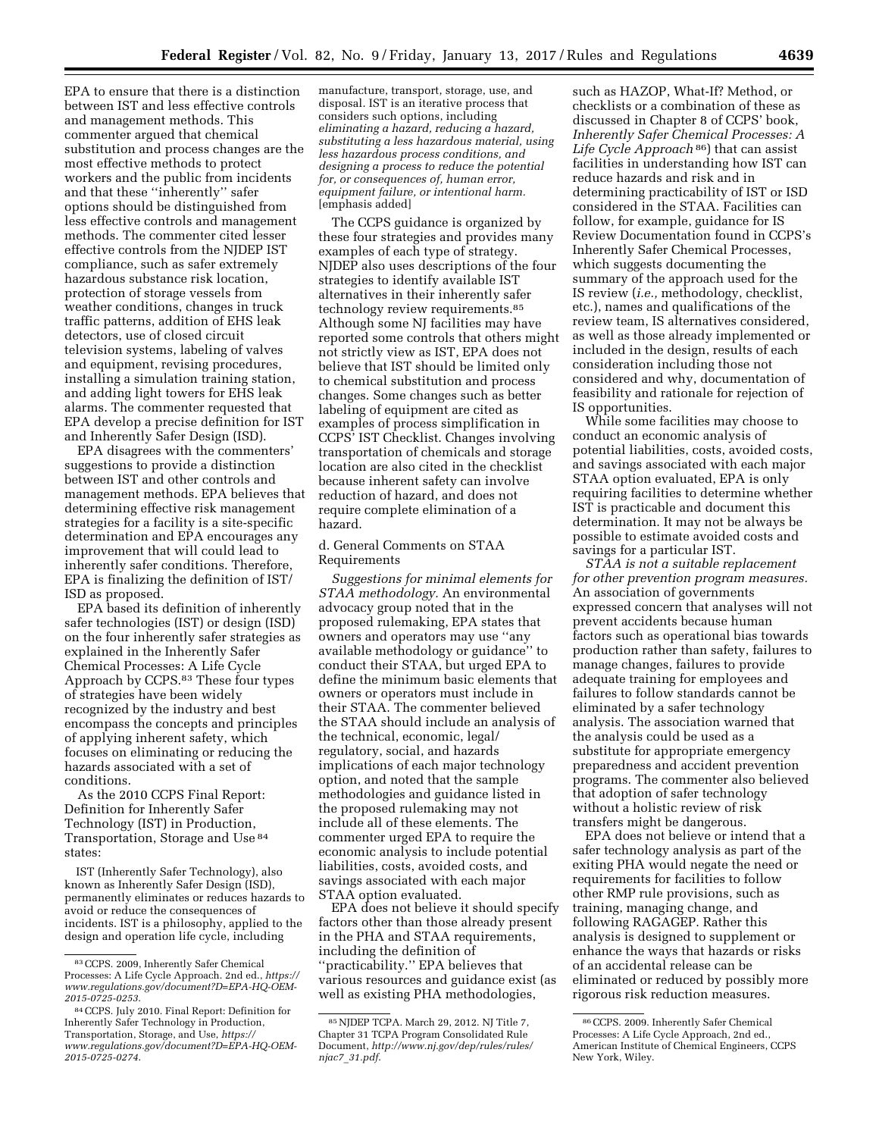EPA to ensure that there is a distinction between IST and less effective controls and management methods. This commenter argued that chemical substitution and process changes are the most effective methods to protect workers and the public from incidents and that these ''inherently'' safer options should be distinguished from less effective controls and management methods. The commenter cited lesser effective controls from the NJDEP IST compliance, such as safer extremely hazardous substance risk location, protection of storage vessels from weather conditions, changes in truck traffic patterns, addition of EHS leak detectors, use of closed circuit television systems, labeling of valves and equipment, revising procedures, installing a simulation training station, and adding light towers for EHS leak alarms. The commenter requested that EPA develop a precise definition for IST and Inherently Safer Design (ISD).

EPA disagrees with the commenters' suggestions to provide a distinction between IST and other controls and management methods. EPA believes that determining effective risk management strategies for a facility is a site-specific determination and EPA encourages any improvement that will could lead to inherently safer conditions. Therefore, EPA is finalizing the definition of IST/ ISD as proposed.

EPA based its definition of inherently safer technologies (IST) or design (ISD) on the four inherently safer strategies as explained in the Inherently Safer Chemical Processes: A Life Cycle Approach by CCPS.83 These four types of strategies have been widely recognized by the industry and best encompass the concepts and principles of applying inherent safety, which focuses on eliminating or reducing the hazards associated with a set of conditions.

As the 2010 CCPS Final Report: Definition for Inherently Safer Technology (IST) in Production, Transportation, Storage and Use 84 states:

IST (Inherently Safer Technology), also known as Inherently Safer Design (ISD), permanently eliminates or reduces hazards to avoid or reduce the consequences of incidents. IST is a philosophy, applied to the design and operation life cycle, including

manufacture, transport, storage, use, and disposal. IST is an iterative process that considers such options, including *eliminating a hazard, reducing a hazard, substituting a less hazardous material, using less hazardous process conditions, and designing a process to reduce the potential for, or consequences of, human error, equipment failure, or intentional harm.*  [emphasis added]

The CCPS guidance is organized by these four strategies and provides many examples of each type of strategy. NJDEP also uses descriptions of the four strategies to identify available IST alternatives in their inherently safer technology review requirements.85 Although some NJ facilities may have reported some controls that others might not strictly view as IST, EPA does not believe that IST should be limited only to chemical substitution and process changes. Some changes such as better labeling of equipment are cited as examples of process simplification in CCPS' IST Checklist. Changes involving transportation of chemicals and storage location are also cited in the checklist because inherent safety can involve reduction of hazard, and does not require complete elimination of a hazard.

## d. General Comments on STAA Requirements

*Suggestions for minimal elements for STAA methodology.* An environmental advocacy group noted that in the proposed rulemaking, EPA states that owners and operators may use ''any available methodology or guidance'' to conduct their STAA, but urged EPA to define the minimum basic elements that owners or operators must include in their STAA. The commenter believed the STAA should include an analysis of the technical, economic, legal/ regulatory, social, and hazards implications of each major technology option, and noted that the sample methodologies and guidance listed in the proposed rulemaking may not include all of these elements. The commenter urged EPA to require the economic analysis to include potential liabilities, costs, avoided costs, and savings associated with each major STAA option evaluated.

EPA does not believe it should specify factors other than those already present in the PHA and STAA requirements, including the definition of ''practicability.'' EPA believes that various resources and guidance exist (as well as existing PHA methodologies,

such as HAZOP, What-If? Method, or checklists or a combination of these as discussed in Chapter 8 of CCPS' book, *Inherently Safer Chemical Processes: A Life Cycle Approach* 86) that can assist facilities in understanding how IST can reduce hazards and risk and in determining practicability of IST or ISD considered in the STAA. Facilities can follow, for example, guidance for IS Review Documentation found in CCPS's Inherently Safer Chemical Processes, which suggests documenting the summary of the approach used for the IS review (*i.e.,* methodology, checklist, etc.), names and qualifications of the review team, IS alternatives considered, as well as those already implemented or included in the design, results of each consideration including those not considered and why, documentation of feasibility and rationale for rejection of IS opportunities.

While some facilities may choose to conduct an economic analysis of potential liabilities, costs, avoided costs, and savings associated with each major STAA option evaluated, EPA is only requiring facilities to determine whether IST is practicable and document this determination. It may not be always be possible to estimate avoided costs and savings for a particular IST.

*STAA is not a suitable replacement for other prevention program measures.*  An association of governments expressed concern that analyses will not prevent accidents because human factors such as operational bias towards production rather than safety, failures to manage changes, failures to provide adequate training for employees and failures to follow standards cannot be eliminated by a safer technology analysis. The association warned that the analysis could be used as a substitute for appropriate emergency preparedness and accident prevention programs. The commenter also believed that adoption of safer technology without a holistic review of risk transfers might be dangerous.

EPA does not believe or intend that a safer technology analysis as part of the exiting PHA would negate the need or requirements for facilities to follow other RMP rule provisions, such as training, managing change, and following RAGAGEP. Rather this analysis is designed to supplement or enhance the ways that hazards or risks of an accidental release can be eliminated or reduced by possibly more rigorous risk reduction measures.

<sup>83</sup>CCPS. 2009, Inherently Safer Chemical Processes: A Life Cycle Approach. 2nd ed., *[https://](https://www.regulations.gov/document?D=EPA-HQ-OEM-2015-0725-0253)  [www.regulations.gov/document?D=EPA-HQ-OEM-](https://www.regulations.gov/document?D=EPA-HQ-OEM-2015-0725-0253)[2015-0725-0253](https://www.regulations.gov/document?D=EPA-HQ-OEM-2015-0725-0253)*.

<sup>84</sup>CCPS. July 2010. Final Report: Definition for Inherently Safer Technology in Production, Transportation, Storage, and Use, *[https://](https://www.regulations.gov/document?D=EPA-HQ-OEM-2015-0725-0274) [www.regulations.gov/document?D=EPA-HQ-OEM-](https://www.regulations.gov/document?D=EPA-HQ-OEM-2015-0725-0274)[2015-0725-0274](https://www.regulations.gov/document?D=EPA-HQ-OEM-2015-0725-0274)*.

<sup>85</sup>NJDEP TCPA. March 29, 2012. NJ Title 7, Chapter 31 TCPA Program Consolidated Rule Document, *[http://www.nj.gov/dep/rules/rules/](http://www.nj.gov/dep/rules/rules/njac7_31.pdf) njac7*\_*[31.pdf](http://www.nj.gov/dep/rules/rules/njac7_31.pdf)*.

<sup>86</sup>CCPS. 2009. Inherently Safer Chemical Processes: A Life Cycle Approach, 2nd ed., American Institute of Chemical Engineers, CCPS New York, Wiley.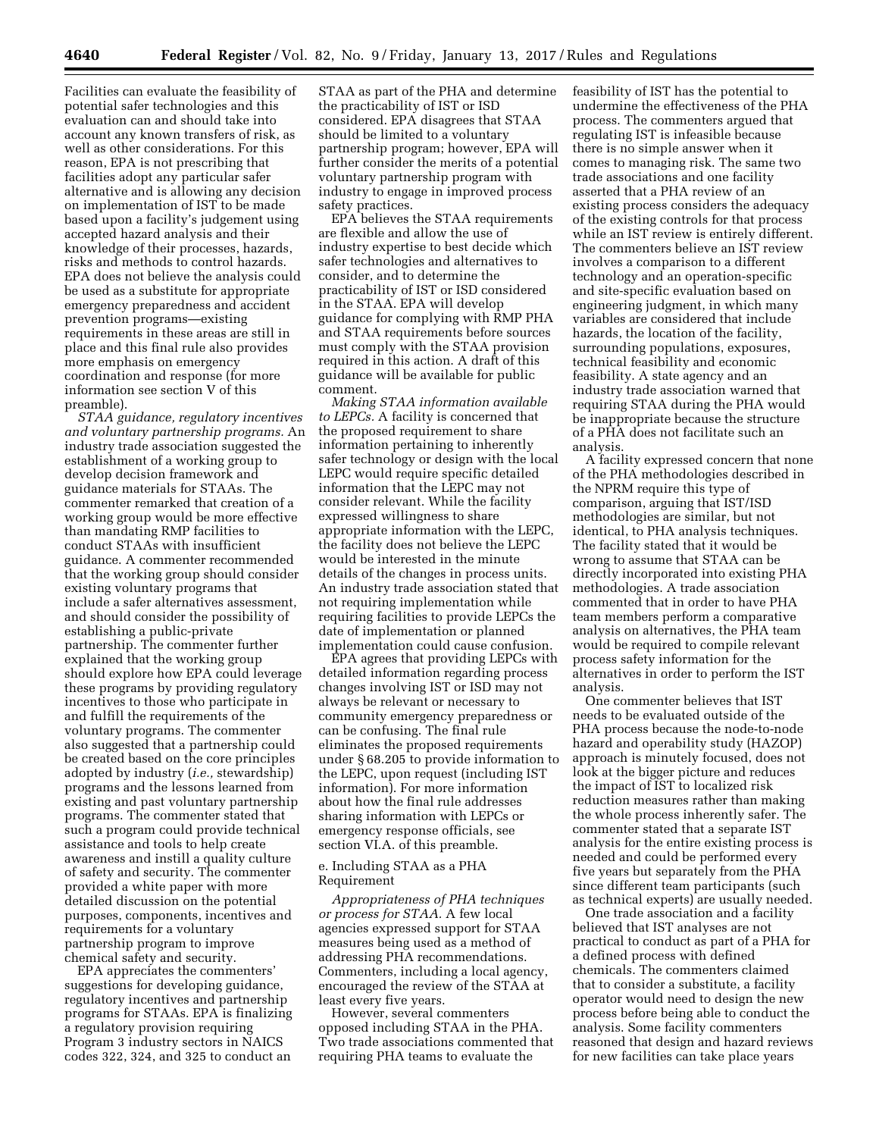Facilities can evaluate the feasibility of potential safer technologies and this evaluation can and should take into account any known transfers of risk, as well as other considerations. For this reason, EPA is not prescribing that facilities adopt any particular safer alternative and is allowing any decision on implementation of IST to be made based upon a facility's judgement using accepted hazard analysis and their knowledge of their processes, hazards, risks and methods to control hazards. EPA does not believe the analysis could be used as a substitute for appropriate emergency preparedness and accident prevention programs—existing requirements in these areas are still in place and this final rule also provides more emphasis on emergency coordination and response (for more information see section V of this preamble).

*STAA guidance, regulatory incentives and voluntary partnership programs.* An industry trade association suggested the establishment of a working group to develop decision framework and guidance materials for STAAs. The commenter remarked that creation of a working group would be more effective than mandating RMP facilities to conduct STAAs with insufficient guidance. A commenter recommended that the working group should consider existing voluntary programs that include a safer alternatives assessment, and should consider the possibility of establishing a public-private partnership. The commenter further explained that the working group should explore how EPA could leverage these programs by providing regulatory incentives to those who participate in and fulfill the requirements of the voluntary programs. The commenter also suggested that a partnership could be created based on the core principles adopted by industry (*i.e.,* stewardship) programs and the lessons learned from existing and past voluntary partnership programs. The commenter stated that such a program could provide technical assistance and tools to help create awareness and instill a quality culture of safety and security. The commenter provided a white paper with more detailed discussion on the potential purposes, components, incentives and requirements for a voluntary partnership program to improve chemical safety and security.

EPA appreciates the commenters' suggestions for developing guidance, regulatory incentives and partnership programs for STAAs. EPA is finalizing a regulatory provision requiring Program 3 industry sectors in NAICS codes 322, 324, and 325 to conduct an STAA as part of the PHA and determine the practicability of IST or ISD considered. EPA disagrees that STAA should be limited to a voluntary partnership program; however, EPA will further consider the merits of a potential voluntary partnership program with industry to engage in improved process safety practices.

EPA believes the STAA requirements are flexible and allow the use of industry expertise to best decide which safer technologies and alternatives to consider, and to determine the practicability of IST or ISD considered in the STAA. EPA will develop guidance for complying with RMP PHA and STAA requirements before sources must comply with the STAA provision required in this action. A draft of this guidance will be available for public comment.

*Making STAA information available to LEPCs.* A facility is concerned that the proposed requirement to share information pertaining to inherently safer technology or design with the local LEPC would require specific detailed information that the LEPC may not consider relevant. While the facility expressed willingness to share appropriate information with the LEPC, the facility does not believe the LEPC would be interested in the minute details of the changes in process units. An industry trade association stated that not requiring implementation while requiring facilities to provide LEPCs the date of implementation or planned implementation could cause confusion.

EPA agrees that providing LEPCs with detailed information regarding process changes involving IST or ISD may not always be relevant or necessary to community emergency preparedness or can be confusing. The final rule eliminates the proposed requirements under § 68.205 to provide information to the LEPC, upon request (including IST information). For more information about how the final rule addresses sharing information with LEPCs or emergency response officials, see section VI.A. of this preamble.

## e. Including STAA as a PHA Requirement

*Appropriateness of PHA techniques or process for STAA.* A few local agencies expressed support for STAA measures being used as a method of addressing PHA recommendations. Commenters, including a local agency, encouraged the review of the STAA at least every five years.

However, several commenters opposed including STAA in the PHA. Two trade associations commented that requiring PHA teams to evaluate the

feasibility of IST has the potential to undermine the effectiveness of the PHA process. The commenters argued that regulating IST is infeasible because there is no simple answer when it comes to managing risk. The same two trade associations and one facility asserted that a PHA review of an existing process considers the adequacy of the existing controls for that process while an IST review is entirely different. The commenters believe an IST review involves a comparison to a different technology and an operation-specific and site-specific evaluation based on engineering judgment, in which many variables are considered that include hazards, the location of the facility, surrounding populations, exposures, technical feasibility and economic feasibility. A state agency and an industry trade association warned that requiring STAA during the PHA would be inappropriate because the structure of a PHA does not facilitate such an analysis.

A facility expressed concern that none of the PHA methodologies described in the NPRM require this type of comparison, arguing that IST/ISD methodologies are similar, but not identical, to PHA analysis techniques. The facility stated that it would be wrong to assume that STAA can be directly incorporated into existing PHA methodologies. A trade association commented that in order to have PHA team members perform a comparative analysis on alternatives, the PHA team would be required to compile relevant process safety information for the alternatives in order to perform the IST analysis.

One commenter believes that IST needs to be evaluated outside of the PHA process because the node-to-node hazard and operability study (HAZOP) approach is minutely focused, does not look at the bigger picture and reduces the impact of IST to localized risk reduction measures rather than making the whole process inherently safer. The commenter stated that a separate IST analysis for the entire existing process is needed and could be performed every five years but separately from the PHA since different team participants (such as technical experts) are usually needed.

One trade association and a facility believed that IST analyses are not practical to conduct as part of a PHA for a defined process with defined chemicals. The commenters claimed that to consider a substitute, a facility operator would need to design the new process before being able to conduct the analysis. Some facility commenters reasoned that design and hazard reviews for new facilities can take place years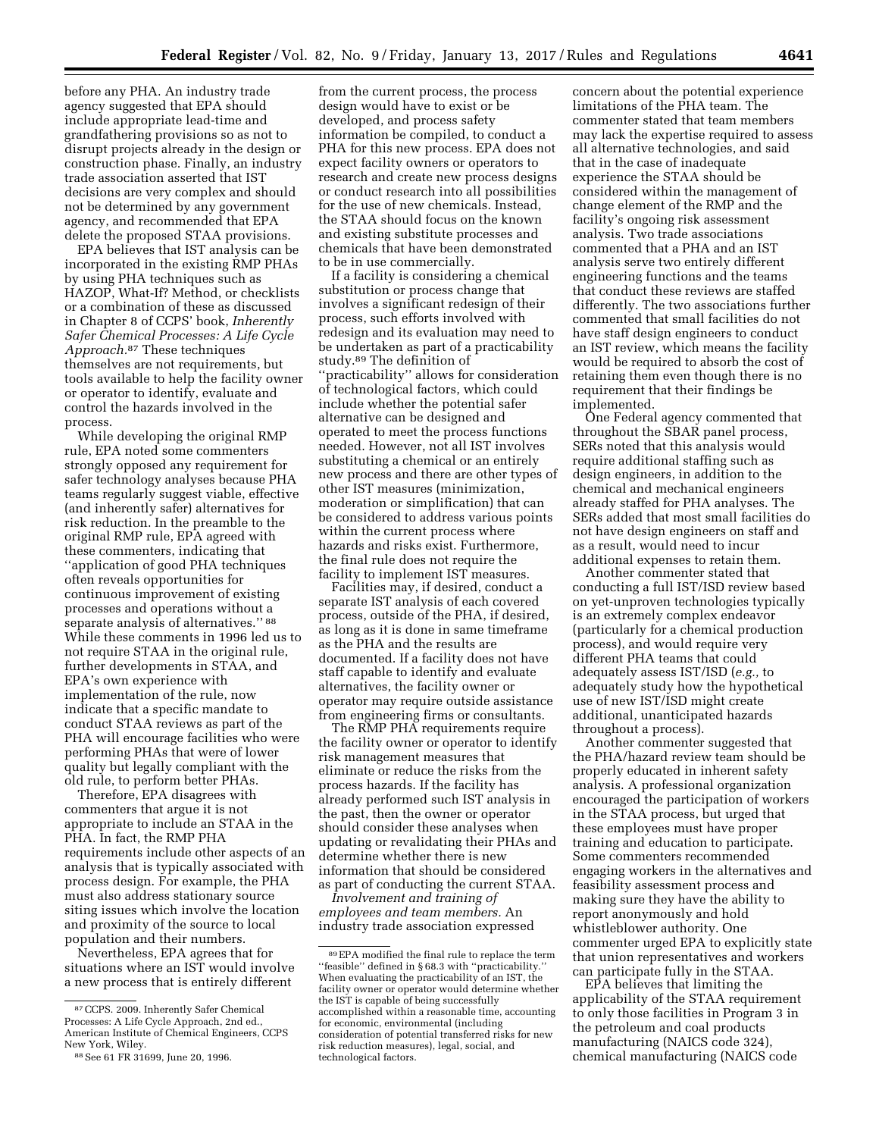before any PHA. An industry trade agency suggested that EPA should include appropriate lead-time and grandfathering provisions so as not to disrupt projects already in the design or construction phase. Finally, an industry trade association asserted that IST decisions are very complex and should not be determined by any government agency, and recommended that EPA delete the proposed STAA provisions.

EPA believes that IST analysis can be incorporated in the existing RMP PHAs by using PHA techniques such as HAZOP, What-If? Method, or checklists or a combination of these as discussed in Chapter 8 of CCPS' book, *Inherently Safer Chemical Processes: A Life Cycle Approach.*87 These techniques themselves are not requirements, but tools available to help the facility owner or operator to identify, evaluate and control the hazards involved in the process.

While developing the original RMP rule, EPA noted some commenters strongly opposed any requirement for safer technology analyses because PHA teams regularly suggest viable, effective (and inherently safer) alternatives for risk reduction. In the preamble to the original RMP rule, EPA agreed with these commenters, indicating that ''application of good PHA techniques often reveals opportunities for continuous improvement of existing processes and operations without a separate analysis of alternatives.'' 88 While these comments in 1996 led us to not require STAA in the original rule, further developments in STAA, and EPA's own experience with implementation of the rule, now indicate that a specific mandate to conduct STAA reviews as part of the PHA will encourage facilities who were performing PHAs that were of lower quality but legally compliant with the old rule, to perform better PHAs.

Therefore, EPA disagrees with commenters that argue it is not appropriate to include an STAA in the PHA. In fact, the RMP PHA requirements include other aspects of an analysis that is typically associated with process design. For example, the PHA must also address stationary source siting issues which involve the location and proximity of the source to local population and their numbers.

Nevertheless, EPA agrees that for situations where an IST would involve a new process that is entirely different

from the current process, the process design would have to exist or be developed, and process safety information be compiled, to conduct a PHA for this new process. EPA does not expect facility owners or operators to research and create new process designs or conduct research into all possibilities for the use of new chemicals. Instead, the STAA should focus on the known and existing substitute processes and chemicals that have been demonstrated to be in use commercially.

If a facility is considering a chemical substitution or process change that involves a significant redesign of their process, such efforts involved with redesign and its evaluation may need to be undertaken as part of a practicability study.89 The definition of ''practicability'' allows for consideration of technological factors, which could include whether the potential safer alternative can be designed and operated to meet the process functions needed. However, not all IST involves substituting a chemical or an entirely new process and there are other types of other IST measures (minimization, moderation or simplification) that can be considered to address various points within the current process where hazards and risks exist. Furthermore, the final rule does not require the facility to implement IST measures.

Facilities may, if desired, conduct a separate IST analysis of each covered process, outside of the PHA, if desired, as long as it is done in same timeframe as the PHA and the results are documented. If a facility does not have staff capable to identify and evaluate alternatives, the facility owner or operator may require outside assistance from engineering firms or consultants.

The RMP PHA requirements require the facility owner or operator to identify risk management measures that eliminate or reduce the risks from the process hazards. If the facility has already performed such IST analysis in the past, then the owner or operator should consider these analyses when updating or revalidating their PHAs and determine whether there is new information that should be considered as part of conducting the current STAA.

*Involvement and training of employees and team members.* An industry trade association expressed

concern about the potential experience limitations of the PHA team. The commenter stated that team members may lack the expertise required to assess all alternative technologies, and said that in the case of inadequate experience the STAA should be considered within the management of change element of the RMP and the facility's ongoing risk assessment analysis. Two trade associations commented that a PHA and an IST analysis serve two entirely different engineering functions and the teams that conduct these reviews are staffed differently. The two associations further commented that small facilities do not have staff design engineers to conduct an IST review, which means the facility would be required to absorb the cost of retaining them even though there is no requirement that their findings be implemented.

One Federal agency commented that throughout the SBAR panel process, SERs noted that this analysis would require additional staffing such as design engineers, in addition to the chemical and mechanical engineers already staffed for PHA analyses. The SERs added that most small facilities do not have design engineers on staff and as a result, would need to incur additional expenses to retain them.

Another commenter stated that conducting a full IST/ISD review based on yet-unproven technologies typically is an extremely complex endeavor (particularly for a chemical production process), and would require very different PHA teams that could adequately assess IST/ISD (*e.g.,* to adequately study how the hypothetical use of new IST/ISD might create additional, unanticipated hazards throughout a process).

Another commenter suggested that the PHA/hazard review team should be properly educated in inherent safety analysis. A professional organization encouraged the participation of workers in the STAA process, but urged that these employees must have proper training and education to participate. Some commenters recommended engaging workers in the alternatives and feasibility assessment process and making sure they have the ability to report anonymously and hold whistleblower authority. One commenter urged EPA to explicitly state that union representatives and workers can participate fully in the STAA.

EPA believes that limiting the applicability of the STAA requirement to only those facilities in Program 3 in the petroleum and coal products manufacturing (NAICS code 324), chemical manufacturing (NAICS code

<sup>87</sup>CCPS. 2009. Inherently Safer Chemical Processes: A Life Cycle Approach, 2nd ed., American Institute of Chemical Engineers, CCPS New York, Wiley.

<sup>88</sup>See 61 FR 31699, June 20, 1996.

<sup>89</sup>EPA modified the final rule to replace the term ''feasible'' defined in § 68.3 with ''practicability.'' When evaluating the practicability of an IST, the facility owner or operator would determine whether the IST is capable of being successfully accomplished within a reasonable time, accounting for economic, environmental (including consideration of potential transferred risks for new risk reduction measures), legal, social, and technological factors.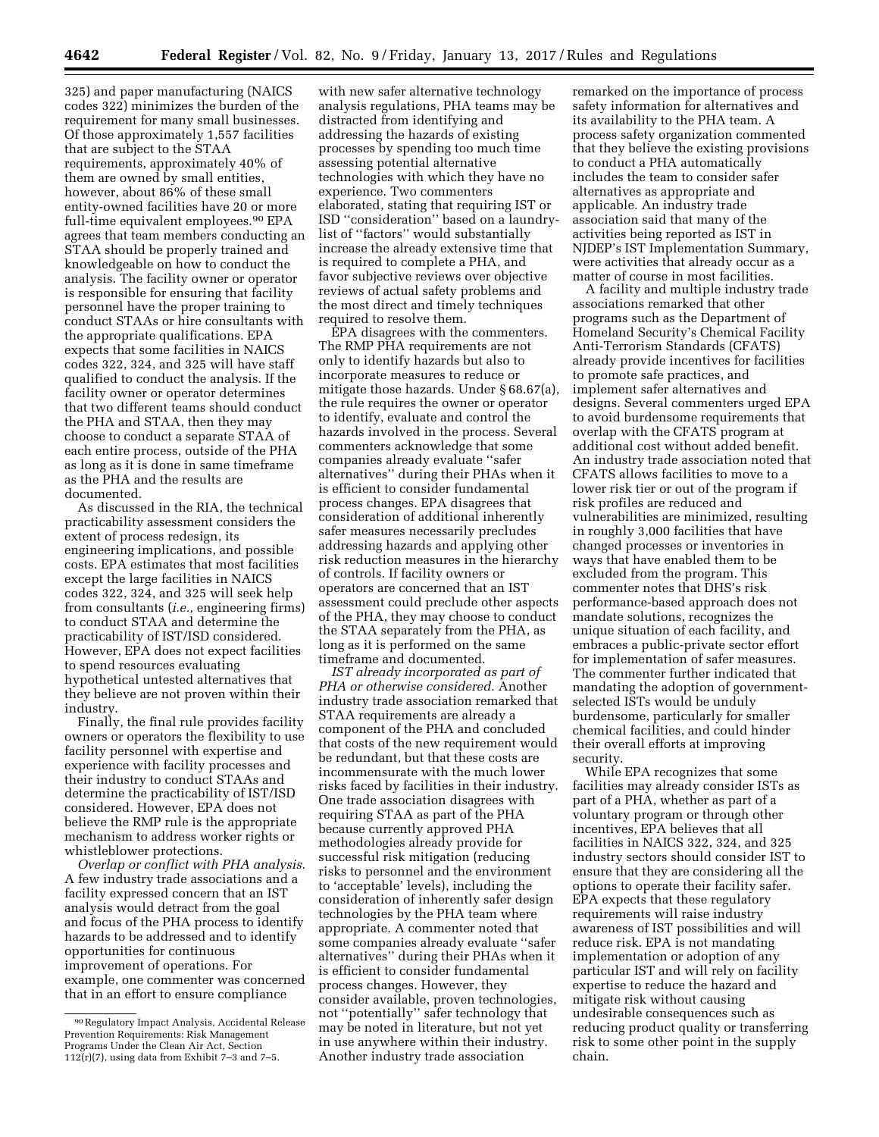325) and paper manufacturing (NAICS codes 322) minimizes the burden of the requirement for many small businesses. Of those approximately 1,557 facilities that are subject to the STAA requirements, approximately 40% of them are owned by small entities, however, about 86% of these small entity-owned facilities have 20 or more full-time equivalent employees.<sup>90</sup> EPA agrees that team members conducting an STAA should be properly trained and knowledgeable on how to conduct the analysis. The facility owner or operator is responsible for ensuring that facility personnel have the proper training to conduct STAAs or hire consultants with the appropriate qualifications. EPA expects that some facilities in NAICS codes 322, 324, and 325 will have staff qualified to conduct the analysis. If the facility owner or operator determines that two different teams should conduct the PHA and STAA, then they may choose to conduct a separate STAA of each entire process, outside of the PHA as long as it is done in same timeframe as the PHA and the results are documented.

As discussed in the RIA, the technical practicability assessment considers the extent of process redesign, its engineering implications, and possible costs. EPA estimates that most facilities except the large facilities in NAICS codes 322, 324, and 325 will seek help from consultants (*i.e.,* engineering firms) to conduct STAA and determine the practicability of IST/ISD considered. However, EPA does not expect facilities to spend resources evaluating hypothetical untested alternatives that they believe are not proven within their industry.

Finally, the final rule provides facility owners or operators the flexibility to use facility personnel with expertise and experience with facility processes and their industry to conduct STAAs and determine the practicability of IST/ISD considered. However, EPA does not believe the RMP rule is the appropriate mechanism to address worker rights or whistleblower protections.

*Overlap or conflict with PHA analysis.*  A few industry trade associations and a facility expressed concern that an IST analysis would detract from the goal and focus of the PHA process to identify hazards to be addressed and to identify opportunities for continuous improvement of operations. For example, one commenter was concerned that in an effort to ensure compliance

with new safer alternative technology analysis regulations, PHA teams may be distracted from identifying and addressing the hazards of existing processes by spending too much time assessing potential alternative technologies with which they have no experience. Two commenters elaborated, stating that requiring IST or ISD ''consideration'' based on a laundrylist of ''factors'' would substantially increase the already extensive time that is required to complete a PHA, and favor subjective reviews over objective reviews of actual safety problems and the most direct and timely techniques required to resolve them.

EPA disagrees with the commenters. The RMP PHA requirements are not only to identify hazards but also to incorporate measures to reduce or mitigate those hazards. Under § 68.67(a), the rule requires the owner or operator to identify, evaluate and control the hazards involved in the process. Several commenters acknowledge that some companies already evaluate ''safer alternatives'' during their PHAs when it is efficient to consider fundamental process changes. EPA disagrees that consideration of additional inherently safer measures necessarily precludes addressing hazards and applying other risk reduction measures in the hierarchy of controls. If facility owners or operators are concerned that an IST assessment could preclude other aspects of the PHA, they may choose to conduct the STAA separately from the PHA, as long as it is performed on the same timeframe and documented.

*IST already incorporated as part of PHA or otherwise considered.* Another industry trade association remarked that STAA requirements are already a component of the PHA and concluded that costs of the new requirement would be redundant, but that these costs are incommensurate with the much lower risks faced by facilities in their industry. One trade association disagrees with requiring STAA as part of the PHA because currently approved PHA methodologies already provide for successful risk mitigation (reducing risks to personnel and the environment to 'acceptable' levels), including the consideration of inherently safer design technologies by the PHA team where appropriate. A commenter noted that some companies already evaluate ''safer alternatives'' during their PHAs when it is efficient to consider fundamental process changes. However, they consider available, proven technologies, not ''potentially'' safer technology that may be noted in literature, but not yet in use anywhere within their industry. Another industry trade association

remarked on the importance of process safety information for alternatives and its availability to the PHA team. A process safety organization commented that they believe the existing provisions to conduct a PHA automatically includes the team to consider safer alternatives as appropriate and applicable. An industry trade association said that many of the activities being reported as IST in NJDEP's IST Implementation Summary, were activities that already occur as a matter of course in most facilities.

A facility and multiple industry trade associations remarked that other programs such as the Department of Homeland Security's Chemical Facility Anti-Terrorism Standards (CFATS) already provide incentives for facilities to promote safe practices, and implement safer alternatives and designs. Several commenters urged EPA to avoid burdensome requirements that overlap with the CFATS program at additional cost without added benefit. An industry trade association noted that CFATS allows facilities to move to a lower risk tier or out of the program if risk profiles are reduced and vulnerabilities are minimized, resulting in roughly 3,000 facilities that have changed processes or inventories in ways that have enabled them to be excluded from the program. This commenter notes that DHS's risk performance-based approach does not mandate solutions, recognizes the unique situation of each facility, and embraces a public-private sector effort for implementation of safer measures. The commenter further indicated that mandating the adoption of governmentselected ISTs would be unduly burdensome, particularly for smaller chemical facilities, and could hinder their overall efforts at improving security.

While EPA recognizes that some facilities may already consider ISTs as part of a PHA, whether as part of a voluntary program or through other incentives, EPA believes that all facilities in NAICS 322, 324, and 325 industry sectors should consider IST to ensure that they are considering all the options to operate their facility safer. EPA expects that these regulatory requirements will raise industry awareness of IST possibilities and will reduce risk. EPA is not mandating implementation or adoption of any particular IST and will rely on facility expertise to reduce the hazard and mitigate risk without causing undesirable consequences such as reducing product quality or transferring risk to some other point in the supply chain.

<sup>90</sup>Regulatory Impact Analysis, Accidental Release Prevention Requirements: Risk Management Programs Under the Clean Air Act, Section  $112(r)(7)$ , using data from Exhibit 7-3 and 7-5.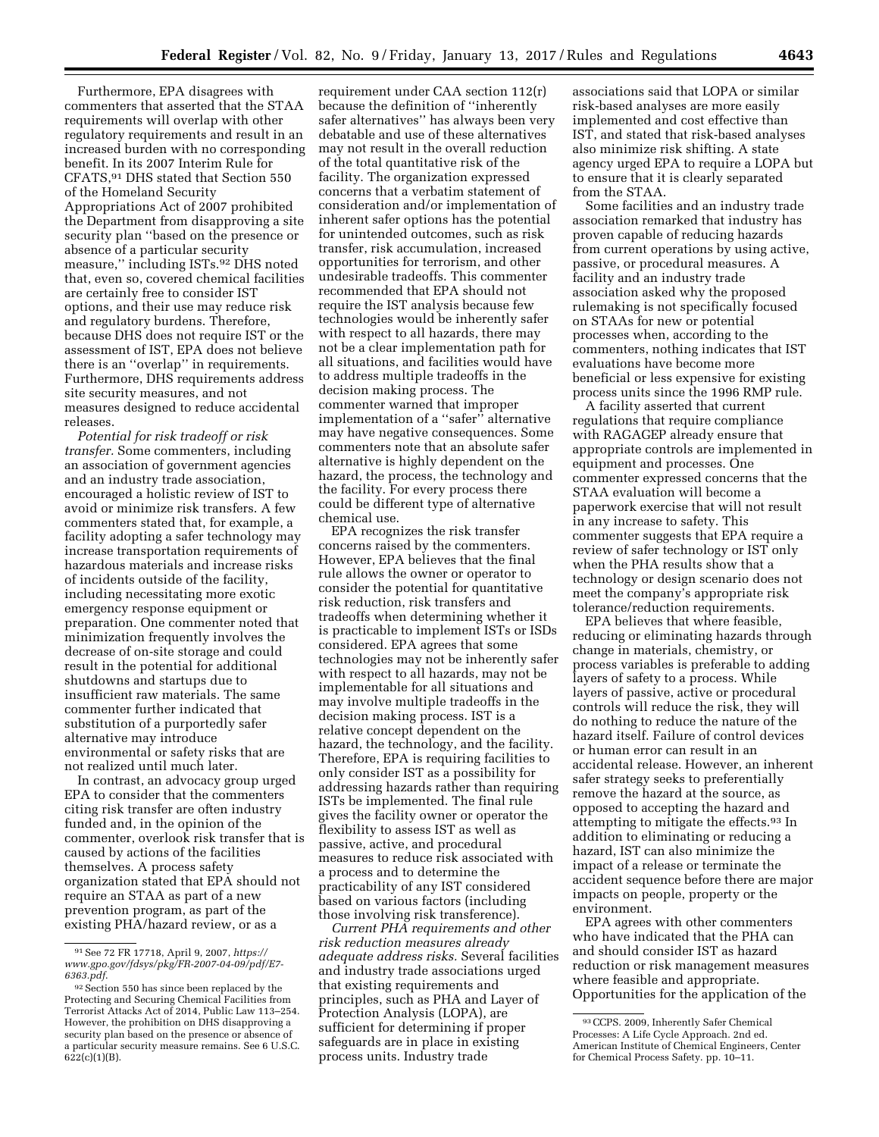Furthermore, EPA disagrees with commenters that asserted that the STAA requirements will overlap with other regulatory requirements and result in an increased burden with no corresponding benefit. In its 2007 Interim Rule for CFATS,91 DHS stated that Section 550 of the Homeland Security Appropriations Act of 2007 prohibited the Department from disapproving a site security plan ''based on the presence or absence of a particular security measure,'' including ISTs.92 DHS noted that, even so, covered chemical facilities are certainly free to consider IST options, and their use may reduce risk and regulatory burdens. Therefore, because DHS does not require IST or the assessment of IST, EPA does not believe there is an ''overlap'' in requirements. Furthermore, DHS requirements address site security measures, and not measures designed to reduce accidental releases.

*Potential for risk tradeoff or risk transfer.* Some commenters, including an association of government agencies and an industry trade association, encouraged a holistic review of IST to avoid or minimize risk transfers. A few commenters stated that, for example, a facility adopting a safer technology may increase transportation requirements of hazardous materials and increase risks of incidents outside of the facility, including necessitating more exotic emergency response equipment or preparation. One commenter noted that minimization frequently involves the decrease of on-site storage and could result in the potential for additional shutdowns and startups due to insufficient raw materials. The same commenter further indicated that substitution of a purportedly safer alternative may introduce environmental or safety risks that are not realized until much later.

In contrast, an advocacy group urged EPA to consider that the commenters citing risk transfer are often industry funded and, in the opinion of the commenter, overlook risk transfer that is caused by actions of the facilities themselves. A process safety organization stated that EPA should not require an STAA as part of a new prevention program, as part of the existing PHA/hazard review, or as a

requirement under CAA section 112(r) because the definition of ''inherently safer alternatives'' has always been very debatable and use of these alternatives may not result in the overall reduction of the total quantitative risk of the facility. The organization expressed concerns that a verbatim statement of consideration and/or implementation of inherent safer options has the potential for unintended outcomes, such as risk transfer, risk accumulation, increased opportunities for terrorism, and other undesirable tradeoffs. This commenter recommended that EPA should not require the IST analysis because few technologies would be inherently safer with respect to all hazards, there may not be a clear implementation path for all situations, and facilities would have to address multiple tradeoffs in the decision making process. The commenter warned that improper implementation of a ''safer'' alternative may have negative consequences. Some commenters note that an absolute safer alternative is highly dependent on the hazard, the process, the technology and the facility. For every process there could be different type of alternative chemical use.

EPA recognizes the risk transfer concerns raised by the commenters. However, EPA believes that the final rule allows the owner or operator to consider the potential for quantitative risk reduction, risk transfers and tradeoffs when determining whether it is practicable to implement ISTs or ISDs considered. EPA agrees that some technologies may not be inherently safer with respect to all hazards, may not be implementable for all situations and may involve multiple tradeoffs in the decision making process. IST is a relative concept dependent on the hazard, the technology, and the facility. Therefore, EPA is requiring facilities to only consider IST as a possibility for addressing hazards rather than requiring ISTs be implemented. The final rule gives the facility owner or operator the flexibility to assess IST as well as passive, active, and procedural measures to reduce risk associated with a process and to determine the practicability of any IST considered based on various factors (including those involving risk transference).

*Current PHA requirements and other risk reduction measures already adequate address risks.* Several facilities and industry trade associations urged that existing requirements and principles, such as PHA and Layer of Protection Analysis (LOPA), are sufficient for determining if proper safeguards are in place in existing process units. Industry trade

associations said that LOPA or similar risk-based analyses are more easily implemented and cost effective than IST, and stated that risk-based analyses also minimize risk shifting. A state agency urged EPA to require a LOPA but to ensure that it is clearly separated from the STAA.

Some facilities and an industry trade association remarked that industry has proven capable of reducing hazards from current operations by using active, passive, or procedural measures. A facility and an industry trade association asked why the proposed rulemaking is not specifically focused on STAAs for new or potential processes when, according to the commenters, nothing indicates that IST evaluations have become more beneficial or less expensive for existing process units since the 1996 RMP rule.

A facility asserted that current regulations that require compliance with RAGAGEP already ensure that appropriate controls are implemented in equipment and processes. One commenter expressed concerns that the STAA evaluation will become a paperwork exercise that will not result in any increase to safety. This commenter suggests that EPA require a review of safer technology or IST only when the PHA results show that a technology or design scenario does not meet the company's appropriate risk tolerance/reduction requirements.

EPA believes that where feasible, reducing or eliminating hazards through change in materials, chemistry, or process variables is preferable to adding layers of safety to a process. While layers of passive, active or procedural controls will reduce the risk, they will do nothing to reduce the nature of the hazard itself. Failure of control devices or human error can result in an accidental release. However, an inherent safer strategy seeks to preferentially remove the hazard at the source, as opposed to accepting the hazard and attempting to mitigate the effects.93 In addition to eliminating or reducing a hazard, IST can also minimize the impact of a release or terminate the accident sequence before there are major impacts on people, property or the environment.

EPA agrees with other commenters who have indicated that the PHA can and should consider IST as hazard reduction or risk management measures where feasible and appropriate. Opportunities for the application of the

<sup>91</sup>See 72 FR 17718, April 9, 2007, *[https://](https://www.gpo.gov/fdsys/pkg/FR-2007-04-09/pdf/E7-6363.pdf) [www.gpo.gov/fdsys/pkg/FR-2007-04-09/pdf/E7-](https://www.gpo.gov/fdsys/pkg/FR-2007-04-09/pdf/E7-6363.pdf)  [6363.pdf](https://www.gpo.gov/fdsys/pkg/FR-2007-04-09/pdf/E7-6363.pdf)*.

<sup>92</sup> Section 550 has since been replaced by the Protecting and Securing Chemical Facilities from Terrorist Attacks Act of 2014, Public Law 113–254. However, the prohibition on DHS disapproving a security plan based on the presence or absence of a particular security measure remains. See 6 U.S.C.  $622(c)(1)(B)$ .

<sup>93</sup>CCPS. 2009, Inherently Safer Chemical Processes: A Life Cycle Approach. 2nd ed. American Institute of Chemical Engineers, Center for Chemical Process Safety. pp. 10–11.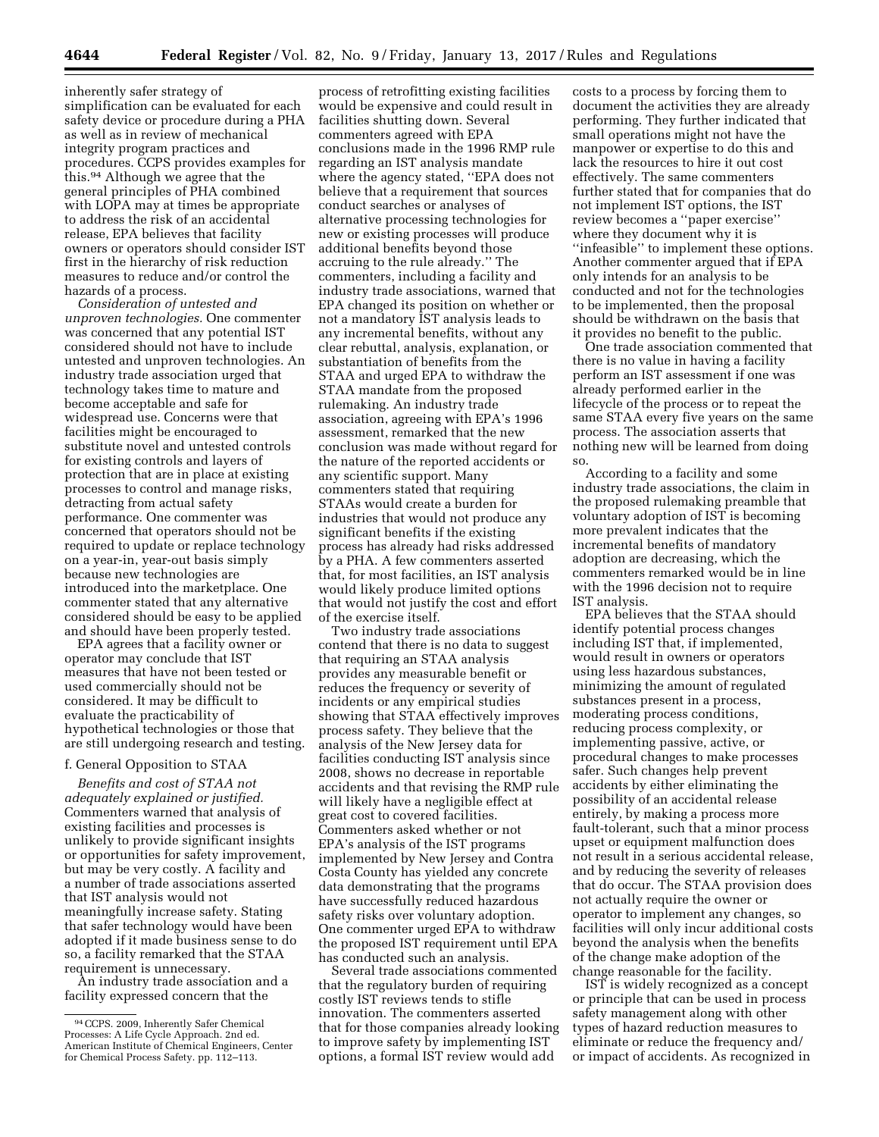inherently safer strategy of simplification can be evaluated for each safety device or procedure during a PHA as well as in review of mechanical integrity program practices and procedures. CCPS provides examples for this.94 Although we agree that the general principles of PHA combined with LOPA may at times be appropriate to address the risk of an accidental release, EPA believes that facility owners or operators should consider IST first in the hierarchy of risk reduction measures to reduce and/or control the hazards of a process.

*Consideration of untested and unproven technologies.* One commenter was concerned that any potential IST considered should not have to include untested and unproven technologies. An industry trade association urged that technology takes time to mature and become acceptable and safe for widespread use. Concerns were that facilities might be encouraged to substitute novel and untested controls for existing controls and layers of protection that are in place at existing processes to control and manage risks, detracting from actual safety performance. One commenter was concerned that operators should not be required to update or replace technology on a year-in, year-out basis simply because new technologies are introduced into the marketplace. One commenter stated that any alternative considered should be easy to be applied and should have been properly tested.

EPA agrees that a facility owner or operator may conclude that IST measures that have not been tested or used commercially should not be considered. It may be difficult to evaluate the practicability of hypothetical technologies or those that are still undergoing research and testing.

### f. General Opposition to STAA

*Benefits and cost of STAA not adequately explained or justified.*  Commenters warned that analysis of existing facilities and processes is unlikely to provide significant insights or opportunities for safety improvement, but may be very costly. A facility and a number of trade associations asserted that IST analysis would not meaningfully increase safety. Stating that safer technology would have been adopted if it made business sense to do so, a facility remarked that the STAA requirement is unnecessary.

An industry trade association and a facility expressed concern that the

process of retrofitting existing facilities would be expensive and could result in facilities shutting down. Several commenters agreed with EPA conclusions made in the 1996 RMP rule regarding an IST analysis mandate where the agency stated, ''EPA does not believe that a requirement that sources conduct searches or analyses of alternative processing technologies for new or existing processes will produce additional benefits beyond those accruing to the rule already.'' The commenters, including a facility and industry trade associations, warned that EPA changed its position on whether or not a mandatory IST analysis leads to any incremental benefits, without any clear rebuttal, analysis, explanation, or substantiation of benefits from the STAA and urged EPA to withdraw the STAA mandate from the proposed rulemaking. An industry trade association, agreeing with EPA's 1996 assessment, remarked that the new conclusion was made without regard for the nature of the reported accidents or any scientific support. Many commenters stated that requiring STAAs would create a burden for industries that would not produce any significant benefits if the existing process has already had risks addressed by a PHA. A few commenters asserted that, for most facilities, an IST analysis would likely produce limited options that would not justify the cost and effort of the exercise itself.

Two industry trade associations contend that there is no data to suggest that requiring an STAA analysis provides any measurable benefit or reduces the frequency or severity of incidents or any empirical studies showing that STAA effectively improves process safety. They believe that the analysis of the New Jersey data for facilities conducting IST analysis since 2008, shows no decrease in reportable accidents and that revising the RMP rule will likely have a negligible effect at great cost to covered facilities. Commenters asked whether or not EPA's analysis of the IST programs implemented by New Jersey and Contra Costa County has yielded any concrete data demonstrating that the programs have successfully reduced hazardous safety risks over voluntary adoption. One commenter urged EPA to withdraw the proposed IST requirement until EPA has conducted such an analysis.

Several trade associations commented that the regulatory burden of requiring costly IST reviews tends to stifle innovation. The commenters asserted that for those companies already looking to improve safety by implementing IST options, a formal IST review would add

costs to a process by forcing them to document the activities they are already performing. They further indicated that small operations might not have the manpower or expertise to do this and lack the resources to hire it out cost effectively. The same commenters further stated that for companies that do not implement IST options, the IST review becomes a ''paper exercise'' where they document why it is ''infeasible'' to implement these options. Another commenter argued that if EPA only intends for an analysis to be conducted and not for the technologies to be implemented, then the proposal should be withdrawn on the basis that it provides no benefit to the public.

One trade association commented that there is no value in having a facility perform an IST assessment if one was already performed earlier in the lifecycle of the process or to repeat the same STAA every five years on the same process. The association asserts that nothing new will be learned from doing so.

According to a facility and some industry trade associations, the claim in the proposed rulemaking preamble that voluntary adoption of IST is becoming more prevalent indicates that the incremental benefits of mandatory adoption are decreasing, which the commenters remarked would be in line with the 1996 decision not to require IST analysis.

EPA believes that the STAA should identify potential process changes including IST that, if implemented, would result in owners or operators using less hazardous substances, minimizing the amount of regulated substances present in a process, moderating process conditions, reducing process complexity, or implementing passive, active, or procedural changes to make processes safer. Such changes help prevent accidents by either eliminating the possibility of an accidental release entirely, by making a process more fault-tolerant, such that a minor process upset or equipment malfunction does not result in a serious accidental release, and by reducing the severity of releases that do occur. The STAA provision does not actually require the owner or operator to implement any changes, so facilities will only incur additional costs beyond the analysis when the benefits of the change make adoption of the change reasonable for the facility.

IST is widely recognized as a concept or principle that can be used in process safety management along with other types of hazard reduction measures to eliminate or reduce the frequency and/ or impact of accidents. As recognized in

<sup>94</sup>CCPS. 2009, Inherently Safer Chemical Processes: A Life Cycle Approach. 2nd ed. American Institute of Chemical Engineers, Center for Chemical Process Safety. pp. 112–113.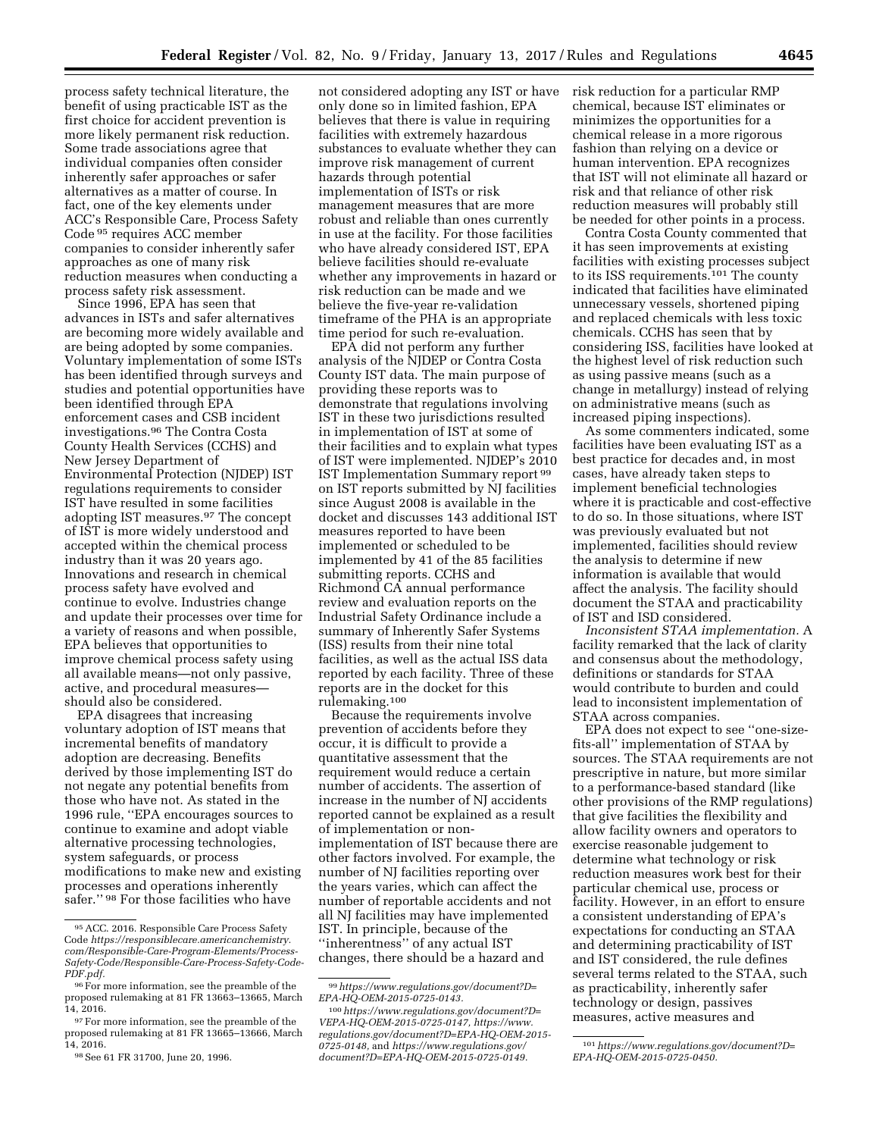process safety technical literature, the benefit of using practicable IST as the first choice for accident prevention is more likely permanent risk reduction. Some trade associations agree that individual companies often consider inherently safer approaches or safer alternatives as a matter of course. In fact, one of the key elements under ACC's Responsible Care, Process Safety Code 95 requires ACC member companies to consider inherently safer approaches as one of many risk reduction measures when conducting a process safety risk assessment.

Since 1996, EPA has seen that advances in ISTs and safer alternatives are becoming more widely available and are being adopted by some companies. Voluntary implementation of some ISTs has been identified through surveys and studies and potential opportunities have been identified through EPA enforcement cases and CSB incident investigations.96 The Contra Costa County Health Services (CCHS) and New Jersey Department of Environmental Protection (NJDEP) IST regulations requirements to consider IST have resulted in some facilities adopting IST measures.97 The concept of IST is more widely understood and accepted within the chemical process industry than it was 20 years ago. Innovations and research in chemical process safety have evolved and continue to evolve. Industries change and update their processes over time for a variety of reasons and when possible, EPA believes that opportunities to improve chemical process safety using all available means—not only passive, active, and procedural measures should also be considered.

EPA disagrees that increasing voluntary adoption of IST means that incremental benefits of mandatory adoption are decreasing. Benefits derived by those implementing IST do not negate any potential benefits from those who have not. As stated in the 1996 rule, ''EPA encourages sources to continue to examine and adopt viable alternative processing technologies, system safeguards, or process modifications to make new and existing processes and operations inherently safer.'' 98 For those facilities who have

not considered adopting any IST or have only done so in limited fashion, EPA believes that there is value in requiring facilities with extremely hazardous substances to evaluate whether they can improve risk management of current hazards through potential implementation of ISTs or risk management measures that are more robust and reliable than ones currently in use at the facility. For those facilities who have already considered IST, EPA believe facilities should re-evaluate whether any improvements in hazard or risk reduction can be made and we believe the five-year re-validation timeframe of the PHA is an appropriate time period for such re-evaluation.

EPA did not perform any further analysis of the NJDEP or Contra Costa County IST data. The main purpose of providing these reports was to demonstrate that regulations involving IST in these two jurisdictions resulted in implementation of IST at some of their facilities and to explain what types of IST were implemented. NJDEP's 2010 IST Implementation Summary report 99 on IST reports submitted by NJ facilities since August 2008 is available in the docket and discusses 143 additional IST measures reported to have been implemented or scheduled to be implemented by 41 of the 85 facilities submitting reports. CCHS and Richmond CA annual performance review and evaluation reports on the Industrial Safety Ordinance include a summary of Inherently Safer Systems (ISS) results from their nine total facilities, as well as the actual ISS data reported by each facility. Three of these reports are in the docket for this rulemaking.100

Because the requirements involve prevention of accidents before they occur, it is difficult to provide a quantitative assessment that the requirement would reduce a certain number of accidents. The assertion of increase in the number of NJ accidents reported cannot be explained as a result of implementation or nonimplementation of IST because there are other factors involved. For example, the number of NJ facilities reporting over the years varies, which can affect the number of reportable accidents and not all NJ facilities may have implemented IST. In principle, because of the ''inherentness'' of any actual IST changes, there should be a hazard and

risk reduction for a particular RMP chemical, because IST eliminates or minimizes the opportunities for a chemical release in a more rigorous fashion than relying on a device or human intervention. EPA recognizes that IST will not eliminate all hazard or risk and that reliance of other risk reduction measures will probably still be needed for other points in a process.

Contra Costa County commented that it has seen improvements at existing facilities with existing processes subject to its ISS requirements.101 The county indicated that facilities have eliminated unnecessary vessels, shortened piping and replaced chemicals with less toxic chemicals. CCHS has seen that by considering ISS, facilities have looked at the highest level of risk reduction such as using passive means (such as a change in metallurgy) instead of relying on administrative means (such as increased piping inspections).

As some commenters indicated, some facilities have been evaluating IST as a best practice for decades and, in most cases, have already taken steps to implement beneficial technologies where it is practicable and cost-effective to do so. In those situations, where IST was previously evaluated but not implemented, facilities should review the analysis to determine if new information is available that would affect the analysis. The facility should document the STAA and practicability of IST and ISD considered.

*Inconsistent STAA implementation.* A facility remarked that the lack of clarity and consensus about the methodology, definitions or standards for STAA would contribute to burden and could lead to inconsistent implementation of STAA across companies.

EPA does not expect to see ''one-sizefits-all'' implementation of STAA by sources. The STAA requirements are not prescriptive in nature, but more similar to a performance-based standard (like other provisions of the RMP regulations) that give facilities the flexibility and allow facility owners and operators to exercise reasonable judgement to determine what technology or risk reduction measures work best for their particular chemical use, process or facility. However, in an effort to ensure a consistent understanding of EPA's expectations for conducting an STAA and determining practicability of IST and IST considered, the rule defines several terms related to the STAA, such as practicability, inherently safer technology or design, passives measures, active measures and

<sup>95</sup>ACC. 2016. Responsible Care Process Safety Code *[https://responsiblecare.americanchemistry.](https://responsiblecare.americanchemistry.com/Responsible-Care-Program-Elements/Process-Safety-Code/Responsible-Care-Process-Safety-Code-PDF.pdf) [com/Responsible-Care-Program-Elements/Process-](https://responsiblecare.americanchemistry.com/Responsible-Care-Program-Elements/Process-Safety-Code/Responsible-Care-Process-Safety-Code-PDF.pdf)[Safety-Code/Responsible-Care-Process-Safety-Code-](https://responsiblecare.americanchemistry.com/Responsible-Care-Program-Elements/Process-Safety-Code/Responsible-Care-Process-Safety-Code-PDF.pdf)[PDF.pdf.](https://responsiblecare.americanchemistry.com/Responsible-Care-Program-Elements/Process-Safety-Code/Responsible-Care-Process-Safety-Code-PDF.pdf)* 

<sup>&</sup>lt;sup>96</sup>For more information, see the preamble of the proposed rulemaking at 81 FR 13663–13665, March 14, 2016.

<sup>97</sup>For more information, see the preamble of the proposed rulemaking at 81 FR 13665–13666, March 14, 2016.

<sup>98</sup>See 61 FR 31700, June 20, 1996.

<sup>99</sup>*[https://www.regulations.gov/document?D=](https://www.regulations.gov/document?D=EPA-HQ-OEM-2015-0725-0143) [EPA-HQ-OEM-2015-0725-0143.](https://www.regulations.gov/document?D=EPA-HQ-OEM-2015-0725-0143)* 

<sup>100</sup>*[https://www.regulations.gov/document?D=](https://www.regulations.gov/document?D=VEPA-HQ-OEM-2015-0725-0147) [VEPA-HQ-OEM-2015-0725-0147,](https://www.regulations.gov/document?D=VEPA-HQ-OEM-2015-0725-0147) [https://www.](https://www.regulations.gov/document?D=EPA-HQ-OEM-2015-0725-0148) [regulations.gov/document?D=EPA-HQ-OEM-2015-](https://www.regulations.gov/document?D=EPA-HQ-OEM-2015-0725-0148)  [0725-0148,](https://www.regulations.gov/document?D=EPA-HQ-OEM-2015-0725-0148)* and *[https://www.regulations.gov/](https://www.regulations.gov/document?D=EPA-HQ-OEM-2015-0725-0149) [document?D=EPA-HQ-OEM-2015-0725-0149.](https://www.regulations.gov/document?D=EPA-HQ-OEM-2015-0725-0149)* 

<sup>101</sup>*[https://www.regulations.gov/document?D=](https://www.regulations.gov/document?D=EPA-HQ-OEM-2015-0725-0450) [EPA-HQ-OEM-2015-0725-0450.](https://www.regulations.gov/document?D=EPA-HQ-OEM-2015-0725-0450)*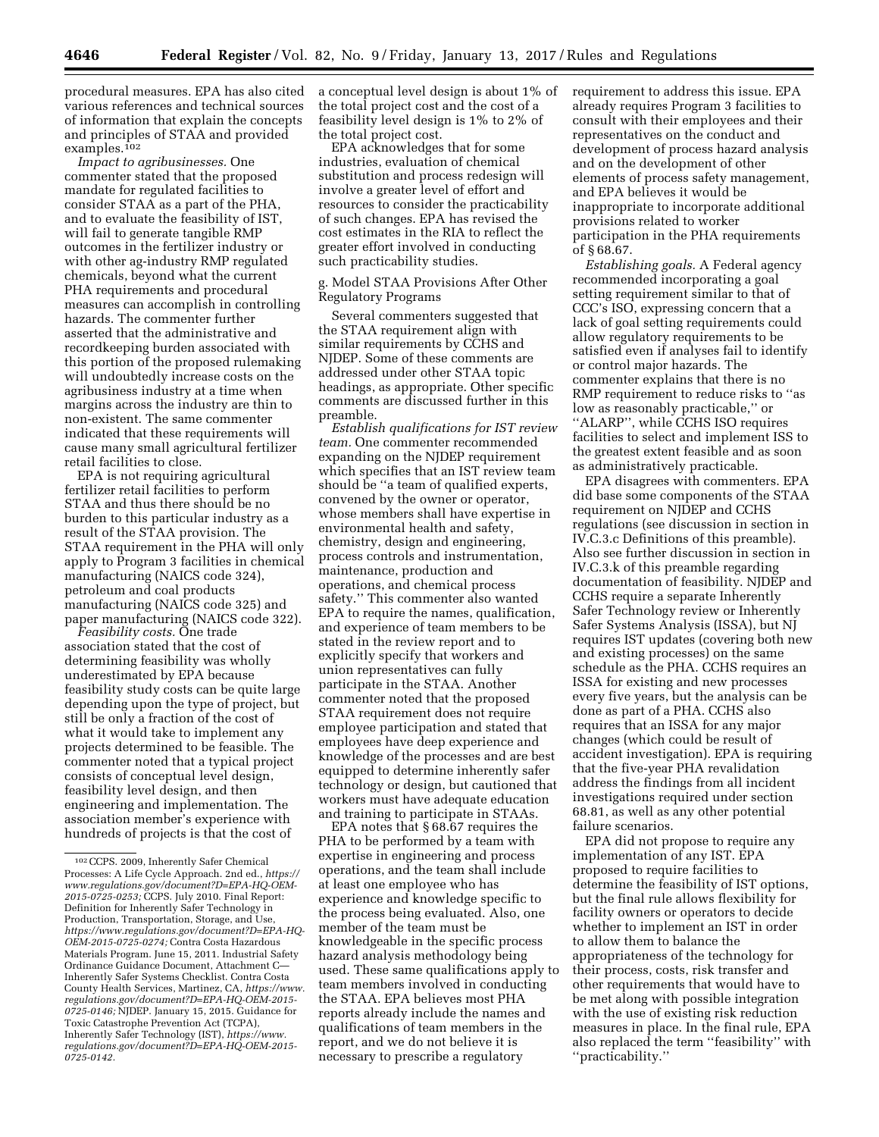procedural measures. EPA has also cited various references and technical sources of information that explain the concepts and principles of STAA and provided examples.<sup>102</sup>

*Impact to agribusinesses.* One commenter stated that the proposed mandate for regulated facilities to consider STAA as a part of the PHA, and to evaluate the feasibility of IST, will fail to generate tangible RMP outcomes in the fertilizer industry or with other ag-industry RMP regulated chemicals, beyond what the current PHA requirements and procedural measures can accomplish in controlling hazards. The commenter further asserted that the administrative and recordkeeping burden associated with this portion of the proposed rulemaking will undoubtedly increase costs on the agribusiness industry at a time when margins across the industry are thin to non-existent. The same commenter indicated that these requirements will cause many small agricultural fertilizer retail facilities to close.

EPA is not requiring agricultural fertilizer retail facilities to perform STAA and thus there should be no burden to this particular industry as a result of the STAA provision. The STAA requirement in the PHA will only apply to Program 3 facilities in chemical manufacturing (NAICS code 324), petroleum and coal products manufacturing (NAICS code 325) and paper manufacturing (NAICS code 322).

*Feasibility costs.* One trade association stated that the cost of determining feasibility was wholly underestimated by EPA because feasibility study costs can be quite large depending upon the type of project, but still be only a fraction of the cost of what it would take to implement any projects determined to be feasible. The commenter noted that a typical project consists of conceptual level design, feasibility level design, and then engineering and implementation. The association member's experience with hundreds of projects is that the cost of

a conceptual level design is about 1% of the total project cost and the cost of a feasibility level design is 1% to 2% of the total project cost.

EPA acknowledges that for some industries, evaluation of chemical substitution and process redesign will involve a greater level of effort and resources to consider the practicability of such changes. EPA has revised the cost estimates in the RIA to reflect the greater effort involved in conducting such practicability studies.

g. Model STAA Provisions After Other Regulatory Programs

Several commenters suggested that the STAA requirement align with similar requirements by CCHS and NJDEP. Some of these comments are addressed under other STAA topic headings, as appropriate. Other specific comments are discussed further in this preamble.

*Establish qualifications for IST review team.* One commenter recommended expanding on the NJDEP requirement which specifies that an IST review team should be ''a team of qualified experts, convened by the owner or operator, whose members shall have expertise in environmental health and safety, chemistry, design and engineering, process controls and instrumentation, maintenance, production and operations, and chemical process safety.'' This commenter also wanted EPA to require the names, qualification, and experience of team members to be stated in the review report and to explicitly specify that workers and union representatives can fully participate in the STAA. Another commenter noted that the proposed STAA requirement does not require employee participation and stated that employees have deep experience and knowledge of the processes and are best equipped to determine inherently safer technology or design, but cautioned that workers must have adequate education and training to participate in STAAs.

EPA notes that § 68.67 requires the PHA to be performed by a team with expertise in engineering and process operations, and the team shall include at least one employee who has experience and knowledge specific to the process being evaluated. Also, one member of the team must be knowledgeable in the specific process hazard analysis methodology being used. These same qualifications apply to team members involved in conducting the STAA. EPA believes most PHA reports already include the names and qualifications of team members in the report, and we do not believe it is necessary to prescribe a regulatory

requirement to address this issue. EPA already requires Program 3 facilities to consult with their employees and their representatives on the conduct and development of process hazard analysis and on the development of other elements of process safety management, and EPA believes it would be inappropriate to incorporate additional provisions related to worker participation in the PHA requirements of § 68.67.

*Establishing goals.* A Federal agency recommended incorporating a goal setting requirement similar to that of CCC's ISO, expressing concern that a lack of goal setting requirements could allow regulatory requirements to be satisfied even if analyses fail to identify or control major hazards. The commenter explains that there is no RMP requirement to reduce risks to ''as low as reasonably practicable,'' or ''ALARP'', while CCHS ISO requires facilities to select and implement ISS to the greatest extent feasible and as soon as administratively practicable.

EPA disagrees with commenters. EPA did base some components of the STAA requirement on NJDEP and CCHS regulations (see discussion in section in IV.C.3.c Definitions of this preamble). Also see further discussion in section in IV.C.3.k of this preamble regarding documentation of feasibility. NJDEP and CCHS require a separate Inherently Safer Technology review or Inherently Safer Systems Analysis (ISSA), but NJ requires IST updates (covering both new and existing processes) on the same schedule as the PHA. CCHS requires an ISSA for existing and new processes every five years, but the analysis can be done as part of a PHA. CCHS also requires that an ISSA for any major changes (which could be result of accident investigation). EPA is requiring that the five-year PHA revalidation address the findings from all incident investigations required under section 68.81, as well as any other potential failure scenarios.

EPA did not propose to require any implementation of any IST. EPA proposed to require facilities to determine the feasibility of IST options, but the final rule allows flexibility for facility owners or operators to decide whether to implement an IST in order to allow them to balance the appropriateness of the technology for their process, costs, risk transfer and other requirements that would have to be met along with possible integration with the use of existing risk reduction measures in place. In the final rule, EPA also replaced the term ''feasibility'' with ''practicability.''

<sup>102</sup>CCPS. 2009, Inherently Safer Chemical Processes: A Life Cycle Approach. 2nd ed., *[https://](https://www.regulations.gov/document?D=EPA-HQ-OEM-2015-0725-0253)  [www.regulations.gov/document?D=EPA-HQ-OEM-](https://www.regulations.gov/document?D=EPA-HQ-OEM-2015-0725-0253)[2015-0725-0253;](https://www.regulations.gov/document?D=EPA-HQ-OEM-2015-0725-0253)* CCPS. July 2010. Final Report: Definition for Inherently Safer Technology in Production, Transportation, Storage, and Use, *[https://www.regulations.gov/document?D=EPA-HQ-](https://www.regulations.gov/document?D=EPA-HQ-OEM-2015-0725-0274)[OEM-2015-0725-0274;](https://www.regulations.gov/document?D=EPA-HQ-OEM-2015-0725-0274)* Contra Costa Hazardous Materials Program. June 15, 2011. Industrial Safety Ordinance Guidance Document, Attachment C— Inherently Safer Systems Checklist. Contra Costa County Health Services, Martinez, CA, *[https://www.](https://www.regulations.gov/document?D=EPA-HQ-OEM-2015-0725-0146) [regulations.gov/document?D=EPA-HQ-OEM-2015-](https://www.regulations.gov/document?D=EPA-HQ-OEM-2015-0725-0146)  [0725-0146;](https://www.regulations.gov/document?D=EPA-HQ-OEM-2015-0725-0146)* NJDEP. January 15, 2015. Guidance for Toxic Catastrophe Prevention Act (TCPA), Inherently Safer Technology (IST), *[https://www.](https://www.regulations.gov/document?D=EPA-HQ-OEM-2015-0725-0142) [regulations.gov/document?D=EPA-HQ-OEM-2015-](https://www.regulations.gov/document?D=EPA-HQ-OEM-2015-0725-0142)  [0725-0142.](https://www.regulations.gov/document?D=EPA-HQ-OEM-2015-0725-0142)*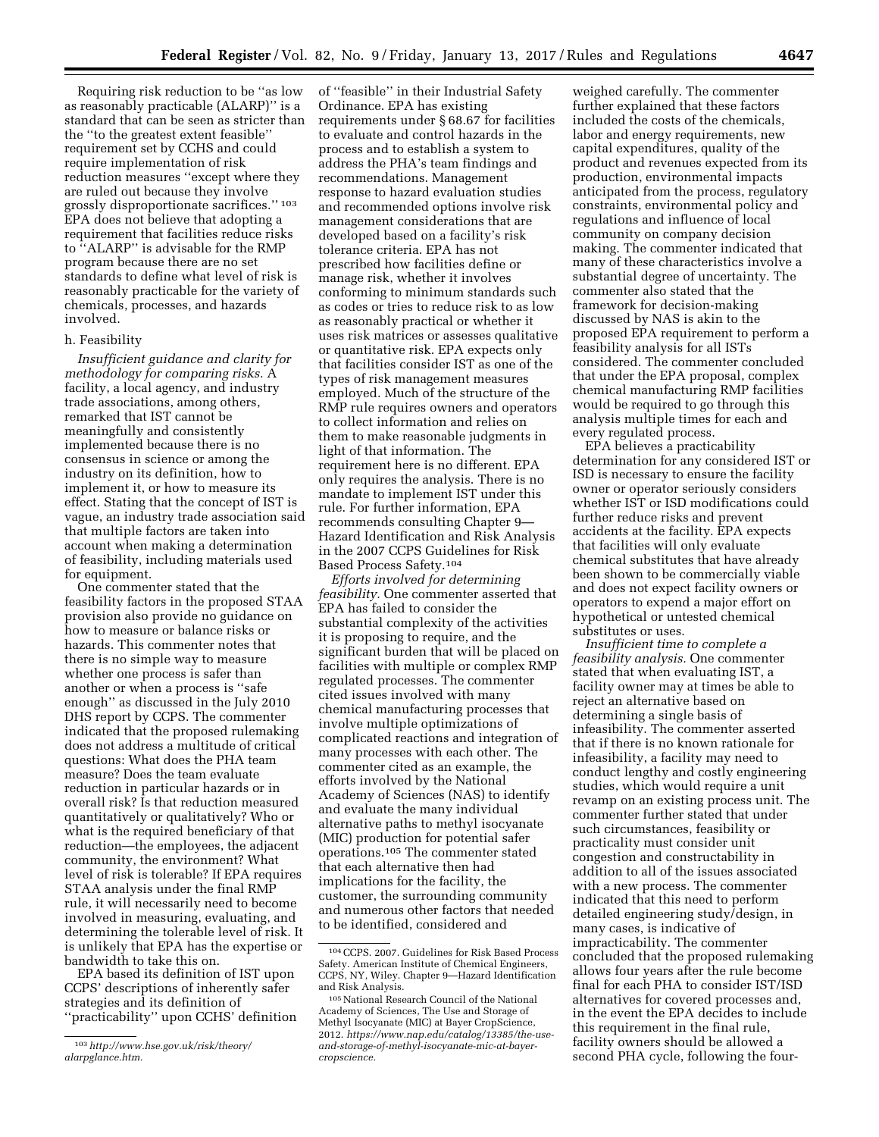Requiring risk reduction to be ''as low as reasonably practicable (ALARP)'' is a standard that can be seen as stricter than the ''to the greatest extent feasible'' requirement set by CCHS and could require implementation of risk reduction measures ''except where they are ruled out because they involve grossly disproportionate sacrifices.'' 103 EPA does not believe that adopting a requirement that facilities reduce risks to ''ALARP'' is advisable for the RMP program because there are no set standards to define what level of risk is reasonably practicable for the variety of chemicals, processes, and hazards involved.

## h. Feasibility

*Insufficient guidance and clarity for methodology for comparing risks.* A facility, a local agency, and industry trade associations, among others, remarked that IST cannot be meaningfully and consistently implemented because there is no consensus in science or among the industry on its definition, how to implement it, or how to measure its effect. Stating that the concept of IST is vague, an industry trade association said that multiple factors are taken into account when making a determination of feasibility, including materials used for equipment.

One commenter stated that the feasibility factors in the proposed STAA provision also provide no guidance on how to measure or balance risks or hazards. This commenter notes that there is no simple way to measure whether one process is safer than another or when a process is ''safe enough'' as discussed in the July 2010 DHS report by CCPS. The commenter indicated that the proposed rulemaking does not address a multitude of critical questions: What does the PHA team measure? Does the team evaluate reduction in particular hazards or in overall risk? Is that reduction measured quantitatively or qualitatively? Who or what is the required beneficiary of that reduction—the employees, the adjacent community, the environment? What level of risk is tolerable? If EPA requires STAA analysis under the final RMP rule, it will necessarily need to become involved in measuring, evaluating, and determining the tolerable level of risk. It is unlikely that EPA has the expertise or bandwidth to take this on.

EPA based its definition of IST upon CCPS' descriptions of inherently safer strategies and its definition of ''practicability'' upon CCHS' definition of ''feasible'' in their Industrial Safety Ordinance. EPA has existing requirements under § 68.67 for facilities to evaluate and control hazards in the process and to establish a system to address the PHA's team findings and recommendations. Management response to hazard evaluation studies and recommended options involve risk management considerations that are developed based on a facility's risk tolerance criteria. EPA has not prescribed how facilities define or manage risk, whether it involves conforming to minimum standards such as codes or tries to reduce risk to as low as reasonably practical or whether it uses risk matrices or assesses qualitative or quantitative risk. EPA expects only that facilities consider IST as one of the types of risk management measures employed. Much of the structure of the RMP rule requires owners and operators to collect information and relies on them to make reasonable judgments in light of that information. The requirement here is no different. EPA only requires the analysis. There is no mandate to implement IST under this rule. For further information, EPA recommends consulting Chapter 9— Hazard Identification and Risk Analysis in the 2007 CCPS Guidelines for Risk Based Process Safety.104

*Efforts involved for determining feasibility.* One commenter asserted that EPA has failed to consider the substantial complexity of the activities it is proposing to require, and the significant burden that will be placed on facilities with multiple or complex RMP regulated processes. The commenter cited issues involved with many chemical manufacturing processes that involve multiple optimizations of complicated reactions and integration of many processes with each other. The commenter cited as an example, the efforts involved by the National Academy of Sciences (NAS) to identify and evaluate the many individual alternative paths to methyl isocyanate (MIC) production for potential safer operations.105 The commenter stated that each alternative then had implications for the facility, the customer, the surrounding community and numerous other factors that needed to be identified, considered and

weighed carefully. The commenter further explained that these factors included the costs of the chemicals, labor and energy requirements, new capital expenditures, quality of the product and revenues expected from its production, environmental impacts anticipated from the process, regulatory constraints, environmental policy and regulations and influence of local community on company decision making. The commenter indicated that many of these characteristics involve a substantial degree of uncertainty. The commenter also stated that the framework for decision-making discussed by NAS is akin to the proposed EPA requirement to perform a feasibility analysis for all ISTs considered. The commenter concluded that under the EPA proposal, complex chemical manufacturing RMP facilities would be required to go through this analysis multiple times for each and every regulated process.

EPA believes a practicability determination for any considered IST or ISD is necessary to ensure the facility owner or operator seriously considers whether IST or ISD modifications could further reduce risks and prevent accidents at the facility. EPA expects that facilities will only evaluate chemical substitutes that have already been shown to be commercially viable and does not expect facility owners or operators to expend a major effort on hypothetical or untested chemical substitutes or uses.

*Insufficient time to complete a feasibility analysis.* One commenter stated that when evaluating IST, a facility owner may at times be able to reject an alternative based on determining a single basis of infeasibility. The commenter asserted that if there is no known rationale for infeasibility, a facility may need to conduct lengthy and costly engineering studies, which would require a unit revamp on an existing process unit. The commenter further stated that under such circumstances, feasibility or practicality must consider unit congestion and constructability in addition to all of the issues associated with a new process. The commenter indicated that this need to perform detailed engineering study/design, in many cases, is indicative of impracticability. The commenter concluded that the proposed rulemaking allows four years after the rule become final for each PHA to consider IST/ISD alternatives for covered processes and, in the event the EPA decides to include this requirement in the final rule, facility owners should be allowed a second PHA cycle, following the four-

<sup>103</sup>*[http://www.hse.gov.uk/risk/theory/](http://www.hse.gov.uk/risk/theory/alarpglance.htm) [alarpglance.htm.](http://www.hse.gov.uk/risk/theory/alarpglance.htm)* 

<sup>104</sup>CCPS. 2007. Guidelines for Risk Based Process Safety. American Institute of Chemical Engineers, CCPS, NY, Wiley. Chapter 9—Hazard Identification and Risk Analysis.

<sup>105</sup>National Research Council of the National Academy of Sciences, The Use and Storage of Methyl Isocyanate (MIC) at Bayer CropScience, 2012. *[https://www.nap.edu/catalog/13385/the-use](https://www.nap.edu/catalog/13385/the-use-and-storage-of-methyl-isocyanate-mic-at-bayer-cropscience)[and-storage-of-methyl-isocyanate-mic-at-bayer](https://www.nap.edu/catalog/13385/the-use-and-storage-of-methyl-isocyanate-mic-at-bayer-cropscience)[cropscience.](https://www.nap.edu/catalog/13385/the-use-and-storage-of-methyl-isocyanate-mic-at-bayer-cropscience)*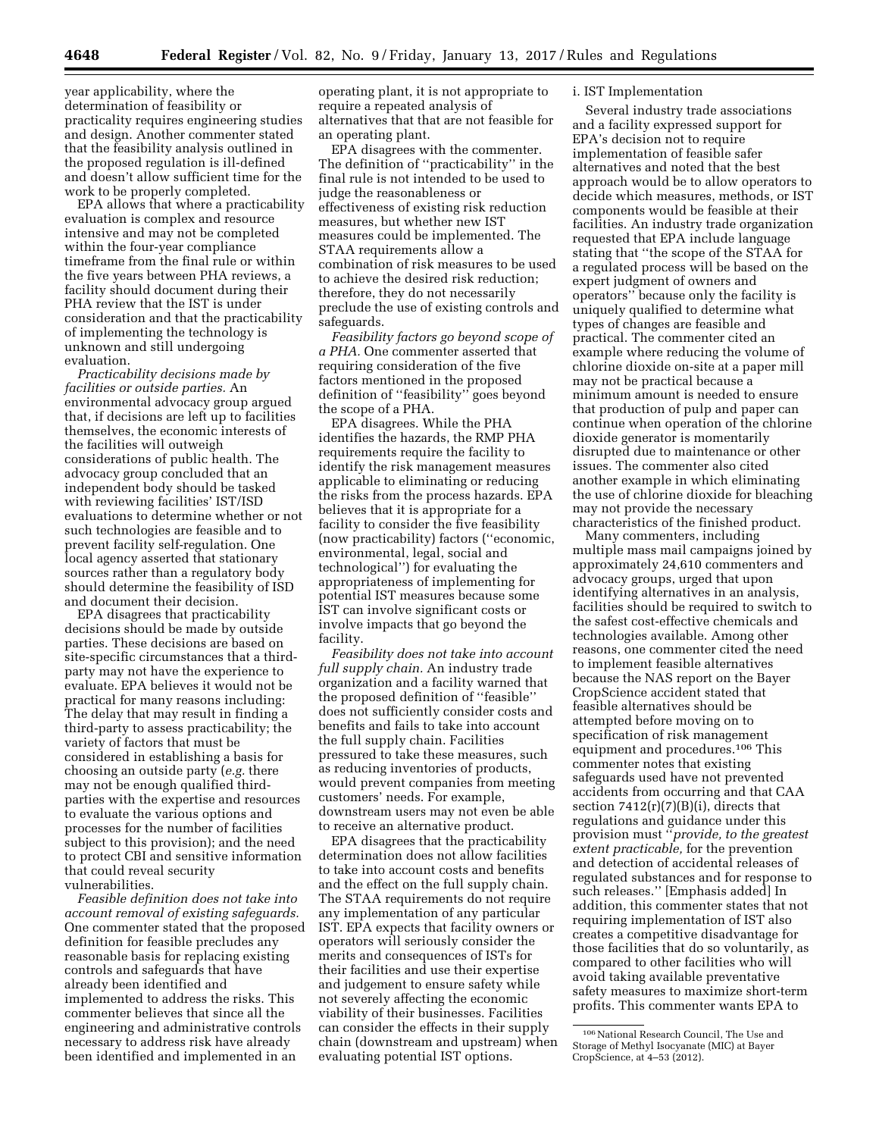year applicability, where the determination of feasibility or practicality requires engineering studies and design. Another commenter stated that the feasibility analysis outlined in the proposed regulation is ill-defined and doesn't allow sufficient time for the work to be properly completed.

EPA allows that where a practicability evaluation is complex and resource intensive and may not be completed within the four-year compliance timeframe from the final rule or within the five years between PHA reviews, a facility should document during their PHA review that the IST is under consideration and that the practicability of implementing the technology is unknown and still undergoing evaluation.

*Practicability decisions made by facilities or outside parties.* An environmental advocacy group argued that, if decisions are left up to facilities themselves, the economic interests of the facilities will outweigh considerations of public health. The advocacy group concluded that an independent body should be tasked with reviewing facilities' IST/ISD evaluations to determine whether or not such technologies are feasible and to prevent facility self-regulation. One local agency asserted that stationary sources rather than a regulatory body should determine the feasibility of ISD and document their decision.

EPA disagrees that practicability decisions should be made by outside parties. These decisions are based on site-specific circumstances that a thirdparty may not have the experience to evaluate. EPA believes it would not be practical for many reasons including: The delay that may result in finding a third-party to assess practicability; the variety of factors that must be considered in establishing a basis for choosing an outside party (*e.g.* there may not be enough qualified thirdparties with the expertise and resources to evaluate the various options and processes for the number of facilities subject to this provision); and the need to protect CBI and sensitive information that could reveal security vulnerabilities.

*Feasible definition does not take into account removal of existing safeguards.*  One commenter stated that the proposed definition for feasible precludes any reasonable basis for replacing existing controls and safeguards that have already been identified and implemented to address the risks. This commenter believes that since all the engineering and administrative controls necessary to address risk have already been identified and implemented in an

operating plant, it is not appropriate to require a repeated analysis of alternatives that that are not feasible for an operating plant.

EPA disagrees with the commenter. The definition of ''practicability'' in the final rule is not intended to be used to judge the reasonableness or effectiveness of existing risk reduction measures, but whether new IST measures could be implemented. The STAA requirements allow a combination of risk measures to be used to achieve the desired risk reduction; therefore, they do not necessarily preclude the use of existing controls and safeguards.

*Feasibility factors go beyond scope of a PHA.* One commenter asserted that requiring consideration of the five factors mentioned in the proposed definition of ''feasibility'' goes beyond the scope of a PHA.

EPA disagrees. While the PHA identifies the hazards, the RMP PHA requirements require the facility to identify the risk management measures applicable to eliminating or reducing the risks from the process hazards. EPA believes that it is appropriate for a facility to consider the five feasibility (now practicability) factors (''economic, environmental, legal, social and technological'') for evaluating the appropriateness of implementing for potential IST measures because some IST can involve significant costs or involve impacts that go beyond the facility.

*Feasibility does not take into account full supply chain.* An industry trade organization and a facility warned that the proposed definition of ''feasible'' does not sufficiently consider costs and benefits and fails to take into account the full supply chain. Facilities pressured to take these measures, such as reducing inventories of products, would prevent companies from meeting customers' needs. For example, downstream users may not even be able to receive an alternative product.

EPA disagrees that the practicability determination does not allow facilities to take into account costs and benefits and the effect on the full supply chain. The STAA requirements do not require any implementation of any particular IST. EPA expects that facility owners or operators will seriously consider the merits and consequences of ISTs for their facilities and use their expertise and judgement to ensure safety while not severely affecting the economic viability of their businesses. Facilities can consider the effects in their supply chain (downstream and upstream) when evaluating potential IST options.

# i. IST Implementation

Several industry trade associations and a facility expressed support for EPA's decision not to require implementation of feasible safer alternatives and noted that the best approach would be to allow operators to decide which measures, methods, or IST components would be feasible at their facilities. An industry trade organization requested that EPA include language stating that ''the scope of the STAA for a regulated process will be based on the expert judgment of owners and operators'' because only the facility is uniquely qualified to determine what types of changes are feasible and practical. The commenter cited an example where reducing the volume of chlorine dioxide on-site at a paper mill may not be practical because a minimum amount is needed to ensure that production of pulp and paper can continue when operation of the chlorine dioxide generator is momentarily disrupted due to maintenance or other issues. The commenter also cited another example in which eliminating the use of chlorine dioxide for bleaching may not provide the necessary characteristics of the finished product.

Many commenters, including multiple mass mail campaigns joined by approximately 24,610 commenters and advocacy groups, urged that upon identifying alternatives in an analysis, facilities should be required to switch to the safest cost-effective chemicals and technologies available. Among other reasons, one commenter cited the need to implement feasible alternatives because the NAS report on the Bayer CropScience accident stated that feasible alternatives should be attempted before moving on to specification of risk management equipment and procedures.106 This commenter notes that existing safeguards used have not prevented accidents from occurring and that CAA section  $7412(r)(7)(B)(i)$ , directs that regulations and guidance under this provision must ''*provide, to the greatest extent practicable,* for the prevention and detection of accidental releases of regulated substances and for response to such releases.'' [Emphasis added] In addition, this commenter states that not requiring implementation of IST also creates a competitive disadvantage for those facilities that do so voluntarily, as compared to other facilities who will avoid taking available preventative safety measures to maximize short-term profits. This commenter wants EPA to

 $^{106}\rm\, National$  Research Council, The Use and Storage of Methyl Isocyanate (MIC) at Bayer CropScience, at 4–53 (2012).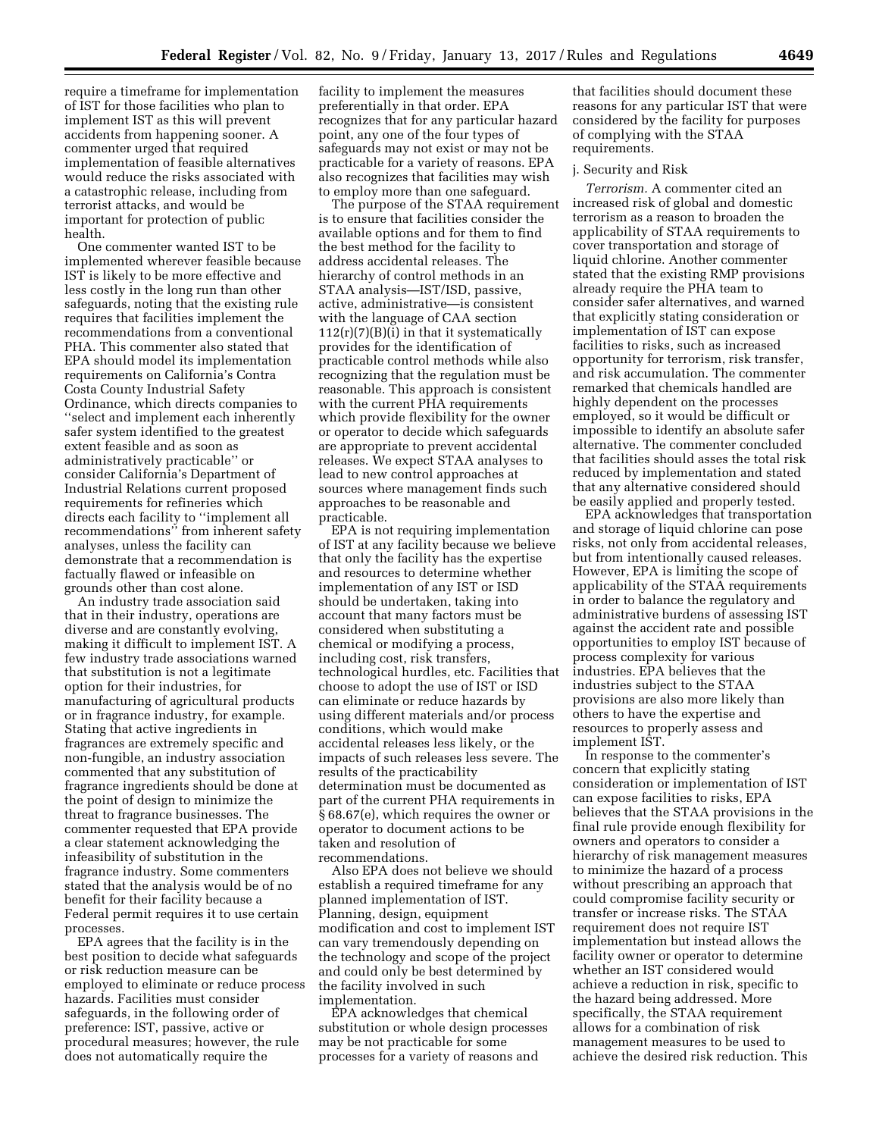require a timeframe for implementation of IST for those facilities who plan to implement IST as this will prevent accidents from happening sooner. A commenter urged that required implementation of feasible alternatives would reduce the risks associated with a catastrophic release, including from terrorist attacks, and would be important for protection of public health.

One commenter wanted IST to be implemented wherever feasible because IST is likely to be more effective and less costly in the long run than other safeguards, noting that the existing rule requires that facilities implement the recommendations from a conventional PHA. This commenter also stated that EPA should model its implementation requirements on California's Contra Costa County Industrial Safety Ordinance, which directs companies to ''select and implement each inherently safer system identified to the greatest extent feasible and as soon as administratively practicable'' or consider California's Department of Industrial Relations current proposed requirements for refineries which directs each facility to ''implement all recommendations'' from inherent safety analyses, unless the facility can demonstrate that a recommendation is factually flawed or infeasible on grounds other than cost alone.

An industry trade association said that in their industry, operations are diverse and are constantly evolving, making it difficult to implement IST. A few industry trade associations warned that substitution is not a legitimate option for their industries, for manufacturing of agricultural products or in fragrance industry, for example. Stating that active ingredients in fragrances are extremely specific and non-fungible, an industry association commented that any substitution of fragrance ingredients should be done at the point of design to minimize the threat to fragrance businesses. The commenter requested that EPA provide a clear statement acknowledging the infeasibility of substitution in the fragrance industry. Some commenters stated that the analysis would be of no benefit for their facility because a Federal permit requires it to use certain processes.

EPA agrees that the facility is in the best position to decide what safeguards or risk reduction measure can be employed to eliminate or reduce process hazards. Facilities must consider safeguards, in the following order of preference: IST, passive, active or procedural measures; however, the rule does not automatically require the

facility to implement the measures preferentially in that order. EPA recognizes that for any particular hazard point, any one of the four types of safeguards may not exist or may not be practicable for a variety of reasons. EPA also recognizes that facilities may wish to employ more than one safeguard.

The purpose of the STAA requirement is to ensure that facilities consider the available options and for them to find the best method for the facility to address accidental releases. The hierarchy of control methods in an STAA analysis—IST/ISD, passive, active, administrative—is consistent with the language of CAA section  $112(r)(7)(B)(i)$  in that it systematically provides for the identification of practicable control methods while also recognizing that the regulation must be reasonable. This approach is consistent with the current PHA requirements which provide flexibility for the owner or operator to decide which safeguards are appropriate to prevent accidental releases. We expect STAA analyses to lead to new control approaches at sources where management finds such approaches to be reasonable and practicable.

EPA is not requiring implementation of IST at any facility because we believe that only the facility has the expertise and resources to determine whether implementation of any IST or ISD should be undertaken, taking into account that many factors must be considered when substituting a chemical or modifying a process, including cost, risk transfers, technological hurdles, etc. Facilities that choose to adopt the use of IST or ISD can eliminate or reduce hazards by using different materials and/or process conditions, which would make accidental releases less likely, or the impacts of such releases less severe. The results of the practicability determination must be documented as part of the current PHA requirements in § 68.67(e), which requires the owner or operator to document actions to be taken and resolution of recommendations.

Also EPA does not believe we should establish a required timeframe for any planned implementation of IST. Planning, design, equipment modification and cost to implement IST can vary tremendously depending on the technology and scope of the project and could only be best determined by the facility involved in such implementation.

EPA acknowledges that chemical substitution or whole design processes may be not practicable for some processes for a variety of reasons and

that facilities should document these reasons for any particular IST that were considered by the facility for purposes of complying with the STAA requirements.

### j. Security and Risk

*Terrorism.* A commenter cited an increased risk of global and domestic terrorism as a reason to broaden the applicability of STAA requirements to cover transportation and storage of liquid chlorine. Another commenter stated that the existing RMP provisions already require the PHA team to consider safer alternatives, and warned that explicitly stating consideration or implementation of IST can expose facilities to risks, such as increased opportunity for terrorism, risk transfer, and risk accumulation. The commenter remarked that chemicals handled are highly dependent on the processes employed, so it would be difficult or impossible to identify an absolute safer alternative. The commenter concluded that facilities should asses the total risk reduced by implementation and stated that any alternative considered should be easily applied and properly tested.

EPA acknowledges that transportation and storage of liquid chlorine can pose risks, not only from accidental releases, but from intentionally caused releases. However, EPA is limiting the scope of applicability of the STAA requirements in order to balance the regulatory and administrative burdens of assessing IST against the accident rate and possible opportunities to employ IST because of process complexity for various industries. EPA believes that the industries subject to the STAA provisions are also more likely than others to have the expertise and resources to properly assess and implement IST.

In response to the commenter's concern that explicitly stating consideration or implementation of IST can expose facilities to risks, EPA believes that the STAA provisions in the final rule provide enough flexibility for owners and operators to consider a hierarchy of risk management measures to minimize the hazard of a process without prescribing an approach that could compromise facility security or transfer or increase risks. The STAA requirement does not require IST implementation but instead allows the facility owner or operator to determine whether an IST considered would achieve a reduction in risk, specific to the hazard being addressed. More specifically, the STAA requirement allows for a combination of risk management measures to be used to achieve the desired risk reduction. This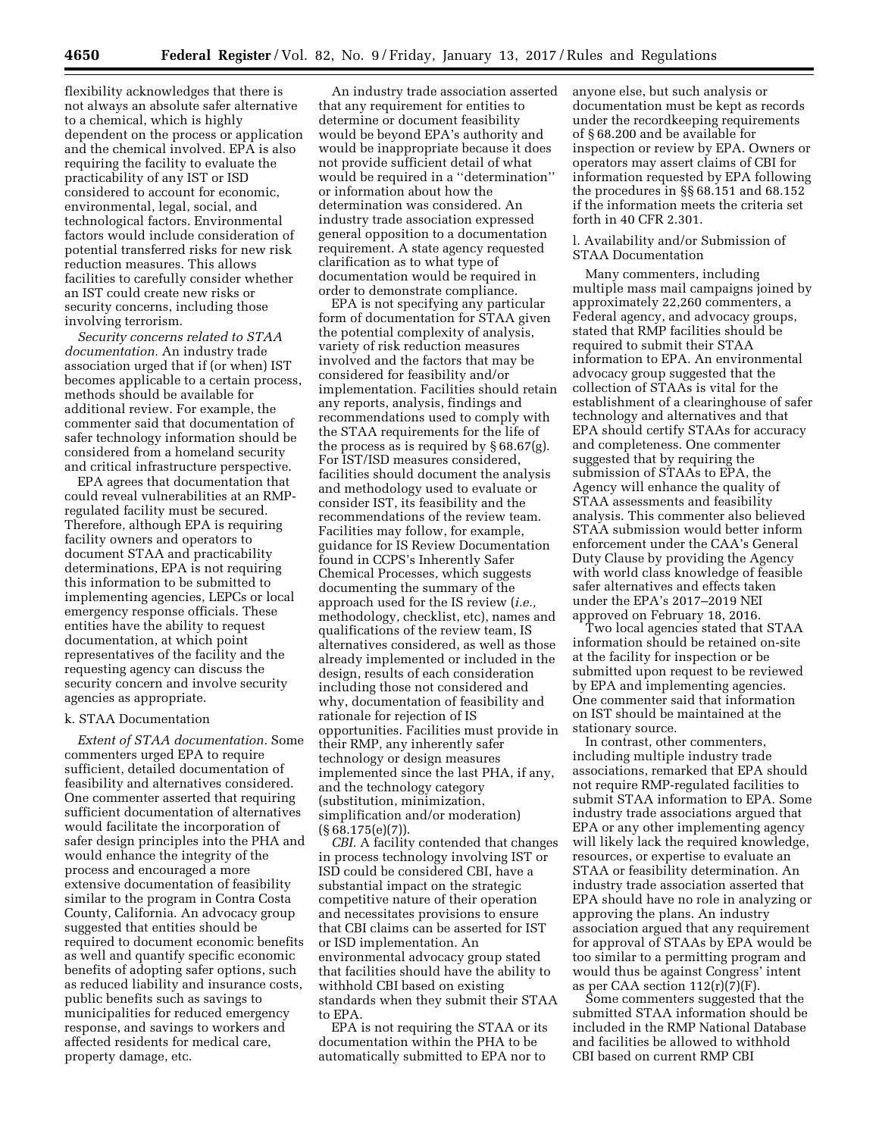flexibility acknowledges that there is not always an absolute safer alternative to a chemical, which is highly dependent on the process or application and the chemical involved. EPA is also requiring the facility to evaluate the practicability of any IST or ISD considered to account for economic, environmental, legal, social, and technological factors. Environmental factors would include consideration of potential transferred risks for new risk reduction measures. This allows facilities to carefully consider whether an IST could create new risks or security concerns, including those involving terrorism.

*Security concerns related to STAA documentation.* An industry trade association urged that if (or when) IST becomes applicable to a certain process, methods should be available for additional review. For example, the commenter said that documentation of safer technology information should be considered from a homeland security and critical infrastructure perspective.

EPA agrees that documentation that could reveal vulnerabilities at an RMPregulated facility must be secured. Therefore, although EPA is requiring facility owners and operators to document STAA and practicability determinations, EPA is not requiring this information to be submitted to implementing agencies, LEPCs or local emergency response officials. These entities have the ability to request documentation, at which point representatives of the facility and the requesting agency can discuss the security concern and involve security agencies as appropriate.

#### k. STAA Documentation

*Extent of STAA documentation.* Some commenters urged EPA to require sufficient, detailed documentation of feasibility and alternatives considered. One commenter asserted that requiring sufficient documentation of alternatives would facilitate the incorporation of safer design principles into the PHA and would enhance the integrity of the process and encouraged a more extensive documentation of feasibility similar to the program in Contra Costa County, California. An advocacy group suggested that entities should be required to document economic benefits as well and quantify specific economic benefits of adopting safer options, such as reduced liability and insurance costs, public benefits such as savings to municipalities for reduced emergency response, and savings to workers and affected residents for medical care, property damage, etc.

An industry trade association asserted that any requirement for entities to determine or document feasibility would be beyond EPA's authority and would be inappropriate because it does not provide sufficient detail of what would be required in a ''determination'' or information about how the determination was considered. An industry trade association expressed general opposition to a documentation requirement. A state agency requested clarification as to what type of documentation would be required in order to demonstrate compliance.

EPA is not specifying any particular form of documentation for STAA given the potential complexity of analysis, variety of risk reduction measures involved and the factors that may be considered for feasibility and/or implementation. Facilities should retain any reports, analysis, findings and recommendations used to comply with the STAA requirements for the life of the process as is required by § 68.67(g). For IST/ISD measures considered, facilities should document the analysis and methodology used to evaluate or consider IST, its feasibility and the recommendations of the review team. Facilities may follow, for example, guidance for IS Review Documentation found in CCPS's Inherently Safer Chemical Processes, which suggests documenting the summary of the approach used for the IS review (*i.e.,*  methodology, checklist, etc), names and qualifications of the review team, IS alternatives considered, as well as those already implemented or included in the design, results of each consideration including those not considered and why, documentation of feasibility and rationale for rejection of IS opportunities. Facilities must provide in their RMP, any inherently safer technology or design measures implemented since the last PHA, if any, and the technology category (substitution, minimization, simplification and/or moderation) (§ 68.175(e)(7)).

*CBI.* A facility contended that changes in process technology involving IST or ISD could be considered CBI, have a substantial impact on the strategic competitive nature of their operation and necessitates provisions to ensure that CBI claims can be asserted for IST or ISD implementation. An environmental advocacy group stated that facilities should have the ability to withhold CBI based on existing standards when they submit their STAA to EPA.

EPA is not requiring the STAA or its documentation within the PHA to be automatically submitted to EPA nor to

anyone else, but such analysis or documentation must be kept as records under the recordkeeping requirements of § 68.200 and be available for inspection or review by EPA. Owners or operators may assert claims of CBI for information requested by EPA following the procedures in §§ 68.151 and 68.152 if the information meets the criteria set forth in 40 CFR 2.301.

## l. Availability and/or Submission of STAA Documentation

Many commenters, including multiple mass mail campaigns joined by approximately 22,260 commenters, a Federal agency, and advocacy groups, stated that RMP facilities should be required to submit their STAA information to EPA. An environmental advocacy group suggested that the collection of STAAs is vital for the establishment of a clearinghouse of safer technology and alternatives and that EPA should certify STAAs for accuracy and completeness. One commenter suggested that by requiring the submission of STAAs to EPA, the Agency will enhance the quality of STAA assessments and feasibility analysis. This commenter also believed STAA submission would better inform enforcement under the CAA's General Duty Clause by providing the Agency with world class knowledge of feasible safer alternatives and effects taken under the EPA's 2017–2019 NEI approved on February 18, 2016.

Two local agencies stated that STAA information should be retained on-site at the facility for inspection or be submitted upon request to be reviewed by EPA and implementing agencies. One commenter said that information on IST should be maintained at the stationary source.

In contrast, other commenters, including multiple industry trade associations, remarked that EPA should not require RMP-regulated facilities to submit STAA information to EPA. Some industry trade associations argued that EPA or any other implementing agency will likely lack the required knowledge, resources, or expertise to evaluate an STAA or feasibility determination. An industry trade association asserted that EPA should have no role in analyzing or approving the plans. An industry association argued that any requirement for approval of STAAs by EPA would be too similar to a permitting program and would thus be against Congress' intent as per CAA section  $112(r)(7)(F)$ .

Some commenters suggested that the submitted STAA information should be included in the RMP National Database and facilities be allowed to withhold CBI based on current RMP CBI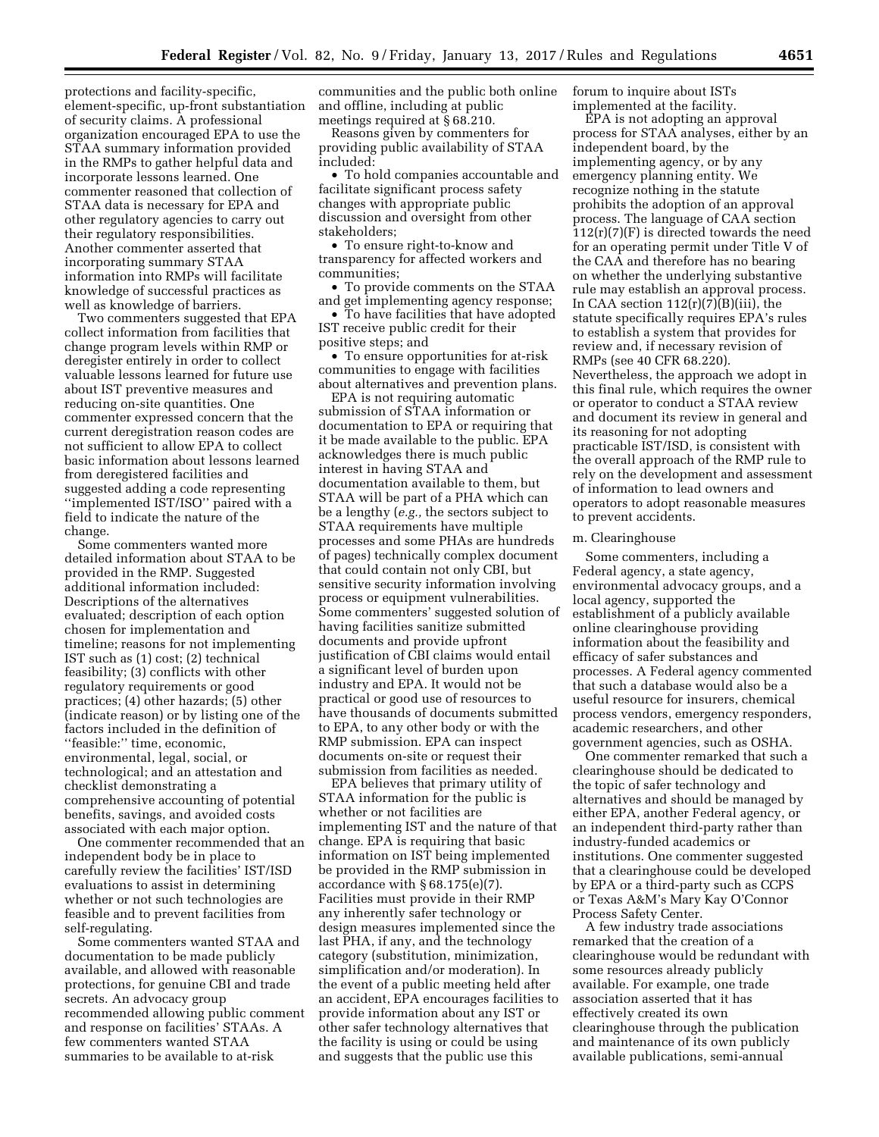protections and facility-specific, element-specific, up-front substantiation of security claims. A professional organization encouraged EPA to use the STAA summary information provided in the RMPs to gather helpful data and incorporate lessons learned. One commenter reasoned that collection of STAA data is necessary for EPA and other regulatory agencies to carry out their regulatory responsibilities. Another commenter asserted that incorporating summary STAA information into RMPs will facilitate knowledge of successful practices as well as knowledge of barriers.

Two commenters suggested that EPA collect information from facilities that change program levels within RMP or deregister entirely in order to collect valuable lessons learned for future use about IST preventive measures and reducing on-site quantities. One commenter expressed concern that the current deregistration reason codes are not sufficient to allow EPA to collect basic information about lessons learned from deregistered facilities and suggested adding a code representing ''implemented IST/ISO'' paired with a field to indicate the nature of the change.

Some commenters wanted more detailed information about STAA to be provided in the RMP. Suggested additional information included: Descriptions of the alternatives evaluated; description of each option chosen for implementation and timeline; reasons for not implementing IST such as (1) cost; (2) technical feasibility; (3) conflicts with other regulatory requirements or good practices; (4) other hazards; (5) other (indicate reason) or by listing one of the factors included in the definition of ''feasible:'' time, economic, environmental, legal, social, or technological; and an attestation and checklist demonstrating a comprehensive accounting of potential benefits, savings, and avoided costs associated with each major option.

One commenter recommended that an independent body be in place to carefully review the facilities' IST/ISD evaluations to assist in determining whether or not such technologies are feasible and to prevent facilities from self-regulating.

Some commenters wanted STAA and documentation to be made publicly available, and allowed with reasonable protections, for genuine CBI and trade secrets. An advocacy group recommended allowing public comment and response on facilities' STAAs. A few commenters wanted STAA summaries to be available to at-risk

communities and the public both online and offline, including at public meetings required at § 68.210.

Reasons given by commenters for providing public availability of STAA included:

• To hold companies accountable and facilitate significant process safety changes with appropriate public discussion and oversight from other stakeholders;

• To ensure right-to-know and transparency for affected workers and communities;

• To provide comments on the STAA and get implementing agency response;

• To have facilities that have adopted IST receive public credit for their positive steps; and

• To ensure opportunities for at-risk communities to engage with facilities about alternatives and prevention plans.

EPA is not requiring automatic submission of STAA information or documentation to EPA or requiring that it be made available to the public. EPA acknowledges there is much public interest in having STAA and documentation available to them, but STAA will be part of a PHA which can be a lengthy (*e.g.,* the sectors subject to STAA requirements have multiple processes and some PHAs are hundreds of pages) technically complex document that could contain not only CBI, but sensitive security information involving process or equipment vulnerabilities. Some commenters' suggested solution of having facilities sanitize submitted documents and provide upfront justification of CBI claims would entail a significant level of burden upon industry and EPA. It would not be practical or good use of resources to have thousands of documents submitted to EPA, to any other body or with the RMP submission. EPA can inspect documents on-site or request their submission from facilities as needed.

EPA believes that primary utility of STAA information for the public is whether or not facilities are implementing IST and the nature of that change. EPA is requiring that basic information on IST being implemented be provided in the RMP submission in accordance with § 68.175(e)(7). Facilities must provide in their RMP any inherently safer technology or design measures implemented since the last PHA, if any, and the technology category (substitution, minimization, simplification and/or moderation). In the event of a public meeting held after an accident, EPA encourages facilities to provide information about any IST or other safer technology alternatives that the facility is using or could be using and suggests that the public use this

forum to inquire about ISTs implemented at the facility.

EPA is not adopting an approval process for STAA analyses, either by an independent board, by the implementing agency, or by any emergency planning entity. We recognize nothing in the statute prohibits the adoption of an approval process. The language of CAA section  $112(r)(7)(F)$  is directed towards the need for an operating permit under Title V of the CAA and therefore has no bearing on whether the underlying substantive rule may establish an approval process. In CAA section  $112(r)(7)(B)(iii)$ , the statute specifically requires EPA's rules to establish a system that provides for review and, if necessary revision of RMPs (see 40 CFR 68.220). Nevertheless, the approach we adopt in this final rule, which requires the owner or operator to conduct a STAA review and document its review in general and its reasoning for not adopting practicable IST/ISD, is consistent with the overall approach of the RMP rule to rely on the development and assessment of information to lead owners and operators to adopt reasonable measures to prevent accidents.

# m. Clearinghouse

Some commenters, including a Federal agency, a state agency, environmental advocacy groups, and a local agency, supported the establishment of a publicly available online clearinghouse providing information about the feasibility and efficacy of safer substances and processes. A Federal agency commented that such a database would also be a useful resource for insurers, chemical process vendors, emergency responders, academic researchers, and other government agencies, such as OSHA.

One commenter remarked that such a clearinghouse should be dedicated to the topic of safer technology and alternatives and should be managed by either EPA, another Federal agency, or an independent third-party rather than industry-funded academics or institutions. One commenter suggested that a clearinghouse could be developed by EPA or a third-party such as CCPS or Texas A&M's Mary Kay O'Connor Process Safety Center.

A few industry trade associations remarked that the creation of a clearinghouse would be redundant with some resources already publicly available. For example, one trade association asserted that it has effectively created its own clearinghouse through the publication and maintenance of its own publicly available publications, semi-annual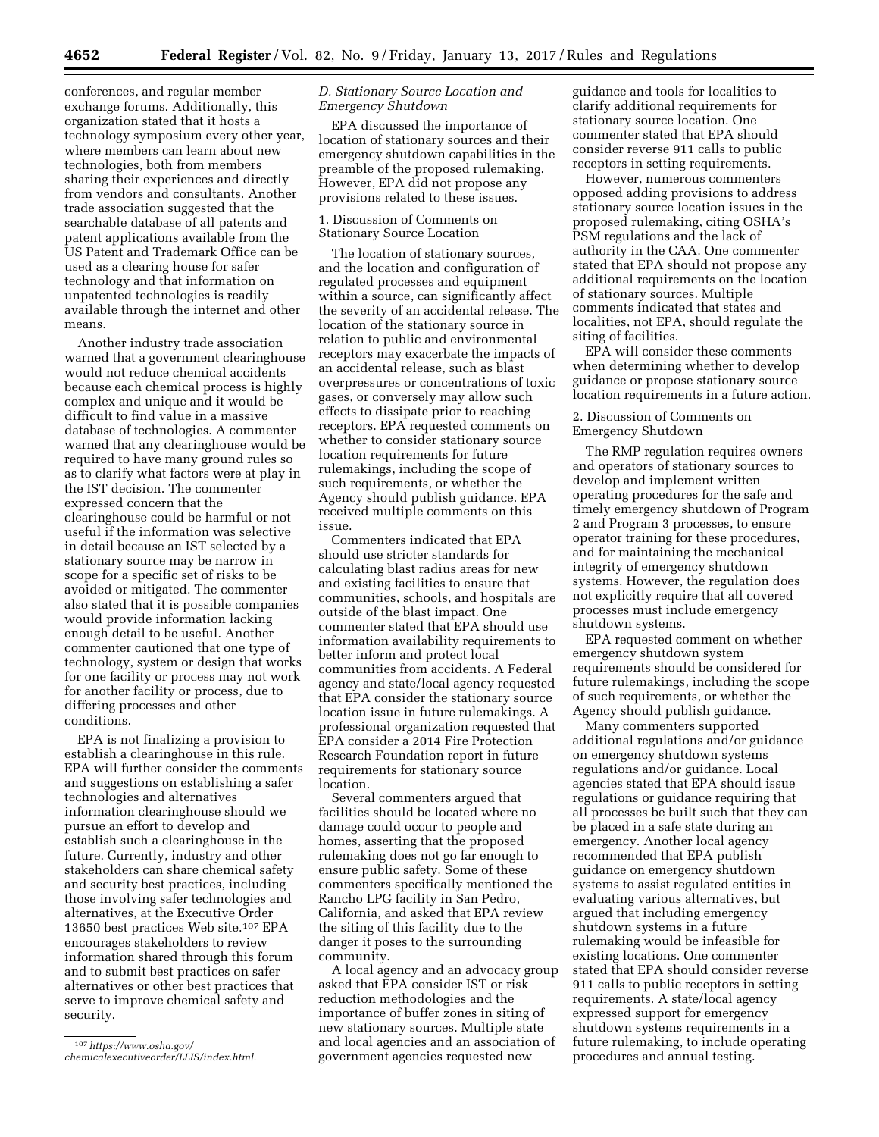conferences, and regular member exchange forums. Additionally, this organization stated that it hosts a technology symposium every other year, where members can learn about new technologies, both from members sharing their experiences and directly from vendors and consultants. Another trade association suggested that the searchable database of all patents and patent applications available from the US Patent and Trademark Office can be used as a clearing house for safer technology and that information on unpatented technologies is readily available through the internet and other means.

Another industry trade association warned that a government clearinghouse would not reduce chemical accidents because each chemical process is highly complex and unique and it would be difficult to find value in a massive database of technologies. A commenter warned that any clearinghouse would be required to have many ground rules so as to clarify what factors were at play in the IST decision. The commenter expressed concern that the clearinghouse could be harmful or not useful if the information was selective in detail because an IST selected by a stationary source may be narrow in scope for a specific set of risks to be avoided or mitigated. The commenter also stated that it is possible companies would provide information lacking enough detail to be useful. Another commenter cautioned that one type of technology, system or design that works for one facility or process may not work for another facility or process, due to differing processes and other conditions.

EPA is not finalizing a provision to establish a clearinghouse in this rule. EPA will further consider the comments and suggestions on establishing a safer technologies and alternatives information clearinghouse should we pursue an effort to develop and establish such a clearinghouse in the future. Currently, industry and other stakeholders can share chemical safety and security best practices, including those involving safer technologies and alternatives, at the Executive Order 13650 best practices Web site.107 EPA encourages stakeholders to review information shared through this forum and to submit best practices on safer alternatives or other best practices that serve to improve chemical safety and security.

# *D. Stationary Source Location and Emergency Shutdown*

EPA discussed the importance of location of stationary sources and their emergency shutdown capabilities in the preamble of the proposed rulemaking. However, EPA did not propose any provisions related to these issues.

1. Discussion of Comments on Stationary Source Location

The location of stationary sources, and the location and configuration of regulated processes and equipment within a source, can significantly affect the severity of an accidental release. The location of the stationary source in relation to public and environmental receptors may exacerbate the impacts of an accidental release, such as blast overpressures or concentrations of toxic gases, or conversely may allow such effects to dissipate prior to reaching receptors. EPA requested comments on whether to consider stationary source location requirements for future rulemakings, including the scope of such requirements, or whether the Agency should publish guidance. EPA received multiple comments on this issue.

Commenters indicated that EPA should use stricter standards for calculating blast radius areas for new and existing facilities to ensure that communities, schools, and hospitals are outside of the blast impact. One commenter stated that EPA should use information availability requirements to better inform and protect local communities from accidents. A Federal agency and state/local agency requested that EPA consider the stationary source location issue in future rulemakings. A professional organization requested that EPA consider a 2014 Fire Protection Research Foundation report in future requirements for stationary source location.

Several commenters argued that facilities should be located where no damage could occur to people and homes, asserting that the proposed rulemaking does not go far enough to ensure public safety. Some of these commenters specifically mentioned the Rancho LPG facility in San Pedro, California, and asked that EPA review the siting of this facility due to the danger it poses to the surrounding community.

A local agency and an advocacy group asked that EPA consider IST or risk reduction methodologies and the importance of buffer zones in siting of new stationary sources. Multiple state and local agencies and an association of government agencies requested new

guidance and tools for localities to clarify additional requirements for stationary source location. One commenter stated that EPA should consider reverse 911 calls to public receptors in setting requirements.

However, numerous commenters opposed adding provisions to address stationary source location issues in the proposed rulemaking, citing OSHA's PSM regulations and the lack of authority in the CAA. One commenter stated that EPA should not propose any additional requirements on the location of stationary sources. Multiple comments indicated that states and localities, not EPA, should regulate the siting of facilities.

EPA will consider these comments when determining whether to develop guidance or propose stationary source location requirements in a future action.

# 2. Discussion of Comments on Emergency Shutdown

The RMP regulation requires owners and operators of stationary sources to develop and implement written operating procedures for the safe and timely emergency shutdown of Program 2 and Program 3 processes, to ensure operator training for these procedures, and for maintaining the mechanical integrity of emergency shutdown systems. However, the regulation does not explicitly require that all covered processes must include emergency shutdown systems.

EPA requested comment on whether emergency shutdown system requirements should be considered for future rulemakings, including the scope of such requirements, or whether the Agency should publish guidance.

Many commenters supported additional regulations and/or guidance on emergency shutdown systems regulations and/or guidance. Local agencies stated that EPA should issue regulations or guidance requiring that all processes be built such that they can be placed in a safe state during an emergency. Another local agency recommended that EPA publish guidance on emergency shutdown systems to assist regulated entities in evaluating various alternatives, but argued that including emergency shutdown systems in a future rulemaking would be infeasible for existing locations. One commenter stated that EPA should consider reverse 911 calls to public receptors in setting requirements. A state/local agency expressed support for emergency shutdown systems requirements in a future rulemaking, to include operating procedures and annual testing.

<sup>107</sup>*[https://www.osha.gov/](https://www.osha.gov/chemicalexecutiveorder/LLIS/index.html) [chemicalexecutiveorder/LLIS/index.html](https://www.osha.gov/chemicalexecutiveorder/LLIS/index.html)*.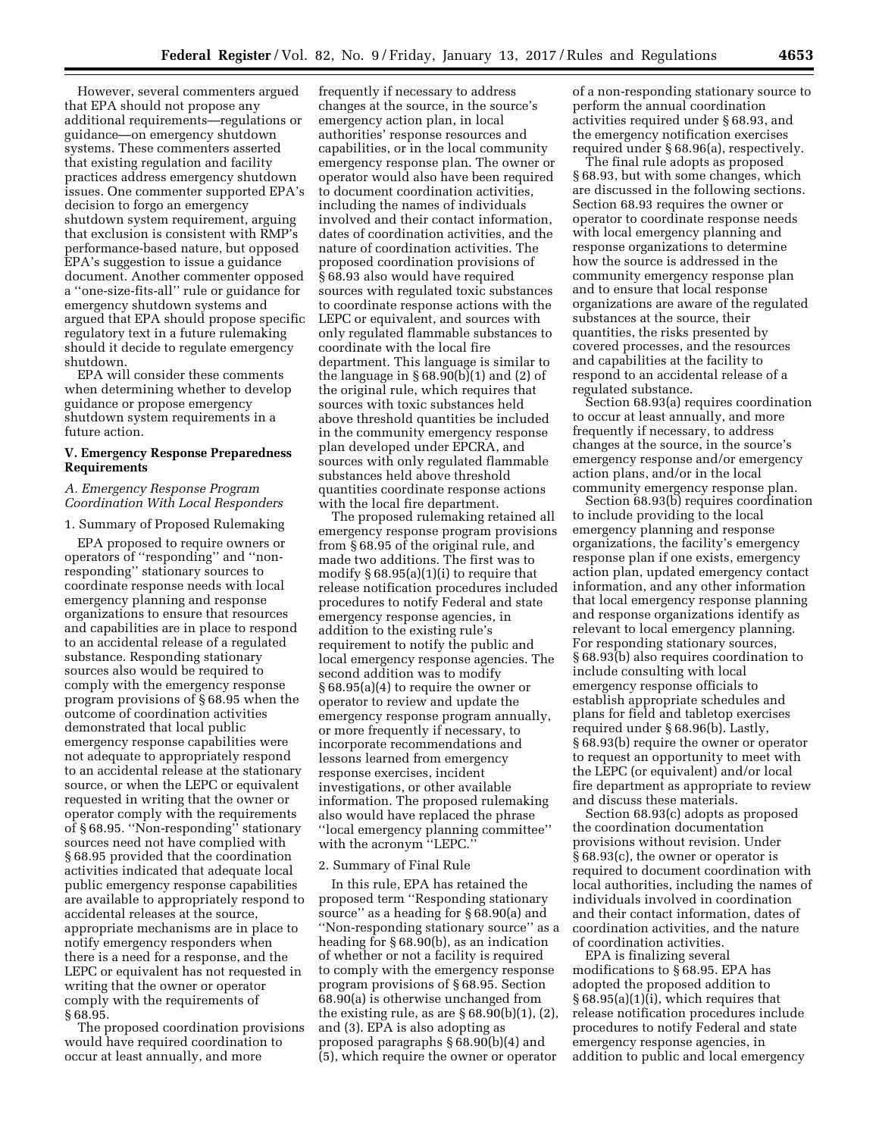However, several commenters argued that EPA should not propose any additional requirements—regulations or guidance—on emergency shutdown systems. These commenters asserted that existing regulation and facility practices address emergency shutdown issues. One commenter supported EPA's decision to forgo an emergency shutdown system requirement, arguing that exclusion is consistent with RMP's performance-based nature, but opposed EPA's suggestion to issue a guidance document. Another commenter opposed a ''one-size-fits-all'' rule or guidance for emergency shutdown systems and argued that EPA should propose specific regulatory text in a future rulemaking should it decide to regulate emergency shutdown.

EPA will consider these comments when determining whether to develop guidance or propose emergency shutdown system requirements in a future action.

### **V. Emergency Response Preparedness Requirements**

# *A. Emergency Response Program Coordination With Local Responders*

#### 1. Summary of Proposed Rulemaking

EPA proposed to require owners or operators of ''responding'' and ''nonresponding'' stationary sources to coordinate response needs with local emergency planning and response organizations to ensure that resources and capabilities are in place to respond to an accidental release of a regulated substance. Responding stationary sources also would be required to comply with the emergency response program provisions of § 68.95 when the outcome of coordination activities demonstrated that local public emergency response capabilities were not adequate to appropriately respond to an accidental release at the stationary source, or when the LEPC or equivalent requested in writing that the owner or operator comply with the requirements of § 68.95. ''Non-responding'' stationary sources need not have complied with § 68.95 provided that the coordination activities indicated that adequate local public emergency response capabilities are available to appropriately respond to accidental releases at the source, appropriate mechanisms are in place to notify emergency responders when there is a need for a response, and the LEPC or equivalent has not requested in writing that the owner or operator comply with the requirements of § 68.95.

The proposed coordination provisions would have required coordination to occur at least annually, and more

frequently if necessary to address changes at the source, in the source's emergency action plan, in local authorities' response resources and capabilities, or in the local community emergency response plan. The owner or operator would also have been required to document coordination activities, including the names of individuals involved and their contact information, dates of coordination activities, and the nature of coordination activities. The proposed coordination provisions of § 68.93 also would have required sources with regulated toxic substances to coordinate response actions with the LEPC or equivalent, and sources with only regulated flammable substances to coordinate with the local fire department. This language is similar to the language in  $\S 68.90(b)(1)$  and  $(2)$  of the original rule, which requires that sources with toxic substances held above threshold quantities be included in the community emergency response plan developed under EPCRA, and sources with only regulated flammable substances held above threshold quantities coordinate response actions with the local fire department.

The proposed rulemaking retained all emergency response program provisions from § 68.95 of the original rule, and made two additions. The first was to modify § 68.95(a)(1)(i) to require that release notification procedures included procedures to notify Federal and state emergency response agencies, in addition to the existing rule's requirement to notify the public and local emergency response agencies. The second addition was to modify § 68.95(a)(4) to require the owner or operator to review and update the emergency response program annually, or more frequently if necessary, to incorporate recommendations and lessons learned from emergency response exercises, incident investigations, or other available information. The proposed rulemaking also would have replaced the phrase ''local emergency planning committee'' with the acronym ''LEPC.''

## 2. Summary of Final Rule

In this rule, EPA has retained the proposed term ''Responding stationary source'' as a heading for § 68.90(a) and ''Non-responding stationary source'' as a heading for § 68.90(b), as an indication of whether or not a facility is required to comply with the emergency response program provisions of § 68.95. Section 68.90(a) is otherwise unchanged from the existing rule, as are  $\S 68.90(b)(1)$ ,  $(2)$ , and (3). EPA is also adopting as proposed paragraphs § 68.90(b)(4) and (5), which require the owner or operator

of a non-responding stationary source to perform the annual coordination activities required under § 68.93, and the emergency notification exercises required under § 68.96(a), respectively.

The final rule adopts as proposed § 68.93, but with some changes, which are discussed in the following sections. Section 68.93 requires the owner or operator to coordinate response needs with local emergency planning and response organizations to determine how the source is addressed in the community emergency response plan and to ensure that local response organizations are aware of the regulated substances at the source, their quantities, the risks presented by covered processes, and the resources and capabilities at the facility to respond to an accidental release of a regulated substance.

Section 68.93(a) requires coordination to occur at least annually, and more frequently if necessary, to address changes at the source, in the source's emergency response and/or emergency action plans, and/or in the local community emergency response plan.

Section 68.93(b) requires coordination to include providing to the local emergency planning and response organizations, the facility's emergency response plan if one exists, emergency action plan, updated emergency contact information, and any other information that local emergency response planning and response organizations identify as relevant to local emergency planning. For responding stationary sources, § 68.93(b) also requires coordination to include consulting with local emergency response officials to establish appropriate schedules and plans for field and tabletop exercises required under § 68.96(b). Lastly, § 68.93(b) require the owner or operator to request an opportunity to meet with the LEPC (or equivalent) and/or local fire department as appropriate to review and discuss these materials.

Section 68.93(c) adopts as proposed the coordination documentation provisions without revision. Under § 68.93(c), the owner or operator is required to document coordination with local authorities, including the names of individuals involved in coordination and their contact information, dates of coordination activities, and the nature of coordination activities.

EPA is finalizing several modifications to § 68.95. EPA has adopted the proposed addition to § 68.95(a)(1)(i), which requires that release notification procedures include procedures to notify Federal and state emergency response agencies, in addition to public and local emergency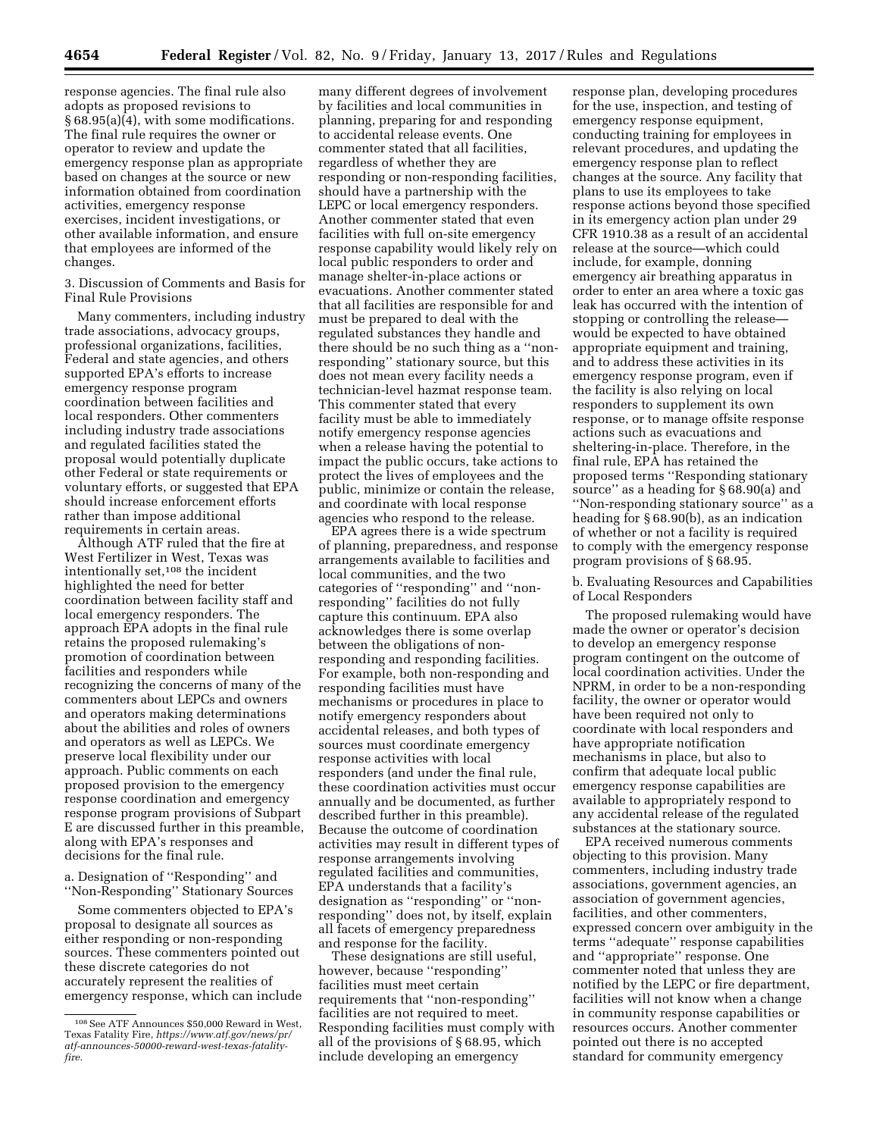response agencies. The final rule also adopts as proposed revisions to § 68.95(a)(4), with some modifications. The final rule requires the owner or operator to review and update the emergency response plan as appropriate based on changes at the source or new information obtained from coordination activities, emergency response exercises, incident investigations, or other available information, and ensure that employees are informed of the changes.

3. Discussion of Comments and Basis for Final Rule Provisions

Many commenters, including industry trade associations, advocacy groups, professional organizations, facilities, Federal and state agencies, and others supported EPA's efforts to increase emergency response program coordination between facilities and local responders. Other commenters including industry trade associations and regulated facilities stated the proposal would potentially duplicate other Federal or state requirements or voluntary efforts, or suggested that EPA should increase enforcement efforts rather than impose additional requirements in certain areas.

Although ATF ruled that the fire at West Fertilizer in West, Texas was intentionally set,108 the incident highlighted the need for better coordination between facility staff and local emergency responders. The approach EPA adopts in the final rule retains the proposed rulemaking's promotion of coordination between facilities and responders while recognizing the concerns of many of the commenters about LEPCs and owners and operators making determinations about the abilities and roles of owners and operators as well as LEPCs. We preserve local flexibility under our approach. Public comments on each proposed provision to the emergency response coordination and emergency response program provisions of Subpart E are discussed further in this preamble, along with EPA's responses and decisions for the final rule.

a. Designation of ''Responding'' and ''Non-Responding'' Stationary Sources

Some commenters objected to EPA's proposal to designate all sources as either responding or non-responding sources. These commenters pointed out these discrete categories do not accurately represent the realities of emergency response, which can include

many different degrees of involvement by facilities and local communities in planning, preparing for and responding to accidental release events. One commenter stated that all facilities, regardless of whether they are responding or non-responding facilities, should have a partnership with the LEPC or local emergency responders. Another commenter stated that even facilities with full on-site emergency response capability would likely rely on local public responders to order and manage shelter-in-place actions or evacuations. Another commenter stated that all facilities are responsible for and must be prepared to deal with the regulated substances they handle and there should be no such thing as a ''nonresponding'' stationary source, but this does not mean every facility needs a technician-level hazmat response team. This commenter stated that every facility must be able to immediately notify emergency response agencies when a release having the potential to impact the public occurs, take actions to protect the lives of employees and the public, minimize or contain the release, and coordinate with local response agencies who respond to the release.

EPA agrees there is a wide spectrum of planning, preparedness, and response arrangements available to facilities and local communities, and the two categories of ''responding'' and ''nonresponding'' facilities do not fully capture this continuum. EPA also acknowledges there is some overlap between the obligations of nonresponding and responding facilities. For example, both non-responding and responding facilities must have mechanisms or procedures in place to notify emergency responders about accidental releases, and both types of sources must coordinate emergency response activities with local responders (and under the final rule, these coordination activities must occur annually and be documented, as further described further in this preamble). Because the outcome of coordination activities may result in different types of response arrangements involving regulated facilities and communities, EPA understands that a facility's designation as ''responding'' or ''nonresponding'' does not, by itself, explain all facets of emergency preparedness and response for the facility.

These designations are still useful, however, because ''responding'' facilities must meet certain requirements that ''non-responding'' facilities are not required to meet. Responding facilities must comply with all of the provisions of § 68.95, which include developing an emergency

response plan, developing procedures for the use, inspection, and testing of emergency response equipment, conducting training for employees in relevant procedures, and updating the emergency response plan to reflect changes at the source. Any facility that plans to use its employees to take response actions beyond those specified in its emergency action plan under 29 CFR 1910.38 as a result of an accidental release at the source—which could include, for example, donning emergency air breathing apparatus in order to enter an area where a toxic gas leak has occurred with the intention of stopping or controlling the release would be expected to have obtained appropriate equipment and training, and to address these activities in its emergency response program, even if the facility is also relying on local responders to supplement its own response, or to manage offsite response actions such as evacuations and sheltering-in-place. Therefore, in the final rule, EPA has retained the proposed terms ''Responding stationary source'' as a heading for § 68.90(a) and ''Non-responding stationary source'' as a heading for § 68.90(b), as an indication of whether or not a facility is required to comply with the emergency response program provisions of § 68.95.

b. Evaluating Resources and Capabilities of Local Responders

The proposed rulemaking would have made the owner or operator's decision to develop an emergency response program contingent on the outcome of local coordination activities. Under the NPRM, in order to be a non-responding facility, the owner or operator would have been required not only to coordinate with local responders and have appropriate notification mechanisms in place, but also to confirm that adequate local public emergency response capabilities are available to appropriately respond to any accidental release of the regulated substances at the stationary source.

EPA received numerous comments objecting to this provision. Many commenters, including industry trade associations, government agencies, an association of government agencies, facilities, and other commenters, expressed concern over ambiguity in the terms ''adequate'' response capabilities and ''appropriate'' response. One commenter noted that unless they are notified by the LEPC or fire department, facilities will not know when a change in community response capabilities or resources occurs. Another commenter pointed out there is no accepted standard for community emergency

<sup>108</sup>See ATF Announces \$50,000 Reward in West, Texas Fatality Fire, *[https://www.atf.gov/news/pr/](https://www.atf.gov/news/pr/atf-announces-50000-reward-west-texas-fatality-fire) [atf-announces-50000-reward-west-texas-fatality](https://www.atf.gov/news/pr/atf-announces-50000-reward-west-texas-fatality-fire)[fire](https://www.atf.gov/news/pr/atf-announces-50000-reward-west-texas-fatality-fire)*.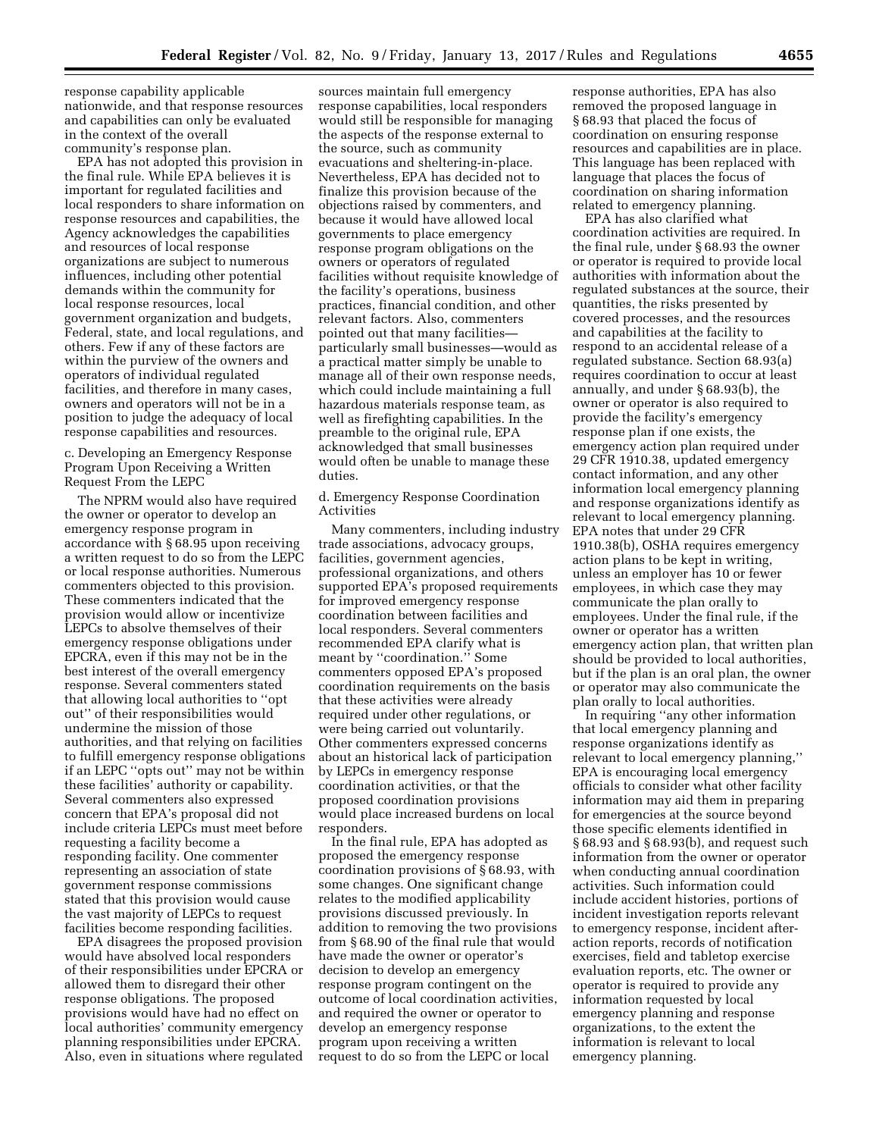response capability applicable nationwide, and that response resources and capabilities can only be evaluated in the context of the overall community's response plan.

EPA has not adopted this provision in the final rule. While EPA believes it is important for regulated facilities and local responders to share information on response resources and capabilities, the Agency acknowledges the capabilities and resources of local response organizations are subject to numerous influences, including other potential demands within the community for local response resources, local government organization and budgets, Federal, state, and local regulations, and others. Few if any of these factors are within the purview of the owners and operators of individual regulated facilities, and therefore in many cases, owners and operators will not be in a position to judge the adequacy of local response capabilities and resources.

c. Developing an Emergency Response Program Upon Receiving a Written Request From the LEPC

The NPRM would also have required the owner or operator to develop an emergency response program in accordance with § 68.95 upon receiving a written request to do so from the LEPC or local response authorities. Numerous commenters objected to this provision. These commenters indicated that the provision would allow or incentivize LEPCs to absolve themselves of their emergency response obligations under EPCRA, even if this may not be in the best interest of the overall emergency response. Several commenters stated that allowing local authorities to ''opt out'' of their responsibilities would undermine the mission of those authorities, and that relying on facilities to fulfill emergency response obligations if an LEPC ''opts out'' may not be within these facilities' authority or capability. Several commenters also expressed concern that EPA's proposal did not include criteria LEPCs must meet before requesting a facility become a responding facility. One commenter representing an association of state government response commissions stated that this provision would cause the vast majority of LEPCs to request facilities become responding facilities.

EPA disagrees the proposed provision would have absolved local responders of their responsibilities under EPCRA or allowed them to disregard their other response obligations. The proposed provisions would have had no effect on local authorities' community emergency planning responsibilities under EPCRA. Also, even in situations where regulated

sources maintain full emergency response capabilities, local responders would still be responsible for managing the aspects of the response external to the source, such as community evacuations and sheltering-in-place. Nevertheless, EPA has decided not to finalize this provision because of the objections raised by commenters, and because it would have allowed local governments to place emergency response program obligations on the owners or operators of regulated facilities without requisite knowledge of the facility's operations, business practices, financial condition, and other relevant factors. Also, commenters pointed out that many facilities particularly small businesses—would as a practical matter simply be unable to manage all of their own response needs, which could include maintaining a full hazardous materials response team, as well as firefighting capabilities. In the preamble to the original rule, EPA acknowledged that small businesses would often be unable to manage these duties.

d. Emergency Response Coordination Activities

Many commenters, including industry trade associations, advocacy groups, facilities, government agencies, professional organizations, and others supported EPA's proposed requirements for improved emergency response coordination between facilities and local responders. Several commenters recommended EPA clarify what is meant by "coordination." Some commenters opposed EPA's proposed coordination requirements on the basis that these activities were already required under other regulations, or were being carried out voluntarily. Other commenters expressed concerns about an historical lack of participation by LEPCs in emergency response coordination activities, or that the proposed coordination provisions would place increased burdens on local responders.

In the final rule, EPA has adopted as proposed the emergency response coordination provisions of § 68.93, with some changes. One significant change relates to the modified applicability provisions discussed previously. In addition to removing the two provisions from § 68.90 of the final rule that would have made the owner or operator's decision to develop an emergency response program contingent on the outcome of local coordination activities, and required the owner or operator to develop an emergency response program upon receiving a written request to do so from the LEPC or local

response authorities, EPA has also removed the proposed language in § 68.93 that placed the focus of coordination on ensuring response resources and capabilities are in place. This language has been replaced with language that places the focus of coordination on sharing information related to emergency planning.

EPA has also clarified what coordination activities are required. In the final rule, under § 68.93 the owner or operator is required to provide local authorities with information about the regulated substances at the source, their quantities, the risks presented by covered processes, and the resources and capabilities at the facility to respond to an accidental release of a regulated substance. Section 68.93(a) requires coordination to occur at least annually, and under § 68.93(b), the owner or operator is also required to provide the facility's emergency response plan if one exists, the emergency action plan required under 29 CFR 1910.38, updated emergency contact information, and any other information local emergency planning and response organizations identify as relevant to local emergency planning. EPA notes that under 29 CFR 1910.38(b), OSHA requires emergency action plans to be kept in writing, unless an employer has 10 or fewer employees, in which case they may communicate the plan orally to employees. Under the final rule, if the owner or operator has a written emergency action plan, that written plan should be provided to local authorities, but if the plan is an oral plan, the owner or operator may also communicate the plan orally to local authorities.

In requiring ''any other information that local emergency planning and response organizations identify as relevant to local emergency planning,'' EPA is encouraging local emergency officials to consider what other facility information may aid them in preparing for emergencies at the source beyond those specific elements identified in § 68.93 and § 68.93(b), and request such information from the owner or operator when conducting annual coordination activities. Such information could include accident histories, portions of incident investigation reports relevant to emergency response, incident afteraction reports, records of notification exercises, field and tabletop exercise evaluation reports, etc. The owner or operator is required to provide any information requested by local emergency planning and response organizations, to the extent the information is relevant to local emergency planning.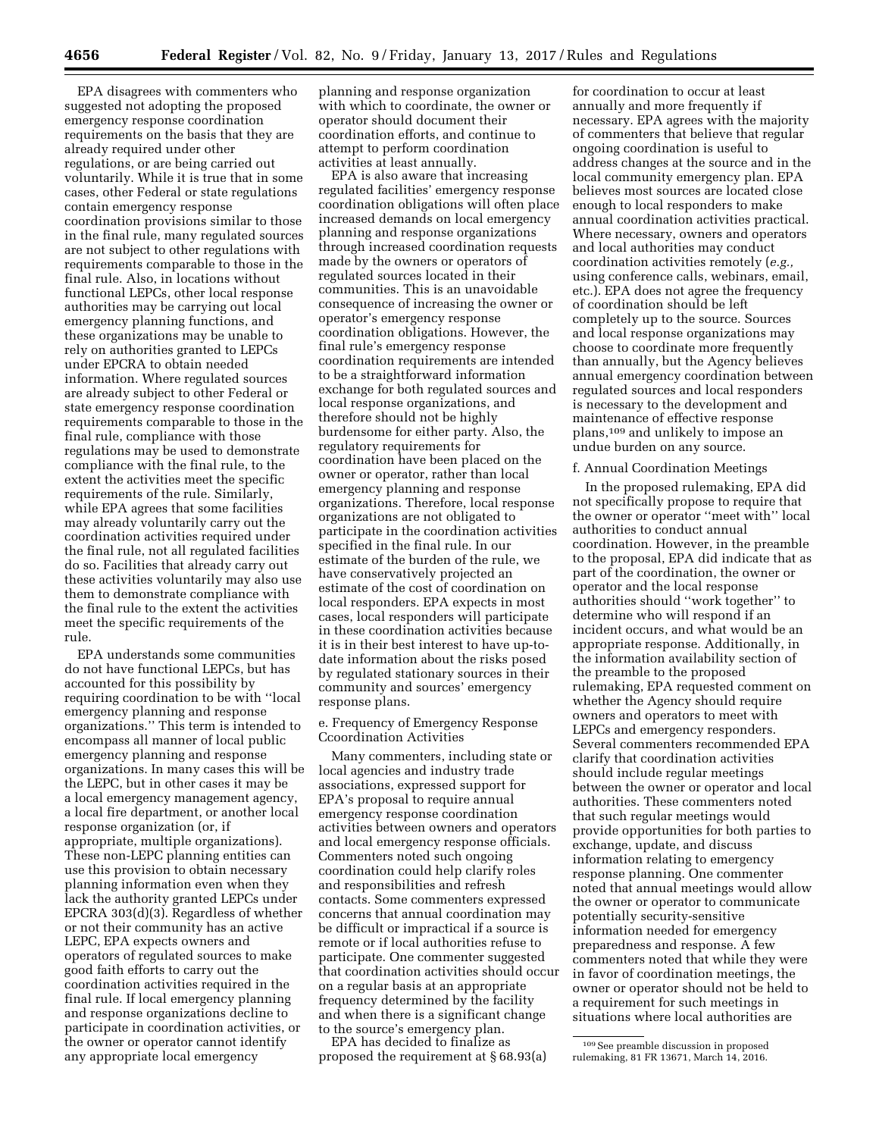EPA disagrees with commenters who suggested not adopting the proposed emergency response coordination requirements on the basis that they are already required under other regulations, or are being carried out voluntarily. While it is true that in some cases, other Federal or state regulations contain emergency response coordination provisions similar to those in the final rule, many regulated sources are not subject to other regulations with requirements comparable to those in the final rule. Also, in locations without functional LEPCs, other local response authorities may be carrying out local emergency planning functions, and these organizations may be unable to rely on authorities granted to LEPCs under EPCRA to obtain needed information. Where regulated sources are already subject to other Federal or state emergency response coordination requirements comparable to those in the final rule, compliance with those regulations may be used to demonstrate compliance with the final rule, to the extent the activities meet the specific requirements of the rule. Similarly, while EPA agrees that some facilities may already voluntarily carry out the coordination activities required under the final rule, not all regulated facilities do so. Facilities that already carry out these activities voluntarily may also use them to demonstrate compliance with the final rule to the extent the activities meet the specific requirements of the rule.

EPA understands some communities do not have functional LEPCs, but has accounted for this possibility by requiring coordination to be with ''local emergency planning and response organizations.'' This term is intended to encompass all manner of local public emergency planning and response organizations. In many cases this will be the LEPC, but in other cases it may be a local emergency management agency, a local fire department, or another local response organization (or, if appropriate, multiple organizations). These non-LEPC planning entities can use this provision to obtain necessary planning information even when they lack the authority granted LEPCs under EPCRA 303(d)(3). Regardless of whether or not their community has an active LEPC, EPA expects owners and operators of regulated sources to make good faith efforts to carry out the coordination activities required in the final rule. If local emergency planning and response organizations decline to participate in coordination activities, or the owner or operator cannot identify any appropriate local emergency

planning and response organization with which to coordinate, the owner or operator should document their coordination efforts, and continue to attempt to perform coordination activities at least annually.

EPA is also aware that increasing regulated facilities' emergency response coordination obligations will often place increased demands on local emergency planning and response organizations through increased coordination requests made by the owners or operators of regulated sources located in their communities. This is an unavoidable consequence of increasing the owner or operator's emergency response coordination obligations. However, the final rule's emergency response coordination requirements are intended to be a straightforward information exchange for both regulated sources and local response organizations, and therefore should not be highly burdensome for either party. Also, the regulatory requirements for coordination have been placed on the owner or operator, rather than local emergency planning and response organizations. Therefore, local response organizations are not obligated to participate in the coordination activities specified in the final rule. In our estimate of the burden of the rule, we have conservatively projected an estimate of the cost of coordination on local responders. EPA expects in most cases, local responders will participate in these coordination activities because it is in their best interest to have up-todate information about the risks posed by regulated stationary sources in their community and sources' emergency response plans.

e. Frequency of Emergency Response Ccoordination Activities

Many commenters, including state or local agencies and industry trade associations, expressed support for EPA's proposal to require annual emergency response coordination activities between owners and operators and local emergency response officials. Commenters noted such ongoing coordination could help clarify roles and responsibilities and refresh contacts. Some commenters expressed concerns that annual coordination may be difficult or impractical if a source is remote or if local authorities refuse to participate. One commenter suggested that coordination activities should occur on a regular basis at an appropriate frequency determined by the facility and when there is a significant change to the source's emergency plan.

EPA has decided to finalize as proposed the requirement at § 68.93(a)

for coordination to occur at least annually and more frequently if necessary. EPA agrees with the majority of commenters that believe that regular ongoing coordination is useful to address changes at the source and in the local community emergency plan. EPA believes most sources are located close enough to local responders to make annual coordination activities practical. Where necessary, owners and operators and local authorities may conduct coordination activities remotely (*e.g.,*  using conference calls, webinars, email, etc.). EPA does not agree the frequency of coordination should be left completely up to the source. Sources and local response organizations may choose to coordinate more frequently than annually, but the Agency believes annual emergency coordination between regulated sources and local responders is necessary to the development and maintenance of effective response plans,109 and unlikely to impose an undue burden on any source.

#### f. Annual Coordination Meetings

In the proposed rulemaking, EPA did not specifically propose to require that the owner or operator ''meet with'' local authorities to conduct annual coordination. However, in the preamble to the proposal, EPA did indicate that as part of the coordination, the owner or operator and the local response authorities should ''work together'' to determine who will respond if an incident occurs, and what would be an appropriate response. Additionally, in the information availability section of the preamble to the proposed rulemaking, EPA requested comment on whether the Agency should require owners and operators to meet with LEPCs and emergency responders. Several commenters recommended EPA clarify that coordination activities should include regular meetings between the owner or operator and local authorities. These commenters noted that such regular meetings would provide opportunities for both parties to exchange, update, and discuss information relating to emergency response planning. One commenter noted that annual meetings would allow the owner or operator to communicate potentially security-sensitive information needed for emergency preparedness and response. A few commenters noted that while they were in favor of coordination meetings, the owner or operator should not be held to a requirement for such meetings in situations where local authorities are

<sup>109</sup>See preamble discussion in proposed rulemaking, 81 FR 13671, March 14, 2016.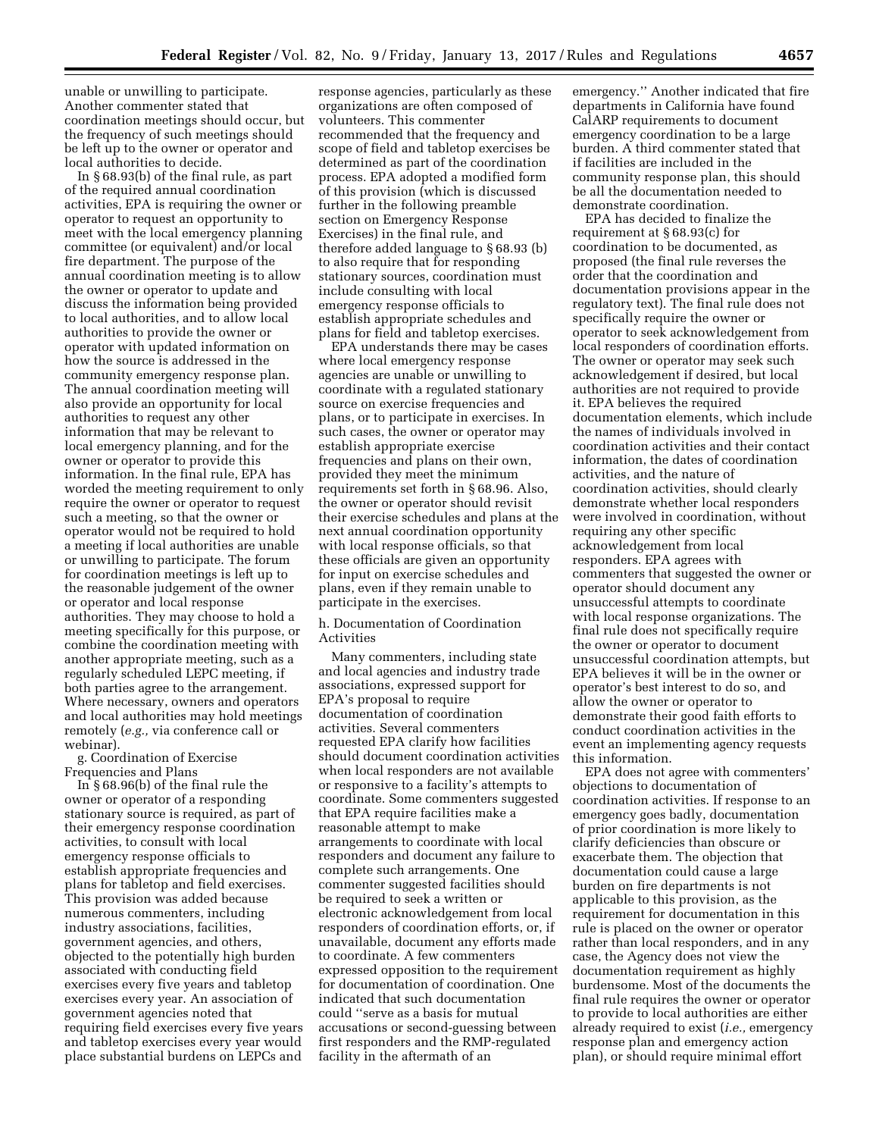unable or unwilling to participate. Another commenter stated that coordination meetings should occur, but the frequency of such meetings should be left up to the owner or operator and local authorities to decide.

In § 68.93(b) of the final rule, as part of the required annual coordination activities, EPA is requiring the owner or operator to request an opportunity to meet with the local emergency planning committee (or equivalent) and/or local fire department. The purpose of the annual coordination meeting is to allow the owner or operator to update and discuss the information being provided to local authorities, and to allow local authorities to provide the owner or operator with updated information on how the source is addressed in the community emergency response plan. The annual coordination meeting will also provide an opportunity for local authorities to request any other information that may be relevant to local emergency planning, and for the owner or operator to provide this information. In the final rule, EPA has worded the meeting requirement to only require the owner or operator to request such a meeting, so that the owner or operator would not be required to hold a meeting if local authorities are unable or unwilling to participate. The forum for coordination meetings is left up to the reasonable judgement of the owner or operator and local response authorities. They may choose to hold a meeting specifically for this purpose, or combine the coordination meeting with another appropriate meeting, such as a regularly scheduled LEPC meeting, if both parties agree to the arrangement. Where necessary, owners and operators and local authorities may hold meetings remotely (*e.g.,* via conference call or webinar).

g. Coordination of Exercise Frequencies and Plans

In § 68.96(b) of the final rule the owner or operator of a responding stationary source is required, as part of their emergency response coordination activities, to consult with local emergency response officials to establish appropriate frequencies and plans for tabletop and field exercises. This provision was added because numerous commenters, including industry associations, facilities, government agencies, and others, objected to the potentially high burden associated with conducting field exercises every five years and tabletop exercises every year. An association of government agencies noted that requiring field exercises every five years and tabletop exercises every year would place substantial burdens on LEPCs and

response agencies, particularly as these organizations are often composed of volunteers. This commenter recommended that the frequency and scope of field and tabletop exercises be determined as part of the coordination process. EPA adopted a modified form of this provision (which is discussed further in the following preamble section on Emergency Response Exercises) in the final rule, and therefore added language to § 68.93 (b) to also require that for responding stationary sources, coordination must include consulting with local emergency response officials to establish appropriate schedules and plans for field and tabletop exercises.

EPA understands there may be cases where local emergency response agencies are unable or unwilling to coordinate with a regulated stationary source on exercise frequencies and plans, or to participate in exercises. In such cases, the owner or operator may establish appropriate exercise frequencies and plans on their own, provided they meet the minimum requirements set forth in § 68.96. Also, the owner or operator should revisit their exercise schedules and plans at the next annual coordination opportunity with local response officials, so that these officials are given an opportunity for input on exercise schedules and plans, even if they remain unable to participate in the exercises.

h. Documentation of Coordination Activities

Many commenters, including state and local agencies and industry trade associations, expressed support for EPA's proposal to require documentation of coordination activities. Several commenters requested EPA clarify how facilities should document coordination activities when local responders are not available or responsive to a facility's attempts to coordinate. Some commenters suggested that EPA require facilities make a reasonable attempt to make arrangements to coordinate with local responders and document any failure to complete such arrangements. One commenter suggested facilities should be required to seek a written or electronic acknowledgement from local responders of coordination efforts, or, if unavailable, document any efforts made to coordinate. A few commenters expressed opposition to the requirement for documentation of coordination. One indicated that such documentation could ''serve as a basis for mutual accusations or second-guessing between first responders and the RMP-regulated facility in the aftermath of an

emergency.'' Another indicated that fire departments in California have found CalARP requirements to document emergency coordination to be a large burden. A third commenter stated that if facilities are included in the community response plan, this should be all the documentation needed to demonstrate coordination.

EPA has decided to finalize the requirement at § 68.93(c) for coordination to be documented, as proposed (the final rule reverses the order that the coordination and documentation provisions appear in the regulatory text). The final rule does not specifically require the owner or operator to seek acknowledgement from local responders of coordination efforts. The owner or operator may seek such acknowledgement if desired, but local authorities are not required to provide it. EPA believes the required documentation elements, which include the names of individuals involved in coordination activities and their contact information, the dates of coordination activities, and the nature of coordination activities, should clearly demonstrate whether local responders were involved in coordination, without requiring any other specific acknowledgement from local responders. EPA agrees with commenters that suggested the owner or operator should document any unsuccessful attempts to coordinate with local response organizations. The final rule does not specifically require the owner or operator to document unsuccessful coordination attempts, but EPA believes it will be in the owner or operator's best interest to do so, and allow the owner or operator to demonstrate their good faith efforts to conduct coordination activities in the event an implementing agency requests this information.

EPA does not agree with commenters' objections to documentation of coordination activities. If response to an emergency goes badly, documentation of prior coordination is more likely to clarify deficiencies than obscure or exacerbate them. The objection that documentation could cause a large burden on fire departments is not applicable to this provision, as the requirement for documentation in this rule is placed on the owner or operator rather than local responders, and in any case, the Agency does not view the documentation requirement as highly burdensome. Most of the documents the final rule requires the owner or operator to provide to local authorities are either already required to exist (*i.e.,* emergency response plan and emergency action plan), or should require minimal effort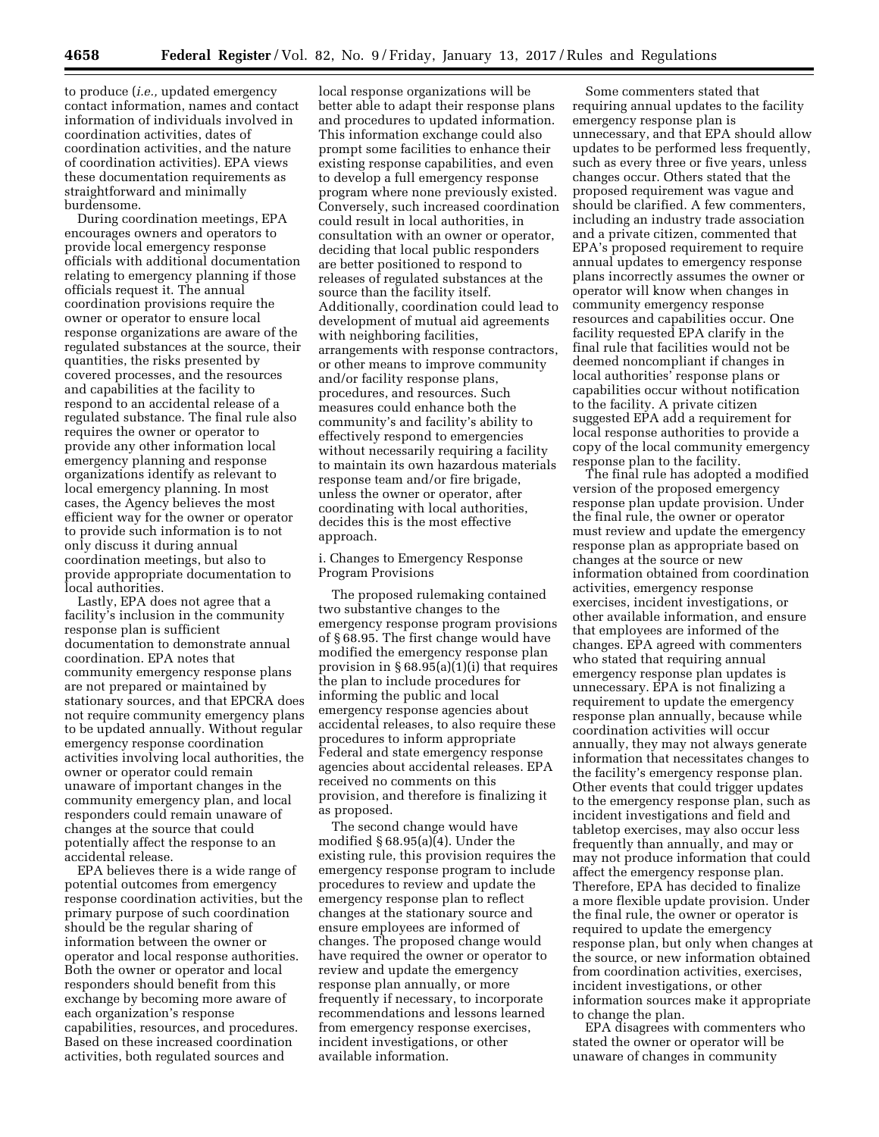to produce (*i.e.,* updated emergency contact information, names and contact information of individuals involved in coordination activities, dates of coordination activities, and the nature of coordination activities). EPA views these documentation requirements as straightforward and minimally burdensome.

During coordination meetings, EPA encourages owners and operators to provide local emergency response officials with additional documentation relating to emergency planning if those officials request it. The annual coordination provisions require the owner or operator to ensure local response organizations are aware of the regulated substances at the source, their quantities, the risks presented by covered processes, and the resources and capabilities at the facility to respond to an accidental release of a regulated substance. The final rule also requires the owner or operator to provide any other information local emergency planning and response organizations identify as relevant to local emergency planning. In most cases, the Agency believes the most efficient way for the owner or operator to provide such information is to not only discuss it during annual coordination meetings, but also to provide appropriate documentation to local authorities.

Lastly, EPA does not agree that a facility's inclusion in the community response plan is sufficient documentation to demonstrate annual coordination. EPA notes that community emergency response plans are not prepared or maintained by stationary sources, and that EPCRA does not require community emergency plans to be updated annually. Without regular emergency response coordination activities involving local authorities, the owner or operator could remain unaware of important changes in the community emergency plan, and local responders could remain unaware of changes at the source that could potentially affect the response to an accidental release.

EPA believes there is a wide range of potential outcomes from emergency response coordination activities, but the primary purpose of such coordination should be the regular sharing of information between the owner or operator and local response authorities. Both the owner or operator and local responders should benefit from this exchange by becoming more aware of each organization's response capabilities, resources, and procedures. Based on these increased coordination activities, both regulated sources and

local response organizations will be better able to adapt their response plans and procedures to updated information. This information exchange could also prompt some facilities to enhance their existing response capabilities, and even to develop a full emergency response program where none previously existed. Conversely, such increased coordination could result in local authorities, in consultation with an owner or operator, deciding that local public responders are better positioned to respond to releases of regulated substances at the source than the facility itself. Additionally, coordination could lead to development of mutual aid agreements with neighboring facilities, arrangements with response contractors, or other means to improve community and/or facility response plans, procedures, and resources. Such measures could enhance both the community's and facility's ability to effectively respond to emergencies without necessarily requiring a facility to maintain its own hazardous materials response team and/or fire brigade, unless the owner or operator, after coordinating with local authorities, decides this is the most effective approach.

i. Changes to Emergency Response Program Provisions

The proposed rulemaking contained two substantive changes to the emergency response program provisions of § 68.95. The first change would have modified the emergency response plan provision in  $\S 68.95(a)(1)(i)$  that requires the plan to include procedures for informing the public and local emergency response agencies about accidental releases, to also require these procedures to inform appropriate Federal and state emergency response agencies about accidental releases. EPA received no comments on this provision, and therefore is finalizing it as proposed.

The second change would have modified § 68.95(a)(4). Under the existing rule, this provision requires the emergency response program to include procedures to review and update the emergency response plan to reflect changes at the stationary source and ensure employees are informed of changes. The proposed change would have required the owner or operator to review and update the emergency response plan annually, or more frequently if necessary, to incorporate recommendations and lessons learned from emergency response exercises, incident investigations, or other available information.

Some commenters stated that requiring annual updates to the facility emergency response plan is unnecessary, and that EPA should allow updates to be performed less frequently, such as every three or five years, unless changes occur. Others stated that the proposed requirement was vague and should be clarified. A few commenters, including an industry trade association and a private citizen, commented that EPA's proposed requirement to require annual updates to emergency response plans incorrectly assumes the owner or operator will know when changes in community emergency response resources and capabilities occur. One facility requested EPA clarify in the final rule that facilities would not be deemed noncompliant if changes in local authorities' response plans or capabilities occur without notification to the facility. A private citizen suggested EPA add a requirement for local response authorities to provide a copy of the local community emergency response plan to the facility.

The final rule has adopted a modified version of the proposed emergency response plan update provision. Under the final rule, the owner or operator must review and update the emergency response plan as appropriate based on changes at the source or new information obtained from coordination activities, emergency response exercises, incident investigations, or other available information, and ensure that employees are informed of the changes. EPA agreed with commenters who stated that requiring annual emergency response plan updates is unnecessary. EPA is not finalizing a requirement to update the emergency response plan annually, because while coordination activities will occur annually, they may not always generate information that necessitates changes to the facility's emergency response plan. Other events that could trigger updates to the emergency response plan, such as incident investigations and field and tabletop exercises, may also occur less frequently than annually, and may or may not produce information that could affect the emergency response plan. Therefore, EPA has decided to finalize a more flexible update provision. Under the final rule, the owner or operator is required to update the emergency response plan, but only when changes at the source, or new information obtained from coordination activities, exercises, incident investigations, or other information sources make it appropriate to change the plan.

EPA disagrees with commenters who stated the owner or operator will be unaware of changes in community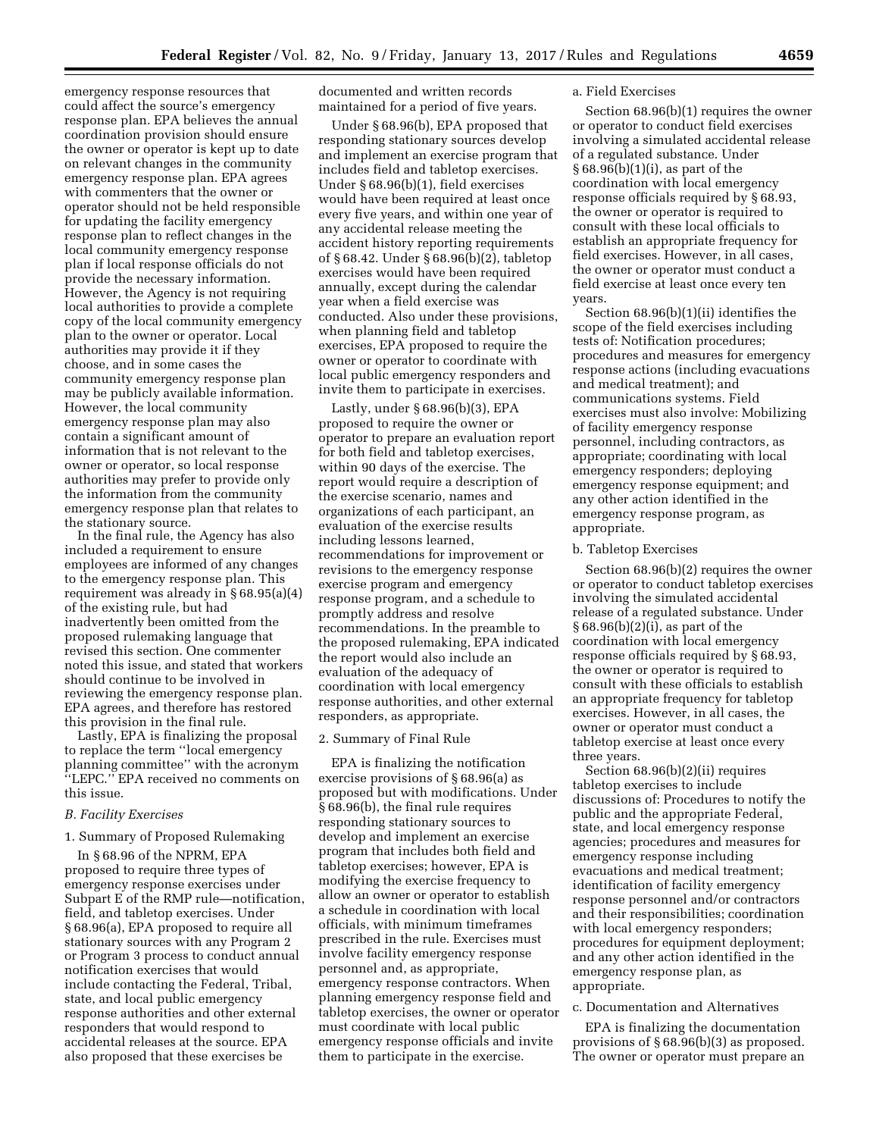emergency response resources that could affect the source's emergency response plan. EPA believes the annual coordination provision should ensure the owner or operator is kept up to date on relevant changes in the community emergency response plan. EPA agrees with commenters that the owner or operator should not be held responsible for updating the facility emergency response plan to reflect changes in the local community emergency response plan if local response officials do not provide the necessary information. However, the Agency is not requiring local authorities to provide a complete copy of the local community emergency plan to the owner or operator. Local authorities may provide it if they choose, and in some cases the community emergency response plan may be publicly available information. However, the local community emergency response plan may also contain a significant amount of information that is not relevant to the owner or operator, so local response authorities may prefer to provide only the information from the community emergency response plan that relates to the stationary source.

In the final rule, the Agency has also included a requirement to ensure employees are informed of any changes to the emergency response plan. This requirement was already in § 68.95(a)(4) of the existing rule, but had inadvertently been omitted from the proposed rulemaking language that revised this section. One commenter noted this issue, and stated that workers should continue to be involved in reviewing the emergency response plan. EPA agrees, and therefore has restored this provision in the final rule.

Lastly, EPA is finalizing the proposal to replace the term ''local emergency planning committee'' with the acronym ''LEPC.'' EPA received no comments on this issue.

## *B. Facility Exercises*

# 1. Summary of Proposed Rulemaking

In § 68.96 of the NPRM, EPA proposed to require three types of emergency response exercises under Subpart E of the RMP rule—notification, field, and tabletop exercises. Under § 68.96(a), EPA proposed to require all stationary sources with any Program 2 or Program 3 process to conduct annual notification exercises that would include contacting the Federal, Tribal, state, and local public emergency response authorities and other external responders that would respond to accidental releases at the source. EPA also proposed that these exercises be

documented and written records maintained for a period of five years.

Under § 68.96(b), EPA proposed that responding stationary sources develop and implement an exercise program that includes field and tabletop exercises. Under § 68.96(b)(1), field exercises would have been required at least once every five years, and within one year of any accidental release meeting the accident history reporting requirements of § 68.42. Under § 68.96(b)(2), tabletop exercises would have been required annually, except during the calendar year when a field exercise was conducted. Also under these provisions, when planning field and tabletop exercises, EPA proposed to require the owner or operator to coordinate with local public emergency responders and invite them to participate in exercises.

Lastly, under § 68.96(b)(3), EPA proposed to require the owner or operator to prepare an evaluation report for both field and tabletop exercises, within 90 days of the exercise. The report would require a description of the exercise scenario, names and organizations of each participant, an evaluation of the exercise results including lessons learned, recommendations for improvement or revisions to the emergency response exercise program and emergency response program, and a schedule to promptly address and resolve recommendations. In the preamble to the proposed rulemaking, EPA indicated the report would also include an evaluation of the adequacy of coordination with local emergency response authorities, and other external responders, as appropriate.

#### 2. Summary of Final Rule

EPA is finalizing the notification exercise provisions of § 68.96(a) as proposed but with modifications. Under § 68.96(b), the final rule requires responding stationary sources to develop and implement an exercise program that includes both field and tabletop exercises; however, EPA is modifying the exercise frequency to allow an owner or operator to establish a schedule in coordination with local officials, with minimum timeframes prescribed in the rule. Exercises must involve facility emergency response personnel and, as appropriate, emergency response contractors. When planning emergency response field and tabletop exercises, the owner or operator must coordinate with local public emergency response officials and invite them to participate in the exercise.

### a. Field Exercises

Section 68.96(b)(1) requires the owner or operator to conduct field exercises involving a simulated accidental release of a regulated substance. Under § 68.96(b)(1)(i), as part of the coordination with local emergency response officials required by § 68.93, the owner or operator is required to consult with these local officials to establish an appropriate frequency for field exercises. However, in all cases, the owner or operator must conduct a field exercise at least once every ten years.

Section 68.96(b)(1)(ii) identifies the scope of the field exercises including tests of: Notification procedures; procedures and measures for emergency response actions (including evacuations and medical treatment); and communications systems. Field exercises must also involve: Mobilizing of facility emergency response personnel, including contractors, as appropriate; coordinating with local emergency responders; deploying emergency response equipment; and any other action identified in the emergency response program, as appropriate.

### b. Tabletop Exercises

Section 68.96(b)(2) requires the owner or operator to conduct tabletop exercises involving the simulated accidental release of a regulated substance. Under § 68.96(b)(2)(i), as part of the coordination with local emergency response officials required by § 68.93, the owner or operator is required to consult with these officials to establish an appropriate frequency for tabletop exercises. However, in all cases, the owner or operator must conduct a tabletop exercise at least once every three years.

Section 68.96(b)(2)(ii) requires tabletop exercises to include discussions of: Procedures to notify the public and the appropriate Federal, state, and local emergency response agencies; procedures and measures for emergency response including evacuations and medical treatment; identification of facility emergency response personnel and/or contractors and their responsibilities; coordination with local emergency responders; procedures for equipment deployment; and any other action identified in the emergency response plan, as appropriate.

## c. Documentation and Alternatives

EPA is finalizing the documentation provisions of § 68.96(b)(3) as proposed. The owner or operator must prepare an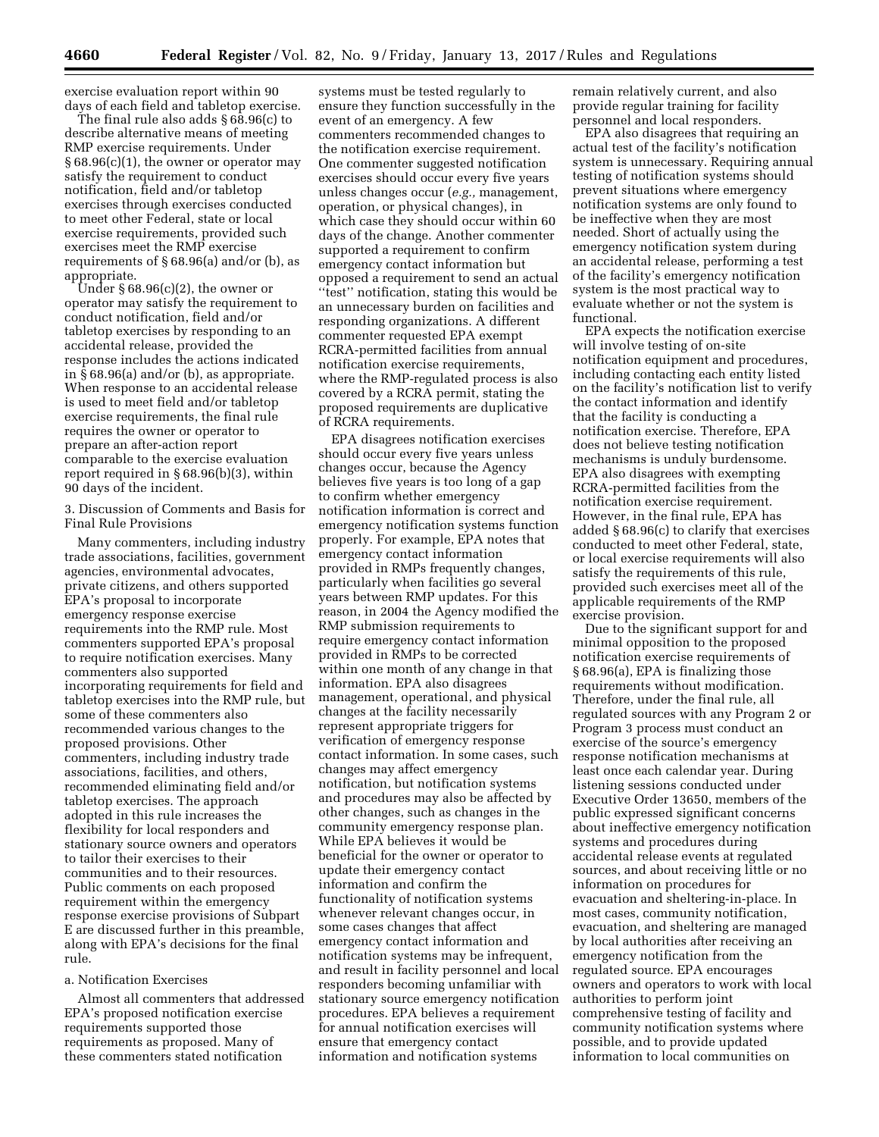exercise evaluation report within 90 days of each field and tabletop exercise.

The final rule also adds § 68.96(c) to describe alternative means of meeting RMP exercise requirements. Under § 68.96(c)(1), the owner or operator may satisfy the requirement to conduct notification, field and/or tabletop exercises through exercises conducted to meet other Federal, state or local exercise requirements, provided such exercises meet the RMP exercise requirements of § 68.96(a) and/or (b), as appropriate.

Under § 68.96(c)(2), the owner or operator may satisfy the requirement to conduct notification, field and/or tabletop exercises by responding to an accidental release, provided the response includes the actions indicated in § 68.96(a) and/or (b), as appropriate. When response to an accidental release is used to meet field and/or tabletop exercise requirements, the final rule requires the owner or operator to prepare an after-action report comparable to the exercise evaluation report required in § 68.96(b)(3), within 90 days of the incident.

3. Discussion of Comments and Basis for Final Rule Provisions

Many commenters, including industry trade associations, facilities, government agencies, environmental advocates, private citizens, and others supported EPA's proposal to incorporate emergency response exercise requirements into the RMP rule. Most commenters supported EPA's proposal to require notification exercises. Many commenters also supported incorporating requirements for field and tabletop exercises into the RMP rule, but some of these commenters also recommended various changes to the proposed provisions. Other commenters, including industry trade associations, facilities, and others, recommended eliminating field and/or tabletop exercises. The approach adopted in this rule increases the flexibility for local responders and stationary source owners and operators to tailor their exercises to their communities and to their resources. Public comments on each proposed requirement within the emergency response exercise provisions of Subpart E are discussed further in this preamble, along with EPA's decisions for the final rule.

#### a. Notification Exercises

Almost all commenters that addressed EPA's proposed notification exercise requirements supported those requirements as proposed. Many of these commenters stated notification

systems must be tested regularly to ensure they function successfully in the event of an emergency. A few commenters recommended changes to the notification exercise requirement. One commenter suggested notification exercises should occur every five years unless changes occur (*e.g.,* management, operation, or physical changes), in which case they should occur within 60 days of the change. Another commenter supported a requirement to confirm emergency contact information but opposed a requirement to send an actual ''test'' notification, stating this would be an unnecessary burden on facilities and responding organizations. A different commenter requested EPA exempt RCRA-permitted facilities from annual notification exercise requirements, where the RMP-regulated process is also covered by a RCRA permit, stating the proposed requirements are duplicative of RCRA requirements.

EPA disagrees notification exercises should occur every five years unless changes occur, because the Agency believes five years is too long of a gap to confirm whether emergency notification information is correct and emergency notification systems function properly. For example, EPA notes that emergency contact information provided in RMPs frequently changes, particularly when facilities go several years between RMP updates. For this reason, in 2004 the Agency modified the RMP submission requirements to require emergency contact information provided in RMPs to be corrected within one month of any change in that information. EPA also disagrees management, operational, and physical changes at the facility necessarily represent appropriate triggers for verification of emergency response contact information. In some cases, such changes may affect emergency notification, but notification systems and procedures may also be affected by other changes, such as changes in the community emergency response plan. While EPA believes it would be beneficial for the owner or operator to update their emergency contact information and confirm the functionality of notification systems whenever relevant changes occur, in some cases changes that affect emergency contact information and notification systems may be infrequent, and result in facility personnel and local responders becoming unfamiliar with stationary source emergency notification procedures. EPA believes a requirement for annual notification exercises will ensure that emergency contact information and notification systems

remain relatively current, and also provide regular training for facility personnel and local responders.

EPA also disagrees that requiring an actual test of the facility's notification system is unnecessary. Requiring annual testing of notification systems should prevent situations where emergency notification systems are only found to be ineffective when they are most needed. Short of actually using the emergency notification system during an accidental release, performing a test of the facility's emergency notification system is the most practical way to evaluate whether or not the system is functional.

EPA expects the notification exercise will involve testing of on-site notification equipment and procedures, including contacting each entity listed on the facility's notification list to verify the contact information and identify that the facility is conducting a notification exercise. Therefore, EPA does not believe testing notification mechanisms is unduly burdensome. EPA also disagrees with exempting RCRA-permitted facilities from the notification exercise requirement. However, in the final rule, EPA has added § 68.96(c) to clarify that exercises conducted to meet other Federal, state, or local exercise requirements will also satisfy the requirements of this rule, provided such exercises meet all of the applicable requirements of the RMP exercise provision.

Due to the significant support for and minimal opposition to the proposed notification exercise requirements of § 68.96(a), EPA is finalizing those requirements without modification. Therefore, under the final rule, all regulated sources with any Program 2 or Program 3 process must conduct an exercise of the source's emergency response notification mechanisms at least once each calendar year. During listening sessions conducted under Executive Order 13650, members of the public expressed significant concerns about ineffective emergency notification systems and procedures during accidental release events at regulated sources, and about receiving little or no information on procedures for evacuation and sheltering-in-place. In most cases, community notification, evacuation, and sheltering are managed by local authorities after receiving an emergency notification from the regulated source. EPA encourages owners and operators to work with local authorities to perform joint comprehensive testing of facility and community notification systems where possible, and to provide updated information to local communities on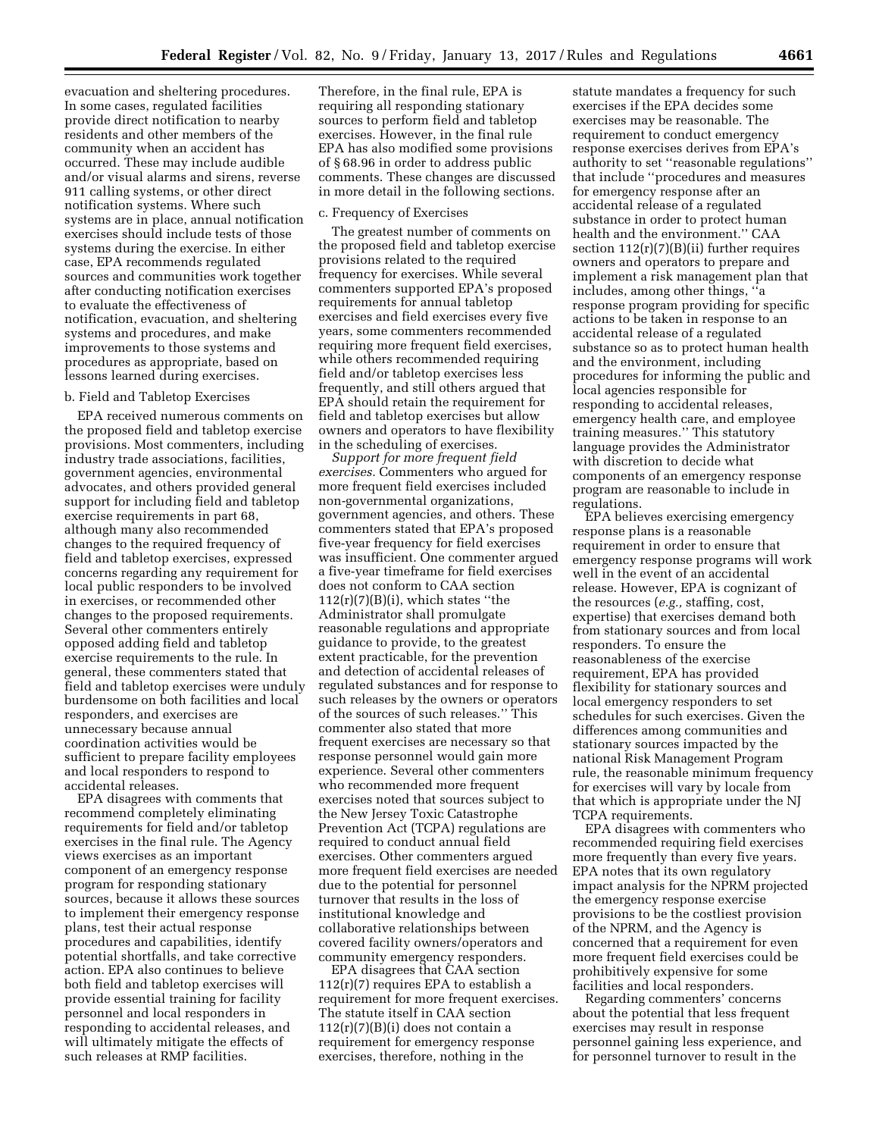evacuation and sheltering procedures. In some cases, regulated facilities provide direct notification to nearby residents and other members of the community when an accident has occurred. These may include audible and/or visual alarms and sirens, reverse 911 calling systems, or other direct notification systems. Where such systems are in place, annual notification exercises should include tests of those systems during the exercise. In either case, EPA recommends regulated sources and communities work together after conducting notification exercises to evaluate the effectiveness of notification, evacuation, and sheltering systems and procedures, and make improvements to those systems and procedures as appropriate, based on lessons learned during exercises.

## b. Field and Tabletop Exercises

EPA received numerous comments on the proposed field and tabletop exercise provisions. Most commenters, including industry trade associations, facilities, government agencies, environmental advocates, and others provided general support for including field and tabletop exercise requirements in part 68, although many also recommended changes to the required frequency of field and tabletop exercises, expressed concerns regarding any requirement for local public responders to be involved in exercises, or recommended other changes to the proposed requirements. Several other commenters entirely opposed adding field and tabletop exercise requirements to the rule. In general, these commenters stated that field and tabletop exercises were unduly burdensome on both facilities and local responders, and exercises are unnecessary because annual coordination activities would be sufficient to prepare facility employees and local responders to respond to accidental releases.

EPA disagrees with comments that recommend completely eliminating requirements for field and/or tabletop exercises in the final rule. The Agency views exercises as an important component of an emergency response program for responding stationary sources, because it allows these sources to implement their emergency response plans, test their actual response procedures and capabilities, identify potential shortfalls, and take corrective action. EPA also continues to believe both field and tabletop exercises will provide essential training for facility personnel and local responders in responding to accidental releases, and will ultimately mitigate the effects of such releases at RMP facilities.

Therefore, in the final rule, EPA is requiring all responding stationary sources to perform field and tabletop exercises. However, in the final rule EPA has also modified some provisions of § 68.96 in order to address public comments. These changes are discussed in more detail in the following sections.

### c. Frequency of Exercises

The greatest number of comments on the proposed field and tabletop exercise provisions related to the required frequency for exercises. While several commenters supported EPA's proposed requirements for annual tabletop exercises and field exercises every five years, some commenters recommended requiring more frequent field exercises, while others recommended requiring field and/or tabletop exercises less frequently, and still others argued that EPA should retain the requirement for field and tabletop exercises but allow owners and operators to have flexibility in the scheduling of exercises.

*Support for more frequent field exercises.* Commenters who argued for more frequent field exercises included non-governmental organizations, government agencies, and others. These commenters stated that EPA's proposed five-year frequency for field exercises was insufficient. One commenter argued a five-year timeframe for field exercises does not conform to CAA section  $112(r)(7)(B)(i)$ , which states "the Administrator shall promulgate reasonable regulations and appropriate guidance to provide, to the greatest extent practicable, for the prevention and detection of accidental releases of regulated substances and for response to such releases by the owners or operators of the sources of such releases.'' This commenter also stated that more frequent exercises are necessary so that response personnel would gain more experience. Several other commenters who recommended more frequent exercises noted that sources subject to the New Jersey Toxic Catastrophe Prevention Act (TCPA) regulations are required to conduct annual field exercises. Other commenters argued more frequent field exercises are needed due to the potential for personnel turnover that results in the loss of institutional knowledge and collaborative relationships between covered facility owners/operators and community emergency responders.

EPA disagrees that CAA section  $112(r)(7)$  requires EPA to establish a requirement for more frequent exercises. The statute itself in CAA section  $112(r)(7)(B)(i)$  does not contain a requirement for emergency response exercises, therefore, nothing in the

statute mandates a frequency for such exercises if the EPA decides some exercises may be reasonable. The requirement to conduct emergency response exercises derives from EPA's authority to set ''reasonable regulations'' that include ''procedures and measures for emergency response after an accidental release of a regulated substance in order to protect human health and the environment.'' CAA section  $112(r)(7)(B)(ii)$  further requires owners and operators to prepare and implement a risk management plan that includes, among other things, ''a response program providing for specific actions to be taken in response to an accidental release of a regulated substance so as to protect human health and the environment, including procedures for informing the public and local agencies responsible for responding to accidental releases, emergency health care, and employee training measures.'' This statutory language provides the Administrator with discretion to decide what components of an emergency response program are reasonable to include in regulations.

EPA believes exercising emergency response plans is a reasonable requirement in order to ensure that emergency response programs will work well in the event of an accidental release. However, EPA is cognizant of the resources (*e.g.,* staffing, cost, expertise) that exercises demand both from stationary sources and from local responders. To ensure the reasonableness of the exercise requirement, EPA has provided flexibility for stationary sources and local emergency responders to set schedules for such exercises. Given the differences among communities and stationary sources impacted by the national Risk Management Program rule, the reasonable minimum frequency for exercises will vary by locale from that which is appropriate under the NJ TCPA requirements.

EPA disagrees with commenters who recommended requiring field exercises more frequently than every five years. EPA notes that its own regulatory impact analysis for the NPRM projected the emergency response exercise provisions to be the costliest provision of the NPRM, and the Agency is concerned that a requirement for even more frequent field exercises could be prohibitively expensive for some facilities and local responders.

Regarding commenters' concerns about the potential that less frequent exercises may result in response personnel gaining less experience, and for personnel turnover to result in the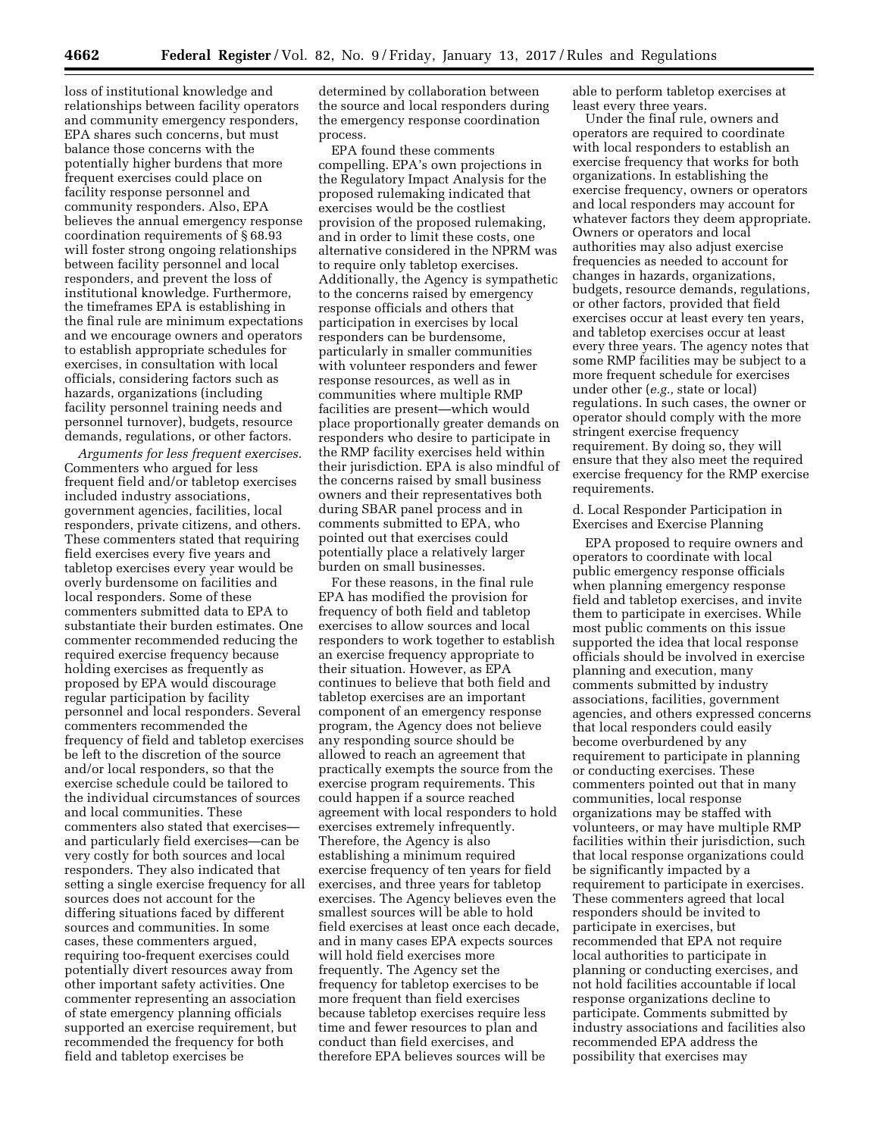loss of institutional knowledge and relationships between facility operators and community emergency responders, EPA shares such concerns, but must balance those concerns with the potentially higher burdens that more frequent exercises could place on facility response personnel and community responders. Also, EPA believes the annual emergency response coordination requirements of § 68.93 will foster strong ongoing relationships between facility personnel and local responders, and prevent the loss of institutional knowledge. Furthermore, the timeframes EPA is establishing in the final rule are minimum expectations and we encourage owners and operators to establish appropriate schedules for exercises, in consultation with local officials, considering factors such as hazards, organizations (including facility personnel training needs and personnel turnover), budgets, resource demands, regulations, or other factors.

*Arguments for less frequent exercises.*  Commenters who argued for less frequent field and/or tabletop exercises included industry associations, government agencies, facilities, local responders, private citizens, and others. These commenters stated that requiring field exercises every five years and tabletop exercises every year would be overly burdensome on facilities and local responders. Some of these commenters submitted data to EPA to substantiate their burden estimates. One commenter recommended reducing the required exercise frequency because holding exercises as frequently as proposed by EPA would discourage regular participation by facility personnel and local responders. Several commenters recommended the frequency of field and tabletop exercises be left to the discretion of the source and/or local responders, so that the exercise schedule could be tailored to the individual circumstances of sources and local communities. These commenters also stated that exercises and particularly field exercises—can be very costly for both sources and local responders. They also indicated that setting a single exercise frequency for all sources does not account for the differing situations faced by different sources and communities. In some cases, these commenters argued, requiring too-frequent exercises could potentially divert resources away from other important safety activities. One commenter representing an association of state emergency planning officials supported an exercise requirement, but recommended the frequency for both field and tabletop exercises be

determined by collaboration between the source and local responders during the emergency response coordination process.

EPA found these comments compelling. EPA's own projections in the Regulatory Impact Analysis for the proposed rulemaking indicated that exercises would be the costliest provision of the proposed rulemaking, and in order to limit these costs, one alternative considered in the NPRM was to require only tabletop exercises. Additionally, the Agency is sympathetic to the concerns raised by emergency response officials and others that participation in exercises by local responders can be burdensome, particularly in smaller communities with volunteer responders and fewer response resources, as well as in communities where multiple RMP facilities are present—which would place proportionally greater demands on responders who desire to participate in the RMP facility exercises held within their jurisdiction. EPA is also mindful of the concerns raised by small business owners and their representatives both during SBAR panel process and in comments submitted to EPA, who pointed out that exercises could potentially place a relatively larger burden on small businesses.

For these reasons, in the final rule EPA has modified the provision for frequency of both field and tabletop exercises to allow sources and local responders to work together to establish an exercise frequency appropriate to their situation. However, as EPA continues to believe that both field and tabletop exercises are an important component of an emergency response program, the Agency does not believe any responding source should be allowed to reach an agreement that practically exempts the source from the exercise program requirements. This could happen if a source reached agreement with local responders to hold exercises extremely infrequently. Therefore, the Agency is also establishing a minimum required exercise frequency of ten years for field exercises, and three years for tabletop exercises. The Agency believes even the smallest sources will be able to hold field exercises at least once each decade, and in many cases EPA expects sources will hold field exercises more frequently. The Agency set the frequency for tabletop exercises to be more frequent than field exercises because tabletop exercises require less time and fewer resources to plan and conduct than field exercises, and therefore EPA believes sources will be

able to perform tabletop exercises at least every three years.

Under the final rule, owners and operators are required to coordinate with local responders to establish an exercise frequency that works for both organizations. In establishing the exercise frequency, owners or operators and local responders may account for whatever factors they deem appropriate. Owners or operators and local authorities may also adjust exercise frequencies as needed to account for changes in hazards, organizations, budgets, resource demands, regulations, or other factors, provided that field exercises occur at least every ten years, and tabletop exercises occur at least every three years. The agency notes that some RMP facilities may be subject to a more frequent schedule for exercises under other (*e.g.,* state or local) regulations. In such cases, the owner or operator should comply with the more stringent exercise frequency requirement. By doing so, they will ensure that they also meet the required exercise frequency for the RMP exercise requirements.

d. Local Responder Participation in Exercises and Exercise Planning

EPA proposed to require owners and operators to coordinate with local public emergency response officials when planning emergency response field and tabletop exercises, and invite them to participate in exercises. While most public comments on this issue supported the idea that local response officials should be involved in exercise planning and execution, many comments submitted by industry associations, facilities, government agencies, and others expressed concerns that local responders could easily become overburdened by any requirement to participate in planning or conducting exercises. These commenters pointed out that in many communities, local response organizations may be staffed with volunteers, or may have multiple RMP facilities within their jurisdiction, such that local response organizations could be significantly impacted by a requirement to participate in exercises. These commenters agreed that local responders should be invited to participate in exercises, but recommended that EPA not require local authorities to participate in planning or conducting exercises, and not hold facilities accountable if local response organizations decline to participate. Comments submitted by industry associations and facilities also recommended EPA address the possibility that exercises may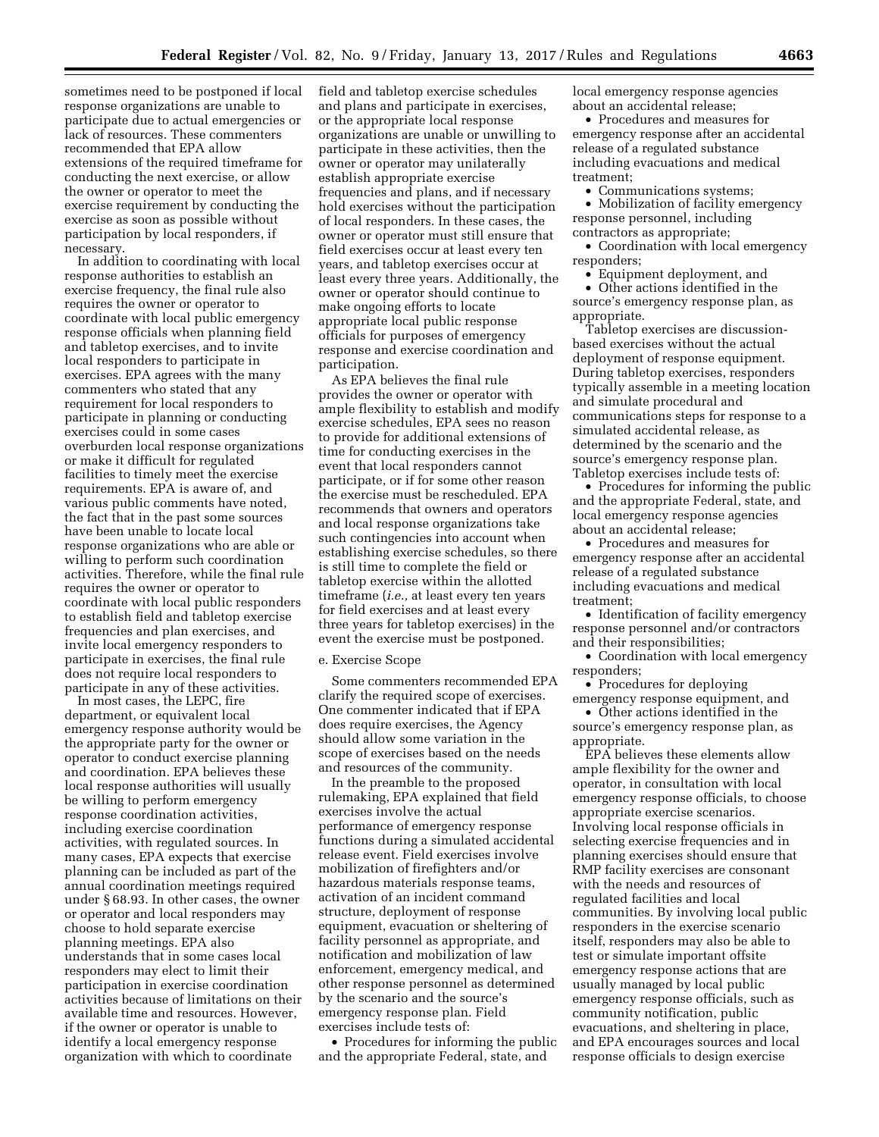sometimes need to be postponed if local response organizations are unable to participate due to actual emergencies or lack of resources. These commenters recommended that EPA allow extensions of the required timeframe for conducting the next exercise, or allow the owner or operator to meet the exercise requirement by conducting the exercise as soon as possible without participation by local responders, if necessary.

In addition to coordinating with local response authorities to establish an exercise frequency, the final rule also requires the owner or operator to coordinate with local public emergency response officials when planning field and tabletop exercises, and to invite local responders to participate in exercises. EPA agrees with the many commenters who stated that any requirement for local responders to participate in planning or conducting exercises could in some cases overburden local response organizations or make it difficult for regulated facilities to timely meet the exercise requirements. EPA is aware of, and various public comments have noted, the fact that in the past some sources have been unable to locate local response organizations who are able or willing to perform such coordination activities. Therefore, while the final rule requires the owner or operator to coordinate with local public responders to establish field and tabletop exercise frequencies and plan exercises, and invite local emergency responders to participate in exercises, the final rule does not require local responders to participate in any of these activities.

In most cases, the LEPC, fire department, or equivalent local emergency response authority would be the appropriate party for the owner or operator to conduct exercise planning and coordination. EPA believes these local response authorities will usually be willing to perform emergency response coordination activities, including exercise coordination activities, with regulated sources. In many cases, EPA expects that exercise planning can be included as part of the annual coordination meetings required under § 68.93. In other cases, the owner or operator and local responders may choose to hold separate exercise planning meetings. EPA also understands that in some cases local responders may elect to limit their participation in exercise coordination activities because of limitations on their available time and resources. However, if the owner or operator is unable to identify a local emergency response organization with which to coordinate

field and tabletop exercise schedules and plans and participate in exercises, or the appropriate local response organizations are unable or unwilling to participate in these activities, then the owner or operator may unilaterally establish appropriate exercise frequencies and plans, and if necessary hold exercises without the participation of local responders. In these cases, the owner or operator must still ensure that field exercises occur at least every ten years, and tabletop exercises occur at least every three years. Additionally, the owner or operator should continue to make ongoing efforts to locate appropriate local public response officials for purposes of emergency response and exercise coordination and participation.

As EPA believes the final rule provides the owner or operator with ample flexibility to establish and modify exercise schedules, EPA sees no reason to provide for additional extensions of time for conducting exercises in the event that local responders cannot participate, or if for some other reason the exercise must be rescheduled. EPA recommends that owners and operators and local response organizations take such contingencies into account when establishing exercise schedules, so there is still time to complete the field or tabletop exercise within the allotted timeframe (*i.e.,* at least every ten years for field exercises and at least every three years for tabletop exercises) in the event the exercise must be postponed.

## e. Exercise Scope

Some commenters recommended EPA clarify the required scope of exercises. One commenter indicated that if EPA does require exercises, the Agency should allow some variation in the scope of exercises based on the needs and resources of the community.

In the preamble to the proposed rulemaking, EPA explained that field exercises involve the actual performance of emergency response functions during a simulated accidental release event. Field exercises involve mobilization of firefighters and/or hazardous materials response teams, activation of an incident command structure, deployment of response equipment, evacuation or sheltering of facility personnel as appropriate, and notification and mobilization of law enforcement, emergency medical, and other response personnel as determined by the scenario and the source's emergency response plan. Field exercises include tests of:

• Procedures for informing the public and the appropriate Federal, state, and

local emergency response agencies about an accidental release;

• Procedures and measures for emergency response after an accidental release of a regulated substance including evacuations and medical treatment;

• Communications systems:

• Mobilization of facility emergency response personnel, including contractors as appropriate;

• Coordination with local emergency responders;

• Equipment deployment, and

• Other actions identified in the source's emergency response plan, as appropriate.

Tabletop exercises are discussionbased exercises without the actual deployment of response equipment. During tabletop exercises, responders typically assemble in a meeting location and simulate procedural and communications steps for response to a simulated accidental release, as determined by the scenario and the source's emergency response plan. Tabletop exercises include tests of:

• Procedures for informing the public and the appropriate Federal, state, and local emergency response agencies about an accidental release;

• Procedures and measures for emergency response after an accidental release of a regulated substance including evacuations and medical treatment;

• Identification of facility emergency response personnel and/or contractors and their responsibilities;

• Coordination with local emergency responders;

• Procedures for deploying emergency response equipment, and

• Other actions identified in the source's emergency response plan, as appropriate.

EPA believes these elements allow ample flexibility for the owner and operator, in consultation with local emergency response officials, to choose appropriate exercise scenarios. Involving local response officials in selecting exercise frequencies and in planning exercises should ensure that RMP facility exercises are consonant with the needs and resources of regulated facilities and local communities. By involving local public responders in the exercise scenario itself, responders may also be able to test or simulate important offsite emergency response actions that are usually managed by local public emergency response officials, such as community notification, public evacuations, and sheltering in place, and EPA encourages sources and local response officials to design exercise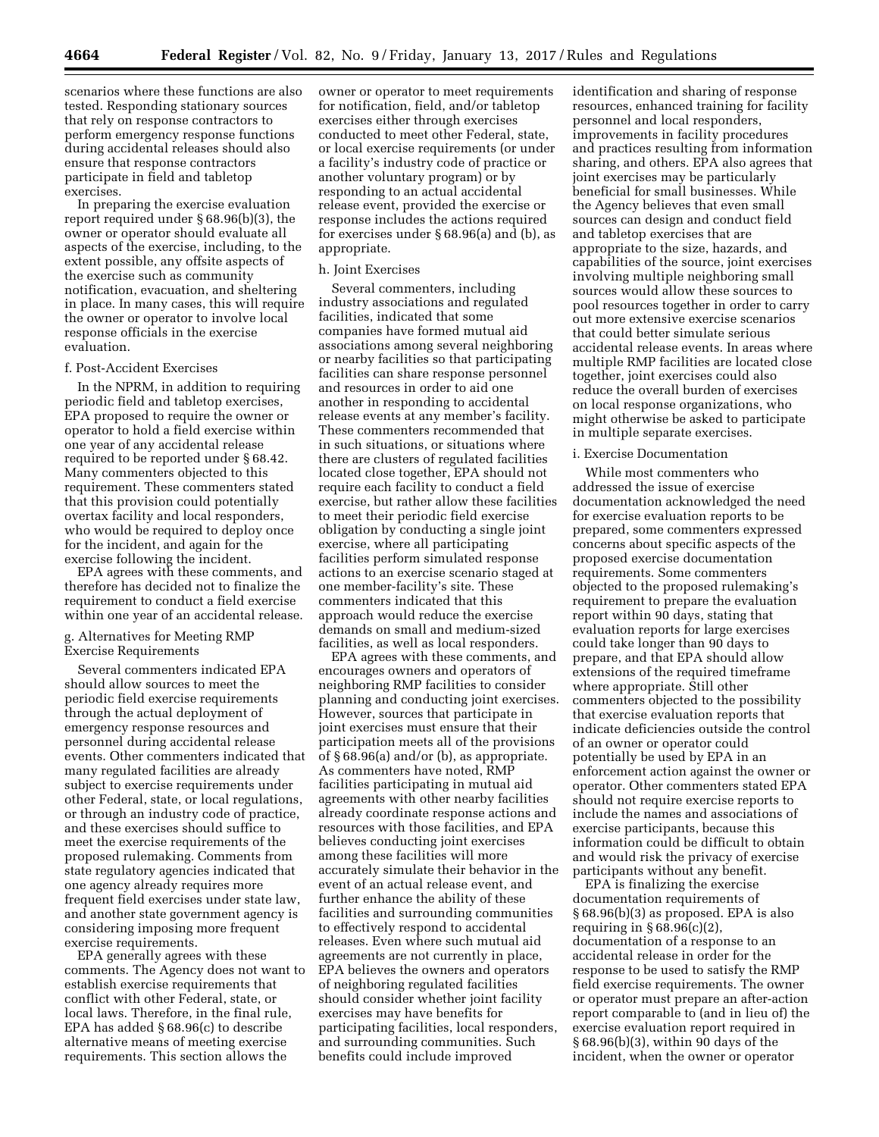scenarios where these functions are also tested. Responding stationary sources that rely on response contractors to perform emergency response functions during accidental releases should also ensure that response contractors participate in field and tabletop exercises.

In preparing the exercise evaluation report required under § 68.96(b)(3), the owner or operator should evaluate all aspects of the exercise, including, to the extent possible, any offsite aspects of the exercise such as community notification, evacuation, and sheltering in place. In many cases, this will require the owner or operator to involve local response officials in the exercise evaluation.

#### f. Post-Accident Exercises

In the NPRM, in addition to requiring periodic field and tabletop exercises, EPA proposed to require the owner or operator to hold a field exercise within one year of any accidental release required to be reported under § 68.42. Many commenters objected to this requirement. These commenters stated that this provision could potentially overtax facility and local responders, who would be required to deploy once for the incident, and again for the exercise following the incident.

EPA agrees with these comments, and therefore has decided not to finalize the requirement to conduct a field exercise within one year of an accidental release.

# g. Alternatives for Meeting RMP Exercise Requirements

Several commenters indicated EPA should allow sources to meet the periodic field exercise requirements through the actual deployment of emergency response resources and personnel during accidental release events. Other commenters indicated that many regulated facilities are already subject to exercise requirements under other Federal, state, or local regulations, or through an industry code of practice, and these exercises should suffice to meet the exercise requirements of the proposed rulemaking. Comments from state regulatory agencies indicated that one agency already requires more frequent field exercises under state law, and another state government agency is considering imposing more frequent exercise requirements.

EPA generally agrees with these comments. The Agency does not want to establish exercise requirements that conflict with other Federal, state, or local laws. Therefore, in the final rule, EPA has added § 68.96(c) to describe alternative means of meeting exercise requirements. This section allows the

owner or operator to meet requirements for notification, field, and/or tabletop exercises either through exercises conducted to meet other Federal, state, or local exercise requirements (or under a facility's industry code of practice or another voluntary program) or by responding to an actual accidental release event, provided the exercise or response includes the actions required for exercises under § 68.96(a) and (b), as appropriate.

## h. Joint Exercises

Several commenters, including industry associations and regulated facilities, indicated that some companies have formed mutual aid associations among several neighboring or nearby facilities so that participating facilities can share response personnel and resources in order to aid one another in responding to accidental release events at any member's facility. These commenters recommended that in such situations, or situations where there are clusters of regulated facilities located close together, EPA should not require each facility to conduct a field exercise, but rather allow these facilities to meet their periodic field exercise obligation by conducting a single joint exercise, where all participating facilities perform simulated response actions to an exercise scenario staged at one member-facility's site. These commenters indicated that this approach would reduce the exercise demands on small and medium-sized facilities, as well as local responders.

EPA agrees with these comments, and encourages owners and operators of neighboring RMP facilities to consider planning and conducting joint exercises. However, sources that participate in joint exercises must ensure that their participation meets all of the provisions of § 68.96(a) and/or (b), as appropriate. As commenters have noted, RMP facilities participating in mutual aid agreements with other nearby facilities already coordinate response actions and resources with those facilities, and EPA believes conducting joint exercises among these facilities will more accurately simulate their behavior in the event of an actual release event, and further enhance the ability of these facilities and surrounding communities to effectively respond to accidental releases. Even where such mutual aid agreements are not currently in place, EPA believes the owners and operators of neighboring regulated facilities should consider whether joint facility exercises may have benefits for participating facilities, local responders, and surrounding communities. Such benefits could include improved

identification and sharing of response resources, enhanced training for facility personnel and local responders, improvements in facility procedures and practices resulting from information sharing, and others. EPA also agrees that joint exercises may be particularly beneficial for small businesses. While the Agency believes that even small sources can design and conduct field and tabletop exercises that are appropriate to the size, hazards, and capabilities of the source, joint exercises involving multiple neighboring small sources would allow these sources to pool resources together in order to carry out more extensive exercise scenarios that could better simulate serious accidental release events. In areas where multiple RMP facilities are located close together, joint exercises could also reduce the overall burden of exercises on local response organizations, who might otherwise be asked to participate in multiple separate exercises.

#### i. Exercise Documentation

While most commenters who addressed the issue of exercise documentation acknowledged the need for exercise evaluation reports to be prepared, some commenters expressed concerns about specific aspects of the proposed exercise documentation requirements. Some commenters objected to the proposed rulemaking's requirement to prepare the evaluation report within 90 days, stating that evaluation reports for large exercises could take longer than 90 days to prepare, and that EPA should allow extensions of the required timeframe where appropriate. Still other commenters objected to the possibility that exercise evaluation reports that indicate deficiencies outside the control of an owner or operator could potentially be used by EPA in an enforcement action against the owner or operator. Other commenters stated EPA should not require exercise reports to include the names and associations of exercise participants, because this information could be difficult to obtain and would risk the privacy of exercise participants without any benefit.

EPA is finalizing the exercise documentation requirements of § 68.96(b)(3) as proposed. EPA is also requiring in  $\S 68.96(c)(2)$ , documentation of a response to an accidental release in order for the response to be used to satisfy the RMP field exercise requirements. The owner or operator must prepare an after-action report comparable to (and in lieu of) the exercise evaluation report required in § 68.96(b)(3), within 90 days of the incident, when the owner or operator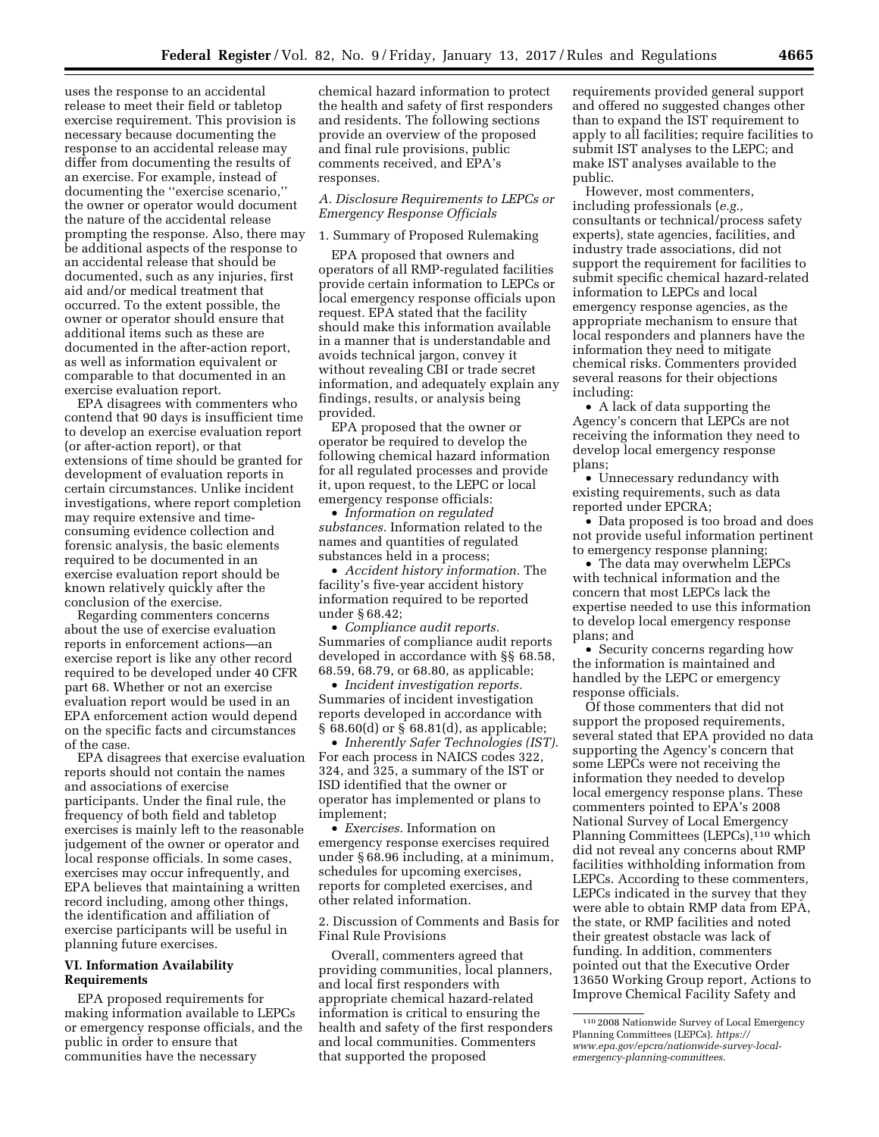uses the response to an accidental release to meet their field or tabletop exercise requirement. This provision is necessary because documenting the response to an accidental release may differ from documenting the results of an exercise. For example, instead of documenting the ''exercise scenario,'' the owner or operator would document the nature of the accidental release prompting the response. Also, there may be additional aspects of the response to an accidental release that should be documented, such as any injuries, first aid and/or medical treatment that occurred. To the extent possible, the owner or operator should ensure that additional items such as these are documented in the after-action report, as well as information equivalent or comparable to that documented in an exercise evaluation report.

EPA disagrees with commenters who contend that 90 days is insufficient time to develop an exercise evaluation report (or after-action report), or that extensions of time should be granted for development of evaluation reports in certain circumstances. Unlike incident investigations, where report completion may require extensive and timeconsuming evidence collection and forensic analysis, the basic elements required to be documented in an exercise evaluation report should be known relatively quickly after the conclusion of the exercise.

Regarding commenters concerns about the use of exercise evaluation reports in enforcement actions—an exercise report is like any other record required to be developed under 40 CFR part 68. Whether or not an exercise evaluation report would be used in an EPA enforcement action would depend on the specific facts and circumstances of the case.

EPA disagrees that exercise evaluation reports should not contain the names and associations of exercise participants. Under the final rule, the frequency of both field and tabletop exercises is mainly left to the reasonable judgement of the owner or operator and local response officials. In some cases, exercises may occur infrequently, and EPA believes that maintaining a written record including, among other things, the identification and affiliation of exercise participants will be useful in planning future exercises.

# **VI. Information Availability Requirements**

EPA proposed requirements for making information available to LEPCs or emergency response officials, and the public in order to ensure that communities have the necessary

chemical hazard information to protect the health and safety of first responders and residents. The following sections provide an overview of the proposed and final rule provisions, public comments received, and EPA's responses.

# *A. Disclosure Requirements to LEPCs or Emergency Response Officials*

### 1. Summary of Proposed Rulemaking

EPA proposed that owners and operators of all RMP-regulated facilities provide certain information to LEPCs or local emergency response officials upon request. EPA stated that the facility should make this information available in a manner that is understandable and avoids technical jargon, convey it without revealing CBI or trade secret information, and adequately explain any findings, results, or analysis being provided.

EPA proposed that the owner or operator be required to develop the following chemical hazard information for all regulated processes and provide it, upon request, to the LEPC or local emergency response officials:

• *Information on regulated substances.* Information related to the names and quantities of regulated substances held in a process;

• *Accident history information.* The facility's five-year accident history information required to be reported under § 68.42;

• *Compliance audit reports.*  Summaries of compliance audit reports developed in accordance with §§ 68.58, 68.59, 68.79, or 68.80, as applicable;

• *Incident investigation reports.*  Summaries of incident investigation reports developed in accordance with § 68.60(d) or § 68.81(d), as applicable;

• *Inherently Safer Technologies (IST).*  For each process in NAICS codes 322, 324, and 325, a summary of the IST or ISD identified that the owner or operator has implemented or plans to implement;

• *Exercises.* Information on emergency response exercises required under § 68.96 including, at a minimum, schedules for upcoming exercises, reports for completed exercises, and other related information.

2. Discussion of Comments and Basis for Final Rule Provisions

Overall, commenters agreed that providing communities, local planners, and local first responders with appropriate chemical hazard-related information is critical to ensuring the health and safety of the first responders and local communities. Commenters that supported the proposed

requirements provided general support and offered no suggested changes other than to expand the IST requirement to apply to all facilities; require facilities to submit IST analyses to the LEPC; and make IST analyses available to the public.

However, most commenters, including professionals (*e.g.,*  consultants or technical/process safety experts), state agencies, facilities, and industry trade associations, did not support the requirement for facilities to submit specific chemical hazard-related information to LEPCs and local emergency response agencies, as the appropriate mechanism to ensure that local responders and planners have the information they need to mitigate chemical risks. Commenters provided several reasons for their objections including:

• A lack of data supporting the Agency's concern that LEPCs are not receiving the information they need to develop local emergency response plans;

• Unnecessary redundancy with existing requirements, such as data reported under EPCRA;

• Data proposed is too broad and does not provide useful information pertinent to emergency response planning;

• The data may overwhelm LEPCs with technical information and the concern that most LEPCs lack the expertise needed to use this information to develop local emergency response plans; and

• Security concerns regarding how the information is maintained and handled by the LEPC or emergency response officials.

Of those commenters that did not support the proposed requirements, several stated that EPA provided no data supporting the Agency's concern that some LEPCs were not receiving the information they needed to develop local emergency response plans. These commenters pointed to EPA's 2008 National Survey of Local Emergency Planning Committees (LEPCs),<sup>110</sup> which did not reveal any concerns about RMP facilities withholding information from LEPCs. According to these commenters, LEPCs indicated in the survey that they were able to obtain RMP data from EPA, the state, or RMP facilities and noted their greatest obstacle was lack of funding. In addition, commenters pointed out that the Executive Order 13650 Working Group report, Actions to Improve Chemical Facility Safety and

<sup>110</sup> 2008 Nationwide Survey of Local Emergency Planning Committees (LEPCs). *[https://](https://www.epa.gov/epcra/nationwide-survey-local-emergency-planning-committees) [www.epa.gov/epcra/nationwide-survey-local](https://www.epa.gov/epcra/nationwide-survey-local-emergency-planning-committees)[emergency-planning-committees](https://www.epa.gov/epcra/nationwide-survey-local-emergency-planning-committees)*.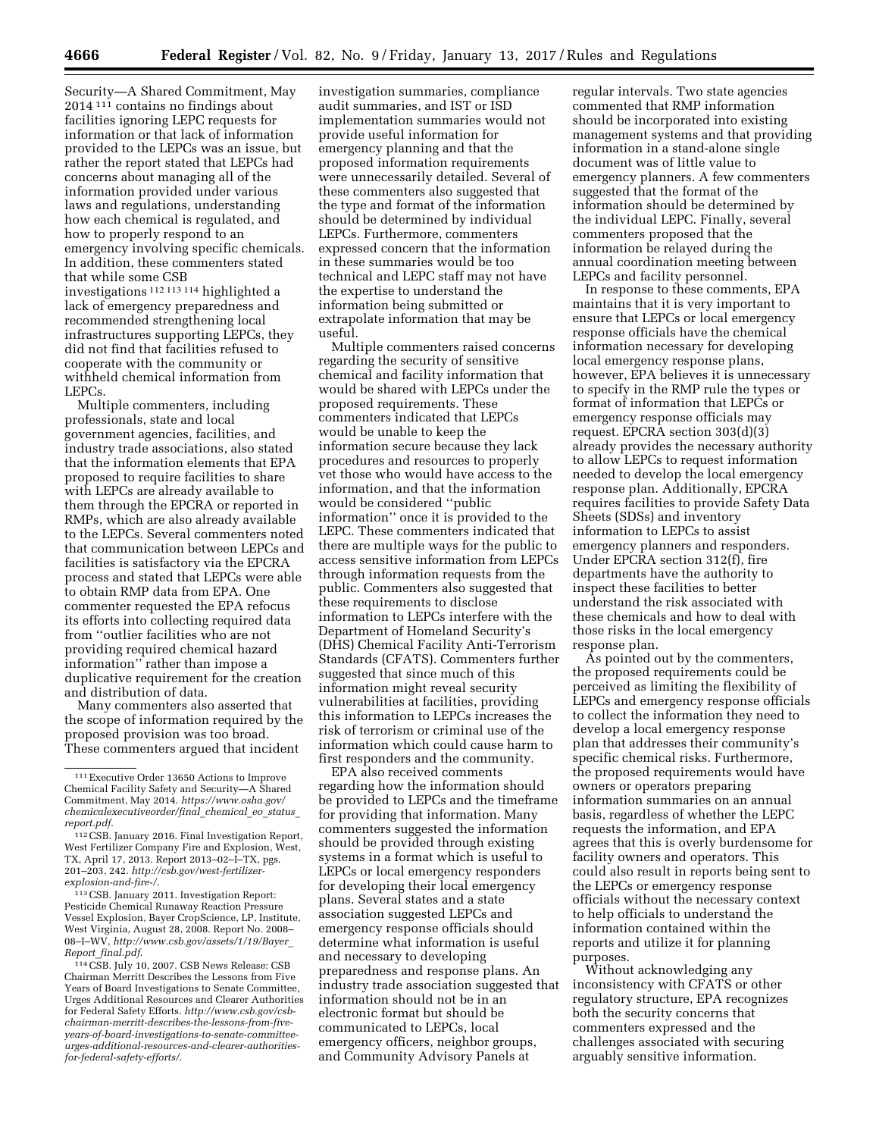Security—A Shared Commitment, May 2014 111 contains no findings about facilities ignoring LEPC requests for information or that lack of information provided to the LEPCs was an issue, but rather the report stated that LEPCs had concerns about managing all of the information provided under various laws and regulations, understanding how each chemical is regulated, and how to properly respond to an emergency involving specific chemicals. In addition, these commenters stated that while some CSB investigations 112 113 114 highlighted a lack of emergency preparedness and recommended strengthening local infrastructures supporting LEPCs, they did not find that facilities refused to

cooperate with the community or withheld chemical information from LEPCs. Multiple commenters, including

professionals, state and local government agencies, facilities, and industry trade associations, also stated that the information elements that EPA proposed to require facilities to share with LEPCs are already available to them through the EPCRA or reported in RMPs, which are also already available to the LEPCs. Several commenters noted that communication between LEPCs and facilities is satisfactory via the EPCRA process and stated that LEPCs were able to obtain RMP data from EPA. One commenter requested the EPA refocus its efforts into collecting required data from ''outlier facilities who are not providing required chemical hazard information'' rather than impose a duplicative requirement for the creation and distribution of data.

Many commenters also asserted that the scope of information required by the proposed provision was too broad. These commenters argued that incident

113CSB. January 2011. Investigation Report: Pesticide Chemical Runaway Reaction Pressure Vessel Explosion, Bayer CropScience, LP, Institute, West Virginia, August 28, 2008. Report No. 2008– 08–I–WV, *[http://www.csb.gov/assets/1/19/Bayer](http://www.csb.gov/assets/1/19/Bayer_Report_final.pdf)*\_ *Report*\_*[final.pdf](http://www.csb.gov/assets/1/19/Bayer_Report_final.pdf)*.

114CSB. July 10, 2007. CSB News Release: CSB Chairman Merritt Describes the Lessons from Five Years of Board Investigations to Senate Committee, Urges Additional Resources and Clearer Authorities for Federal Safety Efforts. *[http://www.csb.gov/csb](http://www.csb.gov/csb-chairman-merritt-describes-the-lessons-from-five-years-of-board-investigations-to-senate-committee-urges-additional-resources-and-clearer-authorities-for-federal-safety-efforts/)chairman-merritt-describes-the-lessons-from-fiveyears-of-board-investigations-to-senate-committee[urges-additional-resources-and-clearer-authorities](http://www.csb.gov/csb-chairman-merritt-describes-the-lessons-from-five-years-of-board-investigations-to-senate-committee-urges-additional-resources-and-clearer-authorities-for-federal-safety-efforts/)[for-federal-safety-efforts/](http://www.csb.gov/csb-chairman-merritt-describes-the-lessons-from-five-years-of-board-investigations-to-senate-committee-urges-additional-resources-and-clearer-authorities-for-federal-safety-efforts/)*.

investigation summaries, compliance audit summaries, and IST or ISD implementation summaries would not provide useful information for emergency planning and that the proposed information requirements were unnecessarily detailed. Several of these commenters also suggested that the type and format of the information should be determined by individual LEPCs. Furthermore, commenters expressed concern that the information in these summaries would be too technical and LEPC staff may not have the expertise to understand the information being submitted or extrapolate information that may be useful.

Multiple commenters raised concerns regarding the security of sensitive chemical and facility information that would be shared with LEPCs under the proposed requirements. These commenters indicated that LEPCs would be unable to keep the information secure because they lack procedures and resources to properly vet those who would have access to the information, and that the information would be considered ''public information'' once it is provided to the LEPC. These commenters indicated that there are multiple ways for the public to access sensitive information from LEPCs through information requests from the public. Commenters also suggested that these requirements to disclose information to LEPCs interfere with the Department of Homeland Security's (DHS) Chemical Facility Anti-Terrorism Standards (CFATS). Commenters further suggested that since much of this information might reveal security vulnerabilities at facilities, providing this information to LEPCs increases the risk of terrorism or criminal use of the information which could cause harm to first responders and the community.

EPA also received comments regarding how the information should be provided to LEPCs and the timeframe for providing that information. Many commenters suggested the information should be provided through existing systems in a format which is useful to LEPCs or local emergency responders for developing their local emergency plans. Several states and a state association suggested LEPCs and emergency response officials should determine what information is useful and necessary to developing preparedness and response plans. An industry trade association suggested that information should not be in an electronic format but should be communicated to LEPCs, local emergency officers, neighbor groups, and Community Advisory Panels at

regular intervals. Two state agencies commented that RMP information should be incorporated into existing management systems and that providing information in a stand-alone single document was of little value to emergency planners. A few commenters suggested that the format of the information should be determined by the individual LEPC. Finally, several commenters proposed that the information be relayed during the annual coordination meeting between LEPCs and facility personnel.

In response to these comments, EPA maintains that it is very important to ensure that LEPCs or local emergency response officials have the chemical information necessary for developing local emergency response plans, however, EPA believes it is unnecessary to specify in the RMP rule the types or format of information that LEPCs or emergency response officials may request. EPCRA section 303(d)(3) already provides the necessary authority to allow LEPCs to request information needed to develop the local emergency response plan. Additionally, EPCRA requires facilities to provide Safety Data Sheets (SDSs) and inventory information to LEPCs to assist emergency planners and responders. Under EPCRA section 312(f), fire departments have the authority to inspect these facilities to better understand the risk associated with these chemicals and how to deal with those risks in the local emergency response plan.

As pointed out by the commenters, the proposed requirements could be perceived as limiting the flexibility of LEPCs and emergency response officials to collect the information they need to develop a local emergency response plan that addresses their community's specific chemical risks. Furthermore, the proposed requirements would have owners or operators preparing information summaries on an annual basis, regardless of whether the LEPC requests the information, and EPA agrees that this is overly burdensome for facility owners and operators. This could also result in reports being sent to the LEPCs or emergency response officials without the necessary context to help officials to understand the information contained within the reports and utilize it for planning purposes.

Without acknowledging any inconsistency with CFATS or other regulatory structure, EPA recognizes both the security concerns that commenters expressed and the challenges associated with securing arguably sensitive information.

<sup>111</sup>Executive Order 13650 Actions to Improve Chemical Facility Safety and Security—A Shared Commitment, May 2014. *[https://www.osha.gov/](https://www.osha.gov/chemicalexecutiveorder/final_chemical_eo_status_report.pdf) [chemicalexecutiveorder/final](https://www.osha.gov/chemicalexecutiveorder/final_chemical_eo_status_report.pdf)*\_*chemical*\_*eo*\_*status*\_ *[report.pdf](https://www.osha.gov/chemicalexecutiveorder/final_chemical_eo_status_report.pdf)*.

<sup>112</sup>CSB. January 2016. Final Investigation Report, West Fertilizer Company Fire and Explosion, West, TX, April 17, 2013. Report 2013–02–I–TX, pgs. 201–203, 242. *[http://csb.gov/west-fertilizer](http://csb.gov/west-fertilizer-explosion-and-fire-/)[explosion-and-fire-/](http://csb.gov/west-fertilizer-explosion-and-fire-/)*.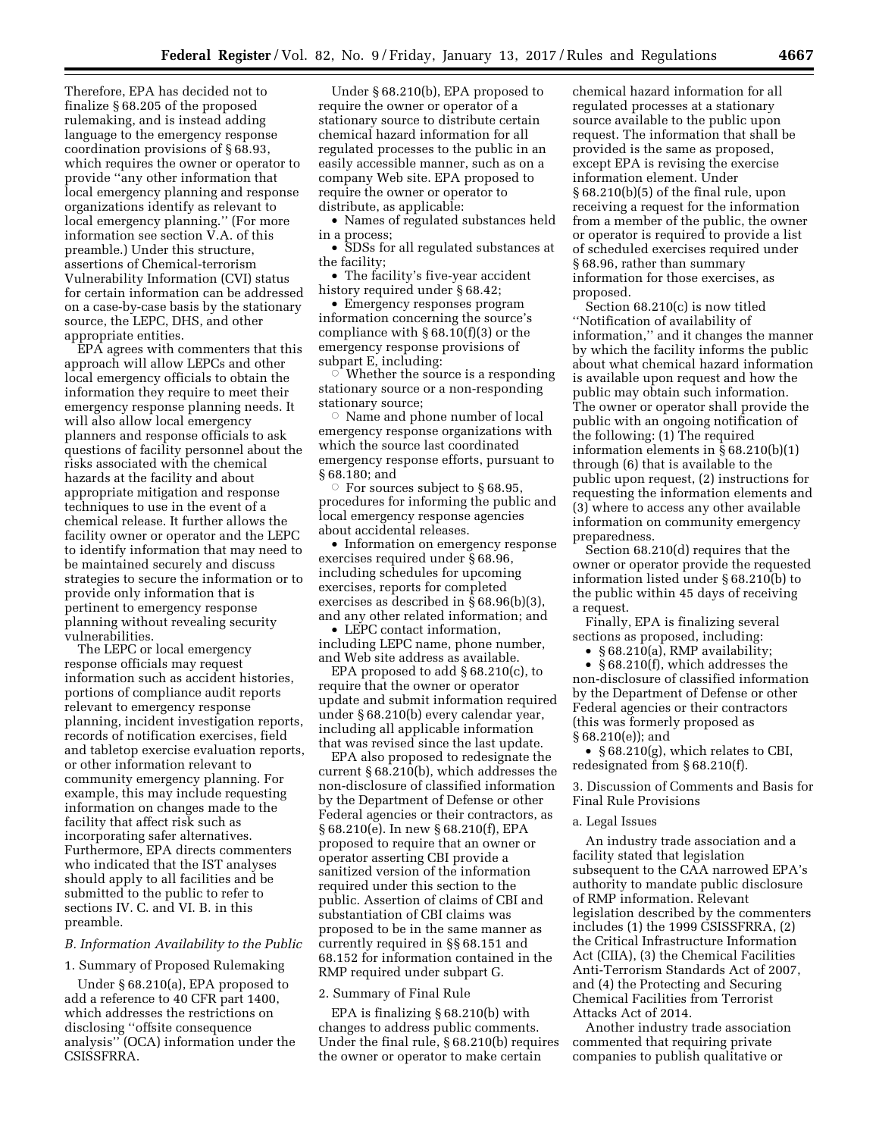Therefore, EPA has decided not to finalize § 68.205 of the proposed rulemaking, and is instead adding language to the emergency response coordination provisions of § 68.93, which requires the owner or operator to provide ''any other information that local emergency planning and response organizations identify as relevant to local emergency planning.'' (For more information see section V.A. of this preamble.) Under this structure, assertions of Chemical-terrorism Vulnerability Information (CVI) status for certain information can be addressed on a case-by-case basis by the stationary source, the LEPC, DHS, and other appropriate entities.

EPA agrees with commenters that this approach will allow LEPCs and other local emergency officials to obtain the information they require to meet their emergency response planning needs. It will also allow local emergency planners and response officials to ask questions of facility personnel about the risks associated with the chemical hazards at the facility and about appropriate mitigation and response techniques to use in the event of a chemical release. It further allows the facility owner or operator and the LEPC to identify information that may need to be maintained securely and discuss strategies to secure the information or to provide only information that is pertinent to emergency response planning without revealing security vulnerabilities.

The LEPC or local emergency response officials may request information such as accident histories, portions of compliance audit reports relevant to emergency response planning, incident investigation reports, records of notification exercises, field and tabletop exercise evaluation reports, or other information relevant to community emergency planning. For example, this may include requesting information on changes made to the facility that affect risk such as incorporating safer alternatives. Furthermore, EPA directs commenters who indicated that the IST analyses should apply to all facilities and be submitted to the public to refer to sections IV. C. and VI. B. in this preamble.

### *B. Information Availability to the Public*

1. Summary of Proposed Rulemaking

Under § 68.210(a), EPA proposed to add a reference to 40 CFR part 1400, which addresses the restrictions on disclosing ''offsite consequence analysis'' (OCA) information under the CSISSFRRA.

Under § 68.210(b), EPA proposed to require the owner or operator of a stationary source to distribute certain chemical hazard information for all regulated processes to the public in an easily accessible manner, such as on a company Web site. EPA proposed to require the owner or operator to distribute, as applicable:

• Names of regulated substances held in a process;

• SDSs for all regulated substances at the facility;

• The facility's five-year accident history required under § 68.42;

• Emergency responses program information concerning the source's compliance with § 68.10(f)(3) or the emergency response provisions of subpart E, including:

 $\circ$  Whether the source is a responding stationary source or a non-responding stationary source;

 $\circ$  Name and phone number of local emergency response organizations with which the source last coordinated emergency response efforts, pursuant to § 68.180; and

For sources subject to  $§ 68.95$ , procedures for informing the public and local emergency response agencies about accidental releases.

• Information on emergency response exercises required under § 68.96, including schedules for upcoming exercises, reports for completed exercises as described in § 68.96(b)(3), and any other related information; and

• LEPC contact information, including LEPC name, phone number, and Web site address as available.

EPA proposed to add § 68.210(c), to require that the owner or operator update and submit information required under § 68.210(b) every calendar year, including all applicable information that was revised since the last update.

EPA also proposed to redesignate the current § 68.210(b), which addresses the non-disclosure of classified information by the Department of Defense or other Federal agencies or their contractors, as § 68.210(e). In new § 68.210(f), EPA proposed to require that an owner or operator asserting CBI provide a sanitized version of the information required under this section to the public. Assertion of claims of CBI and substantiation of CBI claims was proposed to be in the same manner as currently required in §§ 68.151 and 68.152 for information contained in the RMP required under subpart G.

### 2. Summary of Final Rule

EPA is finalizing § 68.210(b) with changes to address public comments. Under the final rule, § 68.210(b) requires the owner or operator to make certain

chemical hazard information for all regulated processes at a stationary source available to the public upon request. The information that shall be provided is the same as proposed, except EPA is revising the exercise information element. Under § 68.210(b)(5) of the final rule, upon receiving a request for the information from a member of the public, the owner or operator is required to provide a list of scheduled exercises required under § 68.96, rather than summary information for those exercises, as proposed.

Section 68.210(c) is now titled ''Notification of availability of information,'' and it changes the manner by which the facility informs the public about what chemical hazard information is available upon request and how the public may obtain such information. The owner or operator shall provide the public with an ongoing notification of the following: (1) The required information elements in § 68.210(b)(1) through (6) that is available to the public upon request, (2) instructions for requesting the information elements and (3) where to access any other available information on community emergency preparedness.

Section 68.210(d) requires that the owner or operator provide the requested information listed under § 68.210(b) to the public within 45 days of receiving a request.

Finally, EPA is finalizing several sections as proposed, including:

• § 68.210(a), RMP availability;

• § 68.210(f), which addresses the non-disclosure of classified information by the Department of Defense or other Federal agencies or their contractors (this was formerly proposed as § 68.210(e)); and

• § 68.210(g), which relates to CBI, redesignated from § 68.210(f).

3. Discussion of Comments and Basis for Final Rule Provisions

### a. Legal Issues

An industry trade association and a facility stated that legislation subsequent to the CAA narrowed EPA's authority to mandate public disclosure of RMP information. Relevant legislation described by the commenters includes (1) the 1999 CSISSFRRA, (2) the Critical Infrastructure Information Act (CIIA), (3) the Chemical Facilities Anti-Terrorism Standards Act of 2007, and (4) the Protecting and Securing Chemical Facilities from Terrorist Attacks Act of 2014.

Another industry trade association commented that requiring private companies to publish qualitative or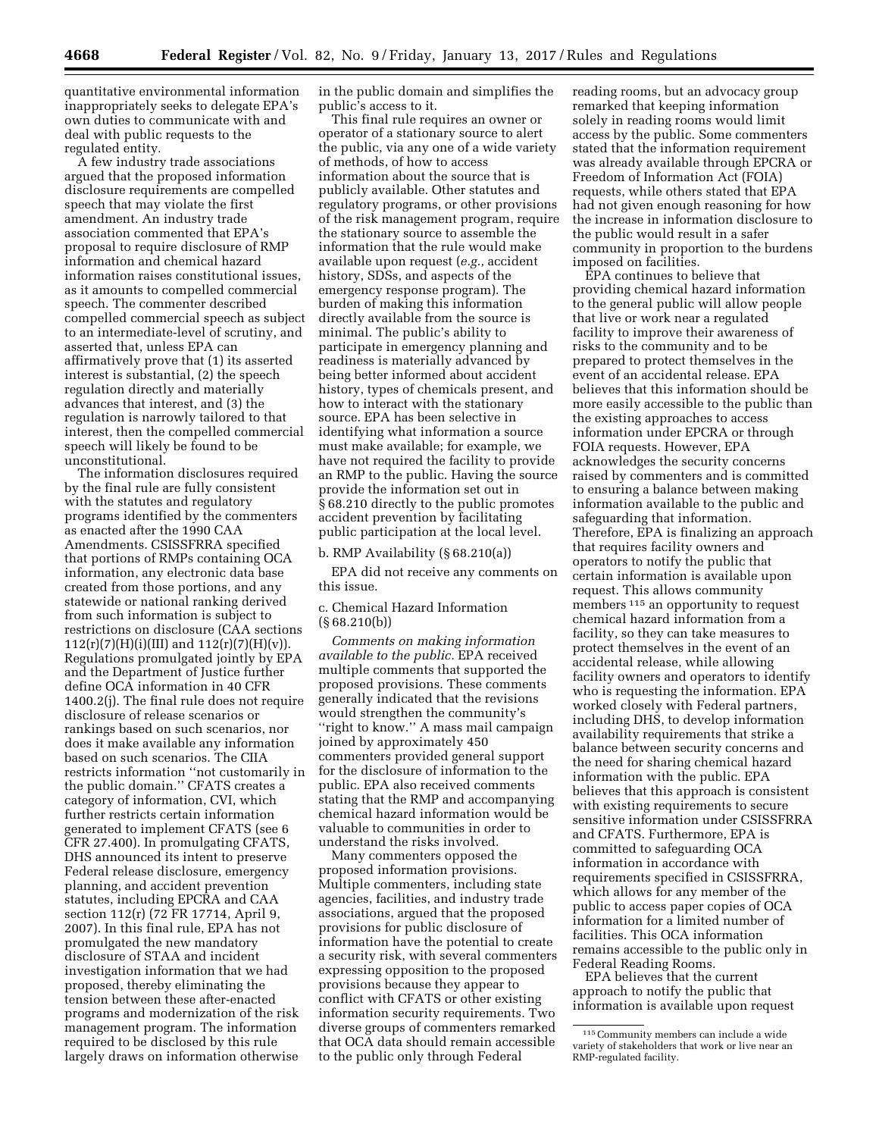quantitative environmental information inappropriately seeks to delegate EPA's own duties to communicate with and deal with public requests to the regulated entity.

A few industry trade associations argued that the proposed information disclosure requirements are compelled speech that may violate the first amendment. An industry trade association commented that EPA's proposal to require disclosure of RMP information and chemical hazard information raises constitutional issues, as it amounts to compelled commercial speech. The commenter described compelled commercial speech as subject to an intermediate-level of scrutiny, and asserted that, unless EPA can affirmatively prove that (1) its asserted interest is substantial, (2) the speech regulation directly and materially advances that interest, and (3) the regulation is narrowly tailored to that interest, then the compelled commercial speech will likely be found to be unconstitutional.

The information disclosures required by the final rule are fully consistent with the statutes and regulatory programs identified by the commenters as enacted after the 1990 CAA Amendments. CSISSFRRA specified that portions of RMPs containing OCA information, any electronic data base created from those portions, and any statewide or national ranking derived from such information is subject to restrictions on disclosure (CAA sections  $112(r)(7)(H)(i)(III)$  and  $112(r)(7)(H)(v)$ . Regulations promulgated jointly by EPA and the Department of Justice further define OCA information in 40 CFR 1400.2(j). The final rule does not require disclosure of release scenarios or rankings based on such scenarios, nor does it make available any information based on such scenarios. The CIIA restricts information ''not customarily in the public domain.'' CFATS creates a category of information, CVI, which further restricts certain information generated to implement CFATS (see 6 CFR 27.400). In promulgating CFATS, DHS announced its intent to preserve Federal release disclosure, emergency planning, and accident prevention statutes, including EPCRA and CAA section 112(r) (72 FR 17714, April 9, 2007). In this final rule, EPA has not promulgated the new mandatory disclosure of STAA and incident investigation information that we had proposed, thereby eliminating the tension between these after-enacted programs and modernization of the risk management program. The information required to be disclosed by this rule largely draws on information otherwise

in the public domain and simplifies the public's access to it.

This final rule requires an owner or operator of a stationary source to alert the public, via any one of a wide variety of methods, of how to access information about the source that is publicly available. Other statutes and regulatory programs, or other provisions of the risk management program, require the stationary source to assemble the information that the rule would make available upon request (*e.g.,* accident history, SDSs, and aspects of the emergency response program). The burden of making this information directly available from the source is minimal. The public's ability to participate in emergency planning and readiness is materially advanced by being better informed about accident history, types of chemicals present, and how to interact with the stationary source. EPA has been selective in identifying what information a source must make available; for example, we have not required the facility to provide an RMP to the public. Having the source provide the information set out in § 68.210 directly to the public promotes accident prevention by facilitating public participation at the local level.

b. RMP Availability (§ 68.210(a))

EPA did not receive any comments on this issue.

c. Chemical Hazard Information  $(S68.210(b))$ 

*Comments on making information available to the public.* EPA received multiple comments that supported the proposed provisions. These comments generally indicated that the revisions would strengthen the community's ''right to know.'' A mass mail campaign joined by approximately 450 commenters provided general support for the disclosure of information to the public. EPA also received comments stating that the RMP and accompanying chemical hazard information would be valuable to communities in order to understand the risks involved.

Many commenters opposed the proposed information provisions. Multiple commenters, including state agencies, facilities, and industry trade associations, argued that the proposed provisions for public disclosure of information have the potential to create a security risk, with several commenters expressing opposition to the proposed provisions because they appear to conflict with CFATS or other existing information security requirements. Two diverse groups of commenters remarked that OCA data should remain accessible to the public only through Federal

reading rooms, but an advocacy group remarked that keeping information solely in reading rooms would limit access by the public. Some commenters stated that the information requirement was already available through EPCRA or Freedom of Information Act (FOIA) requests, while others stated that EPA had not given enough reasoning for how the increase in information disclosure to the public would result in a safer community in proportion to the burdens imposed on facilities.

EPA continues to believe that providing chemical hazard information to the general public will allow people that live or work near a regulated facility to improve their awareness of risks to the community and to be prepared to protect themselves in the event of an accidental release. EPA believes that this information should be more easily accessible to the public than the existing approaches to access information under EPCRA or through FOIA requests. However, EPA acknowledges the security concerns raised by commenters and is committed to ensuring a balance between making information available to the public and safeguarding that information. Therefore, EPA is finalizing an approach that requires facility owners and operators to notify the public that certain information is available upon request. This allows community members 115 an opportunity to request chemical hazard information from a facility, so they can take measures to protect themselves in the event of an accidental release, while allowing facility owners and operators to identify who is requesting the information. EPA worked closely with Federal partners, including DHS, to develop information availability requirements that strike a balance between security concerns and the need for sharing chemical hazard information with the public. EPA believes that this approach is consistent with existing requirements to secure sensitive information under CSISSFRRA and CFATS. Furthermore, EPA is committed to safeguarding OCA information in accordance with requirements specified in CSISSFRRA, which allows for any member of the public to access paper copies of OCA information for a limited number of facilities. This OCA information remains accessible to the public only in Federal Reading Rooms.

EPA believes that the current approach to notify the public that information is available upon request

<sup>115</sup>Community members can include a wide variety of stakeholders that work or live near an RMP-regulated facility.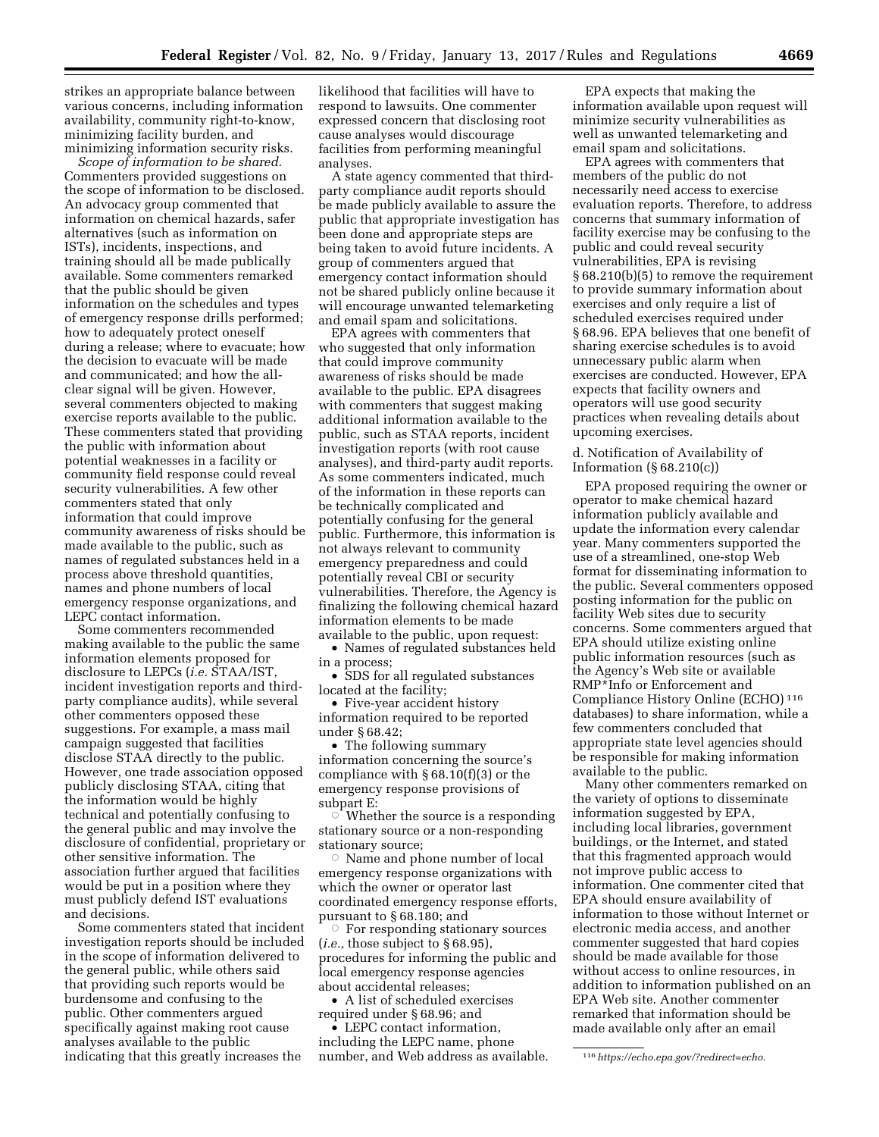strikes an appropriate balance between various concerns, including information availability, community right-to-know, minimizing facility burden, and minimizing information security risks.

*Scope of information to be shared.*  Commenters provided suggestions on the scope of information to be disclosed. An advocacy group commented that information on chemical hazards, safer alternatives (such as information on ISTs), incidents, inspections, and training should all be made publically available. Some commenters remarked that the public should be given information on the schedules and types of emergency response drills performed; how to adequately protect oneself during a release; where to evacuate; how the decision to evacuate will be made and communicated; and how the allclear signal will be given. However, several commenters objected to making exercise reports available to the public. These commenters stated that providing the public with information about potential weaknesses in a facility or community field response could reveal security vulnerabilities. A few other commenters stated that only information that could improve community awareness of risks should be made available to the public, such as names of regulated substances held in a process above threshold quantities, names and phone numbers of local emergency response organizations, and LEPC contact information.

Some commenters recommended making available to the public the same information elements proposed for disclosure to LEPCs (*i.e.* STAA/IST, incident investigation reports and thirdparty compliance audits), while several other commenters opposed these suggestions. For example, a mass mail campaign suggested that facilities disclose STAA directly to the public. However, one trade association opposed publicly disclosing STAA, citing that the information would be highly technical and potentially confusing to the general public and may involve the disclosure of confidential, proprietary or other sensitive information. The association further argued that facilities would be put in a position where they must publicly defend IST evaluations and decisions.

Some commenters stated that incident investigation reports should be included in the scope of information delivered to the general public, while others said that providing such reports would be burdensome and confusing to the public. Other commenters argued specifically against making root cause analyses available to the public indicating that this greatly increases the

likelihood that facilities will have to respond to lawsuits. One commenter expressed concern that disclosing root cause analyses would discourage facilities from performing meaningful analyses.

A state agency commented that thirdparty compliance audit reports should be made publicly available to assure the public that appropriate investigation has been done and appropriate steps are being taken to avoid future incidents. A group of commenters argued that emergency contact information should not be shared publicly online because it will encourage unwanted telemarketing and email spam and solicitations.

EPA agrees with commenters that who suggested that only information that could improve community awareness of risks should be made available to the public. EPA disagrees with commenters that suggest making additional information available to the public, such as STAA reports, incident investigation reports (with root cause analyses), and third-party audit reports. As some commenters indicated, much of the information in these reports can be technically complicated and potentially confusing for the general public. Furthermore, this information is not always relevant to community emergency preparedness and could potentially reveal CBI or security vulnerabilities. Therefore, the Agency is finalizing the following chemical hazard information elements to be made available to the public, upon request:

• Names of regulated substances held in a process;

• SDS for all regulated substances located at the facility;

• Five-year accident history information required to be reported under § 68.42;

• The following summary information concerning the source's compliance with § 68.10(f)(3) or the emergency response provisions of subpart E:

 $\circ$  Whether the source is a responding stationary source or a non-responding stationary source;

 $\circ$  Name and phone number of local emergency response organizations with which the owner or operator last coordinated emergency response efforts, pursuant to § 68.180; and

 $\circ$  For responding stationary sources (*i.e.,* those subject to § 68.95), procedures for informing the public and local emergency response agencies about accidental releases;

• A list of scheduled exercises required under § 68.96; and

• LEPC contact information, including the LEPC name, phone number, and Web address as available.

EPA expects that making the information available upon request will minimize security vulnerabilities as well as unwanted telemarketing and email spam and solicitations.

EPA agrees with commenters that members of the public do not necessarily need access to exercise evaluation reports. Therefore, to address concerns that summary information of facility exercise may be confusing to the public and could reveal security vulnerabilities, EPA is revising § 68.210(b)(5) to remove the requirement to provide summary information about exercises and only require a list of scheduled exercises required under § 68.96. EPA believes that one benefit of sharing exercise schedules is to avoid unnecessary public alarm when exercises are conducted. However, EPA expects that facility owners and operators will use good security practices when revealing details about upcoming exercises.

### d. Notification of Availability of Information  $(\S 68.210(c))$

EPA proposed requiring the owner or operator to make chemical hazard information publicly available and update the information every calendar year. Many commenters supported the use of a streamlined, one-stop Web format for disseminating information to the public. Several commenters opposed posting information for the public on facility Web sites due to security concerns. Some commenters argued that EPA should utilize existing online public information resources (such as the Agency's Web site or available RMP\*Info or Enforcement and Compliance History Online (ECHO) 116 databases) to share information, while a few commenters concluded that appropriate state level agencies should be responsible for making information available to the public.

Many other commenters remarked on the variety of options to disseminate information suggested by EPA, including local libraries, government buildings, or the Internet, and stated that this fragmented approach would not improve public access to information. One commenter cited that EPA should ensure availability of information to those without Internet or electronic media access, and another commenter suggested that hard copies should be made available for those without access to online resources, in addition to information published on an EPA Web site. Another commenter remarked that information should be made available only after an email

<sup>116</sup>*<https://echo.epa.gov/?redirect=echo>*.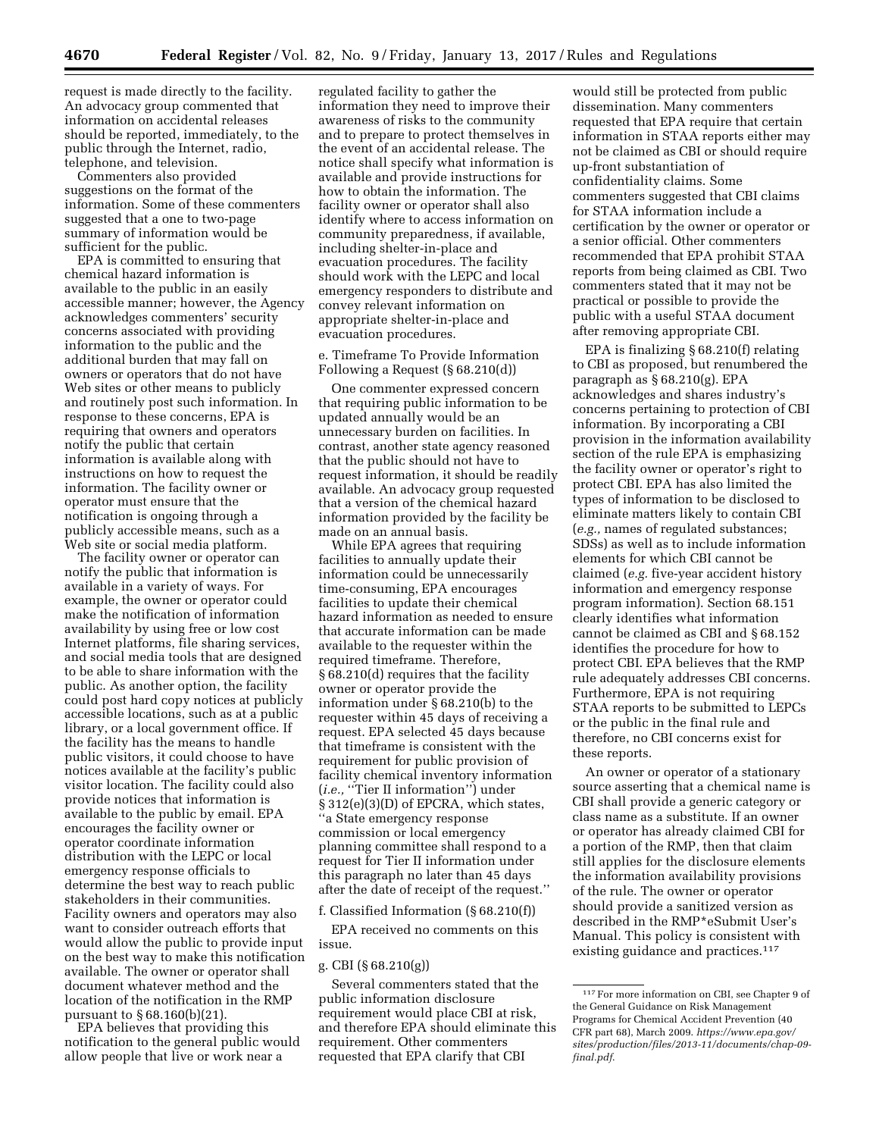request is made directly to the facility. An advocacy group commented that information on accidental releases should be reported, immediately, to the public through the Internet, radio, telephone, and television.

Commenters also provided suggestions on the format of the information. Some of these commenters suggested that a one to two-page summary of information would be sufficient for the public.

EPA is committed to ensuring that chemical hazard information is available to the public in an easily accessible manner; however, the Agency acknowledges commenters' security concerns associated with providing information to the public and the additional burden that may fall on owners or operators that do not have Web sites or other means to publicly and routinely post such information. In response to these concerns, EPA is requiring that owners and operators notify the public that certain information is available along with instructions on how to request the information. The facility owner or operator must ensure that the notification is ongoing through a publicly accessible means, such as a Web site or social media platform.

The facility owner or operator can notify the public that information is available in a variety of ways. For example, the owner or operator could make the notification of information availability by using free or low cost Internet platforms, file sharing services, and social media tools that are designed to be able to share information with the public. As another option, the facility could post hard copy notices at publicly accessible locations, such as at a public library, or a local government office. If the facility has the means to handle public visitors, it could choose to have notices available at the facility's public visitor location. The facility could also provide notices that information is available to the public by email. EPA encourages the facility owner or operator coordinate information distribution with the LEPC or local emergency response officials to determine the best way to reach public stakeholders in their communities. Facility owners and operators may also want to consider outreach efforts that would allow the public to provide input on the best way to make this notification available. The owner or operator shall document whatever method and the location of the notification in the RMP pursuant to § 68.160(b)(21).

EPA believes that providing this notification to the general public would allow people that live or work near a

regulated facility to gather the information they need to improve their awareness of risks to the community and to prepare to protect themselves in the event of an accidental release. The notice shall specify what information is available and provide instructions for how to obtain the information. The facility owner or operator shall also identify where to access information on community preparedness, if available, including shelter-in-place and evacuation procedures. The facility should work with the LEPC and local emergency responders to distribute and convey relevant information on appropriate shelter-in-place and evacuation procedures.

e. Timeframe To Provide Information Following a Request (§ 68.210(d))

One commenter expressed concern that requiring public information to be updated annually would be an unnecessary burden on facilities. In contrast, another state agency reasoned that the public should not have to request information, it should be readily available. An advocacy group requested that a version of the chemical hazard information provided by the facility be made on an annual basis.

While EPA agrees that requiring facilities to annually update their information could be unnecessarily time-consuming, EPA encourages facilities to update their chemical hazard information as needed to ensure that accurate information can be made available to the requester within the required timeframe. Therefore, § 68.210(d) requires that the facility owner or operator provide the information under § 68.210(b) to the requester within 45 days of receiving a request. EPA selected 45 days because that timeframe is consistent with the requirement for public provision of facility chemical inventory information (*i.e.,* ''Tier II information'') under § 312(e)(3)(D) of EPCRA, which states, ''a State emergency response commission or local emergency planning committee shall respond to a request for Tier II information under this paragraph no later than 45 days after the date of receipt of the request.''

## f. Classified Information (§ 68.210(f))

EPA received no comments on this issue.

## g. CBI (§ 68.210(g))

Several commenters stated that the public information disclosure requirement would place CBI at risk, and therefore EPA should eliminate this requirement. Other commenters requested that EPA clarify that CBI

would still be protected from public dissemination. Many commenters requested that EPA require that certain information in STAA reports either may not be claimed as CBI or should require up-front substantiation of confidentiality claims. Some commenters suggested that CBI claims for STAA information include a certification by the owner or operator or a senior official. Other commenters recommended that EPA prohibit STAA reports from being claimed as CBI. Two commenters stated that it may not be practical or possible to provide the public with a useful STAA document after removing appropriate CBI.

EPA is finalizing § 68.210(f) relating to CBI as proposed, but renumbered the paragraph as § 68.210(g). EPA acknowledges and shares industry's concerns pertaining to protection of CBI information. By incorporating a CBI provision in the information availability section of the rule EPA is emphasizing the facility owner or operator's right to protect CBI. EPA has also limited the types of information to be disclosed to eliminate matters likely to contain CBI (*e.g.,* names of regulated substances; SDSs) as well as to include information elements for which CBI cannot be claimed (*e.g.* five-year accident history information and emergency response program information). Section 68.151 clearly identifies what information cannot be claimed as CBI and § 68.152 identifies the procedure for how to protect CBI. EPA believes that the RMP rule adequately addresses CBI concerns. Furthermore, EPA is not requiring STAA reports to be submitted to LEPCs or the public in the final rule and therefore, no CBI concerns exist for these reports.

An owner or operator of a stationary source asserting that a chemical name is CBI shall provide a generic category or class name as a substitute. If an owner or operator has already claimed CBI for a portion of the RMP, then that claim still applies for the disclosure elements the information availability provisions of the rule. The owner or operator should provide a sanitized version as described in the RMP\*eSubmit User's Manual. This policy is consistent with existing guidance and practices.<sup>117</sup>

<sup>117</sup>For more information on CBI, see Chapter 9 of the General Guidance on Risk Management Programs for Chemical Accident Prevention (40 CFR part 68), March 2009. *[https://www.epa.gov/](https://www.epa.gov/sites/production/files/2013-11/documents/chap-09-final.pdf) [sites/production/files/2013-11/documents/chap-09](https://www.epa.gov/sites/production/files/2013-11/documents/chap-09-final.pdf) [final.pdf](https://www.epa.gov/sites/production/files/2013-11/documents/chap-09-final.pdf)*.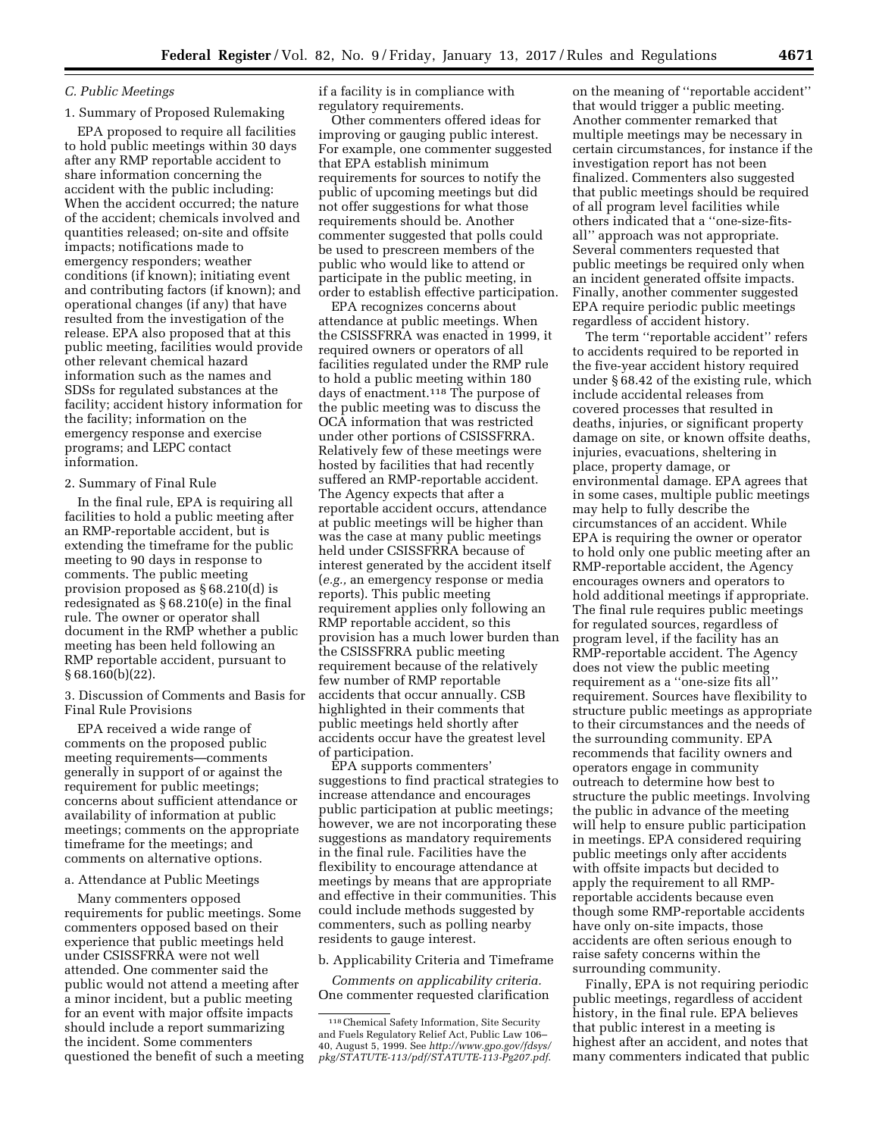### *C. Public Meetings*

## 1. Summary of Proposed Rulemaking

EPA proposed to require all facilities to hold public meetings within 30 days after any RMP reportable accident to share information concerning the accident with the public including: When the accident occurred; the nature of the accident; chemicals involved and quantities released; on-site and offsite impacts; notifications made to emergency responders; weather conditions (if known); initiating event and contributing factors (if known); and operational changes (if any) that have resulted from the investigation of the release. EPA also proposed that at this public meeting, facilities would provide other relevant chemical hazard information such as the names and SDSs for regulated substances at the facility; accident history information for the facility; information on the emergency response and exercise programs; and LEPC contact information.

#### 2. Summary of Final Rule

In the final rule, EPA is requiring all facilities to hold a public meeting after an RMP-reportable accident, but is extending the timeframe for the public meeting to 90 days in response to comments. The public meeting provision proposed as § 68.210(d) is redesignated as § 68.210(e) in the final rule. The owner or operator shall document in the RMP whether a public meeting has been held following an RMP reportable accident, pursuant to § 68.160(b)(22).

3. Discussion of Comments and Basis for Final Rule Provisions

EPA received a wide range of comments on the proposed public meeting requirements—comments generally in support of or against the requirement for public meetings; concerns about sufficient attendance or availability of information at public meetings; comments on the appropriate timeframe for the meetings; and comments on alternative options.

## a. Attendance at Public Meetings

Many commenters opposed requirements for public meetings. Some commenters opposed based on their experience that public meetings held under CSISSFRRA were not well attended. One commenter said the public would not attend a meeting after a minor incident, but a public meeting for an event with major offsite impacts should include a report summarizing the incident. Some commenters questioned the benefit of such a meeting if a facility is in compliance with regulatory requirements.

Other commenters offered ideas for improving or gauging public interest. For example, one commenter suggested that EPA establish minimum requirements for sources to notify the public of upcoming meetings but did not offer suggestions for what those requirements should be. Another commenter suggested that polls could be used to prescreen members of the public who would like to attend or participate in the public meeting, in order to establish effective participation.

EPA recognizes concerns about attendance at public meetings. When the CSISSFRRA was enacted in 1999, it required owners or operators of all facilities regulated under the RMP rule to hold a public meeting within 180 days of enactment.118 The purpose of the public meeting was to discuss the OCA information that was restricted under other portions of CSISSFRRA. Relatively few of these meetings were hosted by facilities that had recently suffered an RMP-reportable accident. The Agency expects that after a reportable accident occurs, attendance at public meetings will be higher than was the case at many public meetings held under CSISSFRRA because of interest generated by the accident itself (*e.g.,* an emergency response or media reports). This public meeting requirement applies only following an RMP reportable accident, so this provision has a much lower burden than the CSISSFRRA public meeting requirement because of the relatively few number of RMP reportable accidents that occur annually. CSB highlighted in their comments that public meetings held shortly after accidents occur have the greatest level of participation.

EPA supports commenters' suggestions to find practical strategies to increase attendance and encourages public participation at public meetings; however, we are not incorporating these suggestions as mandatory requirements in the final rule. Facilities have the flexibility to encourage attendance at meetings by means that are appropriate and effective in their communities. This could include methods suggested by commenters, such as polling nearby residents to gauge interest.

b. Applicability Criteria and Timeframe

*Comments on applicability criteria.*  One commenter requested clarification

on the meaning of ''reportable accident'' that would trigger a public meeting. Another commenter remarked that multiple meetings may be necessary in certain circumstances, for instance if the investigation report has not been finalized. Commenters also suggested that public meetings should be required of all program level facilities while others indicated that a ''one-size-fitsall'' approach was not appropriate. Several commenters requested that public meetings be required only when an incident generated offsite impacts. Finally, another commenter suggested EPA require periodic public meetings regardless of accident history.

The term ''reportable accident'' refers to accidents required to be reported in the five-year accident history required under § 68.42 of the existing rule, which include accidental releases from covered processes that resulted in deaths, injuries, or significant property damage on site, or known offsite deaths, injuries, evacuations, sheltering in place, property damage, or environmental damage. EPA agrees that in some cases, multiple public meetings may help to fully describe the circumstances of an accident. While EPA is requiring the owner or operator to hold only one public meeting after an RMP-reportable accident, the Agency encourages owners and operators to hold additional meetings if appropriate. The final rule requires public meetings for regulated sources, regardless of program level, if the facility has an RMP-reportable accident. The Agency does not view the public meeting requirement as a ''one-size fits all'' requirement. Sources have flexibility to structure public meetings as appropriate to their circumstances and the needs of the surrounding community. EPA recommends that facility owners and operators engage in community outreach to determine how best to structure the public meetings. Involving the public in advance of the meeting will help to ensure public participation in meetings. EPA considered requiring public meetings only after accidents with offsite impacts but decided to apply the requirement to all RMPreportable accidents because even though some RMP-reportable accidents have only on-site impacts, those accidents are often serious enough to raise safety concerns within the surrounding community.

Finally, EPA is not requiring periodic public meetings, regardless of accident history, in the final rule. EPA believes that public interest in a meeting is highest after an accident, and notes that many commenters indicated that public

<sup>118</sup>Chemical Safety Information, Site Security and Fuels Regulatory Relief Act, Public Law 106– 40, August 5, 1999. See *[http://www.gpo.gov/fdsys/](http://www.gpo.gov/fdsys/pkg/STATUTE-113/pdf/STATUTE-113-Pg207.pdf)  [pkg/STATUTE-113/pdf/STATUTE-113-Pg207.pdf](http://www.gpo.gov/fdsys/pkg/STATUTE-113/pdf/STATUTE-113-Pg207.pdf)*.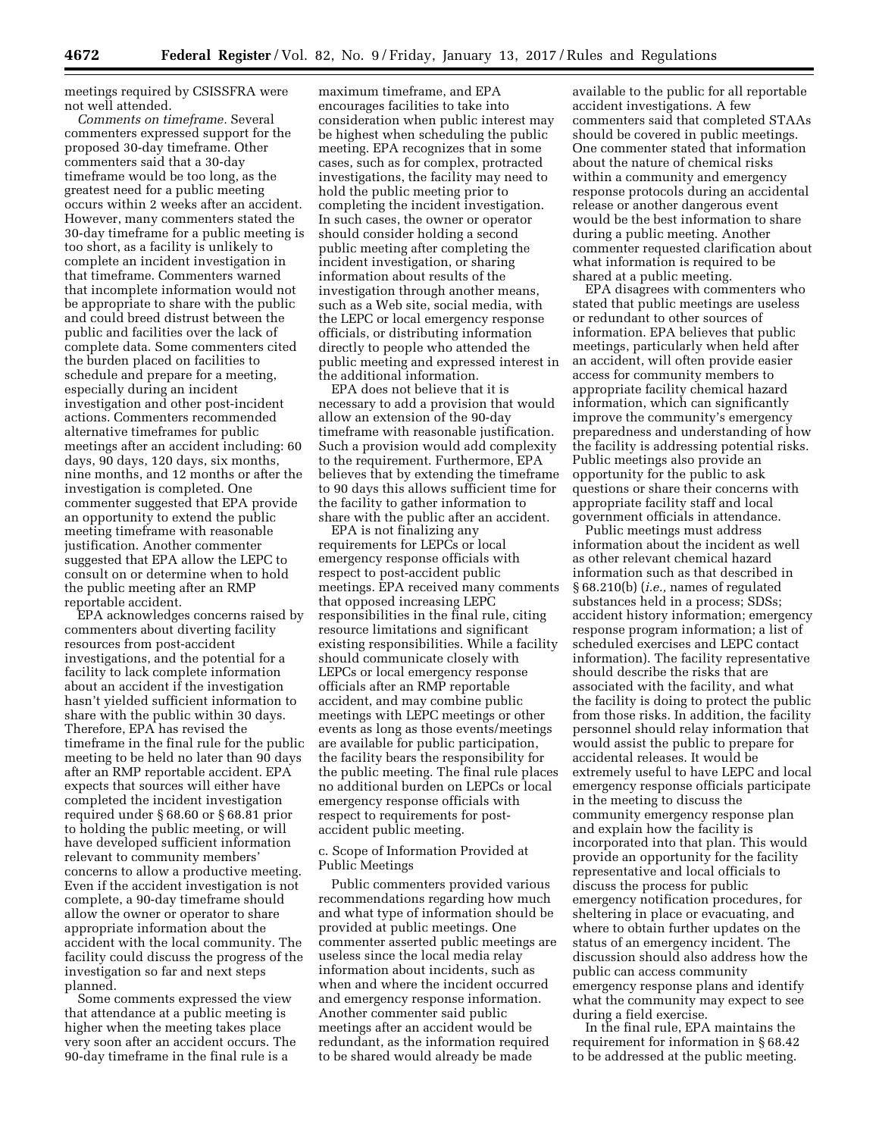meetings required by CSISSFRA were not well attended.

*Comments on timeframe.* Several commenters expressed support for the proposed 30-day timeframe. Other commenters said that a 30-day timeframe would be too long, as the greatest need for a public meeting occurs within 2 weeks after an accident. However, many commenters stated the 30-day timeframe for a public meeting is too short, as a facility is unlikely to complete an incident investigation in that timeframe. Commenters warned that incomplete information would not be appropriate to share with the public and could breed distrust between the public and facilities over the lack of complete data. Some commenters cited the burden placed on facilities to schedule and prepare for a meeting, especially during an incident investigation and other post-incident actions. Commenters recommended alternative timeframes for public meetings after an accident including: 60 days, 90 days, 120 days, six months, nine months, and 12 months or after the investigation is completed. One commenter suggested that EPA provide an opportunity to extend the public meeting timeframe with reasonable justification. Another commenter suggested that EPA allow the LEPC to consult on or determine when to hold the public meeting after an RMP reportable accident.

EPA acknowledges concerns raised by commenters about diverting facility resources from post-accident investigations, and the potential for a facility to lack complete information about an accident if the investigation hasn't yielded sufficient information to share with the public within 30 days. Therefore, EPA has revised the timeframe in the final rule for the public meeting to be held no later than 90 days after an RMP reportable accident. EPA expects that sources will either have completed the incident investigation required under § 68.60 or § 68.81 prior to holding the public meeting, or will have developed sufficient information relevant to community members' concerns to allow a productive meeting. Even if the accident investigation is not complete, a 90-day timeframe should allow the owner or operator to share appropriate information about the accident with the local community. The facility could discuss the progress of the investigation so far and next steps planned.

Some comments expressed the view that attendance at a public meeting is higher when the meeting takes place very soon after an accident occurs. The 90-day timeframe in the final rule is a

maximum timeframe, and EPA encourages facilities to take into consideration when public interest may be highest when scheduling the public meeting. EPA recognizes that in some cases, such as for complex, protracted investigations, the facility may need to hold the public meeting prior to completing the incident investigation. In such cases, the owner or operator should consider holding a second public meeting after completing the incident investigation, or sharing information about results of the investigation through another means, such as a Web site, social media, with the LEPC or local emergency response officials, or distributing information directly to people who attended the public meeting and expressed interest in the additional information.

EPA does not believe that it is necessary to add a provision that would allow an extension of the 90-day timeframe with reasonable justification. Such a provision would add complexity to the requirement. Furthermore, EPA believes that by extending the timeframe to 90 days this allows sufficient time for the facility to gather information to share with the public after an accident.

EPA is not finalizing any requirements for LEPCs or local emergency response officials with respect to post-accident public meetings. EPA received many comments that opposed increasing LEPC responsibilities in the final rule, citing resource limitations and significant existing responsibilities. While a facility should communicate closely with LEPCs or local emergency response officials after an RMP reportable accident, and may combine public meetings with LEPC meetings or other events as long as those events/meetings are available for public participation, the facility bears the responsibility for the public meeting. The final rule places no additional burden on LEPCs or local emergency response officials with respect to requirements for postaccident public meeting.

c. Scope of Information Provided at Public Meetings

Public commenters provided various recommendations regarding how much and what type of information should be provided at public meetings. One commenter asserted public meetings are useless since the local media relay information about incidents, such as when and where the incident occurred and emergency response information. Another commenter said public meetings after an accident would be redundant, as the information required to be shared would already be made

available to the public for all reportable accident investigations. A few commenters said that completed STAAs should be covered in public meetings. One commenter stated that information about the nature of chemical risks within a community and emergency response protocols during an accidental release or another dangerous event would be the best information to share during a public meeting. Another commenter requested clarification about what information is required to be shared at a public meeting.

EPA disagrees with commenters who stated that public meetings are useless or redundant to other sources of information. EPA believes that public meetings, particularly when held after an accident, will often provide easier access for community members to appropriate facility chemical hazard information, which can significantly improve the community's emergency preparedness and understanding of how the facility is addressing potential risks. Public meetings also provide an opportunity for the public to ask questions or share their concerns with appropriate facility staff and local government officials in attendance.

Public meetings must address information about the incident as well as other relevant chemical hazard information such as that described in § 68.210(b) (*i.e.,* names of regulated substances held in a process; SDSs; accident history information; emergency response program information; a list of scheduled exercises and LEPC contact information). The facility representative should describe the risks that are associated with the facility, and what the facility is doing to protect the public from those risks. In addition, the facility personnel should relay information that would assist the public to prepare for accidental releases. It would be extremely useful to have LEPC and local emergency response officials participate in the meeting to discuss the community emergency response plan and explain how the facility is incorporated into that plan. This would provide an opportunity for the facility representative and local officials to discuss the process for public emergency notification procedures, for sheltering in place or evacuating, and where to obtain further updates on the status of an emergency incident. The discussion should also address how the public can access community emergency response plans and identify what the community may expect to see during a field exercise.

In the final rule, EPA maintains the requirement for information in § 68.42 to be addressed at the public meeting.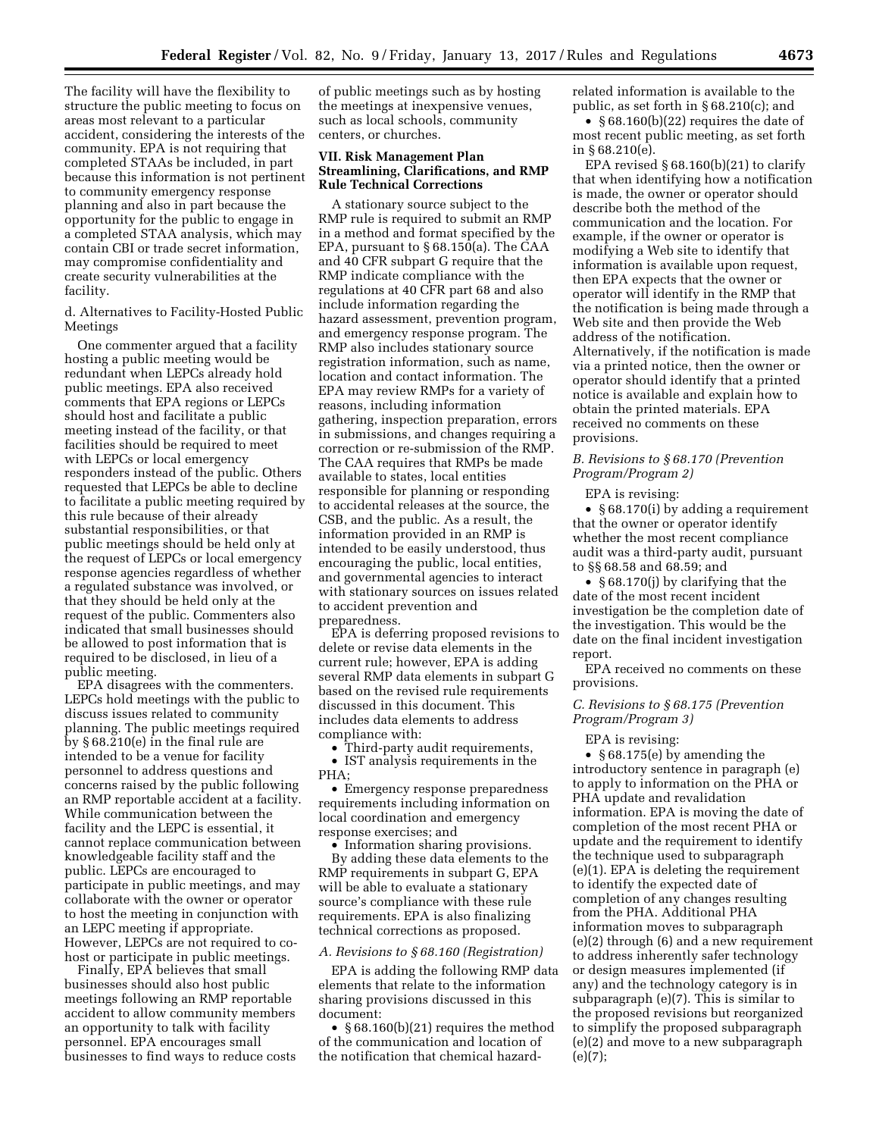The facility will have the flexibility to structure the public meeting to focus on areas most relevant to a particular accident, considering the interests of the community. EPA is not requiring that completed STAAs be included, in part because this information is not pertinent to community emergency response planning and also in part because the opportunity for the public to engage in a completed STAA analysis, which may contain CBI or trade secret information, may compromise confidentiality and create security vulnerabilities at the facility.

d. Alternatives to Facility-Hosted Public Meetings

One commenter argued that a facility hosting a public meeting would be redundant when LEPCs already hold public meetings. EPA also received comments that EPA regions or LEPCs should host and facilitate a public meeting instead of the facility, or that facilities should be required to meet with LEPCs or local emergency responders instead of the public. Others requested that LEPCs be able to decline to facilitate a public meeting required by this rule because of their already substantial responsibilities, or that public meetings should be held only at the request of LEPCs or local emergency response agencies regardless of whether a regulated substance was involved, or that they should be held only at the request of the public. Commenters also indicated that small businesses should be allowed to post information that is required to be disclosed, in lieu of a public meeting.

EPA disagrees with the commenters. LEPCs hold meetings with the public to discuss issues related to community planning. The public meetings required by § 68.210(e) in the final rule are intended to be a venue for facility personnel to address questions and concerns raised by the public following an RMP reportable accident at a facility. While communication between the facility and the LEPC is essential, it cannot replace communication between knowledgeable facility staff and the public. LEPCs are encouraged to participate in public meetings, and may collaborate with the owner or operator to host the meeting in conjunction with an LEPC meeting if appropriate. However, LEPCs are not required to cohost or participate in public meetings.

Finally, EPA believes that small businesses should also host public meetings following an RMP reportable accident to allow community members an opportunity to talk with facility personnel. EPA encourages small businesses to find ways to reduce costs

of public meetings such as by hosting the meetings at inexpensive venues, such as local schools, community centers, or churches.

## **VII. Risk Management Plan Streamlining, Clarifications, and RMP Rule Technical Corrections**

A stationary source subject to the RMP rule is required to submit an RMP in a method and format specified by the EPA, pursuant to § 68.150(a). The CAA and 40 CFR subpart G require that the RMP indicate compliance with the regulations at 40 CFR part 68 and also include information regarding the hazard assessment, prevention program, and emergency response program. The RMP also includes stationary source registration information, such as name, location and contact information. The EPA may review RMPs for a variety of reasons, including information gathering, inspection preparation, errors in submissions, and changes requiring a correction or re-submission of the RMP. The CAA requires that RMPs be made available to states, local entities responsible for planning or responding to accidental releases at the source, the CSB, and the public. As a result, the information provided in an RMP is intended to be easily understood, thus encouraging the public, local entities, and governmental agencies to interact with stationary sources on issues related to accident prevention and preparedness.

EPA is deferring proposed revisions to delete or revise data elements in the current rule; however, EPA is adding several RMP data elements in subpart G based on the revised rule requirements discussed in this document. This includes data elements to address compliance with:

• Third-party audit requirements, • IST analysis requirements in the

PHA;

• Emergency response preparedness requirements including information on local coordination and emergency response exercises; and

• Information sharing provisions. By adding these data elements to the RMP requirements in subpart G, EPA will be able to evaluate a stationary source's compliance with these rule requirements. EPA is also finalizing technical corrections as proposed.

### *A. Revisions to § 68.160 (Registration)*

EPA is adding the following RMP data elements that relate to the information sharing provisions discussed in this document:

• §68.160(b)(21) requires the method of the communication and location of the notification that chemical hazardrelated information is available to the public, as set forth in § 68.210(c); and

• § 68.160(b)(22) requires the date of most recent public meeting, as set forth in § 68.210(e).

EPA revised  $\S 68.160(b)(21)$  to clarify that when identifying how a notification is made, the owner or operator should describe both the method of the communication and the location. For example, if the owner or operator is modifying a Web site to identify that information is available upon request, then EPA expects that the owner or operator will identify in the RMP that the notification is being made through a Web site and then provide the Web address of the notification. Alternatively, if the notification is made via a printed notice, then the owner or operator should identify that a printed notice is available and explain how to obtain the printed materials. EPA received no comments on these provisions.

## *B. Revisions to § 68.170 (Prevention Program/Program 2)*

EPA is revising:

• § 68.170(i) by adding a requirement that the owner or operator identify whether the most recent compliance audit was a third-party audit, pursuant to §§ 68.58 and 68.59; and

• § 68.170(j) by clarifying that the date of the most recent incident investigation be the completion date of the investigation. This would be the date on the final incident investigation report.

EPA received no comments on these provisions.

## *C. Revisions to § 68.175 (Prevention Program/Program 3)*

EPA is revising:

• § 68.175(e) by amending the introductory sentence in paragraph (e) to apply to information on the PHA or PHA update and revalidation information. EPA is moving the date of completion of the most recent PHA or update and the requirement to identify the technique used to subparagraph (e)(1). EPA is deleting the requirement to identify the expected date of completion of any changes resulting from the PHA. Additional PHA information moves to subparagraph (e)(2) through (6) and a new requirement to address inherently safer technology or design measures implemented (if any) and the technology category is in subparagraph (e)(7). This is similar to the proposed revisions but reorganized to simplify the proposed subparagraph (e)(2) and move to a new subparagraph (e)(7);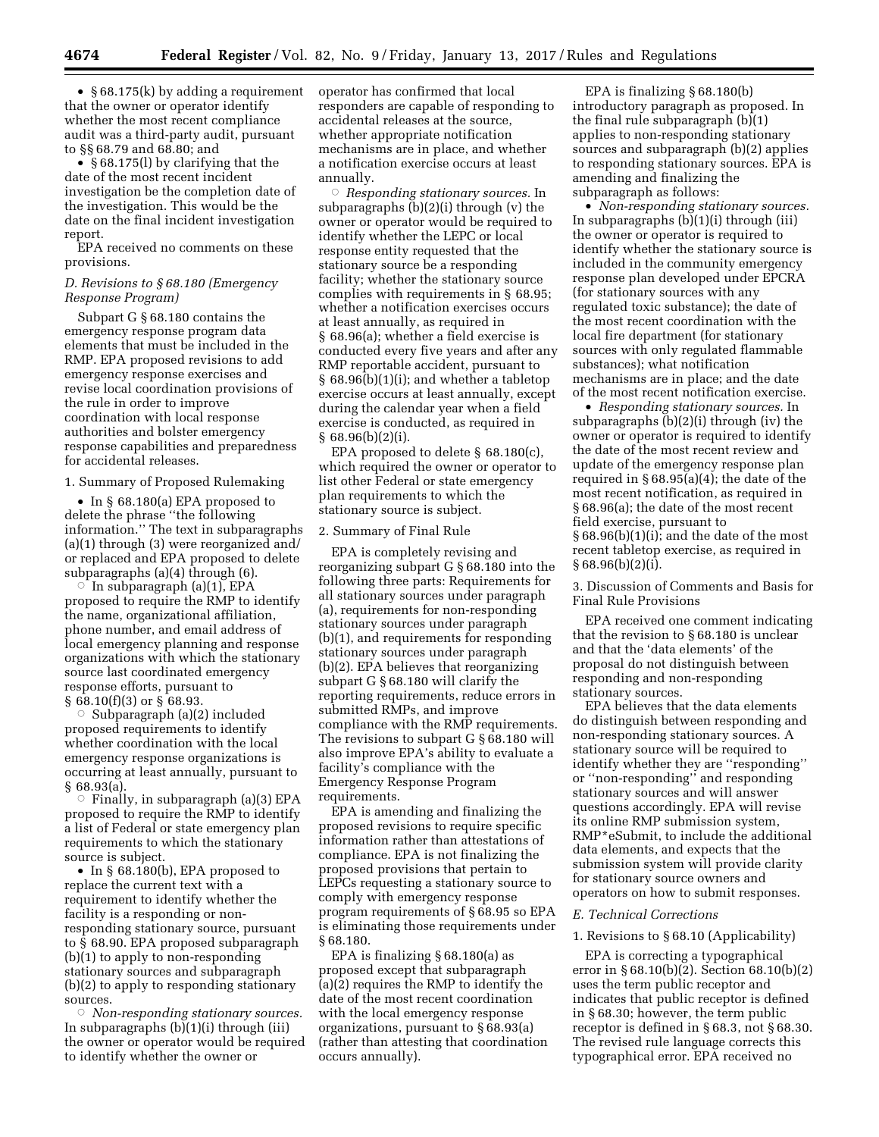• § 68.175(k) by adding a requirement that the owner or operator identify whether the most recent compliance audit was a third-party audit, pursuant to §§ 68.79 and 68.80; and

• § 68.175(1) by clarifying that the date of the most recent incident investigation be the completion date of the investigation. This would be the date on the final incident investigation report.

EPA received no comments on these provisions.

## *D. Revisions to § 68.180 (Emergency Response Program)*

Subpart G § 68.180 contains the emergency response program data elements that must be included in the RMP. EPA proposed revisions to add emergency response exercises and revise local coordination provisions of the rule in order to improve coordination with local response authorities and bolster emergency response capabilities and preparedness for accidental releases.

1. Summary of Proposed Rulemaking

• In § 68.180(a) EPA proposed to delete the phrase ''the following information.'' The text in subparagraphs (a)(1) through (3) were reorganized and/ or replaced and EPA proposed to delete subparagraphs (a)(4) through (6).

In subparagraph (a)(1), EPA proposed to require the RMP to identify the name, organizational affiliation, phone number, and email address of local emergency planning and response organizations with which the stationary source last coordinated emergency response efforts, pursuant to § 68.10(f)(3) or § 68.93.

 $\circ$  Subparagraph (a)(2) included proposed requirements to identify whether coordination with the local emergency response organizations is occurring at least annually, pursuant to § 68.93(a).

 $\circ$  Finally, in subparagraph (a)(3) EPA proposed to require the RMP to identify a list of Federal or state emergency plan requirements to which the stationary source is subject.

• In § 68.180(b), EPA proposed to replace the current text with a requirement to identify whether the facility is a responding or nonresponding stationary source, pursuant to § 68.90. EPA proposed subparagraph (b)(1) to apply to non-responding stationary sources and subparagraph (b)(2) to apply to responding stationary sources.

Æ *Non-responding stationary sources.*  In subparagraphs (b)(1)(i) through (iii) the owner or operator would be required to identify whether the owner or

operator has confirmed that local responders are capable of responding to accidental releases at the source, whether appropriate notification mechanisms are in place, and whether a notification exercise occurs at least annually.

Æ *Responding stationary sources.* In subparagraphs (b)(2)(i) through (v) the owner or operator would be required to identify whether the LEPC or local response entity requested that the stationary source be a responding facility; whether the stationary source complies with requirements in § 68.95; whether a notification exercises occurs at least annually, as required in § 68.96(a); whether a field exercise is conducted every five years and after any RMP reportable accident, pursuant to § 68.96(b)(1)(i); and whether a tabletop exercise occurs at least annually, except during the calendar year when a field exercise is conducted, as required in § 68.96(b)(2)(i).

EPA proposed to delete § 68.180(c), which required the owner or operator to list other Federal or state emergency plan requirements to which the stationary source is subject.

## 2. Summary of Final Rule

EPA is completely revising and reorganizing subpart G § 68.180 into the following three parts: Requirements for all stationary sources under paragraph (a), requirements for non-responding stationary sources under paragraph (b)(1), and requirements for responding stationary sources under paragraph (b)(2). EPA believes that reorganizing subpart G § 68.180 will clarify the reporting requirements, reduce errors in submitted RMPs, and improve compliance with the RMP requirements. The revisions to subpart G § 68.180 will also improve EPA's ability to evaluate a facility's compliance with the Emergency Response Program requirements.

EPA is amending and finalizing the proposed revisions to require specific information rather than attestations of compliance. EPA is not finalizing the proposed provisions that pertain to LEPCs requesting a stationary source to comply with emergency response program requirements of § 68.95 so EPA is eliminating those requirements under § 68.180.

EPA is finalizing § 68.180(a) as proposed except that subparagraph (a)(2) requires the RMP to identify the date of the most recent coordination with the local emergency response organizations, pursuant to § 68.93(a) (rather than attesting that coordination occurs annually).

EPA is finalizing § 68.180(b) introductory paragraph as proposed. In the final rule subparagraph (b)(1) applies to non-responding stationary sources and subparagraph (b)(2) applies to responding stationary sources. EPA is amending and finalizing the subparagraph as follows:

• *Non-responding stationary sources.*  In subparagraphs (b)(1)(i) through (iii) the owner or operator is required to identify whether the stationary source is included in the community emergency response plan developed under EPCRA (for stationary sources with any regulated toxic substance); the date of the most recent coordination with the local fire department (for stationary sources with only regulated flammable substances); what notification mechanisms are in place; and the date of the most recent notification exercise.

• *Responding stationary sources.* In subparagraphs (b)(2)(i) through (iv) the owner or operator is required to identify the date of the most recent review and update of the emergency response plan required in  $\S 68.95(a)(4)$ ; the date of the most recent notification, as required in § 68.96(a); the date of the most recent field exercise, pursuant to § 68.96(b)(1)(i); and the date of the most recent tabletop exercise, as required in  $§ 68.96(b)(2)(i).$ 

3. Discussion of Comments and Basis for Final Rule Provisions

EPA received one comment indicating that the revision to § 68.180 is unclear and that the 'data elements' of the proposal do not distinguish between responding and non-responding stationary sources.

EPA believes that the data elements do distinguish between responding and non-responding stationary sources. A stationary source will be required to identify whether they are ''responding'' or ''non-responding'' and responding stationary sources and will answer questions accordingly. EPA will revise its online RMP submission system, RMP\*eSubmit, to include the additional data elements, and expects that the submission system will provide clarity for stationary source owners and operators on how to submit responses.

### *E. Technical Corrections*

#### 1. Revisions to § 68.10 (Applicability)

EPA is correcting a typographical error in  $§ 68.10(b)(2)$ . Section 68.10(b)(2) uses the term public receptor and indicates that public receptor is defined in § 68.30; however, the term public receptor is defined in § 68.3, not § 68.30. The revised rule language corrects this typographical error. EPA received no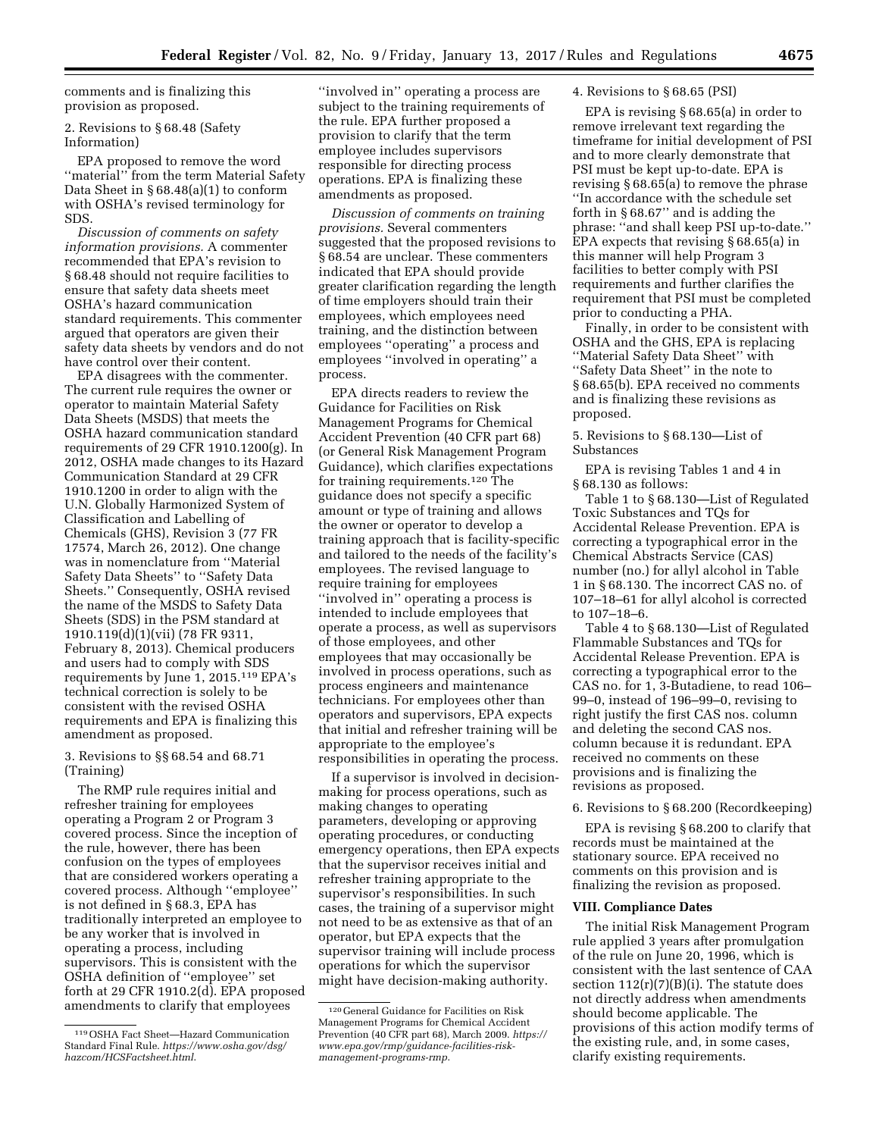comments and is finalizing this provision as proposed.

2. Revisions to § 68.48 (Safety Information)

EPA proposed to remove the word "material" from the term Material Safety Data Sheet in § 68.48(a)(1) to conform with OSHA's revised terminology for SDS.

*Discussion of comments on safety information provisions.* A commenter recommended that EPA's revision to § 68.48 should not require facilities to ensure that safety data sheets meet OSHA's hazard communication standard requirements. This commenter argued that operators are given their safety data sheets by vendors and do not have control over their content.

EPA disagrees with the commenter. The current rule requires the owner or operator to maintain Material Safety Data Sheets (MSDS) that meets the OSHA hazard communication standard requirements of 29 CFR 1910.1200(g). In 2012, OSHA made changes to its Hazard Communication Standard at 29 CFR 1910.1200 in order to align with the U.N. Globally Harmonized System of Classification and Labelling of Chemicals (GHS), Revision 3 (77 FR 17574, March 26, 2012). One change was in nomenclature from ''Material Safety Data Sheets'' to ''Safety Data Sheets.'' Consequently, OSHA revised the name of the MSDS to Safety Data Sheets (SDS) in the PSM standard at 1910.119(d)(1)(vii) (78 FR 9311, February 8, 2013). Chemical producers and users had to comply with SDS requirements by June 1, 2015.119 EPA's technical correction is solely to be consistent with the revised OSHA requirements and EPA is finalizing this amendment as proposed.

## 3. Revisions to §§ 68.54 and 68.71 (Training)

The RMP rule requires initial and refresher training for employees operating a Program 2 or Program 3 covered process. Since the inception of the rule, however, there has been confusion on the types of employees that are considered workers operating a covered process. Although ''employee'' is not defined in § 68.3, EPA has traditionally interpreted an employee to be any worker that is involved in operating a process, including supervisors. This is consistent with the OSHA definition of ''employee'' set forth at 29 CFR 1910.2(d). EPA proposed amendments to clarify that employees

''involved in'' operating a process are subject to the training requirements of the rule. EPA further proposed a provision to clarify that the term employee includes supervisors responsible for directing process operations. EPA is finalizing these amendments as proposed.

*Discussion of comments on training provisions.* Several commenters suggested that the proposed revisions to § 68.54 are unclear. These commenters indicated that EPA should provide greater clarification regarding the length of time employers should train their employees, which employees need training, and the distinction between employees ''operating'' a process and employees ''involved in operating'' a process.

EPA directs readers to review the Guidance for Facilities on Risk Management Programs for Chemical Accident Prevention (40 CFR part 68) (or General Risk Management Program Guidance), which clarifies expectations for training requirements.120 The guidance does not specify a specific amount or type of training and allows the owner or operator to develop a training approach that is facility-specific and tailored to the needs of the facility's employees. The revised language to require training for employees ''involved in'' operating a process is intended to include employees that operate a process, as well as supervisors of those employees, and other employees that may occasionally be involved in process operations, such as process engineers and maintenance technicians. For employees other than operators and supervisors, EPA expects that initial and refresher training will be appropriate to the employee's responsibilities in operating the process.

If a supervisor is involved in decisionmaking for process operations, such as making changes to operating parameters, developing or approving operating procedures, or conducting emergency operations, then EPA expects that the supervisor receives initial and refresher training appropriate to the supervisor's responsibilities. In such cases, the training of a supervisor might not need to be as extensive as that of an operator, but EPA expects that the supervisor training will include process operations for which the supervisor might have decision-making authority.

### 4. Revisions to § 68.65 (PSI)

EPA is revising § 68.65(a) in order to remove irrelevant text regarding the timeframe for initial development of PSI and to more clearly demonstrate that PSI must be kept up-to-date. EPA is revising § 68.65(a) to remove the phrase ''In accordance with the schedule set forth in § 68.67'' and is adding the phrase: ''and shall keep PSI up-to-date.'' EPA expects that revising § 68.65(a) in this manner will help Program 3 facilities to better comply with PSI requirements and further clarifies the requirement that PSI must be completed prior to conducting a PHA.

Finally, in order to be consistent with OSHA and the GHS, EPA is replacing ''Material Safety Data Sheet'' with ''Safety Data Sheet'' in the note to § 68.65(b). EPA received no comments and is finalizing these revisions as proposed.

5. Revisions to § 68.130—List of Substances

EPA is revising Tables 1 and 4 in § 68.130 as follows:

Table 1 to § 68.130—List of Regulated Toxic Substances and TQs for Accidental Release Prevention. EPA is correcting a typographical error in the Chemical Abstracts Service (CAS) number (no.) for allyl alcohol in Table 1 in § 68.130. The incorrect CAS no. of 107–18–61 for allyl alcohol is corrected to 107–18–6.

Table 4 to § 68.130—List of Regulated Flammable Substances and TQs for Accidental Release Prevention. EPA is correcting a typographical error to the CAS no. for 1, 3-Butadiene, to read 106– 99–0, instead of 196–99–0, revising to right justify the first CAS nos. column and deleting the second CAS nos. column because it is redundant. EPA received no comments on these provisions and is finalizing the revisions as proposed.

6. Revisions to § 68.200 (Recordkeeping)

EPA is revising § 68.200 to clarify that records must be maintained at the stationary source. EPA received no comments on this provision and is finalizing the revision as proposed.

### **VIII. Compliance Dates**

The initial Risk Management Program rule applied 3 years after promulgation of the rule on June 20, 1996, which is consistent with the last sentence of CAA section  $112(r)(7)(B)(i)$ . The statute does not directly address when amendments should become applicable. The provisions of this action modify terms of the existing rule, and, in some cases, clarify existing requirements.

<sup>119</sup>OSHA Fact Sheet—Hazard Communication Standard Final Rule. *[https://www.osha.gov/dsg/](https://www.osha.gov/dsg/hazcom/HCSFactsheet.html) [hazcom/HCSFactsheet.html](https://www.osha.gov/dsg/hazcom/HCSFactsheet.html)*.

<sup>120</sup> General Guidance for Facilities on Risk Management Programs for Chemical Accident Prevention (40 CFR part 68), March 2009. *[https://](https://www.epa.gov/rmp/guidance-facilities-risk-management-programs-rmp)  [www.epa.gov/rmp/guidance-facilities-risk](https://www.epa.gov/rmp/guidance-facilities-risk-management-programs-rmp)[management-programs-rmp](https://www.epa.gov/rmp/guidance-facilities-risk-management-programs-rmp)*.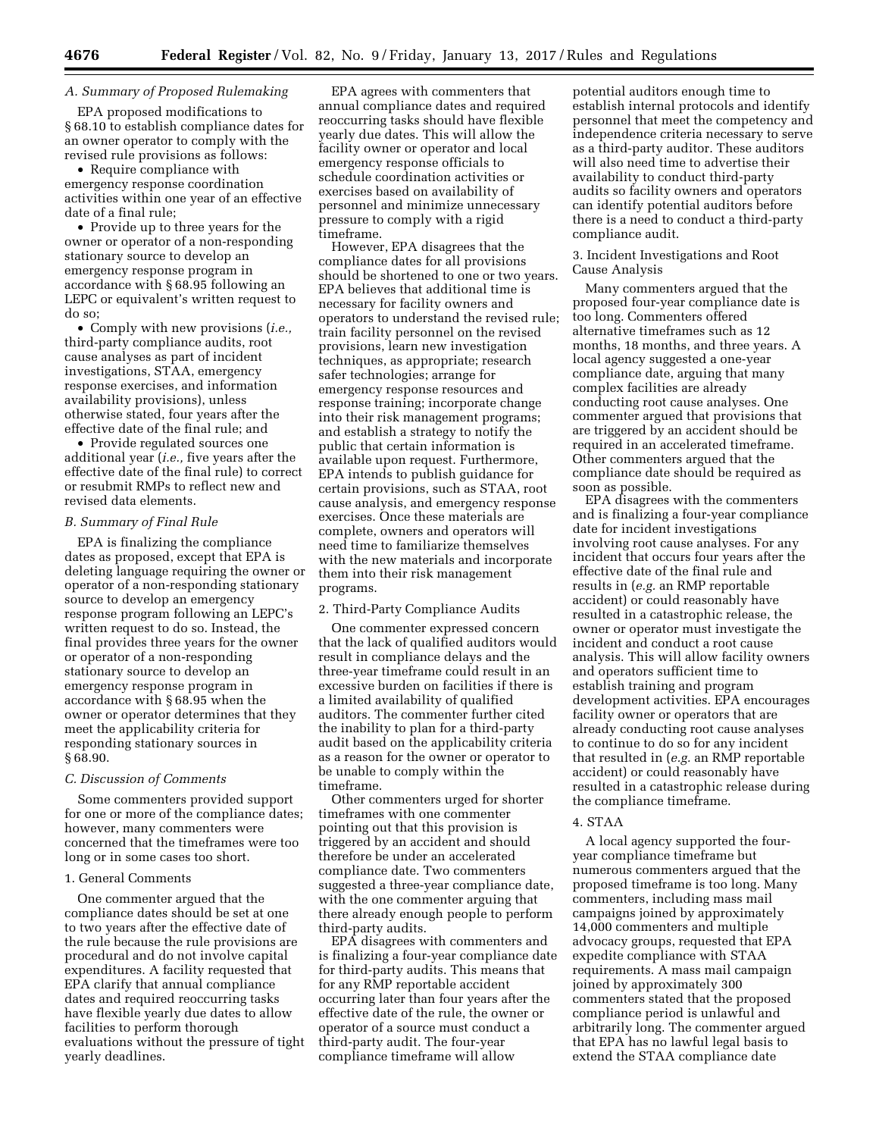# *A. Summary of Proposed Rulemaking*

EPA proposed modifications to § 68.10 to establish compliance dates for an owner operator to comply with the revised rule provisions as follows:

• Require compliance with emergency response coordination activities within one year of an effective date of a final rule;

• Provide up to three years for the owner or operator of a non-responding stationary source to develop an emergency response program in accordance with § 68.95 following an LEPC or equivalent's written request to do so;

• Comply with new provisions (*i.e.,*  third-party compliance audits, root cause analyses as part of incident investigations, STAA, emergency response exercises, and information availability provisions), unless otherwise stated, four years after the effective date of the final rule; and

• Provide regulated sources one additional year (*i.e.,* five years after the effective date of the final rule) to correct or resubmit RMPs to reflect new and revised data elements.

## *B. Summary of Final Rule*

EPA is finalizing the compliance dates as proposed, except that EPA is deleting language requiring the owner or operator of a non-responding stationary source to develop an emergency response program following an LEPC's written request to do so. Instead, the final provides three years for the owner or operator of a non-responding stationary source to develop an emergency response program in accordance with § 68.95 when the owner or operator determines that they meet the applicability criteria for responding stationary sources in § 68.90.

### *C. Discussion of Comments*

Some commenters provided support for one or more of the compliance dates; however, many commenters were concerned that the timeframes were too long or in some cases too short.

### 1. General Comments

One commenter argued that the compliance dates should be set at one to two years after the effective date of the rule because the rule provisions are procedural and do not involve capital expenditures. A facility requested that EPA clarify that annual compliance dates and required reoccurring tasks have flexible yearly due dates to allow facilities to perform thorough evaluations without the pressure of tight yearly deadlines.

EPA agrees with commenters that annual compliance dates and required reoccurring tasks should have flexible yearly due dates. This will allow the facility owner or operator and local emergency response officials to schedule coordination activities or exercises based on availability of personnel and minimize unnecessary pressure to comply with a rigid timeframe.

However, EPA disagrees that the compliance dates for all provisions should be shortened to one or two years. EPA believes that additional time is necessary for facility owners and operators to understand the revised rule; train facility personnel on the revised provisions, learn new investigation techniques, as appropriate; research safer technologies; arrange for emergency response resources and response training; incorporate change into their risk management programs; and establish a strategy to notify the public that certain information is available upon request. Furthermore, EPA intends to publish guidance for certain provisions, such as STAA, root cause analysis, and emergency response exercises. Once these materials are complete, owners and operators will need time to familiarize themselves with the new materials and incorporate them into their risk management programs.

### 2. Third-Party Compliance Audits

One commenter expressed concern that the lack of qualified auditors would result in compliance delays and the three-year timeframe could result in an excessive burden on facilities if there is a limited availability of qualified auditors. The commenter further cited the inability to plan for a third-party audit based on the applicability criteria as a reason for the owner or operator to be unable to comply within the timeframe.

Other commenters urged for shorter timeframes with one commenter pointing out that this provision is triggered by an accident and should therefore be under an accelerated compliance date. Two commenters suggested a three-year compliance date, with the one commenter arguing that there already enough people to perform third-party audits.

EPA disagrees with commenters and is finalizing a four-year compliance date for third-party audits. This means that for any RMP reportable accident occurring later than four years after the effective date of the rule, the owner or operator of a source must conduct a third-party audit. The four-year compliance timeframe will allow

potential auditors enough time to establish internal protocols and identify personnel that meet the competency and independence criteria necessary to serve as a third-party auditor. These auditors will also need time to advertise their availability to conduct third-party audits so facility owners and operators can identify potential auditors before there is a need to conduct a third-party compliance audit.

## 3. Incident Investigations and Root Cause Analysis

Many commenters argued that the proposed four-year compliance date is too long. Commenters offered alternative timeframes such as 12 months, 18 months, and three years. A local agency suggested a one-year compliance date, arguing that many complex facilities are already conducting root cause analyses. One commenter argued that provisions that are triggered by an accident should be required in an accelerated timeframe. Other commenters argued that the compliance date should be required as soon as possible.

EPA disagrees with the commenters and is finalizing a four-year compliance date for incident investigations involving root cause analyses. For any incident that occurs four years after the effective date of the final rule and results in (*e.g.* an RMP reportable accident) or could reasonably have resulted in a catastrophic release, the owner or operator must investigate the incident and conduct a root cause analysis. This will allow facility owners and operators sufficient time to establish training and program development activities. EPA encourages facility owner or operators that are already conducting root cause analyses to continue to do so for any incident that resulted in (*e.g.* an RMP reportable accident) or could reasonably have resulted in a catastrophic release during the compliance timeframe.

### 4. STAA

A local agency supported the fouryear compliance timeframe but numerous commenters argued that the proposed timeframe is too long. Many commenters, including mass mail campaigns joined by approximately 14,000 commenters and multiple advocacy groups, requested that EPA expedite compliance with STAA requirements. A mass mail campaign joined by approximately 300 commenters stated that the proposed compliance period is unlawful and arbitrarily long. The commenter argued that EPA has no lawful legal basis to extend the STAA compliance date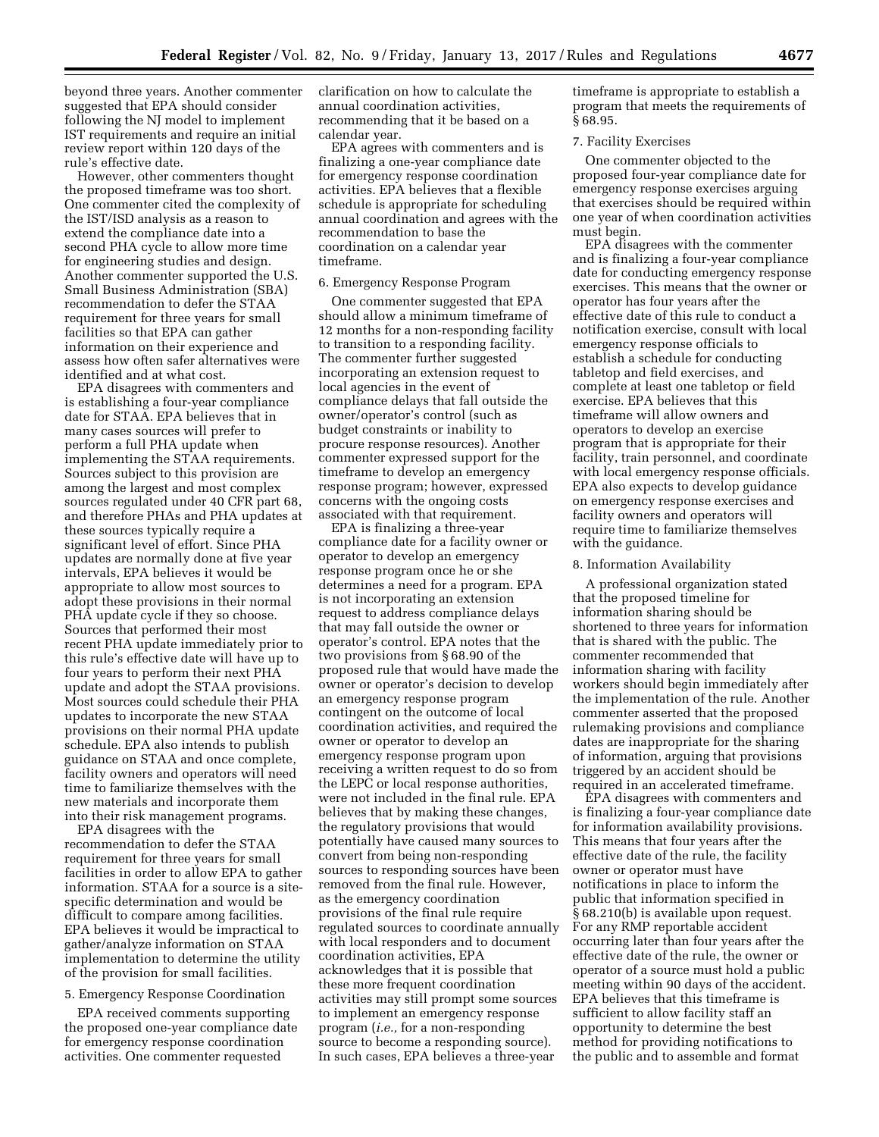beyond three years. Another commenter suggested that EPA should consider following the NJ model to implement IST requirements and require an initial review report within 120 days of the rule's effective date.

However, other commenters thought the proposed timeframe was too short. One commenter cited the complexity of the IST/ISD analysis as a reason to extend the compliance date into a second PHA cycle to allow more time for engineering studies and design. Another commenter supported the U.S. Small Business Administration (SBA) recommendation to defer the STAA requirement for three years for small facilities so that EPA can gather information on their experience and assess how often safer alternatives were identified and at what cost.

EPA disagrees with commenters and is establishing a four-year compliance date for STAA. EPA believes that in many cases sources will prefer to perform a full PHA update when implementing the STAA requirements. Sources subject to this provision are among the largest and most complex sources regulated under 40 CFR part 68, and therefore PHAs and PHA updates at these sources typically require a significant level of effort. Since PHA updates are normally done at five year intervals, EPA believes it would be appropriate to allow most sources to adopt these provisions in their normal PHA update cycle if they so choose. Sources that performed their most recent PHA update immediately prior to this rule's effective date will have up to four years to perform their next PHA update and adopt the STAA provisions. Most sources could schedule their PHA updates to incorporate the new STAA provisions on their normal PHA update schedule. EPA also intends to publish guidance on STAA and once complete, facility owners and operators will need time to familiarize themselves with the new materials and incorporate them into their risk management programs.

EPA disagrees with the recommendation to defer the STAA requirement for three years for small facilities in order to allow EPA to gather information. STAA for a source is a sitespecific determination and would be difficult to compare among facilities. EPA believes it would be impractical to gather/analyze information on STAA implementation to determine the utility of the provision for small facilities.

## 5. Emergency Response Coordination

EPA received comments supporting the proposed one-year compliance date for emergency response coordination activities. One commenter requested

clarification on how to calculate the annual coordination activities, recommending that it be based on a calendar year.

EPA agrees with commenters and is finalizing a one-year compliance date for emergency response coordination activities. EPA believes that a flexible schedule is appropriate for scheduling annual coordination and agrees with the recommendation to base the coordination on a calendar year timeframe.

#### 6. Emergency Response Program

One commenter suggested that EPA should allow a minimum timeframe of 12 months for a non-responding facility to transition to a responding facility. The commenter further suggested incorporating an extension request to local agencies in the event of compliance delays that fall outside the owner/operator's control (such as budget constraints or inability to procure response resources). Another commenter expressed support for the timeframe to develop an emergency response program; however, expressed concerns with the ongoing costs associated with that requirement.

EPA is finalizing a three-year compliance date for a facility owner or operator to develop an emergency response program once he or she determines a need for a program. EPA is not incorporating an extension request to address compliance delays that may fall outside the owner or operator's control. EPA notes that the two provisions from § 68.90 of the proposed rule that would have made the owner or operator's decision to develop an emergency response program contingent on the outcome of local coordination activities, and required the owner or operator to develop an emergency response program upon receiving a written request to do so from the LEPC or local response authorities, were not included in the final rule. EPA believes that by making these changes, the regulatory provisions that would potentially have caused many sources to convert from being non-responding sources to responding sources have been removed from the final rule. However, as the emergency coordination provisions of the final rule require regulated sources to coordinate annually with local responders and to document coordination activities, EPA acknowledges that it is possible that these more frequent coordination activities may still prompt some sources to implement an emergency response program (*i.e.,* for a non-responding source to become a responding source). In such cases, EPA believes a three-year

timeframe is appropriate to establish a program that meets the requirements of § 68.95.

## 7. Facility Exercises

One commenter objected to the proposed four-year compliance date for emergency response exercises arguing that exercises should be required within one year of when coordination activities must begin.

EPA disagrees with the commenter and is finalizing a four-year compliance date for conducting emergency response exercises. This means that the owner or operator has four years after the effective date of this rule to conduct a notification exercise, consult with local emergency response officials to establish a schedule for conducting tabletop and field exercises, and complete at least one tabletop or field exercise. EPA believes that this timeframe will allow owners and operators to develop an exercise program that is appropriate for their facility, train personnel, and coordinate with local emergency response officials. EPA also expects to develop guidance on emergency response exercises and facility owners and operators will require time to familiarize themselves with the guidance.

# 8. Information Availability

A professional organization stated that the proposed timeline for information sharing should be shortened to three years for information that is shared with the public. The commenter recommended that information sharing with facility workers should begin immediately after the implementation of the rule. Another commenter asserted that the proposed rulemaking provisions and compliance dates are inappropriate for the sharing of information, arguing that provisions triggered by an accident should be required in an accelerated timeframe.

EPA disagrees with commenters and is finalizing a four-year compliance date for information availability provisions. This means that four years after the effective date of the rule, the facility owner or operator must have notifications in place to inform the public that information specified in § 68.210(b) is available upon request. For any RMP reportable accident occurring later than four years after the effective date of the rule, the owner or operator of a source must hold a public meeting within 90 days of the accident. EPA believes that this timeframe is sufficient to allow facility staff an opportunity to determine the best method for providing notifications to the public and to assemble and format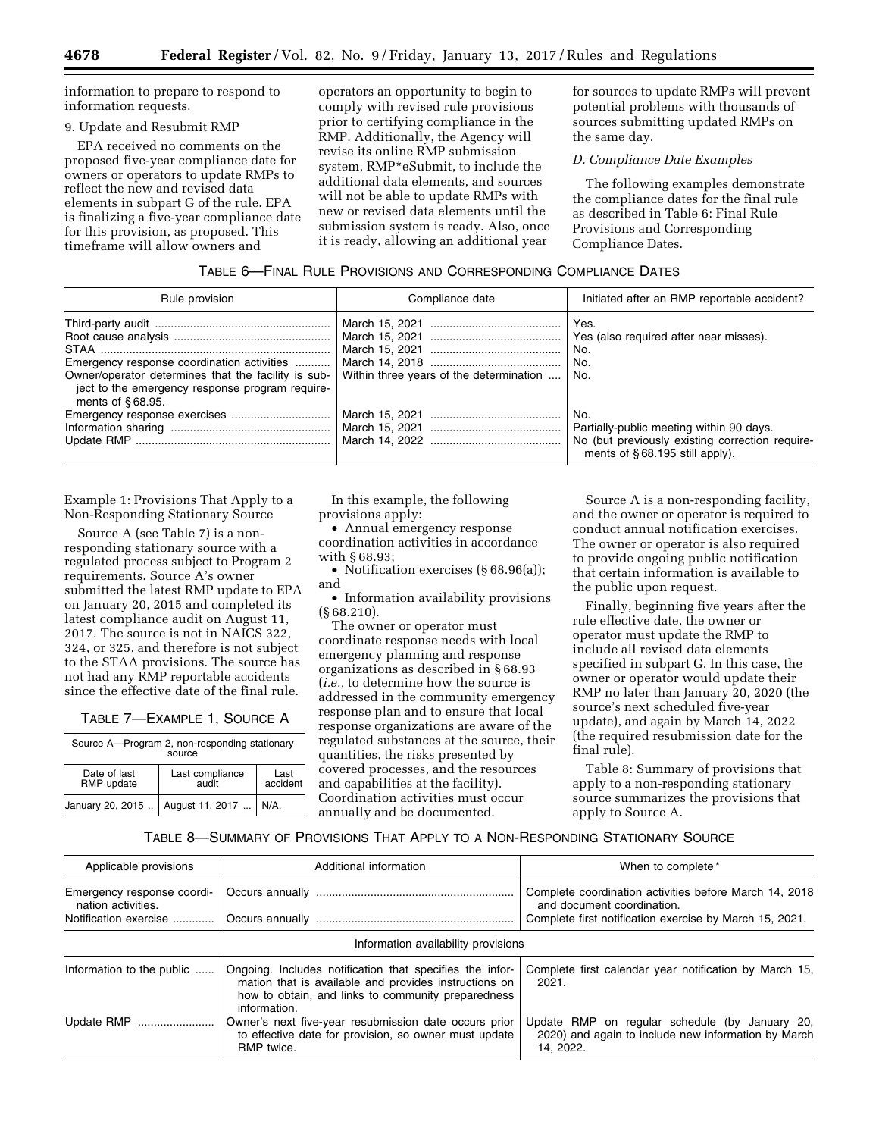information to prepare to respond to information requests.

## 9. Update and Resubmit RMP

EPA received no comments on the proposed five-year compliance date for owners or operators to update RMPs to reflect the new and revised data elements in subpart G of the rule. EPA is finalizing a five-year compliance date for this provision, as proposed. This timeframe will allow owners and

operators an opportunity to begin to comply with revised rule provisions prior to certifying compliance in the RMP. Additionally, the Agency will revise its online RMP submission system, RMP\*eSubmit, to include the additional data elements, and sources will not be able to update RMPs with new or revised data elements until the submission system is ready. Also, once it is ready, allowing an additional year

for sources to update RMPs will prevent potential problems with thousands of sources submitting updated RMPs on the same day.

## *D. Compliance Date Examples*

The following examples demonstrate the compliance dates for the final rule as described in Table 6: Final Rule Provisions and Corresponding Compliance Dates.

## TABLE 6—FINAL RULE PROVISIONS AND CORRESPONDING COMPLIANCE DATES

| Rule provision                                                                                                                                                              | Compliance date                         | Initiated after an RMP reportable accident?                                                                                          |
|-----------------------------------------------------------------------------------------------------------------------------------------------------------------------------|-----------------------------------------|--------------------------------------------------------------------------------------------------------------------------------------|
| Emergency response coordination activities<br>Owner/operator determines that the facility is sub-<br>ject to the emergency response program require-<br>ments of $§68.95$ . | Within three years of the determination | Yes.<br>Yes (also required after near misses).<br>No.<br>No.<br>No.                                                                  |
|                                                                                                                                                                             |                                         | No.<br>Partially-public meeting within 90 days.<br>No (but previously existing correction require-<br>ments of §68.195 still apply). |

Example 1: Provisions That Apply to a Non-Responding Stationary Source

Source A (see Table 7) is a nonresponding stationary source with a regulated process subject to Program 2 requirements. Source A's owner submitted the latest RMP update to EPA on January 20, 2015 and completed its latest compliance audit on August 11, 2017. The source is not in NAICS 322, 324, or 325, and therefore is not subject to the STAA provisions. The source has not had any RMP reportable accidents since the effective date of the final rule.

| TABLE 7—EXAMPLE 1, SOURCE A |  |
|-----------------------------|--|
|-----------------------------|--|

| Source A-Program 2, non-responding stationary<br>source |                 |      |
|---------------------------------------------------------|-----------------|------|
| Date of last                                            | Last compliance | Last |

| Date of last | Last compliance                             | Last     |
|--------------|---------------------------------------------|----------|
| RMP update   | audit                                       | accident |
|              | January 20, 2015    August 11, 2017    N/A. |          |

In this example, the following provisions apply:

• Annual emergency response coordination activities in accordance with § 68.93;

• Notification exercises (§ 68.96(a)); and

• Information availability provisions (§ 68.210).

The owner or operator must coordinate response needs with local emergency planning and response organizations as described in § 68.93 (*i.e.,* to determine how the source is addressed in the community emergency response plan and to ensure that local response organizations are aware of the regulated substances at the source, their quantities, the risks presented by covered processes, and the resources and capabilities at the facility). Coordination activities must occur annually and be documented.

Source A is a non-responding facility, and the owner or operator is required to conduct annual notification exercises. The owner or operator is also required to provide ongoing public notification that certain information is available to the public upon request.

Finally, beginning five years after the rule effective date, the owner or operator must update the RMP to include all revised data elements specified in subpart G. In this case, the owner or operator would update their RMP no later than January 20, 2020 (the source's next scheduled five-year update), and again by March 14, 2022 (the required resubmission date for the final rule).

Table 8: Summary of provisions that apply to a non-responding stationary source summarizes the provisions that apply to Source A.

TABLE 8—SUMMARY OF PROVISIONS THAT APPLY TO A NON-RESPONDING STATIONARY SOURCE

| Applicable provisions                            | Additional information                                                                                                                                                                  | When to complete*                                                                                                  |
|--------------------------------------------------|-----------------------------------------------------------------------------------------------------------------------------------------------------------------------------------------|--------------------------------------------------------------------------------------------------------------------|
| Emergency response coordi-<br>nation activities. |                                                                                                                                                                                         | Complete coordination activities before March 14, 2018<br>and document coordination.                               |
| Notification exercise                            |                                                                                                                                                                                         | Complete first notification exercise by March 15, 2021.                                                            |
|                                                  | Information availability provisions                                                                                                                                                     |                                                                                                                    |
| Information to the public                        | Ongoing. Includes notification that specifies the infor-<br>mation that is available and provides instructions on<br>how to obtain, and links to community preparedness<br>information. | Complete first calendar year notification by March 15.<br>2021.                                                    |
| Update RMP                                       | Owner's next five-year resubmission date occurs prior<br>to effective date for provision, so owner must update<br>RMP twice.                                                            | Update RMP on regular schedule (by January 20,<br>2020) and again to include new information by March<br>14. 2022. |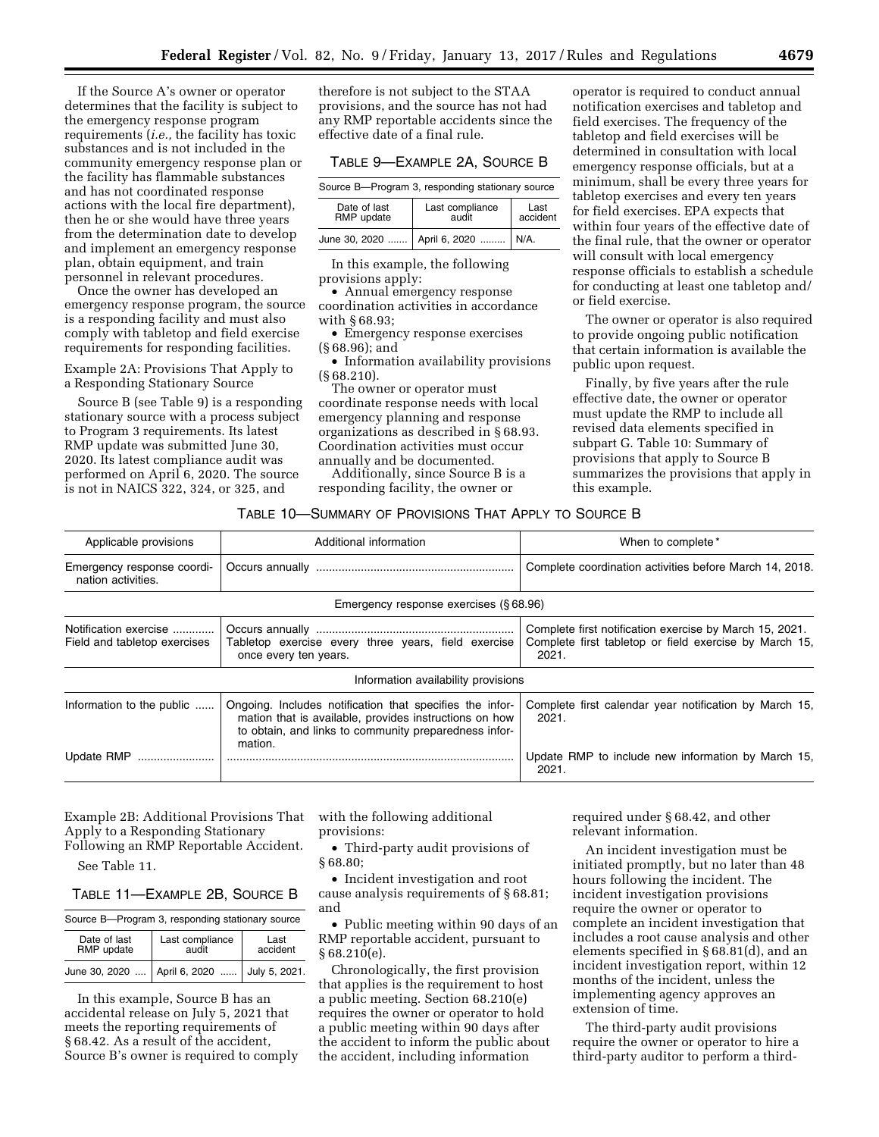If the Source A's owner or operator determines that the facility is subject to the emergency response program requirements (*i.e.,* the facility has toxic substances and is not included in the community emergency response plan or the facility has flammable substances and has not coordinated response actions with the local fire department), then he or she would have three years from the determination date to develop and implement an emergency response plan, obtain equipment, and train personnel in relevant procedures.

Once the owner has developed an emergency response program, the source is a responding facility and must also comply with tabletop and field exercise requirements for responding facilities.

Example 2A: Provisions That Apply to a Responding Stationary Source

Source B (see Table 9) is a responding stationary source with a process subject to Program 3 requirements. Its latest RMP update was submitted June 30, 2020. Its latest compliance audit was performed on April 6, 2020. The source is not in NAICS 322, 324, or 325, and

therefore is not subject to the STAA provisions, and the source has not had any RMP reportable accidents since the effective date of a final rule.

#### TABLE 9—EXAMPLE 2A, SOURCE B

Source B—Program 3, responding stationary source

| Date of last | Last compliance                        | Last     |
|--------------|----------------------------------------|----------|
| RMP update   | audit                                  | accident |
|              | June 30, 2020    April 6, 2020    N/A. |          |

In this example, the following provisions apply:

• Annual emergency response coordination activities in accordance with § 68.93;

• Emergency response exercises (§ 68.96); and

• Information availability provisions (§ 68.210).

The owner or operator must coordinate response needs with local emergency planning and response organizations as described in § 68.93. Coordination activities must occur annually and be documented.

Additionally, since Source B is a responding facility, the owner or

operator is required to conduct annual notification exercises and tabletop and field exercises. The frequency of the tabletop and field exercises will be determined in consultation with local emergency response officials, but at a minimum, shall be every three years for tabletop exercises and every ten years for field exercises. EPA expects that within four years of the effective date of the final rule, that the owner or operator will consult with local emergency response officials to establish a schedule for conducting at least one tabletop and/ or field exercise.

The owner or operator is also required to provide ongoing public notification that certain information is available the public upon request.

Finally, by five years after the rule effective date, the owner or operator must update the RMP to include all revised data elements specified in subpart G. Table 10: Summary of provisions that apply to Source B summarizes the provisions that apply in this example.

#### TABLE 10—SUMMARY OF PROVISIONS THAT APPLY TO SOURCE B

| Applicable provisions                                 | Additional information                                                                                                                                                                 | When to complete*                                                                                                          |  |
|-------------------------------------------------------|----------------------------------------------------------------------------------------------------------------------------------------------------------------------------------------|----------------------------------------------------------------------------------------------------------------------------|--|
| Emergency response coordi-<br>nation activities.      |                                                                                                                                                                                        | Complete coordination activities before March 14, 2018.                                                                    |  |
|                                                       | Emergency response exercises (§68.96)                                                                                                                                                  |                                                                                                                            |  |
| Notification exercise<br>Field and tabletop exercises | Tabletop exercise every three years, field exercise<br>once every ten years.                                                                                                           | Complete first notification exercise by March 15, 2021.<br>Complete first tabletop or field exercise by March 15,<br>2021. |  |
|                                                       | Information availability provisions                                                                                                                                                    |                                                                                                                            |  |
| Information to the public                             | Ongoing. Includes notification that specifies the infor-<br>mation that is available, provides instructions on how<br>to obtain, and links to community preparedness infor-<br>mation. | Complete first calendar year notification by March 15,<br>2021.                                                            |  |
| Update RMP                                            |                                                                                                                                                                                        | Update RMP to include new information by March 15,<br>2021.                                                                |  |

Example 2B: Additional Provisions That Apply to a Responding Stationary Following an RMP Reportable Accident.

See Table 11.

# TABLE 11—EXAMPLE 2B, SOURCE B

| Source B-Program 3, responding stationary source |                                                 |                  |  |
|--------------------------------------------------|-------------------------------------------------|------------------|--|
| Date of last<br>RMP update                       | Last compliance<br>audit                        | Last<br>accident |  |
|                                                  | June 30, 2020    April 6, 2020    July 5, 2021. |                  |  |

In this example, Source B has an accidental release on July 5, 2021 that meets the reporting requirements of § 68.42. As a result of the accident, Source B's owner is required to comply with the following additional provisions:

• Third-party audit provisions of § 68.80;

• Incident investigation and root cause analysis requirements of § 68.81; and

• Public meeting within 90 days of an RMP reportable accident, pursuant to § 68.210(e).

Chronologically, the first provision that applies is the requirement to host a public meeting. Section 68.210(e) requires the owner or operator to hold a public meeting within 90 days after the accident to inform the public about the accident, including information

required under § 68.42, and other relevant information.

An incident investigation must be initiated promptly, but no later than 48 hours following the incident. The incident investigation provisions require the owner or operator to complete an incident investigation that includes a root cause analysis and other elements specified in § 68.81(d), and an incident investigation report, within 12 months of the incident, unless the implementing agency approves an extension of time.

The third-party audit provisions require the owner or operator to hire a third-party auditor to perform a third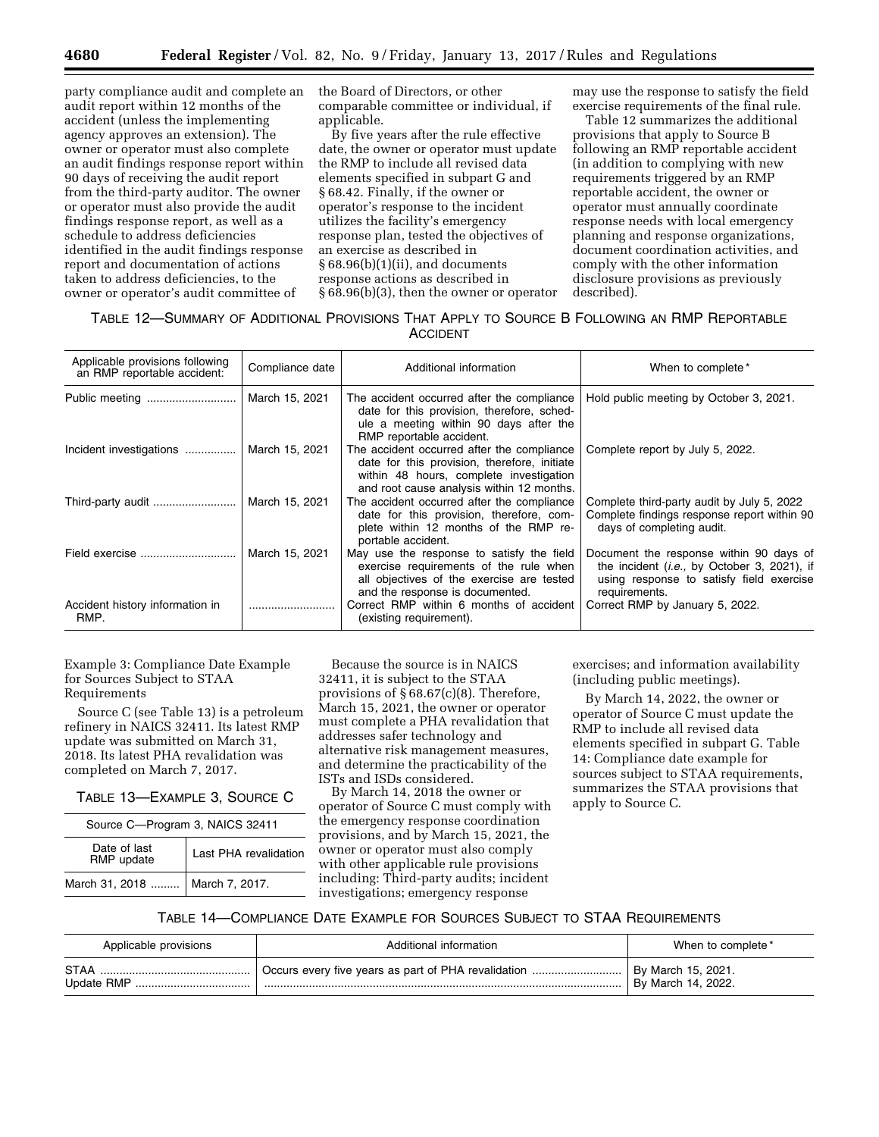party compliance audit and complete an audit report within 12 months of the accident (unless the implementing agency approves an extension). The owner or operator must also complete an audit findings response report within 90 days of receiving the audit report from the third-party auditor. The owner or operator must also provide the audit findings response report, as well as a schedule to address deficiencies identified in the audit findings response report and documentation of actions taken to address deficiencies, to the owner or operator's audit committee of

the Board of Directors, or other comparable committee or individual, if applicable.

By five years after the rule effective date, the owner or operator must update the RMP to include all revised data elements specified in subpart G and § 68.42. Finally, if the owner or operator's response to the incident utilizes the facility's emergency response plan, tested the objectives of an exercise as described in § 68.96(b)(1)(ii), and documents response actions as described in § 68.96(b)(3), then the owner or operator may use the response to satisfy the field exercise requirements of the final rule.

Table 12 summarizes the additional provisions that apply to Source B following an RMP reportable accident (in addition to complying with new requirements triggered by an RMP reportable accident, the owner or operator must annually coordinate response needs with local emergency planning and response organizations, document coordination activities, and comply with the other information disclosure provisions as previously described).

# TABLE 12—SUMMARY OF ADDITIONAL PROVISIONS THAT APPLY TO SOURCE B FOLLOWING AN RMP REPORTABLE ACCIDENT

| Applicable provisions following<br>an RMP reportable accident: | Compliance date | Additional information                                                                                                                                                             | When to complete*                                                                                                                                            |  |
|----------------------------------------------------------------|-----------------|------------------------------------------------------------------------------------------------------------------------------------------------------------------------------------|--------------------------------------------------------------------------------------------------------------------------------------------------------------|--|
| Public meeting                                                 | March 15, 2021  | The accident occurred after the compliance<br>date for this provision, therefore, sched-<br>ule a meeting within 90 days after the<br>RMP reportable accident.                     | Hold public meeting by October 3, 2021.                                                                                                                      |  |
| Incident investigations                                        | March 15, 2021  | The accident occurred after the compliance<br>date for this provision, therefore, initiate<br>within 48 hours, complete investigation<br>and root cause analysis within 12 months. | Complete report by July 5, 2022.                                                                                                                             |  |
| Third-party audit    March 15, 2021                            |                 | The accident occurred after the compliance<br>date for this provision, therefore, com-<br>plete within 12 months of the RMP re-<br>portable accident.                              | Complete third-party audit by July 5, 2022<br>Complete findings response report within 90<br>days of completing audit.                                       |  |
| Field exercise                                                 | March 15, 2021  | May use the response to satisfy the field<br>exercise requirements of the rule when<br>all objectives of the exercise are tested<br>and the response is documented.                | Document the response within 90 days of<br>the incident ( <i>i.e.</i> , by October 3, 2021), if<br>using response to satisfy field exercise<br>requirements. |  |
| Accident history information in<br>RMP.                        |                 | Correct RMP within 6 months of accident<br>(existing requirement).                                                                                                                 | Correct RMP by January 5, 2022.                                                                                                                              |  |

Example 3: Compliance Date Example for Sources Subject to STAA Requirements

Source C (see Table 13) is a petroleum refinery in NAICS 32411. Its latest RMP update was submitted on March 31, 2018. Its latest PHA revalidation was completed on March 7, 2017.

TABLE 13—EXAMPLE 3, SOURCE C

| Source C-Program 3, NAICS 32411  |                       |  |
|----------------------------------|-----------------------|--|
| Date of last<br>RMP update       | Last PHA revalidation |  |
| March 31, 2018    March 7, 2017. |                       |  |

Because the source is in NAICS 32411, it is subject to the STAA provisions of § 68.67(c)(8). Therefore, March 15, 2021, the owner or operator must complete a PHA revalidation that addresses safer technology and alternative risk management measures, and determine the practicability of the ISTs and ISDs considered.

By March 14, 2018 the owner or operator of Source C must comply with the emergency response coordination provisions, and by March 15, 2021, the owner or operator must also comply with other applicable rule provisions including: Third-party audits; incident investigations; emergency response

exercises; and information availability (including public meetings).

By March 14, 2022, the owner or operator of Source C must update the RMP to include all revised data elements specified in subpart G. Table 14: Compliance date example for sources subject to STAA requirements, summarizes the STAA provisions that apply to Source C.

## TABLE 14—COMPLIANCE DATE EXAMPLE FOR SOURCES SUBJECT TO STAA REQUIREMENTS

| Applicable provisions     | Additional information | When to complete*                        |
|---------------------------|------------------------|------------------------------------------|
| <b>STAA</b><br>Update RMP |                        | By March 15, 2021.<br>By March 14, 2022. |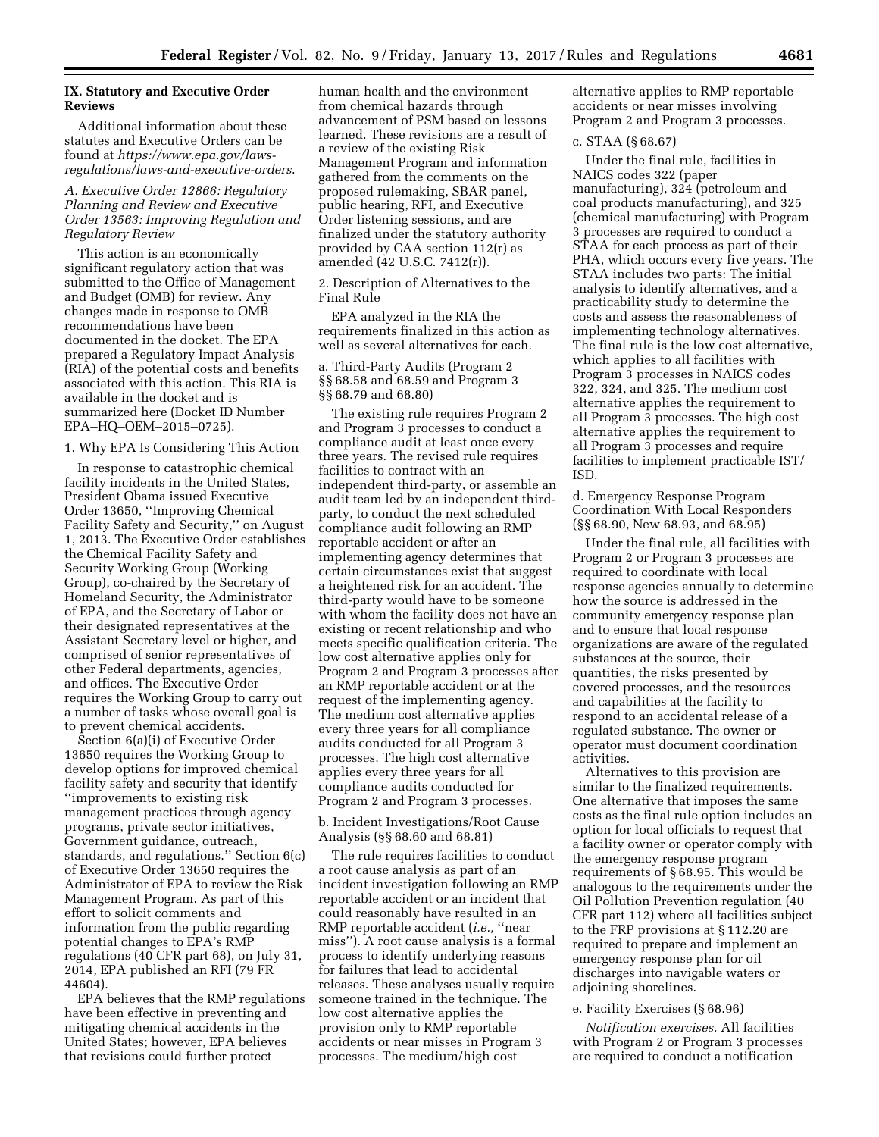## **IX. Statutory and Executive Order Reviews**

Additional information about these statutes and Executive Orders can be found at *[https://www.epa.gov/laws](https://www.epa.gov/laws-regulations/laws-and-executive-orders)[regulations/laws-and-executive-orders](https://www.epa.gov/laws-regulations/laws-and-executive-orders)*.

## *A. Executive Order 12866: Regulatory Planning and Review and Executive Order 13563: Improving Regulation and Regulatory Review*

This action is an economically significant regulatory action that was submitted to the Office of Management and Budget (OMB) for review. Any changes made in response to OMB recommendations have been documented in the docket. The EPA prepared a Regulatory Impact Analysis (RIA) of the potential costs and benefits associated with this action. This RIA is available in the docket and is summarized here (Docket ID Number EPA–HQ–OEM–2015–0725).

## 1. Why EPA Is Considering This Action

In response to catastrophic chemical facility incidents in the United States, President Obama issued Executive Order 13650, ''Improving Chemical Facility Safety and Security,'' on August 1, 2013. The Executive Order establishes the Chemical Facility Safety and Security Working Group (Working Group), co-chaired by the Secretary of Homeland Security, the Administrator of EPA, and the Secretary of Labor or their designated representatives at the Assistant Secretary level or higher, and comprised of senior representatives of other Federal departments, agencies, and offices. The Executive Order requires the Working Group to carry out a number of tasks whose overall goal is to prevent chemical accidents.

Section 6(a)(i) of Executive Order 13650 requires the Working Group to develop options for improved chemical facility safety and security that identify ''improvements to existing risk management practices through agency programs, private sector initiatives, Government guidance, outreach, standards, and regulations.'' Section 6(c) of Executive Order 13650 requires the Administrator of EPA to review the Risk Management Program. As part of this effort to solicit comments and information from the public regarding potential changes to EPA's RMP regulations (40 CFR part 68), on July 31, 2014, EPA published an RFI (79 FR 44604).

EPA believes that the RMP regulations have been effective in preventing and mitigating chemical accidents in the United States; however, EPA believes that revisions could further protect

human health and the environment from chemical hazards through advancement of PSM based on lessons learned. These revisions are a result of a review of the existing Risk Management Program and information gathered from the comments on the proposed rulemaking, SBAR panel, public hearing, RFI, and Executive Order listening sessions, and are finalized under the statutory authority provided by CAA section 112(r) as amended (42 U.S.C. 7412(r)).

2. Description of Alternatives to the Final Rule

EPA analyzed in the RIA the requirements finalized in this action as well as several alternatives for each.

## a. Third-Party Audits (Program 2 §§ 68.58 and 68.59 and Program 3 §§ 68.79 and 68.80)

The existing rule requires Program 2 and Program 3 processes to conduct a compliance audit at least once every three years. The revised rule requires facilities to contract with an independent third-party, or assemble an audit team led by an independent thirdparty, to conduct the next scheduled compliance audit following an RMP reportable accident or after an implementing agency determines that certain circumstances exist that suggest a heightened risk for an accident. The third-party would have to be someone with whom the facility does not have an existing or recent relationship and who meets specific qualification criteria. The low cost alternative applies only for Program 2 and Program 3 processes after an RMP reportable accident or at the request of the implementing agency. The medium cost alternative applies every three years for all compliance audits conducted for all Program 3 processes. The high cost alternative applies every three years for all compliance audits conducted for Program 2 and Program 3 processes.

b. Incident Investigations/Root Cause Analysis (§§ 68.60 and 68.81)

The rule requires facilities to conduct a root cause analysis as part of an incident investigation following an RMP reportable accident or an incident that could reasonably have resulted in an RMP reportable accident (*i.e.,* ''near miss''). A root cause analysis is a formal process to identify underlying reasons for failures that lead to accidental releases. These analyses usually require someone trained in the technique. The low cost alternative applies the provision only to RMP reportable accidents or near misses in Program 3 processes. The medium/high cost

alternative applies to RMP reportable accidents or near misses involving Program 2 and Program 3 processes.

## c. STAA (§ 68.67)

Under the final rule, facilities in NAICS codes 322 (paper manufacturing), 324 (petroleum and coal products manufacturing), and 325 (chemical manufacturing) with Program 3 processes are required to conduct a STAA for each process as part of their PHA, which occurs every five years. The STAA includes two parts: The initial analysis to identify alternatives, and a practicability study to determine the costs and assess the reasonableness of implementing technology alternatives. The final rule is the low cost alternative, which applies to all facilities with Program 3 processes in NAICS codes 322, 324, and 325. The medium cost alternative applies the requirement to all Program 3 processes. The high cost alternative applies the requirement to all Program 3 processes and require facilities to implement practicable IST/ ISD.

d. Emergency Response Program Coordination With Local Responders (§§ 68.90, New 68.93, and 68.95)

Under the final rule, all facilities with Program 2 or Program 3 processes are required to coordinate with local response agencies annually to determine how the source is addressed in the community emergency response plan and to ensure that local response organizations are aware of the regulated substances at the source, their quantities, the risks presented by covered processes, and the resources and capabilities at the facility to respond to an accidental release of a regulated substance. The owner or operator must document coordination activities.

Alternatives to this provision are similar to the finalized requirements. One alternative that imposes the same costs as the final rule option includes an option for local officials to request that a facility owner or operator comply with the emergency response program requirements of § 68.95. This would be analogous to the requirements under the Oil Pollution Prevention regulation (40 CFR part 112) where all facilities subject to the FRP provisions at § 112.20 are required to prepare and implement an emergency response plan for oil discharges into navigable waters or adjoining shorelines.

### e. Facility Exercises (§ 68.96)

*Notification exercises.* All facilities with Program 2 or Program 3 processes are required to conduct a notification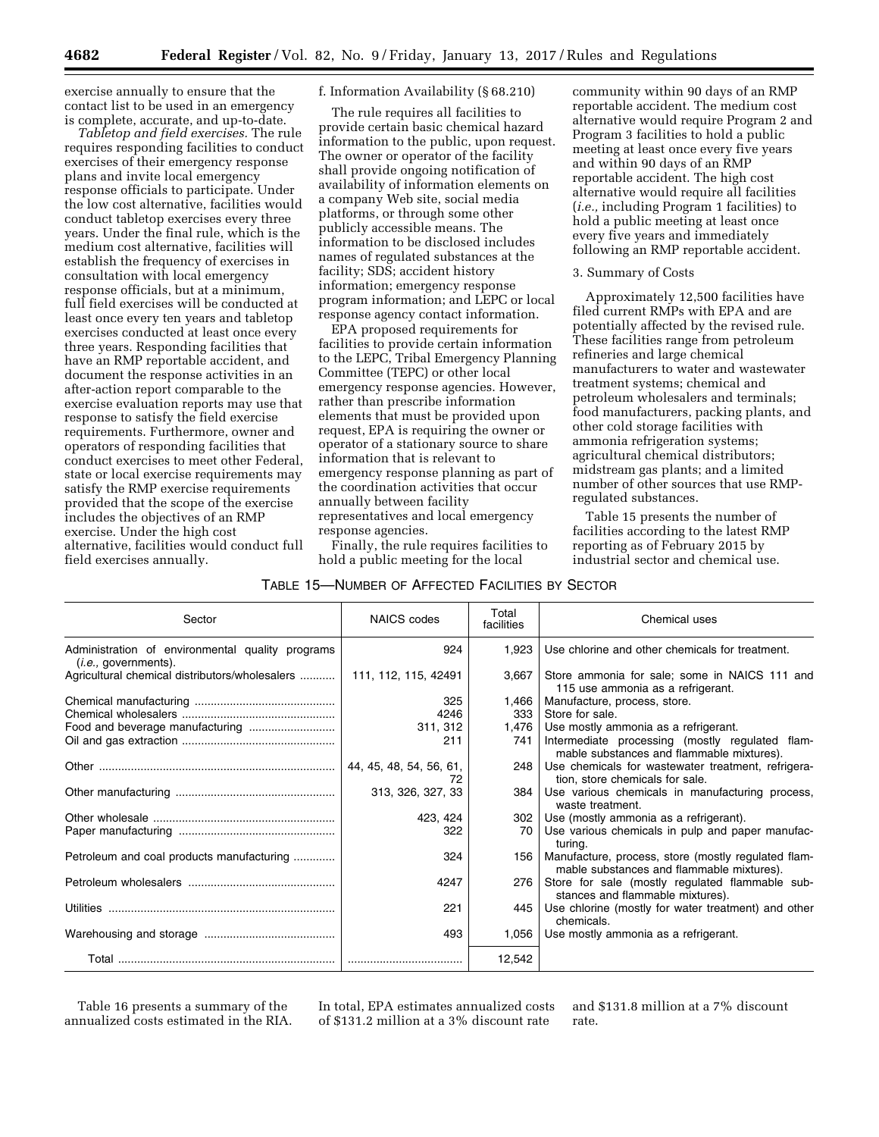exercise annually to ensure that the contact list to be used in an emergency is complete, accurate, and up-to-date.

*Tabletop and field exercises.* The rule requires responding facilities to conduct exercises of their emergency response plans and invite local emergency response officials to participate. Under the low cost alternative, facilities would conduct tabletop exercises every three years. Under the final rule, which is the medium cost alternative, facilities will establish the frequency of exercises in consultation with local emergency response officials, but at a minimum, full field exercises will be conducted at least once every ten years and tabletop exercises conducted at least once every three years. Responding facilities that have an RMP reportable accident, and document the response activities in an after-action report comparable to the exercise evaluation reports may use that response to satisfy the field exercise requirements. Furthermore, owner and operators of responding facilities that conduct exercises to meet other Federal, state or local exercise requirements may satisfy the RMP exercise requirements provided that the scope of the exercise includes the objectives of an RMP exercise. Under the high cost alternative, facilities would conduct full field exercises annually.

f. Information Availability (§ 68.210)

The rule requires all facilities to provide certain basic chemical hazard information to the public, upon request. The owner or operator of the facility shall provide ongoing notification of availability of information elements on a company Web site, social media platforms, or through some other publicly accessible means. The information to be disclosed includes names of regulated substances at the facility; SDS; accident history information; emergency response program information; and LEPC or local response agency contact information.

EPA proposed requirements for facilities to provide certain information to the LEPC, Tribal Emergency Planning Committee (TEPC) or other local emergency response agencies. However, rather than prescribe information elements that must be provided upon request, EPA is requiring the owner or operator of a stationary source to share information that is relevant to emergency response planning as part of the coordination activities that occur annually between facility representatives and local emergency response agencies.

Finally, the rule requires facilities to hold a public meeting for the local

community within 90 days of an RMP reportable accident. The medium cost alternative would require Program 2 and Program 3 facilities to hold a public meeting at least once every five years and within 90 days of an RMP reportable accident. The high cost alternative would require all facilities (*i.e.,* including Program 1 facilities) to hold a public meeting at least once every five years and immediately following an RMP reportable accident.

#### 3. Summary of Costs

Approximately 12,500 facilities have filed current RMPs with EPA and are potentially affected by the revised rule. These facilities range from petroleum refineries and large chemical manufacturers to water and wastewater treatment systems; chemical and petroleum wholesalers and terminals; food manufacturers, packing plants, and other cold storage facilities with ammonia refrigeration systems; agricultural chemical distributors; midstream gas plants; and a limited number of other sources that use RMPregulated substances.

Table 15 presents the number of facilities according to the latest RMP reporting as of February 2015 by industrial sector and chemical use.

| Sector                                                                  | <b>NAICS</b> codes      | Total<br>facilities | Chemical uses                                                                                    |
|-------------------------------------------------------------------------|-------------------------|---------------------|--------------------------------------------------------------------------------------------------|
| Administration of environmental quality programs<br>(i.e., government). | 924                     | 1.923               | Use chlorine and other chemicals for treatment.                                                  |
| Agricultural chemical distributors/wholesalers                          | 111, 112, 115, 42491    | 3.667               | Store ammonia for sale; some in NAICS 111 and<br>115 use ammonia as a refrigerant.               |
|                                                                         | 325                     | 1,466               | Manufacture, process, store.                                                                     |
|                                                                         | 4246                    | 333                 | Store for sale.                                                                                  |
|                                                                         | 311, 312                | 1,476               | Use mostly ammonia as a refrigerant.                                                             |
|                                                                         | 211                     | 741                 | Intermediate processing (mostly regulated flam-<br>mable substances and flammable mixtures).     |
|                                                                         | 44, 45, 48, 54, 56, 61, | 248                 | Use chemicals for wastewater treatment, refrigera-<br>tion, store chemicals for sale.            |
|                                                                         | 313, 326, 327, 33       | 384                 | Use various chemicals in manufacturing process,<br>waste treatment.                              |
|                                                                         | 423, 424                | 302                 | Use (mostly ammonia as a refrigerant).                                                           |
|                                                                         | 322                     | 70                  | Use various chemicals in pulp and paper manufac-<br>turina.                                      |
| Petroleum and coal products manufacturing                               | 324                     | 156                 | Manufacture, process, store (mostly regulated flam-<br>mable substances and flammable mixtures). |
|                                                                         | 4247                    | 276                 | Store for sale (mostly regulated flammable sub-<br>stances and flammable mixtures).              |
|                                                                         | 221                     | 445                 | Use chlorine (mostly for water treatment) and other<br>chemicals.                                |
|                                                                         | 493                     | 1.056               | Use mostly ammonia as a refrigerant.                                                             |
|                                                                         |                         | 12,542              |                                                                                                  |

## TABLE 15—NUMBER OF AFFECTED FACILITIES BY SECTOR

Table 16 presents a summary of the annualized costs estimated in the RIA. In total, EPA estimates annualized costs of \$131.2 million at a 3% discount rate

and \$131.8 million at a 7% discount rate.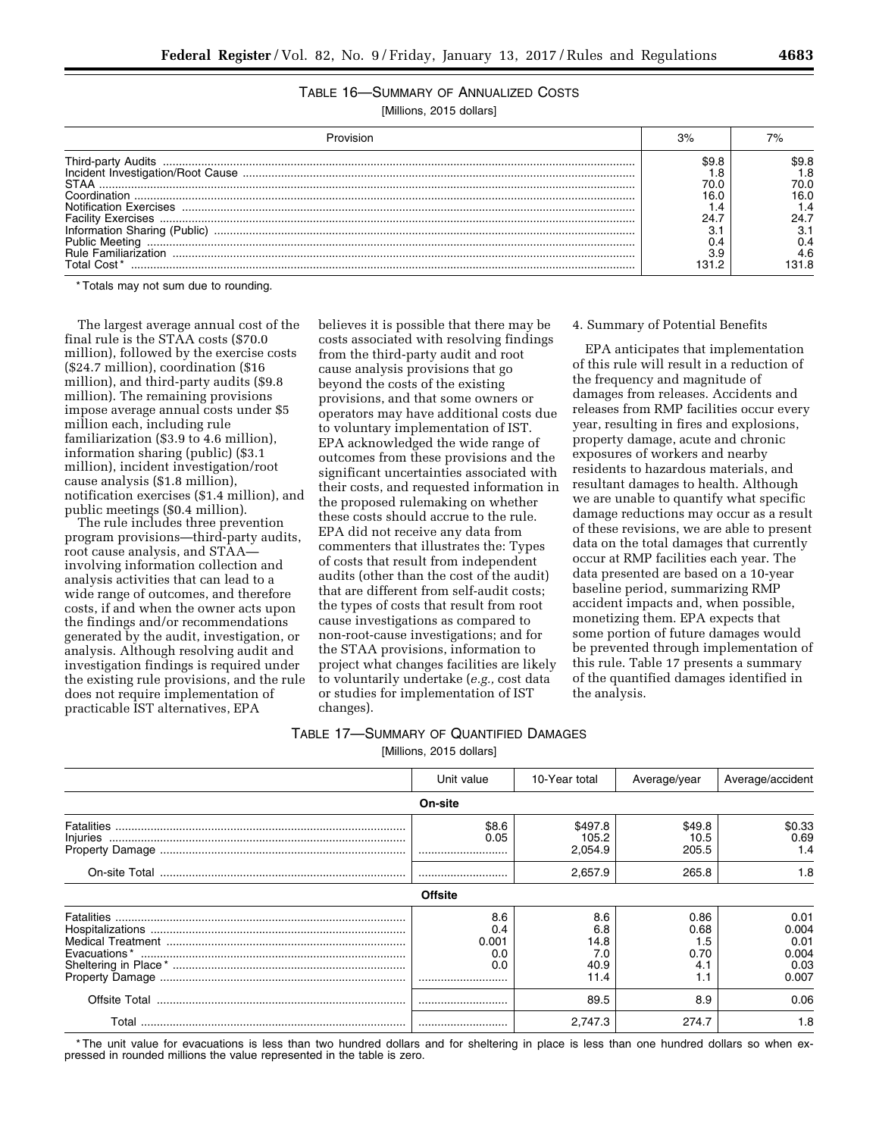# TABLE 16—SUMMARY OF ANNUALIZED COSTS

[Millions, 2015 dollars]

| STAA<br>:ation Exercises<br>nation Sharing (Pub<br>Priblic Meeting<br>Familiarization | 31 | 70.O<br>16.0<br>4.6 |  |
|---------------------------------------------------------------------------------------|----|---------------------|--|

\* Totals may not sum due to rounding.

The largest average annual cost of the final rule is the STAA costs (\$70.0 million), followed by the exercise costs (\$24.7 million), coordination (\$16 million), and third-party audits (\$9.8 million). The remaining provisions impose average annual costs under \$5 million each, including rule familiarization (\$3.9 to 4.6 million), information sharing (public) (\$3.1 million), incident investigation/root cause analysis (\$1.8 million), notification exercises (\$1.4 million), and public meetings (\$0.4 million).

The rule includes three prevention program provisions—third-party audits, root cause analysis, and STAA involving information collection and analysis activities that can lead to a wide range of outcomes, and therefore costs, if and when the owner acts upon the findings and/or recommendations generated by the audit, investigation, or analysis. Although resolving audit and investigation findings is required under the existing rule provisions, and the rule does not require implementation of practicable IST alternatives, EPA

believes it is possible that there may be costs associated with resolving findings from the third-party audit and root cause analysis provisions that go beyond the costs of the existing provisions, and that some owners or operators may have additional costs due to voluntary implementation of IST. EPA acknowledged the wide range of outcomes from these provisions and the significant uncertainties associated with their costs, and requested information in the proposed rulemaking on whether these costs should accrue to the rule. EPA did not receive any data from commenters that illustrates the: Types of costs that result from independent audits (other than the cost of the audit) that are different from self-audit costs; the types of costs that result from root cause investigations as compared to non-root-cause investigations; and for the STAA provisions, information to project what changes facilities are likely to voluntarily undertake (*e.g.,* cost data or studies for implementation of IST changes).

## 4. Summary of Potential Benefits

EPA anticipates that implementation of this rule will result in a reduction of the frequency and magnitude of damages from releases. Accidents and releases from RMP facilities occur every year, resulting in fires and explosions, property damage, acute and chronic exposures of workers and nearby residents to hazardous materials, and resultant damages to health. Although we are unable to quantify what specific damage reductions may occur as a result of these revisions, we are able to present data on the total damages that currently occur at RMP facilities each year. The data presented are based on a 10-year baseline period, summarizing RMP accident impacts and, when possible, monetizing them. EPA expects that some portion of future damages would be prevented through implementation of this rule. Table 17 presents a summary of the quantified damages identified in the analysis.

# TABLE 17—SUMMARY OF QUANTIFIED DAMAGES

[Millions, 2015 dollars]

|          | Unit value                            | 10-Year total                             | Average/year                              | Average/accident                                |
|----------|---------------------------------------|-------------------------------------------|-------------------------------------------|-------------------------------------------------|
|          | On-site                               |                                           |                                           |                                                 |
| Injuries | \$8.6<br>0.05<br>                     | \$497.8<br>105.2<br>2,054.9               | \$49.8<br>10.5<br>205.5                   | \$0.33<br>0.69<br>1.4                           |
|          |                                       | 2,657.9                                   | 265.8                                     | 1.8                                             |
|          | <b>Offsite</b>                        |                                           |                                           |                                                 |
|          | 8.6<br>0.4<br>0.001<br>0.0<br>0.0<br> | 8.6<br>6.8<br>14.8<br>7.0<br>40.9<br>11.4 | 0.86<br>0.68<br>1.5<br>0.70<br>4.1<br>1.1 | 0.01<br>0.004<br>0.01<br>0.004<br>0.03<br>0.007 |
|          |                                       | 89.5                                      | 8.9                                       | 0.06                                            |
|          |                                       | 2.747.3                                   | 274.7                                     | 1.8                                             |

\* The unit value for evacuations is less than two hundred dollars and for sheltering in place is less than one hundred dollars so when expressed in rounded millions the value represented in the table is zero.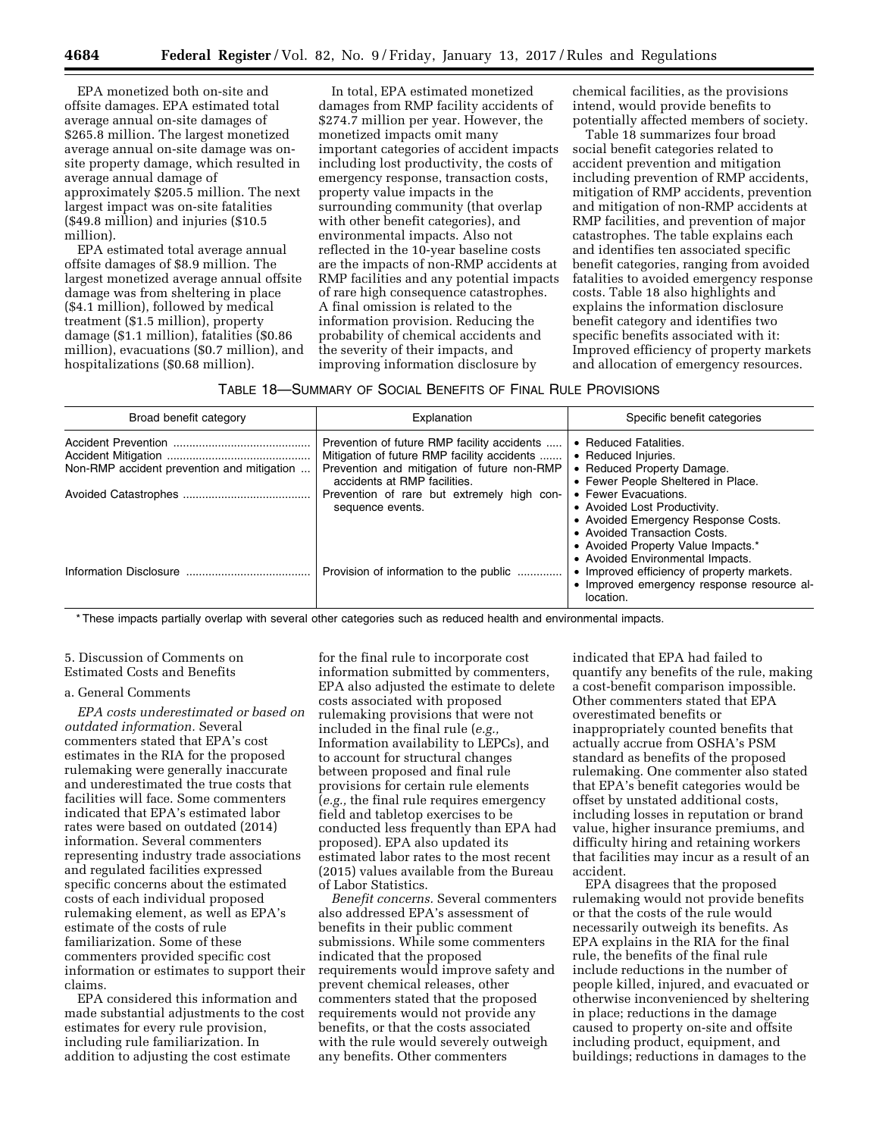EPA monetized both on-site and offsite damages. EPA estimated total average annual on-site damages of \$265.8 million. The largest monetized average annual on-site damage was onsite property damage, which resulted in average annual damage of approximately \$205.5 million. The next largest impact was on-site fatalities (\$49.8 million) and injuries (\$10.5 million).

EPA estimated total average annual offsite damages of \$8.9 million. The largest monetized average annual offsite damage was from sheltering in place (\$4.1 million), followed by medical treatment (\$1.5 million), property damage (\$1.1 million), fatalities (\$0.86 million), evacuations (\$0.7 million), and hospitalizations (\$0.68 million).

In total, EPA estimated monetized damages from RMP facility accidents of \$274.7 million per year. However, the monetized impacts omit many important categories of accident impacts including lost productivity, the costs of emergency response, transaction costs, property value impacts in the surrounding community (that overlap with other benefit categories), and environmental impacts. Also not reflected in the 10-year baseline costs are the impacts of non-RMP accidents at RMP facilities and any potential impacts of rare high consequence catastrophes. A final omission is related to the information provision. Reducing the probability of chemical accidents and the severity of their impacts, and improving information disclosure by

chemical facilities, as the provisions intend, would provide benefits to potentially affected members of society.

Table 18 summarizes four broad social benefit categories related to accident prevention and mitigation including prevention of RMP accidents, mitigation of RMP accidents, prevention and mitigation of non-RMP accidents at RMP facilities, and prevention of major catastrophes. The table explains each and identifies ten associated specific benefit categories, ranging from avoided fatalities to avoided emergency response costs. Table 18 also highlights and explains the information disclosure benefit category and identifies two specific benefits associated with it: Improved efficiency of property markets and allocation of emergency resources.

### TABLE 18—SUMMARY OF SOCIAL BENEFITS OF FINAL RULE PROVISIONS

| Broad benefit category                     | Explanation                                                                                                                                                               | Specific benefit categories                                                                                                                                                                           |
|--------------------------------------------|---------------------------------------------------------------------------------------------------------------------------------------------------------------------------|-------------------------------------------------------------------------------------------------------------------------------------------------------------------------------------------------------|
| Non-RMP accident prevention and mitigation | Prevention of future RMP facility accidents<br>Mitigation of future RMP facility accidents<br>Prevention and mitigation of future non-RMP<br>accidents at RMP facilities. | • Reduced Fatalities.<br>• Reduced Injuries.<br>• Reduced Property Damage.<br>• Fewer People Sheltered in Place.                                                                                      |
|                                            | Prevention of rare but extremely high con-<br>sequence events.                                                                                                            | • Fewer Evacuations.<br>• Avoided Lost Productivity.<br>• Avoided Emergency Response Costs.<br>• Avoided Transaction Costs.<br>• Avoided Property Value Impacts.*<br>• Avoided Environmental Impacts. |
|                                            | Provision of information to the public                                                                                                                                    | • Improved efficiency of property markets.<br>• Improved emergency response resource al-<br>location.                                                                                                 |

\* These impacts partially overlap with several other categories such as reduced health and environmental impacts.

## 5. Discussion of Comments on Estimated Costs and Benefits

### a. General Comments

*EPA costs underestimated or based on outdated information.* Several commenters stated that EPA's cost estimates in the RIA for the proposed rulemaking were generally inaccurate and underestimated the true costs that facilities will face. Some commenters indicated that EPA's estimated labor rates were based on outdated (2014) information. Several commenters representing industry trade associations and regulated facilities expressed specific concerns about the estimated costs of each individual proposed rulemaking element, as well as EPA's estimate of the costs of rule familiarization. Some of these commenters provided specific cost information or estimates to support their claims.

EPA considered this information and made substantial adjustments to the cost estimates for every rule provision, including rule familiarization. In addition to adjusting the cost estimate

for the final rule to incorporate cost information submitted by commenters, EPA also adjusted the estimate to delete costs associated with proposed rulemaking provisions that were not included in the final rule (*e.g.,*  Information availability to LEPCs), and to account for structural changes between proposed and final rule provisions for certain rule elements (*e.g.,* the final rule requires emergency field and tabletop exercises to be conducted less frequently than EPA had proposed). EPA also updated its estimated labor rates to the most recent (2015) values available from the Bureau of Labor Statistics.

*Benefit concerns.* Several commenters also addressed EPA's assessment of benefits in their public comment submissions. While some commenters indicated that the proposed requirements would improve safety and prevent chemical releases, other commenters stated that the proposed requirements would not provide any benefits, or that the costs associated with the rule would severely outweigh any benefits. Other commenters

indicated that EPA had failed to quantify any benefits of the rule, making a cost-benefit comparison impossible. Other commenters stated that EPA overestimated benefits or inappropriately counted benefits that actually accrue from OSHA's PSM standard as benefits of the proposed rulemaking. One commenter also stated that EPA's benefit categories would be offset by unstated additional costs, including losses in reputation or brand value, higher insurance premiums, and difficulty hiring and retaining workers that facilities may incur as a result of an accident.

EPA disagrees that the proposed rulemaking would not provide benefits or that the costs of the rule would necessarily outweigh its benefits. As EPA explains in the RIA for the final rule, the benefits of the final rule include reductions in the number of people killed, injured, and evacuated or otherwise inconvenienced by sheltering in place; reductions in the damage caused to property on-site and offsite including product, equipment, and buildings; reductions in damages to the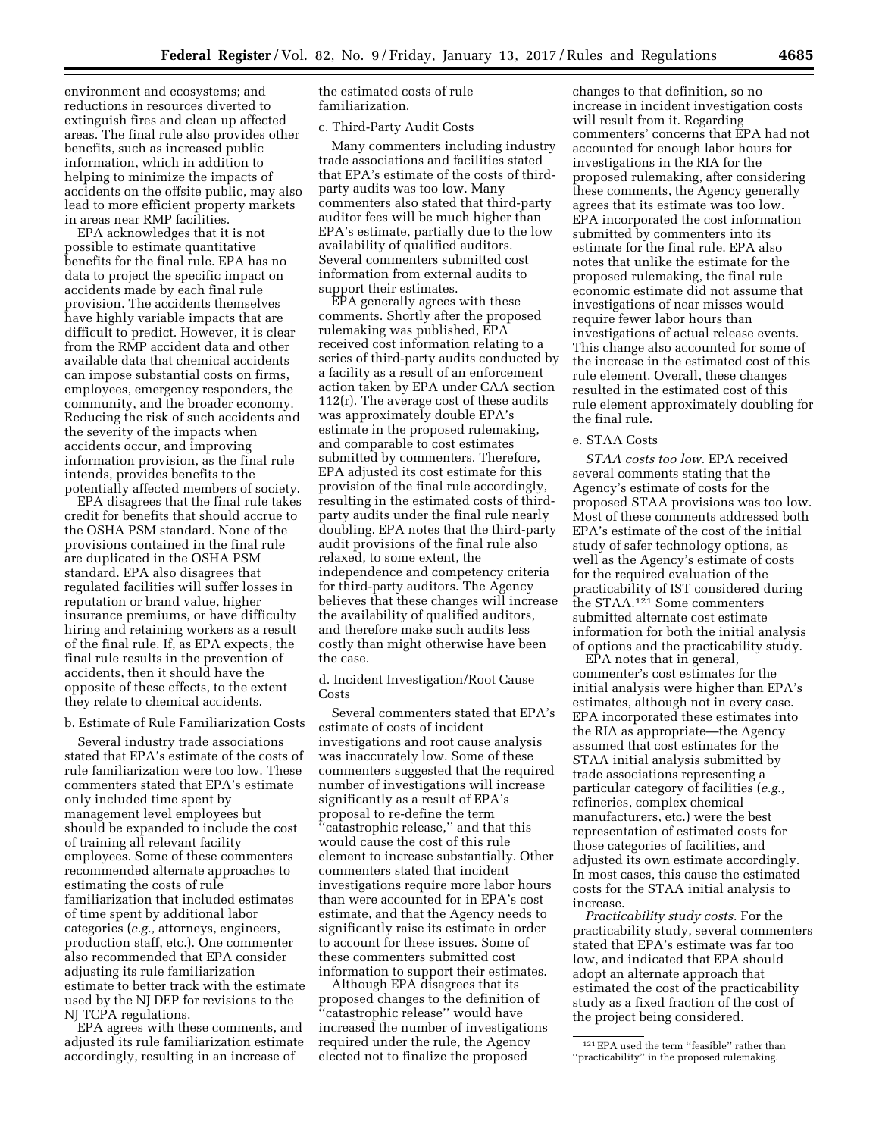environment and ecosystems; and reductions in resources diverted to extinguish fires and clean up affected areas. The final rule also provides other benefits, such as increased public information, which in addition to helping to minimize the impacts of accidents on the offsite public, may also lead to more efficient property markets in areas near RMP facilities.

EPA acknowledges that it is not possible to estimate quantitative benefits for the final rule. EPA has no data to project the specific impact on accidents made by each final rule provision. The accidents themselves have highly variable impacts that are difficult to predict. However, it is clear from the RMP accident data and other available data that chemical accidents can impose substantial costs on firms, employees, emergency responders, the community, and the broader economy. Reducing the risk of such accidents and the severity of the impacts when accidents occur, and improving information provision, as the final rule intends, provides benefits to the potentially affected members of society.

EPA disagrees that the final rule takes credit for benefits that should accrue to the OSHA PSM standard. None of the provisions contained in the final rule are duplicated in the OSHA PSM standard. EPA also disagrees that regulated facilities will suffer losses in reputation or brand value, higher insurance premiums, or have difficulty hiring and retaining workers as a result of the final rule. If, as EPA expects, the final rule results in the prevention of accidents, then it should have the opposite of these effects, to the extent they relate to chemical accidents.

#### b. Estimate of Rule Familiarization Costs

Several industry trade associations stated that EPA's estimate of the costs of rule familiarization were too low. These commenters stated that EPA's estimate only included time spent by management level employees but should be expanded to include the cost of training all relevant facility employees. Some of these commenters recommended alternate approaches to estimating the costs of rule familiarization that included estimates of time spent by additional labor categories (*e.g.,* attorneys, engineers, production staff, etc.). One commenter also recommended that EPA consider adjusting its rule familiarization estimate to better track with the estimate used by the NJ DEP for revisions to the NJ TCPA regulations.

EPA agrees with these comments, and adjusted its rule familiarization estimate accordingly, resulting in an increase of

the estimated costs of rule familiarization.

c. Third-Party Audit Costs

Many commenters including industry trade associations and facilities stated that EPA's estimate of the costs of thirdparty audits was too low. Many commenters also stated that third-party auditor fees will be much higher than EPA's estimate, partially due to the low availability of qualified auditors. Several commenters submitted cost information from external audits to support their estimates.

EPA generally agrees with these comments. Shortly after the proposed rulemaking was published, EPA received cost information relating to a series of third-party audits conducted by a facility as a result of an enforcement action taken by EPA under CAA section 112(r). The average cost of these audits was approximately double EPA's estimate in the proposed rulemaking, and comparable to cost estimates submitted by commenters. Therefore, EPA adjusted its cost estimate for this provision of the final rule accordingly, resulting in the estimated costs of thirdparty audits under the final rule nearly doubling. EPA notes that the third-party audit provisions of the final rule also relaxed, to some extent, the independence and competency criteria for third-party auditors. The Agency believes that these changes will increase the availability of qualified auditors, and therefore make such audits less costly than might otherwise have been the case.

d. Incident Investigation/Root Cause Costs

Several commenters stated that EPA's estimate of costs of incident investigations and root cause analysis was inaccurately low. Some of these commenters suggested that the required number of investigations will increase significantly as a result of EPA's proposal to re-define the term ''catastrophic release,'' and that this would cause the cost of this rule element to increase substantially. Other commenters stated that incident investigations require more labor hours than were accounted for in EPA's cost estimate, and that the Agency needs to significantly raise its estimate in order to account for these issues. Some of these commenters submitted cost information to support their estimates.

Although EPA disagrees that its proposed changes to the definition of 'catastrophic release'' would have increased the number of investigations required under the rule, the Agency elected not to finalize the proposed

changes to that definition, so no increase in incident investigation costs will result from it. Regarding commenters' concerns that EPA had not accounted for enough labor hours for investigations in the RIA for the proposed rulemaking, after considering these comments, the Agency generally agrees that its estimate was too low. EPA incorporated the cost information submitted by commenters into its estimate for the final rule. EPA also notes that unlike the estimate for the proposed rulemaking, the final rule economic estimate did not assume that investigations of near misses would require fewer labor hours than investigations of actual release events. This change also accounted for some of the increase in the estimated cost of this rule element. Overall, these changes resulted in the estimated cost of this rule element approximately doubling for the final rule.

## e. STAA Costs

*STAA costs too low.* EPA received several comments stating that the Agency's estimate of costs for the proposed STAA provisions was too low. Most of these comments addressed both EPA's estimate of the cost of the initial study of safer technology options, as well as the Agency's estimate of costs for the required evaluation of the practicability of IST considered during the STAA.121 Some commenters submitted alternate cost estimate information for both the initial analysis of options and the practicability study.

EPA notes that in general, commenter's cost estimates for the initial analysis were higher than EPA's estimates, although not in every case. EPA incorporated these estimates into the RIA as appropriate—the Agency assumed that cost estimates for the STAA initial analysis submitted by trade associations representing a particular category of facilities (*e.g.,*  refineries, complex chemical manufacturers, etc.) were the best representation of estimated costs for those categories of facilities, and adjusted its own estimate accordingly. In most cases, this cause the estimated costs for the STAA initial analysis to increase.

*Practicability study costs.* For the practicability study, several commenters stated that EPA's estimate was far too low, and indicated that EPA should adopt an alternate approach that estimated the cost of the practicability study as a fixed fraction of the cost of the project being considered.

<sup>121</sup>EPA used the term ''feasible'' rather than ''practicability'' in the proposed rulemaking.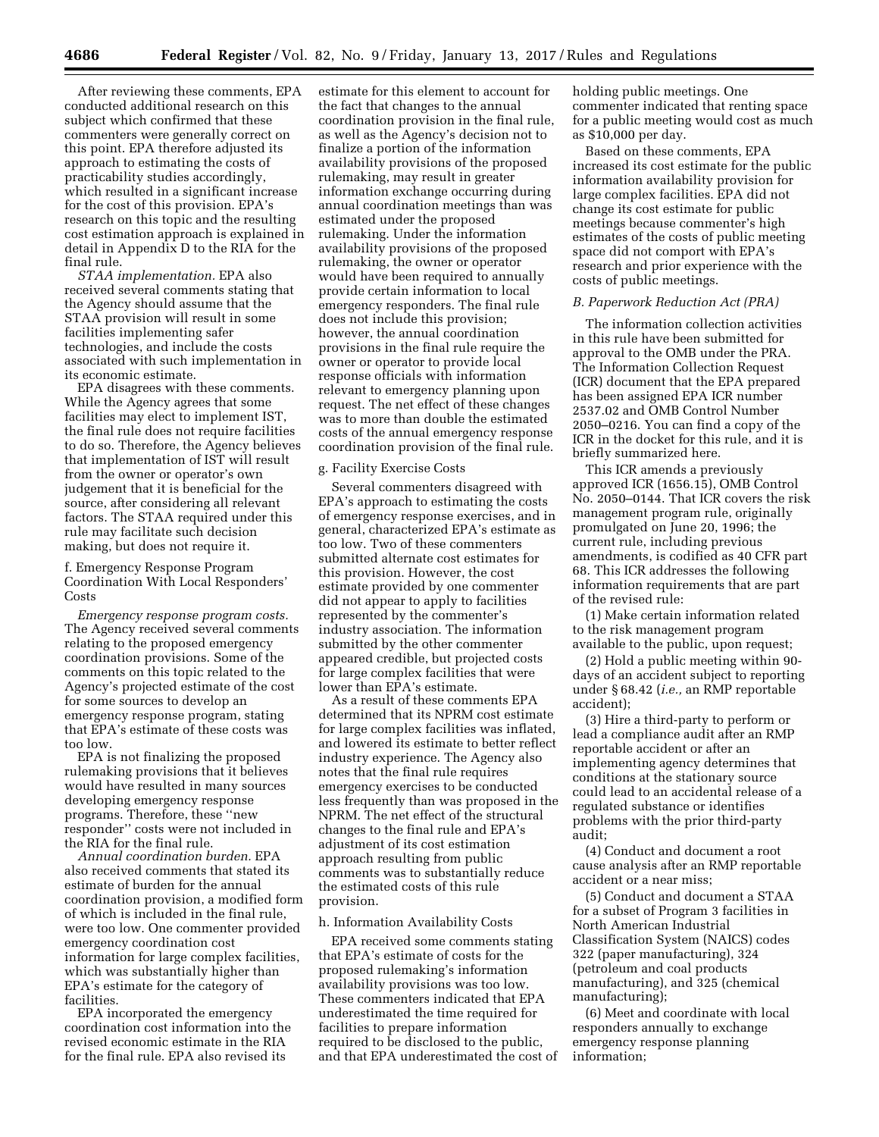After reviewing these comments, EPA conducted additional research on this subject which confirmed that these commenters were generally correct on this point. EPA therefore adjusted its approach to estimating the costs of practicability studies accordingly, which resulted in a significant increase for the cost of this provision. EPA's research on this topic and the resulting cost estimation approach is explained in detail in Appendix D to the RIA for the final rule.

*STAA implementation.* EPA also received several comments stating that the Agency should assume that the STAA provision will result in some facilities implementing safer technologies, and include the costs associated with such implementation in its economic estimate.

EPA disagrees with these comments. While the Agency agrees that some facilities may elect to implement IST, the final rule does not require facilities to do so. Therefore, the Agency believes that implementation of IST will result from the owner or operator's own judgement that it is beneficial for the source, after considering all relevant factors. The STAA required under this rule may facilitate such decision making, but does not require it.

f. Emergency Response Program Coordination With Local Responders' Costs

*Emergency response program costs.*  The Agency received several comments relating to the proposed emergency coordination provisions. Some of the comments on this topic related to the Agency's projected estimate of the cost for some sources to develop an emergency response program, stating that EPA's estimate of these costs was too low.

EPA is not finalizing the proposed rulemaking provisions that it believes would have resulted in many sources developing emergency response programs. Therefore, these ''new responder'' costs were not included in the RIA for the final rule.

*Annual coordination burden.* EPA also received comments that stated its estimate of burden for the annual coordination provision, a modified form of which is included in the final rule, were too low. One commenter provided emergency coordination cost information for large complex facilities, which was substantially higher than EPA's estimate for the category of facilities.

EPA incorporated the emergency coordination cost information into the revised economic estimate in the RIA for the final rule. EPA also revised its

estimate for this element to account for the fact that changes to the annual coordination provision in the final rule, as well as the Agency's decision not to finalize a portion of the information availability provisions of the proposed rulemaking, may result in greater information exchange occurring during annual coordination meetings than was estimated under the proposed rulemaking. Under the information availability provisions of the proposed rulemaking, the owner or operator would have been required to annually provide certain information to local emergency responders. The final rule does not include this provision; however, the annual coordination provisions in the final rule require the owner or operator to provide local response officials with information relevant to emergency planning upon request. The net effect of these changes was to more than double the estimated costs of the annual emergency response coordination provision of the final rule.

#### g. Facility Exercise Costs

Several commenters disagreed with EPA's approach to estimating the costs of emergency response exercises, and in general, characterized EPA's estimate as too low. Two of these commenters submitted alternate cost estimates for this provision. However, the cost estimate provided by one commenter did not appear to apply to facilities represented by the commenter's industry association. The information submitted by the other commenter appeared credible, but projected costs for large complex facilities that were lower than EPA's estimate.

As a result of these comments EPA determined that its NPRM cost estimate for large complex facilities was inflated, and lowered its estimate to better reflect industry experience. The Agency also notes that the final rule requires emergency exercises to be conducted less frequently than was proposed in the NPRM. The net effect of the structural changes to the final rule and EPA's adjustment of its cost estimation approach resulting from public comments was to substantially reduce the estimated costs of this rule provision.

### h. Information Availability Costs

EPA received some comments stating that EPA's estimate of costs for the proposed rulemaking's information availability provisions was too low. These commenters indicated that EPA underestimated the time required for facilities to prepare information required to be disclosed to the public, and that EPA underestimated the cost of holding public meetings. One commenter indicated that renting space for a public meeting would cost as much as \$10,000 per day.

Based on these comments, EPA increased its cost estimate for the public information availability provision for large complex facilities. EPA did not change its cost estimate for public meetings because commenter's high estimates of the costs of public meeting space did not comport with EPA's research and prior experience with the costs of public meetings.

### *B. Paperwork Reduction Act (PRA)*

The information collection activities in this rule have been submitted for approval to the OMB under the PRA. The Information Collection Request (ICR) document that the EPA prepared has been assigned EPA ICR number 2537.02 and OMB Control Number 2050–0216. You can find a copy of the ICR in the docket for this rule, and it is briefly summarized here.

This ICR amends a previously approved ICR (1656.15), OMB Control No. 2050–0144. That ICR covers the risk management program rule, originally promulgated on June 20, 1996; the current rule, including previous amendments, is codified as 40 CFR part 68. This ICR addresses the following information requirements that are part of the revised rule:

(1) Make certain information related to the risk management program available to the public, upon request;

(2) Hold a public meeting within 90 days of an accident subject to reporting under § 68.42 (*i.e.,* an RMP reportable accident);

(3) Hire a third-party to perform or lead a compliance audit after an RMP reportable accident or after an implementing agency determines that conditions at the stationary source could lead to an accidental release of a regulated substance or identifies problems with the prior third-party audit;

(4) Conduct and document a root cause analysis after an RMP reportable accident or a near miss;

(5) Conduct and document a STAA for a subset of Program 3 facilities in North American Industrial Classification System (NAICS) codes 322 (paper manufacturing), 324 (petroleum and coal products manufacturing), and 325 (chemical manufacturing);

(6) Meet and coordinate with local responders annually to exchange emergency response planning information;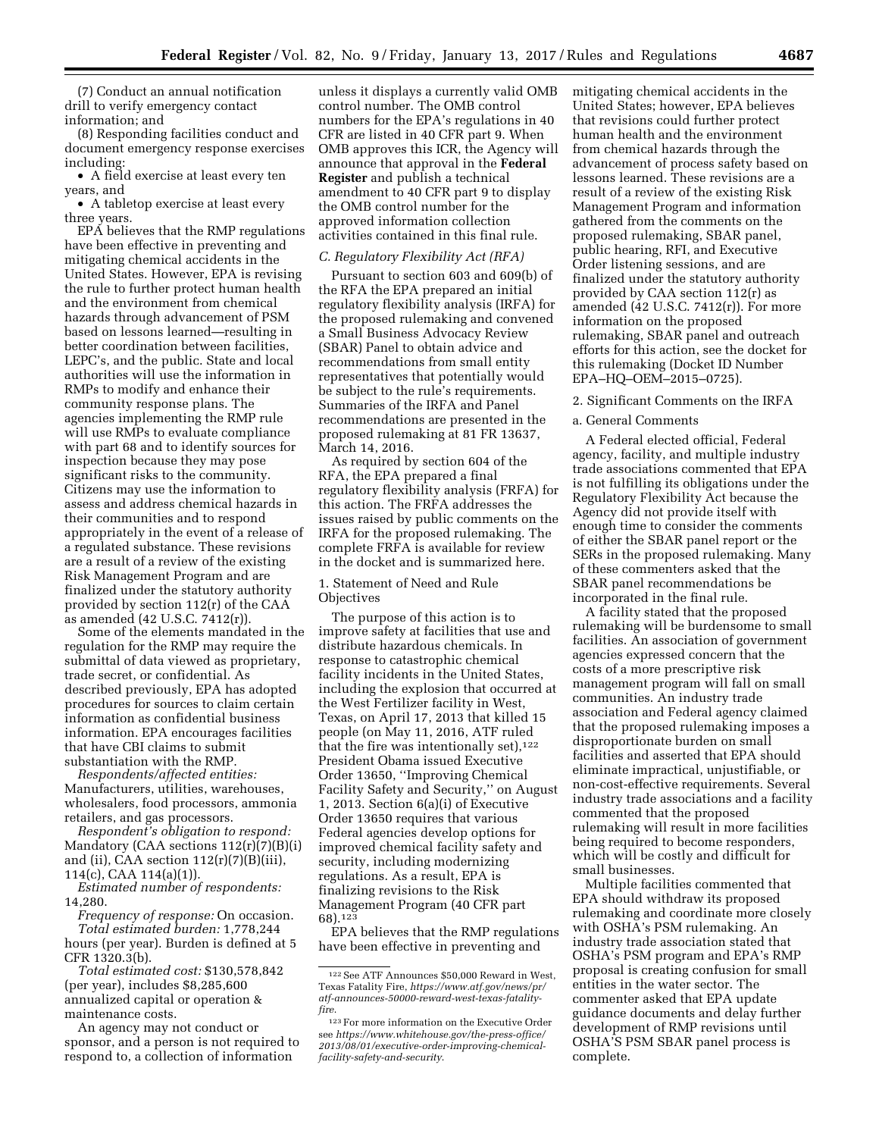(7) Conduct an annual notification drill to verify emergency contact information; and

(8) Responding facilities conduct and document emergency response exercises including:

• A field exercise at least every ten years, and

• A tabletop exercise at least every three years.

EPA believes that the RMP regulations have been effective in preventing and mitigating chemical accidents in the United States. However, EPA is revising the rule to further protect human health and the environment from chemical hazards through advancement of PSM based on lessons learned—resulting in better coordination between facilities, LEPC's, and the public. State and local authorities will use the information in RMPs to modify and enhance their community response plans. The agencies implementing the RMP rule will use RMPs to evaluate compliance with part 68 and to identify sources for inspection because they may pose significant risks to the community. Citizens may use the information to assess and address chemical hazards in their communities and to respond appropriately in the event of a release of a regulated substance. These revisions are a result of a review of the existing Risk Management Program and are finalized under the statutory authority provided by section 112(r) of the CAA as amended (42 U.S.C. 7412(r)).

Some of the elements mandated in the regulation for the RMP may require the submittal of data viewed as proprietary, trade secret, or confidential. As described previously, EPA has adopted procedures for sources to claim certain information as confidential business information. EPA encourages facilities that have CBI claims to submit substantiation with the RMP.

*Respondents/affected entities:*  Manufacturers, utilities, warehouses, wholesalers, food processors, ammonia retailers, and gas processors.

*Respondent's obligation to respond:*  Mandatory (CAA sections  $112(r)(7)(B)(i)$ and (ii), CAA section  $112(r)(7)(B)(iii)$ , 114(c), CAA 114(a)(1)).

*Estimated number of respondents:*  14,280.

*Frequency of response:* On occasion. *Total estimated burden:* 1,778,244 hours (per year). Burden is defined at 5 CFR 1320.3(b).

*Total estimated cost:* \$130,578,842 (per year), includes \$8,285,600 annualized capital or operation & maintenance costs.

An agency may not conduct or sponsor, and a person is not required to respond to, a collection of information

unless it displays a currently valid OMB control number. The OMB control numbers for the EPA's regulations in 40 CFR are listed in 40 CFR part 9. When OMB approves this ICR, the Agency will announce that approval in the **Federal Register** and publish a technical amendment to 40 CFR part 9 to display the OMB control number for the approved information collection activities contained in this final rule.

### *C. Regulatory Flexibility Act (RFA)*

Pursuant to section 603 and 609(b) of the RFA the EPA prepared an initial regulatory flexibility analysis (IRFA) for the proposed rulemaking and convened a Small Business Advocacy Review (SBAR) Panel to obtain advice and recommendations from small entity representatives that potentially would be subject to the rule's requirements. Summaries of the IRFA and Panel recommendations are presented in the proposed rulemaking at 81 FR 13637, March 14, 2016.

As required by section 604 of the RFA, the EPA prepared a final regulatory flexibility analysis (FRFA) for this action. The FRFA addresses the issues raised by public comments on the IRFA for the proposed rulemaking. The complete FRFA is available for review in the docket and is summarized here.

1. Statement of Need and Rule **Objectives** 

The purpose of this action is to improve safety at facilities that use and distribute hazardous chemicals. In response to catastrophic chemical facility incidents in the United States, including the explosion that occurred at the West Fertilizer facility in West, Texas, on April 17, 2013 that killed 15 people (on May 11, 2016, ATF ruled that the fire was intentionally set),<sup>122</sup> President Obama issued Executive Order 13650, ''Improving Chemical Facility Safety and Security,'' on August 1, 2013. Section 6(a)(i) of Executive Order 13650 requires that various Federal agencies develop options for improved chemical facility safety and security, including modernizing regulations. As a result, EPA is finalizing revisions to the Risk Management Program (40 CFR part 68).123

EPA believes that the RMP regulations have been effective in preventing and

mitigating chemical accidents in the United States; however, EPA believes that revisions could further protect human health and the environment from chemical hazards through the advancement of process safety based on lessons learned. These revisions are a result of a review of the existing Risk Management Program and information gathered from the comments on the proposed rulemaking, SBAR panel, public hearing, RFI, and Executive Order listening sessions, and are finalized under the statutory authority provided by CAA section 112(r) as amended  $(42 \text{ U.S.C. } 7412(\text{r}))$ . For more information on the proposed rulemaking, SBAR panel and outreach efforts for this action, see the docket for this rulemaking (Docket ID Number EPA–HQ–OEM–2015–0725).

2. Significant Comments on the IRFA

### a. General Comments

A Federal elected official, Federal agency, facility, and multiple industry trade associations commented that EPA is not fulfilling its obligations under the Regulatory Flexibility Act because the Agency did not provide itself with enough time to consider the comments of either the SBAR panel report or the SERs in the proposed rulemaking. Many of these commenters asked that the SBAR panel recommendations be incorporated in the final rule.

A facility stated that the proposed rulemaking will be burdensome to small facilities. An association of government agencies expressed concern that the costs of a more prescriptive risk management program will fall on small communities. An industry trade association and Federal agency claimed that the proposed rulemaking imposes a disproportionate burden on small facilities and asserted that EPA should eliminate impractical, unjustifiable, or non-cost-effective requirements. Several industry trade associations and a facility commented that the proposed rulemaking will result in more facilities being required to become responders, which will be costly and difficult for small businesses.

Multiple facilities commented that EPA should withdraw its proposed rulemaking and coordinate more closely with OSHA's PSM rulemaking. An industry trade association stated that OSHA's PSM program and EPA's RMP proposal is creating confusion for small entities in the water sector. The commenter asked that EPA update guidance documents and delay further development of RMP revisions until OSHA'S PSM SBAR panel process is complete.

<sup>122</sup>See ATF Announces \$50,000 Reward in West, Texas Fatality Fire, *[https://www.atf.gov/news/pr/](https://www.atf.gov/news/pr/atf-announces-50000-reward-west-texas-fatality-fire) [atf-announces-50000-reward-west-texas-fatality](https://www.atf.gov/news/pr/atf-announces-50000-reward-west-texas-fatality-fire)[fire](https://www.atf.gov/news/pr/atf-announces-50000-reward-west-texas-fatality-fire)*.

<sup>123</sup>For more information on the Executive Order see *[https://www.whitehouse.gov/the-press-office/](https://www.whitehouse.gov/the-press-office/2013/08/01/executive-order-improving-chemical-facility-safety-and-security) [2013/08/01/executive-order-improving-chemical](https://www.whitehouse.gov/the-press-office/2013/08/01/executive-order-improving-chemical-facility-safety-and-security)[facility-safety-and-security](https://www.whitehouse.gov/the-press-office/2013/08/01/executive-order-improving-chemical-facility-safety-and-security)*.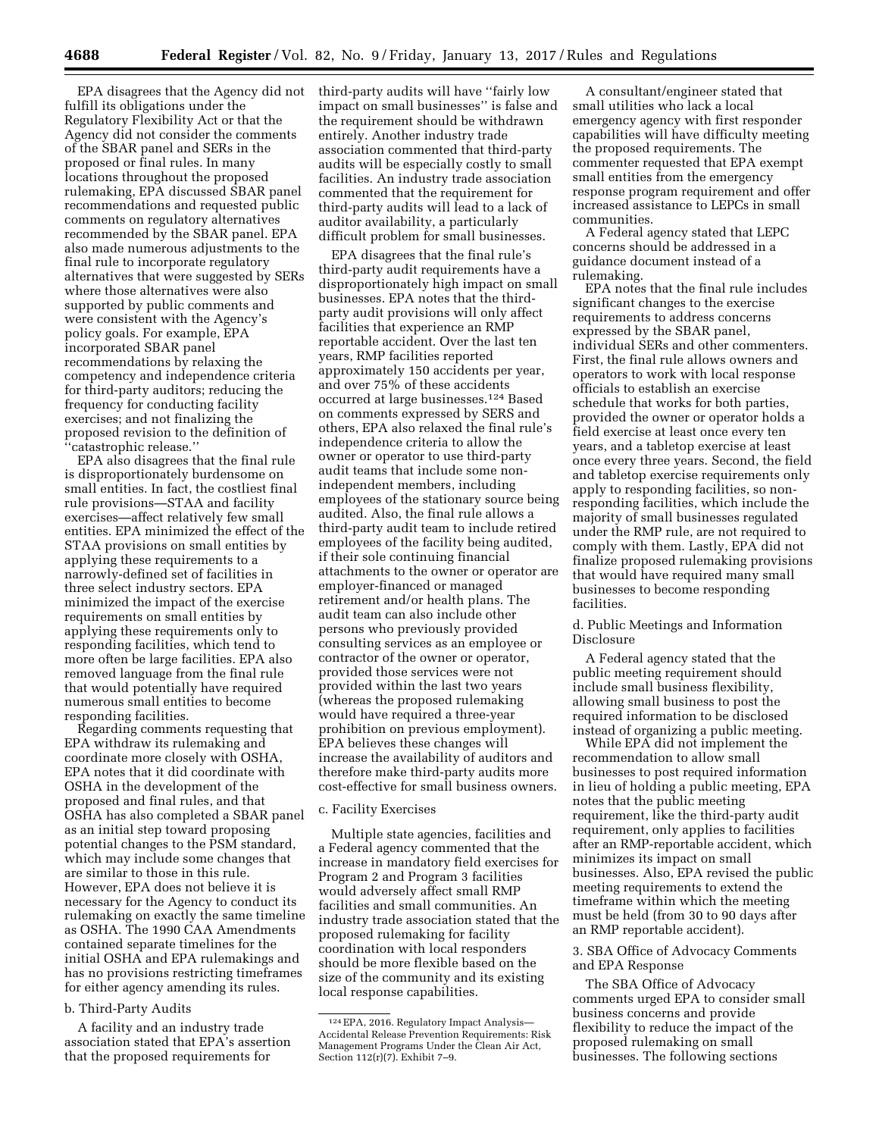fulfill its obligations under the Regulatory Flexibility Act or that the Agency did not consider the comments of the SBAR panel and SERs in the proposed or final rules. In many locations throughout the proposed rulemaking, EPA discussed SBAR panel recommendations and requested public comments on regulatory alternatives recommended by the SBAR panel. EPA also made numerous adjustments to the final rule to incorporate regulatory alternatives that were suggested by SERs where those alternatives were also supported by public comments and were consistent with the Agency's policy goals. For example, EPA incorporated SBAR panel recommendations by relaxing the competency and independence criteria for third-party auditors; reducing the frequency for conducting facility exercises; and not finalizing the proposed revision to the definition of 'catastrophic release.'

EPA also disagrees that the final rule is disproportionately burdensome on small entities. In fact, the costliest final rule provisions—STAA and facility exercises—affect relatively few small entities. EPA minimized the effect of the STAA provisions on small entities by applying these requirements to a narrowly-defined set of facilities in three select industry sectors. EPA minimized the impact of the exercise requirements on small entities by applying these requirements only to responding facilities, which tend to more often be large facilities. EPA also removed language from the final rule that would potentially have required numerous small entities to become responding facilities.

Regarding comments requesting that EPA withdraw its rulemaking and coordinate more closely with OSHA, EPA notes that it did coordinate with OSHA in the development of the proposed and final rules, and that OSHA has also completed a SBAR panel as an initial step toward proposing potential changes to the PSM standard, which may include some changes that are similar to those in this rule. However, EPA does not believe it is necessary for the Agency to conduct its rulemaking on exactly the same timeline as OSHA. The 1990 CAA Amendments contained separate timelines for the initial OSHA and EPA rulemakings and has no provisions restricting timeframes for either agency amending its rules.

## b. Third-Party Audits

A facility and an industry trade association stated that EPA's assertion that the proposed requirements for

EPA disagrees that the Agency did not third-party audits will have ''fairly low impact on small businesses'' is false and the requirement should be withdrawn entirely. Another industry trade association commented that third-party audits will be especially costly to small facilities. An industry trade association commented that the requirement for third-party audits will lead to a lack of auditor availability, a particularly difficult problem for small businesses.

> EPA disagrees that the final rule's third-party audit requirements have a disproportionately high impact on small businesses. EPA notes that the thirdparty audit provisions will only affect facilities that experience an RMP reportable accident. Over the last ten years, RMP facilities reported approximately 150 accidents per year, and over 75% of these accidents occurred at large businesses.124 Based on comments expressed by SERS and others, EPA also relaxed the final rule's independence criteria to allow the owner or operator to use third-party audit teams that include some nonindependent members, including employees of the stationary source being audited. Also, the final rule allows a third-party audit team to include retired employees of the facility being audited, if their sole continuing financial attachments to the owner or operator are employer-financed or managed retirement and/or health plans. The audit team can also include other persons who previously provided consulting services as an employee or contractor of the owner or operator, provided those services were not provided within the last two years (whereas the proposed rulemaking would have required a three-year prohibition on previous employment). EPA believes these changes will increase the availability of auditors and therefore make third-party audits more cost-effective for small business owners.

#### c. Facility Exercises

Multiple state agencies, facilities and a Federal agency commented that the increase in mandatory field exercises for Program 2 and Program 3 facilities would adversely affect small RMP facilities and small communities. An industry trade association stated that the proposed rulemaking for facility coordination with local responders should be more flexible based on the size of the community and its existing local response capabilities.

A consultant/engineer stated that small utilities who lack a local emergency agency with first responder capabilities will have difficulty meeting the proposed requirements. The commenter requested that EPA exempt small entities from the emergency response program requirement and offer increased assistance to LEPCs in small communities.

A Federal agency stated that LEPC concerns should be addressed in a guidance document instead of a rulemaking.

EPA notes that the final rule includes significant changes to the exercise requirements to address concerns expressed by the SBAR panel, individual SERs and other commenters. First, the final rule allows owners and operators to work with local response officials to establish an exercise schedule that works for both parties, provided the owner or operator holds a field exercise at least once every ten years, and a tabletop exercise at least once every three years. Second, the field and tabletop exercise requirements only apply to responding facilities, so nonresponding facilities, which include the majority of small businesses regulated under the RMP rule, are not required to comply with them. Lastly, EPA did not finalize proposed rulemaking provisions that would have required many small businesses to become responding facilities.

d. Public Meetings and Information Disclosure

A Federal agency stated that the public meeting requirement should include small business flexibility, allowing small business to post the required information to be disclosed instead of organizing a public meeting.

While EPA did not implement the recommendation to allow small businesses to post required information in lieu of holding a public meeting, EPA notes that the public meeting requirement, like the third-party audit requirement, only applies to facilities after an RMP-reportable accident, which minimizes its impact on small businesses. Also, EPA revised the public meeting requirements to extend the timeframe within which the meeting must be held (from 30 to 90 days after an RMP reportable accident).

3. SBA Office of Advocacy Comments and EPA Response

The SBA Office of Advocacy comments urged EPA to consider small business concerns and provide flexibility to reduce the impact of the proposed rulemaking on small businesses. The following sections

<sup>124</sup>EPA, 2016. Regulatory Impact Analysis— Accidental Release Prevention Requirements: Risk Management Programs Under the Clean Air Act, Section 112(r)(7). Exhibit 7–9.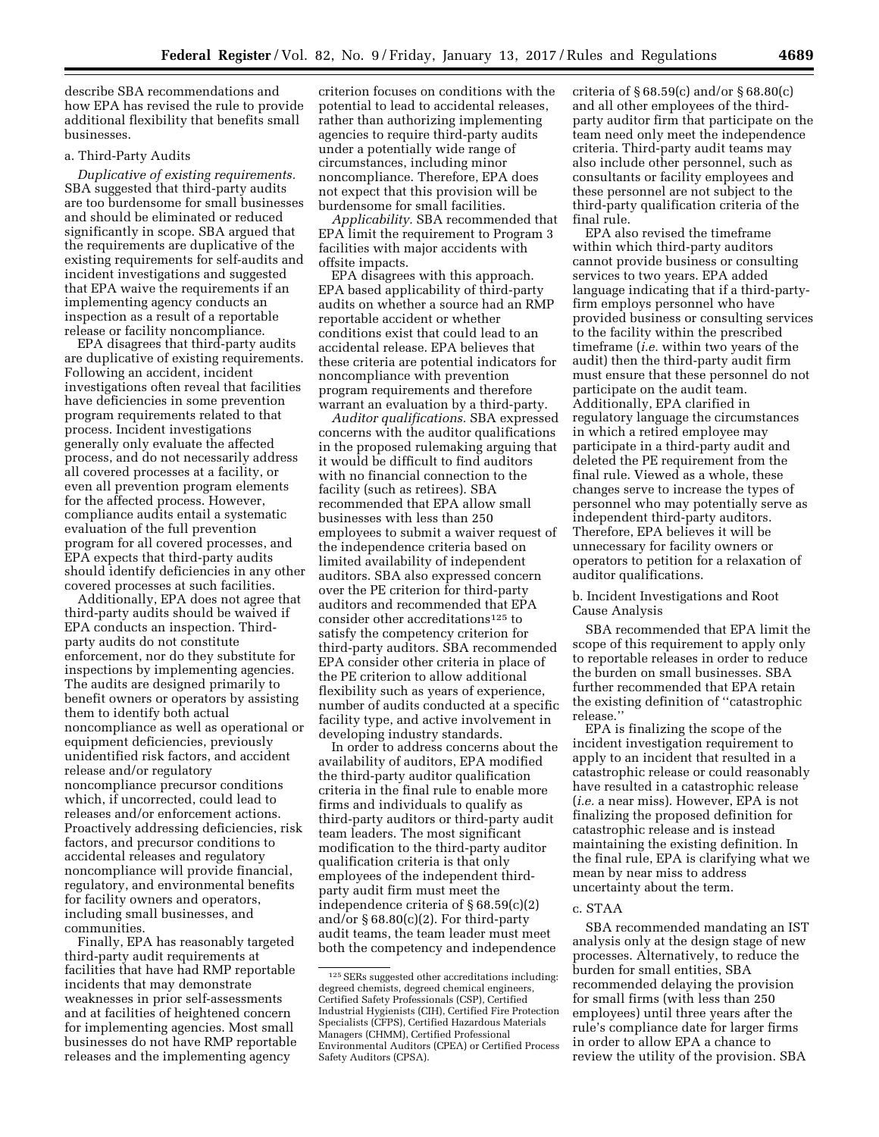describe SBA recommendations and how EPA has revised the rule to provide additional flexibility that benefits small businesses.

## a. Third-Party Audits

*Duplicative of existing requirements.*  SBA suggested that third-party audits are too burdensome for small businesses and should be eliminated or reduced significantly in scope. SBA argued that the requirements are duplicative of the existing requirements for self-audits and incident investigations and suggested that EPA waive the requirements if an implementing agency conducts an inspection as a result of a reportable release or facility noncompliance.

EPA disagrees that third-party audits are duplicative of existing requirements. Following an accident, incident investigations often reveal that facilities have deficiencies in some prevention program requirements related to that process. Incident investigations generally only evaluate the affected process, and do not necessarily address all covered processes at a facility, or even all prevention program elements for the affected process. However, compliance audits entail a systematic evaluation of the full prevention program for all covered processes, and EPA expects that third-party audits should identify deficiencies in any other covered processes at such facilities.

Additionally, EPA does not agree that third-party audits should be waived if EPA conducts an inspection. Thirdparty audits do not constitute enforcement, nor do they substitute for inspections by implementing agencies. The audits are designed primarily to benefit owners or operators by assisting them to identify both actual noncompliance as well as operational or equipment deficiencies, previously unidentified risk factors, and accident release and/or regulatory noncompliance precursor conditions which, if uncorrected, could lead to releases and/or enforcement actions. Proactively addressing deficiencies, risk factors, and precursor conditions to accidental releases and regulatory noncompliance will provide financial, regulatory, and environmental benefits for facility owners and operators, including small businesses, and communities.

Finally, EPA has reasonably targeted third-party audit requirements at facilities that have had RMP reportable incidents that may demonstrate weaknesses in prior self-assessments and at facilities of heightened concern for implementing agencies. Most small businesses do not have RMP reportable releases and the implementing agency

criterion focuses on conditions with the potential to lead to accidental releases, rather than authorizing implementing agencies to require third-party audits under a potentially wide range of circumstances, including minor noncompliance. Therefore, EPA does not expect that this provision will be burdensome for small facilities.

*Applicability.* SBA recommended that EPA limit the requirement to Program 3 facilities with major accidents with offsite impacts.

EPA disagrees with this approach. EPA based applicability of third-party audits on whether a source had an RMP reportable accident or whether conditions exist that could lead to an accidental release. EPA believes that these criteria are potential indicators for noncompliance with prevention program requirements and therefore warrant an evaluation by a third-party.

*Auditor qualifications.* SBA expressed concerns with the auditor qualifications in the proposed rulemaking arguing that it would be difficult to find auditors with no financial connection to the facility (such as retirees). SBA recommended that EPA allow small businesses with less than 250 employees to submit a waiver request of the independence criteria based on limited availability of independent auditors. SBA also expressed concern over the PE criterion for third-party auditors and recommended that EPA consider other accreditations125 to satisfy the competency criterion for third-party auditors. SBA recommended EPA consider other criteria in place of the PE criterion to allow additional flexibility such as years of experience, number of audits conducted at a specific facility type, and active involvement in developing industry standards.

In order to address concerns about the availability of auditors, EPA modified the third-party auditor qualification criteria in the final rule to enable more firms and individuals to qualify as third-party auditors or third-party audit team leaders. The most significant modification to the third-party auditor qualification criteria is that only employees of the independent thirdparty audit firm must meet the independence criteria of § 68.59(c)(2) and/or § 68.80(c)(2). For third-party audit teams, the team leader must meet both the competency and independence

criteria of § 68.59(c) and/or § 68.80(c) and all other employees of the thirdparty auditor firm that participate on the team need only meet the independence criteria. Third-party audit teams may also include other personnel, such as consultants or facility employees and these personnel are not subject to the third-party qualification criteria of the final rule.

EPA also revised the timeframe within which third-party auditors cannot provide business or consulting services to two years. EPA added language indicating that if a third-partyfirm employs personnel who have provided business or consulting services to the facility within the prescribed timeframe (*i.e.* within two years of the audit) then the third-party audit firm must ensure that these personnel do not participate on the audit team. Additionally, EPA clarified in regulatory language the circumstances in which a retired employee may participate in a third-party audit and deleted the PE requirement from the final rule. Viewed as a whole, these changes serve to increase the types of personnel who may potentially serve as independent third-party auditors. Therefore, EPA believes it will be unnecessary for facility owners or operators to petition for a relaxation of auditor qualifications.

b. Incident Investigations and Root Cause Analysis

SBA recommended that EPA limit the scope of this requirement to apply only to reportable releases in order to reduce the burden on small businesses. SBA further recommended that EPA retain the existing definition of ''catastrophic release.''

EPA is finalizing the scope of the incident investigation requirement to apply to an incident that resulted in a catastrophic release or could reasonably have resulted in a catastrophic release (*i.e.* a near miss). However, EPA is not finalizing the proposed definition for catastrophic release and is instead maintaining the existing definition. In the final rule, EPA is clarifying what we mean by near miss to address uncertainty about the term.

#### c. STAA

SBA recommended mandating an IST analysis only at the design stage of new processes. Alternatively, to reduce the burden for small entities, SBA recommended delaying the provision for small firms (with less than 250 employees) until three years after the rule's compliance date for larger firms in order to allow EPA a chance to review the utility of the provision. SBA

<sup>125</sup>SERs suggested other accreditations including: degreed chemists, degreed chemical engineers, Certified Safety Professionals (CSP), Certified Industrial Hygienists (CIH), Certified Fire Protection Specialists (CFPS), Certified Hazardous Materials Managers (CHMM), Certified Professional Environmental Auditors (CPEA) or Certified Process Safety Auditors (CPSA).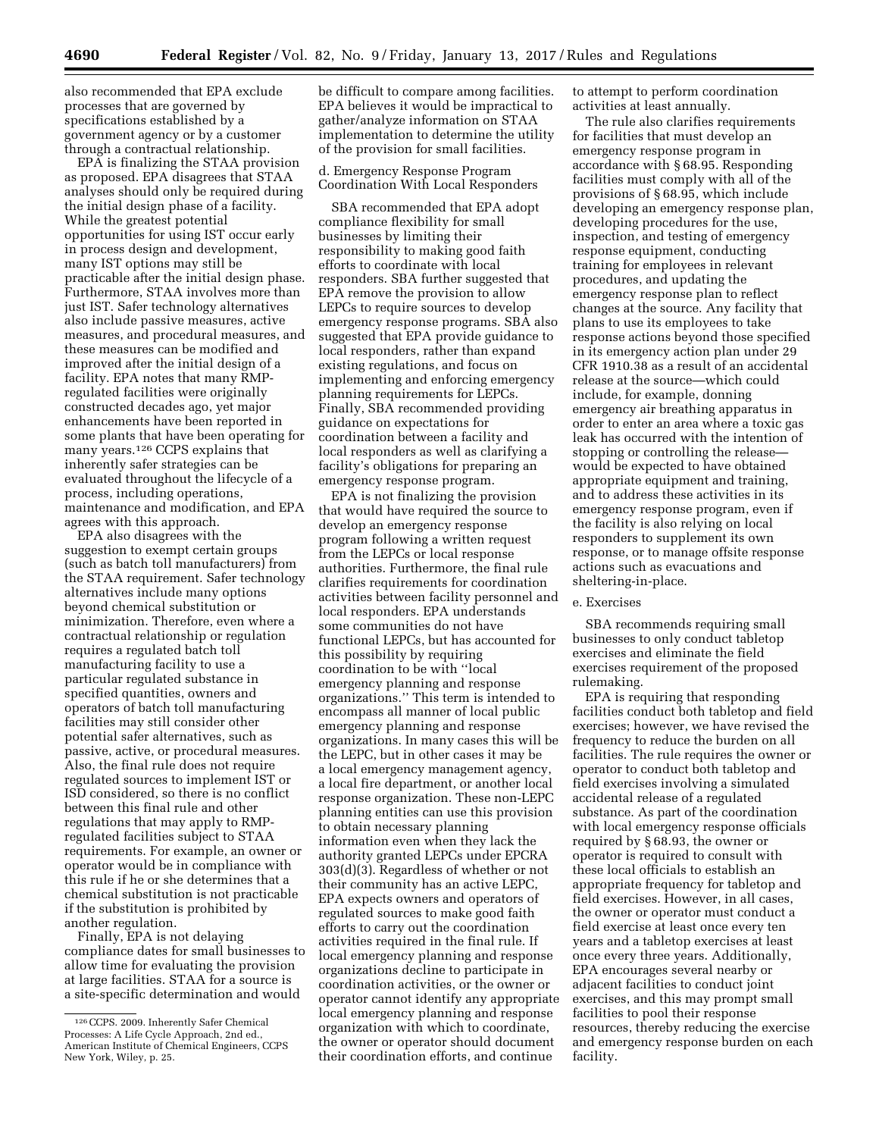also recommended that EPA exclude processes that are governed by specifications established by a government agency or by a customer through a contractual relationship.

EPA is finalizing the STAA provision as proposed. EPA disagrees that STAA analyses should only be required during the initial design phase of a facility. While the greatest potential opportunities for using IST occur early in process design and development, many IST options may still be practicable after the initial design phase. Furthermore, STAA involves more than just IST. Safer technology alternatives also include passive measures, active measures, and procedural measures, and these measures can be modified and improved after the initial design of a facility. EPA notes that many RMPregulated facilities were originally constructed decades ago, yet major enhancements have been reported in some plants that have been operating for many years.126 CCPS explains that inherently safer strategies can be evaluated throughout the lifecycle of a process, including operations, maintenance and modification, and EPA agrees with this approach.

EPA also disagrees with the suggestion to exempt certain groups (such as batch toll manufacturers) from the STAA requirement. Safer technology alternatives include many options beyond chemical substitution or minimization. Therefore, even where a contractual relationship or regulation requires a regulated batch toll manufacturing facility to use a particular regulated substance in specified quantities, owners and operators of batch toll manufacturing facilities may still consider other potential safer alternatives, such as passive, active, or procedural measures. Also, the final rule does not require regulated sources to implement IST or ISD considered, so there is no conflict between this final rule and other regulations that may apply to RMPregulated facilities subject to STAA requirements. For example, an owner or operator would be in compliance with this rule if he or she determines that a chemical substitution is not practicable if the substitution is prohibited by another regulation.

Finally, EPA is not delaying compliance dates for small businesses to allow time for evaluating the provision at large facilities. STAA for a source is a site-specific determination and would

be difficult to compare among facilities. EPA believes it would be impractical to gather/analyze information on STAA implementation to determine the utility of the provision for small facilities.

### d. Emergency Response Program Coordination With Local Responders

SBA recommended that EPA adopt compliance flexibility for small businesses by limiting their responsibility to making good faith efforts to coordinate with local responders. SBA further suggested that EPA remove the provision to allow LEPCs to require sources to develop emergency response programs. SBA also suggested that EPA provide guidance to local responders, rather than expand existing regulations, and focus on implementing and enforcing emergency planning requirements for LEPCs. Finally, SBA recommended providing guidance on expectations for coordination between a facility and local responders as well as clarifying a facility's obligations for preparing an emergency response program.

EPA is not finalizing the provision that would have required the source to develop an emergency response program following a written request from the LEPCs or local response authorities. Furthermore, the final rule clarifies requirements for coordination activities between facility personnel and local responders. EPA understands some communities do not have functional LEPCs, but has accounted for this possibility by requiring coordination to be with ''local emergency planning and response organizations.'' This term is intended to encompass all manner of local public emergency planning and response organizations. In many cases this will be the LEPC, but in other cases it may be a local emergency management agency, a local fire department, or another local response organization. These non-LEPC planning entities can use this provision to obtain necessary planning information even when they lack the authority granted LEPCs under EPCRA 303(d)(3). Regardless of whether or not their community has an active LEPC, EPA expects owners and operators of regulated sources to make good faith efforts to carry out the coordination activities required in the final rule. If local emergency planning and response organizations decline to participate in coordination activities, or the owner or operator cannot identify any appropriate local emergency planning and response organization with which to coordinate, the owner or operator should document their coordination efforts, and continue

to attempt to perform coordination activities at least annually.

The rule also clarifies requirements for facilities that must develop an emergency response program in accordance with § 68.95. Responding facilities must comply with all of the provisions of § 68.95, which include developing an emergency response plan, developing procedures for the use, inspection, and testing of emergency response equipment, conducting training for employees in relevant procedures, and updating the emergency response plan to reflect changes at the source. Any facility that plans to use its employees to take response actions beyond those specified in its emergency action plan under 29 CFR 1910.38 as a result of an accidental release at the source—which could include, for example, donning emergency air breathing apparatus in order to enter an area where a toxic gas leak has occurred with the intention of stopping or controlling the release would be expected to have obtained appropriate equipment and training, and to address these activities in its emergency response program, even if the facility is also relying on local responders to supplement its own response, or to manage offsite response actions such as evacuations and sheltering-in-place.

### e. Exercises

SBA recommends requiring small businesses to only conduct tabletop exercises and eliminate the field exercises requirement of the proposed rulemaking.

EPA is requiring that responding facilities conduct both tabletop and field exercises; however, we have revised the frequency to reduce the burden on all facilities. The rule requires the owner or operator to conduct both tabletop and field exercises involving a simulated accidental release of a regulated substance. As part of the coordination with local emergency response officials required by § 68.93, the owner or operator is required to consult with these local officials to establish an appropriate frequency for tabletop and field exercises. However, in all cases, the owner or operator must conduct a field exercise at least once every ten years and a tabletop exercises at least once every three years. Additionally, EPA encourages several nearby or adjacent facilities to conduct joint exercises, and this may prompt small facilities to pool their response resources, thereby reducing the exercise and emergency response burden on each facility.

<sup>126</sup>CCPS. 2009. Inherently Safer Chemical Processes: A Life Cycle Approach, 2nd ed., American Institute of Chemical Engineers, CCPS New York, Wiley, p. 25.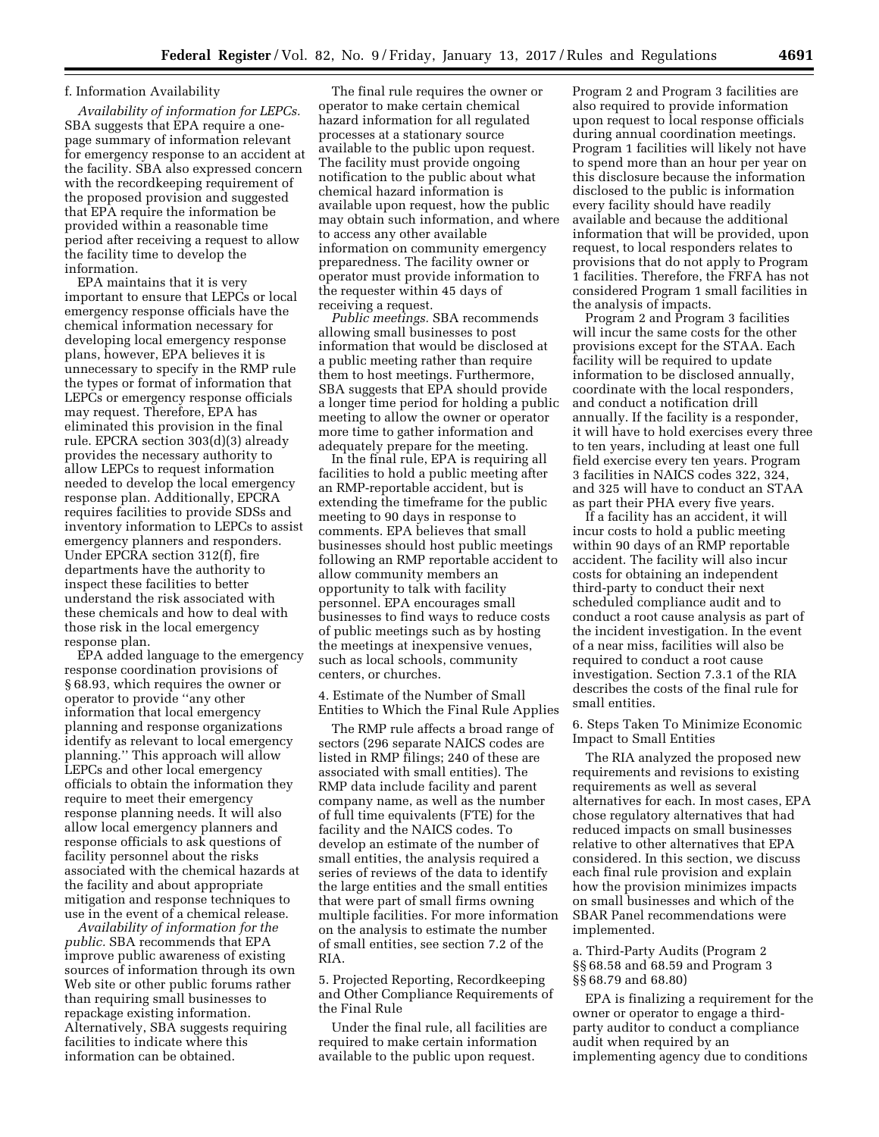## f. Information Availability

*Availability of information for LEPCs.*  SBA suggests that EPA require a onepage summary of information relevant for emergency response to an accident at the facility. SBA also expressed concern with the recordkeeping requirement of the proposed provision and suggested that EPA require the information be provided within a reasonable time period after receiving a request to allow the facility time to develop the information.

EPA maintains that it is very important to ensure that LEPCs or local emergency response officials have the chemical information necessary for developing local emergency response plans, however, EPA believes it is unnecessary to specify in the RMP rule the types or format of information that LEPCs or emergency response officials may request. Therefore, EPA has eliminated this provision in the final rule. EPCRA section 303(d)(3) already provides the necessary authority to allow LEPCs to request information needed to develop the local emergency response plan. Additionally, EPCRA requires facilities to provide SDSs and inventory information to LEPCs to assist emergency planners and responders. Under EPCRA section 312(f), fire departments have the authority to inspect these facilities to better understand the risk associated with these chemicals and how to deal with those risk in the local emergency response plan.

EPA added language to the emergency response coordination provisions of § 68.93, which requires the owner or operator to provide ''any other information that local emergency planning and response organizations identify as relevant to local emergency planning.'' This approach will allow LEPCs and other local emergency officials to obtain the information they require to meet their emergency response planning needs. It will also allow local emergency planners and response officials to ask questions of facility personnel about the risks associated with the chemical hazards at the facility and about appropriate mitigation and response techniques to use in the event of a chemical release.

*Availability of information for the public.* SBA recommends that EPA improve public awareness of existing sources of information through its own Web site or other public forums rather than requiring small businesses to repackage existing information. Alternatively, SBA suggests requiring facilities to indicate where this information can be obtained.

The final rule requires the owner or operator to make certain chemical hazard information for all regulated processes at a stationary source available to the public upon request. The facility must provide ongoing notification to the public about what chemical hazard information is available upon request, how the public may obtain such information, and where to access any other available information on community emergency preparedness. The facility owner or operator must provide information to the requester within 45 days of receiving a request.

*Public meetings.* SBA recommends allowing small businesses to post information that would be disclosed at a public meeting rather than require them to host meetings. Furthermore, SBA suggests that EPA should provide a longer time period for holding a public meeting to allow the owner or operator more time to gather information and adequately prepare for the meeting.

In the final rule, EPA is requiring all facilities to hold a public meeting after an RMP-reportable accident, but is extending the timeframe for the public meeting to 90 days in response to comments. EPA believes that small businesses should host public meetings following an RMP reportable accident to allow community members an opportunity to talk with facility personnel. EPA encourages small businesses to find ways to reduce costs of public meetings such as by hosting the meetings at inexpensive venues, such as local schools, community centers, or churches.

4. Estimate of the Number of Small Entities to Which the Final Rule Applies

The RMP rule affects a broad range of sectors (296 separate NAICS codes are listed in RMP filings; 240 of these are associated with small entities). The RMP data include facility and parent company name, as well as the number of full time equivalents (FTE) for the facility and the NAICS codes. To develop an estimate of the number of small entities, the analysis required a series of reviews of the data to identify the large entities and the small entities that were part of small firms owning multiple facilities. For more information on the analysis to estimate the number of small entities, see section 7.2 of the RIA.

5. Projected Reporting, Recordkeeping and Other Compliance Requirements of the Final Rule

Under the final rule, all facilities are required to make certain information available to the public upon request.

Program 2 and Program 3 facilities are also required to provide information upon request to local response officials during annual coordination meetings. Program 1 facilities will likely not have to spend more than an hour per year on this disclosure because the information disclosed to the public is information every facility should have readily available and because the additional information that will be provided, upon request, to local responders relates to provisions that do not apply to Program 1 facilities. Therefore, the FRFA has not considered Program 1 small facilities in the analysis of impacts.

Program 2 and Program 3 facilities will incur the same costs for the other provisions except for the STAA. Each facility will be required to update information to be disclosed annually, coordinate with the local responders, and conduct a notification drill annually. If the facility is a responder, it will have to hold exercises every three to ten years, including at least one full field exercise every ten years. Program 3 facilities in NAICS codes 322, 324, and 325 will have to conduct an STAA as part their PHA every five years.

If a facility has an accident, it will incur costs to hold a public meeting within 90 days of an RMP reportable accident. The facility will also incur costs for obtaining an independent third-party to conduct their next scheduled compliance audit and to conduct a root cause analysis as part of the incident investigation. In the event of a near miss, facilities will also be required to conduct a root cause investigation. Section 7.3.1 of the RIA describes the costs of the final rule for small entities.

6. Steps Taken To Minimize Economic Impact to Small Entities

The RIA analyzed the proposed new requirements and revisions to existing requirements as well as several alternatives for each. In most cases, EPA chose regulatory alternatives that had reduced impacts on small businesses relative to other alternatives that EPA considered. In this section, we discuss each final rule provision and explain how the provision minimizes impacts on small businesses and which of the SBAR Panel recommendations were implemented.

a. Third-Party Audits (Program 2 §§ 68.58 and 68.59 and Program 3 §§ 68.79 and 68.80)

EPA is finalizing a requirement for the owner or operator to engage a thirdparty auditor to conduct a compliance audit when required by an implementing agency due to conditions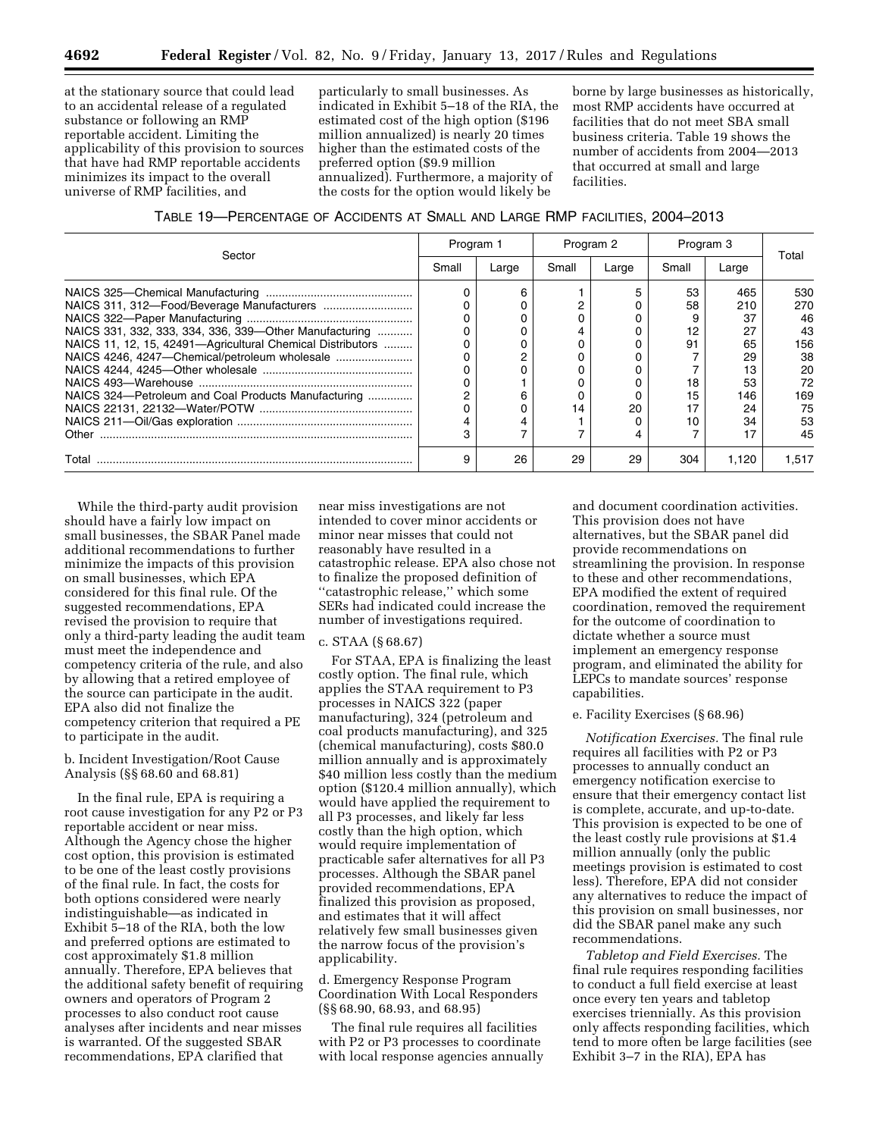at the stationary source that could lead to an accidental release of a regulated substance or following an RMP reportable accident. Limiting the applicability of this provision to sources that have had RMP reportable accidents minimizes its impact to the overall universe of RMP facilities, and

particularly to small businesses. As indicated in Exhibit 5–18 of the RIA, the estimated cost of the high option (\$196 million annualized) is nearly 20 times higher than the estimated costs of the preferred option (\$9.9 million annualized). Furthermore, a majority of the costs for the option would likely be

borne by large businesses as historically, most RMP accidents have occurred at facilities that do not meet SBA small business criteria. Table 19 shows the number of accidents from 2004—2013 that occurred at small and large facilities.

| TABLE 19—PERCENTAGE OF ACCIDENTS AT SMALL AND LARGE RMP FACILITIES, 2004—2013 |  |  |  |
|-------------------------------------------------------------------------------|--|--|--|
|-------------------------------------------------------------------------------|--|--|--|

| Sector                                                     | Program 1 |       | Program 2 |       | Program 3 |       |       |
|------------------------------------------------------------|-----------|-------|-----------|-------|-----------|-------|-------|
|                                                            | Small     | Large | Small     | Large | Small     | Large | Total |
|                                                            |           |       |           |       | 53        | 465   | 530   |
|                                                            |           |       |           |       | 58        | 210   | 270   |
|                                                            |           |       |           |       |           | 37    | 46    |
| NAICS 331, 332, 333, 334, 336, 339-Other Manufacturing     |           |       |           |       | 12        | 27    | 43    |
| NAICS 11, 12, 15, 42491—Agricultural Chemical Distributors |           |       |           |       | 91        | 65    | 156   |
| NAICS 4246, 4247-Chemical/petroleum wholesale              |           |       |           |       |           | 29    | 38    |
|                                                            |           |       |           |       |           | 13    | 20    |
|                                                            |           |       |           |       | 18        | 53    | 72    |
| NAICS 324-Petroleum and Coal Products Manufacturing        |           |       |           |       | 15        | 146   | 169   |
|                                                            |           |       |           | 20    |           | 24    | 75    |
|                                                            |           |       |           |       |           | 34    | 53    |
| Other                                                      |           |       |           |       |           | 17    | 45    |
| Total                                                      | 9         | 26    | 29        | 29    | 304       | 1.120 | 1.517 |

While the third-party audit provision should have a fairly low impact on small businesses, the SBAR Panel made additional recommendations to further minimize the impacts of this provision on small businesses, which EPA considered for this final rule. Of the suggested recommendations, EPA revised the provision to require that only a third-party leading the audit team must meet the independence and competency criteria of the rule, and also by allowing that a retired employee of the source can participate in the audit. EPA also did not finalize the competency criterion that required a PE to participate in the audit.

## b. Incident Investigation/Root Cause Analysis (§§ 68.60 and 68.81)

In the final rule, EPA is requiring a root cause investigation for any P2 or P3 reportable accident or near miss. Although the Agency chose the higher cost option, this provision is estimated to be one of the least costly provisions of the final rule. In fact, the costs for both options considered were nearly indistinguishable—as indicated in Exhibit 5–18 of the RIA, both the low and preferred options are estimated to cost approximately \$1.8 million annually. Therefore, EPA believes that the additional safety benefit of requiring owners and operators of Program 2 processes to also conduct root cause analyses after incidents and near misses is warranted. Of the suggested SBAR recommendations, EPA clarified that

near miss investigations are not intended to cover minor accidents or minor near misses that could not reasonably have resulted in a catastrophic release. EPA also chose not to finalize the proposed definition of ''catastrophic release,'' which some SERs had indicated could increase the number of investigations required.

#### c. STAA (§ 68.67)

For STAA, EPA is finalizing the least costly option. The final rule, which applies the STAA requirement to P3 processes in NAICS 322 (paper manufacturing), 324 (petroleum and coal products manufacturing), and 325 (chemical manufacturing), costs \$80.0 million annually and is approximately \$40 million less costly than the medium option (\$120.4 million annually), which would have applied the requirement to all P3 processes, and likely far less costly than the high option, which would require implementation of practicable safer alternatives for all P3 processes. Although the SBAR panel provided recommendations, EPA finalized this provision as proposed, and estimates that it will affect relatively few small businesses given the narrow focus of the provision's applicability.

d. Emergency Response Program Coordination With Local Responders (§§ 68.90, 68.93, and 68.95)

The final rule requires all facilities with P2 or P3 processes to coordinate with local response agencies annually

and document coordination activities. This provision does not have alternatives, but the SBAR panel did provide recommendations on streamlining the provision. In response to these and other recommendations, EPA modified the extent of required coordination, removed the requirement for the outcome of coordination to dictate whether a source must implement an emergency response program, and eliminated the ability for LEPCs to mandate sources' response capabilities.

#### e. Facility Exercises (§ 68.96)

*Notification Exercises.* The final rule requires all facilities with P2 or P3 processes to annually conduct an emergency notification exercise to ensure that their emergency contact list is complete, accurate, and up-to-date. This provision is expected to be one of the least costly rule provisions at \$1.4 million annually (only the public meetings provision is estimated to cost less). Therefore, EPA did not consider any alternatives to reduce the impact of this provision on small businesses, nor did the SBAR panel make any such recommendations.

*Tabletop and Field Exercises.* The final rule requires responding facilities to conduct a full field exercise at least once every ten years and tabletop exercises triennially. As this provision only affects responding facilities, which tend to more often be large facilities (see Exhibit 3–7 in the RIA), EPA has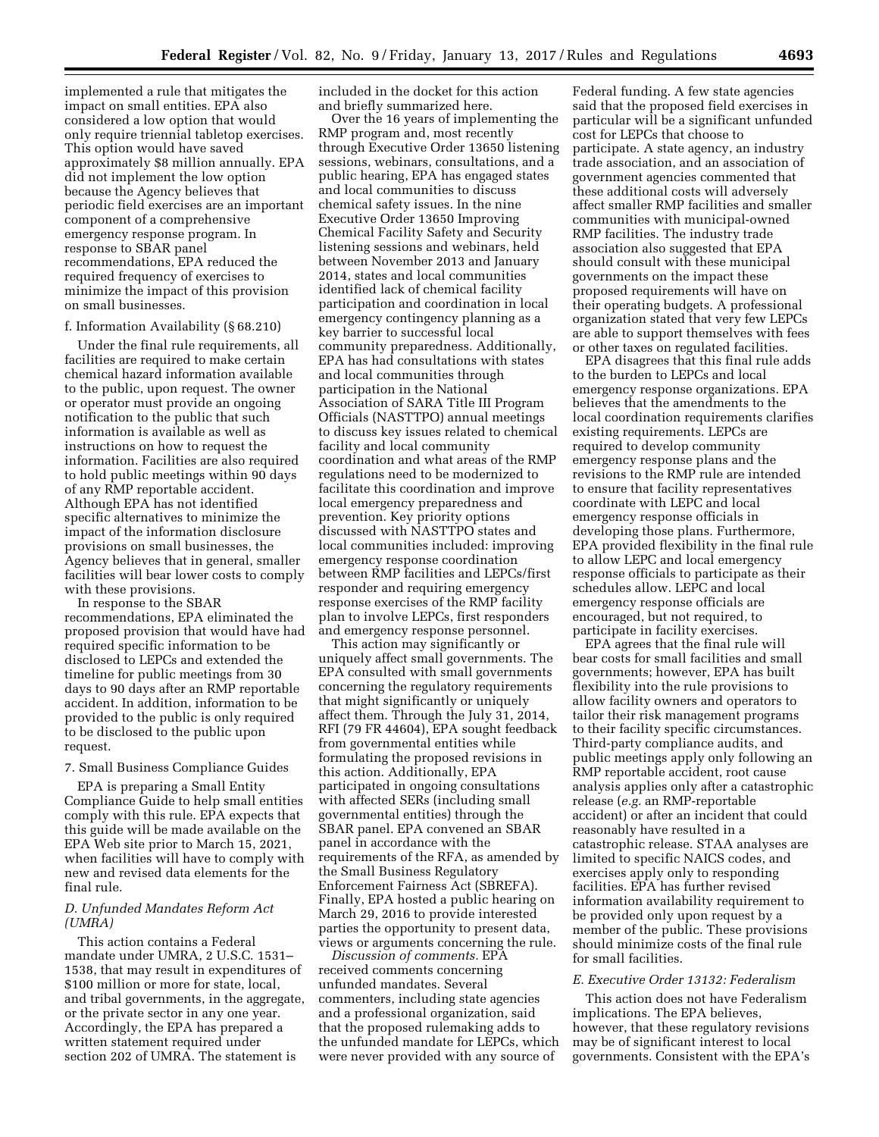implemented a rule that mitigates the impact on small entities. EPA also considered a low option that would only require triennial tabletop exercises. This option would have saved approximately \$8 million annually. EPA did not implement the low option because the Agency believes that periodic field exercises are an important component of a comprehensive emergency response program. In response to SBAR panel recommendations, EPA reduced the required frequency of exercises to minimize the impact of this provision on small businesses.

### f. Information Availability (§ 68.210)

Under the final rule requirements, all facilities are required to make certain chemical hazard information available to the public, upon request. The owner or operator must provide an ongoing notification to the public that such information is available as well as instructions on how to request the information. Facilities are also required to hold public meetings within 90 days of any RMP reportable accident. Although EPA has not identified specific alternatives to minimize the impact of the information disclosure provisions on small businesses, the Agency believes that in general, smaller facilities will bear lower costs to comply with these provisions.

In response to the SBAR recommendations, EPA eliminated the proposed provision that would have had required specific information to be disclosed to LEPCs and extended the timeline for public meetings from 30 days to 90 days after an RMP reportable accident. In addition, information to be provided to the public is only required to be disclosed to the public upon request.

#### 7. Small Business Compliance Guides

EPA is preparing a Small Entity Compliance Guide to help small entities comply with this rule. EPA expects that this guide will be made available on the EPA Web site prior to March 15, 2021, when facilities will have to comply with new and revised data elements for the final rule.

## *D. Unfunded Mandates Reform Act (UMRA)*

This action contains a Federal mandate under UMRA, 2 U.S.C. 1531– 1538, that may result in expenditures of \$100 million or more for state, local, and tribal governments, in the aggregate, or the private sector in any one year. Accordingly, the EPA has prepared a written statement required under section 202 of UMRA. The statement is

included in the docket for this action and briefly summarized here.

Over the 16 years of implementing the RMP program and, most recently through Executive Order 13650 listening sessions, webinars, consultations, and a public hearing, EPA has engaged states and local communities to discuss chemical safety issues. In the nine Executive Order 13650 Improving Chemical Facility Safety and Security listening sessions and webinars, held between November 2013 and January 2014, states and local communities identified lack of chemical facility participation and coordination in local emergency contingency planning as a key barrier to successful local community preparedness. Additionally, EPA has had consultations with states and local communities through participation in the National Association of SARA Title III Program Officials (NASTTPO) annual meetings to discuss key issues related to chemical facility and local community coordination and what areas of the RMP regulations need to be modernized to facilitate this coordination and improve local emergency preparedness and prevention. Key priority options discussed with NASTTPO states and local communities included: improving emergency response coordination between RMP facilities and LEPCs/first responder and requiring emergency response exercises of the RMP facility plan to involve LEPCs, first responders and emergency response personnel.

This action may significantly or uniquely affect small governments. The EPA consulted with small governments concerning the regulatory requirements that might significantly or uniquely affect them. Through the July 31, 2014, RFI (79 FR 44604), EPA sought feedback from governmental entities while formulating the proposed revisions in this action. Additionally, EPA participated in ongoing consultations with affected SERs (including small governmental entities) through the SBAR panel. EPA convened an SBAR panel in accordance with the requirements of the RFA, as amended by the Small Business Regulatory Enforcement Fairness Act (SBREFA). Finally, EPA hosted a public hearing on March 29, 2016 to provide interested parties the opportunity to present data, views or arguments concerning the rule.

*Discussion of comments.* EPA received comments concerning unfunded mandates. Several commenters, including state agencies and a professional organization, said that the proposed rulemaking adds to the unfunded mandate for LEPCs, which were never provided with any source of

Federal funding. A few state agencies said that the proposed field exercises in particular will be a significant unfunded cost for LEPCs that choose to participate. A state agency, an industry trade association, and an association of government agencies commented that these additional costs will adversely affect smaller RMP facilities and smaller communities with municipal-owned RMP facilities. The industry trade association also suggested that EPA should consult with these municipal governments on the impact these proposed requirements will have on their operating budgets. A professional organization stated that very few LEPCs are able to support themselves with fees or other taxes on regulated facilities.

EPA disagrees that this final rule adds to the burden to LEPCs and local emergency response organizations. EPA believes that the amendments to the local coordination requirements clarifies existing requirements. LEPCs are required to develop community emergency response plans and the revisions to the RMP rule are intended to ensure that facility representatives coordinate with LEPC and local emergency response officials in developing those plans. Furthermore, EPA provided flexibility in the final rule to allow LEPC and local emergency response officials to participate as their schedules allow. LEPC and local emergency response officials are encouraged, but not required, to participate in facility exercises.

EPA agrees that the final rule will bear costs for small facilities and small governments; however, EPA has built flexibility into the rule provisions to allow facility owners and operators to tailor their risk management programs to their facility specific circumstances. Third-party compliance audits, and public meetings apply only following an RMP reportable accident, root cause analysis applies only after a catastrophic release (*e.g.* an RMP-reportable accident) or after an incident that could reasonably have resulted in a catastrophic release. STAA analyses are limited to specific NAICS codes, and exercises apply only to responding facilities. EPA has further revised information availability requirement to be provided only upon request by a member of the public. These provisions should minimize costs of the final rule for small facilities.

## *E. Executive Order 13132: Federalism*

This action does not have Federalism implications. The EPA believes, however, that these regulatory revisions may be of significant interest to local governments. Consistent with the EPA's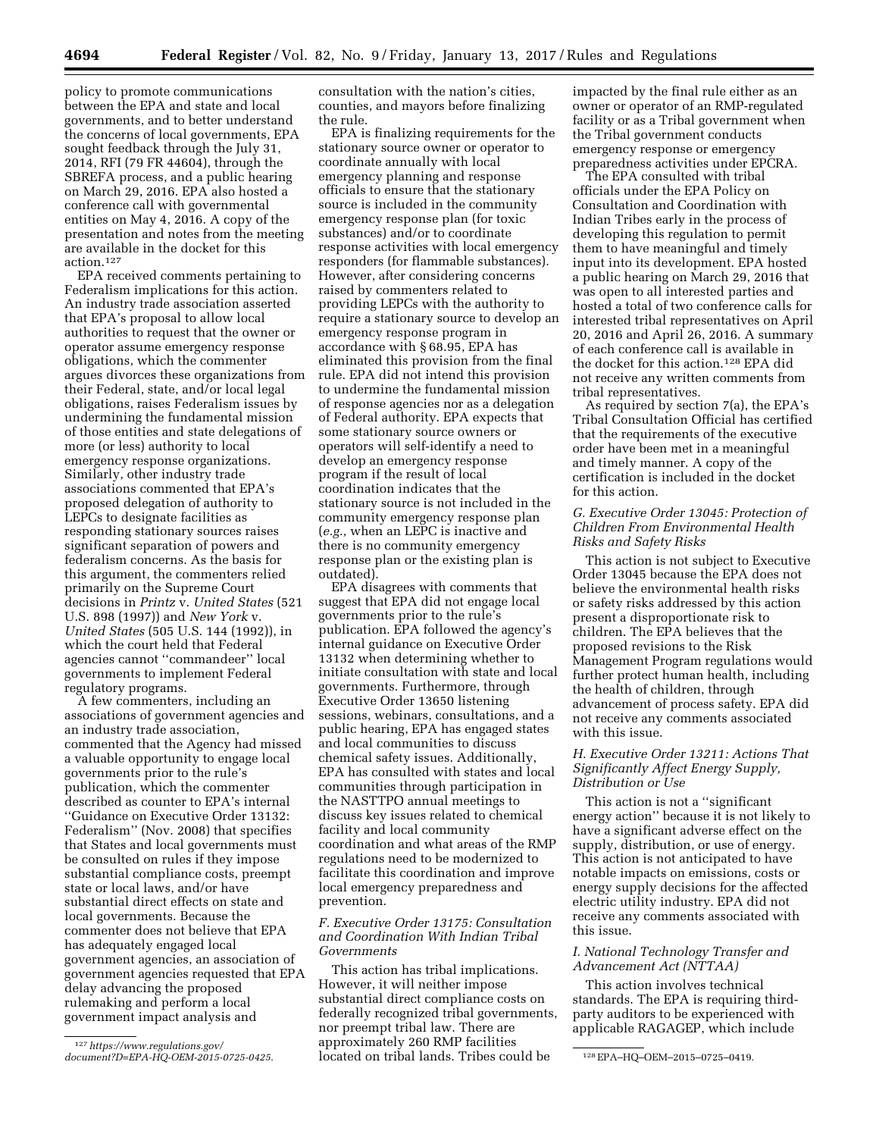policy to promote communications between the EPA and state and local governments, and to better understand the concerns of local governments, EPA sought feedback through the July 31, 2014, RFI (79 FR 44604), through the SBREFA process, and a public hearing on March 29, 2016. EPA also hosted a conference call with governmental entities on May 4, 2016. A copy of the presentation and notes from the meeting are available in the docket for this action.127

EPA received comments pertaining to Federalism implications for this action. An industry trade association asserted that EPA's proposal to allow local authorities to request that the owner or operator assume emergency response obligations, which the commenter argues divorces these organizations from their Federal, state, and/or local legal obligations, raises Federalism issues by undermining the fundamental mission of those entities and state delegations of more (or less) authority to local emergency response organizations. Similarly, other industry trade associations commented that EPA's proposed delegation of authority to LEPCs to designate facilities as responding stationary sources raises significant separation of powers and federalism concerns. As the basis for this argument, the commenters relied primarily on the Supreme Court decisions in *Printz* v. *United States* (521 U.S. 898 (1997)) and *New York* v. *United States* (505 U.S. 144 (1992)), in which the court held that Federal agencies cannot ''commandeer'' local governments to implement Federal regulatory programs.

A few commenters, including an associations of government agencies and an industry trade association, commented that the Agency had missed a valuable opportunity to engage local governments prior to the rule's publication, which the commenter described as counter to EPA's internal ''Guidance on Executive Order 13132: Federalism'' (Nov. 2008) that specifies that States and local governments must be consulted on rules if they impose substantial compliance costs, preempt state or local laws, and/or have substantial direct effects on state and local governments. Because the commenter does not believe that EPA has adequately engaged local government agencies, an association of government agencies requested that EPA delay advancing the proposed rulemaking and perform a local government impact analysis and

consultation with the nation's cities, counties, and mayors before finalizing the rule.

EPA is finalizing requirements for the stationary source owner or operator to coordinate annually with local emergency planning and response officials to ensure that the stationary source is included in the community emergency response plan (for toxic substances) and/or to coordinate response activities with local emergency responders (for flammable substances). However, after considering concerns raised by commenters related to providing LEPCs with the authority to require a stationary source to develop an emergency response program in accordance with § 68.95, EPA has eliminated this provision from the final rule. EPA did not intend this provision to undermine the fundamental mission of response agencies nor as a delegation of Federal authority. EPA expects that some stationary source owners or operators will self-identify a need to develop an emergency response program if the result of local coordination indicates that the stationary source is not included in the community emergency response plan (*e.g.,* when an LEPC is inactive and there is no community emergency response plan or the existing plan is outdated).

EPA disagrees with comments that suggest that EPA did not engage local governments prior to the rule's publication. EPA followed the agency's internal guidance on Executive Order 13132 when determining whether to initiate consultation with state and local governments. Furthermore, through Executive Order 13650 listening sessions, webinars, consultations, and a public hearing, EPA has engaged states and local communities to discuss chemical safety issues. Additionally, EPA has consulted with states and local communities through participation in the NASTTPO annual meetings to discuss key issues related to chemical facility and local community coordination and what areas of the RMP regulations need to be modernized to facilitate this coordination and improve local emergency preparedness and prevention.

## *F. Executive Order 13175: Consultation and Coordination With Indian Tribal Governments*

[document?D=EPA-HQ-OEM-2015-0725-0425](https://www.regulations.gov/document?D=EPA-HQ-OEM-2015-0725-0425). located on tribal lands. Tribes could be <sup>128</sup>EPA–HQ–OEM–2015–0725–0419. This action has tribal implications. However, it will neither impose substantial direct compliance costs on federally recognized tribal governments, nor preempt tribal law. There are approximately 260 RMP facilities

impacted by the final rule either as an owner or operator of an RMP-regulated facility or as a Tribal government when the Tribal government conducts emergency response or emergency preparedness activities under EPCRA.

The EPA consulted with tribal officials under the EPA Policy on Consultation and Coordination with Indian Tribes early in the process of developing this regulation to permit them to have meaningful and timely input into its development. EPA hosted a public hearing on March 29, 2016 that was open to all interested parties and hosted a total of two conference calls for interested tribal representatives on April 20, 2016 and April 26, 2016. A summary of each conference call is available in the docket for this action.128 EPA did not receive any written comments from tribal representatives.

As required by section 7(a), the EPA's Tribal Consultation Official has certified that the requirements of the executive order have been met in a meaningful and timely manner. A copy of the certification is included in the docket for this action.

# *G. Executive Order 13045: Protection of Children From Environmental Health Risks and Safety Risks*

This action is not subject to Executive Order 13045 because the EPA does not believe the environmental health risks or safety risks addressed by this action present a disproportionate risk to children. The EPA believes that the proposed revisions to the Risk Management Program regulations would further protect human health, including the health of children, through advancement of process safety. EPA did not receive any comments associated with this issue.

## *H. Executive Order 13211: Actions That Significantly Affect Energy Supply, Distribution or Use*

This action is not a ''significant energy action'' because it is not likely to have a significant adverse effect on the supply, distribution, or use of energy. This action is not anticipated to have notable impacts on emissions, costs or energy supply decisions for the affected electric utility industry. EPA did not receive any comments associated with this issue.

## *I. National Technology Transfer and Advancement Act (NTTAA)*

This action involves technical standards. The EPA is requiring thirdparty auditors to be experienced with applicable RAGAGEP, which include

<sup>127</sup>*[https://www.regulations.gov/](https://www.regulations.gov/document?D=EPA-HQ-OEM-2015-0725-0425)*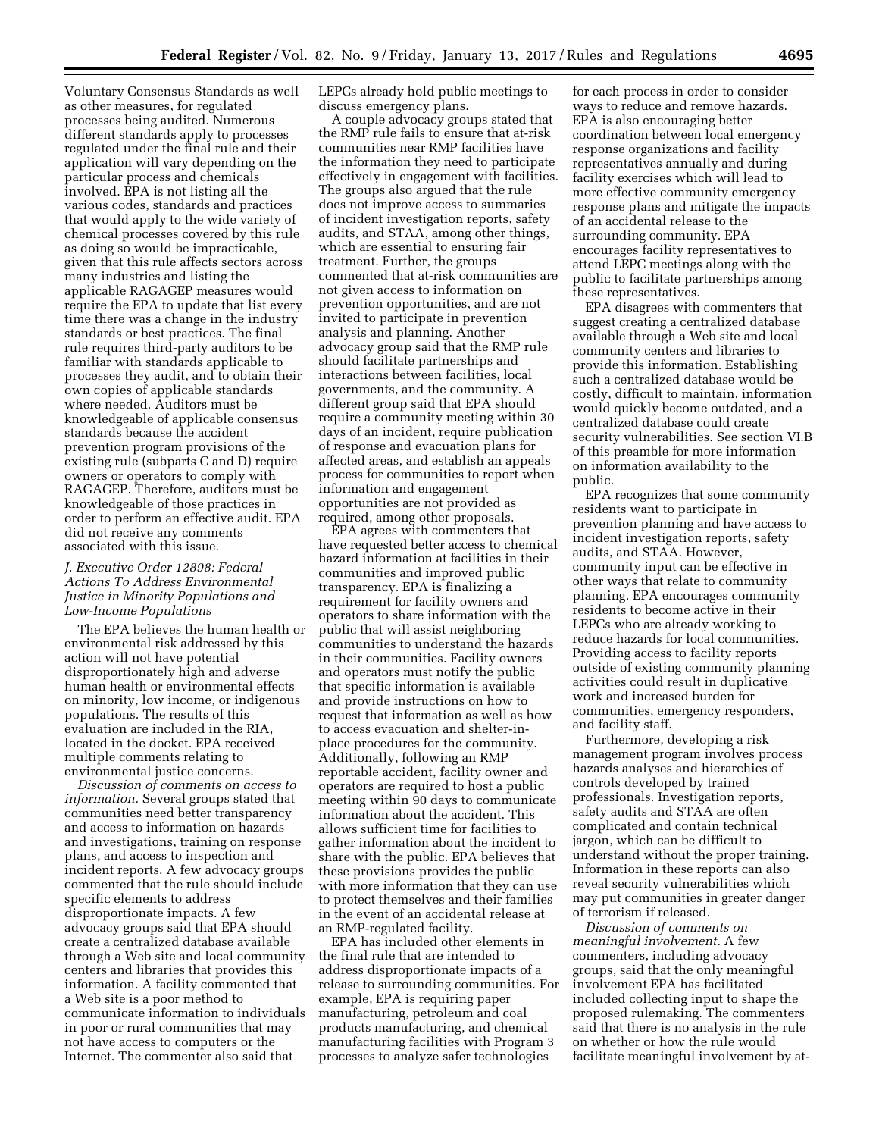Voluntary Consensus Standards as well as other measures, for regulated processes being audited. Numerous different standards apply to processes regulated under the final rule and their application will vary depending on the particular process and chemicals involved. EPA is not listing all the various codes, standards and practices that would apply to the wide variety of chemical processes covered by this rule as doing so would be impracticable, given that this rule affects sectors across many industries and listing the applicable RAGAGEP measures would require the EPA to update that list every time there was a change in the industry standards or best practices. The final rule requires third-party auditors to be familiar with standards applicable to processes they audit, and to obtain their own copies of applicable standards where needed. Auditors must be knowledgeable of applicable consensus standards because the accident prevention program provisions of the existing rule (subparts C and D) require owners or operators to comply with RAGAGEP. Therefore, auditors must be knowledgeable of those practices in order to perform an effective audit. EPA did not receive any comments associated with this issue.

## *J. Executive Order 12898: Federal Actions To Address Environmental Justice in Minority Populations and Low-Income Populations*

The EPA believes the human health or environmental risk addressed by this action will not have potential disproportionately high and adverse human health or environmental effects on minority, low income, or indigenous populations. The results of this evaluation are included in the RIA, located in the docket. EPA received multiple comments relating to environmental justice concerns.

*Discussion of comments on access to information.* Several groups stated that communities need better transparency and access to information on hazards and investigations, training on response plans, and access to inspection and incident reports. A few advocacy groups commented that the rule should include specific elements to address disproportionate impacts. A few advocacy groups said that EPA should create a centralized database available through a Web site and local community centers and libraries that provides this information. A facility commented that a Web site is a poor method to communicate information to individuals in poor or rural communities that may not have access to computers or the Internet. The commenter also said that

LEPCs already hold public meetings to discuss emergency plans.

A couple advocacy groups stated that the RMP rule fails to ensure that at-risk communities near RMP facilities have the information they need to participate effectively in engagement with facilities. The groups also argued that the rule does not improve access to summaries of incident investigation reports, safety audits, and STAA, among other things, which are essential to ensuring fair treatment. Further, the groups commented that at-risk communities are not given access to information on prevention opportunities, and are not invited to participate in prevention analysis and planning. Another advocacy group said that the RMP rule should facilitate partnerships and interactions between facilities, local governments, and the community. A different group said that EPA should require a community meeting within 30 days of an incident, require publication of response and evacuation plans for affected areas, and establish an appeals process for communities to report when information and engagement opportunities are not provided as required, among other proposals.

EPA agrees with commenters that have requested better access to chemical hazard information at facilities in their communities and improved public transparency. EPA is finalizing a requirement for facility owners and operators to share information with the public that will assist neighboring communities to understand the hazards in their communities. Facility owners and operators must notify the public that specific information is available and provide instructions on how to request that information as well as how to access evacuation and shelter-inplace procedures for the community. Additionally, following an RMP reportable accident, facility owner and operators are required to host a public meeting within 90 days to communicate information about the accident. This allows sufficient time for facilities to gather information about the incident to share with the public. EPA believes that these provisions provides the public with more information that they can use to protect themselves and their families in the event of an accidental release at an RMP-regulated facility.

EPA has included other elements in the final rule that are intended to address disproportionate impacts of a release to surrounding communities. For example, EPA is requiring paper manufacturing, petroleum and coal products manufacturing, and chemical manufacturing facilities with Program 3 processes to analyze safer technologies

for each process in order to consider ways to reduce and remove hazards. EPA is also encouraging better coordination between local emergency response organizations and facility representatives annually and during facility exercises which will lead to more effective community emergency response plans and mitigate the impacts of an accidental release to the surrounding community. EPA encourages facility representatives to attend LEPC meetings along with the public to facilitate partnerships among these representatives.

EPA disagrees with commenters that suggest creating a centralized database available through a Web site and local community centers and libraries to provide this information. Establishing such a centralized database would be costly, difficult to maintain, information would quickly become outdated, and a centralized database could create security vulnerabilities. See section VI.B of this preamble for more information on information availability to the public.

EPA recognizes that some community residents want to participate in prevention planning and have access to incident investigation reports, safety audits, and STAA. However, community input can be effective in other ways that relate to community planning. EPA encourages community residents to become active in their LEPCs who are already working to reduce hazards for local communities. Providing access to facility reports outside of existing community planning activities could result in duplicative work and increased burden for communities, emergency responders, and facility staff.

Furthermore, developing a risk management program involves process hazards analyses and hierarchies of controls developed by trained professionals. Investigation reports, safety audits and STAA are often complicated and contain technical jargon, which can be difficult to understand without the proper training. Information in these reports can also reveal security vulnerabilities which may put communities in greater danger of terrorism if released.

*Discussion of comments on meaningful involvement.* A few commenters, including advocacy groups, said that the only meaningful involvement EPA has facilitated included collecting input to shape the proposed rulemaking. The commenters said that there is no analysis in the rule on whether or how the rule would facilitate meaningful involvement by at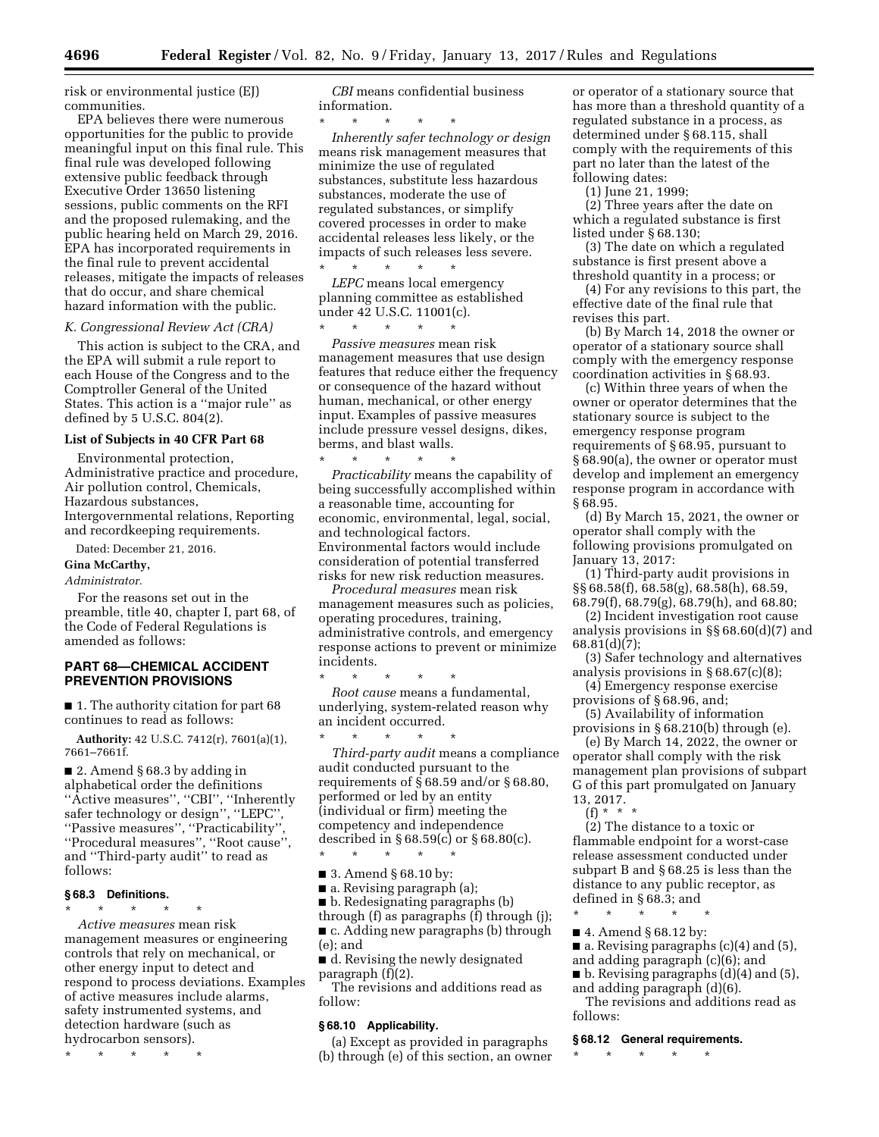risk or environmental justice (EJ) communities.

EPA believes there were numerous opportunities for the public to provide meaningful input on this final rule. This final rule was developed following extensive public feedback through Executive Order 13650 listening sessions, public comments on the RFI and the proposed rulemaking, and the public hearing held on March 29, 2016. EPA has incorporated requirements in the final rule to prevent accidental releases, mitigate the impacts of releases that do occur, and share chemical hazard information with the public.

#### *K. Congressional Review Act (CRA)*

This action is subject to the CRA, and the EPA will submit a rule report to each House of the Congress and to the Comptroller General of the United States. This action is a ''major rule'' as defined by 5 U.S.C. 804(2).

## **List of Subjects in 40 CFR Part 68**

Environmental protection, Administrative practice and procedure, Air pollution control, Chemicals, Hazardous substances, Intergovernmental relations, Reporting and recordkeeping requirements.

Dated: December 21, 2016.

#### **Gina McCarthy,**

## *Administrator.*

For the reasons set out in the preamble, title 40, chapter I, part 68, of the Code of Federal Regulations is amended as follows:

## **PART 68—CHEMICAL ACCIDENT PREVENTION PROVISIONS**

■ 1. The authority citation for part 68 continues to read as follows:

**Authority:** 42 U.S.C. 7412(r), 7601(a)(1), 7661–7661f.

■ 2. Amend § 68.3 by adding in alphabetical order the definitions ''Active measures'', ''CBI'', ''Inherently safer technology or design'', ''LEPC'', ''Passive measures'', ''Practicability'', ''Procedural measures'', ''Root cause'', and ''Third-party audit'' to read as follows:

## **§ 68.3 Definitions.**

\* \* \* \* \*

*Active measures* mean risk management measures or engineering controls that rely on mechanical, or other energy input to detect and respond to process deviations. Examples of active measures include alarms, safety instrumented systems, and detection hardware (such as hydrocarbon sensors).

\* \* \* \* \*

*CBI* means confidential business information.

\* \* \* \* \* *Inherently safer technology or design*  means risk management measures that minimize the use of regulated substances, substitute less hazardous substances, moderate the use of regulated substances, or simplify covered processes in order to make accidental releases less likely, or the impacts of such releases less severe.

\* \* \* \* \* *LEPC* means local emergency planning committee as established under 42 U.S.C. 11001(c).

\* \* \* \* \* *Passive measures* mean risk management measures that use design features that reduce either the frequency or consequence of the hazard without human, mechanical, or other energy input. Examples of passive measures include pressure vessel designs, dikes, berms, and blast walls.

\* \* \* \* \* *Practicability* means the capability of being successfully accomplished within a reasonable time, accounting for economic, environmental, legal, social, and technological factors. Environmental factors would include consideration of potential transferred risks for new risk reduction measures.

*Procedural measures* mean risk management measures such as policies, operating procedures, training, administrative controls, and emergency response actions to prevent or minimize incidents.

\* \* \* \* \* *Root cause* means a fundamental, underlying, system-related reason why an incident occurred.

\* \* \* \* \* *Third-party audit* means a compliance audit conducted pursuant to the requirements of  $\S$ 68.59 and/or  $\S$ 68.80, performed or led by an entity (individual or firm) meeting the competency and independence described in § 68.59(c) or § 68.80(c).

\* \* \* \* \*

■ 3. Amend § 68.10 by:

■ a. Revising paragraph (a); ■ b. Redesignating paragraphs (b)

through (f) as paragraphs (f) through (j); ■ c. Adding new paragraphs (b) through (e); and

■ d. Revising the newly designated paragraph  $(f)(2)$ .

The revisions and additions read as follow:

#### **§ 68.10 Applicability.**

(a) Except as provided in paragraphs (b) through (e) of this section, an owner

or operator of a stationary source that has more than a threshold quantity of a regulated substance in a process, as determined under § 68.115, shall comply with the requirements of this part no later than the latest of the following dates:

(1) June 21, 1999;

(2) Three years after the date on which a regulated substance is first listed under § 68.130;

(3) The date on which a regulated substance is first present above a threshold quantity in a process; or

(4) For any revisions to this part, the effective date of the final rule that revises this part.

(b) By March 14, 2018 the owner or operator of a stationary source shall comply with the emergency response coordination activities in § 68.93.

(c) Within three years of when the owner or operator determines that the stationary source is subject to the emergency response program requirements of § 68.95, pursuant to § 68.90(a), the owner or operator must develop and implement an emergency response program in accordance with § 68.95.

(d) By March 15, 2021, the owner or operator shall comply with the following provisions promulgated on January 13, 2017:

(1) Third-party audit provisions in §§ 68.58(f), 68.58(g), 68.58(h), 68.59, 68.79(f), 68.79(g), 68.79(h), and 68.80;

(2) Incident investigation root cause analysis provisions in §§ 68.60(d)(7) and  $68.81(d)(7);$ 

(3) Safer technology and alternatives analysis provisions in § 68.67(c)(8);

(4) Emergency response exercise provisions of § 68.96, and;

(5) Availability of information

provisions in § 68.210(b) through (e). (e) By March 14, 2022, the owner or operator shall comply with the risk management plan provisions of subpart G of this part promulgated on January 13, 2017.

(f) \* \* \*

(2) The distance to a toxic or flammable endpoint for a worst-case release assessment conducted under subpart B and § 68.25 is less than the distance to any public receptor, as defined in § 68.3; and \* \* \* \* \*

■ 4. Amend § 68.12 by:

■ a. Revising paragraphs (c)(4) and (5),

and adding paragraph (c)(6); and

■ b. Revising paragraphs (d)(4) and (5), and adding paragraph (d)(6).

The revisions and additions read as follows:

## **§ 68.12 General requirements.**

\* \* \* \* \*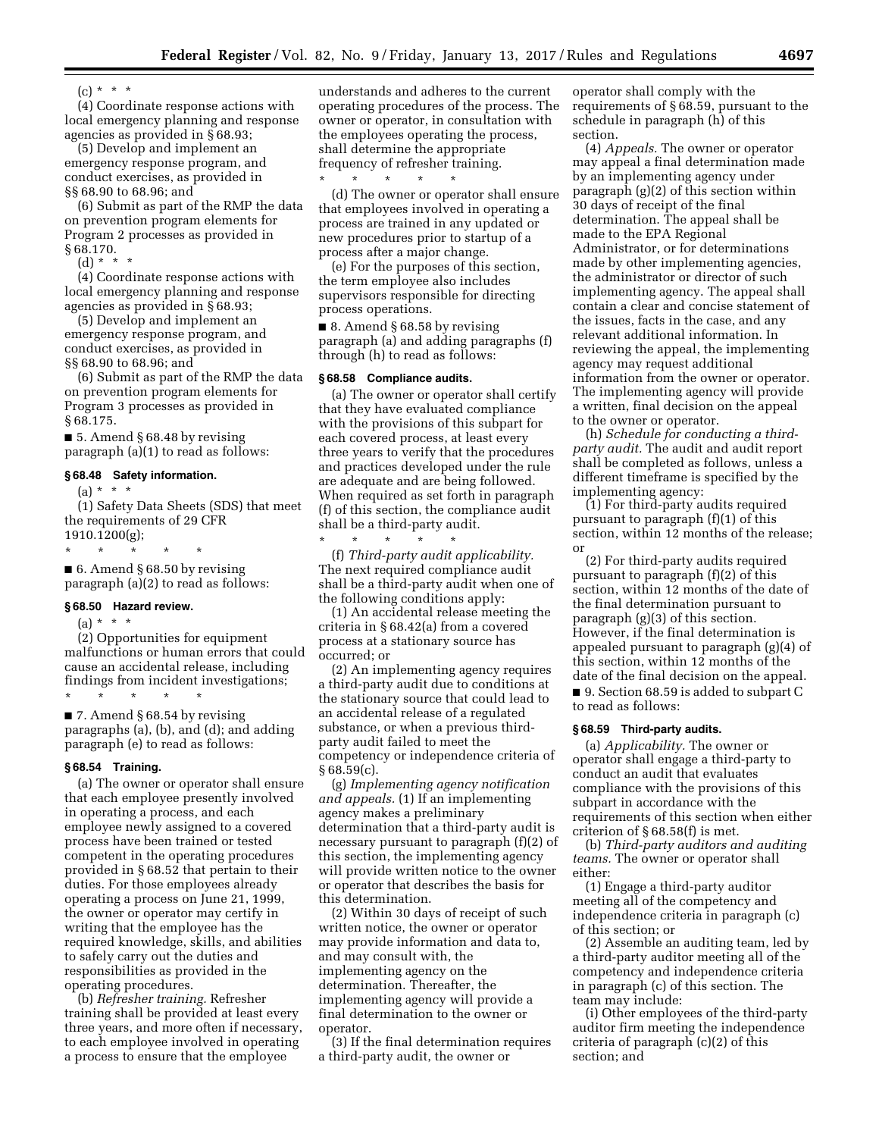$(c) * * * *$ 

(4) Coordinate response actions with local emergency planning and response agencies as provided in § 68.93;

(5) Develop and implement an emergency response program, and conduct exercises, as provided in §§ 68.90 to 68.96; and

(6) Submit as part of the RMP the data on prevention program elements for Program 2 processes as provided in § 68.170.

 $(d) * * * *$ 

(4) Coordinate response actions with local emergency planning and response agencies as provided in § 68.93;

(5) Develop and implement an emergency response program, and conduct exercises, as provided in §§ 68.90 to 68.96; and

(6) Submit as part of the RMP the data on prevention program elements for Program 3 processes as provided in § 68.175.

■ 5. Amend § 68.48 by revising paragraph (a)(1) to read as follows:

#### **§ 68.48 Safety information.**

 $(a) * * * *$ 

(1) Safety Data Sheets (SDS) that meet the requirements of 29 CFR 1910.1200(g);

\* \* \* \* \* ■ 6. Amend § 68.50 by revising

paragraph (a)(2) to read as follows:

### **§ 68.50 Hazard review.**

 $(a) * * * *$ 

(2) Opportunities for equipment malfunctions or human errors that could cause an accidental release, including findings from incident investigations;

\* \* \* \* \* ■ 7. Amend § 68.54 by revising paragraphs (a), (b), and (d); and adding paragraph (e) to read as follows:

#### **§ 68.54 Training.**

(a) The owner or operator shall ensure that each employee presently involved in operating a process, and each employee newly assigned to a covered process have been trained or tested competent in the operating procedures provided in § 68.52 that pertain to their duties. For those employees already operating a process on June 21, 1999, the owner or operator may certify in writing that the employee has the required knowledge, skills, and abilities to safely carry out the duties and responsibilities as provided in the operating procedures.

(b) *Refresher training.* Refresher training shall be provided at least every three years, and more often if necessary, to each employee involved in operating a process to ensure that the employee

understands and adheres to the current operating procedures of the process. The owner or operator, in consultation with the employees operating the process, shall determine the appropriate frequency of refresher training.

\* \* \* \* \* (d) The owner or operator shall ensure that employees involved in operating a process are trained in any updated or new procedures prior to startup of a process after a major change.

(e) For the purposes of this section, the term employee also includes supervisors responsible for directing process operations.

■ 8. Amend § 68.58 by revising paragraph (a) and adding paragraphs (f) through (h) to read as follows:

## **§ 68.58 Compliance audits.**

(a) The owner or operator shall certify that they have evaluated compliance with the provisions of this subpart for each covered process, at least every three years to verify that the procedures and practices developed under the rule are adequate and are being followed. When required as set forth in paragraph (f) of this section, the compliance audit shall be a third-party audit.

\* \* \* \* \* (f) *Third-party audit applicability.*  The next required compliance audit shall be a third-party audit when one of the following conditions apply:

(1) An accidental release meeting the criteria in § 68.42(a) from a covered process at a stationary source has occurred; or

(2) An implementing agency requires a third-party audit due to conditions at the stationary source that could lead to an accidental release of a regulated substance, or when a previous thirdparty audit failed to meet the competency or independence criteria of § 68.59(c).

(g) *Implementing agency notification and appeals.* (1) If an implementing agency makes a preliminary determination that a third-party audit is necessary pursuant to paragraph (f)(2) of this section, the implementing agency will provide written notice to the owner or operator that describes the basis for this determination.

(2) Within 30 days of receipt of such written notice, the owner or operator may provide information and data to, and may consult with, the implementing agency on the determination. Thereafter, the implementing agency will provide a final determination to the owner or operator.

(3) If the final determination requires a third-party audit, the owner or

operator shall comply with the requirements of § 68.59, pursuant to the schedule in paragraph (h) of this section.

(4) *Appeals.* The owner or operator may appeal a final determination made by an implementing agency under paragraph (g)(2) of this section within 30 days of receipt of the final determination. The appeal shall be made to the EPA Regional Administrator, or for determinations made by other implementing agencies, the administrator or director of such implementing agency. The appeal shall contain a clear and concise statement of the issues, facts in the case, and any relevant additional information. In reviewing the appeal, the implementing agency may request additional information from the owner or operator. The implementing agency will provide a written, final decision on the appeal to the owner or operator.

(h) *Schedule for conducting a thirdparty audit.* The audit and audit report shall be completed as follows, unless a different timeframe is specified by the implementing agency:

(1) For third-party audits required pursuant to paragraph (f)(1) of this section, within 12 months of the release; or

(2) For third-party audits required pursuant to paragraph (f)(2) of this section, within 12 months of the date of the final determination pursuant to paragraph (g)(3) of this section. However, if the final determination is appealed pursuant to paragraph (g)(4) of this section, within 12 months of the date of the final decision on the appeal. ■ 9. Section 68.59 is added to subpart C

to read as follows:

#### **§ 68.59 Third-party audits.**

(a) *Applicability.* The owner or operator shall engage a third-party to conduct an audit that evaluates compliance with the provisions of this subpart in accordance with the requirements of this section when either criterion of § 68.58(f) is met.

(b) *Third-party auditors and auditing teams.* The owner or operator shall either:

(1) Engage a third-party auditor meeting all of the competency and independence criteria in paragraph (c) of this section; or

(2) Assemble an auditing team, led by a third-party auditor meeting all of the competency and independence criteria in paragraph (c) of this section. The team may include:

(i) Other employees of the third-party auditor firm meeting the independence criteria of paragraph (c)(2) of this section; and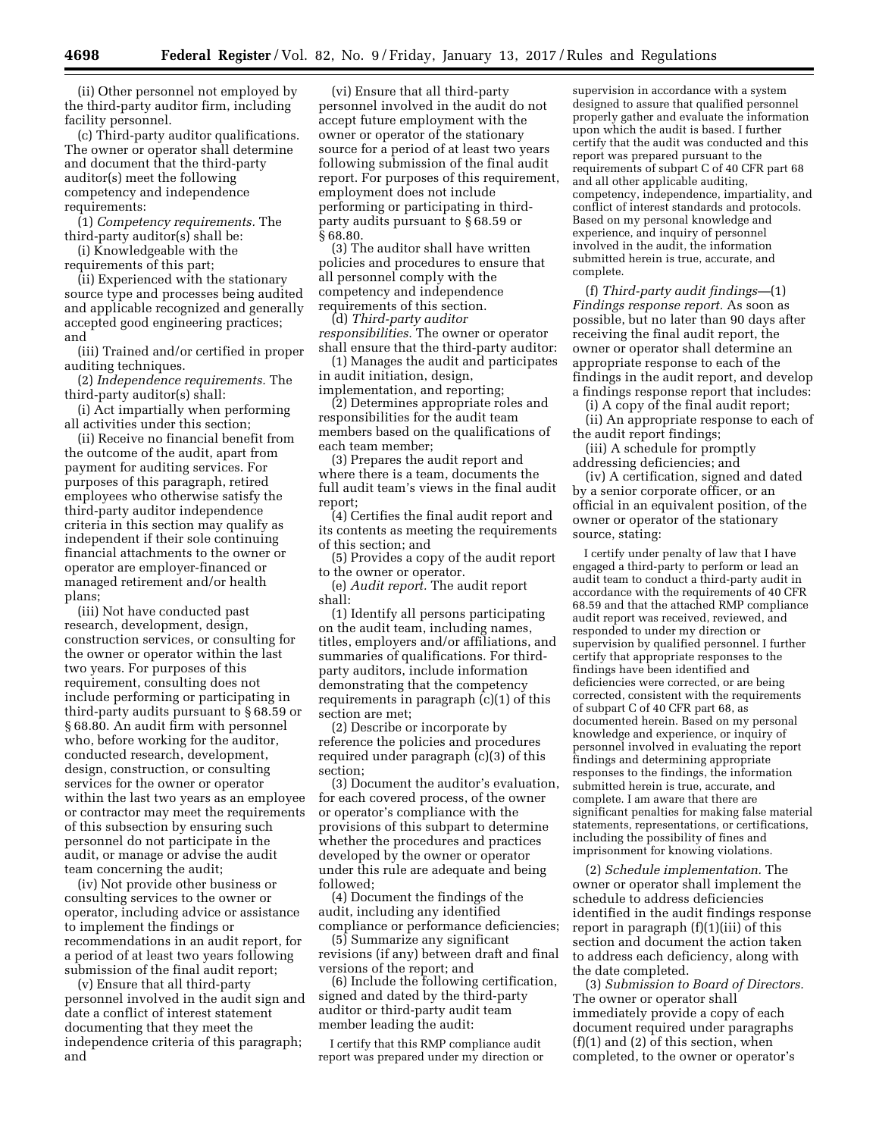(ii) Other personnel not employed by the third-party auditor firm, including facility personnel.

(c) Third-party auditor qualifications. The owner or operator shall determine and document that the third-party auditor(s) meet the following competency and independence requirements:

(1) *Competency requirements.* The third-party auditor(s) shall be:

(i) Knowledgeable with the requirements of this part;

(ii) Experienced with the stationary source type and processes being audited and applicable recognized and generally accepted good engineering practices; and

(iii) Trained and/or certified in proper auditing techniques.

(2) *Independence requirements.* The third-party auditor(s) shall:

(i) Act impartially when performing all activities under this section;

(ii) Receive no financial benefit from the outcome of the audit, apart from payment for auditing services. For purposes of this paragraph, retired employees who otherwise satisfy the third-party auditor independence criteria in this section may qualify as independent if their sole continuing financial attachments to the owner or operator are employer-financed or managed retirement and/or health plans;

(iii) Not have conducted past research, development, design, construction services, or consulting for the owner or operator within the last two years. For purposes of this requirement, consulting does not include performing or participating in third-party audits pursuant to § 68.59 or § 68.80. An audit firm with personnel who, before working for the auditor, conducted research, development, design, construction, or consulting services for the owner or operator within the last two years as an employee or contractor may meet the requirements of this subsection by ensuring such personnel do not participate in the audit, or manage or advise the audit team concerning the audit;

(iv) Not provide other business or consulting services to the owner or operator, including advice or assistance to implement the findings or recommendations in an audit report, for a period of at least two years following submission of the final audit report;

(v) Ensure that all third-party personnel involved in the audit sign and date a conflict of interest statement documenting that they meet the independence criteria of this paragraph; and

(vi) Ensure that all third-party personnel involved in the audit do not accept future employment with the owner or operator of the stationary source for a period of at least two years following submission of the final audit report. For purposes of this requirement, employment does not include performing or participating in thirdparty audits pursuant to § 68.59 or § 68.80.

(3) The auditor shall have written policies and procedures to ensure that all personnel comply with the competency and independence requirements of this section.

(d) *Third-party auditor responsibilities.* The owner or operator shall ensure that the third-party auditor:

(1) Manages the audit and participates in audit initiation, design,

implementation, and reporting;

(2) Determines appropriate roles and responsibilities for the audit team members based on the qualifications of each team member;

(3) Prepares the audit report and where there is a team, documents the full audit team's views in the final audit report;

(4) Certifies the final audit report and its contents as meeting the requirements of this section; and

(5) Provides a copy of the audit report to the owner or operator.

(e) *Audit report.* The audit report shall:

(1) Identify all persons participating on the audit team, including names, titles, employers and/or affiliations, and summaries of qualifications. For thirdparty auditors, include information demonstrating that the competency requirements in paragraph (c)(1) of this section are met;

(2) Describe or incorporate by reference the policies and procedures required under paragraph (c)(3) of this section;

(3) Document the auditor's evaluation, for each covered process, of the owner or operator's compliance with the provisions of this subpart to determine whether the procedures and practices developed by the owner or operator under this rule are adequate and being followed;

(4) Document the findings of the audit, including any identified compliance or performance deficiencies;

(5) Summarize any significant revisions (if any) between draft and final versions of the report; and

(6) Include the following certification, signed and dated by the third-party auditor or third-party audit team member leading the audit:

I certify that this RMP compliance audit report was prepared under my direction or supervision in accordance with a system designed to assure that qualified personnel properly gather and evaluate the information upon which the audit is based. I further certify that the audit was conducted and this report was prepared pursuant to the requirements of subpart C of 40 CFR part 68 and all other applicable auditing, competency, independence, impartiality, and conflict of interest standards and protocols. Based on my personal knowledge and experience, and inquiry of personnel involved in the audit, the information submitted herein is true, accurate, and complete.

(f) *Third-party audit findings—*(1) *Findings response report.* As soon as possible, but no later than 90 days after receiving the final audit report, the owner or operator shall determine an appropriate response to each of the findings in the audit report, and develop a findings response report that includes:

(i) A copy of the final audit report;

(ii) An appropriate response to each of the audit report findings;

(iii) A schedule for promptly addressing deficiencies; and

(iv) A certification, signed and dated by a senior corporate officer, or an official in an equivalent position, of the owner or operator of the stationary source, stating:

I certify under penalty of law that I have engaged a third-party to perform or lead an audit team to conduct a third-party audit in accordance with the requirements of 40 CFR 68.59 and that the attached RMP compliance audit report was received, reviewed, and responded to under my direction or supervision by qualified personnel. I further certify that appropriate responses to the findings have been identified and deficiencies were corrected, or are being corrected, consistent with the requirements of subpart C of 40 CFR part 68, as documented herein. Based on my personal knowledge and experience, or inquiry of personnel involved in evaluating the report findings and determining appropriate responses to the findings, the information submitted herein is true, accurate, and complete. I am aware that there are significant penalties for making false material statements, representations, or certifications, including the possibility of fines and imprisonment for knowing violations.

(2) *Schedule implementation.* The owner or operator shall implement the schedule to address deficiencies identified in the audit findings response report in paragraph (f)(1)(iii) of this section and document the action taken to address each deficiency, along with the date completed.

(3) *Submission to Board of Directors.*  The owner or operator shall immediately provide a copy of each document required under paragraphs  $(f)(1)$  and  $(2)$  of this section, when completed, to the owner or operator's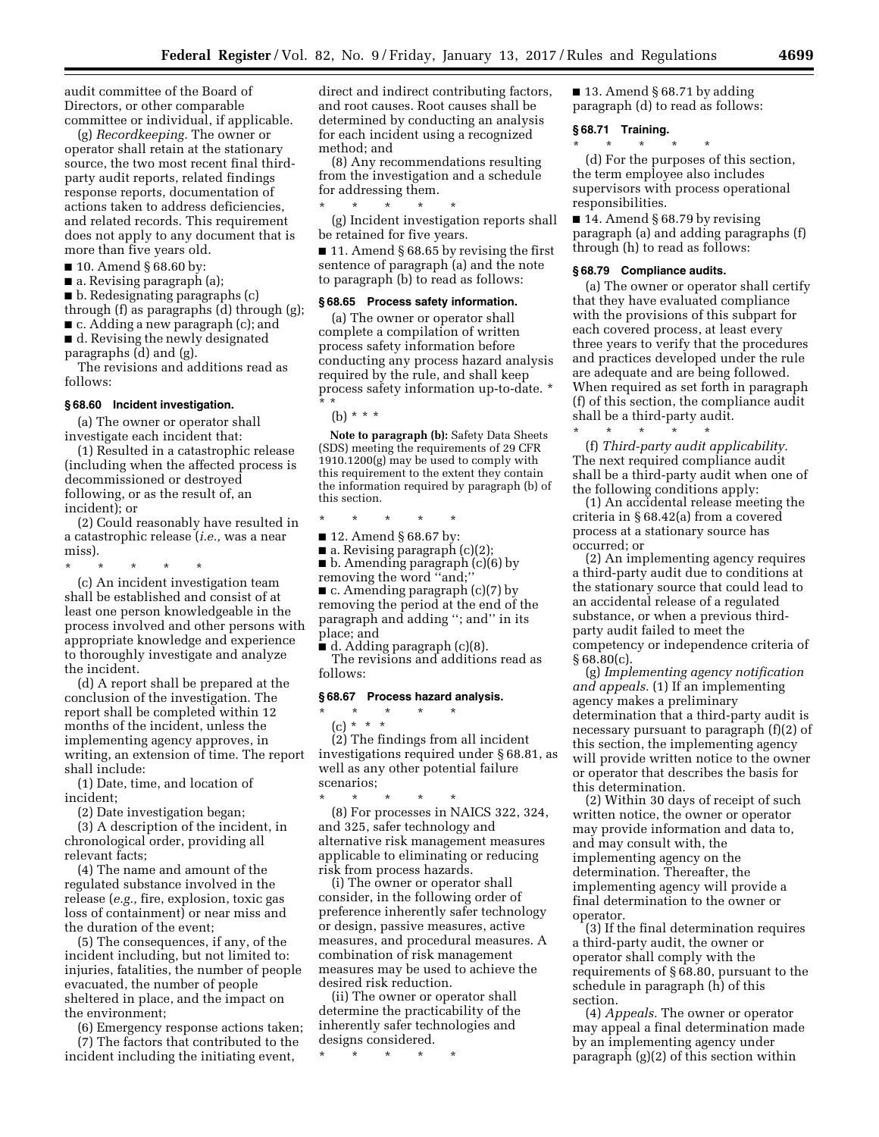audit committee of the Board of Directors, or other comparable committee or individual, if applicable.

(g) *Recordkeeping.* The owner or operator shall retain at the stationary source, the two most recent final thirdparty audit reports, related findings response reports, documentation of actions taken to address deficiencies, and related records. This requirement does not apply to any document that is more than five years old.

- 10. Amend § 68.60 by:
- a. Revising paragraph (a);
- b. Redesignating paragraphs (c) through (f) as paragraphs (d) through (g);
- c. Adding a new paragraph (c); and ■ d. Revising the newly designated
- paragraphs (d) and (g).

The revisions and additions read as follows:

#### **§ 68.60 Incident investigation.**

(a) The owner or operator shall investigate each incident that:

(1) Resulted in a catastrophic release (including when the affected process is decommissioned or destroyed following, or as the result of, an incident); or

(2) Could reasonably have resulted in a catastrophic release (*i.e.,* was a near miss).

\* \* \* \* \*

(c) An incident investigation team shall be established and consist of at least one person knowledgeable in the process involved and other persons with appropriate knowledge and experience to thoroughly investigate and analyze the incident.

(d) A report shall be prepared at the conclusion of the investigation. The report shall be completed within 12 months of the incident, unless the implementing agency approves, in writing, an extension of time. The report shall include:

(1) Date, time, and location of incident;

(2) Date investigation began;

(3) A description of the incident, in chronological order, providing all relevant facts;

(4) The name and amount of the regulated substance involved in the release (*e.g.,* fire, explosion, toxic gas loss of containment) or near miss and the duration of the event;

(5) The consequences, if any, of the incident including, but not limited to: injuries, fatalities, the number of people evacuated, the number of people sheltered in place, and the impact on the environment;

(6) Emergency response actions taken; (7) The factors that contributed to the incident including the initiating event,

direct and indirect contributing factors, and root causes. Root causes shall be determined by conducting an analysis for each incident using a recognized method; and

(8) Any recommendations resulting from the investigation and a schedule for addressing them.

\* \* \* \* \* (g) Incident investigation reports shall be retained for five years.

■ 11. Amend § 68.65 by revising the first sentence of paragraph (a) and the note to paragraph (b) to read as follows:

#### **§ 68.65 Process safety information.**

(a) The owner or operator shall complete a compilation of written process safety information before conducting any process hazard analysis required by the rule, and shall keep process safety information up-to-date. \* \* \*

(b) \* \* \*

**Note to paragraph (b):** Safety Data Sheets (SDS) meeting the requirements of 29 CFR 1910.1200(g) may be used to comply with this requirement to the extent they contain the information required by paragraph (b) of this section.

\* \* \* \* \*

■ 12. Amend § 68.67 by:

■ a. Revising paragraph (c)(2);

■ b. Amending paragraph (c)(6) by removing the word ''and;'' ■ c. Amending paragraph (c)(7) by

removing the period at the end of the paragraph and adding ''; and'' in its place; and

■ d. Adding paragraph (c)(8). The revisions and additions read as follows:

### **§ 68.67 Process hazard analysis.**

\* \* \* \* \*

(c) \* \* \* (2) The findings from all incident investigations required under § 68.81, as well as any other potential failure scenarios;

\* \* \* \* \* (8) For processes in NAICS 322, 324, and 325, safer technology and alternative risk management measures applicable to eliminating or reducing risk from process hazards.

(i) The owner or operator shall consider, in the following order of preference inherently safer technology or design, passive measures, active measures, and procedural measures. A combination of risk management measures may be used to achieve the desired risk reduction.

(ii) The owner or operator shall determine the practicability of the inherently safer technologies and designs considered.

\* \* \* \* \*

 $\blacksquare$  13. Amend § 68.71 by adding paragraph (d) to read as follows:

## **§ 68.71 Training.**  \* \* \* \* \*

(d) For the purposes of this section, the term employee also includes supervisors with process operational responsibilities.

■ 14. Amend § 68.79 by revising paragraph (a) and adding paragraphs (f) through (h) to read as follows:

#### **§ 68.79 Compliance audits.**

(a) The owner or operator shall certify that they have evaluated compliance with the provisions of this subpart for each covered process, at least every three years to verify that the procedures and practices developed under the rule are adequate and are being followed. When required as set forth in paragraph (f) of this section, the compliance audit shall be a third-party audit.  $\star$   $\star$   $\star$ 

(f) *Third-party audit applicability.*  The next required compliance audit shall be a third-party audit when one of the following conditions apply:

(1) An accidental release meeting the criteria in § 68.42(a) from a covered process at a stationary source has occurred; or

(2) An implementing agency requires a third-party audit due to conditions at the stationary source that could lead to an accidental release of a regulated substance, or when a previous thirdparty audit failed to meet the competency or independence criteria of  $§68.80(c)$ .

(g) *Implementing agency notification and appeals.* (1) If an implementing agency makes a preliminary determination that a third-party audit is necessary pursuant to paragraph (f)(2) of this section, the implementing agency will provide written notice to the owner or operator that describes the basis for this determination.

(2) Within 30 days of receipt of such written notice, the owner or operator may provide information and data to, and may consult with, the implementing agency on the determination. Thereafter, the implementing agency will provide a final determination to the owner or operator.

(3) If the final determination requires a third-party audit, the owner or operator shall comply with the requirements of § 68.80, pursuant to the schedule in paragraph (h) of this section.

(4) *Appeals.* The owner or operator may appeal a final determination made by an implementing agency under paragraph (g)(2) of this section within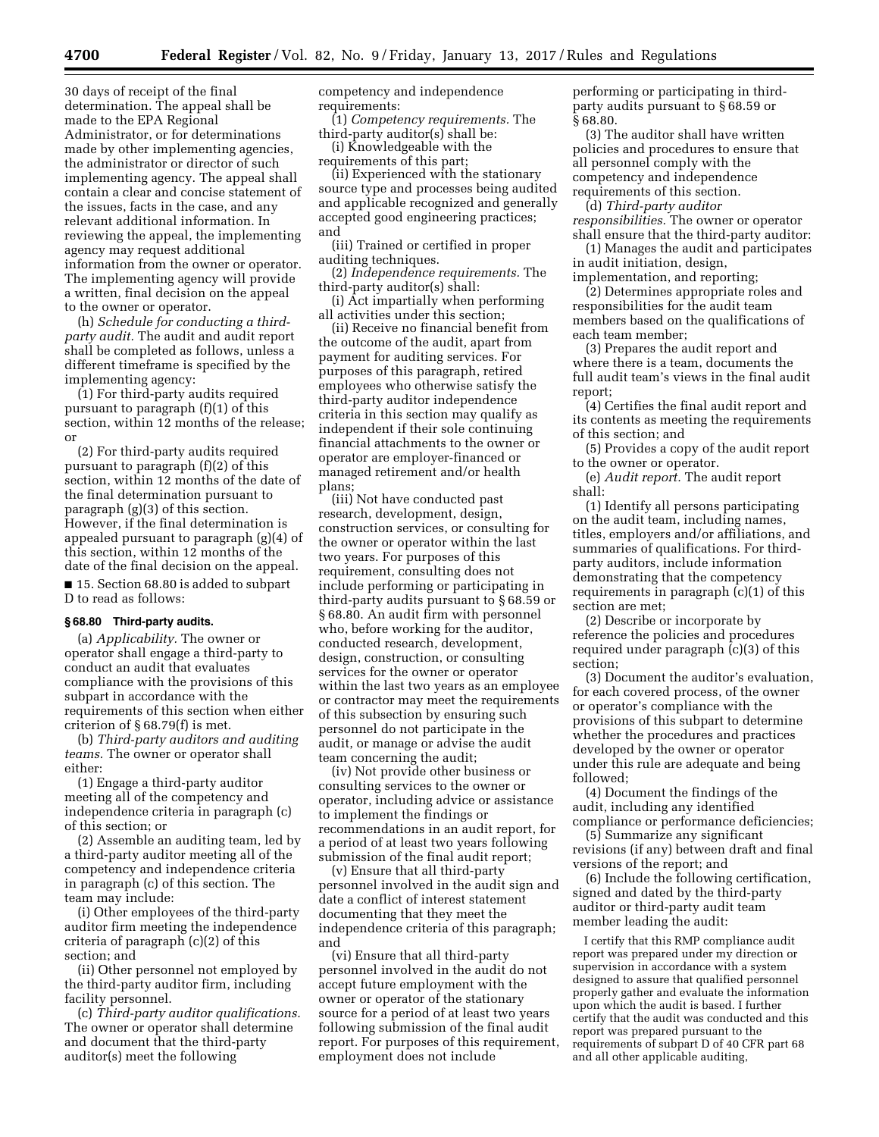30 days of receipt of the final determination. The appeal shall be made to the EPA Regional Administrator, or for determinations made by other implementing agencies, the administrator or director of such implementing agency. The appeal shall contain a clear and concise statement of the issues, facts in the case, and any relevant additional information. In reviewing the appeal, the implementing agency may request additional information from the owner or operator. The implementing agency will provide a written, final decision on the appeal to the owner or operator.

(h) *Schedule for conducting a thirdparty audit.* The audit and audit report shall be completed as follows, unless a different timeframe is specified by the implementing agency:

(1) For third-party audits required pursuant to paragraph (f)(1) of this section, within 12 months of the release; or

(2) For third-party audits required pursuant to paragraph (f)(2) of this section, within 12 months of the date of the final determination pursuant to paragraph (g)(3) of this section. However, if the final determination is appealed pursuant to paragraph (g)(4) of this section, within 12 months of the date of the final decision on the appeal.

■ 15. Section 68.80 is added to subpart D to read as follows:

## **§ 68.80 Third-party audits.**

(a) *Applicability.* The owner or operator shall engage a third-party to conduct an audit that evaluates compliance with the provisions of this subpart in accordance with the requirements of this section when either criterion of § 68.79(f) is met.

(b) *Third-party auditors and auditing teams.* The owner or operator shall either:

(1) Engage a third-party auditor meeting all of the competency and independence criteria in paragraph (c) of this section; or

(2) Assemble an auditing team, led by a third-party auditor meeting all of the competency and independence criteria in paragraph (c) of this section. The team may include:

(i) Other employees of the third-party auditor firm meeting the independence criteria of paragraph (c)(2) of this section; and

(ii) Other personnel not employed by the third-party auditor firm, including facility personnel.

(c) *Third-party auditor qualifications.*  The owner or operator shall determine and document that the third-party auditor(s) meet the following

competency and independence requirements:

(1) *Competency requirements.* The third-party auditor(s) shall be:

(i) Knowledgeable with the requirements of this part;

(ii) Experienced with the stationary source type and processes being audited and applicable recognized and generally accepted good engineering practices; and

(iii) Trained or certified in proper auditing techniques.

(2) *Independence requirements.* The third-party auditor(s) shall:

(i) Act impartially when performing all activities under this section;

(ii) Receive no financial benefit from the outcome of the audit, apart from payment for auditing services. For purposes of this paragraph, retired employees who otherwise satisfy the third-party auditor independence criteria in this section may qualify as independent if their sole continuing financial attachments to the owner or operator are employer-financed or managed retirement and/or health plans;

(iii) Not have conducted past research, development, design, construction services, or consulting for the owner or operator within the last two years. For purposes of this requirement, consulting does not include performing or participating in third-party audits pursuant to § 68.59 or § 68.80. An audit firm with personnel who, before working for the auditor, conducted research, development, design, construction, or consulting services for the owner or operator within the last two years as an employee or contractor may meet the requirements of this subsection by ensuring such personnel do not participate in the audit, or manage or advise the audit team concerning the audit;

(iv) Not provide other business or consulting services to the owner or operator, including advice or assistance to implement the findings or recommendations in an audit report, for a period of at least two years following submission of the final audit report;

(v) Ensure that all third-party personnel involved in the audit sign and date a conflict of interest statement documenting that they meet the independence criteria of this paragraph; and

(vi) Ensure that all third-party personnel involved in the audit do not accept future employment with the owner or operator of the stationary source for a period of at least two years following submission of the final audit report. For purposes of this requirement, employment does not include

performing or participating in thirdparty audits pursuant to § 68.59 or § 68.80.

(3) The auditor shall have written policies and procedures to ensure that all personnel comply with the competency and independence requirements of this section.

(d) *Third-party auditor responsibilities.* The owner or operator shall ensure that the third-party auditor:

(1) Manages the audit and participates in audit initiation, design,

implementation, and reporting;

(2) Determines appropriate roles and responsibilities for the audit team members based on the qualifications of each team member;

(3) Prepares the audit report and where there is a team, documents the full audit team's views in the final audit report;

(4) Certifies the final audit report and its contents as meeting the requirements of this section; and

(5) Provides a copy of the audit report to the owner or operator.

(e) *Audit report.* The audit report shall:

(1) Identify all persons participating on the audit team, including names, titles, employers and/or affiliations, and summaries of qualifications. For thirdparty auditors, include information demonstrating that the competency requirements in paragraph (c)(1) of this section are met;

(2) Describe or incorporate by reference the policies and procedures required under paragraph (c)(3) of this section;

(3) Document the auditor's evaluation, for each covered process, of the owner or operator's compliance with the provisions of this subpart to determine whether the procedures and practices developed by the owner or operator under this rule are adequate and being followed;

(4) Document the findings of the audit, including any identified compliance or performance deficiencies;

(5) Summarize any significant revisions (if any) between draft and final versions of the report; and

(6) Include the following certification, signed and dated by the third-party auditor or third-party audit team member leading the audit:

I certify that this RMP compliance audit report was prepared under my direction or supervision in accordance with a system designed to assure that qualified personnel properly gather and evaluate the information upon which the audit is based. I further certify that the audit was conducted and this report was prepared pursuant to the requirements of subpart D of 40 CFR part 68 and all other applicable auditing,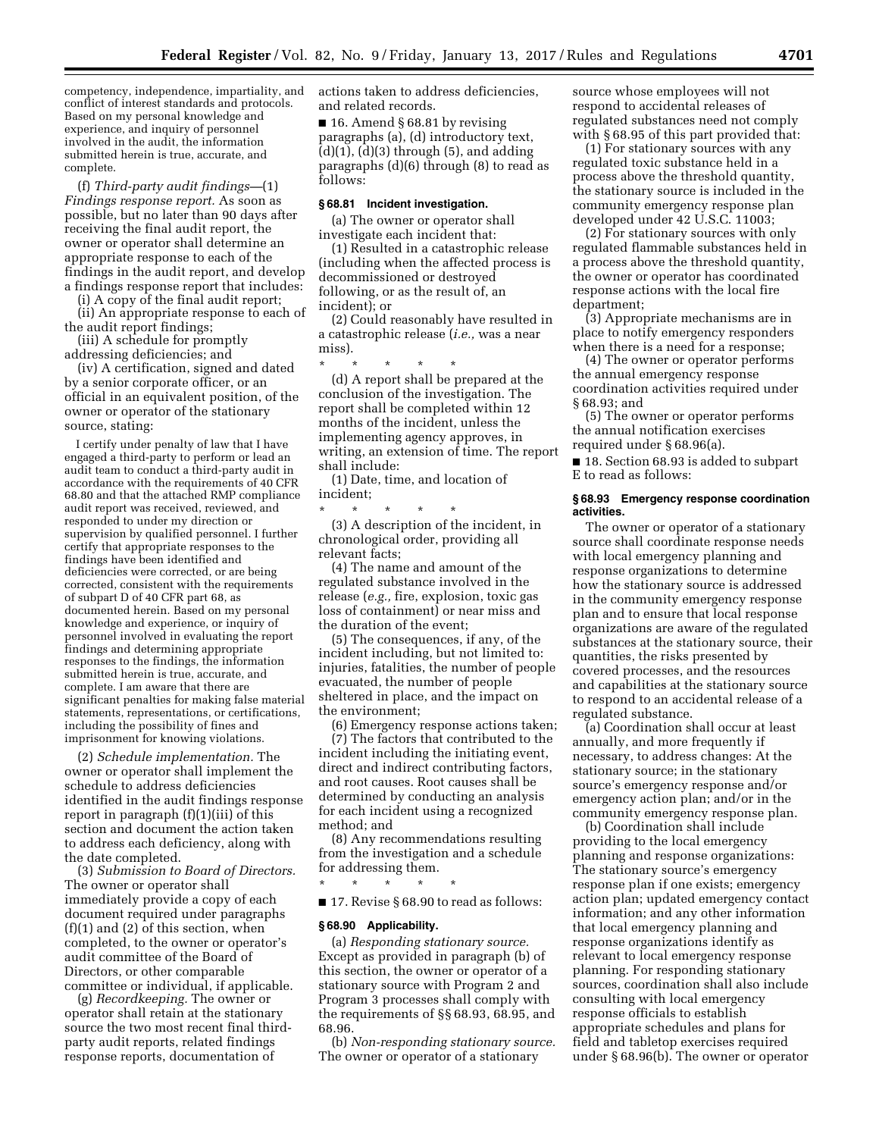competency, independence, impartiality, and conflict of interest standards and protocols. Based on my personal knowledge and experience, and inquiry of personnel involved in the audit, the information submitted herein is true, accurate, and complete.

(f) *Third-party audit findings—*(1) *Findings response report.* As soon as possible, but no later than 90 days after receiving the final audit report, the owner or operator shall determine an appropriate response to each of the findings in the audit report, and develop a findings response report that includes:

(i) A copy of the final audit report;

(ii) An appropriate response to each of the audit report findings;

(iii) A schedule for promptly addressing deficiencies; and

(iv) A certification, signed and dated by a senior corporate officer, or an official in an equivalent position, of the owner or operator of the stationary source, stating:

I certify under penalty of law that I have engaged a third-party to perform or lead an audit team to conduct a third-party audit in accordance with the requirements of 40 CFR 68.80 and that the attached RMP compliance audit report was received, reviewed, and responded to under my direction or supervision by qualified personnel. I further certify that appropriate responses to the findings have been identified and deficiencies were corrected, or are being corrected, consistent with the requirements of subpart D of 40 CFR part 68, as documented herein. Based on my personal knowledge and experience, or inquiry of personnel involved in evaluating the report findings and determining appropriate responses to the findings, the information submitted herein is true, accurate, and complete. I am aware that there are significant penalties for making false material statements, representations, or certifications, including the possibility of fines and imprisonment for knowing violations.

(2) *Schedule implementation.* The owner or operator shall implement the schedule to address deficiencies identified in the audit findings response report in paragraph (f)(1)(iii) of this section and document the action taken to address each deficiency, along with the date completed.

(3) *Submission to Board of Directors.*  The owner or operator shall immediately provide a copy of each document required under paragraphs (f)(1) and (2) of this section, when completed, to the owner or operator's audit committee of the Board of Directors, or other comparable committee or individual, if applicable.

(g) *Recordkeeping.* The owner or operator shall retain at the stationary source the two most recent final thirdparty audit reports, related findings response reports, documentation of

actions taken to address deficiencies, and related records.

■ 16. Amend § 68.81 by revising paragraphs (a), (d) introductory text,  $(d)(1)$ ,  $(d)(3)$  through  $(5)$ , and adding paragraphs (d)(6) through (8) to read as follows:

### **§ 68.81 Incident investigation.**

(a) The owner or operator shall investigate each incident that:

(1) Resulted in a catastrophic release (including when the affected process is decommissioned or destroyed following, or as the result of, an incident); or

(2) Could reasonably have resulted in a catastrophic release (*i.e.,* was a near miss).

\* \* \* \* \* (d) A report shall be prepared at the conclusion of the investigation. The report shall be completed within 12 months of the incident, unless the implementing agency approves, in writing, an extension of time. The report shall include:

(1) Date, time, and location of incident;

\* \* \* \* \* (3) A description of the incident, in chronological order, providing all

relevant facts; (4) The name and amount of the regulated substance involved in the release (*e.g.,* fire, explosion, toxic gas loss of containment) or near miss and the duration of the event;

(5) The consequences, if any, of the incident including, but not limited to: injuries, fatalities, the number of people evacuated, the number of people sheltered in place, and the impact on the environment;

(6) Emergency response actions taken;

(7) The factors that contributed to the incident including the initiating event, direct and indirect contributing factors, and root causes. Root causes shall be determined by conducting an analysis for each incident using a recognized method; and

(8) Any recommendations resulting from the investigation and a schedule for addressing them.

\* \* \* \* \* ■ 17. Revise § 68.90 to read as follows:

#### **§ 68.90 Applicability.**

(a) *Responding stationary source.*  Except as provided in paragraph (b) of this section, the owner or operator of a stationary source with Program 2 and Program 3 processes shall comply with the requirements of §§ 68.93, 68.95, and 68.96.

(b) *Non-responding stationary source.*  The owner or operator of a stationary

source whose employees will not respond to accidental releases of regulated substances need not comply with § 68.95 of this part provided that:

(1) For stationary sources with any regulated toxic substance held in a process above the threshold quantity, the stationary source is included in the community emergency response plan developed under 42 U.S.C. 11003;

(2) For stationary sources with only regulated flammable substances held in a process above the threshold quantity, the owner or operator has coordinated response actions with the local fire department;

(3) Appropriate mechanisms are in place to notify emergency responders when there is a need for a response;

(4) The owner or operator performs the annual emergency response coordination activities required under § 68.93; and

(5) The owner or operator performs the annual notification exercises required under § 68.96(a).

■ 18. Section 68.93 is added to subpart E to read as follows:

#### **§ 68.93 Emergency response coordination activities.**

The owner or operator of a stationary source shall coordinate response needs with local emergency planning and response organizations to determine how the stationary source is addressed in the community emergency response plan and to ensure that local response organizations are aware of the regulated substances at the stationary source, their quantities, the risks presented by covered processes, and the resources and capabilities at the stationary source to respond to an accidental release of a regulated substance.

(a) Coordination shall occur at least annually, and more frequently if necessary, to address changes: At the stationary source; in the stationary source's emergency response and/or emergency action plan; and/or in the community emergency response plan.

(b) Coordination shall include providing to the local emergency planning and response organizations: The stationary source's emergency response plan if one exists; emergency action plan; updated emergency contact information; and any other information that local emergency planning and response organizations identify as relevant to local emergency response planning. For responding stationary sources, coordination shall also include consulting with local emergency response officials to establish appropriate schedules and plans for field and tabletop exercises required under § 68.96(b). The owner or operator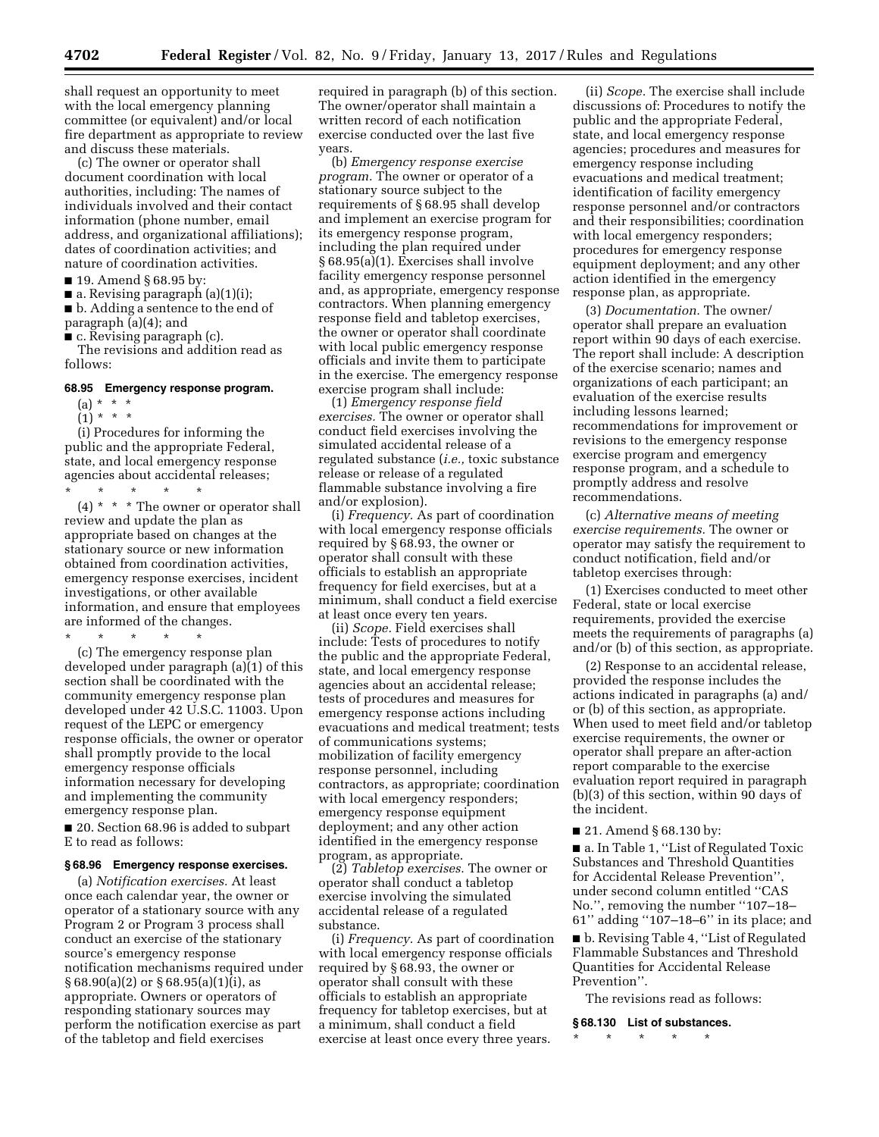shall request an opportunity to meet with the local emergency planning committee (or equivalent) and/or local fire department as appropriate to review and discuss these materials.

(c) The owner or operator shall document coordination with local authorities, including: The names of individuals involved and their contact information (phone number, email address, and organizational affiliations); dates of coordination activities; and nature of coordination activities.

■ 19. Amend § 68.95 by:

■ a. Revising paragraph (a)(1)(i);

■ b. Adding a sentence to the end of paragraph (a)(4); and

■ c. Revising paragraph (c).

The revisions and addition read as follows:

# **68.95 Emergency response program.**

(a) \* \* \*

 $(1) * * * *$ 

(i) Procedures for informing the public and the appropriate Federal, state, and local emergency response agencies about accidental releases;

 $\star$   $\qquad$   $\star$   $\qquad$   $\star$   $\qquad$   $\star$  $(4)$  \* \* \* The owner or operator shall review and update the plan as appropriate based on changes at the stationary source or new information obtained from coordination activities, emergency response exercises, incident investigations, or other available information, and ensure that employees are informed of the changes.

\* \* \* \* \* (c) The emergency response plan developed under paragraph (a)(1) of this section shall be coordinated with the community emergency response plan developed under 42 U.S.C. 11003. Upon request of the LEPC or emergency response officials, the owner or operator shall promptly provide to the local emergency response officials information necessary for developing and implementing the community emergency response plan.

■ 20. Section 68.96 is added to subpart E to read as follows:

### **§ 68.96 Emergency response exercises.**

(a) *Notification exercises.* At least once each calendar year, the owner or operator of a stationary source with any Program 2 or Program 3 process shall conduct an exercise of the stationary source's emergency response notification mechanisms required under  $§ 68.90(a)(2)$  or  $§ 68.95(a)(1)(i)$ , as appropriate. Owners or operators of responding stationary sources may perform the notification exercise as part of the tabletop and field exercises

required in paragraph (b) of this section. The owner/operator shall maintain a written record of each notification exercise conducted over the last five years.

(b) *Emergency response exercise program.* The owner or operator of a stationary source subject to the requirements of § 68.95 shall develop and implement an exercise program for its emergency response program, including the plan required under § 68.95(a)(1). Exercises shall involve facility emergency response personnel and, as appropriate, emergency response contractors. When planning emergency response field and tabletop exercises, the owner or operator shall coordinate with local public emergency response officials and invite them to participate in the exercise. The emergency response exercise program shall include:

(1) *Emergency response field exercises.* The owner or operator shall conduct field exercises involving the simulated accidental release of a regulated substance (*i.e.,* toxic substance release or release of a regulated flammable substance involving a fire and/or explosion).

(i) *Frequency.* As part of coordination with local emergency response officials required by § 68.93, the owner or operator shall consult with these officials to establish an appropriate frequency for field exercises, but at a minimum, shall conduct a field exercise at least once every ten years.

(ii) *Scope.* Field exercises shall include: Tests of procedures to notify the public and the appropriate Federal, state, and local emergency response agencies about an accidental release; tests of procedures and measures for emergency response actions including evacuations and medical treatment; tests of communications systems; mobilization of facility emergency response personnel, including contractors, as appropriate; coordination with local emergency responders; emergency response equipment deployment; and any other action identified in the emergency response program, as appropriate.

(2) *Tabletop exercises.* The owner or operator shall conduct a tabletop exercise involving the simulated accidental release of a regulated substance.

(i) *Frequency.* As part of coordination with local emergency response officials required by § 68.93, the owner or operator shall consult with these officials to establish an appropriate frequency for tabletop exercises, but at a minimum, shall conduct a field exercise at least once every three years.

(ii) *Scope.* The exercise shall include discussions of: Procedures to notify the public and the appropriate Federal, state, and local emergency response agencies; procedures and measures for emergency response including evacuations and medical treatment; identification of facility emergency response personnel and/or contractors and their responsibilities; coordination with local emergency responders; procedures for emergency response equipment deployment; and any other action identified in the emergency response plan, as appropriate.

(3) *Documentation.* The owner/ operator shall prepare an evaluation report within 90 days of each exercise. The report shall include: A description of the exercise scenario; names and organizations of each participant; an evaluation of the exercise results including lessons learned; recommendations for improvement or revisions to the emergency response exercise program and emergency response program, and a schedule to promptly address and resolve recommendations.

(c) *Alternative means of meeting exercise requirements.* The owner or operator may satisfy the requirement to conduct notification, field and/or tabletop exercises through:

(1) Exercises conducted to meet other Federal, state or local exercise requirements, provided the exercise meets the requirements of paragraphs (a) and/or (b) of this section, as appropriate.

(2) Response to an accidental release, provided the response includes the actions indicated in paragraphs (a) and/ or (b) of this section, as appropriate. When used to meet field and/or tabletop exercise requirements, the owner or operator shall prepare an after-action report comparable to the exercise evaluation report required in paragraph (b)(3) of this section, within 90 days of the incident.

■ 21. Amend § 68.130 by:

■ a. In Table 1, "List of Regulated Toxic Substances and Threshold Quantities for Accidental Release Prevention'', under second column entitled ''CAS No.'', removing the number ''107–18– 61'' adding ''107–18–6'' in its place; and

■ b. Revising Table 4, "List of Regulated Flammable Substances and Threshold Quantities for Accidental Release Prevention''.

The revisions read as follows:

#### **§ 68.130 List of substances.**

\* \* \* \* \*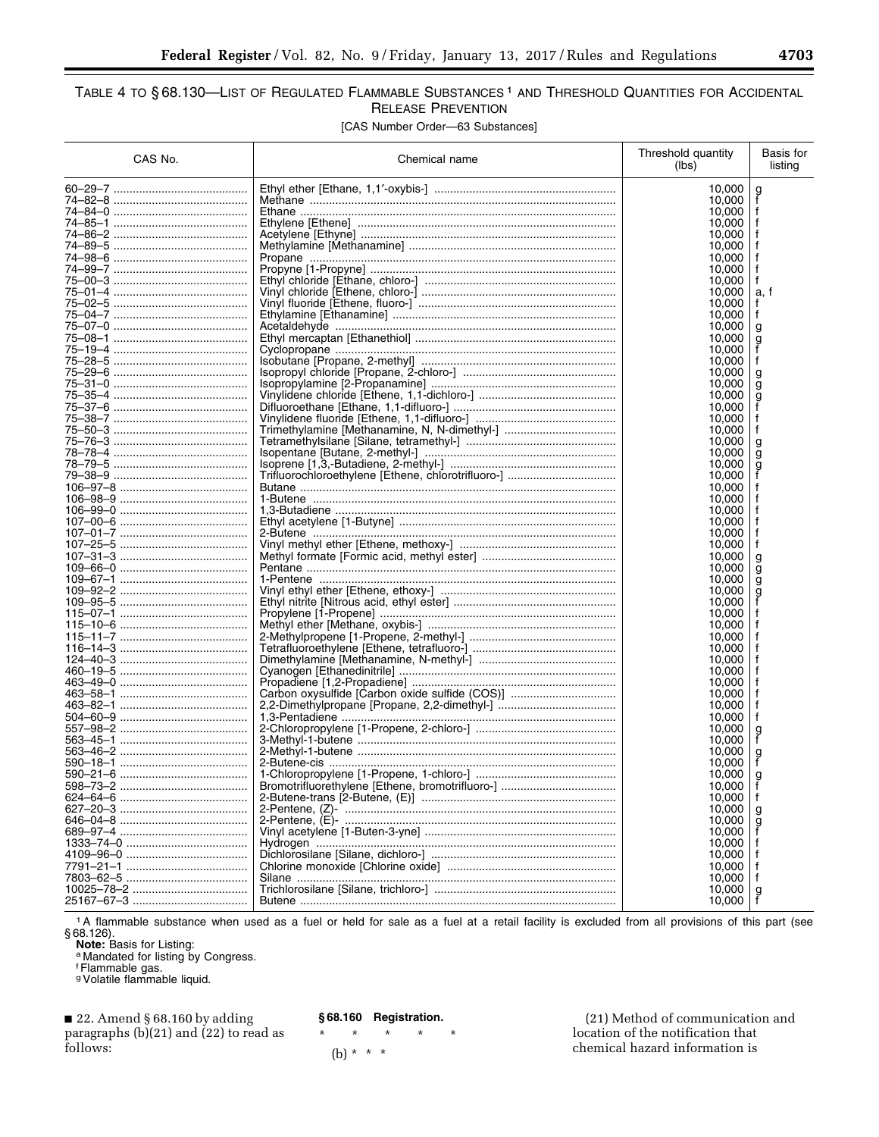# TABLE 4 TO §68.130-LIST OF REGULATED FLAMMABLE SUBSTANCES<sup>1</sup> AND THRESHOLD QUANTITIES FOR ACCIDENTAL **RELEASE PREVENTION**

[CAS Number Order-63 Substances]

| CAS No. | Chemical name                                  | Threshold quantity<br>(lbs) | Basis for<br>listing |
|---------|------------------------------------------------|-----------------------------|----------------------|
|         |                                                | 10,000                      |                      |
|         |                                                | 10,000                      | g<br>f               |
|         |                                                | 10,000                      | f                    |
|         |                                                | 10,000                      |                      |
|         |                                                | 10,000                      | t                    |
|         |                                                | 10,000                      | f                    |
|         |                                                | 10,000                      | f                    |
|         |                                                | 10,000                      | f                    |
|         |                                                | 10,000                      | f                    |
|         |                                                | 10,000                      | a, f                 |
|         |                                                | 10,000                      | f                    |
|         |                                                | 10.000                      | f                    |
|         |                                                | 10,000                      | g                    |
|         |                                                | 10,000<br>10,000            | g                    |
|         |                                                | 10,000                      | f                    |
|         |                                                | 10,000                      | g                    |
|         |                                                | 10,000                      | g                    |
|         |                                                | 10,000                      | g                    |
|         |                                                | 10,000                      |                      |
|         |                                                | 10,000                      | f                    |
|         |                                                | 10,000                      | f                    |
|         |                                                | 10,000                      | g                    |
|         |                                                | 10,000                      | g                    |
|         |                                                | 10,000                      | g                    |
|         |                                                | 10,000                      |                      |
|         |                                                | 10,000                      |                      |
|         |                                                | 10,000                      |                      |
|         |                                                | 10,000                      | t                    |
|         |                                                | 10,000                      | f                    |
|         |                                                | 10.000                      | f                    |
|         |                                                | 10,000                      | f                    |
|         |                                                | 10,000                      | g                    |
|         |                                                | 10,000                      | g                    |
|         |                                                | 10,000                      | g                    |
|         |                                                | 10,000                      | g<br>f               |
|         |                                                | 10,000                      |                      |
|         |                                                | 10,000                      |                      |
|         |                                                | 10,000<br>10,000            |                      |
|         |                                                | 10,000                      |                      |
|         |                                                | 10,000                      |                      |
|         |                                                | 10,000                      |                      |
|         |                                                | 10,000                      |                      |
|         | Carbon oxysulfide [Carbon oxide sulfide (COS)] | 10,000                      |                      |
|         |                                                | 10.000                      |                      |
|         |                                                | 10,000                      | f                    |
|         |                                                | 10,000                      |                      |
|         |                                                | 10,000                      | g<br>f               |
|         |                                                | 10,000                      | g                    |
|         |                                                | 10,000                      | f                    |
|         |                                                | 10,000                      | à                    |
|         |                                                | 10,000                      |                      |
|         |                                                | 10,000                      |                      |
|         |                                                | 10,000                      | g                    |
|         |                                                | 10,000                      | g                    |
|         |                                                | 10,000                      |                      |
|         |                                                | 10,000                      |                      |
|         |                                                | 10,000                      |                      |
|         |                                                | 10,000                      |                      |
|         |                                                | 10,000<br>10,000            | f                    |
|         |                                                | 10,000                      | g                    |
|         |                                                |                             |                      |

The flammable substance when used as a fuel or held for sale as a fuel at a retail facility is excluded from all provisions of this part (see § 68.126).<br>
Note: Basis for Listing:<br>
Note: Basis for Listing:<br>
a Mandated for l

 $\star$ 

22. Amend § 68.160 by adding paragraphs (b)(21) and (22) to read as follows:

§68.160 Registration.

 $\star$  $\star$  $\star$  $\star$ 

(b) \* \* \*

(21) Method of communication and location of the notification that chemical hazard information is

٠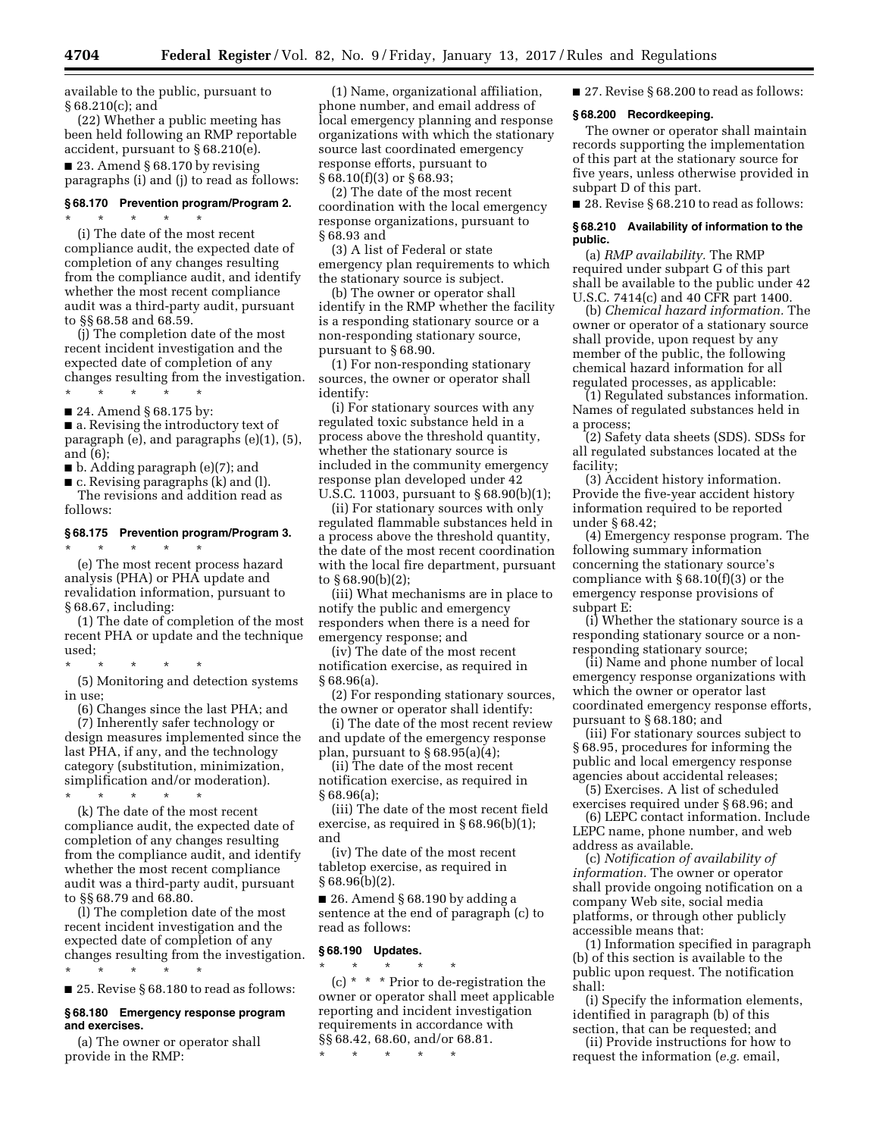available to the public, pursuant to § 68.210(c); and

(22) Whether a public meeting has been held following an RMP reportable accident, pursuant to § 68.210(e).

■ 23. Amend § 68.170 by revising paragraphs (i) and (j) to read as follows:

#### **§ 68.170 Prevention program/Program 2.**  \* \* \* \* \*

(i) The date of the most recent compliance audit, the expected date of completion of any changes resulting from the compliance audit, and identify whether the most recent compliance audit was a third-party audit, pursuant to §§ 68.58 and 68.59.

(j) The completion date of the most recent incident investigation and the expected date of completion of any changes resulting from the investigation. \* \* \* \* \*

■ 24. Amend § 68.175 by:

■ a. Revising the introductory text of paragraph (e), and paragraphs (e)(1), (5), and (6);

■ b. Adding paragraph (e)(7); and

■ c. Revising paragraphs (k) and (l).

The revisions and addition read as follows:

# **§ 68.175 Prevention program/Program 3.**

\* \* \* \* \* (e) The most recent process hazard analysis (PHA) or PHA update and revalidation information, pursuant to § 68.67, including:

(1) The date of completion of the most recent PHA or update and the technique used;

\* \* \* \* \* (5) Monitoring and detection systems

in use; (6) Changes since the last PHA; and

(7) Inherently safer technology or design measures implemented since the last PHA, if any, and the technology category (substitution, minimization, simplification and/or moderation). \* \* \* \* \*

(k) The date of the most recent compliance audit, the expected date of completion of any changes resulting from the compliance audit, and identify whether the most recent compliance audit was a third-party audit, pursuant to §§ 68.79 and 68.80.

(l) The completion date of the most recent incident investigation and the expected date of completion of any changes resulting from the investigation. \* \* \* \* \*

■ 25. Revise § 68.180 to read as follows:

### **§ 68.180 Emergency response program and exercises.**

(a) The owner or operator shall provide in the RMP:

(1) Name, organizational affiliation, phone number, and email address of local emergency planning and response organizations with which the stationary source last coordinated emergency response efforts, pursuant to § 68.10(f)(3) or § 68.93;

(2) The date of the most recent coordination with the local emergency response organizations, pursuant to § 68.93 and

(3) A list of Federal or state emergency plan requirements to which the stationary source is subject.

(b) The owner or operator shall identify in the RMP whether the facility is a responding stationary source or a non-responding stationary source, pursuant to § 68.90.

(1) For non-responding stationary sources, the owner or operator shall identify:

(i) For stationary sources with any regulated toxic substance held in a process above the threshold quantity, whether the stationary source is included in the community emergency response plan developed under 42 U.S.C. 11003, pursuant to § 68.90(b)(1);

(ii) For stationary sources with only regulated flammable substances held in a process above the threshold quantity, the date of the most recent coordination with the local fire department, pursuant to § 68.90(b)(2);

(iii) What mechanisms are in place to notify the public and emergency responders when there is a need for emergency response; and

(iv) The date of the most recent notification exercise, as required in § 68.96(a).

(2) For responding stationary sources, the owner or operator shall identify:

(i) The date of the most recent review and update of the emergency response plan, pursuant to  $\S 68.95(a)(4)$ ;

(ii) The date of the most recent notification exercise, as required in § 68.96(a);

(iii) The date of the most recent field exercise, as required in § 68.96(b)(1); and

(iv) The date of the most recent tabletop exercise, as required in § 68.96(b)(2).

■ 26. Amend § 68.190 by adding a sentence at the end of paragraph (c) to read as follows:

## **§ 68.190 Updates.**

 $\star$   $\star$ (c) \* \* \* Prior to de-registration the owner or operator shall meet applicable reporting and incident investigation requirements in accordance with §§ 68.42, 68.60, and/or 68.81.

\* \* \* \* \*

■ 27. Revise § 68.200 to read as follows:

### **§ 68.200 Recordkeeping.**

The owner or operator shall maintain records supporting the implementation of this part at the stationary source for five years, unless otherwise provided in subpart D of this part.

■ 28. Revise § 68.210 to read as follows:

## **§ 68.210 Availability of information to the public.**

(a) *RMP availability.* The RMP required under subpart G of this part shall be available to the public under 42 U.S.C. 7414(c) and 40 CFR part 1400.

(b) *Chemical hazard information.* The owner or operator of a stationary source shall provide, upon request by any member of the public, the following chemical hazard information for all regulated processes, as applicable:

(1) Regulated substances information. Names of regulated substances held in a process;

(2) Safety data sheets (SDS). SDSs for all regulated substances located at the facility;

(3) Accident history information. Provide the five-year accident history information required to be reported under § 68.42;

(4) Emergency response program. The following summary information concerning the stationary source's compliance with § 68.10(f)(3) or the emergency response provisions of subpart E:

(i) Whether the stationary source is a responding stationary source or a nonresponding stationary source;

(ii) Name and phone number of local emergency response organizations with which the owner or operator last coordinated emergency response efforts, pursuant to § 68.180; and

(iii) For stationary sources subject to § 68.95, procedures for informing the public and local emergency response agencies about accidental releases;

(5) Exercises. A list of scheduled exercises required under § 68.96; and

(6) LEPC contact information. Include LEPC name, phone number, and web address as available.

(c) *Notification of availability of information.* The owner or operator shall provide ongoing notification on a company Web site, social media platforms, or through other publicly accessible means that:

(1) Information specified in paragraph (b) of this section is available to the public upon request. The notification shall:

(i) Specify the information elements, identified in paragraph (b) of this section, that can be requested; and

(ii) Provide instructions for how to request the information (*e.g.* email,